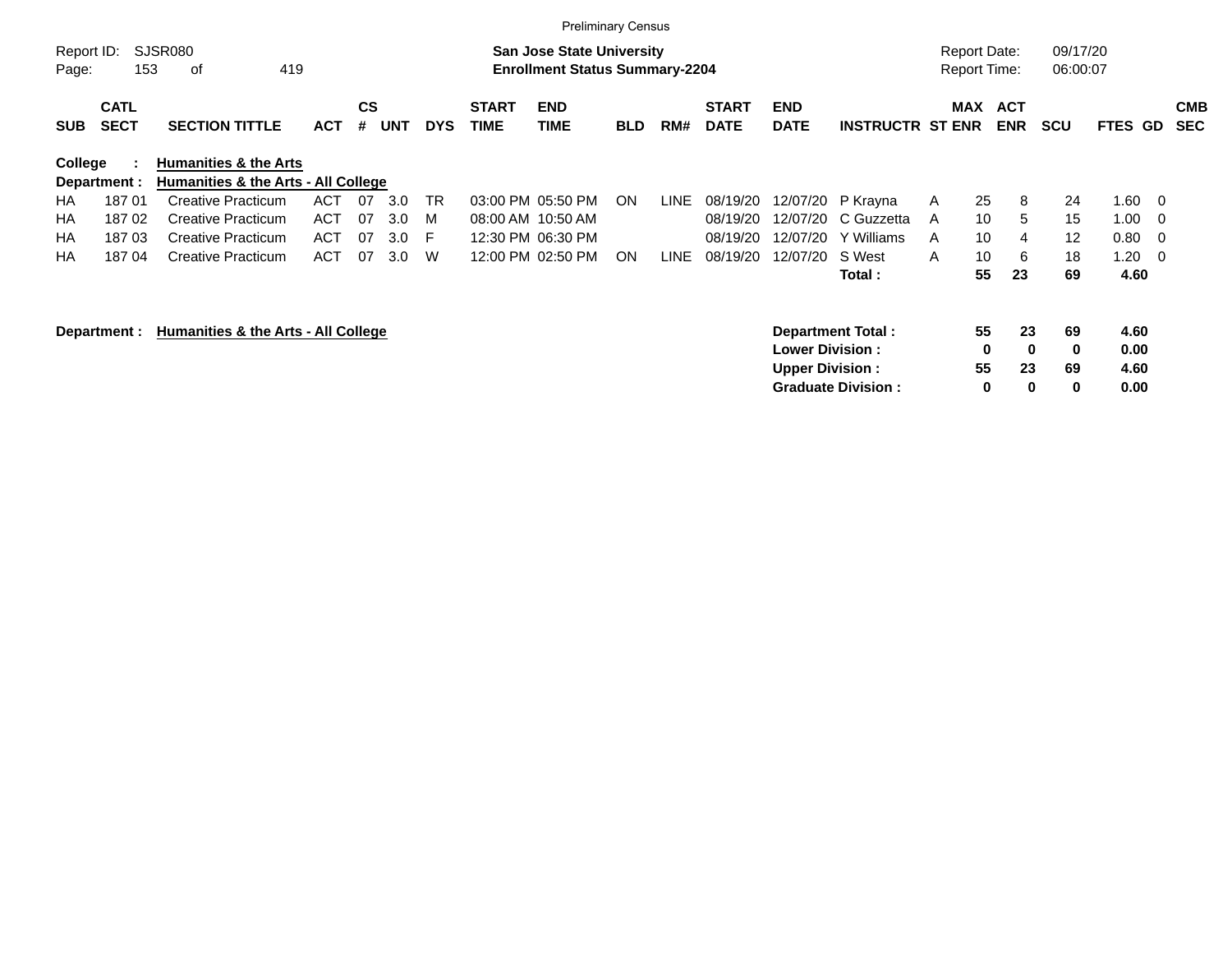|                     |                            |                                                                         |            |                |            |            |                             | <b>Preliminary Census</b>                                                 |            |      |                             |                           |                           |   |                                            |                          |                      |              |                         |                          |
|---------------------|----------------------------|-------------------------------------------------------------------------|------------|----------------|------------|------------|-----------------------------|---------------------------------------------------------------------------|------------|------|-----------------------------|---------------------------|---------------------------|---|--------------------------------------------|--------------------------|----------------------|--------------|-------------------------|--------------------------|
| Report ID:<br>Page: | 153                        | SJSR080<br>419<br>οf                                                    |            |                |            |            |                             | <b>San Jose State University</b><br><b>Enrollment Status Summary-2204</b> |            |      |                             |                           |                           |   | <b>Report Date:</b><br><b>Report Time:</b> |                          | 09/17/20<br>06:00:07 |              |                         |                          |
| <b>SUB</b>          | <b>CATL</b><br><b>SECT</b> | <b>SECTION TITTLE</b>                                                   | <b>ACT</b> | <b>CS</b><br># | <b>UNT</b> | <b>DYS</b> | <b>START</b><br><b>TIME</b> | <b>END</b><br><b>TIME</b>                                                 | <b>BLD</b> | RM#  | <b>START</b><br><b>DATE</b> | <b>END</b><br><b>DATE</b> | <b>INSTRUCTR ST ENR</b>   |   | MAX                                        | <b>ACT</b><br><b>ENR</b> | <b>SCU</b>           | FTES GD      |                         | <b>CMB</b><br><b>SEC</b> |
| College             | Department :               | <b>Humanities &amp; the Arts</b><br>Humanities & the Arts - All College |            |                |            |            |                             |                                                                           |            |      |                             |                           |                           |   |                                            |                          |                      |              |                         |                          |
| HA.                 | 18701                      | Creative Practicum                                                      | ACT        | 07             | 3.0        | <b>TR</b>  |                             | 03:00 PM 05:50 PM                                                         | ON.        | LINE | 08/19/20                    |                           | 12/07/20 P Krayna         | A | 25                                         | 8                        | 24                   | 1.60         | - 0                     |                          |
| ΗA                  | 18702                      | <b>Creative Practicum</b>                                               | <b>ACT</b> | 07             | 3.0        | M          | 08:00 AM 10:50 AM           |                                                                           |            |      | 08/19/20                    | 12/07/20                  | C Guzzetta                | A | 10                                         | 5                        | 15                   | 1.00         | - 0                     |                          |
| НA                  | 18703                      | <b>Creative Practicum</b>                                               | <b>ACT</b> | 07             | 3.0        | E          |                             | 12:30 PM 06:30 PM                                                         |            |      | 08/19/20                    | 12/07/20                  | Y Williams                | A | 10                                         | 4                        | $12 \overline{ }$    | 0.80         | - 0                     |                          |
| НA                  | 18704                      | <b>Creative Practicum</b>                                               | <b>ACT</b> | 07             | 3.0        | W          |                             | 12:00 PM 02:50 PM                                                         | ON.        | LINE | 08/19/20                    | 12/07/20                  | S West                    | A | 10                                         | 6                        | 18                   | 1.20         | $\overline{\mathbf{0}}$ |                          |
|                     |                            |                                                                         |            |                |            |            |                             |                                                                           |            |      |                             |                           | Total :                   |   | 55                                         | 23                       | 69                   | 4.60         |                         |                          |
|                     | Department :               | Humanities & the Arts - All College                                     |            |                |            |            |                             |                                                                           |            |      |                             | <b>Lower Division:</b>    | Department Total:         |   | 55<br>0                                    | 23<br>$\mathbf 0$        | 69<br>0              | 4.60<br>0.00 |                         |                          |
|                     |                            |                                                                         |            |                |            |            |                             |                                                                           |            |      |                             | <b>Upper Division:</b>    |                           |   | 55                                         | 23                       | 69                   | 4.60         |                         |                          |
|                     |                            |                                                                         |            |                |            |            |                             |                                                                           |            |      |                             |                           | <b>Graduate Division:</b> |   | 0                                          | 0                        | 0                    | 0.00         |                         |                          |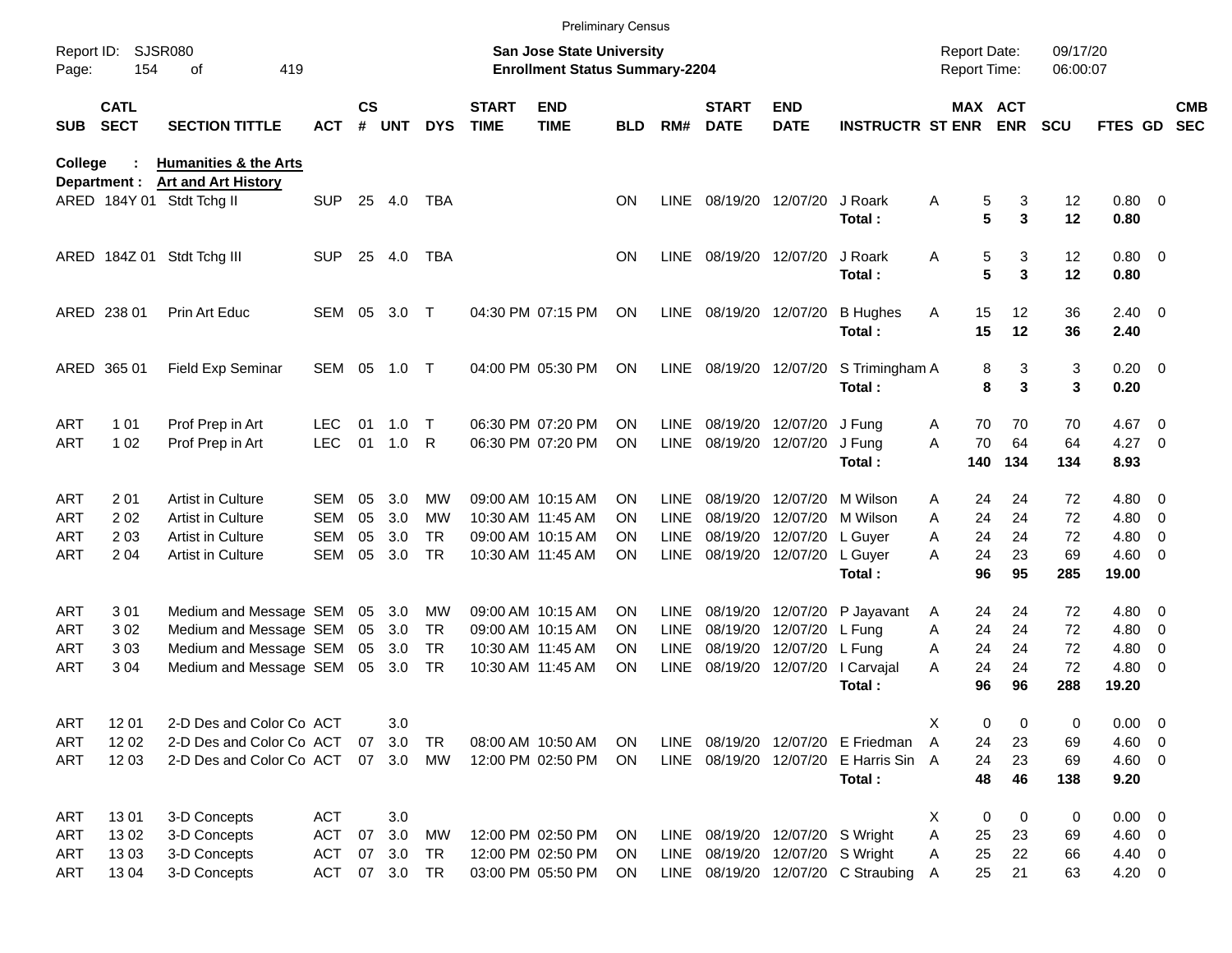|                     |                            |                                                         |                          |               |            |            |                             |                                                                           | <b>Preliminary Census</b> |                            |                             |                                 |                                       |                                     |                       |                      |                       |                          |                          |
|---------------------|----------------------------|---------------------------------------------------------|--------------------------|---------------|------------|------------|-----------------------------|---------------------------------------------------------------------------|---------------------------|----------------------------|-----------------------------|---------------------------------|---------------------------------------|-------------------------------------|-----------------------|----------------------|-----------------------|--------------------------|--------------------------|
| Report ID:<br>Page: | 154                        | <b>SJSR080</b><br>of<br>419                             |                          |               |            |            |                             | <b>San Jose State University</b><br><b>Enrollment Status Summary-2204</b> |                           |                            |                             |                                 |                                       | <b>Report Date:</b><br>Report Time: |                       | 09/17/20<br>06:00:07 |                       |                          |                          |
| SUB                 | <b>CATL</b><br><b>SECT</b> | <b>SECTION TITTLE</b>                                   | <b>ACT</b>               | $\mathsf{cs}$ | # UNT      | <b>DYS</b> | <b>START</b><br><b>TIME</b> | <b>END</b><br><b>TIME</b>                                                 | <b>BLD</b>                | RM#                        | <b>START</b><br><b>DATE</b> | <b>END</b><br><b>DATE</b>       | <b>INSTRUCTR ST ENR</b>               |                                     | MAX ACT<br><b>ENR</b> | <b>SCU</b>           | FTES GD               |                          | <b>CMB</b><br><b>SEC</b> |
| <b>College</b>      |                            | <b>Humanities &amp; the Arts</b>                        |                          |               |            |            |                             |                                                                           |                           |                            |                             |                                 |                                       |                                     |                       |                      |                       |                          |                          |
|                     | Department :               | <b>Art and Art History</b><br>ARED 184Y 01 Stdt Tchg II | <b>SUP</b>               | 25            | 4.0        | TBA        |                             |                                                                           | ΟN                        | <b>LINE</b>                |                             | 08/19/20 12/07/20               | J Roark<br>Total:                     | Α                                   | 5<br>3<br>5<br>3      | 12<br>12             | $0.80 \ 0$<br>0.80    |                          |                          |
|                     | ARED 184Z 01               | Stdt Tchg III                                           | <b>SUP</b>               | 25            | 4.0        | <b>TBA</b> |                             |                                                                           | ON                        | <b>LINE</b>                |                             | 08/19/20 12/07/20               | J Roark<br>Total:                     | Α                                   | 5<br>3<br>5<br>3      | 12<br>12             | $0.80 \ 0$<br>0.80    |                          |                          |
|                     | ARED 238 01                | Prin Art Educ                                           | SEM                      | 05            | 3.0        | $\top$     |                             | 04:30 PM 07:15 PM                                                         | <b>ON</b>                 | <b>LINE</b>                | 08/19/20 12/07/20           |                                 | <b>B</b> Hughes<br>Total:             | 15<br>Α<br>15                       | 12<br>12              | 36<br>36             | $2.40 \ 0$<br>2.40    |                          |                          |
|                     | ARED 365 01                | <b>Field Exp Seminar</b>                                | SEM                      | 05            | 1.0        | $\top$     |                             | 04:00 PM 05:30 PM                                                         | ΟN                        | LINE                       |                             | 08/19/20 12/07/20               | S Trimingham A<br>Total:              |                                     | 3<br>8<br>3<br>8      | 3<br>3               | $0.20 \ 0$<br>0.20    |                          |                          |
| ART                 | 1 0 1                      | Prof Prep in Art                                        | LEC                      | 01            | 1.0        | Т          |                             | 06:30 PM 07:20 PM                                                         | OΝ                        | <b>LINE</b>                |                             | 08/19/20 12/07/20               | J Funa                                | 70<br>A                             | 70                    | 70                   | 4.67                  | $\overline{\phantom{0}}$ |                          |
| ART                 | 1 0 2                      | Prof Prep in Art                                        | <b>LEC</b>               | 01            | 1.0        | R          |                             | 06:30 PM 07:20 PM                                                         | ΟN                        | <b>LINE</b>                |                             | 08/19/20 12/07/20               | J Fung<br>Total:                      | 70<br>A<br>140                      | 64<br>134             | 64<br>134            | $4.27$ 0<br>8.93      |                          |                          |
|                     |                            |                                                         |                          |               |            |            |                             |                                                                           |                           |                            |                             |                                 |                                       |                                     |                       |                      |                       |                          |                          |
| ART<br>ART          | 201<br>202                 | <b>Artist in Culture</b><br>Artist in Culture           | <b>SEM</b><br><b>SEM</b> | 05<br>05      | 3.0<br>3.0 | MW<br>MW   |                             | 09:00 AM 10:15 AM<br>10:30 AM 11:45 AM                                    | ON<br>ON                  | <b>LINE</b><br><b>LINE</b> | 08/19/20                    | 08/19/20 12/07/20 M Wilson      | 12/07/20 M Wilson                     | 24<br>A<br>A<br>24                  | 24<br>24              | 72<br>72             | $4.80$ 0<br>$4.80\ 0$ |                          |                          |
| ART                 | 203                        | <b>Artist in Culture</b>                                | <b>SEM</b>               | 05            | 3.0        | <b>TR</b>  |                             | 09:00 AM 10:15 AM                                                         | OΝ                        | <b>LINE</b>                | 08/19/20                    | 12/07/20                        | L Guver                               | 24<br>A                             | 24                    | 72                   | 4.80                  | $\overline{\phantom{0}}$ |                          |
| ART                 | 2 0 4                      | <b>Artist in Culture</b>                                | <b>SEM</b>               | 05            | 3.0        | <b>TR</b>  |                             | 10:30 AM 11:45 AM                                                         | ΟN                        | LINE                       |                             | 08/19/20 12/07/20               | L Guyer                               | 24<br>A                             | 23                    | 69                   | $4.60 \ 0$            |                          |                          |
|                     |                            |                                                         |                          |               |            |            |                             |                                                                           |                           |                            |                             |                                 | Total:                                | 96                                  | 95                    | 285                  | 19.00                 |                          |                          |
| ART                 | 301                        | Medium and Message SEM                                  |                          | 05            | 3.0        | <b>MW</b>  |                             | 09:00 AM 10:15 AM                                                         | ON                        | <b>LINE</b>                |                             | 08/19/20 12/07/20               | P Jayavant                            | 24<br>A                             | 24                    | 72                   | $4.80$ 0              |                          |                          |
| ART                 | 302                        | Medium and Message SEM                                  |                          | 05            | 3.0        | <b>TR</b>  |                             | 09:00 AM 10:15 AM                                                         | ON                        | <b>LINE</b>                | 08/19/20                    | 12/07/20                        | L Fung                                | A<br>24                             | 24                    | 72                   | $4.80\ 0$             |                          |                          |
| ART                 | 303                        | Medium and Message SEM                                  |                          | 05            | 3.0        | <b>TR</b>  |                             | 10:30 AM 11:45 AM                                                         | OΝ                        | <b>LINE</b>                | 08/19/20                    | 12/07/20                        | L Fung                                | 24<br>A                             | 24                    | 72                   | 4.80                  | $\overline{\mathbf{0}}$  |                          |
| ART                 | 3 0 4                      | Medium and Message SEM                                  |                          |               | 05 3.0     | TR         |                             | 10:30 AM 11:45 AM                                                         | ON                        | <b>LINE</b>                |                             | 08/19/20 12/07/20               | I Carvajal                            | 24<br>A<br>96                       | 24<br>96              | 72                   | $4.80$ 0              |                          |                          |
|                     |                            |                                                         |                          |               |            |            |                             |                                                                           |                           |                            |                             |                                 | Total:                                |                                     |                       | 288                  | 19.20                 |                          |                          |
| <b>ART</b>          | 12 01                      | 2-D Des and Color Co ACT                                |                          |               | 3.0        |            |                             |                                                                           |                           |                            |                             |                                 |                                       | Х                                   | 0<br>0                | 0                    | $0.00 \t 0$           |                          |                          |
| ART                 | 1202                       | 2-D Des and Color Co ACT                                |                          | 07            | 3.0        | TR         |                             | 08:00 AM 10:50 AM                                                         | <b>ON</b>                 |                            |                             |                                 | LINE 08/19/20 12/07/20 E Friedman     | A<br>24                             | 23                    | 69                   | $4.60$ 0              |                          |                          |
| ART                 | 12 03                      | 2-D Des and Color Co ACT                                |                          |               | 07 3.0     | MW         |                             | 12:00 PM 02:50 PM                                                         | <b>ON</b>                 |                            |                             |                                 | LINE 08/19/20 12/07/20 E Harris Sin A | 24                                  | 23                    | 69                   | $4.60$ 0              |                          |                          |
|                     |                            |                                                         |                          |               |            |            |                             |                                                                           |                           |                            |                             |                                 | Total:                                | 48                                  | 46                    | 138                  | 9.20                  |                          |                          |
| ART                 | 1301                       | 3-D Concepts                                            | <b>ACT</b>               |               | 3.0        |            |                             |                                                                           |                           |                            |                             |                                 |                                       | X                                   | 0<br>0                | 0                    | $0.00 \t 0$           |                          |                          |
| ART                 | 1302                       | 3-D Concepts                                            | <b>ACT</b>               | 07            | 3.0        | MW         |                             | 12:00 PM 02:50 PM                                                         | ON                        |                            |                             | LINE 08/19/20 12/07/20 S Wright |                                       | Α<br>25                             | 23                    | 69                   | $4.60$ 0              |                          |                          |
| ART                 | 1303                       | 3-D Concepts                                            | <b>ACT</b>               | 07            | 3.0        | TR         |                             | 12:00 PM 02:50 PM                                                         | <b>ON</b>                 |                            |                             | LINE 08/19/20 12/07/20 S Wright |                                       | 25<br>Α                             | 22                    | 66                   | 4.40 0                |                          |                          |
| ART                 | 1304                       | 3-D Concepts                                            | <b>ACT</b>               |               | 07 3.0 TR  |            |                             | 03:00 PM 05:50 PM                                                         | <b>ON</b>                 |                            |                             |                                 | LINE 08/19/20 12/07/20 C Straubing    | 25<br>Α                             | 21                    | 63                   | $4.20 \ 0$            |                          |                          |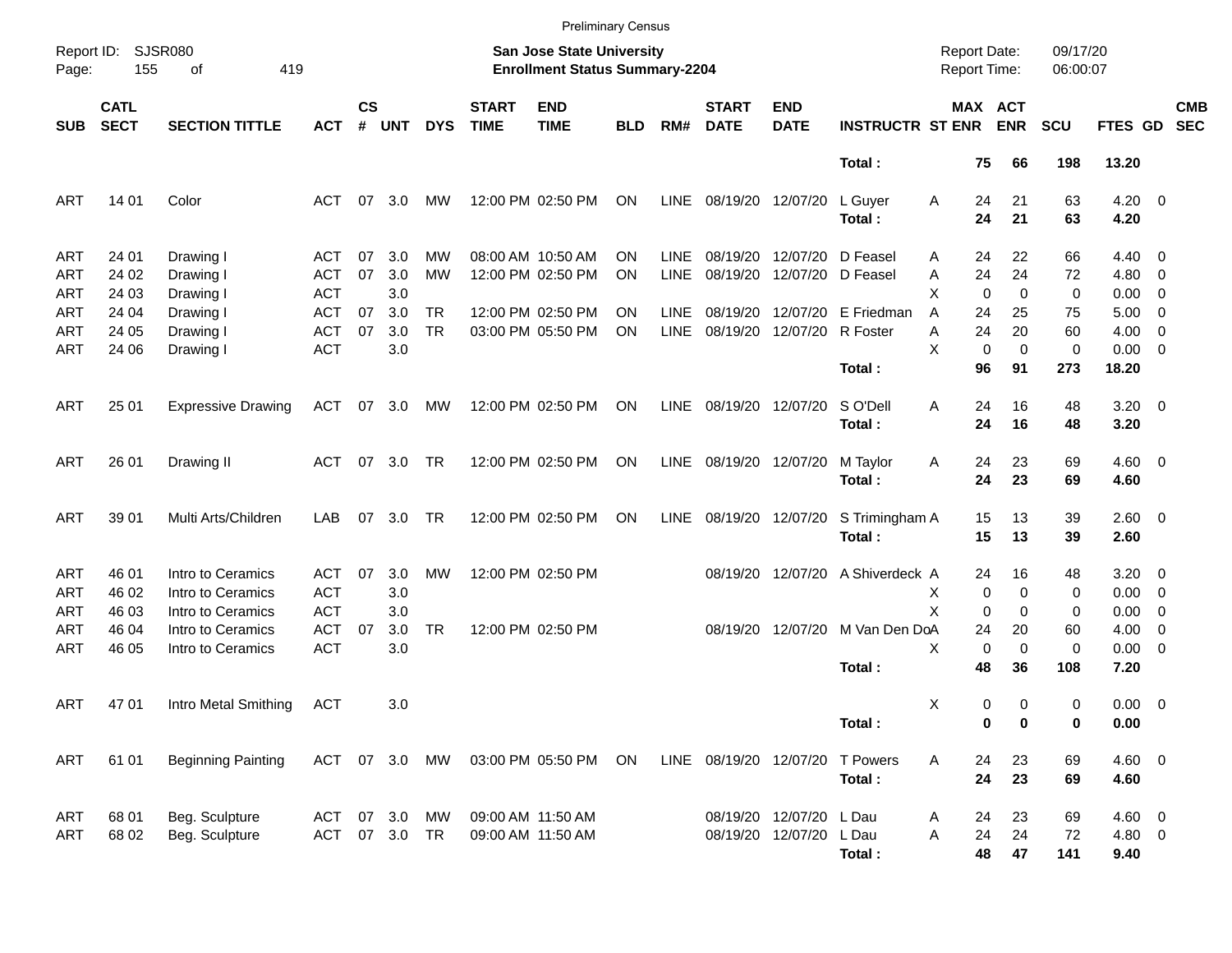| Report ID:<br>Page:                    | 155                        | SJSR080<br>419<br>οf                                        |                                        |                |                   |                        |                             |                                                                           |            |                            |                             |                                                 |                              |                                            |                           |                      |                                     |                                                                                |                          |
|----------------------------------------|----------------------------|-------------------------------------------------------------|----------------------------------------|----------------|-------------------|------------------------|-----------------------------|---------------------------------------------------------------------------|------------|----------------------------|-----------------------------|-------------------------------------------------|------------------------------|--------------------------------------------|---------------------------|----------------------|-------------------------------------|--------------------------------------------------------------------------------|--------------------------|
|                                        |                            |                                                             |                                        |                |                   |                        |                             | <b>San Jose State University</b><br><b>Enrollment Status Summary-2204</b> |            |                            |                             |                                                 |                              | <b>Report Date:</b><br><b>Report Time:</b> |                           | 09/17/20<br>06:00:07 |                                     |                                                                                |                          |
| <b>SUB</b>                             | <b>CATL</b><br><b>SECT</b> | <b>SECTION TITTLE</b>                                       | <b>ACT</b>                             | <b>CS</b><br># | <b>UNT</b>        | <b>DYS</b>             | <b>START</b><br><b>TIME</b> | <b>END</b><br><b>TIME</b>                                                 | <b>BLD</b> | RM#                        | <b>START</b><br><b>DATE</b> | <b>END</b><br><b>DATE</b>                       | <b>INSTRUCTR ST ENR</b>      | MAX ACT                                    | <b>ENR</b>                | <b>SCU</b>           | FTES GD                             |                                                                                | <b>CMB</b><br><b>SEC</b> |
|                                        |                            |                                                             |                                        |                |                   |                        |                             |                                                                           |            |                            |                             |                                                 | Total:                       | 75                                         | 66                        | 198                  | 13.20                               |                                                                                |                          |
| <b>ART</b>                             | 14 01                      | Color                                                       | ACT                                    |                | $07 \quad 3.0$    | MW                     |                             | 12:00 PM 02:50 PM                                                         | ON         | LINE                       | 08/19/20 12/07/20           |                                                 | L Guyer<br>Total:            | Α<br>24<br>24                              | 21<br>21                  | 63<br>63             | $4.20 \ 0$<br>4.20                  |                                                                                |                          |
| <b>ART</b><br><b>ART</b>               | 24 01<br>24 02             | Drawing I<br>Drawing I                                      | ACT<br><b>ACT</b>                      | 07<br>07       | 3.0<br>3.0        | MW<br>MW               |                             | 08:00 AM 10:50 AM<br>12:00 PM 02:50 PM                                    | ΟN<br>ON   | <b>LINE</b><br><b>LINE</b> |                             | 08/19/20 12/07/20<br>08/19/20 12/07/20 D Feasel | D Feasel                     | 24<br>Α<br>24<br>A                         | 22<br>24                  | 66<br>72             | $4.40 \quad 0$<br>$4.80\ 0$         |                                                                                |                          |
| <b>ART</b><br><b>ART</b><br><b>ART</b> | 24 03<br>24 04<br>24 05    | Drawing I<br>Drawing I<br>Drawing I                         | <b>ACT</b><br><b>ACT</b><br><b>ACT</b> | 07<br>07       | 3.0<br>3.0<br>3.0 | <b>TR</b><br><b>TR</b> |                             | 12:00 PM 02:50 PM<br>03:00 PM 05:50 PM                                    | ON<br>ON   | <b>LINE</b><br><b>LINE</b> |                             | 08/19/20 12/07/20 R Foster                      | 08/19/20 12/07/20 E Friedman | Х<br>$\mathbf 0$<br>A<br>24<br>24<br>A     | $\Omega$<br>25<br>20      | 0<br>75<br>60        | 0.00<br>5.00<br>4.00                | $\overline{\mathbf{0}}$<br>$\overline{\phantom{0}}$<br>$\overline{\mathbf{0}}$ |                          |
| ART                                    | 24 06                      | Drawing I                                                   | <b>ACT</b>                             |                | 3.0               |                        |                             |                                                                           |            |                            |                             |                                                 | Total:                       | X<br>$\mathbf 0$<br>96                     | $\mathbf 0$<br>91         | 0<br>273             | $0.00 \t 0$<br>18.20                |                                                                                |                          |
| ART                                    | 25 01                      | <b>Expressive Drawing</b>                                   | ACT                                    |                | 07 3.0            | MW                     |                             | 12:00 PM 02:50 PM                                                         | ON         | LINE                       | 08/19/20 12/07/20           |                                                 | S O'Dell<br>Total:           | 24<br>Α<br>24                              | 16<br>16                  | 48<br>48             | $3.20 \ 0$<br>3.20                  |                                                                                |                          |
| ART                                    | 26 01                      | Drawing II                                                  | ACT                                    |                | 07 3.0            | TR                     |                             | 12:00 PM 02:50 PM                                                         | ON         | LINE                       | 08/19/20 12/07/20           |                                                 | M Taylor<br>Total:           | Α<br>24<br>24                              | 23<br>23                  | 69<br>69             | $4.60$ 0<br>4.60                    |                                                                                |                          |
| <b>ART</b>                             | 39 01                      | Multi Arts/Children                                         | LAB                                    | 07             | 3.0               | TR                     |                             | 12:00 PM 02:50 PM                                                         | ON         | <b>LINE</b>                |                             | 08/19/20 12/07/20                               | S Trimingham A<br>Total:     | 15<br>15                                   | 13<br>13                  | 39<br>39             | $2.60 \t 0$<br>2.60                 |                                                                                |                          |
| <b>ART</b><br><b>ART</b>               | 46 01<br>46 02             | Intro to Ceramics<br>Intro to Ceramics                      | ACT<br><b>ACT</b>                      | 07             | 3.0<br>3.0        | MW                     |                             | 12:00 PM 02:50 PM                                                         |            |                            |                             | 08/19/20 12/07/20                               | A Shiverdeck A               | 24<br>0<br>х                               | 16<br>0                   | 48<br>0              | $3.20 \ 0$<br>$0.00 \t 0$           |                                                                                |                          |
| <b>ART</b><br><b>ART</b><br><b>ART</b> | 46 03<br>46 04<br>46 05    | Intro to Ceramics<br>Intro to Ceramics<br>Intro to Ceramics | <b>ACT</b><br><b>ACT</b><br><b>ACT</b> | 07             | 3.0<br>3.0<br>3.0 | TR                     |                             | 12:00 PM 02:50 PM                                                         |            |                            |                             | 08/19/20 12/07/20                               | M Van Den DoA<br>Total:      | X<br>$\Omega$<br>24<br>X<br>0<br>48        | $\Omega$<br>20<br>0<br>36 | 0<br>60<br>0<br>108  | 0.00<br>4.00<br>$0.00 \t 0$<br>7.20 | $\overline{\mathbf{0}}$<br>$\overline{\mathbf{0}}$                             |                          |
| ART                                    | 47 01                      | Intro Metal Smithing                                        | ACT                                    |                | 3.0               |                        |                             |                                                                           |            |                            |                             |                                                 | Total:                       | X<br>0<br>0                                | 0<br>0                    | 0<br>0               | $0.00 \t 0$<br>0.00                 |                                                                                |                          |
| ART                                    | 61 01                      | <b>Beginning Painting</b>                                   | ACT 07 3.0                             |                |                   | MW                     |                             | 03:00 PM 05:50 PM                                                         | ON         |                            |                             | LINE 08/19/20 12/07/20                          | <b>T</b> Powers<br>Total:    | 24<br>A<br>24                              | 23<br>23                  | 69<br>69             | $4.60$ 0<br>4.60                    |                                                                                |                          |
| ART<br>ART                             | 68 01<br>68 02             | Beg. Sculpture<br>Beg. Sculpture                            | ACT 07 3.0<br>ACT 07 3.0 TR            |                |                   | МW                     | 09:00 AM 11:50 AM           | 09:00 AM 11:50 AM                                                         |            |                            |                             | 08/19/20 12/07/20 L Dau<br>08/19/20 12/07/20    | L Dau<br>Total:              | 24<br>A<br>24<br>Α<br>48                   | 23<br>24<br>47            | 69<br>72<br>141      | $4.60$ 0<br>4.80 0<br>9.40          |                                                                                |                          |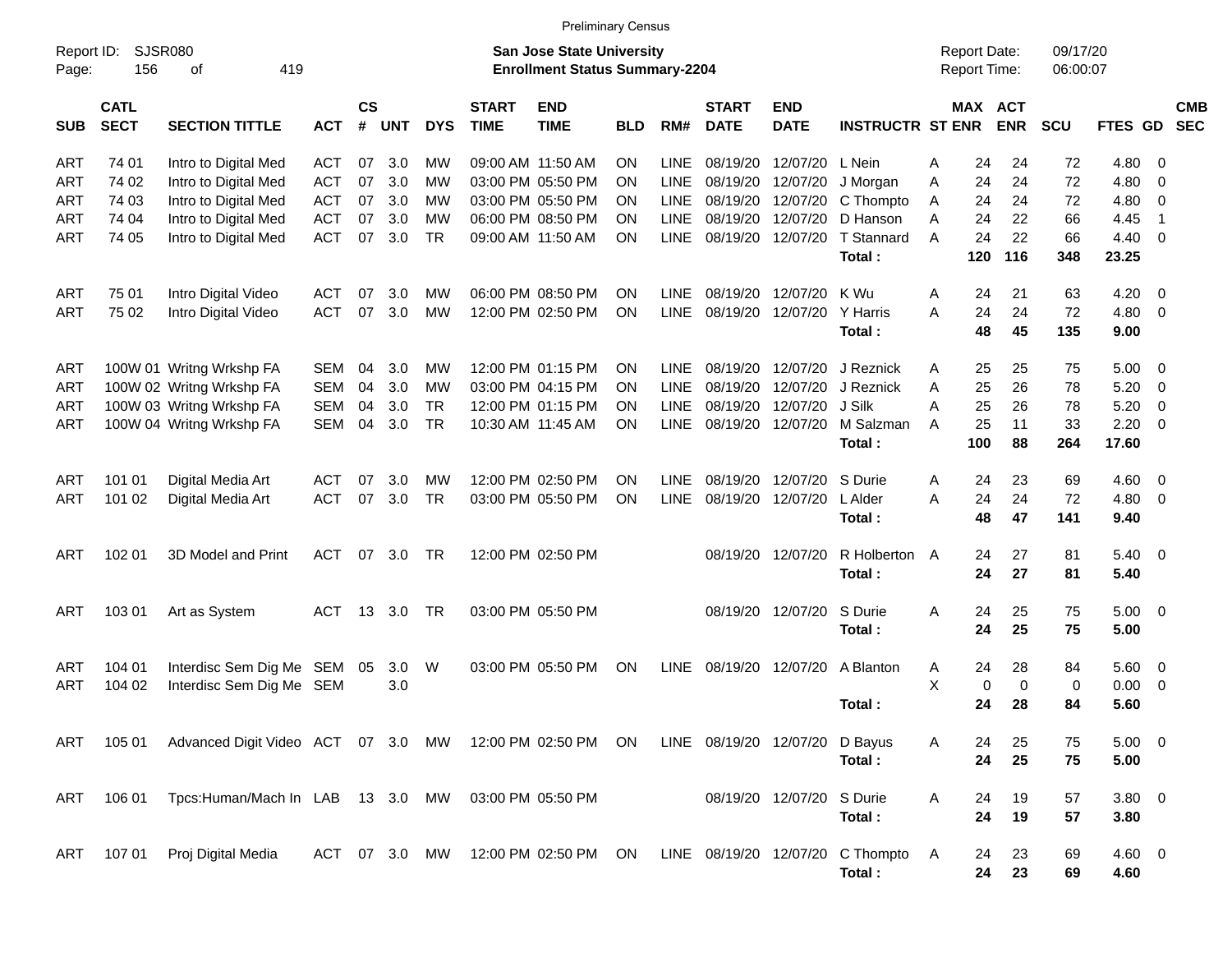|                     |                            |                                                                                        |            |                    |            |            |                             | <b>Preliminary Census</b>                                                 |            |             |                             |                           |                                                                     |                                     |     |                       |                      |             |                         |            |
|---------------------|----------------------------|----------------------------------------------------------------------------------------|------------|--------------------|------------|------------|-----------------------------|---------------------------------------------------------------------------|------------|-------------|-----------------------------|---------------------------|---------------------------------------------------------------------|-------------------------------------|-----|-----------------------|----------------------|-------------|-------------------------|------------|
| Report ID:<br>Page: | SJSR080<br>156             | 419<br>οf                                                                              |            |                    |            |            |                             | <b>San Jose State University</b><br><b>Enrollment Status Summary-2204</b> |            |             |                             |                           |                                                                     | <b>Report Date:</b><br>Report Time: |     |                       | 09/17/20<br>06:00:07 |             |                         |            |
| <b>SUB</b>          | <b>CATL</b><br><b>SECT</b> | <b>SECTION TITTLE</b>                                                                  | <b>ACT</b> | $\mathsf{cs}$<br># | <b>UNT</b> | <b>DYS</b> | <b>START</b><br><b>TIME</b> | <b>END</b><br><b>TIME</b>                                                 | <b>BLD</b> | RM#         | <b>START</b><br><b>DATE</b> | <b>END</b><br><b>DATE</b> | <b>INSTRUCTR ST ENR</b>                                             |                                     |     | MAX ACT<br><b>ENR</b> | <b>SCU</b>           | FTES GD SEC |                         | <b>CMB</b> |
| <b>ART</b>          | 74 01                      | Intro to Digital Med                                                                   | <b>ACT</b> | 07                 | 3.0        | МW         |                             | 09:00 AM 11:50 AM                                                         | ON         | <b>LINE</b> | 08/19/20                    | 12/07/20 L Nein           |                                                                     | A                                   | 24  | 24                    | 72                   | 4.80        | 0                       |            |
| <b>ART</b>          | 74 02                      | Intro to Digital Med                                                                   | <b>ACT</b> | 07                 | 3.0        | МW         |                             | 03:00 PM 05:50 PM                                                         | ON         | <b>LINE</b> | 08/19/20                    | 12/07/20                  | J Morgan                                                            | Α                                   | 24  | 24                    | 72                   | 4.80        | 0                       |            |
| <b>ART</b>          | 74 03                      | Intro to Digital Med                                                                   | <b>ACT</b> | 07                 | 3.0        | МW         |                             | 03:00 PM 05:50 PM                                                         | ON         | <b>LINE</b> | 08/19/20                    |                           | 12/07/20 C Thompto                                                  | A                                   | 24  | 24                    | 72                   | 4.80        | 0                       |            |
| <b>ART</b>          | 74 04                      | Intro to Digital Med                                                                   | <b>ACT</b> | 07                 | 3.0        | МW         |                             | 06:00 PM 08:50 PM                                                         | ON         | <b>LINE</b> | 08/19/20                    |                           | 12/07/20 D Hanson                                                   | A                                   | 24  | 22                    | 66                   | 4.45        | -1                      |            |
| <b>ART</b>          | 74 05                      | Intro to Digital Med                                                                   | <b>ACT</b> | 07                 | 3.0        | <b>TR</b>  |                             | 09:00 AM 11:50 AM                                                         | ΟN         | <b>LINE</b> | 08/19/20                    | 12/07/20                  | T Stannard                                                          | A                                   | 24  | 22                    | 66                   | 4.40        | $\overline{0}$          |            |
|                     |                            |                                                                                        |            |                    |            |            |                             |                                                                           |            |             |                             |                           | Total:                                                              |                                     | 120 | 116                   | 348                  | 23.25       |                         |            |
| <b>ART</b>          | 75 01                      | Intro Digital Video                                                                    | <b>ACT</b> | 07                 | 3.0        | МW         |                             | 06:00 PM 08:50 PM                                                         | ON         | <b>LINE</b> | 08/19/20                    | 12/07/20                  | K Wu                                                                | A                                   | 24  | 21                    | 63                   | 4.20        | - 0                     |            |
| <b>ART</b>          | 75 02                      | Intro Digital Video                                                                    | <b>ACT</b> | 07                 | 3.0        | <b>MW</b>  |                             | 12:00 PM 02:50 PM                                                         | ON         | <b>LINE</b> | 08/19/20                    | 12/07/20                  | Y Harris                                                            | A                                   | 24  | 24                    | 72                   | 4.80        | $\overline{0}$          |            |
|                     |                            |                                                                                        |            |                    |            |            |                             |                                                                           |            |             |                             |                           | Total:                                                              |                                     | 48  | 45                    | 135                  | 9.00        |                         |            |
| <b>ART</b>          |                            | 100W 01 Writng Wrkshp FA                                                               | SEM        | 04                 | 3.0        | МW         |                             | 12:00 PM 01:15 PM                                                         | ON         | <b>LINE</b> | 08/19/20                    | 12/07/20                  | J Reznick                                                           | Α                                   | 25  | 25                    | 75                   | 5.00        | - 0                     |            |
| ART                 |                            | 100W 02 Writng Wrkshp FA                                                               | SEM        | 04                 | 3.0        | МW         |                             | 03:00 PM 04:15 PM                                                         | ON         | <b>LINE</b> | 08/19/20                    | 12/07/20                  | J Reznick                                                           | Α                                   | 25  | 26                    | 78                   | 5.20        | 0                       |            |
| <b>ART</b>          |                            | 100W 03 Writng Wrkshp FA                                                               | SEM        | 04                 | 3.0        | <b>TR</b>  |                             | 12:00 PM 01:15 PM                                                         | ON         | <b>LINE</b> | 08/19/20                    | 12/07/20                  | J Silk                                                              | А                                   | 25  | 26                    | 78                   | 5.20        | 0                       |            |
| <b>ART</b>          |                            | 100W 04 Writng Wrkshp FA                                                               | SEM        | 04                 | 3.0        | <b>TR</b>  |                             | 10:30 AM 11:45 AM                                                         | ΟN         | <b>LINE</b> | 08/19/20                    | 12/07/20                  | M Salzman                                                           | A                                   | 25  | 11                    | 33                   | 2.20        | $\mathbf 0$             |            |
|                     |                            |                                                                                        |            |                    |            |            |                             |                                                                           |            |             |                             |                           | Total:                                                              |                                     | 100 | 88                    | 264                  | 17.60       |                         |            |
| <b>ART</b>          | 101 01                     | Digital Media Art                                                                      | <b>ACT</b> | 07                 | 3.0        | МW         |                             | 12:00 PM 02:50 PM                                                         | ON         | <b>LINE</b> | 08/19/20                    | 12/07/20                  | S Durie                                                             | A                                   | 24  | 23                    | 69                   | 4.60        | $\overline{0}$          |            |
| <b>ART</b>          | 101 02                     | Digital Media Art                                                                      | <b>ACT</b> | 07                 | 3.0        | <b>TR</b>  |                             | 03:00 PM 05:50 PM                                                         | ON         | <b>LINE</b> | 08/19/20                    | 12/07/20                  | L Alder                                                             | A                                   | 24  | 24                    | 72                   | 4.80        | $\overline{0}$          |            |
|                     |                            |                                                                                        |            |                    |            |            |                             |                                                                           |            |             |                             |                           | Total:                                                              |                                     | 48  | 47                    | 141                  | 9.40        |                         |            |
| <b>ART</b>          | 102 01                     | 3D Model and Print                                                                     | ACT        | 07                 | 3.0        | TR         |                             | 12:00 PM 02:50 PM                                                         |            |             | 08/19/20                    | 12/07/20                  | R Holberton                                                         | A                                   | 24  | 27                    | 81                   | $5.40 \ 0$  |                         |            |
|                     |                            |                                                                                        |            |                    |            |            |                             |                                                                           |            |             |                             |                           | Total:                                                              |                                     | 24  | 27                    | 81                   | 5.40        |                         |            |
| ART                 | 103 01                     | Art as System                                                                          | ACT        | 13                 | 3.0        | TR         |                             | 03:00 PM 05:50 PM                                                         |            |             | 08/19/20                    | 12/07/20                  | S Durie                                                             | A                                   | 24  | 25                    | 75                   | $5.00 \t 0$ |                         |            |
|                     |                            |                                                                                        |            |                    |            |            |                             |                                                                           |            |             |                             |                           | Total:                                                              |                                     | 24  | 25                    | 75                   | 5.00        |                         |            |
| <b>ART</b>          | 104 01                     | Interdisc Sem Dig Me SEM 05                                                            |            |                    | 3.0        | W          |                             | 03:00 PM 05:50 PM                                                         | ON         | <b>LINE</b> | 08/19/20                    | 12/07/20                  | A Blanton                                                           | A                                   | 24  | 28                    | 84                   | 5.60        | $\overline{\mathbf{0}}$ |            |
| <b>ART</b>          | 104 02                     | Interdisc Sem Dig Me SEM                                                               |            |                    | 3.0        |            |                             |                                                                           |            |             |                             |                           |                                                                     | X                                   | 0   | $\mathbf 0$           | 0                    | 0.00        | 0                       |            |
|                     |                            |                                                                                        |            |                    |            |            |                             |                                                                           |            |             |                             |                           | Total:                                                              |                                     | 24  | 28                    | 84                   | 5.60        |                         |            |
| ART                 | 105 01                     | Advanced Digit Video ACT 07 3.0 MW 12:00 PM 02:50 PM ON LINE 08/19/20 12/07/20 D Bayus |            |                    |            |            |                             |                                                                           |            |             |                             |                           |                                                                     | A                                   | 24  | 25                    | 75                   | $5.00 \t 0$ |                         |            |
|                     |                            |                                                                                        |            |                    |            |            |                             |                                                                           |            |             |                             |                           | Total:                                                              |                                     | 24  | 25                    | 75                   | 5.00        |                         |            |
| ART                 | 106 01                     | Tpcs:Human/Mach In LAB 13 3.0 MW 03:00 PM 05:50 PM                                     |            |                    |            |            |                             |                                                                           |            |             |                             | 08/19/20 12/07/20 S Durie |                                                                     | A                                   | 24  | 19                    | 57                   | $3.80\ 0$   |                         |            |
|                     |                            |                                                                                        |            |                    |            |            |                             |                                                                           |            |             |                             |                           | Total:                                                              |                                     | 24  | 19                    | 57                   | 3.80        |                         |            |
|                     |                            |                                                                                        |            |                    |            |            |                             |                                                                           |            |             |                             |                           |                                                                     |                                     |     |                       |                      |             |                         |            |
| ART                 | 107 01                     | Proj Digital Media                                                                     |            |                    |            |            |                             |                                                                           |            |             |                             |                           | ACT 07 3.0 MW 12:00 PM 02:50 PM ON LINE 08/19/20 12/07/20 C Thompto | A                                   | 24  | 23                    | 69                   | 4.60 0      |                         |            |
|                     |                            |                                                                                        |            |                    |            |            |                             |                                                                           |            |             |                             |                           | Total:                                                              |                                     | 24  | 23                    | 69                   | 4.60        |                         |            |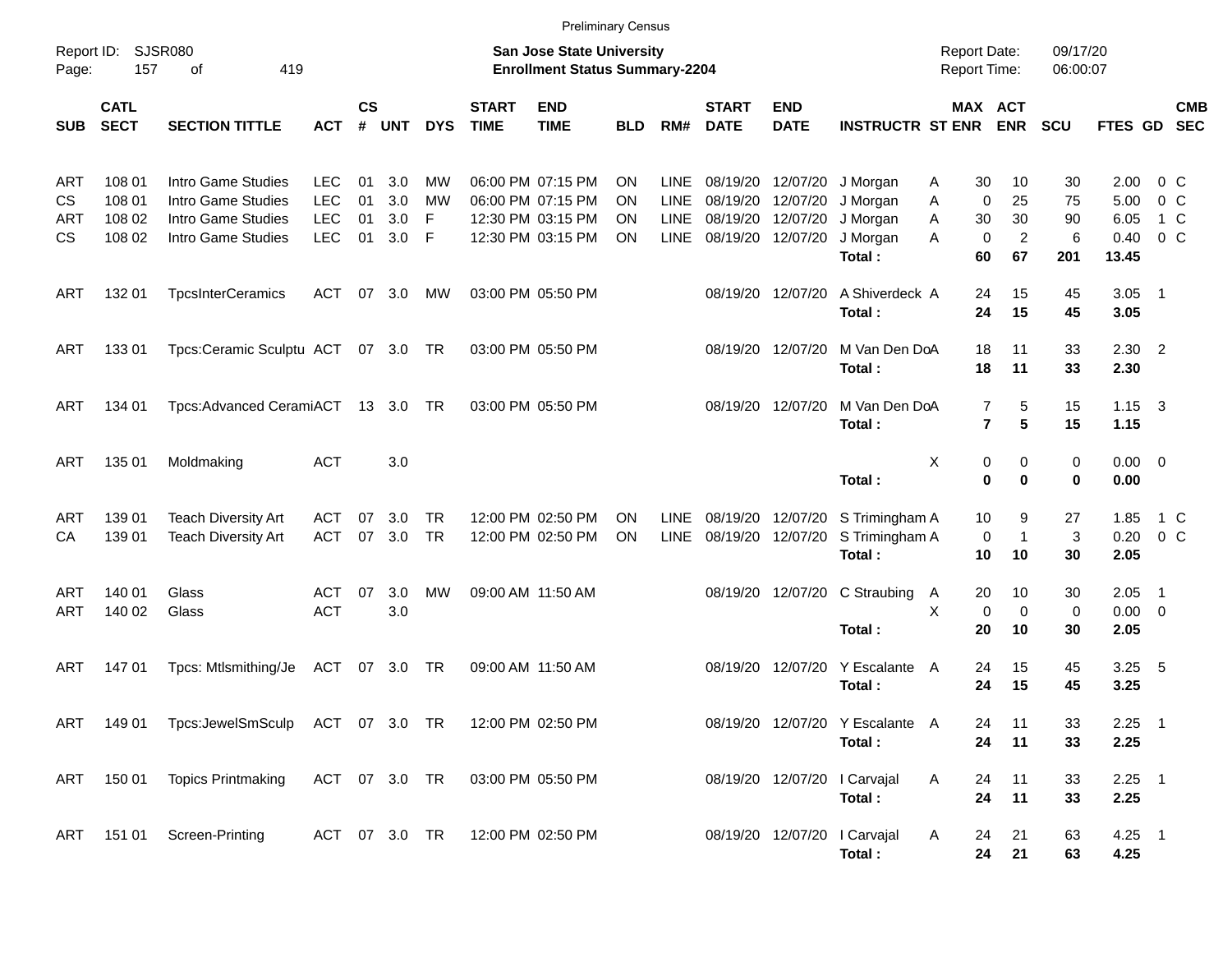|                                      |                                      |                                                                                      |                                                      |                      |                          |                        |                             | <b>Preliminary Census</b>                                                        |                             |                                                   |                                  |                                                       |                                                        |                                                                  |                                        |                            |                                       |                                        |                          |
|--------------------------------------|--------------------------------------|--------------------------------------------------------------------------------------|------------------------------------------------------|----------------------|--------------------------|------------------------|-----------------------------|----------------------------------------------------------------------------------|-----------------------------|---------------------------------------------------|----------------------------------|-------------------------------------------------------|--------------------------------------------------------|------------------------------------------------------------------|----------------------------------------|----------------------------|---------------------------------------|----------------------------------------|--------------------------|
| Report ID:<br>Page:                  | <b>SJSR080</b><br>157                | 419<br>οf                                                                            |                                                      |                      |                          |                        |                             | <b>San Jose State University</b><br><b>Enrollment Status Summary-2204</b>        |                             |                                                   |                                  |                                                       |                                                        | <b>Report Date:</b><br><b>Report Time:</b>                       |                                        | 09/17/20<br>06:00:07       |                                       |                                        |                          |
| <b>SUB</b>                           | <b>CATL</b><br><b>SECT</b>           | <b>SECTION TITTLE</b>                                                                | <b>ACT</b>                                           | <b>CS</b><br>$\#$    | <b>UNT</b>               | <b>DYS</b>             | <b>START</b><br><b>TIME</b> | <b>END</b><br><b>TIME</b>                                                        | <b>BLD</b>                  | RM#                                               | <b>START</b><br><b>DATE</b>      | <b>END</b><br><b>DATE</b>                             | <b>INSTRUCTR ST ENR</b>                                |                                                                  | MAX ACT<br><b>ENR</b>                  | SCU                        | <b>FTES GD</b>                        |                                        | <b>CMB</b><br><b>SEC</b> |
| ART<br><b>CS</b><br>ART<br><b>CS</b> | 108 01<br>108 01<br>108 02<br>108 02 | Intro Game Studies<br>Intro Game Studies<br>Intro Game Studies<br>Intro Game Studies | <b>LEC</b><br><b>LEC</b><br><b>LEC</b><br><b>LEC</b> | 01<br>01<br>01<br>01 | 3.0<br>3.0<br>3.0<br>3.0 | МW<br>MW<br>F<br>F     |                             | 06:00 PM 07:15 PM<br>06:00 PM 07:15 PM<br>12:30 PM 03:15 PM<br>12:30 PM 03:15 PM | ΟN<br>ΟN<br>ΟN<br><b>ON</b> | <b>LINE</b><br>LINE<br><b>LINE</b><br><b>LINE</b> | 08/19/20<br>08/19/20<br>08/19/20 | 08/19/20 12/07/20<br>12/07/20<br>12/07/20<br>12/07/20 | J Morgan<br>J Morgan<br>J Morgan<br>J Morgan<br>Total: | 30<br>A<br>Α<br>$\mathbf 0$<br>A<br>30<br>A<br>$\mathbf 0$<br>60 | 10<br>25<br>30<br>$\overline{c}$<br>67 | 30<br>75<br>90<br>6<br>201 | 2.00<br>5.00<br>6.05<br>0.40<br>13.45 | 0 C<br>0 <sup>o</sup><br>1 C<br>$0\,C$ |                          |
| ART                                  | 132 01                               | <b>TpcsInterCeramics</b>                                                             | <b>ACT</b>                                           | 07                   | 3.0                      | МW                     |                             | 03:00 PM 05:50 PM                                                                |                             |                                                   |                                  | 08/19/20 12/07/20                                     | A Shiverdeck A<br>Total:                               | 24<br>24                                                         | 15<br>15                               | 45<br>45                   | 3.05<br>3.05                          | $\overline{\phantom{1}}$               |                          |
| ART                                  | 13301                                | Tpcs:Ceramic Sculptu ACT 07 3.0 TR                                                   |                                                      |                      |                          |                        |                             | 03:00 PM 05:50 PM                                                                |                             |                                                   |                                  | 08/19/20 12/07/20                                     | M Van Den DoA<br>Total:                                | 18<br>18                                                         | 11<br>11                               | 33<br>33                   | 2.30<br>2.30                          | $\overline{2}$                         |                          |
| ART                                  | 134 01                               | Tpcs:Advanced CeramiACT 13 3.0 TR                                                    |                                                      |                      |                          |                        |                             | 03:00 PM 05:50 PM                                                                |                             |                                                   |                                  | 08/19/20 12/07/20                                     | M Van Den DoA<br>Total:                                | $\overline{7}$<br>$\overline{7}$                                 | 5<br>$5\phantom{.0}$                   | 15<br>15                   | 1.15<br>1.15                          | $\overline{\mathbf{3}}$                |                          |
| ART                                  | 135 01                               | Moldmaking                                                                           | <b>ACT</b>                                           |                      | 3.0                      |                        |                             |                                                                                  |                             |                                                   |                                  |                                                       | Total:                                                 | X<br>0<br>0                                                      | 0<br>0                                 | $\mathbf 0$<br>$\bf{0}$    | $0.00 \quad 0$<br>0.00                |                                        |                          |
| ART<br>CА                            | 139 01<br>139 01                     | <b>Teach Diversity Art</b><br><b>Teach Diversity Art</b>                             | ACT<br><b>ACT</b>                                    | 07<br>07             | 3.0<br>3.0               | <b>TR</b><br><b>TR</b> |                             | 12:00 PM 02:50 PM<br>12:00 PM 02:50 PM                                           | <b>ON</b><br><b>ON</b>      | <b>LINE</b><br><b>LINE</b>                        | 08/19/20                         | 08/19/20 12/07/20<br>12/07/20                         | S Trimingham A<br>S Trimingham A<br>Total:             | 10<br>0<br>10                                                    | 9<br>$\mathbf{1}$<br>10                | 27<br>3<br>30              | 1.85<br>0.20<br>2.05                  | $0\,C$                                 | 1 C                      |
| ART<br>ART                           | 140 01<br>140 02                     | Glass<br>Glass                                                                       | <b>ACT</b><br><b>ACT</b>                             | 07                   | 3.0<br>3.0               | MW                     |                             | 09:00 AM 11:50 AM                                                                |                             |                                                   |                                  | 08/19/20 12/07/20                                     | C Straubing<br>Total:                                  | 20<br>$\mathsf{A}$<br>X<br>0<br>20                               | 10<br>0<br>10                          | 30<br>$\overline{0}$<br>30 | 2.05<br>$0.00 \t 0$<br>2.05           | $\overline{\phantom{1}}$               |                          |
| ART                                  | 14701                                | Tpcs: Mtlsmithing/Je                                                                 | ACT                                                  | 07                   | 3.0                      | TR                     |                             | 09:00 AM 11:50 AM                                                                |                             |                                                   |                                  | 08/19/20 12/07/20                                     | Y Escalante<br>Total:                                  | 24<br>A<br>24                                                    | 15<br>15                               | 45<br>45                   | 3.25<br>3.25                          | $-5$                                   |                          |
| ART                                  |                                      | 149 01 Tpcs:JewelSmSculp ACT 07 3.0 TR                                               |                                                      |                      |                          |                        | 12:00 PM 02:50 PM           |                                                                                  |                             |                                                   |                                  |                                                       | 08/19/20 12/07/20 Y Escalante A<br>Total:              | 24<br>24                                                         | 11<br>11                               | 33<br>33                   | $2.25$ 1<br>2.25                      |                                        |                          |
| ART                                  |                                      | 150 01 Topics Printmaking                                                            | ACT 07 3.0 TR                                        |                      |                          |                        |                             | 03:00 PM 05:50 PM                                                                |                             |                                                   |                                  |                                                       | 08/19/20 12/07/20   Carvajal<br>Total:                 | A<br>24<br>24                                                    | 11<br>11                               | 33<br>33                   | $2.25$ 1<br>2.25                      |                                        |                          |
| ART                                  |                                      | 151 01 Screen-Printing                                                               | ACT 07 3.0 TR                                        |                      |                          |                        |                             | 12:00 PM 02:50 PM                                                                |                             |                                                   |                                  |                                                       | 08/19/20 12/07/20 I Carvajal<br>Total:                 | A<br>24<br>24                                                    | 21<br>21                               | 63<br>63                   | $4.25$ 1<br>4.25                      |                                        |                          |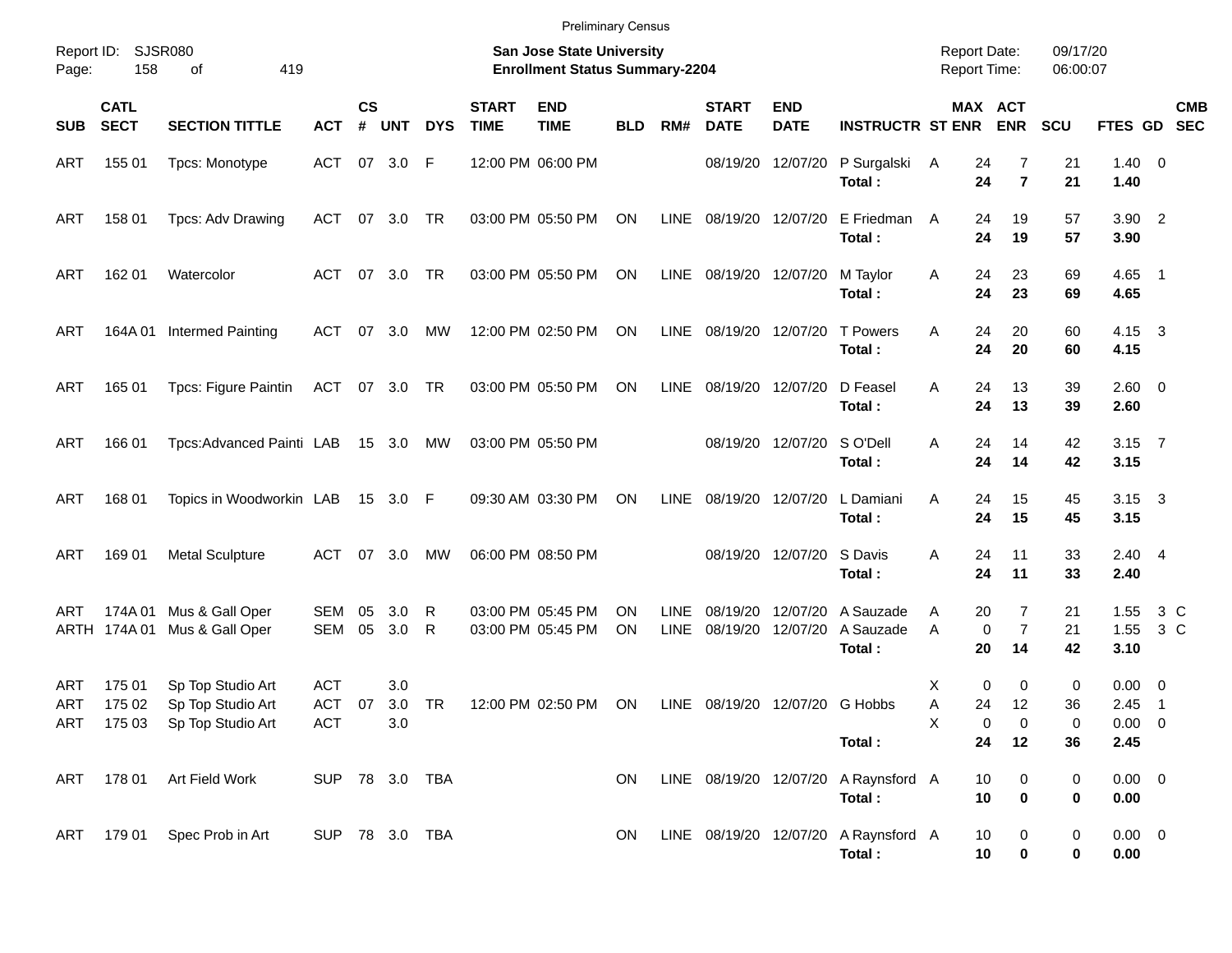|                     |                            |                                                                                                                                                                     |                                 |          |                   |            |             | <b>Preliminary Census</b>              |            |                            |                                |                           |                                                          |                    |                                             |                      |                                    |                          |
|---------------------|----------------------------|---------------------------------------------------------------------------------------------------------------------------------------------------------------------|---------------------------------|----------|-------------------|------------|-------------|----------------------------------------|------------|----------------------------|--------------------------------|---------------------------|----------------------------------------------------------|--------------------|---------------------------------------------|----------------------|------------------------------------|--------------------------|
| Report ID:<br>Page: | 158                        | SJSR080<br>San Jose State University<br>419<br><b>Enrollment Status Summary-2204</b><br>οf<br><b>CS</b><br><b>START</b><br><b>END</b><br><b>START</b><br><b>END</b> |                                 |          |                   |            |             |                                        |            |                            |                                |                           |                                                          |                    |                                             | 09/17/20<br>06:00:07 |                                    |                          |
| <b>SUB</b>          | <b>CATL</b><br><b>SECT</b> | <b>SECTION TITTLE</b>                                                                                                                                               | <b>ACT</b>                      | #        | <b>UNT</b>        | <b>DYS</b> | <b>TIME</b> | <b>TIME</b>                            | <b>BLD</b> | RM#                        | <b>DATE</b>                    | <b>DATE</b>               | <b>INSTRUCTR ST ENR</b>                                  |                    | MAX ACT<br><b>ENR</b>                       | <b>SCU</b>           | FTES GD SEC                        | <b>CMB</b>               |
| ART                 | 155 01                     | Tpcs: Monotype                                                                                                                                                      | ACT 07 3.0 F                    |          |                   |            |             | 12:00 PM 06:00 PM                      |            |                            | 08/19/20                       | 12/07/20                  | P Surgalski<br>Total:                                    | A<br>24<br>24      | 7<br>$\overline{7}$                         | 21<br>21             | $1.40 \ 0$<br>1.40                 |                          |
| ART                 | 158 01                     | Tpcs: Adv Drawing                                                                                                                                                   | ACT                             |          | 07 3.0            | TR         |             | 03:00 PM 05:50 PM                      | ON         | LINE                       | 08/19/20 12/07/20              |                           | E Friedman<br>Total:                                     | 24<br>A<br>24      | 19<br>19                                    | 57<br>57             | $3.90$ 2<br>3.90                   |                          |
| <b>ART</b>          | 162 01                     | Watercolor                                                                                                                                                          | ACT                             |          | 07 3.0            | TR         |             | 03:00 PM 05:50 PM                      | ON         |                            | LINE 08/19/20 12/07/20         |                           | M Taylor<br>Total:                                       | Α<br>24<br>24      | 23<br>23                                    | 69<br>69             | $4.65$ 1<br>4.65                   |                          |
| <b>ART</b>          | 164A 01                    | <b>Intermed Painting</b>                                                                                                                                            | ACT                             |          | 07 3.0            | MW         |             | 12:00 PM 02:50 PM                      | ON         |                            | LINE 08/19/20 12/07/20         |                           | <b>T</b> Powers<br>Total:                                | 24<br>A<br>24      | 20<br>20                                    | 60<br>60             | $4.15 \quad 3$<br>4.15             |                          |
| <b>ART</b>          | 165 01                     | <b>Tpcs: Figure Paintin</b>                                                                                                                                         | ACT 07 3.0 TR                   |          |                   |            |             | 03:00 PM 05:50 PM                      | ON         | LINE                       | 08/19/20 12/07/20              |                           | D Feasel<br>Total:                                       | A<br>24<br>24      | 13<br>13                                    | 39<br>39             | $2.60 \t 0$<br>2.60                |                          |
| <b>ART</b>          | 166 01                     | Tpcs:Advanced Painti LAB                                                                                                                                            |                                 |          | 15 3.0 MW         |            |             | 03:00 PM 05:50 PM                      |            |                            |                                | 08/19/20 12/07/20 SO'Dell | Total:                                                   | A<br>24<br>24      | 14<br>14                                    | 42<br>42             | $3.15$ 7<br>3.15                   |                          |
| <b>ART</b>          | 168 01                     | Topics in Woodworkin LAB                                                                                                                                            |                                 |          | 15 3.0 F          |            |             | 09:30 AM 03:30 PM                      | ON         | LINE                       |                                | 08/19/20 12/07/20         | L Damiani<br>Total:                                      | A<br>24<br>24      | 15<br>15                                    | 45<br>45             | $3.15 \quad 3$<br>3.15             |                          |
| <b>ART</b>          | 169 01                     | <b>Metal Sculpture</b>                                                                                                                                              | ACT                             |          | 07 3.0            | MW         |             | 06:00 PM 08:50 PM                      |            |                            |                                | 08/19/20 12/07/20 S Davis | Total:                                                   | 24<br>A<br>24      | 11<br>11                                    | 33<br>33             | $2.40 \quad 4$<br>2.40             |                          |
| ART                 | 174A 01<br>ARTH 174A 01    | Mus & Gall Oper<br>Mus & Gall Oper                                                                                                                                  | SEM<br>SEM                      | 05<br>05 | 3.0<br>3.0        | R<br>R     |             | 03:00 PM 05:45 PM<br>03:00 PM 05:45 PM | ΟN<br>ON   | <b>LINE</b><br><b>LINE</b> | 08/19/20                       | 08/19/20 12/07/20         | 12/07/20 A Sauzade<br>A Sauzade<br>Total:                | 20<br>A<br>A<br>20 | $\overline{7}$<br>$\overline{7}$<br>0<br>14 | 21<br>21<br>42       | 1.55<br>1.55<br>3.10               | 3 C<br>$3\,C$            |
| ART<br><b>ART</b>   | 175 01<br>175 02           | Sp Top Studio Art<br>Sp Top Studio Art<br>ART 175 03 Sp Top Studio Art                                                                                              | <b>ACT</b><br>ACT<br><b>ACT</b> | 07       | 3.0<br>3.0<br>3.0 | TR         |             | 12:00 PM 02:50 PM                      | ON         |                            | LINE 08/19/20 12/07/20 G Hobbs |                           |                                                          | Х<br>A<br>24<br>х  | 0<br>0<br>12<br>0<br>0                      | 0<br>36<br>0         | $0.00 \t 0$<br>2.45<br>$0.00 \t 0$ | $\overline{\phantom{0}}$ |
|                     | ART 178 01                 | Art Field Work                                                                                                                                                      | SUP 78 3.0 TBA                  |          |                   |            |             |                                        | ON         |                            |                                |                           | Total:<br>LINE 08/19/20 12/07/20 A Raynsford A<br>Total: | 24<br>10<br>10     | 12<br>0<br>$\bf{0}$                         | 36<br>0<br>0         | 2.45<br>$0.00 \t 0$<br>0.00        |                          |
|                     |                            | ART 179 01 Spec Prob in Art                                                                                                                                         | SUP 78 3.0 TBA                  |          |                   |            |             |                                        | ON.        |                            |                                |                           | LINE 08/19/20 12/07/20 A Raynsford A<br>Total:           | 10<br>10           | 0<br>0                                      | 0<br>0               | $0.00 \t 0$<br>0.00                |                          |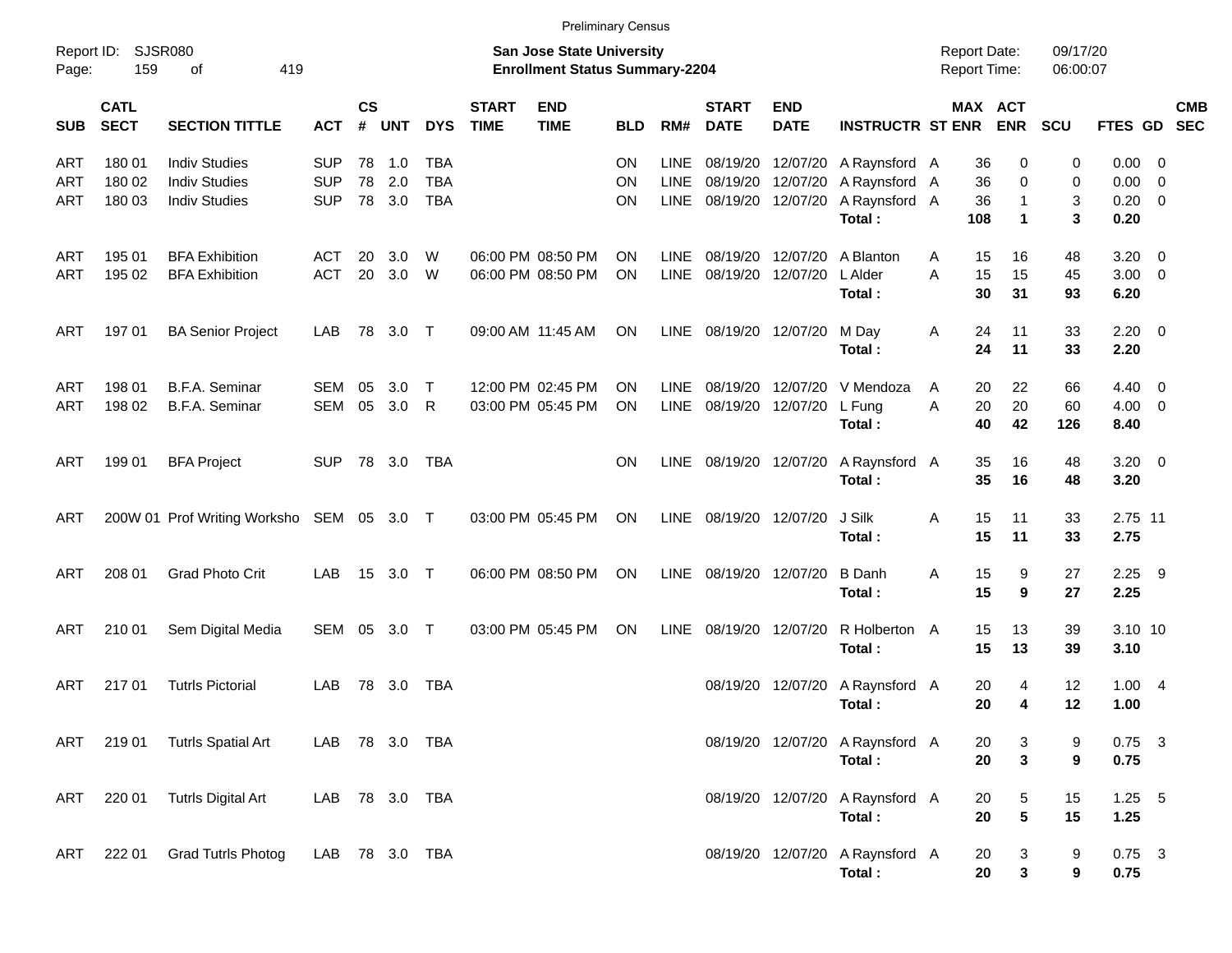|                     |                            |                                           |                |                |            |            |                             | <b>Preliminary Census</b>                                                 |            |             |                             |                           |                                 |                                            |                       |                      |                  |            |
|---------------------|----------------------------|-------------------------------------------|----------------|----------------|------------|------------|-----------------------------|---------------------------------------------------------------------------|------------|-------------|-----------------------------|---------------------------|---------------------------------|--------------------------------------------|-----------------------|----------------------|------------------|------------|
| Report ID:<br>Page: | 159                        | <b>SJSR080</b><br>419<br>οf               |                |                |            |            |                             | <b>San Jose State University</b><br><b>Enrollment Status Summary-2204</b> |            |             |                             |                           |                                 | <b>Report Date:</b><br><b>Report Time:</b> |                       | 09/17/20<br>06:00:07 |                  |            |
| <b>SUB</b>          | <b>CATL</b><br><b>SECT</b> | <b>SECTION TITTLE</b>                     | <b>ACT</b>     | <b>CS</b><br># | <b>UNT</b> | <b>DYS</b> | <b>START</b><br><b>TIME</b> | <b>END</b><br><b>TIME</b>                                                 | <b>BLD</b> | RM#         | <b>START</b><br><b>DATE</b> | <b>END</b><br><b>DATE</b> | <b>INSTRUCTR ST ENR</b>         |                                            | MAX ACT<br><b>ENR</b> | <b>SCU</b>           | FTES GD SEC      | <b>CMB</b> |
| ART                 | 180 01                     | <b>Indiv Studies</b>                      | <b>SUP</b>     | 78             | $-1.0$     | <b>TBA</b> |                             |                                                                           | ΟN         | <b>LINE</b> | 08/19/20                    |                           | 12/07/20 A Raynsford A          | 36                                         | 0                     | 0                    | $0.00 \t 0$      |            |
| ART                 | 180 02                     | <b>Indiv Studies</b>                      | <b>SUP</b>     | 78             | 2.0        | <b>TBA</b> |                             |                                                                           | ON         | LINE        | 08/19/20                    |                           | 12/07/20 A Raynsford A          | 36                                         | 0                     | 0                    | $0.00 \t 0$      |            |
| ART                 | 180 03                     | <b>Indiv Studies</b>                      | <b>SUP</b>     |                | 78 3.0     | <b>TBA</b> |                             |                                                                           | ΟN         | <b>LINE</b> |                             | 08/19/20 12/07/20         | A Raynsford A                   | 36                                         | 1                     | 3                    | $0.20 \ 0$       |            |
|                     |                            |                                           |                |                |            |            |                             |                                                                           |            |             |                             |                           | Total:                          | 108                                        | $\mathbf 1$           | 3                    | 0.20             |            |
| ART                 | 195 01                     | <b>BFA Exhibition</b>                     | ACT            | 20             | 3.0        | W          |                             | 06:00 PM 08:50 PM                                                         | ON         | <b>LINE</b> | 08/19/20                    | 12/07/20                  | A Blanton                       | 15<br>A                                    | 16                    | 48                   | $3.20 \ 0$       |            |
| <b>ART</b>          | 195 02                     | <b>BFA Exhibition</b>                     | <b>ACT</b>     | 20             | 3.0        | W          |                             | 06:00 PM 08:50 PM                                                         | ON         | <b>LINE</b> | 08/19/20                    | 12/07/20                  | L Alder                         | 15<br>A                                    | 15                    | 45                   | $3.00 \ 0$       |            |
|                     |                            |                                           |                |                |            |            |                             |                                                                           |            |             |                             |                           | Total:                          | 30                                         | 31                    | 93                   | 6.20             |            |
| ART                 | 197 01                     | <b>BA Senior Project</b>                  | LAB            | 78             | 3.0 T      |            |                             | 09:00 AM 11:45 AM                                                         | <b>ON</b>  | LINE        | 08/19/20 12/07/20           |                           | M Day                           | Α<br>24                                    | 11                    | 33                   | $2.20 \t 0$      |            |
|                     |                            |                                           |                |                |            |            |                             |                                                                           |            |             |                             |                           | Total:                          | 24                                         | 11                    | 33                   | 2.20             |            |
| ART                 | 198 01                     | <b>B.F.A. Seminar</b>                     | SEM            | 05             | 3.0        | $\top$     |                             | 12:00 PM 02:45 PM                                                         | ON         | <b>LINE</b> | 08/19/20                    |                           | 12/07/20 V Mendoza              | 20<br>A                                    | 22                    | 66                   | $4.40 \quad 0$   |            |
| <b>ART</b>          | 198 02                     | B.F.A. Seminar                            | SEM            | 05             | 3.0        | R          |                             | 03:00 PM 05:45 PM                                                         | ON         | <b>LINE</b> | 08/19/20                    | 12/07/20                  | L Fung                          | 20<br>A                                    | 20                    | 60                   | $4.00 \ 0$       |            |
|                     |                            |                                           |                |                |            |            |                             |                                                                           |            |             |                             |                           | Total:                          | 40                                         | 42                    | 126                  | 8.40             |            |
| <b>ART</b>          | 199 01                     | <b>BFA Project</b>                        | <b>SUP</b>     |                | 78 3.0     | TBA        |                             |                                                                           | <b>ON</b>  | LINE        |                             | 08/19/20 12/07/20         | A Raynsford A                   | 35                                         | 16                    | 48                   | $3.20 \ 0$       |            |
|                     |                            |                                           |                |                |            |            |                             |                                                                           |            |             |                             |                           | Total:                          | 35                                         | 16                    | 48                   | 3.20             |            |
| ART                 |                            | 200W 01 Prof Writing Worksho SEM 05 3.0 T |                |                |            |            |                             | 03:00 PM 05:45 PM                                                         | ON         | LINE        | 08/19/20 12/07/20           |                           | J Silk                          | 15<br>Α                                    | 11                    | 33                   | 2.75 11          |            |
|                     |                            |                                           |                |                |            |            |                             |                                                                           |            |             |                             |                           | Total:                          | 15                                         | 11                    | 33                   | 2.75             |            |
| <b>ART</b>          | 208 01                     | <b>Grad Photo Crit</b>                    | LAB            |                | 15 3.0 T   |            |                             | 06:00 PM 08:50 PM                                                         | ON         | LINE        | 08/19/20 12/07/20           |                           | <b>B</b> Danh                   | 15                                         | 9                     | 27                   | $2.25$ 9         |            |
|                     |                            |                                           |                |                |            |            |                             |                                                                           |            |             |                             |                           | Total:                          | Α<br>15                                    | 9                     | 27                   | 2.25             |            |
|                     |                            |                                           |                |                |            |            |                             |                                                                           |            |             |                             |                           |                                 |                                            |                       |                      |                  |            |
| ART                 | 210 01                     | Sem Digital Media                         | SEM 05 3.0 T   |                |            |            |                             | 03:00 PM 05:45 PM                                                         | ON         | <b>LINE</b> |                             | 08/19/20 12/07/20         | R Holberton                     | 15<br>A                                    | 13                    | 39                   | 3.10 10          |            |
|                     |                            |                                           |                |                |            |            |                             |                                                                           |            |             |                             |                           | Total:                          | 15                                         | 13                    | 39                   | 3.10             |            |
| <b>ART</b>          | 21701                      | <b>Tutrls Pictorial</b>                   | LAB            |                | 78 3.0     | TBA        |                             |                                                                           |            |             |                             | 08/19/20 12/07/20         | A Raynsford A                   | 20                                         | 4                     | 12                   | 1.004            |            |
|                     |                            |                                           |                |                |            |            |                             |                                                                           |            |             |                             |                           | Total:                          | 20                                         | 4                     | 12                   | 1.00             |            |
|                     |                            | ART 219 01 Tutrls Spatial Art             | LAB 78 3.0 TBA |                |            |            |                             |                                                                           |            |             |                             |                           | 08/19/20 12/07/20 A Raynsford A | 20                                         | 3                     | 9                    | $0.75$ 3         |            |
|                     |                            |                                           |                |                |            |            |                             |                                                                           |            |             |                             |                           | Total:                          | 20                                         | $\mathbf{3}$          | 9                    | 0.75             |            |
| ART                 | 220 01                     | <b>Tutrls Digital Art</b>                 | LAB 78 3.0 TBA |                |            |            |                             |                                                                           |            |             |                             |                           | 08/19/20 12/07/20 A Raynsford A | 20                                         | 5                     | 15                   | $1.25 - 5$       |            |
|                     |                            |                                           |                |                |            |            |                             |                                                                           |            |             |                             |                           | Total:                          | 20                                         | $\sqrt{5}$            | 15                   | 1.25             |            |
|                     |                            |                                           |                |                |            |            |                             |                                                                           |            |             |                             |                           | 08/19/20 12/07/20 A Raynsford A |                                            |                       |                      |                  |            |
| ART                 | 222 01                     | <b>Grad Tutrls Photog</b>                 | LAB 78 3.0 TBA |                |            |            |                             |                                                                           |            |             |                             |                           | Total:                          | 20<br>20                                   | 3<br>3                | 9<br>9               | $0.75$ 3<br>0.75 |            |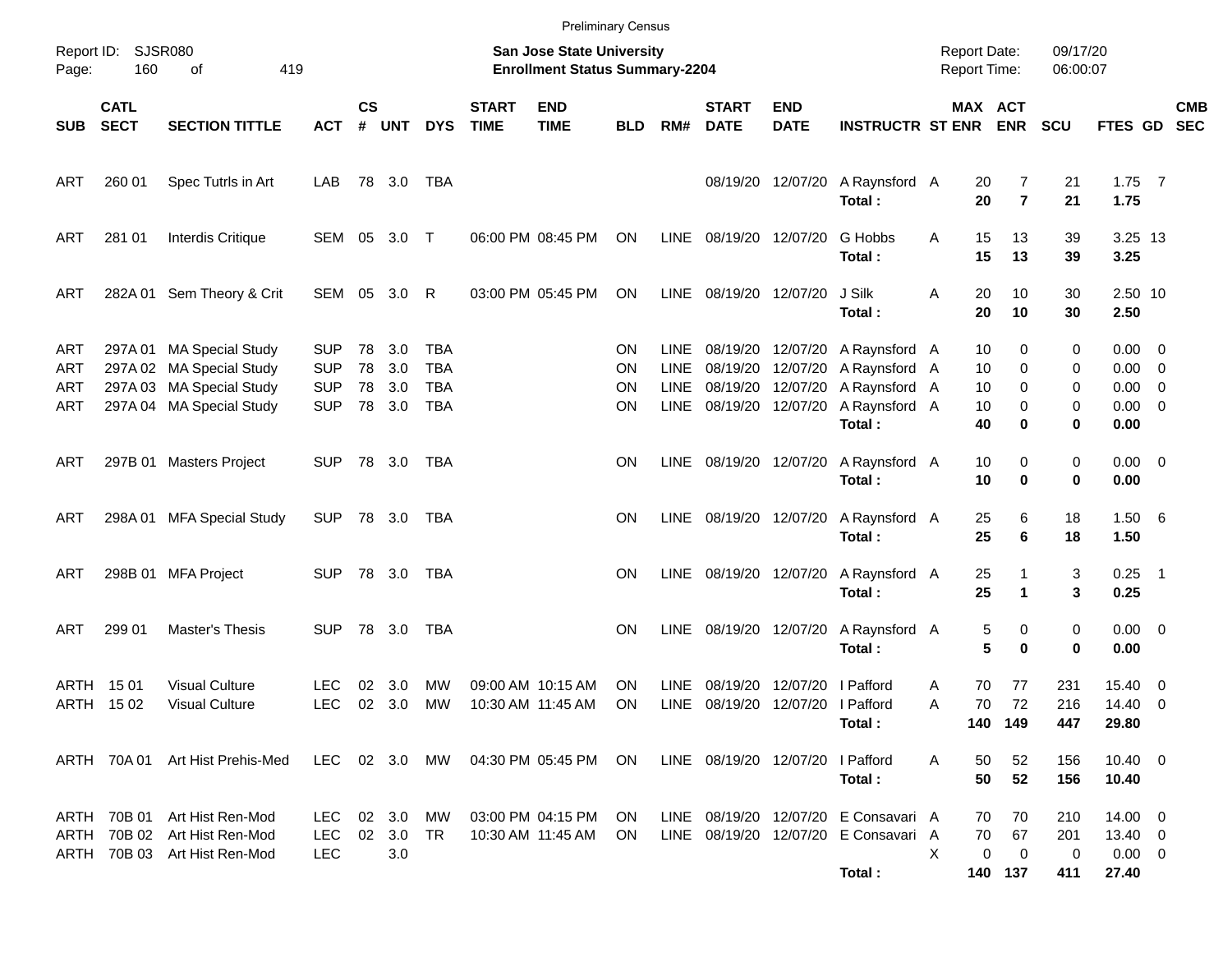|                          |                            |                                                                                                              |                                                      |               |                                |                                               |                             |                                                                           | <b>Preliminary Census</b> |                                                   |                                  |                                                             |                                                                                        |                                     |                            |                                     |                        |                                                                  |                         |            |
|--------------------------|----------------------------|--------------------------------------------------------------------------------------------------------------|------------------------------------------------------|---------------|--------------------------------|-----------------------------------------------|-----------------------------|---------------------------------------------------------------------------|---------------------------|---------------------------------------------------|----------------------------------|-------------------------------------------------------------|----------------------------------------------------------------------------------------|-------------------------------------|----------------------------|-------------------------------------|------------------------|------------------------------------------------------------------|-------------------------|------------|
| Page:                    | Report ID: SJSR080<br>160  | of<br>419                                                                                                    |                                                      |               |                                |                                               |                             | <b>San Jose State University</b><br><b>Enrollment Status Summary-2204</b> |                           |                                                   |                                  |                                                             |                                                                                        | <b>Report Date:</b><br>Report Time: |                            |                                     | 09/17/20<br>06:00:07   |                                                                  |                         |            |
| SUB                      | <b>CATL</b><br><b>SECT</b> | <b>SECTION TITTLE</b>                                                                                        | <b>ACT</b>                                           | $\mathsf{cs}$ | # UNT                          | <b>DYS</b>                                    | <b>START</b><br><b>TIME</b> | <b>END</b><br><b>TIME</b>                                                 | <b>BLD</b>                | RM#                                               | <b>START</b><br><b>DATE</b>      | <b>END</b><br><b>DATE</b>                                   | <b>INSTRUCTR ST ENR ENR</b>                                                            |                                     | MAX ACT                    |                                     | <b>SCU</b>             | FTES GD SEC                                                      |                         | <b>CMB</b> |
| ART                      | 260 01                     | Spec Tutrls in Art                                                                                           | LAB                                                  |               | 78 3.0                         | TBA                                           |                             |                                                                           |                           |                                                   |                                  | 08/19/20 12/07/20                                           | A Raynsford A<br>Total:                                                                |                                     | 20<br>20                   | 7<br>$\overline{7}$                 | 21<br>21               | $1.75$ 7<br>1.75                                                 |                         |            |
| ART                      | 281 01                     | Interdis Critique                                                                                            |                                                      |               | SEM 05 3.0 T                   |                                               |                             | 06:00 PM 08:45 PM                                                         | ON                        |                                                   | LINE 08/19/20 12/07/20           |                                                             | G Hobbs<br>Total:                                                                      | A                                   | 15<br>15                   | 13<br>13                            | 39<br>39               | 3.25 13<br>3.25                                                  |                         |            |
| ART                      |                            | 282A 01 Sem Theory & Crit                                                                                    |                                                      |               | SEM 05 3.0                     | R                                             |                             | 03:00 PM 05:45 PM                                                         | <b>ON</b>                 |                                                   | LINE 08/19/20 12/07/20           |                                                             | J Silk<br>Total:                                                                       | Α                                   | 20<br>20                   | 10<br>10                            | 30<br>30               | 2.50 10<br>2.50                                                  |                         |            |
| ART<br>ART<br>ART<br>ART |                            | 297A 01 MA Special Study<br>297A 02 MA Special Study<br>297A 03 MA Special Study<br>297A 04 MA Special Study | <b>SUP</b><br><b>SUP</b><br><b>SUP</b><br><b>SUP</b> | 78<br>78      | 78 3.0<br>3.0<br>3.0<br>78 3.0 | TBA<br><b>TBA</b><br><b>TBA</b><br><b>TBA</b> |                             |                                                                           | ΟN<br>ΟN<br>ΟN<br>ΟN      | <b>LINE</b><br><b>LINE</b><br><b>LINE</b><br>LINE | 08/19/20 12/07/20                | 08/19/20 12/07/20<br>08/19/20 12/07/20<br>08/19/20 12/07/20 | A Raynsford A<br>A Raynsford A<br>A Raynsford A<br>A Raynsford A<br>Total:             |                                     | 10<br>10<br>10<br>10<br>40 | 0<br>0<br>0<br>0<br>0               | 0<br>0<br>0<br>0<br>0  | $0.00 \t 0$<br>$0.00 \t 0$<br>$0.00 \t 0$<br>$0.00 \t 0$<br>0.00 |                         |            |
| ART                      |                            | 297B 01 Masters Project                                                                                      | SUP.                                                 |               | 78 3.0                         | TBA                                           |                             |                                                                           | ΟN                        |                                                   | LINE 08/19/20 12/07/20           |                                                             | A Raynsford A<br>Total:                                                                |                                     | 10<br>10                   | 0<br>$\bf{0}$                       | 0<br>0                 | $0.00 \t 0$<br>0.00                                              |                         |            |
| ART                      |                            | 298A 01 MFA Special Study                                                                                    | <b>SUP</b>                                           |               | 78 3.0 TBA                     |                                               |                             |                                                                           | ΟN                        |                                                   | LINE 08/19/20 12/07/20           |                                                             | A Raynsford A<br>Total:                                                                |                                     | 25<br>25                   | 6<br>6                              | 18<br>18               | 1.506<br>1.50                                                    |                         |            |
| ART                      |                            | 298B 01 MFA Project                                                                                          | SUP.                                                 |               | 78 3.0                         | TBA                                           |                             |                                                                           | ΟN                        |                                                   | LINE 08/19/20 12/07/20           |                                                             | A Raynsford A<br>Total:                                                                |                                     | 25<br>25                   | 1<br>1                              | 3<br>3                 | $0.25$ 1<br>0.25                                                 |                         |            |
| ART                      | 299 01                     | Master's Thesis                                                                                              | SUP.                                                 |               | 78 3.0                         | TBA                                           |                             |                                                                           | ΟN                        | LINE                                              | 08/19/20 12/07/20                |                                                             | A Raynsford A<br>Total:                                                                |                                     | 5<br>5                     | 0<br>0                              | 0<br>0                 | $0.00 \t 0$<br>0.00                                              |                         |            |
|                          | ARTH 1501<br>ARTH 1502     | <b>Visual Culture</b><br><b>Visual Culture</b>                                                               | LEC<br><b>LEC</b>                                    | 02<br>$02\,$  | 3.0<br>3.0                     | MW<br>МW                                      |                             | 09:00 AM 10:15 AM<br>10:30 AM 11:45 AM                                    | OΝ<br>ON                  | <b>LINE</b><br>LINE                               | 08/19/20                         | 12/07/20<br>08/19/20 12/07/20 I Pafford                     | I Pafford<br>Total:                                                                    | A<br>Α                              | 70<br>70<br>140 149        | 77<br>72                            | 231<br>216<br>447      | 15.40<br>14.40 0<br>29.80                                        | $\overline{\mathbf{0}}$ |            |
|                          |                            | ARTH 70A 01 Art Hist Prehis-Med                                                                              |                                                      |               |                                |                                               |                             | LEC 02 3.0 MW 04:30 PM 05:45 PM                                           | ON.                       |                                                   | LINE 08/19/20 12/07/20 I Pafford |                                                             | Total:                                                                                 | A                                   | 50<br>50                   | 52<br>52                            | 156<br>156             | $10.40 \t 0$<br>10.40                                            |                         |            |
|                          |                            | ARTH 70B 01 Art Hist Ren-Mod<br>ARTH 70B 02 Art Hist Ren-Mod<br>ARTH 70B 03 Art Hist Ren-Mod                 | LEC<br>LEC.<br><b>LEC</b>                            |               | 02 3.0<br>02 3.0<br>3.0        | МW<br>TR                                      |                             | 03:00 PM 04:15 PM ON<br>10:30 AM 11:45 AM                                 | ON.                       |                                                   |                                  |                                                             | LINE 08/19/20 12/07/20 E Consavari A<br>LINE 08/19/20 12/07/20 E Consavari A<br>Total: | X                                   | 70<br>70<br>0<br>140 137   | 70<br>67<br>$\overline{\mathbf{0}}$ | 210<br>201<br>0<br>411 | $14.00 \t 0$<br>13.40 0<br>$0.00 \t 0$<br>27.40                  |                         |            |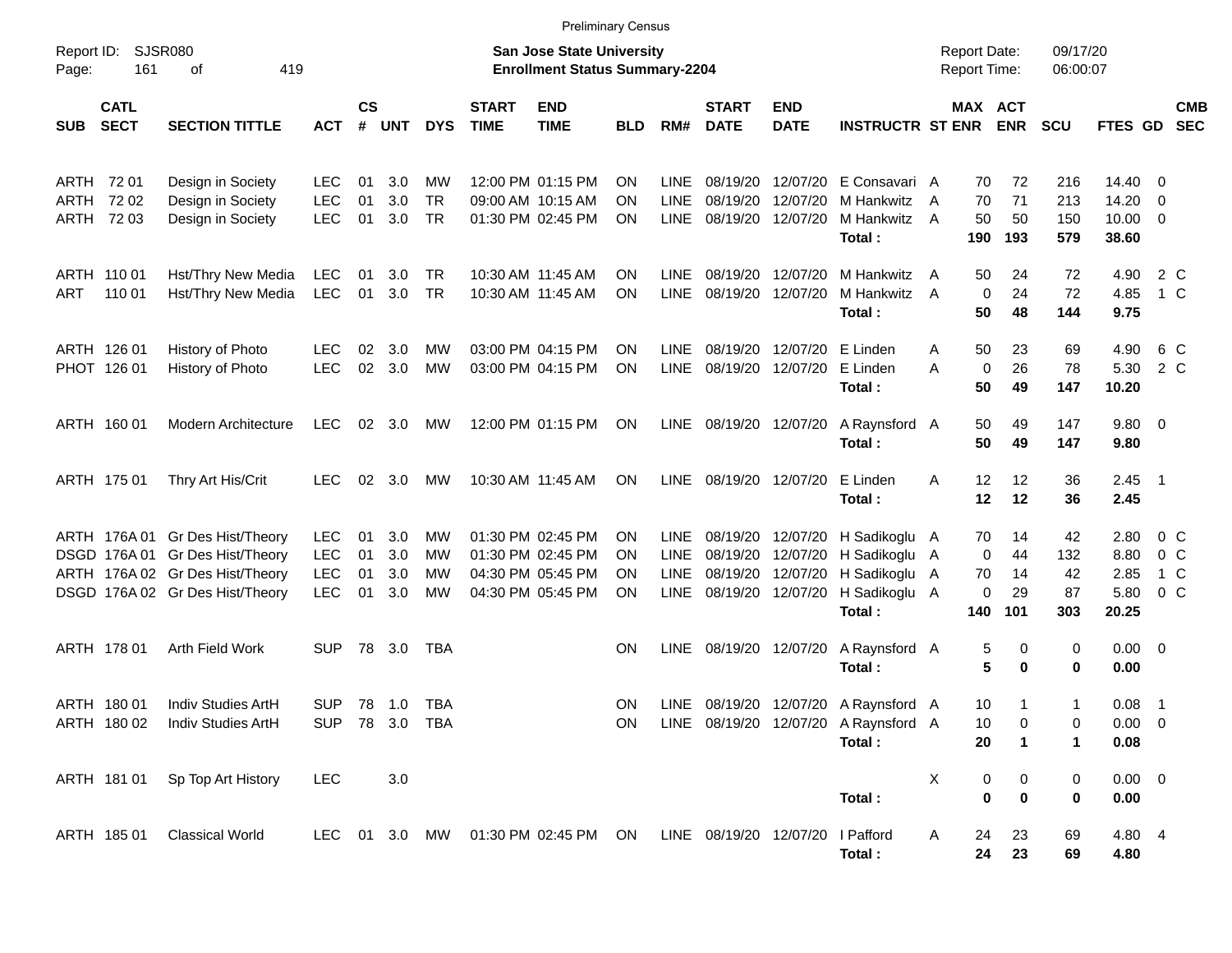|                     |                                        |                                                                                                                                          |                                               |                      |                          |                             |                             | <b>Preliminary Census</b>                                                        |                             |                                                          |                                              |                            |                                                                                                                |                                            |                                        |                              |                                                   |                                                    |                          |
|---------------------|----------------------------------------|------------------------------------------------------------------------------------------------------------------------------------------|-----------------------------------------------|----------------------|--------------------------|-----------------------------|-----------------------------|----------------------------------------------------------------------------------|-----------------------------|----------------------------------------------------------|----------------------------------------------|----------------------------|----------------------------------------------------------------------------------------------------------------|--------------------------------------------|----------------------------------------|------------------------------|---------------------------------------------------|----------------------------------------------------|--------------------------|
| Report ID:<br>Page: | 161                                    | SJSR080<br>οf<br>419                                                                                                                     |                                               |                      |                          |                             |                             | <b>San Jose State University</b><br><b>Enrollment Status Summary-2204</b>        |                             |                                                          |                                              |                            |                                                                                                                | <b>Report Date:</b><br><b>Report Time:</b> |                                        | 09/17/20<br>06:00:07         |                                                   |                                                    |                          |
| <b>SUB</b>          | <b>CATL</b><br><b>SECT</b>             | <b>SECTION TITTLE</b>                                                                                                                    | <b>ACT</b>                                    | $\mathsf{cs}$<br>#   | UNT                      | <b>DYS</b>                  | <b>START</b><br><b>TIME</b> | <b>END</b><br><b>TIME</b>                                                        | <b>BLD</b>                  | RM#                                                      | <b>START</b><br><b>DATE</b>                  | <b>END</b><br><b>DATE</b>  | <b>INSTRUCTR ST ENR</b>                                                                                        |                                            | MAX ACT<br><b>ENR</b>                  | <b>SCU</b>                   | FTES GD                                           |                                                    | <b>CMB</b><br><b>SEC</b> |
|                     | ARTH 72 01<br>ARTH 72 02<br>ARTH 72 03 | Design in Society<br>Design in Society<br>Design in Society                                                                              | LEC<br><b>LEC</b><br><b>LEC</b>               | 01<br>01<br>01       | 3.0<br>3.0<br>3.0        | МW<br><b>TR</b><br>TR       |                             | 12:00 PM 01:15 PM<br>09:00 AM 10:15 AM<br>01:30 PM 02:45 PM                      | OΝ<br>ON<br><b>ON</b>       | <b>LINE</b><br><b>LINE</b><br><b>LINE</b>                | 08/19/20<br>08/19/20<br>08/19/20             | 12/07/20                   | 12/07/20 E Consavari A<br>12/07/20 M Hankwitz<br>M Hankwitz<br>Total:                                          | 70<br>70<br>A<br>50<br>A<br>190            | 72<br>71<br>50<br>193                  | 216<br>213<br>150<br>579     | $14.40 \quad 0$<br>14.20<br>$10.00 \t 0$<br>38.60 | $\overline{\phantom{0}}$                           |                          |
| ART                 | ARTH 110 01<br>110 01                  | Hst/Thry New Media<br>Hst/Thry New Media                                                                                                 | <b>LEC</b><br><b>LEC</b>                      | 01<br>01             | 3.0<br>3.0               | TR<br><b>TR</b>             |                             | 10:30 AM 11:45 AM<br>10:30 AM 11:45 AM                                           | OΝ<br>OΝ                    | LINE<br><b>LINE</b>                                      | 08/19/20<br>08/19/20                         | 12/07/20<br>12/07/20       | M Hankwitz<br>M Hankwitz<br>Total:                                                                             | 50<br>$\mathsf{A}$<br>A<br>50              | 24<br>$\mathbf 0$<br>24<br>48          | 72<br>72<br>144              | 4.90<br>4.85<br>9.75                              | 2 C<br>1 C                                         |                          |
|                     | ARTH 126 01<br>PHOT 126 01             | History of Photo<br>History of Photo                                                                                                     | LEC<br><b>LEC</b>                             | 02<br>02             | 3.0<br>3.0               | МW<br>МW                    |                             | 03:00 PM 04:15 PM<br>03:00 PM 04:15 PM                                           | <b>ON</b><br><b>ON</b>      | LINE<br><b>LINE</b>                                      | 08/19/20<br>08/19/20                         | 12/07/20 E Linden          | 12/07/20 E Linden<br>Total:                                                                                    | 50<br>A<br>A<br>50                         | 23<br>26<br>0<br>49                    | 69<br>78<br>147              | 4.90<br>5.30<br>10.20                             | 6 C<br>2 C                                         |                          |
|                     | ARTH 160 01                            | <b>Modern Architecture</b>                                                                                                               | <b>LEC</b>                                    |                      | $02 \quad 3.0$           | MW                          |                             | 12:00 PM 01:15 PM                                                                | <b>ON</b>                   | LINE                                                     | 08/19/20 12/07/20                            |                            | A Raynsford A<br>Total:                                                                                        | 50<br>50                                   | 49<br>49                               | 147<br>147                   | 9.80 0<br>9.80                                    |                                                    |                          |
|                     | ARTH 175 01                            | Thry Art His/Crit                                                                                                                        | <b>LEC</b>                                    | 02                   | 3.0                      | MW                          |                             | 10:30 AM 11:45 AM                                                                | <b>ON</b>                   | <b>LINE</b>                                              |                                              | 08/19/20 12/07/20 E Linden | Total:                                                                                                         | 12<br>A<br>12                              | 12<br>12                               | 36<br>36                     | $2.45$ 1<br>2.45                                  |                                                    |                          |
|                     |                                        | ARTH 176A 01 Gr Des Hist/Theory<br>DSGD 176A 01 Gr Des Hist/Theory<br>ARTH 176A 02 Gr Des Hist/Theory<br>DSGD 176A 02 Gr Des Hist/Theory | LEC<br><b>LEC</b><br><b>LEC</b><br><b>LEC</b> | 01<br>01<br>01<br>01 | 3.0<br>3.0<br>3.0<br>3.0 | МW<br>МW<br>МW<br><b>MW</b> |                             | 01:30 PM 02:45 PM<br>01:30 PM 02:45 PM<br>04:30 PM 05:45 PM<br>04:30 PM 05:45 PM | <b>ON</b><br>OΝ<br>OΝ<br>OΝ | <b>LINE</b><br><b>LINE</b><br><b>LINE</b><br><b>LINE</b> | 08/19/20<br>08/19/20<br>08/19/20<br>08/19/20 |                            | 12/07/20 H Sadikoglu A<br>12/07/20 H Sadikoglu A<br>12/07/20 H Sadikoglu A<br>12/07/20 H Sadikoglu A<br>Total: | 70<br>70<br>140                            | 14<br>0<br>44<br>14<br>0<br>29<br>101  | 42<br>132<br>42<br>87<br>303 | 2.80<br>8.80<br>2.85<br>5.80<br>20.25             | $0\,$ C<br>0 <sup>o</sup><br>1 C<br>0 <sup>o</sup> |                          |
|                     | ARTH 178 01                            | Arth Field Work                                                                                                                          | <b>SUP</b>                                    |                      | 78 3.0                   | TBA                         |                             |                                                                                  | <b>ON</b>                   | <b>LINE</b>                                              |                                              | 08/19/20 12/07/20          | A Raynsford A<br>Total:                                                                                        |                                            | 5<br>0<br>5<br>0                       | 0<br>0                       | $0.00 \t 0$<br>0.00                               |                                                    |                          |
|                     | ARTH 180 01                            | Indiv Studies ArtH<br>ARTH 180 02 Indiv Studies ArtH                                                                                     | <b>SUP</b>                                    |                      | 78 1.0<br>SUP 78 3.0 TBA | TBA                         |                             |                                                                                  | <b>ON</b><br>ON             | LINE.                                                    |                                              |                            | 08/19/20 12/07/20 A Raynsford A<br>LINE 08/19/20 12/07/20 A Raynsford A<br>Total:                              | 10<br>10<br>20                             | 1<br>1                                 | 1<br>0<br>1                  | 0.08<br>$0.00 \t 0$<br>0.08                       | $\overline{\phantom{1}}$                           |                          |
|                     |                                        | ARTH 181 01 Sp Top Art History                                                                                                           | <b>LEC</b>                                    |                      | 3.0                      |                             |                             |                                                                                  |                             |                                                          |                                              |                            | Total:                                                                                                         | Х                                          | 0<br>$\boldsymbol{0}$<br>$\bf{0}$<br>0 | 0<br>0                       | $0.00 \t 0$<br>0.00                               |                                                    |                          |
|                     | ARTH 185 01                            | <b>Classical World</b>                                                                                                                   |                                               |                      |                          |                             |                             | LEC 01 3.0 MW 01:30 PM 02:45 PM ON                                               |                             |                                                          | LINE 08/19/20 12/07/20 I Pafford             |                            | Total:                                                                                                         | 24<br>A<br>24                              | 23<br>23                               | 69<br>69                     | 4.80 4<br>4.80                                    |                                                    |                          |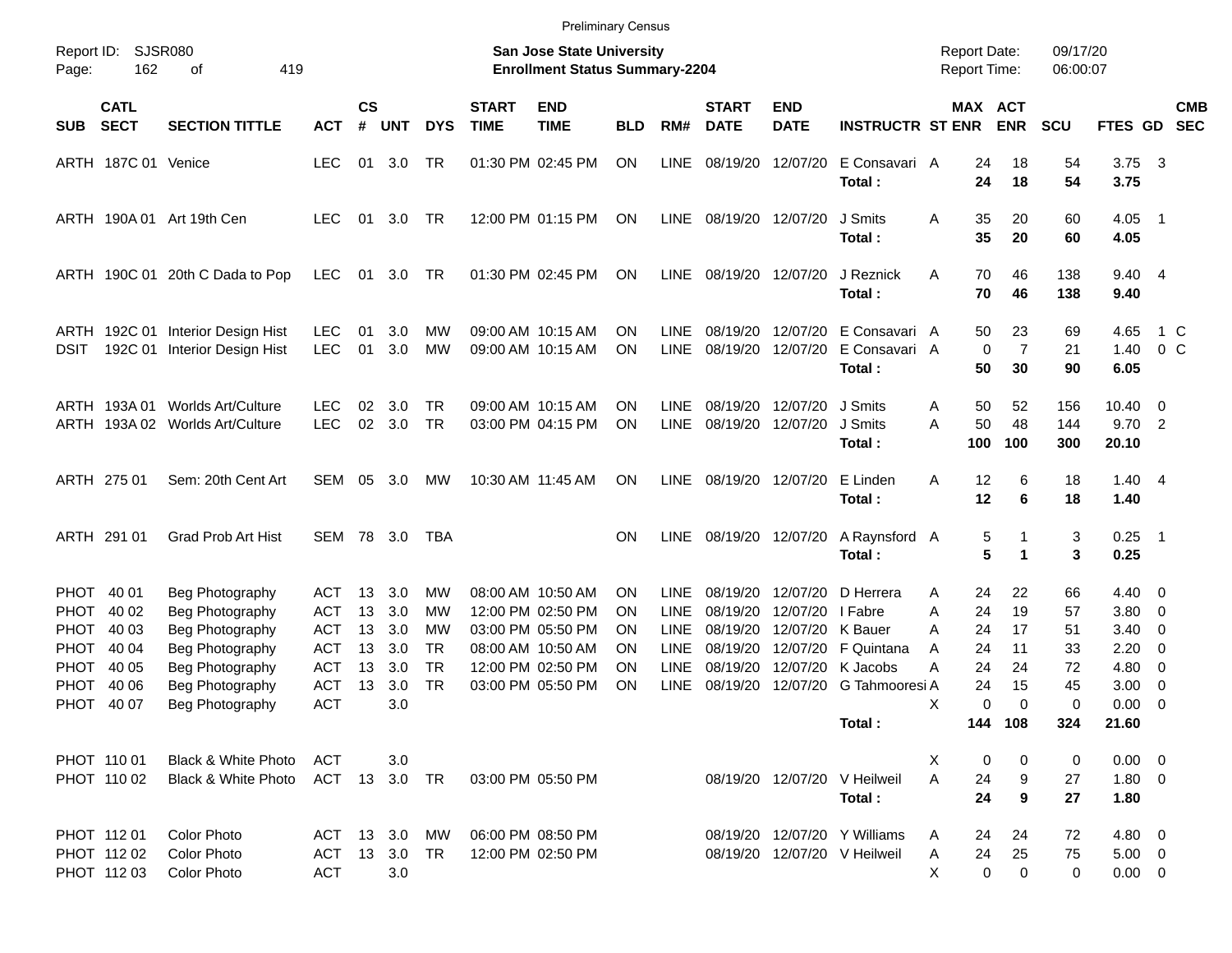|                                                                      |                                                                   |                                        |                |                   |                              |                             | <b>Preliminary Census</b>                                                 |                |                                           |                                  |                                          |                                                                     |                                     |                              |                      |                                      |                                                         |                          |
|----------------------------------------------------------------------|-------------------------------------------------------------------|----------------------------------------|----------------|-------------------|------------------------------|-----------------------------|---------------------------------------------------------------------------|----------------|-------------------------------------------|----------------------------------|------------------------------------------|---------------------------------------------------------------------|-------------------------------------|------------------------------|----------------------|--------------------------------------|---------------------------------------------------------|--------------------------|
| Report ID:<br>162<br>Page:                                           | <b>SJSR080</b><br>419<br>оf                                       |                                        |                |                   |                              |                             | <b>San Jose State University</b><br><b>Enrollment Status Summary-2204</b> |                |                                           |                                  |                                          |                                                                     | <b>Report Date:</b><br>Report Time: |                              | 09/17/20<br>06:00:07 |                                      |                                                         |                          |
| <b>CATL</b><br><b>SECT</b><br><b>SUB</b>                             | <b>SECTION TITTLE</b>                                             | <b>ACT</b>                             | <b>CS</b><br># | <b>UNT</b>        | <b>DYS</b>                   | <b>START</b><br><b>TIME</b> | <b>END</b><br><b>TIME</b>                                                 | <b>BLD</b>     | RM#                                       | <b>START</b><br><b>DATE</b>      | <b>END</b><br><b>DATE</b>                | <b>INSTRUCTR ST ENR</b>                                             |                                     | <b>MAX ACT</b><br><b>ENR</b> | <b>SCU</b>           | FTES GD                              |                                                         | <b>CMB</b><br><b>SEC</b> |
| ARTH 187C 01 Venice                                                  |                                                                   | <b>LEC</b>                             | 01             | 3.0               | TR                           |                             | 01:30 PM 02:45 PM                                                         | ON             | LINE                                      | 08/19/20                         | 12/07/20                                 | E Consavari A<br>Total:                                             | 24<br>24                            | 18<br>18                     | 54<br>54             | 3.75<br>3.75                         | $\overline{\mathbf{3}}$                                 |                          |
| ARTH 190A 01 Art 19th Cen                                            |                                                                   | <b>LEC</b>                             | 01             | 3.0               | TR                           |                             | 12:00 PM 01:15 PM                                                         | ON             | LINE                                      | 08/19/20 12/07/20                |                                          | J Smits<br>Total:                                                   | 35<br>A<br>35                       | 20<br>20                     | 60<br>60             | 4.05<br>4.05                         | - 1                                                     |                          |
|                                                                      | ARTH 190C 01 20th C Dada to Pop                                   | LEC                                    |                | 01 3.0            | TR                           |                             | 01:30 PM 02:45 PM                                                         | ON             | LINE                                      | 08/19/20 12/07/20                |                                          | J Reznick<br>Total:                                                 | 70<br>A<br>70                       | 46<br>46                     | 138<br>138           | 9.40 4<br>9.40                       |                                                         |                          |
| <b>DSIT</b>                                                          | ARTH 192C 01 Interior Design Hist<br>192C 01 Interior Design Hist | <b>LEC</b><br><b>LEC</b>               | 01<br>01       | 3.0<br>3.0        | МW<br>MW                     |                             | 09:00 AM 10:15 AM<br>09:00 AM 10:15 AM                                    | ΟN<br>ΟN       | <b>LINE</b><br>LINE                       | 08/19/20<br>08/19/20             | 12/07/20<br>12/07/20                     | E Consavari A<br>E Consavari A<br>Total:                            | 50<br>$\mathbf 0$<br>50             | 23<br>$\overline{7}$<br>30   | 69<br>21<br>90       | 4.65<br>1.40<br>6.05                 | 1 C<br>0 <sup>o</sup>                                   |                          |
| ARTH 193A 01                                                         | Worlds Art/Culture<br>ARTH 193A 02 Worlds Art/Culture             | <b>LEC</b><br><b>LEC</b>               | 02<br>02       | 3.0<br>3.0        | <b>TR</b><br><b>TR</b>       |                             | 09:00 AM 10:15 AM<br>03:00 PM 04:15 PM                                    | ON<br>ON       | <b>LINE</b><br>LINE                       | 08/19/20<br>08/19/20             | 12/07/20<br>12/07/20                     | J Smits<br>J Smits<br>Total:                                        | 50<br>Α<br>50<br>Α<br>100           | 52<br>48<br>100              | 156<br>144<br>300    | 10.40<br>9.702<br>20.10              | $\overline{\phantom{0}}$                                |                          |
| ARTH 275 01                                                          | Sem: 20th Cent Art                                                | SEM                                    | 05             | 3.0               | MW                           |                             | 10:30 AM 11:45 AM                                                         | ON.            | <b>LINE</b>                               |                                  | 08/19/20 12/07/20                        | E Linden<br>Total:                                                  | Α<br>12<br>12                       | 6<br>6                       | 18<br>18             | $1.40 \quad 4$<br>1.40               |                                                         |                          |
| ARTH 291 01                                                          | <b>Grad Prob Art Hist</b>                                         | SEM                                    |                | 78 3.0            | TBA                          |                             |                                                                           | <b>ON</b>      | LINE                                      |                                  | 08/19/20 12/07/20                        | A Raynsford A<br>Total:                                             | 5                                   | 5<br>1                       | 3<br>3               | $0.25$ 1<br>0.25                     |                                                         |                          |
| PHOT 40 01<br><b>PHOT</b><br>40 02<br><b>PHOT</b><br>40 03           | Beg Photography<br>Beg Photography<br>Beg Photography             | <b>ACT</b><br><b>ACT</b><br><b>ACT</b> | 13<br>13<br>13 | 3.0<br>3.0<br>3.0 | МW<br>МW<br>МW               |                             | 08:00 AM 10:50 AM<br>12:00 PM 02:50 PM<br>03:00 PM 05:50 PM               | ON<br>ON<br>ON | <b>LINE</b><br><b>LINE</b><br><b>LINE</b> | 08/19/20<br>08/19/20<br>08/19/20 | 12/07/20<br>12/07/20<br>12/07/20 K Bauer | D Herrera<br>I Fabre                                                | 24<br>Α<br>Α<br>24<br>24<br>A       | 22<br>19<br>17               | 66<br>57<br>51       | $4.40 \quad 0$<br>3.80<br>3.40       | $\overline{\mathbf{0}}$<br>- 0                          |                          |
| <b>PHOT</b><br>40 04<br><b>PHOT</b><br>40 05<br><b>PHOT</b><br>40 06 | Beg Photography<br>Beg Photography<br>Beg Photography             | <b>ACT</b><br><b>ACT</b><br><b>ACT</b> | 13<br>13<br>13 | 3.0<br>3.0<br>3.0 | TR<br><b>TR</b><br><b>TR</b> |                             | 08:00 AM 10:50 AM<br>12:00 PM 02:50 PM<br>03:00 PM 05:50 PM               | ON<br>ΟN<br>ΟN | <b>LINE</b><br><b>LINE</b><br><b>LINE</b> | 08/19/20<br>08/19/20<br>08/19/20 |                                          | 12/07/20 F Quintana<br>12/07/20 K Jacobs<br>12/07/20 G Tahmooresi A | 24<br>A<br>Α<br>24<br>24            | 11<br>24<br>15               | 33<br>72<br>45       | 2.20<br>4.80<br>3.00                 | 0<br>$\overline{\mathbf{0}}$<br>$\overline{\mathbf{0}}$ |                          |
| PHOT 40 07                                                           | Beg Photography                                                   | <b>ACT</b>                             |                | 3.0               |                              |                             |                                                                           |                |                                           |                                  |                                          | Total :                                                             | 0<br>х                              | $\Omega$<br>144 108          | 0<br>324             | 0.00<br>21.60                        | $\overline{\phantom{0}}$                                |                          |
| PHOT 110 01<br>PHOT 110 02                                           | Black & White Photo<br>Black & White Photo                        | ACT<br>ACT 13 3.0 TR                   |                | 3.0               |                              |                             | 03:00 PM 05:50 PM                                                         |                |                                           |                                  |                                          | 08/19/20 12/07/20 V Heilweil<br>Total:                              | 0<br>X<br>24<br>Α<br>24             | 0<br>9<br>9                  | 0<br>27<br>27        | $0.00 \t 0$<br>1.80 0<br>1.80        |                                                         |                          |
| PHOT 11201<br>PHOT 112 02<br>PHOT 112 03                             | <b>Color Photo</b><br>Color Photo<br>Color Photo                  | ACT 13 3.0<br>ACT<br><b>ACT</b>        |                | 13 3.0<br>3.0     | МW<br>TR                     |                             | 06:00 PM 08:50 PM<br>12:00 PM 02:50 PM                                    |                |                                           |                                  |                                          | 08/19/20 12/07/20 Y Williams<br>08/19/20 12/07/20 V Heilweil        | 24<br>A<br>24<br>A<br>X<br>0        | 24<br>25<br>0                | 72<br>75<br>0        | 4.80 0<br>$5.00 \t 0$<br>$0.00 \t 0$ |                                                         |                          |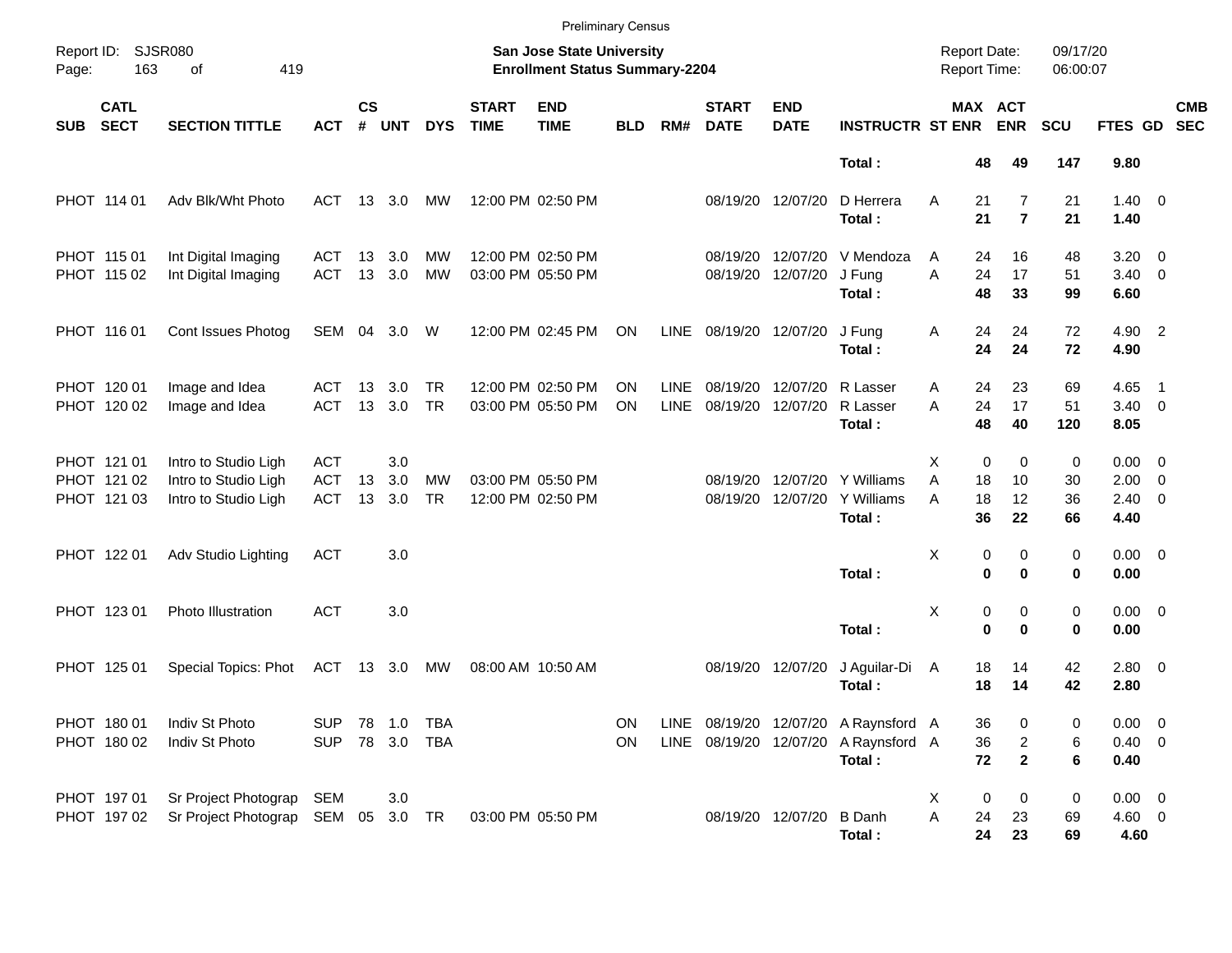|            |                                           |                                                                      |                                        |                    |                   |                        |                             | <b>Preliminary Census</b>                                          |                 |                            |                             |                           |                                                                                        |                                            |                                                 |                                                    |                                                  |                          |                          |
|------------|-------------------------------------------|----------------------------------------------------------------------|----------------------------------------|--------------------|-------------------|------------------------|-----------------------------|--------------------------------------------------------------------|-----------------|----------------------------|-----------------------------|---------------------------|----------------------------------------------------------------------------------------|--------------------------------------------|-------------------------------------------------|----------------------------------------------------|--------------------------------------------------|--------------------------|--------------------------|
| Page:      | Report ID: SJSR080<br>163                 | 419<br>of                                                            |                                        |                    |                   |                        |                             | San Jose State University<br><b>Enrollment Status Summary-2204</b> |                 |                            |                             |                           |                                                                                        | <b>Report Date:</b><br><b>Report Time:</b> |                                                 |                                                    | 09/17/20<br>06:00:07                             |                          |                          |
| <b>SUB</b> | <b>CATL</b><br><b>SECT</b>                | <b>SECTION TITTLE</b>                                                | <b>ACT</b>                             | $\mathsf{cs}$<br># | <b>UNT</b>        | <b>DYS</b>             | <b>START</b><br><b>TIME</b> | <b>END</b><br><b>TIME</b>                                          | <b>BLD</b>      | RM#                        | <b>START</b><br><b>DATE</b> | <b>END</b><br><b>DATE</b> | <b>INSTRUCTR ST ENR</b>                                                                |                                            | MAX ACT<br><b>ENR</b>                           | <b>SCU</b>                                         | <b>FTES GD</b>                                   |                          | <b>CMB</b><br><b>SEC</b> |
|            |                                           |                                                                      |                                        |                    |                   |                        |                             |                                                                    |                 |                            |                             |                           | Total:                                                                                 |                                            | 48<br>49                                        | 147                                                | 9.80                                             |                          |                          |
|            | PHOT 114 01                               | Adv Blk/Wht Photo                                                    | ACT                                    |                    | 13 3.0            | MW                     |                             | 12:00 PM 02:50 PM                                                  |                 |                            | 08/19/20 12/07/20           |                           | D Herrera<br>Total:                                                                    | Α                                          | 21<br>21                                        | $\overline{7}$<br>21<br>$\overline{7}$<br>21       | $1.40 \ 0$<br>1.40                               |                          |                          |
|            | PHOT 115 01<br>PHOT 115 02                | Int Digital Imaging<br>Int Digital Imaging                           | ACT<br><b>ACT</b>                      | 13<br>13           | 3.0<br>3.0        | MW<br>MW               |                             | 12:00 PM 02:50 PM<br>03:00 PM 05:50 PM                             |                 |                            | 08/19/20<br>08/19/20        | 12/07/20<br>12/07/20      | V Mendoza<br>J Fung<br>Total:                                                          | A<br>A                                     | 24<br>17<br>24<br>48<br>33                      | 16<br>48<br>51<br>99                               | 3.20<br>$3.40 \ 0$<br>6.60                       | $\overline{\phantom{0}}$ |                          |
|            | PHOT 116 01                               | Cont Issues Photog                                                   | SEM                                    |                    | 04 3.0            | W                      |                             | 12:00 PM 02:45 PM                                                  | ON              | <b>LINE</b>                | 08/19/20 12/07/20           |                           | J Fung<br>Total:                                                                       | Α                                          | 24<br>24<br>24<br>24                            | 72<br>72                                           | 4.90 2<br>4.90                                   |                          |                          |
|            | PHOT 120 01<br>PHOT 120 02                | Image and Idea<br>Image and Idea                                     | ACT<br><b>ACT</b>                      | 13                 | 3.0<br>13 3.0     | <b>TR</b><br><b>TR</b> |                             | 12:00 PM 02:50 PM<br>03:00 PM 05:50 PM                             | ΟN<br><b>ON</b> | <b>LINE</b><br><b>LINE</b> | 08/19/20<br>08/19/20        | 12/07/20<br>12/07/20      | R Lasser<br>R Lasser<br>Total:                                                         | Α<br>A                                     | 23<br>24<br>17<br>24<br>48<br>40                | 69<br>51<br>120                                    | 4.65<br>$3.40 \ 0$<br>8.05                       | $\overline{\phantom{1}}$ |                          |
|            | PHOT 121 01<br>PHOT 121 02<br>PHOT 121 03 | Intro to Studio Ligh<br>Intro to Studio Ligh<br>Intro to Studio Ligh | <b>ACT</b><br><b>ACT</b><br><b>ACT</b> | 13<br>13           | 3.0<br>3.0<br>3.0 | <b>MW</b><br><b>TR</b> |                             | 03:00 PM 05:50 PM<br>12:00 PM 02:50 PM                             |                 |                            | 08/19/20<br>08/19/20        | 12/07/20<br>12/07/20      | Y Williams<br>Y Williams<br>Total:                                                     | Χ<br>A<br>A                                | $\mathbf 0$<br>18<br>10<br>18<br>12<br>36<br>22 | 0<br>0<br>30<br>36<br>66                           | $0.00 \t 0$<br>$2.00 \t 0$<br>$2.40 \ 0$<br>4.40 |                          |                          |
|            | PHOT 122 01                               | Adv Studio Lighting                                                  | <b>ACT</b>                             |                    | 3.0               |                        |                             |                                                                    |                 |                            |                             |                           | Total:                                                                                 | Χ                                          | 0<br>$\bf{0}$                                   | 0<br>0<br>$\bf{0}$<br>0                            | $0.00 \t 0$<br>0.00                              |                          |                          |
|            | PHOT 123 01                               | Photo Illustration                                                   | <b>ACT</b>                             |                    | 3.0               |                        |                             |                                                                    |                 |                            |                             |                           | Total:                                                                                 | Χ                                          | 0<br>$\bf{0}$                                   | 0<br>0<br>$\bf{0}$<br>0                            | $0.00 \t 0$<br>0.00                              |                          |                          |
|            | PHOT 125 01                               | Special Topics: Phot                                                 | ACT 13 3.0 MW                          |                    |                   |                        |                             | 08:00 AM 10:50 AM                                                  |                 |                            | 08/19/20 12/07/20           |                           | J Aguilar-Di<br>Total:                                                                 | A                                          | 18<br>14<br>18<br>14                            | 42<br>42                                           | $2.80 \t 0$<br>2.80                              |                          |                          |
|            | PHOT 180 01<br>PHOT 180 02                | Indiv St Photo<br>Indiv St Photo                                     | SUP 78 1.0 TBA<br><b>SUP</b>           |                    | 78 3.0 TBA        |                        |                             |                                                                    | ON<br>ON        |                            |                             |                           | LINE 08/19/20 12/07/20 A Raynsford A<br>LINE 08/19/20 12/07/20 A Raynsford A<br>Total: |                                            | 36<br>36<br>72                                  | 0<br>0<br>$\overline{c}$<br>6<br>$\mathbf{2}$<br>6 | $0.00 \t 0$<br>$0.40 \ 0$<br>0.40                |                          |                          |
|            | PHOT 197 01<br>PHOT 197 02                | Sr Project Photograp<br>Sr Project Photograp SEM 05 3.0 TR           | SEM                                    |                    | 3.0               |                        |                             | 03:00 PM 05:50 PM                                                  |                 |                            |                             | 08/19/20 12/07/20 B Danh  | Total:                                                                                 | X<br>Α                                     | $\boldsymbol{0}$<br>24<br>23<br>24<br>23        | 0<br>0<br>69<br>69                                 | $0.00 \t 0$<br>$4.60$ 0<br>4.60                  |                          |                          |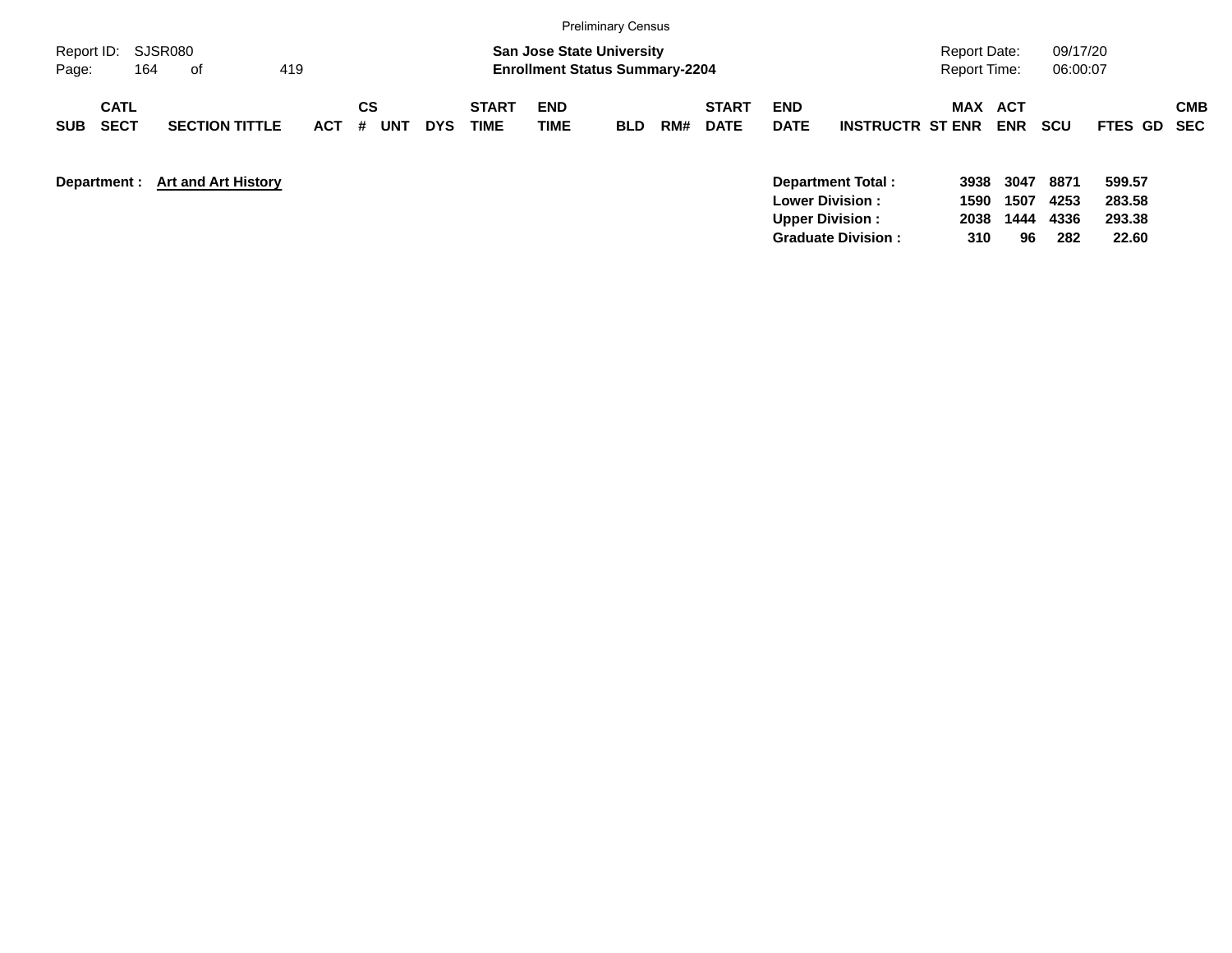|                                          |                            |            |                       |            |                      |                                                                           | <b>Preliminary Census</b> |     |                             |                           |                                             |                                     |                      |                      |                            |            |
|------------------------------------------|----------------------------|------------|-----------------------|------------|----------------------|---------------------------------------------------------------------------|---------------------------|-----|-----------------------------|---------------------------|---------------------------------------------|-------------------------------------|----------------------|----------------------|----------------------------|------------|
| Report ID: SJSR080<br>164<br>Page:       | 419<br>of                  |            |                       |            |                      | <b>San Jose State University</b><br><b>Enrollment Status Summary-2204</b> |                           |     |                             |                           |                                             | Report Date:<br><b>Report Time:</b> |                      | 09/17/20<br>06:00:07 |                            |            |
| <b>CATL</b><br><b>SECT</b><br><b>SUB</b> | <b>SECTION TITTLE</b>      | <b>ACT</b> | CS<br>#<br><b>UNT</b> | <b>DYS</b> | <b>START</b><br>TIME | <b>END</b><br>TIME                                                        | <b>BLD</b>                | RM# | <b>START</b><br><b>DATE</b> | <b>END</b><br><b>DATE</b> | <b>INSTRUCTR ST ENR</b>                     | MAX ACT                             | <b>ENR</b>           | <b>SCU</b>           | FTES GD SEC                | <b>CMB</b> |
| Department :                             | <b>Art and Art History</b> |            |                       |            |                      |                                                                           |                           |     |                             | <b>Upper Division:</b>    | Department Total:<br><b>Lower Division:</b> | 3938<br>1590<br>2038                | 3047<br>1507<br>1444 | 8871<br>4253<br>4336 | 599.57<br>283.58<br>293.38 |            |

**Graduate Division : 310 96 282 22.60**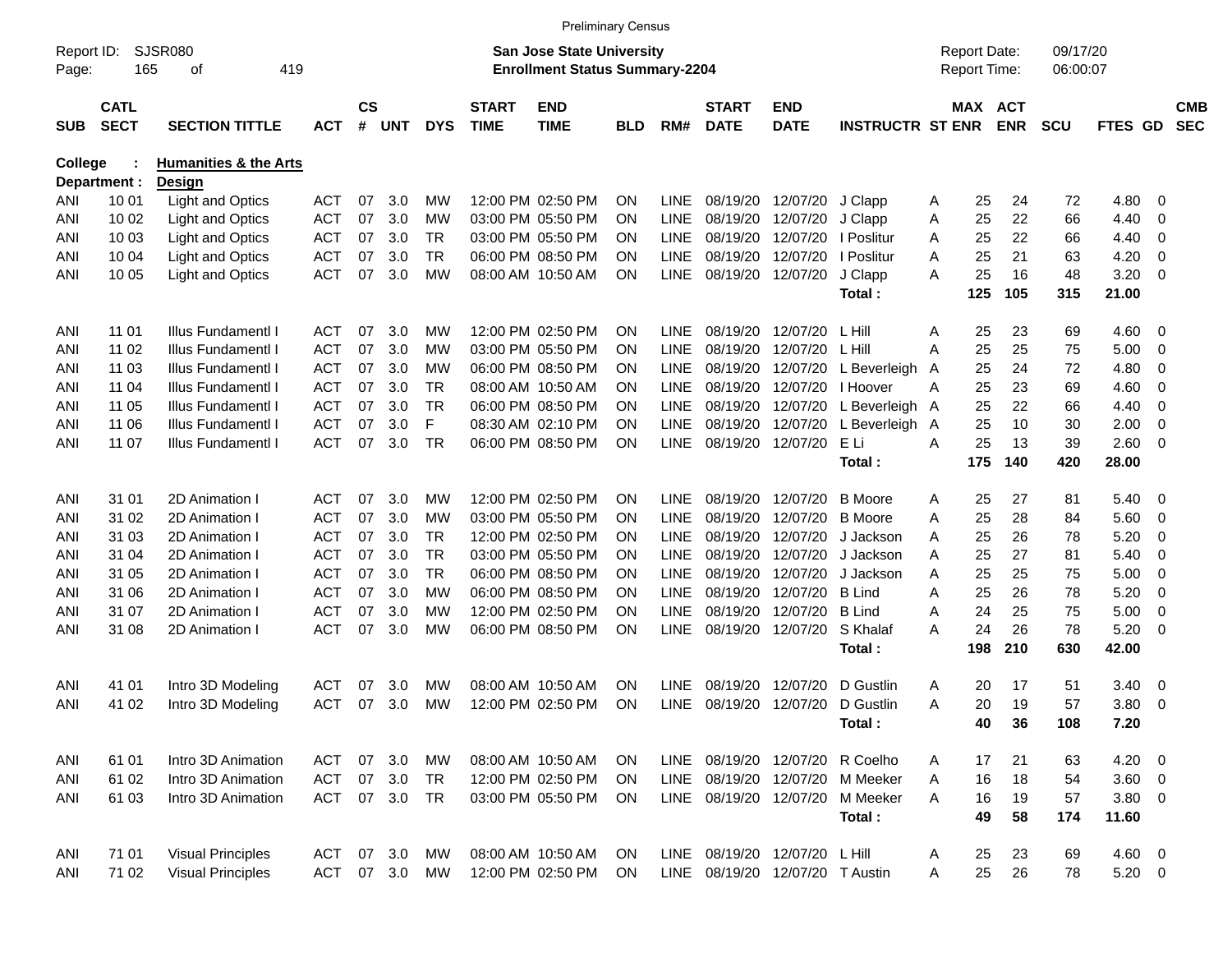| SJSR080<br>San Jose State University<br>09/17/20<br>Report ID:<br><b>Report Date:</b><br>165<br><b>Enrollment Status Summary-2204</b><br>Report Time:<br>06:00:07<br>419<br>οf<br>Page:<br>$\mathsf{cs}$<br><b>START</b><br><b>CATL</b><br><b>START</b><br><b>END</b><br>MAX ACT<br><b>CMB</b><br><b>END</b><br><b>SECT</b><br>#<br><b>TIME</b><br><b>INSTRUCTR ST ENR</b><br><b>ENR</b><br><b>SEC</b><br><b>SECTION TITTLE</b><br><b>UNT</b><br><b>DYS</b><br><b>TIME</b><br><b>BLD</b><br>RM#<br><b>DATE</b><br><b>DATE</b><br><b>SCU</b><br><b>FTES GD</b><br><b>SUB</b><br><b>ACT</b><br>College<br><b>Humanities &amp; the Arts</b><br><b>Design</b><br>Department :<br><b>Light and Optics</b><br><b>ACT</b><br>3.0<br>12:00 PM 02:50 PM<br><b>LINE</b><br>24<br>72<br>10 01<br>07<br>МW<br><b>ON</b><br>08/19/20<br>12/07/20<br>J Clapp<br>25<br>4.80<br>- 0<br>ANI<br>Α<br>25<br>22<br>66<br><b>Light and Optics</b><br><b>ACT</b><br>3.0<br>03:00 PM 05:50 PM<br>LINE<br>08/19/20<br>12/07/20<br>10 02<br>07<br>МW<br><b>ON</b><br>J Clapp<br>Α<br>4.40<br>0<br>ANI<br>22<br><b>Light and Optics</b><br><b>ACT</b><br>07<br>3.0<br><b>TR</b><br>03:00 PM 05:50 PM<br>LINE<br>08/19/20<br>12/07/20<br>25<br>66<br>10 03<br><b>ON</b><br>I Poslitur<br>4.40<br>0<br>ANI<br>A<br><b>TR</b><br><b>Light and Optics</b><br><b>ACT</b><br>07<br>3.0<br>06:00 PM 08:50 PM<br>LINE<br>08/19/20<br>12/07/20<br>25<br>21<br>63<br>4.20<br><b>ON</b><br>I Poslitur<br>0<br>ANI<br>10 04<br>A<br><b>ACT</b><br>07<br>3.0<br><b>LINE</b><br>08/19/20<br>25<br>16<br>48<br>3.20<br>10 05<br><b>Light and Optics</b><br>МW<br>08:00 AM 10:50 AM<br><b>ON</b><br>12/07/20<br>J Clapp<br>A<br>0<br>ANI<br>125<br>105<br>315<br>21.00<br>Total:<br><b>ACT</b><br>3.0<br>12:00 PM 02:50 PM<br>08/19/20<br>L Hill<br>23<br>4.60<br>11 01<br>Illus Fundamentl I<br>07<br>МW<br><b>ON</b><br><b>LINE</b><br>12/07/20<br>25<br>69<br>0<br>ANI<br>Α<br>25<br>25<br><b>ACT</b><br>3.0<br>03:00 PM 05:50 PM<br>LINE<br>08/19/20<br>L Hill<br>75<br>5.00<br>11 02<br>Illus Fundamentl I<br>07<br>МW<br><b>ON</b><br>12/07/20<br>A<br>0<br>ANI<br><b>ACT</b><br>3.0<br>06:00 PM 08:50 PM<br>LINE<br>08/19/20<br>25<br>24<br>72<br>4.80<br>11 03<br>Illus Fundamentl I<br>07<br>МW<br><b>ON</b><br>12/07/20<br>Beverleigh<br>0<br>ANI<br>A<br>L<br><b>ACT</b><br>3.0<br><b>TR</b><br>LINE<br>08/19/20<br>12/07/20<br>25<br>23<br>69<br>4.60<br>Illus Fundamentl I<br>07<br>08:00 AM 10:50 AM<br><b>ON</b><br>I Hoover<br>Α<br>0<br>ANI<br>11 04<br><b>TR</b><br><b>ACT</b><br>07<br>3.0<br>06:00 PM 08:50 PM<br>LINE<br>08/19/20<br>12/07/20<br>25<br>22<br>66<br>4.40<br>$\mathbf 0$<br>11 05<br>Illus Fundamentl I<br>ON<br>L Beverleigh A<br>ANI<br>3.0<br>F<br><b>ACT</b><br>07<br>LINE<br>08/19/20<br>12/07/20<br>L Beverleigh A<br>25<br>10<br>2.00<br>11 06<br>Illus Fundamentl I<br>08:30 AM 02:10 PM<br><b>ON</b><br>30<br>0<br>ANI<br><b>TR</b><br>E Li<br>25<br><b>ACT</b><br>07<br>3.0<br>06:00 PM 08:50 PM<br><b>ON</b><br><b>LINE</b><br>08/19/20<br>12/07/20<br>13<br>2.60<br>$\mathbf 0$<br>11 07<br>Illus Fundamentl I<br>A<br>39<br>ANI<br>Total:<br>175<br>140<br>420<br>28.00<br><b>ACT</b><br>3.0<br>12:00 PM 02:50 PM<br>08/19/20<br><b>B</b> Moore<br>27<br>31 01<br>2D Animation I<br>07<br>МW<br><b>ON</b><br>LINE<br>12/07/20<br>25<br>81<br>5.40<br>0<br>ANI<br>Α<br><b>ACT</b><br>3.0<br>25<br>28<br>07<br>03:00 PM 05:50 PM<br>LINE<br>08/19/20<br><b>B</b> Moore<br>5.60<br>31 02<br>2D Animation I<br>МW<br><b>ON</b><br>12/07/20<br>Α<br>84<br>0<br>ANI<br><b>ACT</b><br>3.0<br><b>TR</b><br>12:00 PM 02:50 PM<br>LINE<br>08/19/20<br>25<br>26<br>5.20<br>31 03<br>2D Animation I<br>07<br><b>ON</b><br>12/07/20<br>J Jackson<br>78<br>0<br>ANI<br>A<br><b>TR</b><br><b>ACT</b><br>3.0<br>03:00 PM 05:50 PM<br>LINE<br>08/19/20<br>12/07/20<br>25<br>27<br>5.40<br>31 04<br>2D Animation I<br>07<br><b>ON</b><br>J Jackson<br>A<br>81<br>0<br>ANI<br><b>TR</b><br><b>ACT</b><br>07<br>3.0<br>06:00 PM 08:50 PM<br>LINE<br>08/19/20<br>12/07/20<br>25<br>25<br>75<br>5.00<br>31 05<br>2D Animation I<br><b>ON</b><br>J Jackson<br>Α<br>0<br>ANI<br><b>B</b> Lind<br><b>ACT</b><br>07<br>3.0<br>06:00 PM 08:50 PM<br>LINE<br>08/19/20<br>12/07/20<br>25<br>26<br>78<br>5.20<br>31 06<br>2D Animation I<br>МW<br><b>ON</b><br>Α<br>0<br>ANI<br>24<br><b>ACT</b><br>07<br>3.0<br>12:00 PM 02:50 PM<br>LINE<br>08/19/20<br>12/07/20<br><b>B</b> Lind<br>25<br>75<br>5.00<br>$\mathbf 0$<br>31 07<br>2D Animation I<br>МW<br><b>ON</b><br>Α<br>ANI<br>24<br>26<br><b>ACT</b><br>07<br>3.0<br>06:00 PM 08:50 PM<br><b>ON</b><br>LINE<br>08/19/20<br>S Khalaf<br>78<br>5.20<br>31 08<br>2D Animation I<br>МW<br>12/07/20<br>Α<br>0<br>ANI<br>198<br>210<br>630<br>42.00<br>Total:<br>Intro 3D Modeling<br><b>ACT</b><br><b>LINE</b><br>08/19/20<br>41 01<br>07<br>3.0<br>МW<br>08:00 AM 10:50 AM<br><b>ON</b><br>12/07/20<br>D Gustlin<br>20<br>17<br>51<br>3.40<br>0<br>ANI<br>A<br><b>ACT</b><br>3.0<br>12:00 PM 02:50 PM<br>ON<br><b>LINE</b><br>08/19/20<br>20<br>19<br>41 02<br>Intro 3D Modeling<br>07<br>МW<br>12/07/20<br>D Gustlin<br>A<br>57<br>3.80<br>0<br>ANI<br>Total:<br>40<br>36<br>108<br>7.20<br>Intro 3D Animation<br><b>ACT</b><br>07<br>3.0<br>MW<br>08:00 AM 10:50 AM<br>LINE<br>08/19/20 12/07/20<br>R Coelho<br>21<br>$4.20 \ 0$<br>ANI<br>61 01<br>ON<br>17<br>63<br>A<br>07<br>3.0<br><b>TR</b><br><b>ACT</b><br>12:00 PM 02:50 PM<br>LINE 08/19/20 12/07/20<br>16<br>18<br>54<br>$3.60 \ 0$<br>61 02<br>Intro 3D Animation<br>ON<br>M Meeker<br>ANI<br>A<br>07 3.0<br><b>TR</b><br>Intro 3D Animation<br><b>ACT</b><br>03:00 PM 05:50 PM<br>LINE 08/19/20 12/07/20<br>M Meeker<br>16<br>19<br>57<br>$3.80\ 0$<br>61 03<br>ON.<br>A<br>ANI<br>Total:<br>49<br>58<br>174<br>11.60<br>71 01<br><b>Visual Principles</b><br><b>ACT</b><br>07<br>3.0<br>MW<br>08:00 AM 10:50 AM<br>LINE 08/19/20 12/07/20<br>L Hill<br>25<br>23<br>4.60 0<br>ANI<br>ON<br>A<br>69<br>07 3.0<br>12:00 PM 02:50 PM<br>LINE 08/19/20 12/07/20 T Austin<br>25<br>71 02<br><b>Visual Principles</b><br>ACT<br>MW<br>26<br>$5.20 \ 0$<br>ANI<br>ON<br>A<br>78 |  |  |  |  | <b>Preliminary Census</b> |  |  |  |  |  |  |
|-------------------------------------------------------------------------------------------------------------------------------------------------------------------------------------------------------------------------------------------------------------------------------------------------------------------------------------------------------------------------------------------------------------------------------------------------------------------------------------------------------------------------------------------------------------------------------------------------------------------------------------------------------------------------------------------------------------------------------------------------------------------------------------------------------------------------------------------------------------------------------------------------------------------------------------------------------------------------------------------------------------------------------------------------------------------------------------------------------------------------------------------------------------------------------------------------------------------------------------------------------------------------------------------------------------------------------------------------------------------------------------------------------------------------------------------------------------------------------------------------------------------------------------------------------------------------------------------------------------------------------------------------------------------------------------------------------------------------------------------------------------------------------------------------------------------------------------------------------------------------------------------------------------------------------------------------------------------------------------------------------------------------------------------------------------------------------------------------------------------------------------------------------------------------------------------------------------------------------------------------------------------------------------------------------------------------------------------------------------------------------------------------------------------------------------------------------------------------------------------------------------------------------------------------------------------------------------------------------------------------------------------------------------------------------------------------------------------------------------------------------------------------------------------------------------------------------------------------------------------------------------------------------------------------------------------------------------------------------------------------------------------------------------------------------------------------------------------------------------------------------------------------------------------------------------------------------------------------------------------------------------------------------------------------------------------------------------------------------------------------------------------------------------------------------------------------------------------------------------------------------------------------------------------------------------------------------------------------------------------------------------------------------------------------------------------------------------------------------------------------------------------------------------------------------------------------------------------------------------------------------------------------------------------------------------------------------------------------------------------------------------------------------------------------------------------------------------------------------------------------------------------------------------------------------------------------------------------------------------------------------------------------------------------------------------------------------------------------------------------------------------------------------------------------------------------------------------------------------------------------------------------------------------------------------------------------------------------------------------------------------------------------------------------------------------------------------------------------------------------------------------------------------------------------------------------------------------------------------------------------------------------------------------------------------------------------------------------------------------------------------------------------------------------------------------------------------------------------------------------------------------------------------------------------------------------------------------------------------------------------------------------------------------------------------------------------------------------------------------------------------------------------------------------------------------------------------------------------------------------------------------------------------------------------------------------------------------------------------------------------------------------------------------------------------------------------------------------------------------------------------------------------------------------------------------------------------------------------------------------------------------------------------------------------------------------------------------------------------------------------------------------------------------------------------------------------------------------------------------------------------------------------------------------|--|--|--|--|---------------------------|--|--|--|--|--|--|
|                                                                                                                                                                                                                                                                                                                                                                                                                                                                                                                                                                                                                                                                                                                                                                                                                                                                                                                                                                                                                                                                                                                                                                                                                                                                                                                                                                                                                                                                                                                                                                                                                                                                                                                                                                                                                                                                                                                                                                                                                                                                                                                                                                                                                                                                                                                                                                                                                                                                                                                                                                                                                                                                                                                                                                                                                                                                                                                                                                                                                                                                                                                                                                                                                                                                                                                                                                                                                                                                                                                                                                                                                                                                                                                                                                                                                                                                                                                                                                                                                                                                                                                                                                                                                                                                                                                                                                                                                                                                                                                                                                                                                                                                                                                                                                                                                                                                                                                                                                                                                                                                                                                                                                                                                                                                                                                                                                                                                                                                                                                                                                                                                                                                                                                                                                                                                                                                                                                                                                                                                                                                                                                                                                   |  |  |  |  |                           |  |  |  |  |  |  |
|                                                                                                                                                                                                                                                                                                                                                                                                                                                                                                                                                                                                                                                                                                                                                                                                                                                                                                                                                                                                                                                                                                                                                                                                                                                                                                                                                                                                                                                                                                                                                                                                                                                                                                                                                                                                                                                                                                                                                                                                                                                                                                                                                                                                                                                                                                                                                                                                                                                                                                                                                                                                                                                                                                                                                                                                                                                                                                                                                                                                                                                                                                                                                                                                                                                                                                                                                                                                                                                                                                                                                                                                                                                                                                                                                                                                                                                                                                                                                                                                                                                                                                                                                                                                                                                                                                                                                                                                                                                                                                                                                                                                                                                                                                                                                                                                                                                                                                                                                                                                                                                                                                                                                                                                                                                                                                                                                                                                                                                                                                                                                                                                                                                                                                                                                                                                                                                                                                                                                                                                                                                                                                                                                                   |  |  |  |  |                           |  |  |  |  |  |  |
|                                                                                                                                                                                                                                                                                                                                                                                                                                                                                                                                                                                                                                                                                                                                                                                                                                                                                                                                                                                                                                                                                                                                                                                                                                                                                                                                                                                                                                                                                                                                                                                                                                                                                                                                                                                                                                                                                                                                                                                                                                                                                                                                                                                                                                                                                                                                                                                                                                                                                                                                                                                                                                                                                                                                                                                                                                                                                                                                                                                                                                                                                                                                                                                                                                                                                                                                                                                                                                                                                                                                                                                                                                                                                                                                                                                                                                                                                                                                                                                                                                                                                                                                                                                                                                                                                                                                                                                                                                                                                                                                                                                                                                                                                                                                                                                                                                                                                                                                                                                                                                                                                                                                                                                                                                                                                                                                                                                                                                                                                                                                                                                                                                                                                                                                                                                                                                                                                                                                                                                                                                                                                                                                                                   |  |  |  |  |                           |  |  |  |  |  |  |
|                                                                                                                                                                                                                                                                                                                                                                                                                                                                                                                                                                                                                                                                                                                                                                                                                                                                                                                                                                                                                                                                                                                                                                                                                                                                                                                                                                                                                                                                                                                                                                                                                                                                                                                                                                                                                                                                                                                                                                                                                                                                                                                                                                                                                                                                                                                                                                                                                                                                                                                                                                                                                                                                                                                                                                                                                                                                                                                                                                                                                                                                                                                                                                                                                                                                                                                                                                                                                                                                                                                                                                                                                                                                                                                                                                                                                                                                                                                                                                                                                                                                                                                                                                                                                                                                                                                                                                                                                                                                                                                                                                                                                                                                                                                                                                                                                                                                                                                                                                                                                                                                                                                                                                                                                                                                                                                                                                                                                                                                                                                                                                                                                                                                                                                                                                                                                                                                                                                                                                                                                                                                                                                                                                   |  |  |  |  |                           |  |  |  |  |  |  |
|                                                                                                                                                                                                                                                                                                                                                                                                                                                                                                                                                                                                                                                                                                                                                                                                                                                                                                                                                                                                                                                                                                                                                                                                                                                                                                                                                                                                                                                                                                                                                                                                                                                                                                                                                                                                                                                                                                                                                                                                                                                                                                                                                                                                                                                                                                                                                                                                                                                                                                                                                                                                                                                                                                                                                                                                                                                                                                                                                                                                                                                                                                                                                                                                                                                                                                                                                                                                                                                                                                                                                                                                                                                                                                                                                                                                                                                                                                                                                                                                                                                                                                                                                                                                                                                                                                                                                                                                                                                                                                                                                                                                                                                                                                                                                                                                                                                                                                                                                                                                                                                                                                                                                                                                                                                                                                                                                                                                                                                                                                                                                                                                                                                                                                                                                                                                                                                                                                                                                                                                                                                                                                                                                                   |  |  |  |  |                           |  |  |  |  |  |  |
|                                                                                                                                                                                                                                                                                                                                                                                                                                                                                                                                                                                                                                                                                                                                                                                                                                                                                                                                                                                                                                                                                                                                                                                                                                                                                                                                                                                                                                                                                                                                                                                                                                                                                                                                                                                                                                                                                                                                                                                                                                                                                                                                                                                                                                                                                                                                                                                                                                                                                                                                                                                                                                                                                                                                                                                                                                                                                                                                                                                                                                                                                                                                                                                                                                                                                                                                                                                                                                                                                                                                                                                                                                                                                                                                                                                                                                                                                                                                                                                                                                                                                                                                                                                                                                                                                                                                                                                                                                                                                                                                                                                                                                                                                                                                                                                                                                                                                                                                                                                                                                                                                                                                                                                                                                                                                                                                                                                                                                                                                                                                                                                                                                                                                                                                                                                                                                                                                                                                                                                                                                                                                                                                                                   |  |  |  |  |                           |  |  |  |  |  |  |
|                                                                                                                                                                                                                                                                                                                                                                                                                                                                                                                                                                                                                                                                                                                                                                                                                                                                                                                                                                                                                                                                                                                                                                                                                                                                                                                                                                                                                                                                                                                                                                                                                                                                                                                                                                                                                                                                                                                                                                                                                                                                                                                                                                                                                                                                                                                                                                                                                                                                                                                                                                                                                                                                                                                                                                                                                                                                                                                                                                                                                                                                                                                                                                                                                                                                                                                                                                                                                                                                                                                                                                                                                                                                                                                                                                                                                                                                                                                                                                                                                                                                                                                                                                                                                                                                                                                                                                                                                                                                                                                                                                                                                                                                                                                                                                                                                                                                                                                                                                                                                                                                                                                                                                                                                                                                                                                                                                                                                                                                                                                                                                                                                                                                                                                                                                                                                                                                                                                                                                                                                                                                                                                                                                   |  |  |  |  |                           |  |  |  |  |  |  |
|                                                                                                                                                                                                                                                                                                                                                                                                                                                                                                                                                                                                                                                                                                                                                                                                                                                                                                                                                                                                                                                                                                                                                                                                                                                                                                                                                                                                                                                                                                                                                                                                                                                                                                                                                                                                                                                                                                                                                                                                                                                                                                                                                                                                                                                                                                                                                                                                                                                                                                                                                                                                                                                                                                                                                                                                                                                                                                                                                                                                                                                                                                                                                                                                                                                                                                                                                                                                                                                                                                                                                                                                                                                                                                                                                                                                                                                                                                                                                                                                                                                                                                                                                                                                                                                                                                                                                                                                                                                                                                                                                                                                                                                                                                                                                                                                                                                                                                                                                                                                                                                                                                                                                                                                                                                                                                                                                                                                                                                                                                                                                                                                                                                                                                                                                                                                                                                                                                                                                                                                                                                                                                                                                                   |  |  |  |  |                           |  |  |  |  |  |  |
|                                                                                                                                                                                                                                                                                                                                                                                                                                                                                                                                                                                                                                                                                                                                                                                                                                                                                                                                                                                                                                                                                                                                                                                                                                                                                                                                                                                                                                                                                                                                                                                                                                                                                                                                                                                                                                                                                                                                                                                                                                                                                                                                                                                                                                                                                                                                                                                                                                                                                                                                                                                                                                                                                                                                                                                                                                                                                                                                                                                                                                                                                                                                                                                                                                                                                                                                                                                                                                                                                                                                                                                                                                                                                                                                                                                                                                                                                                                                                                                                                                                                                                                                                                                                                                                                                                                                                                                                                                                                                                                                                                                                                                                                                                                                                                                                                                                                                                                                                                                                                                                                                                                                                                                                                                                                                                                                                                                                                                                                                                                                                                                                                                                                                                                                                                                                                                                                                                                                                                                                                                                                                                                                                                   |  |  |  |  |                           |  |  |  |  |  |  |
|                                                                                                                                                                                                                                                                                                                                                                                                                                                                                                                                                                                                                                                                                                                                                                                                                                                                                                                                                                                                                                                                                                                                                                                                                                                                                                                                                                                                                                                                                                                                                                                                                                                                                                                                                                                                                                                                                                                                                                                                                                                                                                                                                                                                                                                                                                                                                                                                                                                                                                                                                                                                                                                                                                                                                                                                                                                                                                                                                                                                                                                                                                                                                                                                                                                                                                                                                                                                                                                                                                                                                                                                                                                                                                                                                                                                                                                                                                                                                                                                                                                                                                                                                                                                                                                                                                                                                                                                                                                                                                                                                                                                                                                                                                                                                                                                                                                                                                                                                                                                                                                                                                                                                                                                                                                                                                                                                                                                                                                                                                                                                                                                                                                                                                                                                                                                                                                                                                                                                                                                                                                                                                                                                                   |  |  |  |  |                           |  |  |  |  |  |  |
|                                                                                                                                                                                                                                                                                                                                                                                                                                                                                                                                                                                                                                                                                                                                                                                                                                                                                                                                                                                                                                                                                                                                                                                                                                                                                                                                                                                                                                                                                                                                                                                                                                                                                                                                                                                                                                                                                                                                                                                                                                                                                                                                                                                                                                                                                                                                                                                                                                                                                                                                                                                                                                                                                                                                                                                                                                                                                                                                                                                                                                                                                                                                                                                                                                                                                                                                                                                                                                                                                                                                                                                                                                                                                                                                                                                                                                                                                                                                                                                                                                                                                                                                                                                                                                                                                                                                                                                                                                                                                                                                                                                                                                                                                                                                                                                                                                                                                                                                                                                                                                                                                                                                                                                                                                                                                                                                                                                                                                                                                                                                                                                                                                                                                                                                                                                                                                                                                                                                                                                                                                                                                                                                                                   |  |  |  |  |                           |  |  |  |  |  |  |
|                                                                                                                                                                                                                                                                                                                                                                                                                                                                                                                                                                                                                                                                                                                                                                                                                                                                                                                                                                                                                                                                                                                                                                                                                                                                                                                                                                                                                                                                                                                                                                                                                                                                                                                                                                                                                                                                                                                                                                                                                                                                                                                                                                                                                                                                                                                                                                                                                                                                                                                                                                                                                                                                                                                                                                                                                                                                                                                                                                                                                                                                                                                                                                                                                                                                                                                                                                                                                                                                                                                                                                                                                                                                                                                                                                                                                                                                                                                                                                                                                                                                                                                                                                                                                                                                                                                                                                                                                                                                                                                                                                                                                                                                                                                                                                                                                                                                                                                                                                                                                                                                                                                                                                                                                                                                                                                                                                                                                                                                                                                                                                                                                                                                                                                                                                                                                                                                                                                                                                                                                                                                                                                                                                   |  |  |  |  |                           |  |  |  |  |  |  |
|                                                                                                                                                                                                                                                                                                                                                                                                                                                                                                                                                                                                                                                                                                                                                                                                                                                                                                                                                                                                                                                                                                                                                                                                                                                                                                                                                                                                                                                                                                                                                                                                                                                                                                                                                                                                                                                                                                                                                                                                                                                                                                                                                                                                                                                                                                                                                                                                                                                                                                                                                                                                                                                                                                                                                                                                                                                                                                                                                                                                                                                                                                                                                                                                                                                                                                                                                                                                                                                                                                                                                                                                                                                                                                                                                                                                                                                                                                                                                                                                                                                                                                                                                                                                                                                                                                                                                                                                                                                                                                                                                                                                                                                                                                                                                                                                                                                                                                                                                                                                                                                                                                                                                                                                                                                                                                                                                                                                                                                                                                                                                                                                                                                                                                                                                                                                                                                                                                                                                                                                                                                                                                                                                                   |  |  |  |  |                           |  |  |  |  |  |  |
|                                                                                                                                                                                                                                                                                                                                                                                                                                                                                                                                                                                                                                                                                                                                                                                                                                                                                                                                                                                                                                                                                                                                                                                                                                                                                                                                                                                                                                                                                                                                                                                                                                                                                                                                                                                                                                                                                                                                                                                                                                                                                                                                                                                                                                                                                                                                                                                                                                                                                                                                                                                                                                                                                                                                                                                                                                                                                                                                                                                                                                                                                                                                                                                                                                                                                                                                                                                                                                                                                                                                                                                                                                                                                                                                                                                                                                                                                                                                                                                                                                                                                                                                                                                                                                                                                                                                                                                                                                                                                                                                                                                                                                                                                                                                                                                                                                                                                                                                                                                                                                                                                                                                                                                                                                                                                                                                                                                                                                                                                                                                                                                                                                                                                                                                                                                                                                                                                                                                                                                                                                                                                                                                                                   |  |  |  |  |                           |  |  |  |  |  |  |
|                                                                                                                                                                                                                                                                                                                                                                                                                                                                                                                                                                                                                                                                                                                                                                                                                                                                                                                                                                                                                                                                                                                                                                                                                                                                                                                                                                                                                                                                                                                                                                                                                                                                                                                                                                                                                                                                                                                                                                                                                                                                                                                                                                                                                                                                                                                                                                                                                                                                                                                                                                                                                                                                                                                                                                                                                                                                                                                                                                                                                                                                                                                                                                                                                                                                                                                                                                                                                                                                                                                                                                                                                                                                                                                                                                                                                                                                                                                                                                                                                                                                                                                                                                                                                                                                                                                                                                                                                                                                                                                                                                                                                                                                                                                                                                                                                                                                                                                                                                                                                                                                                                                                                                                                                                                                                                                                                                                                                                                                                                                                                                                                                                                                                                                                                                                                                                                                                                                                                                                                                                                                                                                                                                   |  |  |  |  |                           |  |  |  |  |  |  |
|                                                                                                                                                                                                                                                                                                                                                                                                                                                                                                                                                                                                                                                                                                                                                                                                                                                                                                                                                                                                                                                                                                                                                                                                                                                                                                                                                                                                                                                                                                                                                                                                                                                                                                                                                                                                                                                                                                                                                                                                                                                                                                                                                                                                                                                                                                                                                                                                                                                                                                                                                                                                                                                                                                                                                                                                                                                                                                                                                                                                                                                                                                                                                                                                                                                                                                                                                                                                                                                                                                                                                                                                                                                                                                                                                                                                                                                                                                                                                                                                                                                                                                                                                                                                                                                                                                                                                                                                                                                                                                                                                                                                                                                                                                                                                                                                                                                                                                                                                                                                                                                                                                                                                                                                                                                                                                                                                                                                                                                                                                                                                                                                                                                                                                                                                                                                                                                                                                                                                                                                                                                                                                                                                                   |  |  |  |  |                           |  |  |  |  |  |  |
|                                                                                                                                                                                                                                                                                                                                                                                                                                                                                                                                                                                                                                                                                                                                                                                                                                                                                                                                                                                                                                                                                                                                                                                                                                                                                                                                                                                                                                                                                                                                                                                                                                                                                                                                                                                                                                                                                                                                                                                                                                                                                                                                                                                                                                                                                                                                                                                                                                                                                                                                                                                                                                                                                                                                                                                                                                                                                                                                                                                                                                                                                                                                                                                                                                                                                                                                                                                                                                                                                                                                                                                                                                                                                                                                                                                                                                                                                                                                                                                                                                                                                                                                                                                                                                                                                                                                                                                                                                                                                                                                                                                                                                                                                                                                                                                                                                                                                                                                                                                                                                                                                                                                                                                                                                                                                                                                                                                                                                                                                                                                                                                                                                                                                                                                                                                                                                                                                                                                                                                                                                                                                                                                                                   |  |  |  |  |                           |  |  |  |  |  |  |
|                                                                                                                                                                                                                                                                                                                                                                                                                                                                                                                                                                                                                                                                                                                                                                                                                                                                                                                                                                                                                                                                                                                                                                                                                                                                                                                                                                                                                                                                                                                                                                                                                                                                                                                                                                                                                                                                                                                                                                                                                                                                                                                                                                                                                                                                                                                                                                                                                                                                                                                                                                                                                                                                                                                                                                                                                                                                                                                                                                                                                                                                                                                                                                                                                                                                                                                                                                                                                                                                                                                                                                                                                                                                                                                                                                                                                                                                                                                                                                                                                                                                                                                                                                                                                                                                                                                                                                                                                                                                                                                                                                                                                                                                                                                                                                                                                                                                                                                                                                                                                                                                                                                                                                                                                                                                                                                                                                                                                                                                                                                                                                                                                                                                                                                                                                                                                                                                                                                                                                                                                                                                                                                                                                   |  |  |  |  |                           |  |  |  |  |  |  |
|                                                                                                                                                                                                                                                                                                                                                                                                                                                                                                                                                                                                                                                                                                                                                                                                                                                                                                                                                                                                                                                                                                                                                                                                                                                                                                                                                                                                                                                                                                                                                                                                                                                                                                                                                                                                                                                                                                                                                                                                                                                                                                                                                                                                                                                                                                                                                                                                                                                                                                                                                                                                                                                                                                                                                                                                                                                                                                                                                                                                                                                                                                                                                                                                                                                                                                                                                                                                                                                                                                                                                                                                                                                                                                                                                                                                                                                                                                                                                                                                                                                                                                                                                                                                                                                                                                                                                                                                                                                                                                                                                                                                                                                                                                                                                                                                                                                                                                                                                                                                                                                                                                                                                                                                                                                                                                                                                                                                                                                                                                                                                                                                                                                                                                                                                                                                                                                                                                                                                                                                                                                                                                                                                                   |  |  |  |  |                           |  |  |  |  |  |  |
|                                                                                                                                                                                                                                                                                                                                                                                                                                                                                                                                                                                                                                                                                                                                                                                                                                                                                                                                                                                                                                                                                                                                                                                                                                                                                                                                                                                                                                                                                                                                                                                                                                                                                                                                                                                                                                                                                                                                                                                                                                                                                                                                                                                                                                                                                                                                                                                                                                                                                                                                                                                                                                                                                                                                                                                                                                                                                                                                                                                                                                                                                                                                                                                                                                                                                                                                                                                                                                                                                                                                                                                                                                                                                                                                                                                                                                                                                                                                                                                                                                                                                                                                                                                                                                                                                                                                                                                                                                                                                                                                                                                                                                                                                                                                                                                                                                                                                                                                                                                                                                                                                                                                                                                                                                                                                                                                                                                                                                                                                                                                                                                                                                                                                                                                                                                                                                                                                                                                                                                                                                                                                                                                                                   |  |  |  |  |                           |  |  |  |  |  |  |
|                                                                                                                                                                                                                                                                                                                                                                                                                                                                                                                                                                                                                                                                                                                                                                                                                                                                                                                                                                                                                                                                                                                                                                                                                                                                                                                                                                                                                                                                                                                                                                                                                                                                                                                                                                                                                                                                                                                                                                                                                                                                                                                                                                                                                                                                                                                                                                                                                                                                                                                                                                                                                                                                                                                                                                                                                                                                                                                                                                                                                                                                                                                                                                                                                                                                                                                                                                                                                                                                                                                                                                                                                                                                                                                                                                                                                                                                                                                                                                                                                                                                                                                                                                                                                                                                                                                                                                                                                                                                                                                                                                                                                                                                                                                                                                                                                                                                                                                                                                                                                                                                                                                                                                                                                                                                                                                                                                                                                                                                                                                                                                                                                                                                                                                                                                                                                                                                                                                                                                                                                                                                                                                                                                   |  |  |  |  |                           |  |  |  |  |  |  |
|                                                                                                                                                                                                                                                                                                                                                                                                                                                                                                                                                                                                                                                                                                                                                                                                                                                                                                                                                                                                                                                                                                                                                                                                                                                                                                                                                                                                                                                                                                                                                                                                                                                                                                                                                                                                                                                                                                                                                                                                                                                                                                                                                                                                                                                                                                                                                                                                                                                                                                                                                                                                                                                                                                                                                                                                                                                                                                                                                                                                                                                                                                                                                                                                                                                                                                                                                                                                                                                                                                                                                                                                                                                                                                                                                                                                                                                                                                                                                                                                                                                                                                                                                                                                                                                                                                                                                                                                                                                                                                                                                                                                                                                                                                                                                                                                                                                                                                                                                                                                                                                                                                                                                                                                                                                                                                                                                                                                                                                                                                                                                                                                                                                                                                                                                                                                                                                                                                                                                                                                                                                                                                                                                                   |  |  |  |  |                           |  |  |  |  |  |  |
|                                                                                                                                                                                                                                                                                                                                                                                                                                                                                                                                                                                                                                                                                                                                                                                                                                                                                                                                                                                                                                                                                                                                                                                                                                                                                                                                                                                                                                                                                                                                                                                                                                                                                                                                                                                                                                                                                                                                                                                                                                                                                                                                                                                                                                                                                                                                                                                                                                                                                                                                                                                                                                                                                                                                                                                                                                                                                                                                                                                                                                                                                                                                                                                                                                                                                                                                                                                                                                                                                                                                                                                                                                                                                                                                                                                                                                                                                                                                                                                                                                                                                                                                                                                                                                                                                                                                                                                                                                                                                                                                                                                                                                                                                                                                                                                                                                                                                                                                                                                                                                                                                                                                                                                                                                                                                                                                                                                                                                                                                                                                                                                                                                                                                                                                                                                                                                                                                                                                                                                                                                                                                                                                                                   |  |  |  |  |                           |  |  |  |  |  |  |
|                                                                                                                                                                                                                                                                                                                                                                                                                                                                                                                                                                                                                                                                                                                                                                                                                                                                                                                                                                                                                                                                                                                                                                                                                                                                                                                                                                                                                                                                                                                                                                                                                                                                                                                                                                                                                                                                                                                                                                                                                                                                                                                                                                                                                                                                                                                                                                                                                                                                                                                                                                                                                                                                                                                                                                                                                                                                                                                                                                                                                                                                                                                                                                                                                                                                                                                                                                                                                                                                                                                                                                                                                                                                                                                                                                                                                                                                                                                                                                                                                                                                                                                                                                                                                                                                                                                                                                                                                                                                                                                                                                                                                                                                                                                                                                                                                                                                                                                                                                                                                                                                                                                                                                                                                                                                                                                                                                                                                                                                                                                                                                                                                                                                                                                                                                                                                                                                                                                                                                                                                                                                                                                                                                   |  |  |  |  |                           |  |  |  |  |  |  |
|                                                                                                                                                                                                                                                                                                                                                                                                                                                                                                                                                                                                                                                                                                                                                                                                                                                                                                                                                                                                                                                                                                                                                                                                                                                                                                                                                                                                                                                                                                                                                                                                                                                                                                                                                                                                                                                                                                                                                                                                                                                                                                                                                                                                                                                                                                                                                                                                                                                                                                                                                                                                                                                                                                                                                                                                                                                                                                                                                                                                                                                                                                                                                                                                                                                                                                                                                                                                                                                                                                                                                                                                                                                                                                                                                                                                                                                                                                                                                                                                                                                                                                                                                                                                                                                                                                                                                                                                                                                                                                                                                                                                                                                                                                                                                                                                                                                                                                                                                                                                                                                                                                                                                                                                                                                                                                                                                                                                                                                                                                                                                                                                                                                                                                                                                                                                                                                                                                                                                                                                                                                                                                                                                                   |  |  |  |  |                           |  |  |  |  |  |  |
|                                                                                                                                                                                                                                                                                                                                                                                                                                                                                                                                                                                                                                                                                                                                                                                                                                                                                                                                                                                                                                                                                                                                                                                                                                                                                                                                                                                                                                                                                                                                                                                                                                                                                                                                                                                                                                                                                                                                                                                                                                                                                                                                                                                                                                                                                                                                                                                                                                                                                                                                                                                                                                                                                                                                                                                                                                                                                                                                                                                                                                                                                                                                                                                                                                                                                                                                                                                                                                                                                                                                                                                                                                                                                                                                                                                                                                                                                                                                                                                                                                                                                                                                                                                                                                                                                                                                                                                                                                                                                                                                                                                                                                                                                                                                                                                                                                                                                                                                                                                                                                                                                                                                                                                                                                                                                                                                                                                                                                                                                                                                                                                                                                                                                                                                                                                                                                                                                                                                                                                                                                                                                                                                                                   |  |  |  |  |                           |  |  |  |  |  |  |
|                                                                                                                                                                                                                                                                                                                                                                                                                                                                                                                                                                                                                                                                                                                                                                                                                                                                                                                                                                                                                                                                                                                                                                                                                                                                                                                                                                                                                                                                                                                                                                                                                                                                                                                                                                                                                                                                                                                                                                                                                                                                                                                                                                                                                                                                                                                                                                                                                                                                                                                                                                                                                                                                                                                                                                                                                                                                                                                                                                                                                                                                                                                                                                                                                                                                                                                                                                                                                                                                                                                                                                                                                                                                                                                                                                                                                                                                                                                                                                                                                                                                                                                                                                                                                                                                                                                                                                                                                                                                                                                                                                                                                                                                                                                                                                                                                                                                                                                                                                                                                                                                                                                                                                                                                                                                                                                                                                                                                                                                                                                                                                                                                                                                                                                                                                                                                                                                                                                                                                                                                                                                                                                                                                   |  |  |  |  |                           |  |  |  |  |  |  |
|                                                                                                                                                                                                                                                                                                                                                                                                                                                                                                                                                                                                                                                                                                                                                                                                                                                                                                                                                                                                                                                                                                                                                                                                                                                                                                                                                                                                                                                                                                                                                                                                                                                                                                                                                                                                                                                                                                                                                                                                                                                                                                                                                                                                                                                                                                                                                                                                                                                                                                                                                                                                                                                                                                                                                                                                                                                                                                                                                                                                                                                                                                                                                                                                                                                                                                                                                                                                                                                                                                                                                                                                                                                                                                                                                                                                                                                                                                                                                                                                                                                                                                                                                                                                                                                                                                                                                                                                                                                                                                                                                                                                                                                                                                                                                                                                                                                                                                                                                                                                                                                                                                                                                                                                                                                                                                                                                                                                                                                                                                                                                                                                                                                                                                                                                                                                                                                                                                                                                                                                                                                                                                                                                                   |  |  |  |  |                           |  |  |  |  |  |  |
|                                                                                                                                                                                                                                                                                                                                                                                                                                                                                                                                                                                                                                                                                                                                                                                                                                                                                                                                                                                                                                                                                                                                                                                                                                                                                                                                                                                                                                                                                                                                                                                                                                                                                                                                                                                                                                                                                                                                                                                                                                                                                                                                                                                                                                                                                                                                                                                                                                                                                                                                                                                                                                                                                                                                                                                                                                                                                                                                                                                                                                                                                                                                                                                                                                                                                                                                                                                                                                                                                                                                                                                                                                                                                                                                                                                                                                                                                                                                                                                                                                                                                                                                                                                                                                                                                                                                                                                                                                                                                                                                                                                                                                                                                                                                                                                                                                                                                                                                                                                                                                                                                                                                                                                                                                                                                                                                                                                                                                                                                                                                                                                                                                                                                                                                                                                                                                                                                                                                                                                                                                                                                                                                                                   |  |  |  |  |                           |  |  |  |  |  |  |
|                                                                                                                                                                                                                                                                                                                                                                                                                                                                                                                                                                                                                                                                                                                                                                                                                                                                                                                                                                                                                                                                                                                                                                                                                                                                                                                                                                                                                                                                                                                                                                                                                                                                                                                                                                                                                                                                                                                                                                                                                                                                                                                                                                                                                                                                                                                                                                                                                                                                                                                                                                                                                                                                                                                                                                                                                                                                                                                                                                                                                                                                                                                                                                                                                                                                                                                                                                                                                                                                                                                                                                                                                                                                                                                                                                                                                                                                                                                                                                                                                                                                                                                                                                                                                                                                                                                                                                                                                                                                                                                                                                                                                                                                                                                                                                                                                                                                                                                                                                                                                                                                                                                                                                                                                                                                                                                                                                                                                                                                                                                                                                                                                                                                                                                                                                                                                                                                                                                                                                                                                                                                                                                                                                   |  |  |  |  |                           |  |  |  |  |  |  |
|                                                                                                                                                                                                                                                                                                                                                                                                                                                                                                                                                                                                                                                                                                                                                                                                                                                                                                                                                                                                                                                                                                                                                                                                                                                                                                                                                                                                                                                                                                                                                                                                                                                                                                                                                                                                                                                                                                                                                                                                                                                                                                                                                                                                                                                                                                                                                                                                                                                                                                                                                                                                                                                                                                                                                                                                                                                                                                                                                                                                                                                                                                                                                                                                                                                                                                                                                                                                                                                                                                                                                                                                                                                                                                                                                                                                                                                                                                                                                                                                                                                                                                                                                                                                                                                                                                                                                                                                                                                                                                                                                                                                                                                                                                                                                                                                                                                                                                                                                                                                                                                                                                                                                                                                                                                                                                                                                                                                                                                                                                                                                                                                                                                                                                                                                                                                                                                                                                                                                                                                                                                                                                                                                                   |  |  |  |  |                           |  |  |  |  |  |  |
|                                                                                                                                                                                                                                                                                                                                                                                                                                                                                                                                                                                                                                                                                                                                                                                                                                                                                                                                                                                                                                                                                                                                                                                                                                                                                                                                                                                                                                                                                                                                                                                                                                                                                                                                                                                                                                                                                                                                                                                                                                                                                                                                                                                                                                                                                                                                                                                                                                                                                                                                                                                                                                                                                                                                                                                                                                                                                                                                                                                                                                                                                                                                                                                                                                                                                                                                                                                                                                                                                                                                                                                                                                                                                                                                                                                                                                                                                                                                                                                                                                                                                                                                                                                                                                                                                                                                                                                                                                                                                                                                                                                                                                                                                                                                                                                                                                                                                                                                                                                                                                                                                                                                                                                                                                                                                                                                                                                                                                                                                                                                                                                                                                                                                                                                                                                                                                                                                                                                                                                                                                                                                                                                                                   |  |  |  |  |                           |  |  |  |  |  |  |
|                                                                                                                                                                                                                                                                                                                                                                                                                                                                                                                                                                                                                                                                                                                                                                                                                                                                                                                                                                                                                                                                                                                                                                                                                                                                                                                                                                                                                                                                                                                                                                                                                                                                                                                                                                                                                                                                                                                                                                                                                                                                                                                                                                                                                                                                                                                                                                                                                                                                                                                                                                                                                                                                                                                                                                                                                                                                                                                                                                                                                                                                                                                                                                                                                                                                                                                                                                                                                                                                                                                                                                                                                                                                                                                                                                                                                                                                                                                                                                                                                                                                                                                                                                                                                                                                                                                                                                                                                                                                                                                                                                                                                                                                                                                                                                                                                                                                                                                                                                                                                                                                                                                                                                                                                                                                                                                                                                                                                                                                                                                                                                                                                                                                                                                                                                                                                                                                                                                                                                                                                                                                                                                                                                   |  |  |  |  |                           |  |  |  |  |  |  |
|                                                                                                                                                                                                                                                                                                                                                                                                                                                                                                                                                                                                                                                                                                                                                                                                                                                                                                                                                                                                                                                                                                                                                                                                                                                                                                                                                                                                                                                                                                                                                                                                                                                                                                                                                                                                                                                                                                                                                                                                                                                                                                                                                                                                                                                                                                                                                                                                                                                                                                                                                                                                                                                                                                                                                                                                                                                                                                                                                                                                                                                                                                                                                                                                                                                                                                                                                                                                                                                                                                                                                                                                                                                                                                                                                                                                                                                                                                                                                                                                                                                                                                                                                                                                                                                                                                                                                                                                                                                                                                                                                                                                                                                                                                                                                                                                                                                                                                                                                                                                                                                                                                                                                                                                                                                                                                                                                                                                                                                                                                                                                                                                                                                                                                                                                                                                                                                                                                                                                                                                                                                                                                                                                                   |  |  |  |  |                           |  |  |  |  |  |  |
|                                                                                                                                                                                                                                                                                                                                                                                                                                                                                                                                                                                                                                                                                                                                                                                                                                                                                                                                                                                                                                                                                                                                                                                                                                                                                                                                                                                                                                                                                                                                                                                                                                                                                                                                                                                                                                                                                                                                                                                                                                                                                                                                                                                                                                                                                                                                                                                                                                                                                                                                                                                                                                                                                                                                                                                                                                                                                                                                                                                                                                                                                                                                                                                                                                                                                                                                                                                                                                                                                                                                                                                                                                                                                                                                                                                                                                                                                                                                                                                                                                                                                                                                                                                                                                                                                                                                                                                                                                                                                                                                                                                                                                                                                                                                                                                                                                                                                                                                                                                                                                                                                                                                                                                                                                                                                                                                                                                                                                                                                                                                                                                                                                                                                                                                                                                                                                                                                                                                                                                                                                                                                                                                                                   |  |  |  |  |                           |  |  |  |  |  |  |
|                                                                                                                                                                                                                                                                                                                                                                                                                                                                                                                                                                                                                                                                                                                                                                                                                                                                                                                                                                                                                                                                                                                                                                                                                                                                                                                                                                                                                                                                                                                                                                                                                                                                                                                                                                                                                                                                                                                                                                                                                                                                                                                                                                                                                                                                                                                                                                                                                                                                                                                                                                                                                                                                                                                                                                                                                                                                                                                                                                                                                                                                                                                                                                                                                                                                                                                                                                                                                                                                                                                                                                                                                                                                                                                                                                                                                                                                                                                                                                                                                                                                                                                                                                                                                                                                                                                                                                                                                                                                                                                                                                                                                                                                                                                                                                                                                                                                                                                                                                                                                                                                                                                                                                                                                                                                                                                                                                                                                                                                                                                                                                                                                                                                                                                                                                                                                                                                                                                                                                                                                                                                                                                                                                   |  |  |  |  |                           |  |  |  |  |  |  |
|                                                                                                                                                                                                                                                                                                                                                                                                                                                                                                                                                                                                                                                                                                                                                                                                                                                                                                                                                                                                                                                                                                                                                                                                                                                                                                                                                                                                                                                                                                                                                                                                                                                                                                                                                                                                                                                                                                                                                                                                                                                                                                                                                                                                                                                                                                                                                                                                                                                                                                                                                                                                                                                                                                                                                                                                                                                                                                                                                                                                                                                                                                                                                                                                                                                                                                                                                                                                                                                                                                                                                                                                                                                                                                                                                                                                                                                                                                                                                                                                                                                                                                                                                                                                                                                                                                                                                                                                                                                                                                                                                                                                                                                                                                                                                                                                                                                                                                                                                                                                                                                                                                                                                                                                                                                                                                                                                                                                                                                                                                                                                                                                                                                                                                                                                                                                                                                                                                                                                                                                                                                                                                                                                                   |  |  |  |  |                           |  |  |  |  |  |  |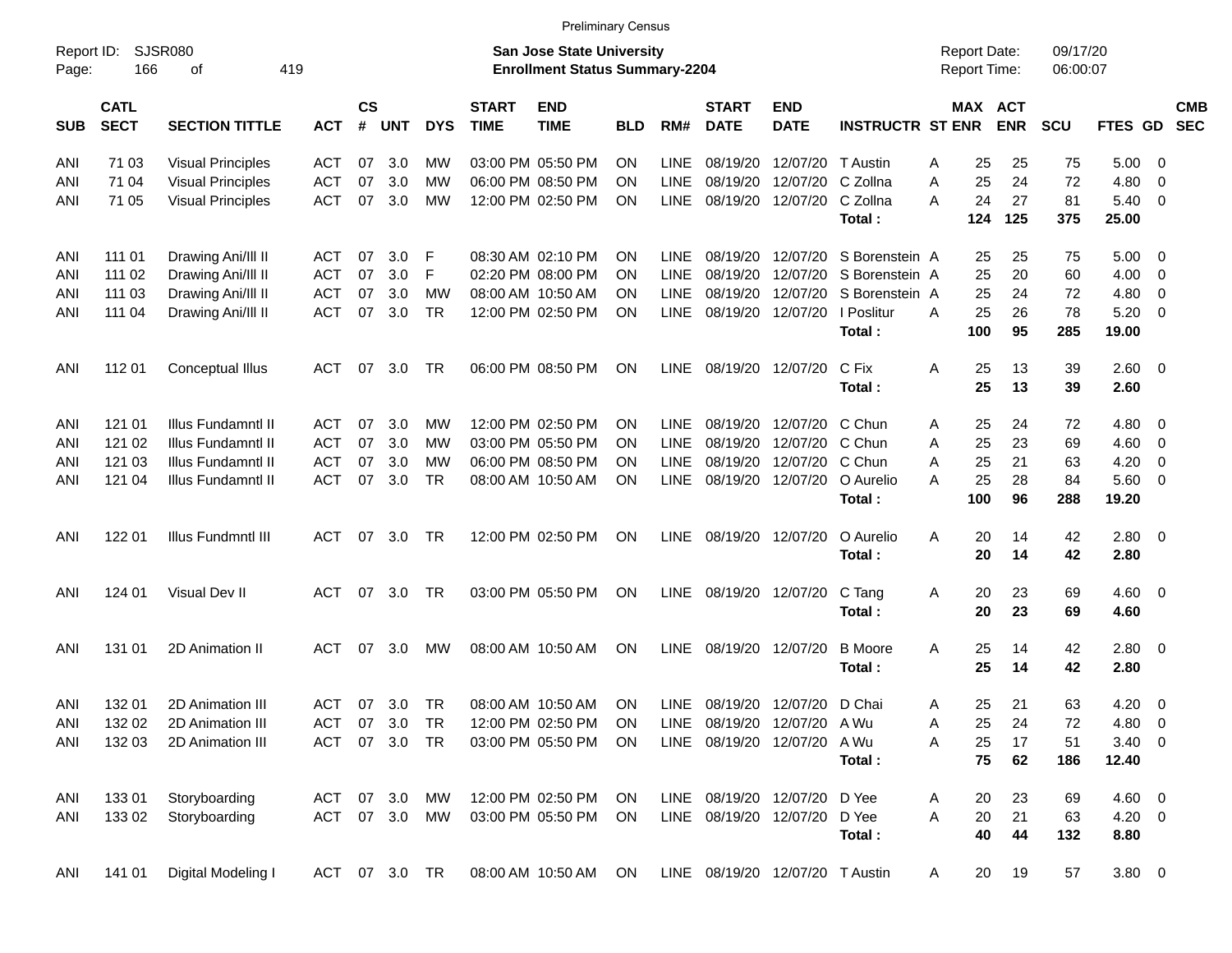|                     |                            |                          |               |                    |            |            |                             | <b>Preliminary Census</b>                                                 |            |             |                             |                                 |                         |                                     |                       |                      |                |                          |                          |
|---------------------|----------------------------|--------------------------|---------------|--------------------|------------|------------|-----------------------------|---------------------------------------------------------------------------|------------|-------------|-----------------------------|---------------------------------|-------------------------|-------------------------------------|-----------------------|----------------------|----------------|--------------------------|--------------------------|
| Report ID:<br>Page: | 166                        | SJSR080<br>419<br>οf     |               |                    |            |            |                             | <b>San Jose State University</b><br><b>Enrollment Status Summary-2204</b> |            |             |                             |                                 |                         | <b>Report Date:</b><br>Report Time: |                       | 09/17/20<br>06:00:07 |                |                          |                          |
| <b>SUB</b>          | <b>CATL</b><br><b>SECT</b> | <b>SECTION TITTLE</b>    | <b>ACT</b>    | $\mathsf{cs}$<br># | <b>UNT</b> | <b>DYS</b> | <b>START</b><br><b>TIME</b> | <b>END</b><br><b>TIME</b>                                                 | <b>BLD</b> | RM#         | <b>START</b><br><b>DATE</b> | <b>END</b><br><b>DATE</b>       | <b>INSTRUCTR ST ENR</b> |                                     | MAX ACT<br><b>ENR</b> | <b>SCU</b>           | FTES GD        |                          | <b>CMB</b><br><b>SEC</b> |
| ANI                 | 71 03                      | <b>Visual Principles</b> | ACT           | 07                 | 3.0        | МW         |                             | 03:00 PM 05:50 PM                                                         | <b>ON</b>  | <b>LINE</b> | 08/19/20                    | 12/07/20 T Austin               |                         | Α                                   | 25<br>25              | 75                   | 5.00           | - 0                      |                          |
| ANI                 | 71 04                      | <b>Visual Principles</b> | <b>ACT</b>    | 07                 | 3.0        | МW         |                             | 06:00 PM 08:50 PM                                                         | <b>ON</b>  | <b>LINE</b> | 08/19/20                    | 12/07/20 C Zollna               |                         | Α                                   | 25<br>24              | 72                   | 4.80           | 0                        |                          |
| ANI                 | 71 05                      | <b>Visual Principles</b> | <b>ACT</b>    | 07                 | 3.0        | MW         |                             | 12:00 PM 02:50 PM                                                         | <b>ON</b>  | <b>LINE</b> | 08/19/20                    | 12/07/20                        | C Zollna                | A                                   | 24<br>27              | 81                   | 5.40           | - 0                      |                          |
|                     |                            |                          |               |                    |            |            |                             |                                                                           |            |             |                             |                                 | Total:                  | 124                                 | 125                   | 375                  | 25.00          |                          |                          |
| ANI                 | 111 01                     | Drawing Ani/III II       | <b>ACT</b>    | 07                 | 3.0        | F          |                             | 08:30 AM 02:10 PM                                                         | <b>ON</b>  | LINE        | 08/19/20                    |                                 | 12/07/20 S Borenstein A |                                     | 25<br>25              | 75                   | $5.00 \quad 0$ |                          |                          |
| ANI                 | 111 02                     | Drawing Ani/III II       | <b>ACT</b>    | 07                 | 3.0        | F          |                             | 02:20 PM 08:00 PM                                                         | ON         | <b>LINE</b> | 08/19/20                    |                                 | 12/07/20 S Borenstein A |                                     | 25<br>20              | 60                   | 4.00           | $\overline{\mathbf{0}}$  |                          |
| ANI                 | 111 03                     | Drawing Ani/III II       | <b>ACT</b>    | 07                 | 3.0        | МW         |                             | 08:00 AM 10:50 AM                                                         | ΟN         | <b>LINE</b> | 08/19/20                    | 12/07/20                        | S Borenstein A          |                                     | 25<br>24              | 72                   | 4.80           | 0                        |                          |
| ANI                 | 111 04                     | Drawing Ani/III II       | <b>ACT</b>    | 07                 | 3.0        | <b>TR</b>  |                             | 12:00 PM 02:50 PM                                                         | <b>ON</b>  | <b>LINE</b> | 08/19/20                    | 12/07/20                        | I Poslitur              | A                                   | 25<br>26              | 78                   | 5.20           | - 0                      |                          |
|                     |                            |                          |               |                    |            |            |                             |                                                                           |            |             |                             |                                 | Total:                  | 100                                 | 95                    | 285                  | 19.00          |                          |                          |
| ANI                 | 112 01                     | <b>Conceptual Illus</b>  | <b>ACT</b>    | 07                 | 3.0        | TR         |                             | 06:00 PM 08:50 PM                                                         | <b>ON</b>  | <b>LINE</b> | 08/19/20                    | 12/07/20                        | C Fix                   | Α                                   | 25<br>13              | 39                   | 2.60 0         |                          |                          |
|                     |                            |                          |               |                    |            |            |                             |                                                                           |            |             |                             |                                 | Total:                  |                                     | 25<br>13              | 39                   | 2.60           |                          |                          |
| ANI                 | 121 01                     | Illus Fundamntl II       | <b>ACT</b>    | 07                 | 3.0        | МW         |                             | 12:00 PM 02:50 PM                                                         | ON         | LINE        | 08/19/20                    | 12/07/20 C Chun                 |                         | Α                                   | 25<br>24              | 72                   | 4.80           | $\overline{\phantom{0}}$ |                          |
| ANI                 | 121 02                     | Illus Fundamntl II       | <b>ACT</b>    | 07                 | 3.0        | МW         |                             | 03:00 PM 05:50 PM                                                         | ON         | <b>LINE</b> | 08/19/20                    | 12/07/20 C Chun                 |                         | A                                   | 25<br>23              | 69                   | 4.60           | $\overline{\mathbf{0}}$  |                          |
| ANI                 | 121 03                     | Illus Fundamntl II       | <b>ACT</b>    | 07                 | 3.0        | МW         |                             | 06:00 PM 08:50 PM                                                         | ON         | <b>LINE</b> | 08/19/20                    | 12/07/20 C Chun                 |                         | A                                   | 25<br>21              | 63                   | 4.20           | 0                        |                          |
| ANI                 | 121 04                     | Illus Fundamntl II       | <b>ACT</b>    | 07                 | 3.0        | <b>TR</b>  |                             | 08:00 AM 10:50 AM                                                         | <b>ON</b>  | <b>LINE</b> | 08/19/20                    | 12/07/20                        | O Aurelio               | Α                                   | 25<br>28              | 84                   | $5.60 \quad 0$ |                          |                          |
|                     |                            |                          |               |                    |            |            |                             |                                                                           |            |             |                             |                                 | Total:                  | 100                                 | 96                    | 288                  | 19.20          |                          |                          |
| ANI                 | 122 01                     | Illus Fundmntl III       | <b>ACT</b>    | 07                 | 3.0        | TR         |                             | 12:00 PM 02:50 PM                                                         | ON         | <b>LINE</b> |                             | 08/19/20 12/07/20               | O Aurelio               | Α                                   | 20<br>14              | 42                   | 2.80 0         |                          |                          |
|                     |                            |                          |               |                    |            |            |                             |                                                                           |            |             |                             |                                 | Total:                  |                                     | 20<br>14              | 42                   | 2.80           |                          |                          |
| ANI                 | 124 01                     | Visual Dev II            | <b>ACT</b>    | 07                 | 3.0        | TR         |                             | 03:00 PM 05:50 PM                                                         | ON         | LINE        | 08/19/20                    | 12/07/20                        | C Tang                  | Α                                   | 20<br>23              | 69                   | $4.60$ 0       |                          |                          |
|                     |                            |                          |               |                    |            |            |                             |                                                                           |            |             |                             |                                 | Total:                  |                                     | 20<br>23              | 69                   | 4.60           |                          |                          |
| ANI                 | 131 01                     | 2D Animation II          | <b>ACT</b>    | 07                 | 3.0        | МW         |                             | 08:00 AM 10:50 AM                                                         | ON         | <b>LINE</b> | 08/19/20                    | 12/07/20                        | <b>B</b> Moore          | Α                                   | 25<br>14              | 42                   | 2.80 0         |                          |                          |
|                     |                            |                          |               |                    |            |            |                             |                                                                           |            |             |                             |                                 | Total:                  |                                     | 25<br>14              | 42                   | 2.80           |                          |                          |
| ANI                 | 132 01                     | 2D Animation III         | <b>ACT</b>    | 07                 | 3.0        | TR         |                             | 08:00 AM 10:50 AM                                                         | ON         | LINE        |                             | 08/19/20 12/07/20               | D Chai                  | Α                                   | 25<br>21              | 63                   | $4.20 \ 0$     |                          |                          |
| ANI                 | 132 02                     | 2D Animation III         | <b>ACT</b>    |                    | 07 3.0     | TR         |                             | 12:00 PM 02:50 PM                                                         | <b>ON</b>  |             |                             | LINE 08/19/20 12/07/20 A Wu     |                         | Α                                   | 25<br>24              | 72                   | 4.80           | $\overline{\phantom{0}}$ |                          |
| ANI                 | 132 03                     | 2D Animation III         | <b>ACT</b>    |                    | 07 3.0 TR  |            |                             | 03:00 PM 05:50 PM                                                         | ON.        |             |                             | LINE 08/19/20 12/07/20 A Wu     |                         | Α                                   | 25<br>17              | 51                   | $3.40 \ 0$     |                          |                          |
|                     |                            |                          |               |                    |            |            |                             |                                                                           |            |             |                             |                                 | Total:                  |                                     | 75<br>62              | 186                  | 12.40          |                          |                          |
| ANI                 | 133 01                     | Storyboarding            | ACT           |                    | 07 3.0     | MW         |                             | 12:00 PM 02:50 PM                                                         | ON         |             |                             | LINE 08/19/20 12/07/20 D Yee    |                         | Α                                   | 20<br>23              | 69                   | $4.60$ 0       |                          |                          |
| ANI                 | 133 02                     | Storyboarding            | ACT           |                    | 07 3.0     | MW         |                             | 03:00 PM 05:50 PM                                                         | ON         |             |                             | LINE 08/19/20 12/07/20 D Yee    |                         | A                                   | 20<br>21              | 63                   | $4.20 \ 0$     |                          |                          |
|                     |                            |                          |               |                    |            |            |                             |                                                                           |            |             |                             |                                 | Total:                  |                                     | 40<br>44              | 132                  | 8.80           |                          |                          |
| ANI                 | 141 01                     | Digital Modeling I       | ACT 07 3.0 TR |                    |            |            |                             | 08:00 AM 10:50 AM ON                                                      |            |             |                             | LINE 08/19/20 12/07/20 T Austin |                         | A                                   | 20<br>19              | 57                   | 3.80 0         |                          |                          |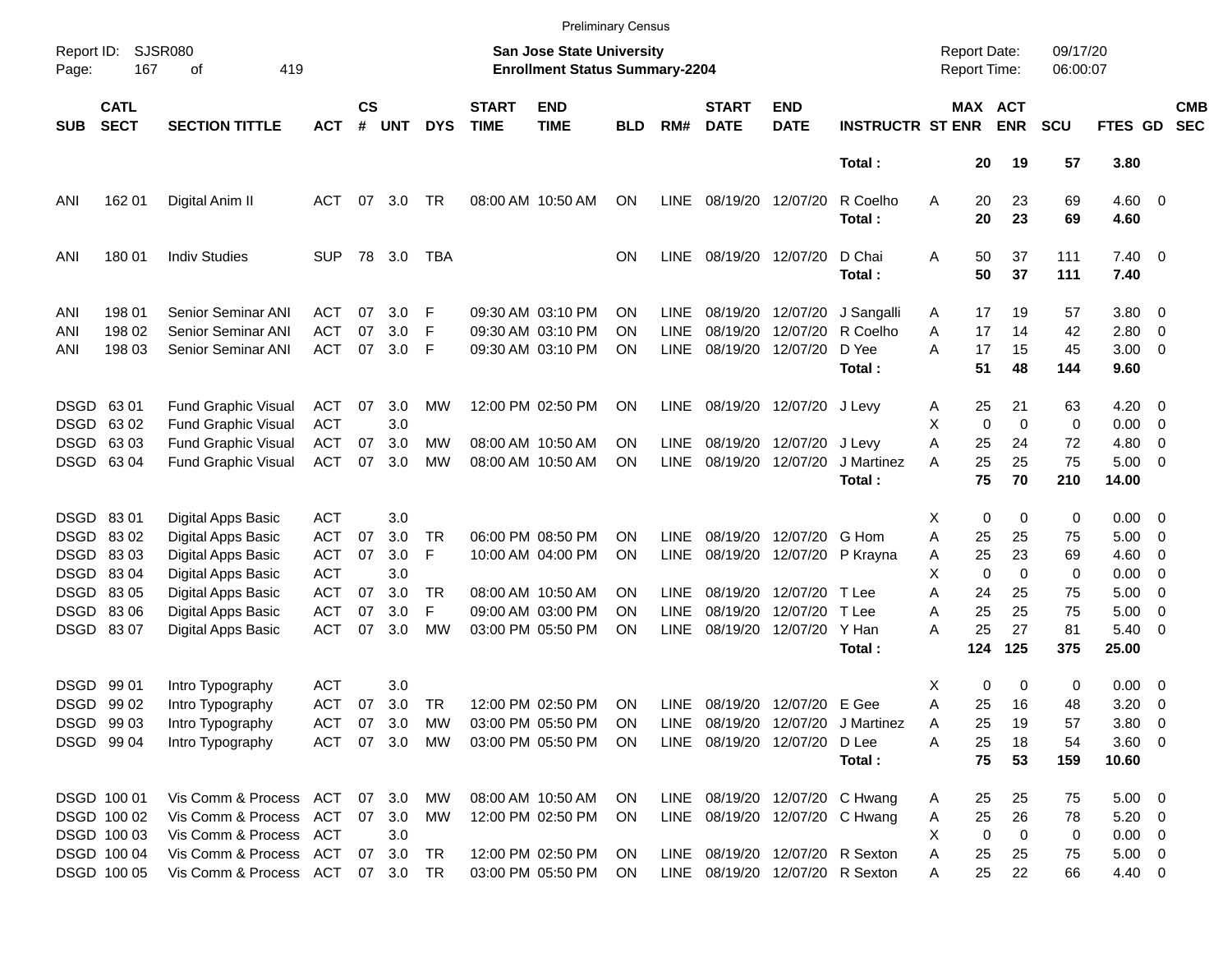|                     |                            |                                                          |                          |                    |            |            |                             |                                                                           | <b>Preliminary Census</b> |                            |                                 |                           |                                   |                                     |                       |                      |                        |                                                     |                          |
|---------------------|----------------------------|----------------------------------------------------------|--------------------------|--------------------|------------|------------|-----------------------------|---------------------------------------------------------------------------|---------------------------|----------------------------|---------------------------------|---------------------------|-----------------------------------|-------------------------------------|-----------------------|----------------------|------------------------|-----------------------------------------------------|--------------------------|
| Report ID:<br>Page: | 167                        | SJSR080<br>419<br>оf                                     |                          |                    |            |            |                             | <b>San Jose State University</b><br><b>Enrollment Status Summary-2204</b> |                           |                            |                                 |                           |                                   | <b>Report Date:</b><br>Report Time: |                       | 09/17/20<br>06:00:07 |                        |                                                     |                          |
| <b>SUB</b>          | <b>CATL</b><br><b>SECT</b> | <b>SECTION TITTLE</b>                                    | <b>ACT</b>               | $\mathsf{cs}$<br># | <b>UNT</b> | <b>DYS</b> | <b>START</b><br><b>TIME</b> | <b>END</b><br><b>TIME</b>                                                 | BLD                       | RM#                        | <b>START</b><br><b>DATE</b>     | <b>END</b><br><b>DATE</b> | <b>INSTRUCTR ST ENR</b>           |                                     | MAX ACT<br><b>ENR</b> | <b>SCU</b>           | FTES GD                |                                                     | <b>CMB</b><br><b>SEC</b> |
|                     |                            |                                                          |                          |                    |            |            |                             |                                                                           |                           |                            |                                 |                           | Total:                            | 20                                  | 19                    | 57                   | 3.80                   |                                                     |                          |
| ANI                 | 162 01                     | Digital Anim II                                          | ACT                      | 07                 | 3.0        | TR         |                             | 08:00 AM 10:50 AM                                                         | ON                        | <b>LINE</b>                | 08/19/20 12/07/20               |                           | R Coelho<br>Total:                | Α<br>20<br>20                       | 23<br>23              | 69<br>69             | $4.60$ 0<br>4.60       |                                                     |                          |
| ANI                 | 180 01                     | <b>Indiv Studies</b>                                     | <b>SUP</b>               |                    | 78 3.0     | TBA        |                             |                                                                           | ΟN                        | <b>LINE</b>                | 08/19/20 12/07/20               |                           | D Chai<br>Total:                  | 50<br>Α<br>50                       | 37<br>37              | 111<br>111           | $7.40 \quad 0$<br>7.40 |                                                     |                          |
| ANI                 | 198 01                     | Senior Seminar ANI                                       | ACT                      | 07                 | 3.0        | F          |                             | 09:30 AM 03:10 PM                                                         | ΟN                        | <b>LINE</b>                | 08/19/20                        | 12/07/20                  | J Sangalli                        | 17<br>A                             | 19                    | 57                   | 3.80 0                 |                                                     |                          |
| ANI<br>ANI          | 198 02<br>198 03           | Senior Seminar ANI<br><b>Senior Seminar ANI</b>          | <b>ACT</b><br><b>ACT</b> | 07<br>07           | 3.0<br>3.0 | F<br>F     |                             | 09:30 AM 03:10 PM<br>09:30 AM 03:10 PM                                    | OΝ<br>ΟN                  | <b>LINE</b><br><b>LINE</b> | 08/19/20<br>08/19/20            | 12/07/20<br>12/07/20      | R Coelho<br>D Yee<br>Total:       | A<br>17<br>A<br>17<br>51            | 14<br>15<br>48        | 42<br>45<br>144      | 2.80<br>3.00<br>9.60   | $\overline{\mathbf{0}}$<br>$\overline{\phantom{0}}$ |                          |
|                     | DSGD 6301                  | <b>Fund Graphic Visual</b>                               | <b>ACT</b>               | 07                 | 3.0        | MW         |                             | 12:00 PM 02:50 PM                                                         | ON                        | <b>LINE</b>                |                                 | 08/19/20 12/07/20         | J Levy                            | 25<br>Α                             | 21                    | 63                   | 4.20                   | $\overline{\phantom{0}}$                            |                          |
|                     | DSGD 6302                  | <b>Fund Graphic Visual</b>                               | <b>ACT</b>               |                    | 3.0        |            |                             |                                                                           |                           |                            |                                 |                           |                                   | х<br>$\mathbf 0$                    | $\mathbf 0$           | 0                    | 0.00                   | $\overline{\mathbf{0}}$                             |                          |
|                     | DSGD 63 03<br>DSGD 63 04   | <b>Fund Graphic Visual</b><br><b>Fund Graphic Visual</b> | <b>ACT</b><br><b>ACT</b> | 07<br>07           | 3.0<br>3.0 | MW<br>MW   |                             | 08:00 AM 10:50 AM<br>08:00 AM 10:50 AM                                    | OΝ<br>ΟN                  | <b>LINE</b><br><b>LINE</b> | 08/19/20 12/07/20               | 08/19/20 12/07/20         | J Levy<br>J Martinez              | A<br>25<br>25<br>А                  | 24<br>25              | 72<br>75             | 4.80<br>$5.00 \t 0$    | $\overline{\mathbf{0}}$                             |                          |
|                     |                            |                                                          |                          |                    |            |            |                             |                                                                           |                           |                            |                                 |                           | Total:                            | 75                                  | 70                    | 210                  | 14.00                  |                                                     |                          |
|                     | DSGD 8301                  | Digital Apps Basic                                       | ACT                      |                    | 3.0        |            |                             |                                                                           |                           |                            |                                 |                           |                                   | X<br>0                              | 0                     | 0                    | $0.00 \t 0$            |                                                     |                          |
|                     | DSGD 8302                  | Digital Apps Basic                                       | <b>ACT</b>               | 07                 | 3.0        | TR         |                             | 06:00 PM 08:50 PM                                                         | OΝ                        | <b>LINE</b>                | 08/19/20                        | 12/07/20                  | G Hom                             | 25<br>Α                             | 25                    | 75                   | 5.00                   | $\overline{\phantom{0}}$                            |                          |
|                     | DSGD 8303                  | Digital Apps Basic                                       | <b>ACT</b>               | 07                 | 3.0        | F          |                             | 10:00 AM 04:00 PM                                                         | ON                        | LINE                       |                                 | 08/19/20 12/07/20         | P Krayna                          | 25<br>Α                             | 23                    | 69                   | 4.60                   | $\overline{\mathbf{0}}$                             |                          |
|                     | DSGD 8304                  | Digital Apps Basic                                       | <b>ACT</b>               |                    | 3.0        |            |                             |                                                                           |                           |                            |                                 |                           |                                   | X<br>$\mathbf 0$                    | 0                     | 0                    | 0.00                   | - 0                                                 |                          |
|                     | DSGD 83 05                 | Digital Apps Basic                                       | <b>ACT</b>               | 07                 | 3.0        | <b>TR</b>  |                             | 08:00 AM 10:50 AM                                                         | ON                        | <b>LINE</b>                | 08/19/20                        | 12/07/20                  | T Lee                             | A<br>24                             | 25                    | 75                   | 5.00                   | $\overline{\mathbf{0}}$                             |                          |
|                     | DSGD 8306                  | Digital Apps Basic                                       | <b>ACT</b>               | 07                 | 3.0        | F          |                             | 09:00 AM 03:00 PM                                                         | OΝ                        | <b>LINE</b>                | 08/19/20                        | 12/07/20                  | T Lee                             | 25<br>Α                             | 25                    | 75                   | 5.00                   | $\overline{\mathbf{0}}$                             |                          |
|                     | DSGD 8307                  | Digital Apps Basic                                       | <b>ACT</b>               | 07                 | 3.0        | <b>MW</b>  |                             | 03:00 PM 05:50 PM                                                         | ΟN                        | <b>LINE</b>                | 08/19/20                        | 12/07/20                  | Y Han                             | А<br>25                             | 27                    | 81                   | 5.40                   | $\overline{\phantom{0}}$                            |                          |
|                     |                            |                                                          |                          |                    |            |            |                             |                                                                           |                           |                            |                                 |                           | Total:                            | 124                                 | 125                   | 375                  | 25.00                  |                                                     |                          |
|                     | DSGD 9901                  | Intro Typography                                         | <b>ACT</b>               |                    | 3.0        |            |                             |                                                                           |                           |                            |                                 |                           |                                   | х                                   | 0<br>0                | 0                    | $0.00 \t 0$            |                                                     |                          |
|                     | DSGD 99 02                 | Intro Typography                                         | <b>ACT</b>               | 07                 | 3.0        | TR         |                             | 12:00 PM 02:50 PM                                                         | ON                        | <b>LINE</b>                |                                 | 08/19/20 12/07/20 E Gee   |                                   | Α<br>25                             | 16                    | 48                   | 3.20                   | $\overline{\phantom{0}}$                            |                          |
|                     | DSGD 99 03                 | Intro Typography                                         | <b>ACT</b>               | 07                 | 3.0        | MW         |                             | 03:00 PM 05:50 PM                                                         | ON                        |                            |                                 |                           | LINE 08/19/20 12/07/20 J Martinez | 25<br>Α                             | 19                    | 57                   | $3.80\ 0$              |                                                     |                          |
|                     | DSGD 99 04                 | Intro Typography                                         | <b>ACT</b>               |                    | 07 3.0     | МW         |                             | 03:00 PM 05:50 PM                                                         | ON.                       |                            | LINE 08/19/20 12/07/20          |                           | D Lee                             | Α<br>25                             | 18                    | 54                   | 3.60 0                 |                                                     |                          |
|                     |                            |                                                          |                          |                    |            |            |                             |                                                                           |                           |                            |                                 |                           | Total:                            | 75                                  | 53                    | 159                  | 10.60                  |                                                     |                          |
|                     | DSGD 100 01                | Vis Comm & Process ACT                                   |                          |                    | 07 3.0     | MW         |                             | 08:00 AM 10:50 AM                                                         | ON.                       |                            | LINE 08/19/20 12/07/20 C Hwang  |                           |                                   | 25<br>Α                             | 25                    | 75                   | $5.00 \t 0$            |                                                     |                          |
|                     | DSGD 100 02                | Vis Comm & Process                                       | ACT                      |                    | 07 3.0     | МW         |                             | 12:00 PM 02:50 PM                                                         | ON                        |                            |                                 |                           | LINE 08/19/20 12/07/20 C Hwang    | 25<br>Α                             | 26                    | 78                   | $5.20 \ 0$             |                                                     |                          |
|                     | DSGD 100 03                | Vis Comm & Process ACT                                   |                          |                    | 3.0        |            |                             |                                                                           |                           |                            |                                 |                           |                                   | 0<br>X                              | $\mathbf 0$           | 0                    | $0.00 \t 0$            |                                                     |                          |
|                     | DSGD 100 04                | Vis Comm & Process ACT                                   |                          |                    | 07 3.0     | TR         |                             | 12:00 PM 02:50 PM                                                         | ON                        |                            | LINE 08/19/20 12/07/20 R Sexton |                           |                                   | 25<br>Α                             | 25                    | 75                   | $5.00 \t 0$            |                                                     |                          |
|                     | DSGD 100 05                | Vis Comm & Process ACT                                   |                          |                    | 07 3.0     | TR         |                             | 03:00 PM 05:50 PM                                                         | ON                        |                            | LINE 08/19/20 12/07/20 R Sexton |                           |                                   | 25<br>Α                             | 22                    | 66                   | 4.40 0                 |                                                     |                          |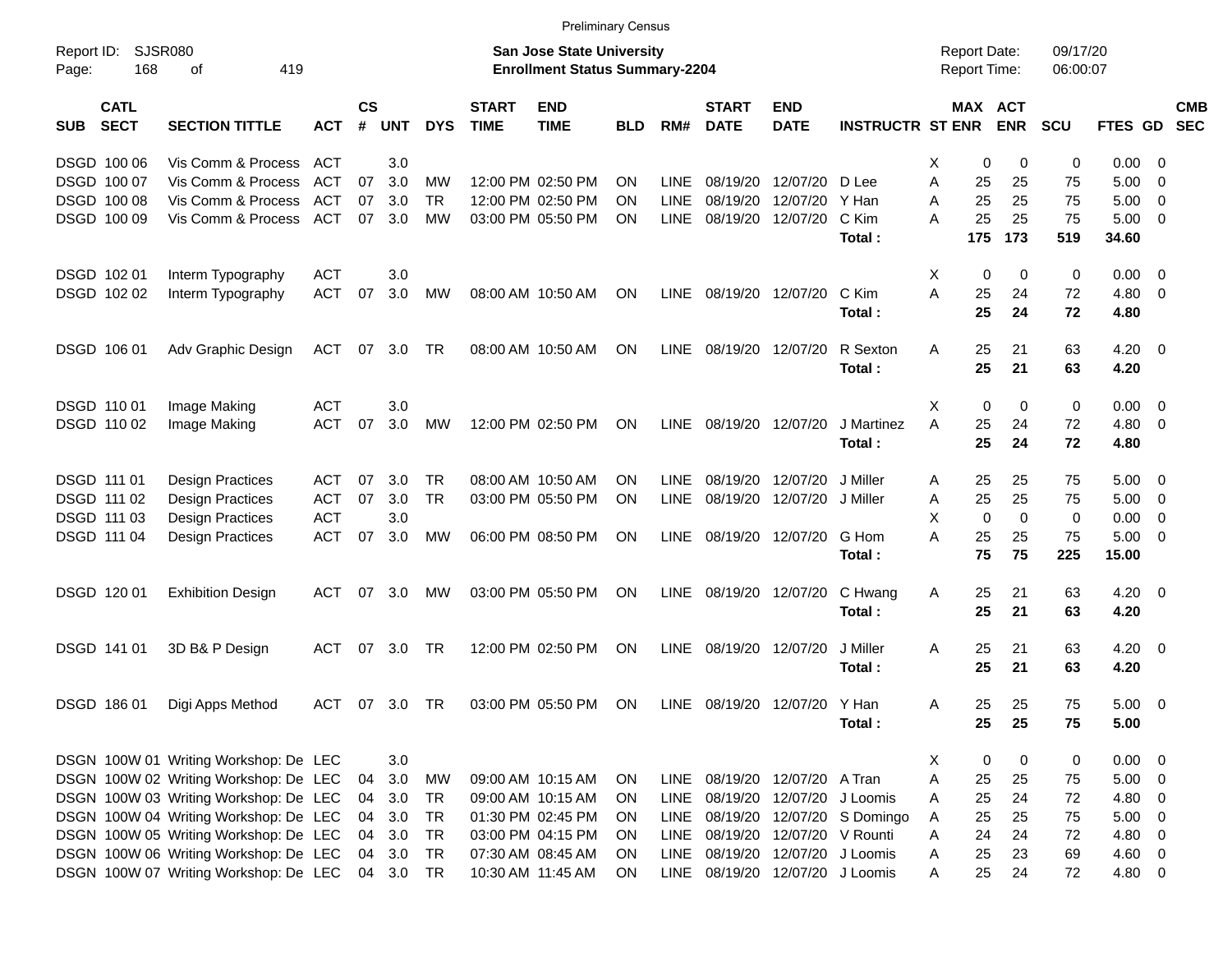DSGD 100 06 Vis Comm & Process ACT 3.0 X 0 0 0 0.00 0 DSGD 100 07 Vis Comm & Process ACT 07 3.0 MW 12:00 PM 02:50 PM ON LINE 08/19/20 12/07/20 D Lee A 25 25 75 5.00 0 DSGD 100 08 Vis Comm & Process ACT 07 3.0 TR 12:00 PM 02:50 PM ON LINE 08/19/20 12/07/20 Y Han A 25 25 75 5.00 0 DSGD 100 09 Vis Comm & Process ACT 07 3.0 MW 03:00 PM 05:50 PM ON LINE 08/19/20 12/07/20 C Kim A 25 25 75 5.00 0 **Total : 175 173 519 34.60** DSGD 102 01 Interm Typography ACT 3.0 X 0 0 0 0.00 0 DSGD 102 02 Interm Typography ACT 07 3.0 MW 08:00 AM 10:50 AM ON LINE 08/19/20 12/07/20 C Kim A 25 24 72 4.80 0 **Total : 25 24 72 4.80** DSGD 106 01 Adv Graphic Design ACT 07 3.0 TR 08:00 AM 10:50 AM ON LINE 08/19/20 12/07/20 R Sexton A 25 21 63 4.20 0 **Total : 25 21 63 4.20** DSGD 110 01 Image Making ACT 3.0 X 0 0 0 0.00 0 DSGD 110 02 Image Making ACT 07 3.0 MW 12:00 PM 02:50 PM ON LINE 08/19/20 12/07/20 J Martinez A 25 24 72 4.80 0 **Total : 25 24 72 4.80** DSGD 111 01 Design Practices ACT 07 3.0 TR 08:00 AM 10:50 AM ON LINE 08/19/20 12/07/20 J Miller A 25 25 75 5.00 0 DSGD 111 02 Design Practices ACT 07 3.0 TR 03:00 PM 05:50 PM ON LINE 08/19/20 12/07/20 J Miller A 25 25 75 5.00 0 DSGD 111 03 Design Practices ACT 3.0 X 0 0 0 0.00 0 DSGD 111 04 Design Practices ACT 07 3.0 MW 06:00 PM 08:50 PM ON LINE 08/19/20 12/07/20 G Hom A 25 25 75 5.00 0 **Total : 75 75 225 15.00** DSGD 120 01 Exhibition Design ACT 07 3.0 MW 03:00 PM 05:50 PM ON LINE 08/19/20 12/07/20 C Hwang A 25 21 63 4.20 0 **Total : 25 21 63 4.20** DSGD 141 01 3D B& P Design ACT 07 3.0 TR 12:00 PM 02:50 PM ON LINE 08/19/20 12/07/20 J Miller A 25 21 63 4.20 0 **Total : 25 21 63 4.20** DSGD 186 01 Digi Apps Method ACT 07 3.0 TR 03:00 PM 05:50 PM ON LINE 08/19/20 12/07/20 Y Han A 25 25 75 5.00 0 **Total : 25 25 75 5.00** DSGN 100W 01 Writing Workshop: De LEC 3.0 X 0 0 0 0.00 0 DSGN 100W 02 Writing Workshop: De LEC 04 3.0 MW 09:00 AM 10:15 AM ON LINE 08/19/20 12/07/20 A Tran A 25 25 75 5.00 0 DSGN 100W 03 Writing Workshop: De LEC 04 3.0 TR 09:00 AM 10:15 AM ON LINE 08/19/20 12/07/20 J Loomis A 25 24 72 4.80 0 DSGN 100W 04 Writing Workshop: De LEC 04 3.0 TR 01:30 PM 02:45 PM ON LINE 08/19/20 12/07/20 S Domingo A 25 25 75 5.00 0 DSGN 100W 05 Writing Workshop: De LEC 04 3.0 TR 03:00 PM 04:15 PM ON LINE 08/19/20 12/07/20 V Rounti A 24 24 72 4.80 0 DSGN 100W 06 Writing Workshop: De LEC 04 3.0 TR 07:30 AM 08:45 AM ON LINE 08/19/20 12/07/20 J Loomis A 25 23 69 4.60 0 DSGN 100W 07 Writing Workshop: De LEC 04 3.0 TR 10:30 AM 11:45 AM ON LINE 08/19/20 12/07/20 J Loomis A 25 24 72 4.80 0 Report ID: SJSR080 **San Jose State University San Jose State University** Report Date: 09/17/20 Page: 168 of 419 **Enrollment Status Summary-2204** Report Time: 06:00:07 **CATL CS START END START END MAX ACT CMB** SUB SECT SECTION TITTLE ACT # UNT DYS TIME TIME BLD RM# DATE DATE INSTRUCTR STENR ENR SCU FTES GD SEC Preliminary Census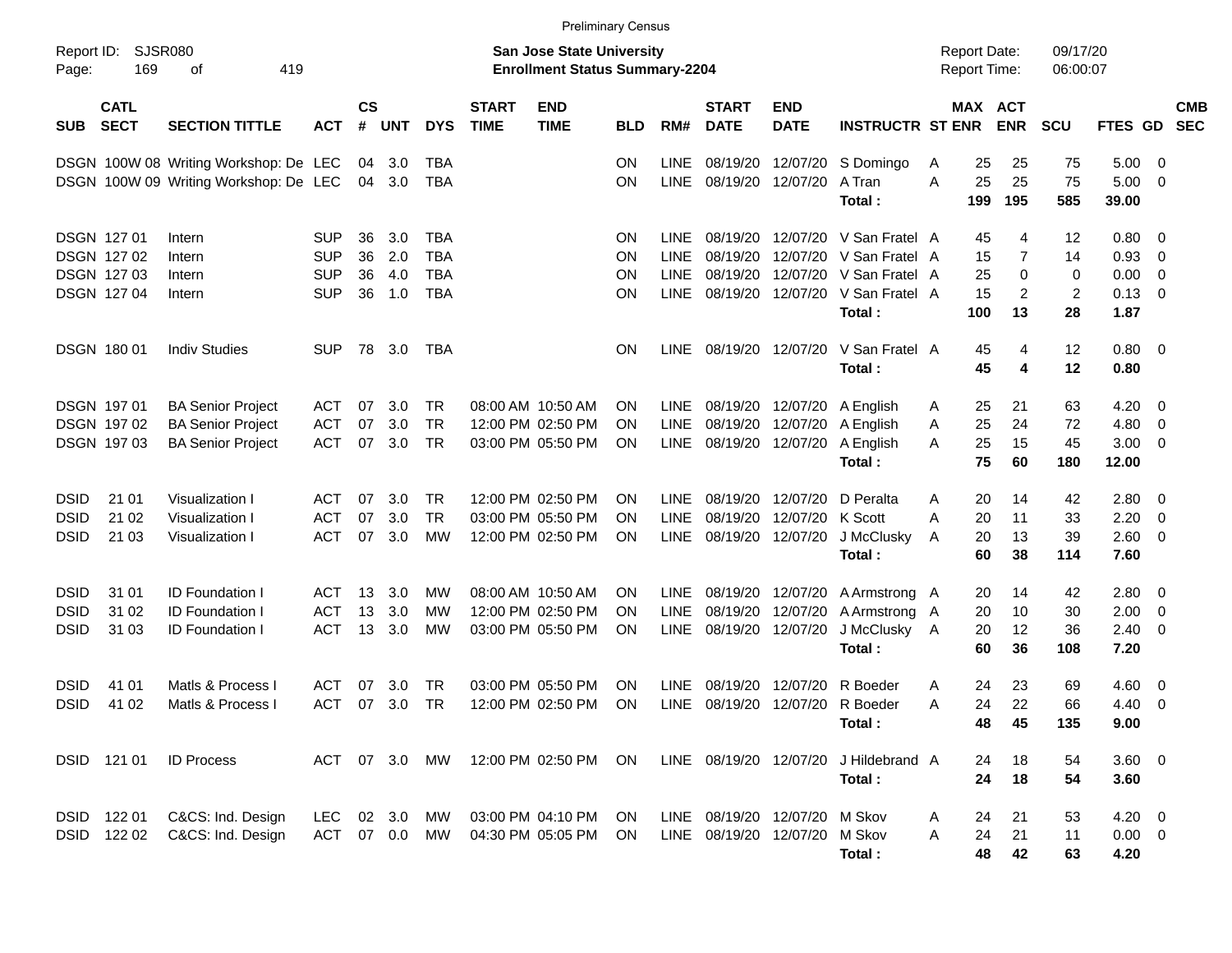|                                    |                                                                            |                                                                                  |                                                      |                      |                          |                                 |                             |                                                                           | <b>Preliminary Census</b>                 |                                                          |                                                  |                                                       |                                                                                |             |                                            |                                     |                                       |                                      |                                                                                                          |                          |
|------------------------------------|----------------------------------------------------------------------------|----------------------------------------------------------------------------------|------------------------------------------------------|----------------------|--------------------------|---------------------------------|-----------------------------|---------------------------------------------------------------------------|-------------------------------------------|----------------------------------------------------------|--------------------------------------------------|-------------------------------------------------------|--------------------------------------------------------------------------------|-------------|--------------------------------------------|-------------------------------------|---------------------------------------|--------------------------------------|----------------------------------------------------------------------------------------------------------|--------------------------|
| Report ID:<br>Page:                | SJSR080<br>169                                                             | 419<br>оf                                                                        |                                                      |                      |                          |                                 |                             | <b>San Jose State University</b><br><b>Enrollment Status Summary-2204</b> |                                           |                                                          |                                                  |                                                       |                                                                                |             | <b>Report Date:</b><br><b>Report Time:</b> |                                     | 09/17/20<br>06:00:07                  |                                      |                                                                                                          |                          |
| <b>SUB</b>                         | <b>CATL</b><br><b>SECT</b>                                                 | <b>SECTION TITTLE</b>                                                            | <b>ACT</b>                                           | $\mathsf{cs}$<br>#   | <b>UNT</b>               | <b>DYS</b>                      | <b>START</b><br><b>TIME</b> | <b>END</b><br><b>TIME</b>                                                 | <b>BLD</b>                                | RM#                                                      | <b>START</b><br><b>DATE</b>                      | <b>END</b><br><b>DATE</b>                             | <b>INSTRUCTR ST ENR</b>                                                        |             | MAX ACT                                    | <b>ENR</b>                          | <b>SCU</b>                            | <b>FTES GD</b>                       |                                                                                                          | <b>CMB</b><br><b>SEC</b> |
|                                    |                                                                            | DSGN 100W 08 Writing Workshop: De LEC<br>DSGN 100W 09 Writing Workshop: De LEC   |                                                      |                      | 04 3.0<br>04 3.0         | TBA<br>TBA                      |                             |                                                                           | <b>ON</b><br>ON                           | <b>LINE</b><br><b>LINE</b>                               | 08/19/20                                         | 12/07/20<br>08/19/20 12/07/20                         | S Domingo<br>A Tran<br>Total:                                                  | A<br>A      | 25<br>25<br>199                            | 25<br>25<br>195                     | 75<br>75<br>585                       | 5.00<br>5.00<br>39.00                | - 0<br>- 0                                                                                               |                          |
|                                    | <b>DSGN 12701</b><br><b>DSGN 12702</b><br><b>DSGN 12703</b><br>DSGN 127 04 | Intern<br>Intern<br>Intern<br>Intern                                             | <b>SUP</b><br><b>SUP</b><br><b>SUP</b><br><b>SUP</b> | 36<br>36<br>36<br>36 | 3.0<br>2.0<br>4.0<br>1.0 | TBA<br>TBA<br>TBA<br><b>TBA</b> |                             |                                                                           | <b>ON</b><br><b>ON</b><br><b>ON</b><br>ΟN | <b>LINE</b><br><b>LINE</b><br><b>LINE</b><br><b>LINE</b> | 08/19/20<br>08/19/20<br>08/19/20                 | 12/07/20<br>12/07/20<br>12/07/20<br>08/19/20 12/07/20 | V San Fratel A<br>V San Fratel A<br>V San Fratel A<br>V San Fratel A<br>Total: |             | 45<br>15<br>25<br>15<br>100                | 4<br>7<br>0<br>$\overline{2}$<br>13 | 12<br>14<br>0<br>$\overline{2}$<br>28 | 0.80<br>0.93<br>0.00<br>0.13<br>1.87 | $\overline{\mathbf{0}}$<br>$\overline{\mathbf{0}}$<br>$\overline{\mathbf{0}}$<br>$\overline{\mathbf{0}}$ |                          |
|                                    | DSGN 180 01                                                                | <b>Indiv Studies</b>                                                             | <b>SUP</b>                                           | 78                   | 3.0                      | TBA                             |                             |                                                                           | <b>ON</b>                                 | <b>LINE</b>                                              | 08/19/20 12/07/20                                |                                                       | V San Fratel A<br>Total:                                                       |             | 45<br>45                                   | 4<br>4                              | 12<br>12                              | 0.80 0<br>0.80                       |                                                                                                          |                          |
|                                    | DSGN 197 01<br>DSGN 197 02<br>DSGN 197 03                                  | <b>BA Senior Project</b><br><b>BA Senior Project</b><br><b>BA Senior Project</b> | ACT<br><b>ACT</b><br><b>ACT</b>                      | 07<br>07<br>07       | 3.0<br>3.0<br>3.0        | TR<br>TR<br><b>TR</b>           |                             | 08:00 AM 10:50 AM<br>12:00 PM 02:50 PM<br>03:00 PM 05:50 PM               | <b>ON</b><br>ON<br>ΟN                     | <b>LINE</b><br>LINE<br><b>LINE</b>                       | 08/19/20                                         | 08/19/20 12/07/20<br>12/07/20<br>08/19/20 12/07/20    | A English<br>A English<br>A English<br>Total:                                  | A<br>A<br>A | 25<br>25<br>25<br>75                       | 21<br>24<br>15<br>60                | 63<br>72<br>45<br>180                 | 4.20<br>4.80<br>3.00<br>12.00        | $\overline{\mathbf{0}}$<br>$\mathbf 0$<br>- 0                                                            |                          |
| DSID<br><b>DSID</b><br><b>DSID</b> | 21 01<br>21 02<br>21 03                                                    | Visualization I<br>Visualization I<br>Visualization I                            | ACT<br><b>ACT</b><br><b>ACT</b>                      | 07<br>07<br>07       | 3.0<br>3.0<br>3.0        | TR.<br><b>TR</b><br>MW          |                             | 12:00 PM 02:50 PM<br>03:00 PM 05:50 PM<br>12:00 PM 02:50 PM               | ΟN<br>ΟN<br>ON                            | <b>LINE</b><br>LINE<br><b>LINE</b>                       | 08/19/20<br>08/19/20<br>08/19/20 12/07/20        | 12/07/20<br>12/07/20                                  | D Peralta<br>K Scott<br>J McClusky<br>Total:                                   | A<br>A<br>A | 20<br>20<br>20<br>60                       | 14<br>11<br>13<br>38                | 42<br>33<br>39<br>114                 | 2.80<br>2.20<br>2.60<br>7.60         | $\overline{\mathbf{0}}$<br>$\overline{\mathbf{0}}$<br>$\overline{\mathbf{0}}$                            |                          |
| DSID<br><b>DSID</b><br><b>DSID</b> | 31 01<br>31 02<br>31 03                                                    | <b>ID Foundation I</b><br><b>ID Foundation I</b><br><b>ID Foundation I</b>       | ACT<br><b>ACT</b><br><b>ACT</b>                      | 13<br>13<br>13       | 3.0<br>3.0<br>3.0        | MW<br>MW<br>MW                  |                             | 08:00 AM 10:50 AM<br>12:00 PM 02:50 PM<br>03:00 PM 05:50 PM               | <b>ON</b><br>ON<br>ΟN                     | LINE.<br>LINE<br><b>LINE</b>                             | 08/19/20<br>08/19/20 12/07/20                    | 08/19/20 12/07/20<br>12/07/20                         | A Armstrong A<br>A Armstrong A<br>J McClusky<br>Total:                         | A           | 20<br>20<br>20<br>60                       | 14<br>10<br>12<br>36                | 42<br>30<br>36<br>108                 | 2.80<br>2.00<br>2.40<br>7.20         | $\overline{\mathbf{0}}$<br>$\overline{\mathbf{0}}$<br>- 0                                                |                          |
| DSID<br><b>DSID</b>                | 41 01<br>41 02                                                             | Matls & Process I<br>Matls & Process I                                           | ACT<br><b>ACT</b>                                    | 07<br>07             | 3.0<br>3.0               | TR<br><b>TR</b>                 |                             | 03:00 PM 05:50 PM<br>12:00 PM 02:50 PM                                    | ON<br>ΟN                                  | LINE<br><b>LINE</b>                                      | 08/19/20                                         | 12/07/20                                              | R Boeder<br>08/19/20 12/07/20 R Boeder<br>Total:                               | A<br>A      | 24<br>24<br>48                             | 23<br>22<br>45                      | 69<br>66<br>135                       | 4.60<br>4.40<br>9.00                 | $\overline{\mathbf{0}}$<br>0                                                                             |                          |
|                                    | DSID 121 01                                                                | <b>ID Process</b>                                                                | ACT 07 3.0 MW                                        |                      |                          |                                 |                             | 12:00 PM 02:50 PM                                                         | ON                                        |                                                          | LINE 08/19/20 12/07/20                           |                                                       | J Hildebrand A<br>Total:                                                       |             | 24<br>24                                   | 18<br>18                            | 54<br>54                              | 3.60 0<br>3.60                       |                                                                                                          |                          |
| DSID                               | DSID 122 01<br>122 02                                                      | C&CS: Ind. Design<br>C&CS: Ind. Design                                           | LEC.<br>ACT 07 0.0 MW                                |                      | 02 3.0                   | МW                              |                             | 03:00 PM 04:10 PM<br>04:30 PM 05:05 PM                                    | ON<br><b>ON</b>                           |                                                          | LINE 08/19/20 12/07/20<br>LINE 08/19/20 12/07/20 |                                                       | M Skov<br>M Skov<br>Total:                                                     | A<br>Α      | 24<br>24<br>48                             | 21<br>21<br>42                      | 53<br>11<br>63                        | $4.20 \ 0$<br>$0.00 \t 0$<br>4.20    |                                                                                                          |                          |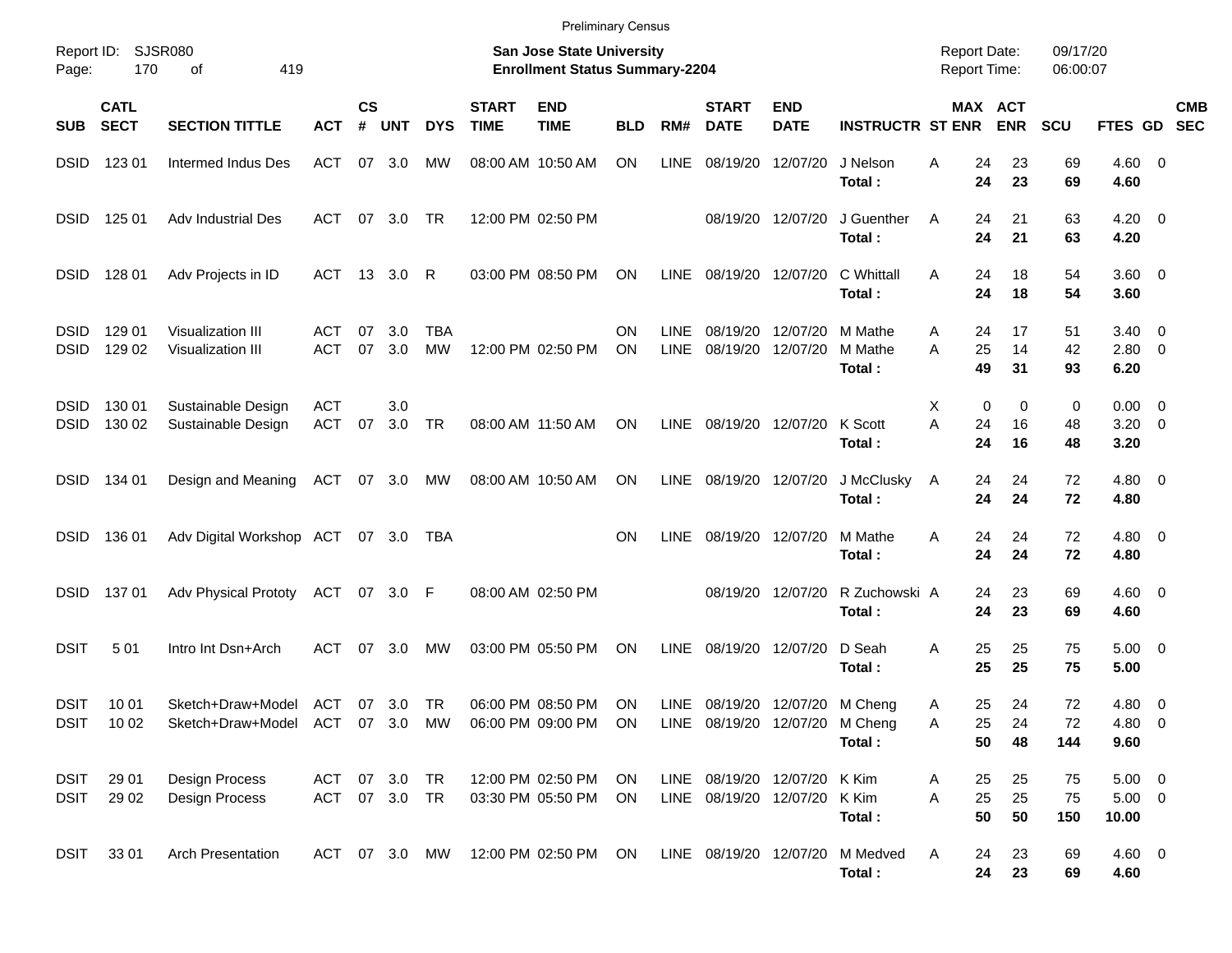|                            |                            |                                                                           |                                |                |            |                  |                             | <b>Preliminary Census</b>                                          |                 |                     |                                                              |                           |                              |                                            |                       |                      |                                     |                           |
|----------------------------|----------------------------|---------------------------------------------------------------------------|--------------------------------|----------------|------------|------------------|-----------------------------|--------------------------------------------------------------------|-----------------|---------------------|--------------------------------------------------------------|---------------------------|------------------------------|--------------------------------------------|-----------------------|----------------------|-------------------------------------|---------------------------|
| Report ID:<br>Page:        | 170                        | SJSR080<br>419<br>οf                                                      |                                |                |            |                  |                             | San Jose State University<br><b>Enrollment Status Summary-2204</b> |                 |                     |                                                              |                           |                              | <b>Report Date:</b><br><b>Report Time:</b> |                       | 09/17/20<br>06:00:07 |                                     |                           |
| <b>SUB</b>                 | <b>CATL</b><br><b>SECT</b> | <b>SECTION TITTLE</b>                                                     | <b>ACT</b>                     | <b>CS</b><br># | <b>UNT</b> | <b>DYS</b>       | <b>START</b><br><b>TIME</b> | <b>END</b><br><b>TIME</b>                                          | <b>BLD</b>      | RM#                 | <b>START</b><br><b>DATE</b>                                  | <b>END</b><br><b>DATE</b> | <b>INSTRUCTR ST ENR</b>      |                                            | MAX ACT<br><b>ENR</b> | <b>SCU</b>           |                                     | <b>CMB</b><br>FTES GD SEC |
| <b>DSID</b>                | 123 01                     | Intermed Indus Des                                                        | ACT                            |                | 07 3.0     | МW               |                             | 08:00 AM 10:50 AM                                                  | <b>ON</b>       | LINE                | 08/19/20                                                     | 12/07/20                  | J Nelson<br>Total:           | Α<br>24<br>24                              | 23<br>23              | 69<br>69             | $4.60$ 0<br>4.60                    |                           |
| <b>DSID</b>                | 125 01                     | Adv Industrial Des                                                        | ACT                            |                | 07 3.0     | TR               |                             | 12:00 PM 02:50 PM                                                  |                 |                     |                                                              | 08/19/20 12/07/20         | J Guenther<br>Total:         | 24<br>A<br>24                              | 21<br>21              | 63<br>63             | $4.20 \ 0$<br>4.20                  |                           |
| <b>DSID</b>                | 128 01                     | Adv Projects in ID                                                        | ACT                            |                | 13 3.0     | R                |                             | 03:00 PM 08:50 PM                                                  | ON              | <b>LINE</b>         |                                                              | 08/19/20 12/07/20         | C Whittall<br>Total:         | Α<br>24<br>24                              | 18<br>18              | 54<br>54             | $3.60 \ 0$<br>3.60                  |                           |
| <b>DSID</b><br><b>DSID</b> | 129 01<br>129 02           | Visualization III<br>Visualization III                                    | ACT<br>ACT                     | 07<br>07       | 3.0<br>3.0 | <b>TBA</b><br>MW |                             | 12:00 PM 02:50 PM                                                  | ON<br><b>ON</b> | <b>LINE</b><br>LINE | 08/19/20<br>08/19/20                                         | 12/07/20<br>12/07/20      | M Mathe<br>M Mathe<br>Total: | 24<br>A<br>A<br>25<br>49                   | 17<br>14<br>31        | 51<br>42<br>93       | $3.40 \quad 0$<br>2.80 0<br>6.20    |                           |
| <b>DSID</b><br><b>DSID</b> | 130 01<br>130 02           | Sustainable Design<br>Sustainable Design                                  | ACT<br>ACT                     | 07             | 3.0<br>3.0 | TR               |                             | 08:00 AM 11:50 AM                                                  | ON              | LINE                | 08/19/20 12/07/20                                            |                           | K Scott<br>Total:            | 0<br>Х<br>A<br>24<br>24                    | 0<br>16<br>16         | 0<br>48<br>48        | $0.00 \t 0$<br>$3.20 \ 0$<br>3.20   |                           |
| <b>DSID</b>                | 134 01                     | Design and Meaning                                                        | ACT 07 3.0                     |                |            | МW               |                             | 08:00 AM 10:50 AM                                                  | ON              | LINE                |                                                              | 08/19/20 12/07/20         | J McClusky<br>Total:         | 24<br>A<br>24                              | 24<br>24              | 72<br>72             | $4.80\ 0$<br>4.80                   |                           |
| <b>DSID</b>                | 136 01                     | Adv Digital Workshop ACT 07 3.0                                           |                                |                |            | TBA              |                             |                                                                    | <b>ON</b>       | <b>LINE</b>         |                                                              | 08/19/20 12/07/20         | M Mathe<br>Total:            | Α<br>24<br>24                              | 24<br>24              | 72<br>72             | $4.80\ 0$<br>4.80                   |                           |
| <b>DSID</b>                | 13701                      | <b>Adv Physical Prototy</b>                                               | ACT 07 3.0 F                   |                |            |                  |                             | 08:00 AM 02:50 PM                                                  |                 |                     |                                                              | 08/19/20 12/07/20         | R Zuchowski A<br>Total:      | 24<br>24                                   | 23<br>23              | 69<br>69             | $4.60$ 0<br>4.60                    |                           |
| <b>DSIT</b>                | 501                        | Intro Int Dsn+Arch                                                        | ACT                            | 07             | 3.0        | МW               |                             | 03:00 PM 05:50 PM                                                  | ON              | <b>LINE</b>         | 08/19/20                                                     | 12/07/20                  | D Seah<br>Total:             | 25<br>Α<br>25                              | 25<br>25              | 75<br>75             | $5.00 \t 0$<br>5.00                 |                           |
| <b>DSIT</b>                | 10 01<br>DSIT 10 02        | Sketch+Draw+Model<br>Sketch+Draw+Model ACT 07 3.0 MW 06:00 PM 09:00 PM ON | ACT 07 3.0 TR                  |                |            |                  |                             | 06:00 PM 08:50 PM                                                  | ON              | LINE                | 08/19/20 12/07/20 M Cheng<br>LINE 08/19/20 12/07/20 M Cheng  |                           | Total:                       | 25<br>A<br>Α<br>25<br>50                   | 24<br>24<br>48        | 72<br>72<br>144      | 4.80 0<br>$4.80\ 0$<br>9.60         |                           |
| DSIT<br><b>DSIT</b>        | 29 01<br>29 02             | Design Process<br>Design Process                                          | ACT 07 3.0 TR<br>ACT 07 3.0 TR |                |            |                  |                             | 12:00 PM 02:50 PM<br>03:30 PM 05:50 PM                             | ON<br>ON        |                     | LINE 08/19/20 12/07/20 K Kim<br>LINE 08/19/20 12/07/20 K Kim |                           | Total:                       | 25<br>A<br>25<br>A<br>50                   | 25<br>25<br>50        | 75<br>75<br>150      | $5.00 \t 0$<br>$5.00 \t 0$<br>10.00 |                           |
| DSIT                       | 33 01                      | <b>Arch Presentation</b>                                                  |                                |                |            | ACT 07 3.0 MW    |                             | 12:00 PM 02:50 PM ON                                               |                 |                     | LINE 08/19/20 12/07/20                                       |                           | M Medved<br>Total:           | A<br>24<br>24                              | 23<br>23              | 69<br>69             | $4.60$ 0<br>4.60                    |                           |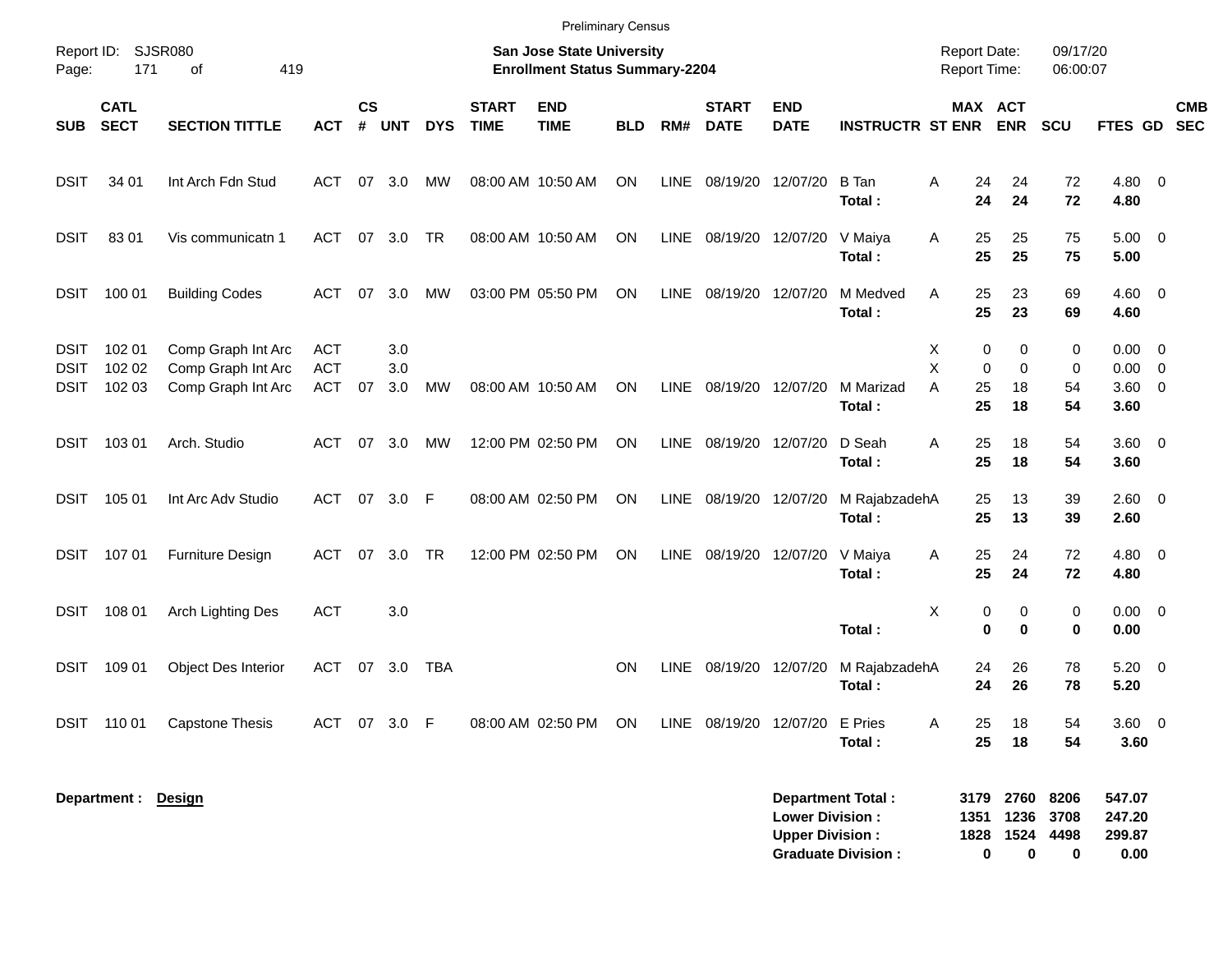|                                           |                            |                                                                |                                        |                |                   |            |                             | <b>Preliminary Census</b>                                                 |            |             |                             |                                                  |                                                       |                                             |                                |                                  |                                       |                          |            |
|-------------------------------------------|----------------------------|----------------------------------------------------------------|----------------------------------------|----------------|-------------------|------------|-----------------------------|---------------------------------------------------------------------------|------------|-------------|-----------------------------|--------------------------------------------------|-------------------------------------------------------|---------------------------------------------|--------------------------------|----------------------------------|---------------------------------------|--------------------------|------------|
| Page:                                     | Report ID: SJSR080<br>171  | 419<br>οf                                                      |                                        |                |                   |            |                             | <b>San Jose State University</b><br><b>Enrollment Status Summary-2204</b> |            |             |                             |                                                  |                                                       | <b>Report Date:</b><br><b>Report Time:</b>  |                                | 09/17/20<br>06:00:07             |                                       |                          |            |
| <b>SUB</b>                                | <b>CATL</b><br><b>SECT</b> | <b>SECTION TITTLE</b>                                          | <b>ACT</b>                             | <b>CS</b><br># | <b>UNT</b>        | <b>DYS</b> | <b>START</b><br><b>TIME</b> | <b>END</b><br><b>TIME</b>                                                 | <b>BLD</b> | RM#         | <b>START</b><br><b>DATE</b> | <b>END</b><br><b>DATE</b>                        | <b>INSTRUCTR ST ENR</b>                               | MAX ACT                                     | <b>ENR</b>                     | SCU                              | FTES GD SEC                           |                          | <b>CMB</b> |
| <b>DSIT</b>                               | 34 01                      | Int Arch Fdn Stud                                              | ACT                                    | 07             | 3.0               | MW         |                             | 08:00 AM 10:50 AM                                                         | <b>ON</b>  | LINE        | 08/19/20 12/07/20           |                                                  | B Tan<br>Total:                                       | A<br>24<br>24                               | 24<br>24                       | 72<br>72                         | 4.80 0<br>4.80                        |                          |            |
| <b>DSIT</b>                               | 8301                       | Vis communicatn 1                                              | <b>ACT</b>                             |                | 07 3.0            | <b>TR</b>  |                             | 08:00 AM 10:50 AM                                                         | <b>ON</b>  | LINE        | 08/19/20 12/07/20           |                                                  | V Maiya<br>Total:                                     | 25<br>Α<br>25                               | 25<br>25                       | 75<br>75                         | $5.00 \t 0$<br>5.00                   |                          |            |
| <b>DSIT</b>                               | 100 01                     | <b>Building Codes</b>                                          | <b>ACT</b>                             | 07             | 3.0               | MW         |                             | 03:00 PM 05:50 PM                                                         | <b>ON</b>  | LINE        | 08/19/20 12/07/20           |                                                  | M Medved<br>Total:                                    | A<br>25<br>25                               | 23<br>23                       | 69<br>69                         | $4.60$ 0<br>4.60                      |                          |            |
| <b>DSIT</b><br><b>DSIT</b><br><b>DSIT</b> | 102 01<br>102 02<br>102 03 | Comp Graph Int Arc<br>Comp Graph Int Arc<br>Comp Graph Int Arc | <b>ACT</b><br><b>ACT</b><br><b>ACT</b> | 07             | 3.0<br>3.0<br>3.0 | MW         |                             | 08:00 AM 10:50 AM                                                         | <b>ON</b>  | <b>LINE</b> | 08/19/20 12/07/20           |                                                  | M Marizad<br>Total:                                   | Х<br>0<br>X<br>$\mathbf 0$<br>25<br>A<br>25 | 0<br>$\mathbf 0$<br>18<br>18   | 0<br>0<br>54<br>54               | $0.00 \t 0$<br>0.00<br>3.60 0<br>3.60 | $\overline{\phantom{0}}$ |            |
| <b>DSIT</b>                               | 103 01                     | Arch. Studio                                                   | <b>ACT</b>                             | 07             | 3.0               | MW         |                             | 12:00 PM 02:50 PM                                                         | ON         | LINE        | 08/19/20 12/07/20           |                                                  | D Seah<br>Total:                                      | A<br>25<br>25                               | 18<br>18                       | 54<br>54                         | $3.60 \ 0$<br>3.60                    |                          |            |
| <b>DSIT</b>                               | 105 01                     | Int Arc Adv Studio                                             | <b>ACT</b>                             | 07             | 3.0               | F          |                             | 08:00 AM 02:50 PM                                                         | ON         | LINE        | 08/19/20 12/07/20           |                                                  | M RajabzadehA<br>Total:                               | 25<br>25                                    | 13<br>13                       | 39<br>39                         | $2.60 \t 0$<br>2.60                   |                          |            |
| <b>DSIT</b>                               | 107 01                     | Furniture Design                                               | <b>ACT</b>                             | 07             | 3.0               | <b>TR</b>  |                             | 12:00 PM 02:50 PM                                                         | <b>ON</b>  | LINE        | 08/19/20                    | 12/07/20                                         | V Maiya<br>Total:                                     | 25<br>Α<br>25                               | 24<br>24                       | 72<br>72                         | $4.80\ 0$<br>4.80                     |                          |            |
| <b>DSIT</b>                               | 108 01                     | Arch Lighting Des                                              | <b>ACT</b>                             |                | 3.0               |            |                             |                                                                           |            |             |                             |                                                  | Total:                                                | X<br>0<br>$\mathbf 0$                       | 0<br>0                         | 0<br>$\bf{0}$                    | $0.00 \t 0$<br>0.00                   |                          |            |
| <b>DSIT</b>                               | 109 01                     | Object Des Interior                                            | <b>ACT</b>                             | 07             | 3.0               | <b>TBA</b> |                             |                                                                           | <b>ON</b>  | LINE        | 08/19/20 12/07/20           |                                                  | M RajabzadehA<br>Total:                               | 24<br>24                                    | 26<br>26                       | 78<br>78                         | $5.20 \ 0$<br>5.20                    |                          |            |
|                                           | DSIT 110 01                | <b>Capstone Thesis</b>                                         | ACT                                    | 07             | 3.0 F             |            |                             | 08:00 AM 02:50 PM                                                         | ON         |             |                             | LINE 08/19/20 12/07/20 E Pries                   | Total:                                                | 25<br>Α<br>25                               | 18<br>18                       | 54<br>54                         | 3.60 0<br>3.60                        |                          |            |
|                                           | Department : Design        |                                                                |                                        |                |                   |            |                             |                                                                           |            |             |                             | <b>Lower Division:</b><br><b>Upper Division:</b> | <b>Department Total:</b><br><b>Graduate Division:</b> | 1351<br>1828<br>0                           | 3179 2760<br>1236<br>1524<br>0 | 8206<br>3708<br>4498<br>$\bf{0}$ | 547.07<br>247.20<br>299.87<br>0.00    |                          |            |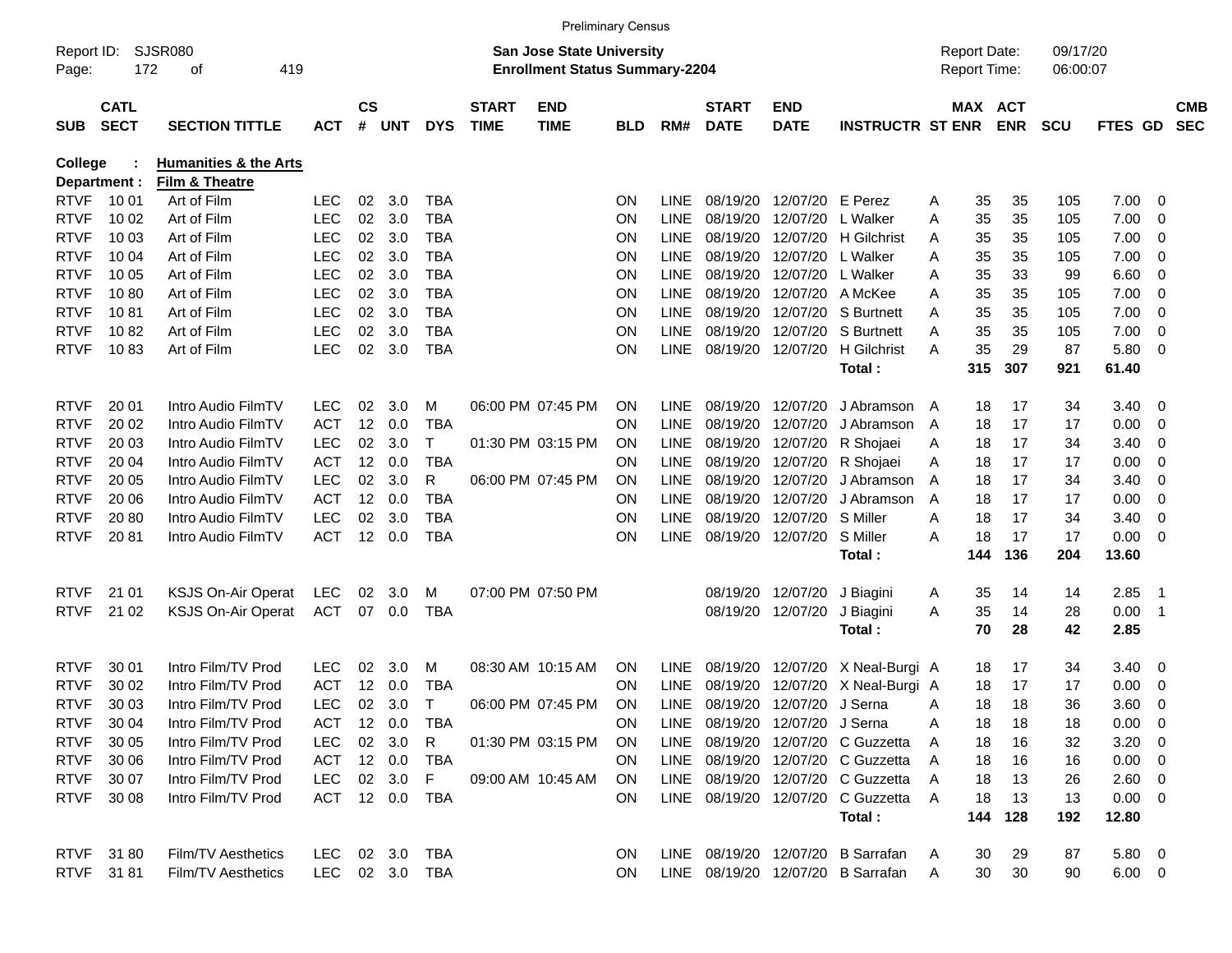|                     |                            |                                  |                |                |            |              |                             |                                                                           | <b>Preliminary Census</b> |             |                             |                                |                                     |   |                                     |            |                      |                |                            |                          |
|---------------------|----------------------------|----------------------------------|----------------|----------------|------------|--------------|-----------------------------|---------------------------------------------------------------------------|---------------------------|-------------|-----------------------------|--------------------------------|-------------------------------------|---|-------------------------------------|------------|----------------------|----------------|----------------------------|--------------------------|
| Report ID:<br>Page: | 172                        | SJSR080<br>419<br>οf             |                |                |            |              |                             | <b>San Jose State University</b><br><b>Enrollment Status Summary-2204</b> |                           |             |                             |                                |                                     |   | <b>Report Date:</b><br>Report Time: |            | 09/17/20<br>06:00:07 |                |                            |                          |
| <b>SUB</b>          | <b>CATL</b><br><b>SECT</b> | <b>SECTION TITTLE</b>            | <b>ACT</b>     | <b>CS</b><br># | <b>UNT</b> | <b>DYS</b>   | <b>START</b><br><b>TIME</b> | <b>END</b><br><b>TIME</b>                                                 | <b>BLD</b>                | RM#         | <b>START</b><br><b>DATE</b> | <b>END</b><br><b>DATE</b>      | <b>INSTRUCTR ST ENR</b>             |   | MAX ACT                             | <b>ENR</b> | <b>SCU</b>           | <b>FTES GD</b> |                            | <b>CMB</b><br><b>SEC</b> |
| <b>College</b>      |                            | <b>Humanities &amp; the Arts</b> |                |                |            |              |                             |                                                                           |                           |             |                             |                                |                                     |   |                                     |            |                      |                |                            |                          |
|                     | Department :               | Film & Theatre                   |                |                |            |              |                             |                                                                           |                           |             |                             |                                |                                     |   |                                     |            |                      |                |                            |                          |
| <b>RTVF</b>         | 10 01                      | Art of Film                      | <b>LEC</b>     | 02             | 3.0        | <b>TBA</b>   |                             |                                                                           | <b>ON</b>                 | <b>LINE</b> | 08/19/20                    | 12/07/20                       | E Perez                             | A | 35                                  | 35         | 105                  | 7.00           | $\overline{\mathbf{0}}$    |                          |
| <b>RTVF</b>         | 10 02                      | Art of Film                      | <b>LEC</b>     | 02             | 3.0        | <b>TBA</b>   |                             |                                                                           | <b>ON</b>                 | <b>LINE</b> | 08/19/20                    | 12/07/20                       | L Walker                            | A | 35                                  | 35         | 105                  | 7.00           | $\overline{0}$             |                          |
| <b>RTVF</b>         | 10 03                      | Art of Film                      | <b>LEC</b>     | 02             | 3.0        | <b>TBA</b>   |                             |                                                                           | <b>ON</b>                 | <b>LINE</b> | 08/19/20                    | 12/07/20                       | <b>H</b> Gilchrist                  | A | 35                                  | 35         | 105                  | 7.00           | $\overline{0}$             |                          |
| <b>RTVF</b>         | 10 04                      | Art of Film                      | <b>LEC</b>     | 02             | 3.0        | <b>TBA</b>   |                             |                                                                           | ON                        | <b>LINE</b> | 08/19/20                    | 12/07/20                       | L Walker                            | A | 35                                  | 35         | 105                  | 7.00           | $\overline{0}$             |                          |
| <b>RTVF</b>         | 10 05                      | Art of Film                      | <b>LEC</b>     | 02             | 3.0        | <b>TBA</b>   |                             |                                                                           | ON                        | <b>LINE</b> | 08/19/20                    | 12/07/20                       | L Walker                            | A | 35                                  | 33         | 99                   | 6.60           | $\overline{0}$             |                          |
| <b>RTVF</b>         | 1080                       | Art of Film                      | <b>LEC</b>     | 02             | 3.0        | <b>TBA</b>   |                             |                                                                           | ON                        | <b>LINE</b> | 08/19/20                    | 12/07/20                       | A McKee                             | A | 35                                  | 35         | 105                  | 7.00           | $\overline{0}$             |                          |
| <b>RTVF</b>         | 1081                       | Art of Film                      | <b>LEC</b>     | 02             | 3.0        | <b>TBA</b>   |                             |                                                                           | ON                        | <b>LINE</b> | 08/19/20                    | 12/07/20                       | S Burtnett                          | A | 35                                  | 35         | 105                  | 7.00           | $\overline{0}$             |                          |
| <b>RTVF</b>         | 1082                       | Art of Film                      | <b>LEC</b>     | 02             | 3.0        | <b>TBA</b>   |                             |                                                                           | ON                        | <b>LINE</b> | 08/19/20                    | 12/07/20                       | S Burtnett                          | A | 35                                  | 35         | 105                  | 7.00           | $\overline{0}$             |                          |
| <b>RTVF</b>         | 1083                       | Art of Film                      | <b>LEC</b>     | 02             | 3.0        | <b>TBA</b>   |                             |                                                                           | ON                        | <b>LINE</b> | 08/19/20                    | 12/07/20                       | H Gilchrist                         | A | 35                                  | 29         | 87                   | 5.80           | $\overline{\mathbf{0}}$    |                          |
|                     |                            |                                  |                |                |            |              |                             |                                                                           |                           |             |                             |                                | Total:                              |   | 315                                 | 307        | 921                  | 61.40          |                            |                          |
| <b>RTVF</b>         | 20 01                      | Intro Audio FilmTV               | <b>LEC</b>     | 02             | 3.0        | M            |                             | 06:00 PM 07:45 PM                                                         | <b>ON</b>                 | <b>LINE</b> | 08/19/20                    | 12/07/20                       | J Abramson                          | A | 18                                  | 17         | 34                   | 3.40           | $\overline{\mathbf{0}}$    |                          |
| <b>RTVF</b>         | 20 02                      | Intro Audio FilmTV               | <b>ACT</b>     | 12             | 0.0        | <b>TBA</b>   |                             |                                                                           | <b>ON</b>                 | <b>LINE</b> | 08/19/20                    | 12/07/20                       | J Abramson                          | A | 18                                  | 17         | 17                   | 0.00           | $\overline{0}$             |                          |
| <b>RTVF</b>         | 20 03                      | Intro Audio FilmTV               | <b>LEC</b>     | 02             | 3.0        | т            |                             | 01:30 PM 03:15 PM                                                         | ON                        | <b>LINE</b> | 08/19/20                    | 12/07/20                       | R Shojaei                           | A | 18                                  | 17         | 34                   | 3.40           | $\overline{0}$             |                          |
| <b>RTVF</b>         | 20 04                      | Intro Audio FilmTV               | <b>ACT</b>     | 12             | 0.0        | <b>TBA</b>   |                             |                                                                           | <b>ON</b>                 | <b>LINE</b> | 08/19/20                    | 12/07/20                       | R Shojaei                           | A | 18                                  | 17         | 17                   | 0.00           | $\overline{0}$             |                          |
| <b>RTVF</b>         | 20 05                      | Intro Audio FilmTV               | <b>LEC</b>     | 02             | 3.0        | R            |                             | 06:00 PM 07:45 PM                                                         | <b>ON</b>                 | <b>LINE</b> | 08/19/20                    | 12/07/20                       | J Abramson                          | A | 18                                  | 17         | 34                   | 3.40           | $\overline{0}$             |                          |
| <b>RTVF</b>         | 20 06                      | Intro Audio FilmTV               | <b>ACT</b>     | 12             | 0.0        | <b>TBA</b>   |                             |                                                                           | <b>ON</b>                 | <b>LINE</b> | 08/19/20                    | 12/07/20                       | J Abramson                          | A | 18                                  | 17         | 17                   | 0.00           | $\overline{0}$             |                          |
| <b>RTVF</b>         | 2080                       | Intro Audio FilmTV               | <b>LEC</b>     | 02             | 3.0        | <b>TBA</b>   |                             |                                                                           | ON                        | <b>LINE</b> | 08/19/20                    | 12/07/20                       | S Miller                            | A | 18                                  | 17         | 34                   | 3.40           | $\overline{0}$             |                          |
| <b>RTVF</b>         | 2081                       | Intro Audio FilmTV               | <b>ACT</b>     | 12             | 0.0        | <b>TBA</b>   |                             |                                                                           | <b>ON</b>                 | <b>LINE</b> | 08/19/20                    | 12/07/20                       | S Miller                            | A | 18                                  | 17         | 17                   | 0.00           | $\overline{\mathbf{0}}$    |                          |
|                     |                            |                                  |                |                |            |              |                             |                                                                           |                           |             |                             |                                | Total:                              |   | 144                                 | 136        | 204                  | 13.60          |                            |                          |
| <b>RTVF</b>         | 21 01                      | <b>KSJS On-Air Operat</b>        | LEC            | 02             | 3.0        | M            |                             | 07:00 PM 07:50 PM                                                         |                           |             | 08/19/20                    | 12/07/20                       | J Biagini                           | A | 35                                  | 14         | 14                   | 2.85           | - 1                        |                          |
| <b>RTVF</b>         | 21 02                      | <b>KSJS On-Air Operat</b>        | <b>ACT</b>     | 07             | 0.0        | <b>TBA</b>   |                             |                                                                           |                           |             | 08/19/20                    | 12/07/20                       | J Biagini                           | A | 35                                  | 14         | 28                   | 0.00           | $\overline{\phantom{0}}$ 1 |                          |
|                     |                            |                                  |                |                |            |              |                             |                                                                           |                           |             |                             |                                | Total:                              |   | 70                                  | 28         | 42                   | 2.85           |                            |                          |
|                     |                            |                                  |                |                |            |              |                             |                                                                           |                           |             |                             |                                |                                     |   |                                     |            |                      |                |                            |                          |
| <b>RTVF</b>         | 30 01                      | Intro Film/TV Prod               | <b>LEC</b>     | 02             | 3.0        | M            |                             | 08:30 AM 10:15 AM                                                         | <b>ON</b>                 | <b>LINE</b> | 08/19/20                    | 12/07/20                       | X Neal-Burgi A                      |   | 18                                  | 17         | 34                   | 3.40           | $\overline{0}$             |                          |
| <b>RTVF</b>         | 30 02                      | Intro Film/TV Prod               | <b>ACT</b>     | 12             | 0.0        | <b>TBA</b>   |                             |                                                                           | ON                        | <b>LINE</b> | 08/19/20                    | 12/07/20                       | X Neal-Burgi A                      |   | 18                                  | 17         | 17                   | 0.00           | 0                          |                          |
| <b>RTVF</b>         | 30 03                      | Intro Film/TV Prod               | <b>LEC</b>     | 02             | 3.0        | $\mathsf{T}$ |                             | 06:00 PM 07:45 PM                                                         | <b>ON</b>                 | LINE        | 08/19/20                    | 12/07/20                       | J Serna                             | A | 18                                  | 18         | 36                   | 3.60           | $\overline{0}$             |                          |
| RTVF                | 30 04                      | Intro Film/TV Prod               | ACT 12 0.0     |                |            | TBA          |                             |                                                                           | <b>ON</b>                 |             |                             | LINE 08/19/20 12/07/20 J Serna |                                     |   | 18                                  | 18         | 18                   | $0.00 \t 0$    |                            |                          |
| <b>RTVF</b>         | 30 05                      | Intro Film/TV Prod               | LEC            |                | 02 3.0     | R            |                             | 01:30 PM 03:15 PM                                                         | <b>ON</b>                 |             |                             |                                | LINE 08/19/20 12/07/20 C Guzzetta   | A | 18                                  | 16         | 32                   | $3.20 \ 0$     |                            |                          |
| <b>RTVF</b>         | 30 06                      | Intro Film/TV Prod               | ACT 12 0.0     |                |            | TBA          |                             |                                                                           | ON.                       |             |                             |                                | LINE 08/19/20 12/07/20 C Guzzetta A |   | 18                                  | 16         | 16                   | $0.00 \quad 0$ |                            |                          |
| <b>RTVF</b>         | 30 07                      | Intro Film/TV Prod               | LEC 02 3.0     |                |            | F            |                             | 09:00 AM 10:45 AM                                                         | -ON                       |             |                             |                                | LINE 08/19/20 12/07/20 C Guzzetta A |   | 18                                  | 13         | 26                   | $2.60 \t 0$    |                            |                          |
| RTVF                | 30 08                      | Intro Film/TV Prod               | ACT 12 0.0     |                |            | TBA          |                             |                                                                           | ON.                       |             |                             |                                | LINE 08/19/20 12/07/20 C Guzzetta A |   | 18                                  | 13         | 13                   | $0.00 \t 0$    |                            |                          |
|                     |                            |                                  |                |                |            |              |                             |                                                                           |                           |             |                             |                                | Total:                              |   | 144                                 | 128        | 192                  | 12.80          |                            |                          |
|                     | RTVF 3180                  | Film/TV Aesthetics               | LEC 02 3.0     |                |            | TBA          |                             |                                                                           | ON                        |             |                             |                                | LINE 08/19/20 12/07/20 B Sarrafan   | A | 30                                  | 29         | 87                   | $5.80\ 0$      |                            |                          |
|                     | RTVF 3181                  | Film/TV Aesthetics               | LEC 02 3.0 TBA |                |            |              |                             |                                                                           | <b>ON</b>                 |             |                             |                                | LINE 08/19/20 12/07/20 B Sarrafan   | A | 30                                  | 30         | 90                   | $6.00 \t 0$    |                            |                          |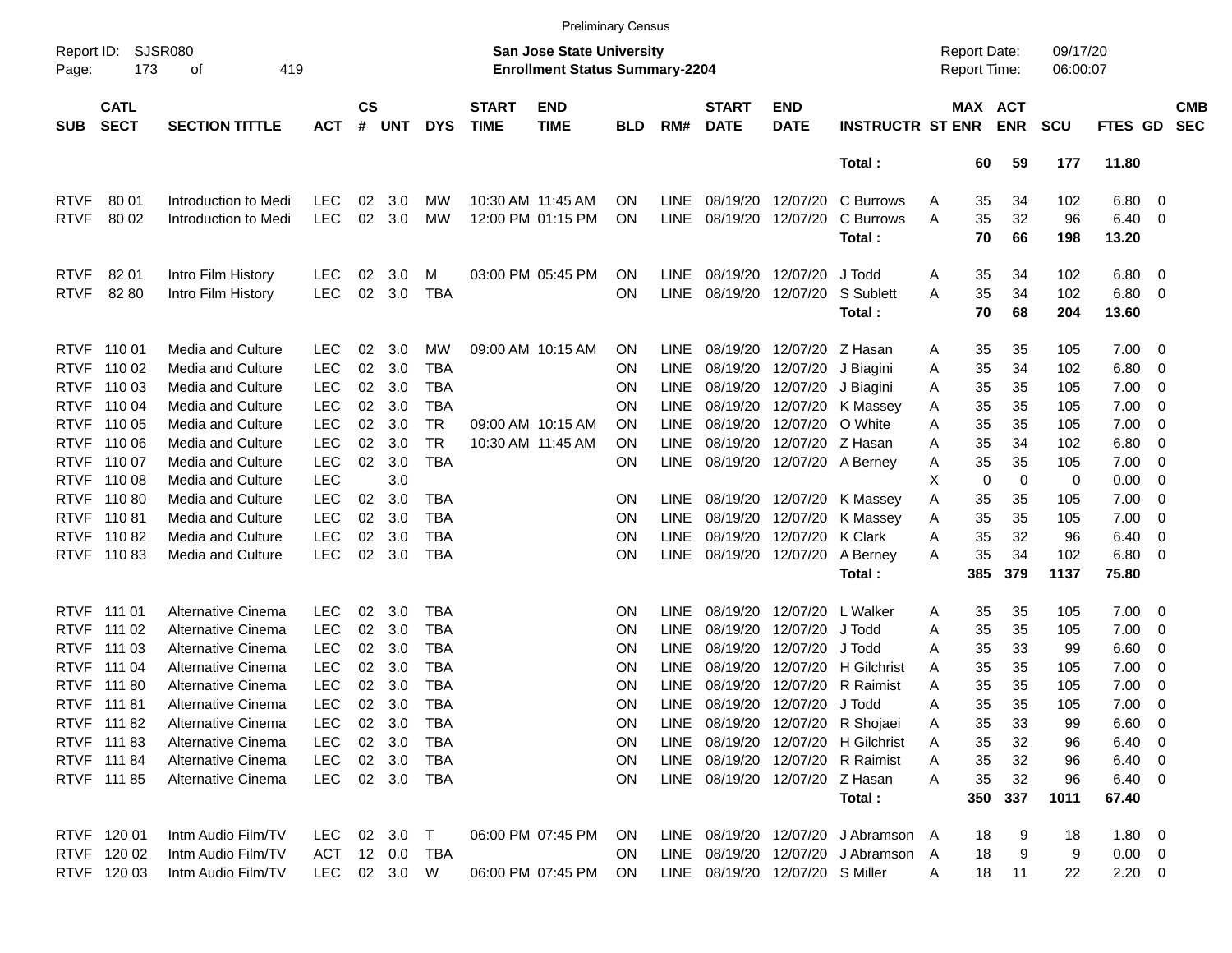|                     |                                                  |                                                        |                          |                    |            |                          |                             |                                                                           | <b>Preliminary Census</b> |                            |                                 |                            |                                     |                                     |                       |                      |                |                                |                          |
|---------------------|--------------------------------------------------|--------------------------------------------------------|--------------------------|--------------------|------------|--------------------------|-----------------------------|---------------------------------------------------------------------------|---------------------------|----------------------------|---------------------------------|----------------------------|-------------------------------------|-------------------------------------|-----------------------|----------------------|----------------|--------------------------------|--------------------------|
| Page:               | <b>SJSR080</b><br>Report ID:<br>173<br>419<br>оf |                                                        |                          |                    |            |                          |                             | <b>San Jose State University</b><br><b>Enrollment Status Summary-2204</b> |                           |                            |                                 |                            |                                     | <b>Report Date:</b><br>Report Time: |                       | 09/17/20<br>06:00:07 |                |                                |                          |
| <b>SUB</b>          | <b>CATL</b><br><b>SECT</b>                       | <b>SECTION TITTLE</b>                                  | <b>ACT</b>               | $\mathsf{cs}$<br># | <b>UNT</b> | <b>DYS</b>               | <b>START</b><br><b>TIME</b> | <b>END</b><br><b>TIME</b>                                                 | <b>BLD</b>                | RM#                        | <b>START</b><br><b>DATE</b>     | <b>END</b><br><b>DATE</b>  | <b>INSTRUCTR ST ENR</b>             |                                     | MAX ACT<br><b>ENR</b> | <b>SCU</b>           | <b>FTES GD</b> |                                | <b>CMB</b><br><b>SEC</b> |
|                     |                                                  |                                                        |                          |                    |            |                          |                             |                                                                           |                           |                            |                                 |                            | Total:                              | 60                                  | 59                    | 177                  | 11.80          |                                |                          |
| <b>RTVF</b>         | 80 01                                            | Introduction to Medi                                   | <b>LEC</b>               | 02                 | 3.0        | MW                       |                             | 10:30 AM 11:45 AM                                                         | OΝ                        | <b>LINE</b>                | 08/19/20                        | 12/07/20                   | C Burrows                           | 35<br>Α                             | 34                    | 102                  | 6.80           | $\overline{\phantom{0}}$       |                          |
| <b>RTVF</b>         | 80 02                                            | Introduction to Medi                                   | <b>LEC</b>               | 02                 | 3.0        | MW                       |                             | 12:00 PM 01:15 PM                                                         | ΟN                        | <b>LINE</b>                | 08/19/20                        | 12/07/20                   | C Burrows                           | 35<br>Α                             | 32                    | 96                   | 6.40           | $\overline{\phantom{0}}$       |                          |
|                     |                                                  |                                                        |                          |                    |            |                          |                             |                                                                           |                           |                            |                                 |                            | Total:                              | 70                                  | 66                    | 198                  | 13.20          |                                |                          |
| <b>RTVF</b>         | 82 01                                            | Intro Film History                                     | <b>LEC</b>               | 02                 | 3.0        | M                        |                             | 03:00 PM 05:45 PM                                                         | OΝ                        | <b>LINE</b>                | 08/19/20                        | 12/07/20                   | J Todd                              | 35<br>Α                             | 34                    | 102                  | 6.80           | $\overline{\phantom{0}}$       |                          |
| <b>RTVF</b>         | 82 80                                            | Intro Film History                                     | <b>LEC</b>               | 02                 | 3.0        | <b>TBA</b>               |                             |                                                                           | ΟN                        | <b>LINE</b>                | 08/19/20                        | 12/07/20                   | S Sublett                           | 35<br>Α                             | 34                    | 102                  | 6.80           | $\overline{\phantom{0}}$       |                          |
|                     |                                                  |                                                        |                          |                    |            |                          |                             |                                                                           |                           |                            |                                 |                            | Total:                              | 70                                  | 68                    | 204                  | 13.60          |                                |                          |
| <b>RTVF</b>         | 110 01                                           | Media and Culture                                      | <b>LEC</b>               | 02                 | 3.0        | MW                       |                             | 09:00 AM 10:15 AM                                                         | OΝ                        | <b>LINE</b>                | 08/19/20                        | 12/07/20 Z Hasan           |                                     | 35<br>Α                             | 35                    | 105                  | 7.00           | $\overline{\phantom{0}}$       |                          |
| <b>RTVF</b>         | 110 02                                           | <b>Media and Culture</b>                               | <b>LEC</b>               | 02                 | 3.0        | TBA                      |                             |                                                                           | ΟN                        | <b>LINE</b>                | 08/19/20                        | 12/07/20                   | J Biagini                           | 35<br>Α                             | 34                    | 102                  | 6.80           | $\overline{\mathbf{0}}$        |                          |
| <b>RTVF</b>         | 110 03                                           | <b>Media and Culture</b>                               | <b>LEC</b>               | 02                 | 3.0        | TBA                      |                             |                                                                           | ON                        | <b>LINE</b>                | 08/19/20                        | 12/07/20                   | J Biagini                           | 35<br>Α                             | 35                    | 105                  | 7.00           | $\overline{\mathbf{0}}$        |                          |
| <b>RTVF</b>         | 110 04                                           | <b>Media and Culture</b>                               | <b>LEC</b>               | 02                 | 3.0        | TBA                      |                             |                                                                           | ΟN                        | <b>LINE</b>                | 08/19/20                        | 12/07/20                   | K Massey                            | 35<br>Α                             | 35                    | 105                  | 7.00           | $\overline{\mathbf{0}}$        |                          |
| <b>RTVF</b>         | 110 05                                           | <b>Media and Culture</b>                               | <b>LEC</b>               | 02                 | 3.0        | TR                       |                             | 09:00 AM 10:15 AM                                                         | OΝ                        | <b>LINE</b>                | 08/19/20                        | 12/07/20                   | O White                             | 35<br>Α                             | 35                    | 105                  | 7.00           | $\overline{\mathbf{0}}$        |                          |
| <b>RTVF</b>         | 110 06                                           | Media and Culture                                      | <b>LEC</b>               | 02                 | 3.0        | TR.                      |                             | 10:30 AM 11:45 AM                                                         | OΝ                        | <b>LINE</b>                | 08/19/20                        | 12/07/20 Z Hasan           |                                     | 35<br>Α                             | 34                    | 102                  | 6.80           | $\overline{\mathbf{0}}$        |                          |
| <b>RTVF</b>         | 110 07                                           | <b>Media and Culture</b>                               | <b>LEC</b>               | 02                 | 3.0        | <b>TBA</b>               |                             |                                                                           | ΟN                        | LINE                       |                                 | 08/19/20 12/07/20 A Berney |                                     | 35<br>Α                             | 35                    | 105                  | 7.00           | $\overline{\mathbf{0}}$        |                          |
| <b>RTVF</b>         | 110 08                                           | <b>Media and Culture</b>                               | <b>LEC</b>               |                    | 3.0        |                          |                             |                                                                           |                           |                            |                                 |                            |                                     | х                                   | 0<br>0                | 0                    | 0.00           | 0                              |                          |
| <b>RTVF</b>         | 11080                                            | Media and Culture                                      | <b>LEC</b>               | 02                 | 3.0        | TBA                      |                             |                                                                           | ΟN                        | <b>LINE</b>                |                                 | 08/19/20 12/07/20          | K Massey                            | 35<br>Α                             | 35                    | 105                  | 7.00           | $\overline{\mathbf{0}}$        |                          |
| <b>RTVF</b>         | 110 81                                           | <b>Media and Culture</b>                               | <b>LEC</b>               | 02                 | 3.0        | TBA                      |                             |                                                                           | ΟN                        | <b>LINE</b>                | 08/19/20                        | 12/07/20                   | K Massey                            | 35<br>Α                             | 35                    | 105                  | 7.00           | $\overline{\mathbf{0}}$        |                          |
| <b>RTVF</b>         | 11082                                            | <b>Media and Culture</b>                               | <b>LEC</b>               | 02                 | 3.0        | TBA                      |                             |                                                                           | ΟN                        | <b>LINE</b>                | 08/19/20                        | 12/07/20                   | K Clark                             | 35<br>Α                             | 32                    | 96                   | 6.40           | 0                              |                          |
| <b>RTVF</b>         | 11083                                            | Media and Culture                                      | <b>LEC</b>               | 02                 | 3.0        | <b>TBA</b>               |                             |                                                                           | ΟN                        | <b>LINE</b>                |                                 | 08/19/20 12/07/20          | A Berney<br>Total:                  | 35<br>A<br>385                      | 34<br>379             | 102<br>1137          | 6.80<br>75.80  | - 0                            |                          |
|                     |                                                  |                                                        |                          |                    |            |                          |                             |                                                                           |                           |                            |                                 |                            |                                     |                                     |                       |                      |                |                                |                          |
| <b>RTVF</b>         | 111 01                                           | Alternative Cinema                                     | <b>LEC</b>               | 02                 | 3.0        | TBA                      |                             |                                                                           | ON                        | <b>LINE</b>                | 08/19/20                        | 12/07/20                   | L Walker                            | 35<br>Α                             | 35                    | 105                  | $7.00 \t 0$    |                                |                          |
| <b>RTVF</b>         | 111 02                                           | <b>Alternative Cinema</b>                              | <b>LEC</b>               | 02                 | 3.0        | <b>TBA</b>               |                             |                                                                           | ΟN                        | <b>LINE</b>                | 08/19/20                        | 12/07/20                   | J Todd                              | 35<br>Α                             | 35                    | 105                  | 7.00           | $\overline{\mathbf{0}}$        |                          |
| <b>RTVF</b>         | 111 03                                           | <b>Alternative Cinema</b>                              | <b>LEC</b>               | 02                 | 3.0        | <b>TBA</b>               |                             |                                                                           | ON                        | <b>LINE</b>                | 08/19/20<br>08/19/20            | 12/07/20                   | J Todd<br><b>H</b> Gilchrist        | 35<br>Α                             | 33                    | 99                   | 6.60           | $\overline{\mathbf{0}}$        |                          |
| <b>RTVF</b><br>RTVF | 111 04<br>111 80                                 | <b>Alternative Cinema</b><br><b>Alternative Cinema</b> | <b>LEC</b><br><b>LEC</b> | 02<br>02           | 3.0<br>3.0 | <b>TBA</b><br><b>TBA</b> |                             |                                                                           | ON                        | <b>LINE</b><br><b>LINE</b> | 08/19/20                        | 12/07/20<br>12/07/20       | <b>R</b> Raimist                    | 35<br>Α<br>35                       | 35<br>35              | 105<br>105           | 7.00<br>7.00   | $\overline{\mathbf{0}}$        |                          |
| <b>RTVF</b>         | 111 81                                           | <b>Alternative Cinema</b>                              | <b>LEC</b>               | 02                 | 3.0        | TBA                      |                             |                                                                           | ΟN<br>ΟN                  | <b>LINE</b>                |                                 | 08/19/20 12/07/20          | J Todd                              | Α<br>35<br>Α                        | 35                    | 105                  | 7.00           | $\overline{\mathbf{0}}$<br>- 0 |                          |
|                     | RTVF 111 82                                      | Alternative Cinema                                     | LEC                      |                    | 02 3.0     | TBA                      |                             |                                                                           | ΟN                        |                            |                                 |                            | LINE 08/19/20 12/07/20 R Shojaei    | 35<br>A                             | 33                    | 99                   | $6.60 \quad 0$ |                                |                          |
|                     | RTVF 111 83                                      | Alternative Cinema                                     | <b>LEC</b>               |                    | 02 3.0     | TBA                      |                             |                                                                           | ON                        | LINE                       |                                 |                            | 08/19/20 12/07/20 H Gilchrist       | 35<br>Α                             | 32                    | 96                   | $6.40\quad 0$  |                                |                          |
|                     | RTVF 111 84                                      | Alternative Cinema                                     | <b>LEC</b>               |                    | 02 3.0     | TBA                      |                             |                                                                           | ON                        | LINE                       |                                 |                            | 08/19/20 12/07/20 R Raimist         | 35<br>Α                             | 32                    | 96                   | $6.40\quad 0$  |                                |                          |
|                     | RTVF 111 85                                      | Alternative Cinema                                     | <b>LEC</b>               |                    | 02 3.0     | TBA                      |                             |                                                                           | ON.                       |                            | LINE 08/19/20 12/07/20 Z Hasan  |                            |                                     | 35<br>Α                             | 32                    | 96                   | $6.40\quad 0$  |                                |                          |
|                     |                                                  |                                                        |                          |                    |            |                          |                             |                                                                           |                           |                            |                                 |                            | Total:                              | 350                                 | 337                   | 1011                 | 67.40          |                                |                          |
|                     | RTVF 120 01                                      | Intm Audio Film/TV                                     | LEC.                     |                    | 02 3.0     | $\top$                   |                             | 06:00 PM 07:45 PM                                                         | <b>ON</b>                 |                            |                                 |                            | LINE 08/19/20 12/07/20 J Abramson A | 18                                  | 9                     | 18                   | 1.80 0         |                                |                          |
|                     | RTVF 120 02                                      | Intm Audio Film/TV                                     | ACT                      |                    | 12 0.0     | TBA                      |                             |                                                                           | ON.                       |                            |                                 |                            | LINE 08/19/20 12/07/20 J Abramson   | 18<br>A                             | 9                     | 9                    | $0.00 \t 0$    |                                |                          |
|                     | RTVF 120 03                                      | Intm Audio Film/TV                                     | LEC                      |                    | 02 3.0 W   |                          |                             | 06:00 PM 07:45 PM                                                         | <b>ON</b>                 |                            | LINE 08/19/20 12/07/20 S Miller |                            |                                     | 18<br>Α                             | 11                    | 22                   | $2.20 \t 0$    |                                |                          |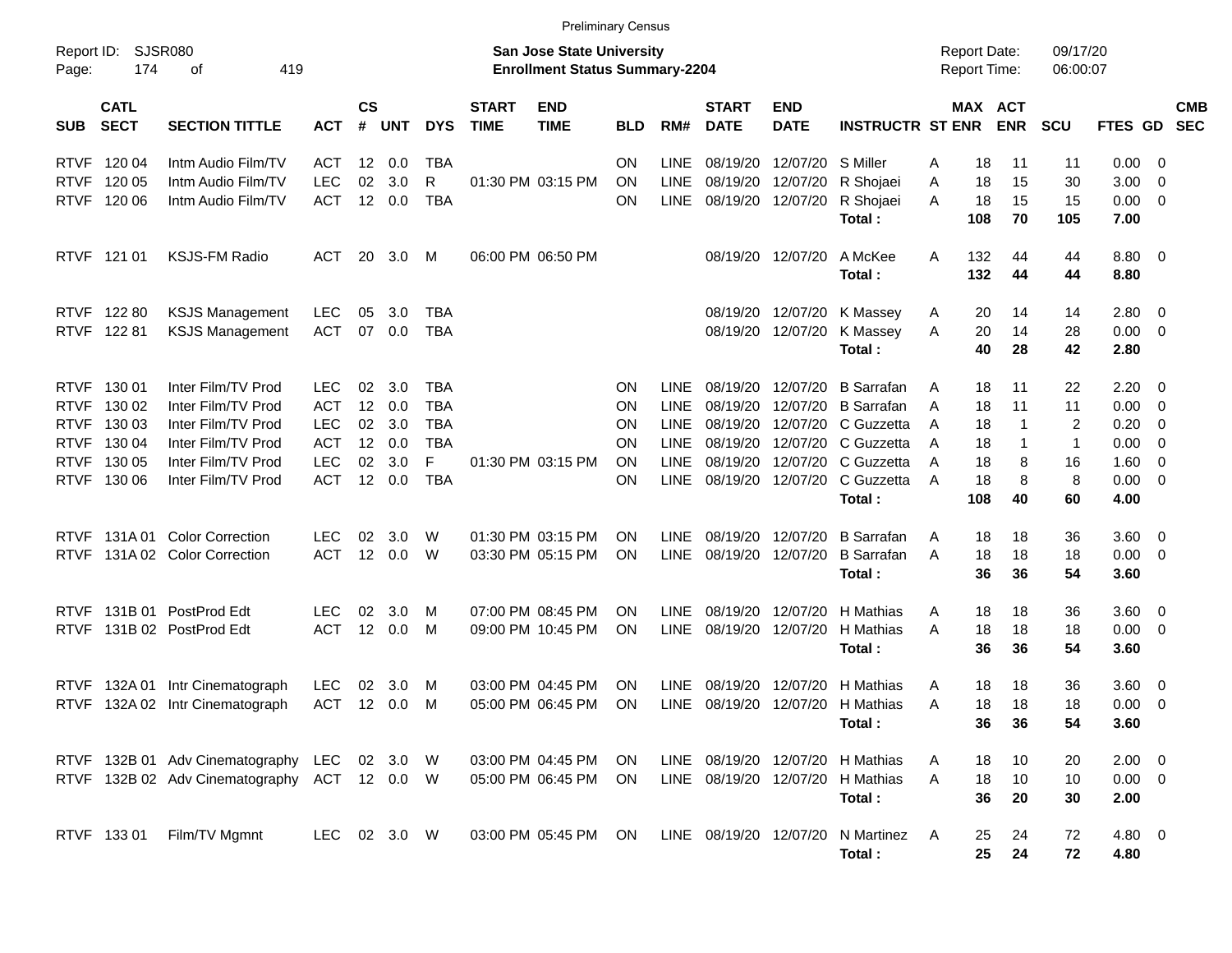|                                                                                        |                                                          |                                                                                                                                  |                                                                                  |                                  |                                        |                                                                  |                             | <b>Preliminary Census</b>                                                 |                                  |                                                                                        |                                                                      |                                                                      |                                                                                                |                            |                                     |                                          |                                                      |                                              |                                                                                                       |                          |
|----------------------------------------------------------------------------------------|----------------------------------------------------------|----------------------------------------------------------------------------------------------------------------------------------|----------------------------------------------------------------------------------|----------------------------------|----------------------------------------|------------------------------------------------------------------|-----------------------------|---------------------------------------------------------------------------|----------------------------------|----------------------------------------------------------------------------------------|----------------------------------------------------------------------|----------------------------------------------------------------------|------------------------------------------------------------------------------------------------|----------------------------|-------------------------------------|------------------------------------------|------------------------------------------------------|----------------------------------------------|-------------------------------------------------------------------------------------------------------|--------------------------|
| Report ID:<br>Page:                                                                    | <b>SJSR080</b><br>174                                    | 419<br>оf                                                                                                                        |                                                                                  |                                  |                                        |                                                                  |                             | <b>San Jose State University</b><br><b>Enrollment Status Summary-2204</b> |                                  |                                                                                        |                                                                      |                                                                      |                                                                                                |                            | <b>Report Date:</b><br>Report Time: |                                          | 09/17/20<br>06:00:07                                 |                                              |                                                                                                       |                          |
| <b>SUB</b>                                                                             | <b>CATL</b><br><b>SECT</b>                               | <b>SECTION TITTLE</b>                                                                                                            | <b>ACT</b>                                                                       | $\mathsf{cs}$<br>$\#$            | <b>UNT</b>                             | <b>DYS</b>                                                       | <b>START</b><br><b>TIME</b> | <b>END</b><br><b>TIME</b>                                                 | <b>BLD</b>                       | RM#                                                                                    | <b>START</b><br><b>DATE</b>                                          | <b>END</b><br><b>DATE</b>                                            | <b>INSTRUCTR ST ENR</b>                                                                        |                            | MAX ACT                             | <b>ENR</b>                               | <b>SCU</b>                                           | FTES GD                                      |                                                                                                       | <b>CMB</b><br><b>SEC</b> |
| <b>RTVF</b><br><b>RTVF</b><br><b>RTVF</b>                                              | 120 04<br>120 05<br>120 06                               | Intm Audio Film/TV<br>Intm Audio Film/TV<br>Intm Audio Film/TV                                                                   | ACT<br><b>LEC</b><br><b>ACT</b>                                                  | $12 \,$<br>02<br>12              | 0.0<br>3.0<br>0.0                      | TBA<br>R<br><b>TBA</b>                                           |                             | 01:30 PM 03:15 PM                                                         | <b>ON</b><br>ON<br>ΟN            | <b>LINE</b><br><b>LINE</b><br><b>LINE</b>                                              | 08/19/20<br>08/19/20<br>08/19/20                                     | 12/07/20<br>12/07/20<br>12/07/20                                     | S Miller<br>R Shojaei<br>R Shojaei<br>Total:                                                   | Α<br>Α<br>A                | 18<br>18<br>18<br>108               | 11<br>15<br>15<br>70                     | 11<br>30<br>15<br>105                                | 0.00<br>3.00<br>0.00<br>7.00                 | - 0<br>- 0<br>$\overline{\phantom{0}}$                                                                |                          |
| <b>RTVF</b>                                                                            | 121 01                                                   | <b>KSJS-FM Radio</b>                                                                                                             | ACT                                                                              | 20                               | 3.0                                    | M                                                                |                             | 06:00 PM 06:50 PM                                                         |                                  |                                                                                        | 08/19/20                                                             | 12/07/20                                                             | A McKee<br>Total:                                                                              | A                          | 132<br>132                          | 44<br>44                                 | 44<br>44                                             | 8.80 0<br>8.80                               |                                                                                                       |                          |
| <b>RTVF</b><br><b>RTVF</b>                                                             | 122 80<br>12281                                          | <b>KSJS Management</b><br><b>KSJS Management</b>                                                                                 | <b>LEC</b><br><b>ACT</b>                                                         | 05<br>07                         | 3.0<br>0.0                             | TBA<br><b>TBA</b>                                                |                             |                                                                           |                                  |                                                                                        | 08/19/20<br>08/19/20                                                 | 12/07/20<br>12/07/20                                                 | K Massey<br>K Massey<br>Total:                                                                 | A<br>A                     | 20<br>20<br>40                      | 14<br>14<br>28                           | 14<br>28<br>42                                       | $2.80 \t 0$<br>0.00<br>2.80                  | $\overline{\phantom{0}}$                                                                              |                          |
| <b>RTVF</b><br><b>RTVF</b><br><b>RTVF</b><br><b>RTVF</b><br><b>RTVF</b><br><b>RTVF</b> | 130 01<br>130 02<br>130 03<br>130 04<br>130 05<br>130 06 | Inter Film/TV Prod<br>Inter Film/TV Prod<br>Inter Film/TV Prod<br>Inter Film/TV Prod<br>Inter Film/TV Prod<br>Inter Film/TV Prod | <b>LEC</b><br><b>ACT</b><br><b>LEC</b><br><b>ACT</b><br><b>LEC</b><br><b>ACT</b> | 02<br>12<br>02<br>12<br>02<br>12 | 3.0<br>0.0<br>3.0<br>0.0<br>3.0<br>0.0 | TBA<br><b>TBA</b><br><b>TBA</b><br><b>TBA</b><br>F<br><b>TBA</b> |                             | 01:30 PM 03:15 PM                                                         | ΟN<br>ΟN<br>ΟN<br>ΟN<br>ΟN<br>ΟN | <b>LINE</b><br><b>LINE</b><br><b>LINE</b><br><b>LINE</b><br><b>LINE</b><br><b>LINE</b> | 08/19/20<br>08/19/20<br>08/19/20<br>08/19/20<br>08/19/20<br>08/19/20 | 12/07/20<br>12/07/20<br>12/07/20<br>12/07/20<br>12/07/20<br>12/07/20 | <b>B</b> Sarrafan<br><b>B</b> Sarrafan<br>C Guzzetta<br>C Guzzetta<br>C Guzzetta<br>C Guzzetta | A<br>Α<br>Α<br>A<br>A<br>A | 18<br>18<br>18<br>18<br>18<br>18    | 11<br>11<br>$\mathbf{1}$<br>-1<br>8<br>8 | 22<br>11<br>$\overline{2}$<br>$\mathbf 1$<br>16<br>8 | 2.20<br>0.00<br>0.20<br>0.00<br>1.60<br>0.00 | - 0<br>- 0<br>$\overline{\mathbf{0}}$<br>$\overline{0}$<br>$\overline{0}$<br>$\overline{\phantom{0}}$ |                          |
| <b>RTVF</b><br><b>RTVF</b>                                                             |                                                          | 131A 01 Color Correction<br>131A 02 Color Correction                                                                             | LEC.<br><b>ACT</b>                                                               | 02<br>12                         | 3.0<br>0.0                             | W<br>W                                                           |                             | 01:30 PM 03:15 PM<br>03:30 PM 05:15 PM                                    | ON<br>ΟN                         | LINE<br><b>LINE</b>                                                                    | 08/19/20<br>08/19/20                                                 | 12/07/20<br>12/07/20                                                 | Total:<br><b>B</b> Sarrafan<br><b>B</b> Sarrafan<br>Total:                                     | A<br>A                     | 108<br>18<br>18<br>36               | 40<br>18<br>18<br>36                     | 60<br>36<br>18<br>54                                 | 4.00<br>3.60<br>0.00<br>3.60                 | $\overline{\mathbf{0}}$<br>$\overline{\phantom{0}}$                                                   |                          |
| <b>RTVF</b><br><b>RTVF</b>                                                             |                                                          | 131B 01 PostProd Edt<br>131B 02 PostProd Edt                                                                                     | LEC.<br><b>ACT</b>                                                               | 02<br>12                         | 3.0<br>0.0                             | м<br>м                                                           |                             | 07:00 PM 08:45 PM<br>09:00 PM 10:45 PM                                    | ON<br>ΟN                         | LINE<br><b>LINE</b>                                                                    | 08/19/20<br>08/19/20                                                 | 12/07/20<br>12/07/20                                                 | H Mathias<br>H Mathias<br>Total:                                                               | A<br>Α                     | 18<br>18<br>36                      | 18<br>18<br>36                           | 36<br>18<br>54                                       | 3.60<br>0.00<br>3.60                         | $\overline{\phantom{0}}$<br>$\overline{\phantom{0}}$                                                  |                          |
| <b>RTVF</b><br><b>RTVF</b>                                                             |                                                          | 132A 01 Intr Cinematograph<br>132A 02 Intr Cinematograph                                                                         | <b>LEC</b><br><b>ACT</b>                                                         | 02                               | 3.0<br>12 0.0                          | м<br>м                                                           |                             | 03:00 PM 04:45 PM<br>05:00 PM 06:45 PM                                    | ON<br>ΟN                         | <b>LINE</b><br><b>LINE</b>                                                             | 08/19/20<br>08/19/20                                                 | 12/07/20<br>12/07/20                                                 | H Mathias<br>H Mathias<br>Total:                                                               | A<br>Α                     | 18<br>18<br>36                      | 18<br>18<br>36                           | 36<br>18<br>54                                       | 3.60<br>0.00<br>3.60                         | $\overline{\mathbf{0}}$<br>- 0                                                                        |                          |
|                                                                                        |                                                          | RTVF 132B 01 Adv Cinematography<br>RTVF 132B 02 Adv Cinematography ACT 12 0.0 W                                                  | LEC                                                                              |                                  | 02 3.0                                 | <b>W</b>                                                         |                             | 03:00 PM 04:45 PM<br>05:00 PM 06:45 PM                                    | <b>ON</b><br><b>ON</b>           |                                                                                        | LINE 08/19/20 12/07/20                                               |                                                                      | LINE 08/19/20 12/07/20 H Mathias<br>H Mathias<br>Total:                                        | A<br>A                     | 18<br>18<br>36                      | 10<br>10<br>20                           | 20<br>10<br>30                                       | $2.00 \t 0$<br>$0.00 \t 0$<br>2.00           |                                                                                                       |                          |
|                                                                                        | RTVF 133 01                                              | Film/TV Mgmnt                                                                                                                    | LEC                                                                              |                                  | 02 3.0 W                               |                                                                  |                             | 03:00 PM 05:45 PM                                                         | ON                               |                                                                                        | LINE 08/19/20 12/07/20                                               |                                                                      | N Martinez<br>Total:                                                                           | A                          | 25<br>25                            | 24<br>24                                 | 72<br>72                                             | 4.80 0<br>4.80                               |                                                                                                       |                          |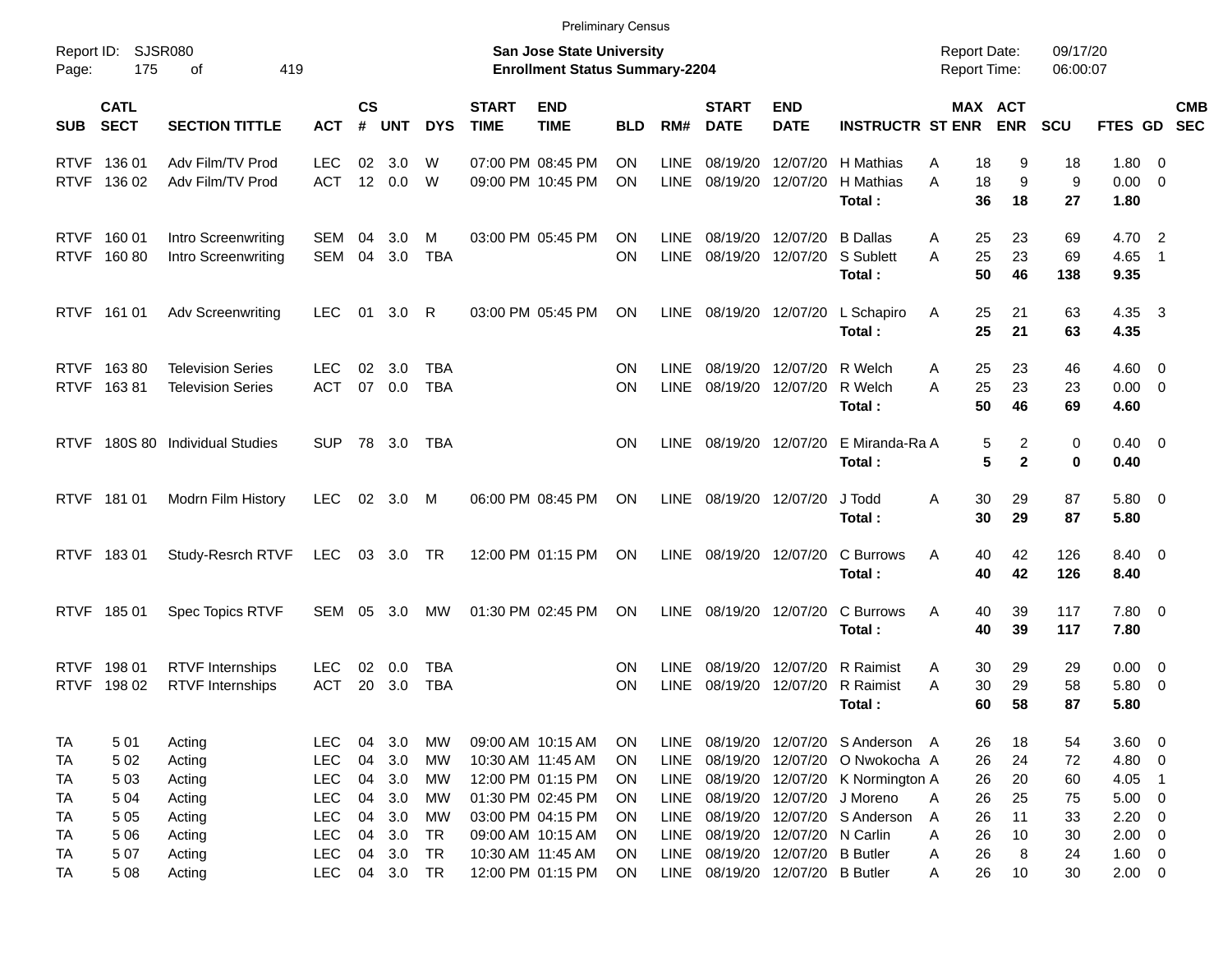|                     |                            |                                                    |                          |                |            |                        |                             | <b>Preliminary Census</b>                                                 |            |                            |                             |                                 |                                            |                                            |                   |                      |                            |                          |                          |
|---------------------|----------------------------|----------------------------------------------------|--------------------------|----------------|------------|------------------------|-----------------------------|---------------------------------------------------------------------------|------------|----------------------------|-----------------------------|---------------------------------|--------------------------------------------|--------------------------------------------|-------------------|----------------------|----------------------------|--------------------------|--------------------------|
| Report ID:<br>Page: | 175                        | SJSR080<br>419<br>οf                               |                          |                |            |                        |                             | <b>San Jose State University</b><br><b>Enrollment Status Summary-2204</b> |            |                            |                             |                                 |                                            | <b>Report Date:</b><br><b>Report Time:</b> |                   | 09/17/20<br>06:00:07 |                            |                          |                          |
| <b>SUB</b>          | <b>CATL</b><br><b>SECT</b> | <b>SECTION TITTLE</b>                              | <b>ACT</b>               | <b>CS</b><br># | <b>UNT</b> | <b>DYS</b>             | <b>START</b><br><b>TIME</b> | <b>END</b><br><b>TIME</b>                                                 | <b>BLD</b> | RM#                        | <b>START</b><br><b>DATE</b> | <b>END</b><br><b>DATE</b>       | <b>INSTRUCTR ST ENR</b>                    | MAX ACT                                    | <b>ENR</b>        | <b>SCU</b>           | FTES GD                    |                          | <b>CMB</b><br><b>SEC</b> |
| <b>RTVF</b>         | 136 01                     | Adv Film/TV Prod                                   | <b>LEC</b>               | 02             | 3.0        | W                      |                             | 07:00 PM 08:45 PM                                                         | ON         | <b>LINE</b>                | 08/19/20                    | 12/07/20                        | H Mathias                                  | 18<br>Α                                    | 9                 | 18                   | 1.80 0                     |                          |                          |
|                     | RTVF 136 02                | Adv Film/TV Prod                                   | <b>ACT</b>               |                | 12 0.0     | W                      |                             | 09:00 PM 10:45 PM                                                         | ON         | <b>LINE</b>                | 08/19/20                    | 12/07/20                        | H Mathias<br>Total:                        | A<br>18<br>36                              | 9<br>18           | 9<br>27              | $0.00 \t 0$<br>1.80        |                          |                          |
|                     | RTVF 160 01                | Intro Screenwriting                                | SEM                      | 04             | 3.0        | м                      |                             | 03:00 PM 05:45 PM                                                         | ΟN         | <b>LINE</b>                | 08/19/20                    | 12/07/20 B Dallas               |                                            | 25<br>A                                    | 23                | 69                   | 4.70 2                     |                          |                          |
|                     | RTVF 160 80                | Intro Screenwriting                                | SEM                      | 04             | 3.0        | <b>TBA</b>             |                             |                                                                           | ON         | LINE                       | 08/19/20                    |                                 | 12/07/20 S Sublett<br>Total:               | 25<br>A<br>50                              | 23<br>46          | 69<br>138            | 4.65<br>9.35               | $\overline{1}$           |                          |
|                     | RTVF 161 01                | <b>Adv Screenwriting</b>                           | <b>LEC</b>               |                | 01 3.0     | R                      |                             | 03:00 PM 05:45 PM                                                         | <b>ON</b>  | <b>LINE</b>                |                             |                                 | 08/19/20 12/07/20 L Schapiro<br>Total:     | 25<br>A<br>25                              | 21<br>21          | 63<br>63             | 4.35 3<br>4.35             |                          |                          |
|                     | RTVF 16380                 | <b>Television Series</b>                           | <b>LEC</b>               | 02             | 3.0        | <b>TBA</b>             |                             |                                                                           | ON         | <b>LINE</b>                | 08/19/20                    | 12/07/20 R Welch                |                                            | 25<br>A                                    | 23                | 46                   | $4.60 \quad 0$             |                          |                          |
|                     | RTVF 16381                 | <b>Television Series</b>                           | ACT                      | 07             | 0.0        | <b>TBA</b>             |                             |                                                                           | ΟN         | <b>LINE</b>                |                             | 08/19/20 12/07/20 R Welch       | Total:                                     | 25<br>Α<br>50                              | 23<br>46          | 23<br>69             | $0.00 \t 0$<br>4.60        |                          |                          |
| <b>RTVF</b>         |                            | 180S 80 Individual Studies                         | <b>SUP</b>               |                | 78 3.0     | TBA                    |                             |                                                                           | ON         | <b>LINE</b>                |                             |                                 | 08/19/20 12/07/20 E Miranda-Ra A<br>Total: | 5<br>5                                     | 2<br>$\mathbf{2}$ | 0<br>0               | $0.40 \quad 0$<br>0.40     |                          |                          |
|                     | RTVF 181 01                | Modrn Film History                                 | <b>LEC</b>               |                | 02 3.0 M   |                        |                             | 06:00 PM 08:45 PM                                                         | ON         | LINE                       |                             | 08/19/20 12/07/20               | J Todd                                     | 30<br>Α                                    | 29                | 87                   | 5.80 0                     |                          |                          |
|                     |                            |                                                    |                          |                |            |                        |                             |                                                                           |            |                            |                             |                                 | Total:                                     | 30                                         | 29                | 87                   | 5.80                       |                          |                          |
|                     | RTVF 18301                 | Study-Resrch RTVF                                  | LEC                      |                | 03 3.0 TR  |                        |                             | 12:00 PM 01:15 PM                                                         | ON         | LINE                       |                             | 08/19/20 12/07/20               | C Burrows<br>Total:                        | 40<br>Α<br>40                              | 42<br>42          | 126<br>126           | 8.40 0<br>8.40             |                          |                          |
|                     | RTVF 185 01                | <b>Spec Topics RTVF</b>                            | SEM 05 3.0               |                |            | МW                     |                             | 01:30 PM 02:45 PM                                                         | ON         | <b>LINE</b>                |                             | 08/19/20 12/07/20               | C Burrows<br>Total:                        | A<br>40<br>40                              | 39<br>39          | 117<br>117           | 7.80 0<br>7.80             |                          |                          |
|                     |                            |                                                    |                          |                |            |                        |                             |                                                                           |            |                            |                             |                                 |                                            |                                            |                   |                      |                            |                          |                          |
| <b>RTVF</b>         | RTVF 198 01<br>198 02      | <b>RTVF</b> Internships<br><b>RTVF</b> Internships | <b>LEC</b><br>ACT        | 02<br>20       | 0.0<br>3.0 | TBA<br><b>TBA</b>      |                             |                                                                           | ON<br>ΟN   | <b>LINE</b><br><b>LINE</b> | 08/19/20<br>08/19/20        |                                 | 12/07/20 R Raimist<br>12/07/20 R Raimist   | 30<br>Α<br>30<br>Α                         | 29<br>29          | 29<br>58             | $0.00 \quad 0$<br>5.80 0   |                          |                          |
|                     |                            |                                                    |                          |                |            |                        |                             |                                                                           |            |                            |                             |                                 | Total :                                    | 60                                         | 58                | 87                   | 5.80                       |                          |                          |
| TA                  | 501                        | Acting                                             | <b>LEC</b>               | 04             | 3.0        | МW                     |                             | 09:00 AM 10:15 AM                                                         | <b>ON</b>  | <b>LINE</b>                |                             |                                 | 08/19/20 12/07/20 S Anderson A             | 26                                         | 18                | 54                   | 3.60 0                     |                          |                          |
| TA                  | 5 0 2                      | Acting                                             | <b>LEC</b>               | 04             | 3.0        | МW                     |                             | 10:30 AM 11:45 AM                                                         | ON         | <b>LINE</b>                |                             |                                 | 08/19/20 12/07/20 O Nwokocha A             | 26                                         | 24                | 72                   | 4.80 0                     |                          |                          |
| TA                  | 5 0 3                      | Acting                                             | <b>LEC</b>               | 04             | 3.0        | МW                     |                             | 12:00 PM 01:15 PM                                                         | ON         | LINE                       |                             |                                 | 08/19/20 12/07/20 K Normington A           | 26                                         | 20                | 60                   | 4.05                       | $\overline{\phantom{1}}$ |                          |
| TA                  | 5 0 4                      | Acting                                             | <b>LEC</b>               | 04             | 3.0        | МW                     |                             | 01:30 PM 02:45 PM                                                         | ON         | <b>LINE</b>                |                             |                                 | 08/19/20 12/07/20 J Moreno                 | 26<br>A                                    | 25                | 75                   | $5.00 \t 0$                |                          |                          |
| TA                  | 5 0 5                      | Acting                                             | <b>LEC</b><br><b>LEC</b> | 04<br>04       | 3.0<br>3.0 | <b>MW</b><br><b>TR</b> |                             | 03:00 PM 04:15 PM<br>09:00 AM 10:15 AM                                    | ON<br>ON   | <b>LINE</b>                | 08/19/20<br>08/19/20        | 12/07/20 N Carlin               | 12/07/20 S Anderson                        | 26<br>A<br>26                              | 11<br>10          | 33<br>30             | $2.20 \t 0$<br>$2.00 \t 0$ |                          |                          |
| TA<br>TA            | 5 0 6<br>507               | Acting<br>Acting                                   | <b>LEC</b>               | 04             | 3.0        | <b>TR</b>              |                             | 10:30 AM 11:45 AM                                                         | ON         | LINE<br>LINE               | 08/19/20                    | 12/07/20 B Butler               |                                            | Α<br>26<br>A                               | 8                 | 24                   | $1.60 \t 0$                |                          |                          |
| TA                  | 5 0 8                      | Acting                                             | <b>LEC</b>               |                | 04 3.0 TR  |                        |                             | 12:00 PM 01:15 PM                                                         | ON         |                            |                             | LINE 08/19/20 12/07/20 B Butler |                                            | 26<br>A                                    | 10                | 30                   | $2.00 \t 0$                |                          |                          |
|                     |                            |                                                    |                          |                |            |                        |                             |                                                                           |            |                            |                             |                                 |                                            |                                            |                   |                      |                            |                          |                          |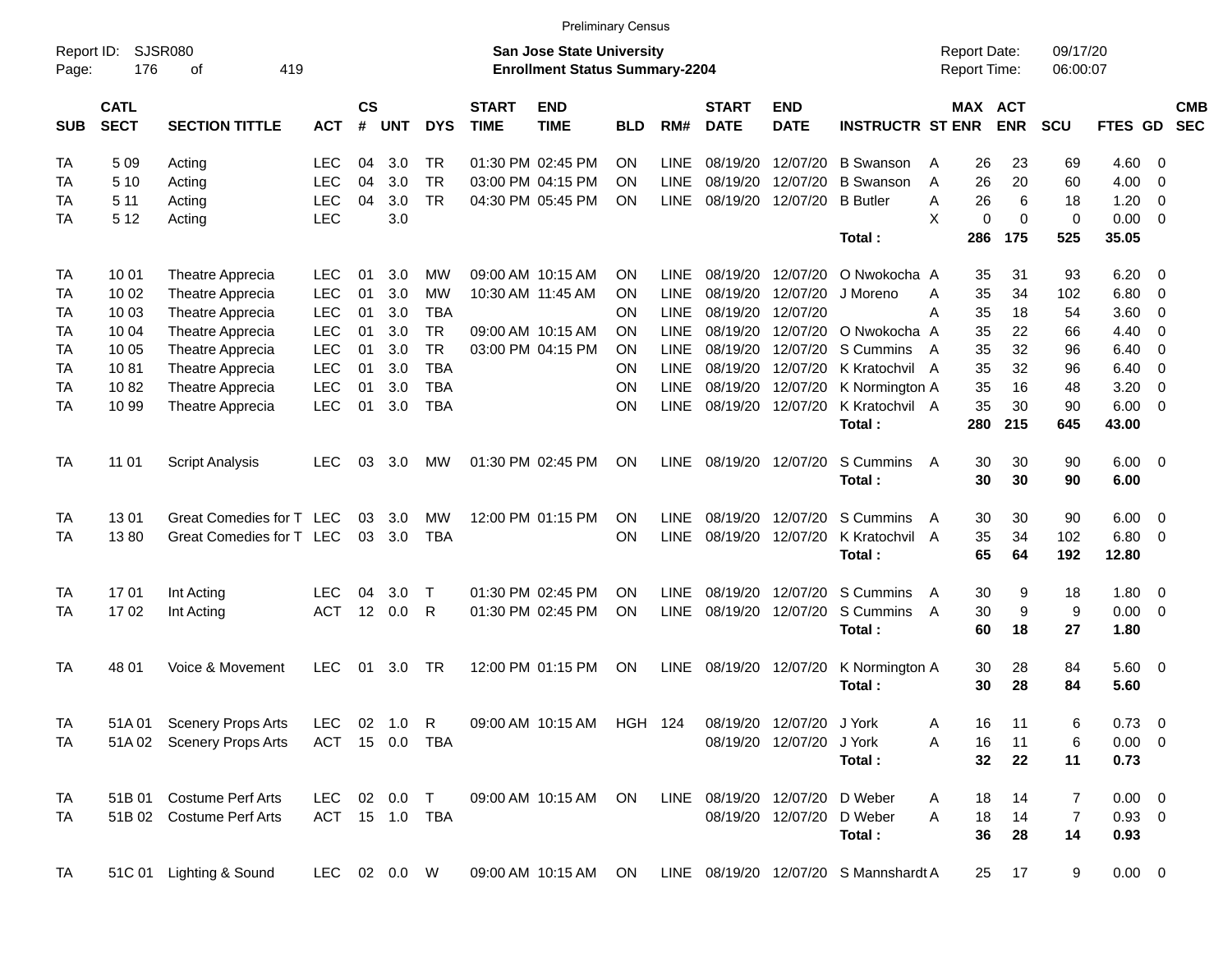|                     |                            |                             |              |                   |            |                |                             | <b>Preliminary Census</b>                                                 |            |             |                             |                           |                                       |                                     |                              |                      |                |                          |                          |
|---------------------|----------------------------|-----------------------------|--------------|-------------------|------------|----------------|-----------------------------|---------------------------------------------------------------------------|------------|-------------|-----------------------------|---------------------------|---------------------------------------|-------------------------------------|------------------------------|----------------------|----------------|--------------------------|--------------------------|
| Report ID:<br>Page: | 176                        | <b>SJSR080</b><br>419<br>оf |              |                   |            |                |                             | <b>San Jose State University</b><br><b>Enrollment Status Summary-2204</b> |            |             |                             |                           |                                       | <b>Report Date:</b><br>Report Time: |                              | 09/17/20<br>06:00:07 |                |                          |                          |
| <b>SUB</b>          | <b>CATL</b><br><b>SECT</b> | <b>SECTION TITTLE</b>       | <b>ACT</b>   | <b>CS</b><br>$\#$ | <b>UNT</b> | <b>DYS</b>     | <b>START</b><br><b>TIME</b> | <b>END</b><br><b>TIME</b>                                                 | <b>BLD</b> | RM#         | <b>START</b><br><b>DATE</b> | <b>END</b><br><b>DATE</b> | <b>INSTRUCTR ST ENR</b>               |                                     | <b>MAX ACT</b><br><b>ENR</b> | SCU                  | FTES GD        |                          | <b>CMB</b><br><b>SEC</b> |
| TA                  | 5 0 9                      | Acting                      | <b>LEC</b>   | 04                | 3.0        | TR             |                             | 01:30 PM 02:45 PM                                                         | ΟN         | <b>LINE</b> | 08/19/20                    | 12/07/20                  | <b>B</b> Swanson                      | 26<br>A                             | 23                           | 69                   | 4.60           | - 0                      |                          |
| TA                  | 5 1 0                      | Acting                      | <b>LEC</b>   | 04                | 3.0        | <b>TR</b>      |                             | 03:00 PM 04:15 PM                                                         | ΟN         | <b>LINE</b> | 08/19/20                    | 12/07/20                  | <b>B</b> Swanson                      | 26<br>A                             | 20                           | 60                   | 4.00           | $\overline{0}$           |                          |
| TA                  | 511                        | Acting                      | <b>LEC</b>   | 04                | 3.0        | <b>TR</b>      |                             | 04:30 PM 05:45 PM                                                         | ON         | <b>LINE</b> | 08/19/20                    | 12/07/20                  | <b>B</b> Butler                       | 26<br>A                             | 6                            | 18                   | 1.20           | $\overline{0}$           |                          |
| TA                  | 5 1 2                      | Acting                      | <b>LEC</b>   |                   | 3.0        |                |                             |                                                                           |            |             |                             |                           |                                       | X                                   | 0<br>$\Omega$                | $\mathbf 0$          | 0.00           | $\overline{0}$           |                          |
|                     |                            |                             |              |                   |            |                |                             |                                                                           |            |             |                             |                           | Total:                                | 286                                 | 175                          | 525                  | 35.05          |                          |                          |
| <b>TA</b>           | 10 01                      | Theatre Apprecia            | LEC.         | 01                | 3.0        | <b>MW</b>      |                             | 09:00 AM 10:15 AM                                                         | ΟN         | <b>LINE</b> | 08/19/20                    | 12/07/20                  | O Nwokocha A                          |                                     | 31<br>35                     | 93                   | 6.20           | - 0                      |                          |
| TA                  | 10 02                      | Theatre Apprecia            | <b>LEC</b>   | 01                | 3.0        | <b>MW</b>      |                             | 10:30 AM 11:45 AM                                                         | ON         | <b>LINE</b> | 08/19/20                    | 12/07/20                  | J Moreno                              | 35<br>A                             | 34                           | 102                  | 6.80           | $\overline{0}$           |                          |
| TA                  | 10 03                      | Theatre Apprecia            | <b>LEC</b>   | 01                | 3.0        | <b>TBA</b>     |                             |                                                                           | ON         | <b>LINE</b> | 08/19/20                    | 12/07/20                  |                                       | A<br>35                             | 18                           | 54                   | 3.60           | $\overline{0}$           |                          |
| TA                  | 10 04                      | Theatre Apprecia            | <b>LEC</b>   | 01                | 3.0        | <b>TR</b>      |                             | 09:00 AM 10:15 AM                                                         | ON         | <b>LINE</b> | 08/19/20                    | 12/07/20                  | O Nwokocha A                          | 35                                  | 22                           | 66                   | 4.40           | $\overline{0}$           |                          |
| TA                  | 10 05                      | Theatre Apprecia            | <b>LEC</b>   | 01                | 3.0        | <b>TR</b>      |                             | 03:00 PM 04:15 PM                                                         | ON         | <b>LINE</b> | 08/19/20                    | 12/07/20                  | S Cummins                             | 35<br>A                             | 32                           | 96                   | 6.40           | $\overline{0}$           |                          |
| TA                  | 1081                       | Theatre Apprecia            | <b>LEC</b>   | 01                | 3.0        | <b>TBA</b>     |                             |                                                                           | ON         | <b>LINE</b> | 08/19/20                    | 12/07/20                  | K Kratochvil A                        | 35                                  | 32                           | 96                   | 6.40           | $\overline{0}$           |                          |
| TA                  | 1082                       | Theatre Apprecia            | <b>LEC</b>   | 01                | 3.0        | <b>TBA</b>     |                             |                                                                           | ON         | <b>LINE</b> | 08/19/20                    | 12/07/20                  | K Normington A                        | 35                                  | 16                           | 48                   | 3.20           | $\overline{0}$           |                          |
| TA                  | 10 99                      | Theatre Apprecia            | <b>LEC</b>   | 01                | 3.0        | <b>TBA</b>     |                             |                                                                           | ON         | <b>LINE</b> | 08/19/20                    | 12/07/20                  | K Kratochvil A                        | 35                                  | 30                           | 90                   | 6.00           | $\overline{0}$           |                          |
|                     |                            |                             |              |                   |            |                |                             |                                                                           |            |             |                             |                           | Total:                                | 280                                 | 215                          | 645                  | 43.00          |                          |                          |
| <b>TA</b>           | 11 01                      | <b>Script Analysis</b>      | <b>LEC</b>   | 03                | 3.0        | <b>MW</b>      |                             | 01:30 PM 02:45 PM                                                         | ON         | <b>LINE</b> | 08/19/20                    | 12/07/20                  | S Cummins                             | 30<br>A                             | 30                           | 90                   | $6.00 \quad 0$ |                          |                          |
|                     |                            |                             |              |                   |            |                |                             |                                                                           |            |             |                             |                           | Total:                                | 30                                  | 30                           | 90                   | 6.00           |                          |                          |
| TA                  | 1301                       | Great Comedies for T LEC    |              | 03                | 3.0        | <b>MW</b>      |                             | 12:00 PM 01:15 PM                                                         | ON         | <b>LINE</b> | 08/19/20                    | 12/07/20                  | S Cummins                             | 30<br>A                             | 30                           | 90                   | 6.00           | $\overline{\mathbf{0}}$  |                          |
| TA                  | 1380                       | Great Comedies for T LEC    |              | 03                | 3.0        | <b>TBA</b>     |                             |                                                                           | ON         | <b>LINE</b> | 08/19/20                    | 12/07/20                  | K Kratochvil A                        | 35                                  | 34                           | 102                  | 6.80           | $\overline{0}$           |                          |
|                     |                            |                             |              |                   |            |                |                             |                                                                           |            |             |                             |                           | Total:                                | 65                                  | 64                           | 192                  | 12.80          |                          |                          |
| TA                  | 1701                       | Int Acting                  | <b>LEC</b>   | 04                | 3.0        | $\mathsf{T}$   |                             | 01:30 PM 02:45 PM                                                         | ΟN         | <b>LINE</b> | 08/19/20                    | 12/07/20                  | S Cummins                             | 30<br>A                             | 9                            | 18                   | 1.80           | $\overline{\phantom{0}}$ |                          |
| ТA                  | 1702                       | Int Acting                  | <b>ACT</b>   | 12                | 0.0        | $\mathsf{R}$   |                             | 01:30 PM 02:45 PM                                                         | ON         | <b>LINE</b> | 08/19/20                    | 12/07/20                  | S Cummins                             | 30<br>A                             | 9                            | 9                    | 0.00           | $\overline{0}$           |                          |
|                     |                            |                             |              |                   |            |                |                             |                                                                           |            |             |                             |                           | Total:                                | 60                                  | 18                           | 27                   | 1.80           |                          |                          |
| <b>TA</b>           | 48 01                      | Voice & Movement            | <b>LEC</b>   | 01                | 3.0        | <b>TR</b>      |                             | 12:00 PM 01:15 PM                                                         | ON         | <b>LINE</b> | 08/19/20                    | 12/07/20                  | K Normington A                        | 30                                  | 28                           | 84                   | $5.60$ 0       |                          |                          |
|                     |                            |                             |              |                   |            |                |                             |                                                                           |            |             |                             |                           | Total:                                | 30                                  | 28                           | 84                   | 5.60           |                          |                          |
| <b>TA</b>           |                            | 51A 01 Scenery Props Arts   | <b>LEC</b>   |                   | 02 1.0 R   |                |                             | 09:00 AM 10:15 AM HGH 124                                                 |            |             |                             | 08/19/20 12/07/20         | J York                                | 16<br>Α                             | 11                           | 6                    | $0.73 \quad 0$ |                          |                          |
| TA                  |                            | 51A 02 Scenery Props Arts   | ACT 15 0.0   |                   |            | TBA            |                             |                                                                           |            |             |                             | 08/19/20 12/07/20         | J York                                | 16<br>Α                             | 11                           | 6                    | $0.00 \t 0$    |                          |                          |
|                     |                            |                             |              |                   |            |                |                             |                                                                           |            |             |                             |                           | Total:                                |                                     | 32<br>22                     | 11                   | 0.73           |                          |                          |
| <b>TA</b>           | 51B 01                     | <b>Costume Perf Arts</b>    | LEC.         |                   | 02  0.0  T |                |                             | 09:00 AM 10:15 AM                                                         | <b>ON</b>  |             | LINE 08/19/20 12/07/20      |                           | D Weber                               | A                                   | 18<br>14                     | 7                    | $0.00 \t 0$    |                          |                          |
| <b>TA</b>           |                            | 51B 02 Costume Perf Arts    |              |                   |            | ACT 15 1.0 TBA |                             |                                                                           |            |             |                             | 08/19/20 12/07/20         | D Weber                               | 18<br>A                             | 14                           | $\overline{7}$       | $0.93 \ 0$     |                          |                          |
|                     |                            |                             |              |                   |            |                |                             |                                                                           |            |             |                             |                           | Total:                                |                                     | 36<br>28                     | 14                   | 0.93           |                          |                          |
| <b>TA</b>           |                            | 51C 01 Lighting & Sound     | LEC 02 0.0 W |                   |            |                |                             | 09:00 AM 10:15 AM                                                         | ON         |             |                             |                           | LINE 08/19/20 12/07/20 S Mannshardt A |                                     | 25<br>17                     | 9                    | $0.00 \t 0$    |                          |                          |
|                     |                            |                             |              |                   |            |                |                             |                                                                           |            |             |                             |                           |                                       |                                     |                              |                      |                |                          |                          |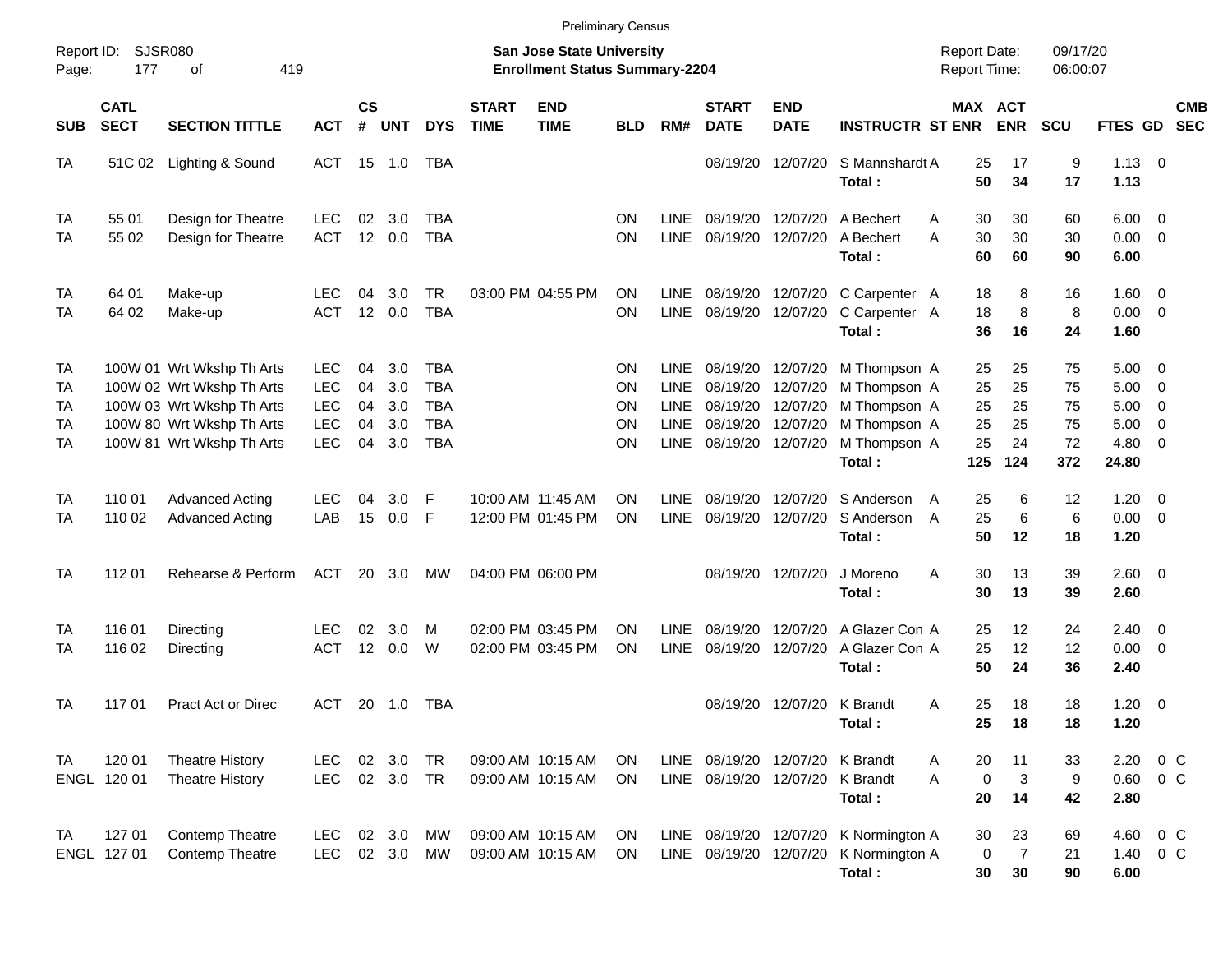|                                                 |                            |                                                                                                                                               |                                                                    |                            |                                 |                                                                    |                             | <b>Preliminary Census</b>                                          |                                   |                                                            |                                                      |                                                             |                                                                                                                  |                                     |                            |                            |                                      |                                                          |            |
|-------------------------------------------------|----------------------------|-----------------------------------------------------------------------------------------------------------------------------------------------|--------------------------------------------------------------------|----------------------------|---------------------------------|--------------------------------------------------------------------|-----------------------------|--------------------------------------------------------------------|-----------------------------------|------------------------------------------------------------|------------------------------------------------------|-------------------------------------------------------------|------------------------------------------------------------------------------------------------------------------|-------------------------------------|----------------------------|----------------------------|--------------------------------------|----------------------------------------------------------|------------|
| Report ID:<br>Page:                             | <b>SJSR080</b><br>177      | 419<br>оf                                                                                                                                     |                                                                    |                            |                                 |                                                                    |                             | San Jose State University<br><b>Enrollment Status Summary-2204</b> |                                   |                                                            |                                                      |                                                             |                                                                                                                  | <b>Report Date:</b><br>Report Time: |                            | 09/17/20<br>06:00:07       |                                      |                                                          |            |
| <b>SUB</b>                                      | <b>CATL</b><br><b>SECT</b> | <b>SECTION TITTLE</b>                                                                                                                         | <b>ACT</b>                                                         | $\mathsf{cs}$<br>#         | <b>UNT</b>                      | <b>DYS</b>                                                         | <b>START</b><br><b>TIME</b> | <b>END</b><br><b>TIME</b>                                          | <b>BLD</b>                        | RM#                                                        | <b>START</b><br><b>DATE</b>                          | <b>END</b><br><b>DATE</b>                                   | <b>INSTRUCTR ST ENR</b>                                                                                          | MAX ACT                             | <b>ENR</b>                 | <b>SCU</b>                 | FTES GD SEC                          |                                                          | <b>CMB</b> |
| <b>TA</b>                                       | 51C 02                     | Lighting & Sound                                                                                                                              | ACT 15 1.0                                                         |                            |                                 | TBA                                                                |                             |                                                                    |                                   |                                                            | 08/19/20                                             | 12/07/20                                                    | S Mannshardt A<br>Total:                                                                                         | 25<br>50                            | 17<br>34                   | 9<br>17                    | $1.13 \ 0$<br>1.13                   |                                                          |            |
| TA<br>TA                                        | 55 01<br>55 02             | Design for Theatre<br>Design for Theatre                                                                                                      | <b>LEC</b><br><b>ACT</b>                                           | 02<br>12                   | 3.0<br>0.0                      | TBA<br><b>TBA</b>                                                  |                             |                                                                    | ΟN<br>ON                          | LINE.<br><b>LINE</b>                                       | 08/19/20                                             | 12/07/20<br>08/19/20 12/07/20                               | A Bechert<br>A Bechert<br>Total:                                                                                 | 30<br>A<br>30<br>A<br>60            | 30<br>30<br>60             | 60<br>30<br>90             | 6.00<br>0.00<br>6.00                 | $\overline{0}$<br>$\overline{\mathbf{0}}$                |            |
| TA<br>TA                                        | 64 01<br>64 02             | Make-up<br>Make-up                                                                                                                            | <b>LEC</b><br><b>ACT</b>                                           | 04                         | 3.0<br>12 0.0                   | TR<br><b>TBA</b>                                                   |                             | 03:00 PM 04:55 PM                                                  | <b>ON</b><br>ON                   | <b>LINE</b><br><b>LINE</b>                                 |                                                      | 08/19/20 12/07/20                                           | 08/19/20 12/07/20 C Carpenter A<br>C Carpenter A<br>Total:                                                       | 18<br>18<br>36                      | 8<br>8<br>16               | 16<br>8<br>24              | 1.60<br>0.00<br>1.60                 | $\overline{\phantom{0}}$<br>$\overline{\mathbf{0}}$      |            |
| <b>TA</b><br>TA<br>TA<br><b>TA</b><br><b>TA</b> |                            | 100W 01 Wrt Wkshp Th Arts<br>100W 02 Wrt Wkshp Th Arts<br>100W 03 Wrt Wkshp Th Arts<br>100W 80 Wrt Wkshp Th Arts<br>100W 81 Wrt Wkshp Th Arts | <b>LEC</b><br><b>LEC</b><br><b>LEC</b><br><b>LEC</b><br><b>LEC</b> | 04<br>04<br>04<br>04<br>04 | 3.0<br>3.0<br>3.0<br>3.0<br>3.0 | <b>TBA</b><br><b>TBA</b><br><b>TBA</b><br><b>TBA</b><br><b>TBA</b> |                             |                                                                    | <b>ON</b><br>ΟN<br>ΟN<br>ΟN<br>ON | LINE.<br>LINE<br><b>LINE</b><br><b>LINE</b><br><b>LINE</b> |                                                      | 08/19/20 12/07/20<br>08/19/20 12/07/20<br>08/19/20 12/07/20 | 08/19/20 12/07/20 M Thompson A<br>08/19/20 12/07/20 M Thompson A<br>M Thompson A<br>M Thompson A<br>M Thompson A | 25<br>25<br>25<br>25<br>25          | 25<br>25<br>25<br>25<br>24 | 75<br>75<br>75<br>75<br>72 | 5.00<br>5.00<br>5.00<br>5.00<br>4.80 | $\overline{\mathbf{0}}$<br>0<br>0<br>0<br>$\overline{0}$ |            |
| <b>TA</b><br>TA                                 | 110 01<br>110 02           | <b>Advanced Acting</b><br><b>Advanced Acting</b>                                                                                              | <b>LEC</b><br>LAB                                                  | 04<br>15                   | 3.0<br>0.0                      | E<br>-F                                                            |                             | 10:00 AM 11:45 AM<br>12:00 PM 01:45 PM                             | ΟN<br>ON                          | LINE.<br><b>LINE</b>                                       | 08/19/20                                             | 12/07/20<br>08/19/20 12/07/20                               | Total:<br>S Anderson<br>S Anderson<br>Total:                                                                     | 125<br>25<br>A<br>25<br>A<br>50     | 124<br>6<br>6<br>12        | 372<br>12<br>6<br>18       | 24.80<br>1.20<br>0.00<br>1.20        | $\overline{\mathbf{0}}$<br>$\overline{\mathbf{0}}$       |            |
| <b>TA</b>                                       | 112 01                     | Rehearse & Perform                                                                                                                            | ACT                                                                |                            | 20 3.0                          | МW                                                                 |                             | 04:00 PM 06:00 PM                                                  |                                   |                                                            |                                                      | 08/19/20 12/07/20                                           | J Moreno<br>Total:                                                                                               | A<br>30<br>30                       | 13<br>13                   | 39<br>39                   | $2.60 \t 0$<br>2.60                  |                                                          |            |
| TA<br>TA                                        | 116 01<br>116 02           | Directing<br>Directing                                                                                                                        | <b>LEC</b><br><b>ACT</b>                                           | 02<br>12                   | 3.0<br>0.0                      | м<br>W                                                             |                             | 02:00 PM 03:45 PM<br>02:00 PM 03:45 PM                             | ΟN<br>ON                          | LINE.<br><b>LINE</b>                                       | 08/19/20<br>08/19/20                                 | 12/07/20<br>12/07/20                                        | A Glazer Con A<br>A Glazer Con A<br>Total:                                                                       | 25<br>25<br>50                      | 12<br>12<br>24             | 24<br>12<br>36             | 2.40<br>0.00<br>2.40                 | $\overline{0}$<br>$\overline{0}$                         |            |
| TA                                              | 117 01                     | <b>Pract Act or Direc</b>                                                                                                                     | ACT                                                                |                            | 20 1.0                          | TBA                                                                |                             |                                                                    |                                   |                                                            |                                                      | 08/19/20 12/07/20 K Brandt                                  | Total :                                                                                                          | 25<br>A<br>25                       | 18<br>18                   | 18<br>18                   | 1.20<br>1.20                         | $\overline{\mathbf{0}}$                                  |            |
| TA                                              | 120 01<br>ENGL 120 01      | <b>Theatre History</b><br><b>Theatre History</b>                                                                                              | <b>LEC</b><br><b>LEC</b>                                           |                            | 02 3.0<br>02 3.0 TR             | TR                                                                 |                             | 09:00 AM 10:15 AM<br>09:00 AM 10:15 AM                             | <b>ON</b><br>ON                   | LINE                                                       | 08/19/20 12/07/20 K Brandt<br>LINE 08/19/20 12/07/20 |                                                             | K Brandt<br>Total:                                                                                               | 20<br>A<br>0<br>A<br>20             | 11<br>3<br>14              | 33<br>9<br>42              | 2.20<br>0.60<br>2.80                 | $0\,$ C<br>0 <sup>o</sup>                                |            |
| TA                                              | 127 01<br>ENGL 127 01      | <b>Contemp Theatre</b><br>Contemp Theatre                                                                                                     | <b>LEC</b><br><b>LEC</b>                                           |                            | 02 3.0<br>02 3.0                | МW<br>МW                                                           |                             | 09:00 AM 10:15 AM<br>09:00 AM 10:15 AM                             | ON<br>ON                          |                                                            | LINE 08/19/20 12/07/20                               |                                                             | LINE 08/19/20 12/07/20 K Normington A<br>K Normington A<br>Total:                                                | 30<br>0<br>30                       | 23<br>$\overline{7}$<br>30 | 69<br>21<br>90             | 4.60<br>1.40<br>6.00                 | $0\,C$<br>$0\,C$                                         |            |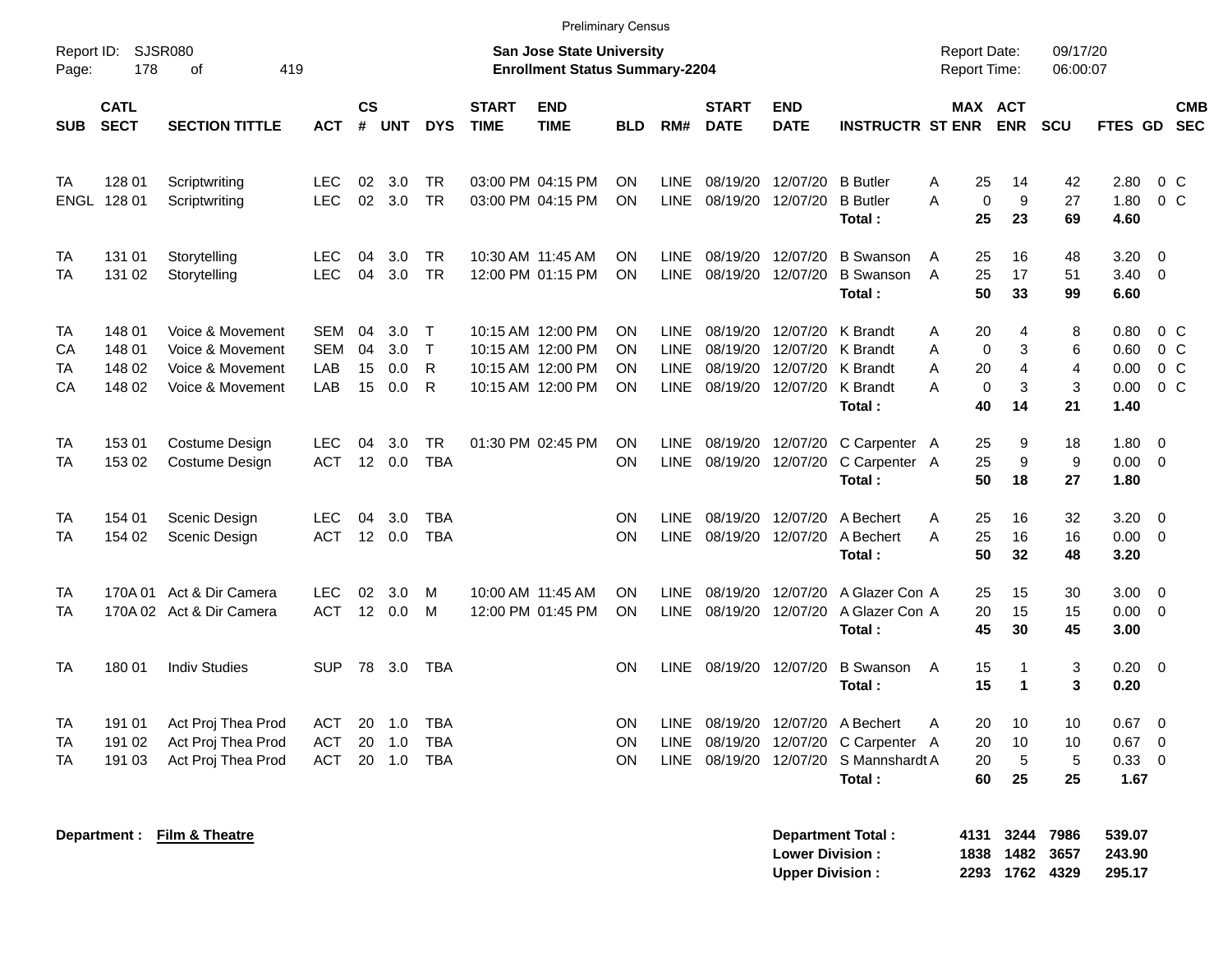|                      | <b>Preliminary Census</b><br><b>SJSR080</b><br><b>San Jose State University</b><br><b>Report Date:</b><br>09/17/20 |                                                                              |                                        |                       |                          |                                             |                             |                                                                                  |                       |                                            |                                        |                                                    |                                                                                   |                                                                  |                                                  |                        |                                      |                                                              |
|----------------------|--------------------------------------------------------------------------------------------------------------------|------------------------------------------------------------------------------|----------------------------------------|-----------------------|--------------------------|---------------------------------------------|-----------------------------|----------------------------------------------------------------------------------|-----------------------|--------------------------------------------|----------------------------------------|----------------------------------------------------|-----------------------------------------------------------------------------------|------------------------------------------------------------------|--------------------------------------------------|------------------------|--------------------------------------|--------------------------------------------------------------|
| Report ID:<br>Page:  | 178                                                                                                                | 419<br>of                                                                    | <b>Enrollment Status Summary-2204</b>  |                       |                          | Report Time:                                |                             | 06:00:07                                                                         |                       |                                            |                                        |                                                    |                                                                                   |                                                                  |                                                  |                        |                                      |                                                              |
| <b>SUB</b>           | <b>CATL</b><br><b>SECT</b>                                                                                         | <b>SECTION TITTLE</b>                                                        | <b>ACT</b>                             | <b>CS</b><br>#        | <b>UNT</b>               | <b>DYS</b>                                  | <b>START</b><br><b>TIME</b> | <b>END</b><br><b>TIME</b>                                                        | <b>BLD</b>            | RM#                                        | <b>START</b><br><b>DATE</b>            | <b>END</b><br><b>DATE</b>                          | <b>INSTRUCTR ST ENR</b>                                                           |                                                                  | MAX ACT<br><b>ENR</b>                            | <b>SCU</b>             |                                      | <b>CMB</b><br>FTES GD SEC                                    |
| <b>TA</b>            | 128 01<br>ENGL 128 01                                                                                              | Scriptwriting<br>Scriptwriting                                               | <b>LEC</b><br><b>LEC</b>               | 02<br>02              | 3.0<br>3.0               | TR<br><b>TR</b>                             |                             | 03:00 PM 04:15 PM<br>03:00 PM 04:15 PM                                           | ON<br>ON              | LINE<br>LINE                               | 08/19/20 12/07/20                      | 08/19/20 12/07/20                                  | <b>B</b> Butler<br><b>B</b> Butler<br>Total :                                     | 25<br>Α<br>$\mathbf 0$<br>A<br>25                                | 14<br>9<br>23                                    | 42<br>27<br>69         | 2.80<br>1.80<br>4.60                 | $0\,C$<br>0 <sup>o</sup>                                     |
| TA<br>TA             | 131 01<br>131 02                                                                                                   | Storytelling<br>Storytelling                                                 | <b>LEC</b><br><b>LEC</b>               | 04<br>04              | 3.0<br>3.0               | TR<br><b>TR</b>                             | 10:30 AM 11:45 AM           | 12:00 PM 01:15 PM                                                                | ON<br>ON              | <b>LINE</b><br>LINE                        | 08/19/20 12/07/20<br>08/19/20 12/07/20 |                                                    | <b>B</b> Swanson<br><b>B</b> Swanson<br>Total:                                    | 25<br>A<br>25<br>$\overline{A}$<br>50                            | 16<br>17<br>33                                   | 48<br>51<br>99         | 3.20<br>3.40<br>6.60                 | $\overline{0}$<br>$\overline{0}$                             |
| TA<br>СA<br>TA<br>CA | 148 01<br>148 01<br>148 02<br>148 02                                                                               | Voice & Movement<br>Voice & Movement<br>Voice & Movement<br>Voice & Movement | <b>SEM</b><br><b>SEM</b><br>LAB<br>LAB | 04<br>04<br>15<br>15  | 3.0<br>3.0<br>0.0<br>0.0 | $\top$<br>$\mathsf{T}$<br>$\mathsf{R}$<br>R |                             | 10:15 AM 12:00 PM<br>10:15 AM 12:00 PM<br>10:15 AM 12:00 PM<br>10:15 AM 12:00 PM | ON<br>ON<br>ON<br>ON  | LINE<br><b>LINE</b><br><b>LINE</b><br>LINE | 08/19/20<br>08/19/20 12/07/20          | 08/19/20 12/07/20<br>08/19/20 12/07/20<br>12/07/20 | K Brandt<br>K Brandt<br><b>K</b> Brandt<br>K Brandt<br>Total:                     | 20<br>Α<br>$\mathbf 0$<br>Α<br>A<br>20<br>$\mathbf 0$<br>A<br>40 | 4<br>3<br>$\overline{4}$<br>$\mathfrak{S}$<br>14 | 8<br>6<br>4<br>3<br>21 | 0.80<br>0.60<br>0.00<br>0.00<br>1.40 | $0\,C$<br>0 <sup>o</sup><br>0 <sup>o</sup><br>0 <sup>o</sup> |
| <b>TA</b><br>TA      | 15301<br>153 02                                                                                                    | Costume Design<br>Costume Design                                             | <b>LEC</b><br><b>ACT</b>               | 04<br>12 <sup>°</sup> | 3.0<br>0.0               | TR<br><b>TBA</b>                            |                             | 01:30 PM 02:45 PM                                                                | ON<br><b>ON</b>       | <b>LINE</b><br><b>LINE</b>                 | 08/19/20 12/07/20<br>08/19/20 12/07/20 |                                                    | C Carpenter A<br>C Carpenter A<br>Total:                                          | 25<br>25<br>50                                                   | 9<br>9<br>18                                     | 18<br>9<br>27          | 1.80<br>0.00<br>1.80                 | $\overline{0}$<br>$\overline{\mathbf{0}}$                    |
| TA<br>TA             | 154 01<br>154 02                                                                                                   | Scenic Design<br>Scenic Design                                               | <b>LEC</b><br><b>ACT</b>               | 04                    | 3.0<br>12 0.0            | <b>TBA</b><br><b>TBA</b>                    |                             |                                                                                  | ON<br>ON              | <b>LINE</b><br><b>LINE</b>                 | 08/19/20                               | 12/07/20<br>08/19/20 12/07/20                      | A Bechert<br>A Bechert<br>Total:                                                  | 25<br>A<br>25<br>A<br>50                                         | 16<br>16<br>32                                   | 32<br>16<br>48         | 3.20<br>0.00<br>3.20                 | $\overline{0}$<br>$\overline{0}$                             |
| TA<br>TA             | 170A 01                                                                                                            | Act & Dir Camera<br>170A 02 Act & Dir Camera                                 | <b>LEC</b><br><b>ACT</b>               | 02<br>12              | 3.0<br>0.0               | м<br>м                                      | 10:00 AM 11:45 AM           | 12:00 PM 01:45 PM                                                                | ON<br>ON              | <b>LINE</b><br><b>LINE</b>                 | 08/19/20 12/07/20                      | 08/19/20 12/07/20                                  | A Glazer Con A<br>A Glazer Con A<br>Total:                                        | 25<br>20<br>45                                                   | 15<br>15<br>30                                   | 30<br>15<br>45         | 3.00<br>0.00<br>3.00                 | $\overline{0}$<br>$\overline{\mathbf{0}}$                    |
| <b>TA</b>            | 180 01                                                                                                             | <b>Indiv Studies</b>                                                         | <b>SUP</b>                             | 78                    | 3.0                      | <b>TBA</b>                                  |                             |                                                                                  | ON                    | <b>LINE</b>                                | 08/19/20 12/07/20                      |                                                    | <b>B</b> Swanson<br>Total:                                                        | 15<br>A<br>15                                                    | $\mathbf{1}$<br>$\blacktriangleleft$             | 3<br>3                 | 0.20<br>0.20                         | $\overline{\mathbf{0}}$                                      |
| TA<br>TA<br>TA       | 191 01<br>191 02<br>191 03                                                                                         | Act Proj Thea Prod<br>Act Proj Thea Prod<br>Act Proj Thea Prod               | ACT<br><b>ACT</b><br><b>ACT</b>        | 20<br>20<br>20        | 1.0<br>1.0<br>1.0        | <b>TBA</b><br><b>TBA</b><br><b>TBA</b>      |                             |                                                                                  | ON<br><b>ON</b><br>ON | <b>LINE</b><br><b>LINE</b><br><b>LINE</b>  | 08/19/20                               | 08/19/20 12/07/20                                  | A Bechert<br>12/07/20 C Carpenter A<br>08/19/20 12/07/20 S Mannshardt A<br>Total: | 20<br>A<br>20<br>20<br>60                                        | 10<br>10<br>5<br>25                              | 10<br>10<br>5<br>25    | 0.67<br>0.67<br>0.33<br>1.67         | $\overline{\mathbf{0}}$<br>$\overline{0}$<br>$\overline{0}$  |

**Department : Film & Theatre Department Total : 4131 3244 7986 539.07**

| <b>Department Total:</b> | 4131 3244 7986 | 539.07 |
|--------------------------|----------------|--------|
| <b>Lower Division :</b>  | 1838 1482 3657 | 243.90 |
| <b>Upper Division :</b>  | 2293 1762 4329 | 295.17 |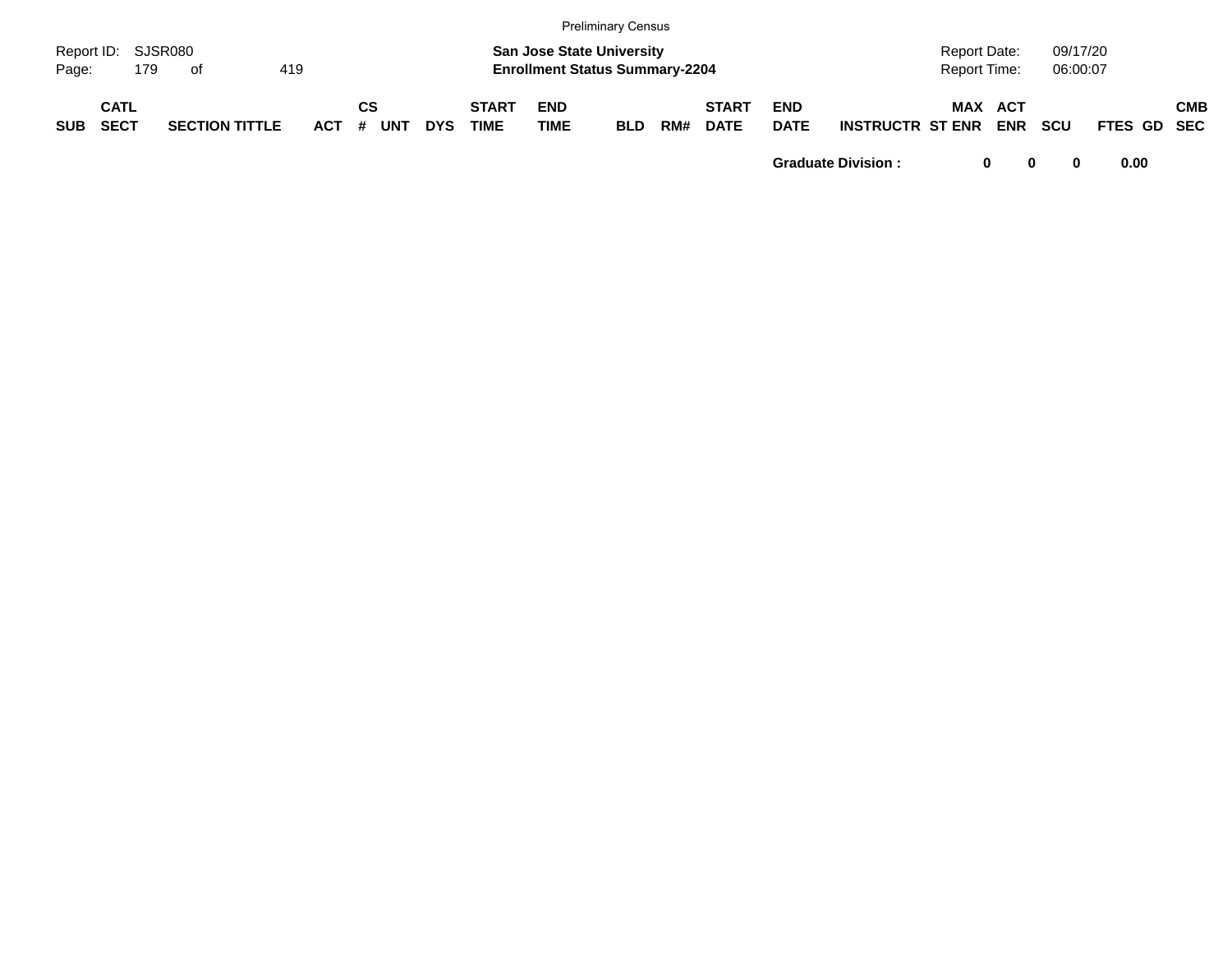|                             |                            |     |                       |     |       |    |            |            |                             |                           | <b>Preliminary Census</b>                                                 |     |                             |                           |                         |                              |                   |                      |             |            |
|-----------------------------|----------------------------|-----|-----------------------|-----|-------|----|------------|------------|-----------------------------|---------------------------|---------------------------------------------------------------------------|-----|-----------------------------|---------------------------|-------------------------|------------------------------|-------------------|----------------------|-------------|------------|
| Report ID: SJSR080<br>Page: |                            | 179 | . of                  | 419 |       |    |            |            |                             |                           | <b>San Jose State University</b><br><b>Enrollment Status Summary-2204</b> |     |                             |                           |                         | Report Date:<br>Report Time: |                   | 09/17/20<br>06:00:07 |             |            |
| <b>SUB</b>                  | <b>CATL</b><br><b>SECT</b> |     | <b>SECTION TITTLE</b> |     | ACT # | СS | <b>UNT</b> | <b>DYS</b> | <b>START</b><br><b>TIME</b> | <b>END</b><br><b>TIME</b> | <b>BLD</b>                                                                | RM# | <b>START</b><br><b>DATE</b> | <b>END</b><br><b>DATE</b> | <b>INSTRUCTR ST ENR</b> | <b>MAX</b>                   | ACT<br><b>ENR</b> | <b>SCU</b>           | FTES GD SEC | <b>CMB</b> |

**Graduate Division : 0 0 0 0.00**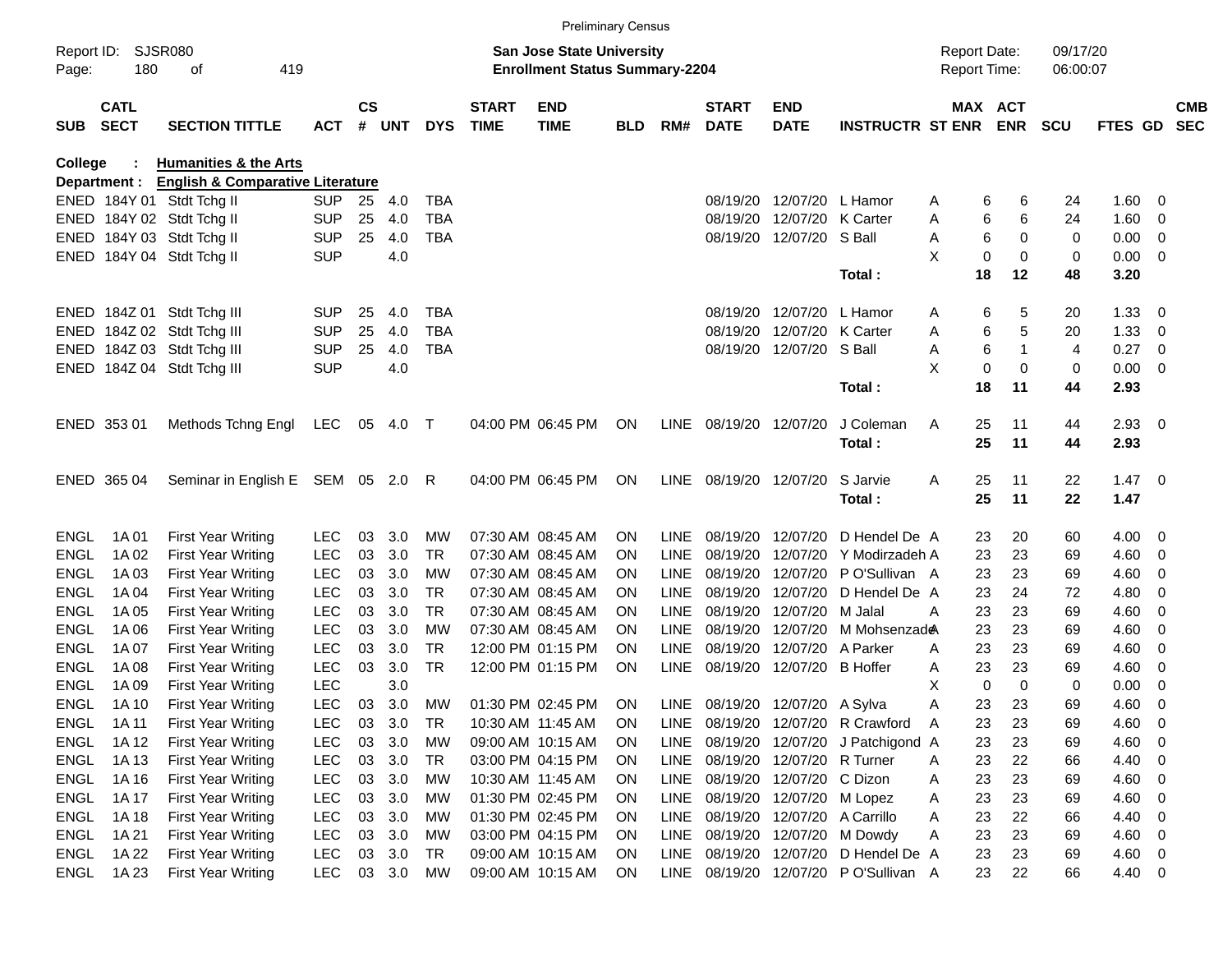|             |                            |                                             |            |                    |            |            |                                       |                           | <b>Preliminary Census</b> |             |                             |                              |                                  |                     |               |            |                |                          |                          |
|-------------|----------------------------|---------------------------------------------|------------|--------------------|------------|------------|---------------------------------------|---------------------------|---------------------------|-------------|-----------------------------|------------------------------|----------------------------------|---------------------|---------------|------------|----------------|--------------------------|--------------------------|
| Report ID:  |                            | <b>SJSR080</b>                              |            |                    |            |            |                                       | San Jose State University |                           |             |                             |                              |                                  | <b>Report Date:</b> |               | 09/17/20   |                |                          |                          |
| Page:       | 180                        | 419                                         |            |                    |            |            | <b>Enrollment Status Summary-2204</b> |                           |                           |             |                             |                              | <b>Report Time:</b>              |                     | 06:00:07      |            |                |                          |                          |
| <b>SUB</b>  | <b>CATL</b><br><b>SECT</b> | <b>SECTION TITTLE</b>                       | <b>ACT</b> | $\mathsf{cs}$<br># | <b>UNT</b> | <b>DYS</b> | <b>START</b><br><b>TIME</b>           | <b>END</b><br><b>TIME</b> | <b>BLD</b>                | RM#         | <b>START</b><br><b>DATE</b> | <b>END</b><br><b>DATE</b>    | <b>INSTRUCTR ST ENR ENR</b>      |                     | MAX ACT       | <b>SCU</b> | FTES GD        |                          | <b>CMB</b><br><b>SEC</b> |
| College     |                            | <b>Humanities &amp; the Arts</b>            |            |                    |            |            |                                       |                           |                           |             |                             |                              |                                  |                     |               |            |                |                          |                          |
|             | Department :               | <b>English &amp; Comparative Literature</b> |            |                    |            |            |                                       |                           |                           |             |                             |                              |                                  |                     |               |            |                |                          |                          |
|             |                            | ENED 184Y 01 Stdt Tchg II                   | <b>SUP</b> | 25                 | 4.0        | <b>TBA</b> |                                       |                           |                           |             |                             | 08/19/20 12/07/20            | L Hamor                          | Α                   | 6<br>6        | 24         | 1.60           | 0                        |                          |
|             |                            | ENED 184Y 02 Stdt Tchg II                   | <b>SUP</b> | 25                 | 4.0        | <b>TBA</b> |                                       |                           |                           |             |                             | 08/19/20 12/07/20 K Carter   |                                  | Α                   | 6<br>6        | 24         | 1.60           | 0                        |                          |
|             |                            | ENED 184Y 03 Stdt Tchg II                   | <b>SUP</b> | 25                 | 4.0        | <b>TBA</b> |                                       |                           |                           |             |                             | 08/19/20 12/07/20 S Ball     |                                  | Α                   | 6<br>0        | 0          | 0.00           | 0                        |                          |
|             |                            | ENED 184Y 04 Stdt Tchg II                   | <b>SUP</b> |                    | 4.0        |            |                                       |                           |                           |             |                             |                              |                                  | X                   | 0<br>0        | 0          | 0.00           | 0                        |                          |
|             |                            |                                             |            |                    |            |            |                                       |                           |                           |             |                             |                              | Total:                           |                     | 18<br>12      | 48         | 3.20           |                          |                          |
|             |                            | ENED 184Z 01 Stdt Tchg III                  | <b>SUP</b> | 25                 | 4.0        | TBA        |                                       |                           |                           |             |                             | 08/19/20 12/07/20            | L Hamor                          | Α                   | 6<br>5        | 20         | 1.33           | 0                        |                          |
|             |                            | ENED 184Z 02 Stdt Tchg III                  | <b>SUP</b> | 25                 | 4.0        | <b>TBA</b> |                                       |                           |                           |             |                             | 08/19/20 12/07/20            | K Carter                         | Α                   | 6<br>5        | 20         | 1.33           | 0                        |                          |
|             |                            | ENED 184Z 03 Stdt Tchg III                  | <b>SUP</b> | 25                 | 4.0        | <b>TBA</b> |                                       |                           |                           |             |                             | 08/19/20 12/07/20 S Ball     |                                  | Α                   | 6<br>-1       | 4          | 0.27           | 0                        |                          |
|             |                            | ENED 184Z 04 Stdt Tchg III                  | <b>SUP</b> |                    | 4.0        |            |                                       |                           |                           |             |                             |                              |                                  | X                   | 0<br>0        | 0          | 0.00           | 0                        |                          |
|             |                            |                                             |            |                    |            |            |                                       |                           |                           |             |                             |                              | Total:                           |                     | 18<br>11      | 44         | 2.93           |                          |                          |
|             | ENED 353 01                | Methods Tchng Engl                          | LEC        | 05                 | 4.0        | $\top$     |                                       | 04:00 PM 06:45 PM         | ON                        | LINE        | 08/19/20 12/07/20           |                              | J Coleman                        | Α                   | 25<br>11      | 44         | $2.93$ 0       |                          |                          |
|             |                            |                                             |            |                    |            |            |                                       |                           |                           |             |                             |                              | Total:                           |                     | 25<br>11      | 44         | 2.93           |                          |                          |
|             | ENED 365 04                | Seminar in English E SEM 05 2.0 R           |            |                    |            |            |                                       | 04:00 PM 06:45 PM         | ON                        | LINE        | 08/19/20 12/07/20           |                              | S Jarvie                         | Α                   | 25<br>11      | 22         | $1.47 \quad 0$ |                          |                          |
|             |                            |                                             |            |                    |            |            |                                       |                           |                           |             |                             |                              | Total:                           |                     | 25<br>11      | 22         | 1.47           |                          |                          |
|             |                            |                                             |            |                    |            |            |                                       |                           |                           |             |                             |                              |                                  |                     |               |            |                |                          |                          |
| ENGL        | 1A 01                      | <b>First Year Writing</b>                   | <b>LEC</b> | 03                 | 3.0        | MW         |                                       | 07:30 AM 08:45 AM         | ON                        | LINE        |                             | 08/19/20 12/07/20            | D Hendel De A                    |                     | 20<br>23      | 60         | 4.00           | 0                        |                          |
| <b>ENGL</b> | 1A 02                      | <b>First Year Writing</b>                   | <b>LEC</b> | 03                 | 3.0        | TR         |                                       | 07:30 AM 08:45 AM         | ON                        | LINE        |                             | 08/19/20 12/07/20            | Y Modirzadeh A                   |                     | 23<br>23      | 69         | 4.60           | 0                        |                          |
| <b>ENGL</b> | 1A 03                      | <b>First Year Writing</b>                   | <b>LEC</b> | 03                 | 3.0        | МW         |                                       | 07:30 AM 08:45 AM         | ON                        | <b>LINE</b> |                             | 08/19/20 12/07/20            | P O'Sullivan A                   |                     | 23<br>23      | 69         | 4.60           | 0                        |                          |
| <b>ENGL</b> | 1A 04                      | <b>First Year Writing</b>                   | <b>LEC</b> | 03                 | 3.0        | TR         |                                       | 07:30 AM 08:45 AM         | ON                        | <b>LINE</b> |                             | 08/19/20 12/07/20            | D Hendel De A                    |                     | 23<br>24      | 72         | 4.80           | 0                        |                          |
| <b>ENGL</b> | 1A 05                      | <b>First Year Writing</b>                   | <b>LEC</b> | 03                 | 3.0        | <b>TR</b>  |                                       | 07:30 AM 08:45 AM         | ON                        | <b>LINE</b> |                             | 08/19/20 12/07/20            | M Jalal                          | А                   | 23<br>23      | 69         | 4.60           | 0                        |                          |
| <b>ENGL</b> | 1A 06                      | <b>First Year Writing</b>                   | <b>LEC</b> | 03                 | 3.0        | МW         |                                       | 07:30 AM 08:45 AM         | ON                        | <b>LINE</b> |                             | 08/19/20 12/07/20            | M Mohsenzad                      |                     | 23<br>23      | 69         | 4.60           | 0                        |                          |
| <b>ENGL</b> | 1A 07                      | <b>First Year Writing</b>                   | <b>LEC</b> | 03                 | 3.0        | <b>TR</b>  |                                       | 12:00 PM 01:15 PM         | ON                        | <b>LINE</b> |                             | 08/19/20 12/07/20            | A Parker                         | Α                   | 23<br>23      | 69         | 4.60           | 0                        |                          |
| <b>ENGL</b> | 1A 08                      | <b>First Year Writing</b>                   | <b>LEC</b> | 03                 | 3.0        | <b>TR</b>  |                                       | 12:00 PM 01:15 PM         | <b>ON</b>                 | LINE        |                             | 08/19/20 12/07/20            | <b>B</b> Hoffer                  | Α                   | 23<br>23      | 69         | 4.60           | 0                        |                          |
| <b>ENGL</b> | 1A 09                      | <b>First Year Writing</b>                   | <b>LEC</b> |                    | 3.0        |            |                                       |                           |                           |             |                             |                              |                                  | X                   | 0<br>$\Omega$ | 0          | 0.00           | 0                        |                          |
| ENGL        | 1A 10                      | <b>First Year Writing</b>                   | <b>LEC</b> | 03                 | 3.0        | MW         |                                       | 01:30 PM 02:45 PM         | ON                        | LINE        |                             | 08/19/20 12/07/20 A Sylva    |                                  | Α                   | 23<br>23      | 69         | 4.60           | 0                        |                          |
| ENGL        | 1A 11                      | <b>First Year Writing</b>                   | <b>LEC</b> | 03                 | 3.0        | TR         |                                       | 10:30 AM 11:45 AM         | <b>ON</b>                 | LINE        |                             |                              | 08/19/20 12/07/20 R Crawford     | $\mathsf{A}$        | 23<br>23      | 69         | 4.60           | - 0                      |                          |
| ENGL        | 1A 12                      | <b>First Year Writing</b>                   | LEC        | 03                 | 3.0        | МW         |                                       | 09:00 AM 10:15 AM         | <b>ON</b>                 | <b>LINE</b> |                             |                              | 08/19/20 12/07/20 J Patchigond A |                     | 23<br>23      | 69         | 4.60           | 0                        |                          |
| ENGL        | 1A 13                      | <b>First Year Writing</b>                   | <b>LEC</b> | 03                 | 3.0        | TR         |                                       | 03:00 PM 04:15 PM         | <b>ON</b>                 | LINE        |                             | 08/19/20 12/07/20 R Turner   |                                  | Α                   | 22<br>23      | 66         | 4.40           | 0                        |                          |
| ENGL        | 1A 16                      | First Year Writing                          | <b>LEC</b> | 03                 | 3.0        | МW         |                                       | 10:30 AM 11:45 AM         | <b>ON</b>                 | LINE        |                             | 08/19/20 12/07/20 C Dizon    |                                  | Α                   | 23<br>23      | 69         | 4.60           | 0                        |                          |
| ENGL        | 1A 17                      | First Year Writing                          | <b>LEC</b> | 03                 | 3.0        | МW         |                                       | 01:30 PM 02:45 PM         | <b>ON</b>                 | LINE        |                             | 08/19/20 12/07/20 M Lopez    |                                  | Α                   | 23<br>23      | 69         | 4.60           | 0                        |                          |
| ENGL        | 1A 18                      | First Year Writing                          | <b>LEC</b> | 03                 | 3.0        | МW         |                                       | 01:30 PM 02:45 PM         | <b>ON</b>                 | LINE        |                             | 08/19/20 12/07/20 A Carrillo |                                  | Α                   | 23<br>22      | 66         | 4.40           | 0                        |                          |
| ENGL        | 1A 21                      | First Year Writing                          | <b>LEC</b> |                    | 03 3.0     | МW         |                                       | 03:00 PM 04:15 PM         | <b>ON</b>                 | LINE        |                             | 08/19/20 12/07/20            | M Dowdy                          | Α                   | 23<br>23      | 69         | 4.60           | $\mathbf 0$              |                          |
| <b>ENGL</b> | 1A 22                      | First Year Writing                          | <b>LEC</b> |                    | 03 3.0     | TR         |                                       | 09:00 AM 10:15 AM         | <b>ON</b>                 | LINE        |                             |                              | 08/19/20 12/07/20 D Hendel De A  |                     | 23<br>23      | 69         | 4.60           | $\overline{\phantom{0}}$ |                          |
| ENGL        | 1A 23                      | First Year Writing                          | LEC        |                    | 03 3.0     | MW         |                                       | 09:00 AM 10:15 AM         | ON                        | LINE        |                             |                              | 08/19/20 12/07/20 PO'Sullivan A  |                     | 22<br>23      | 66         | 4.40 0         |                          |                          |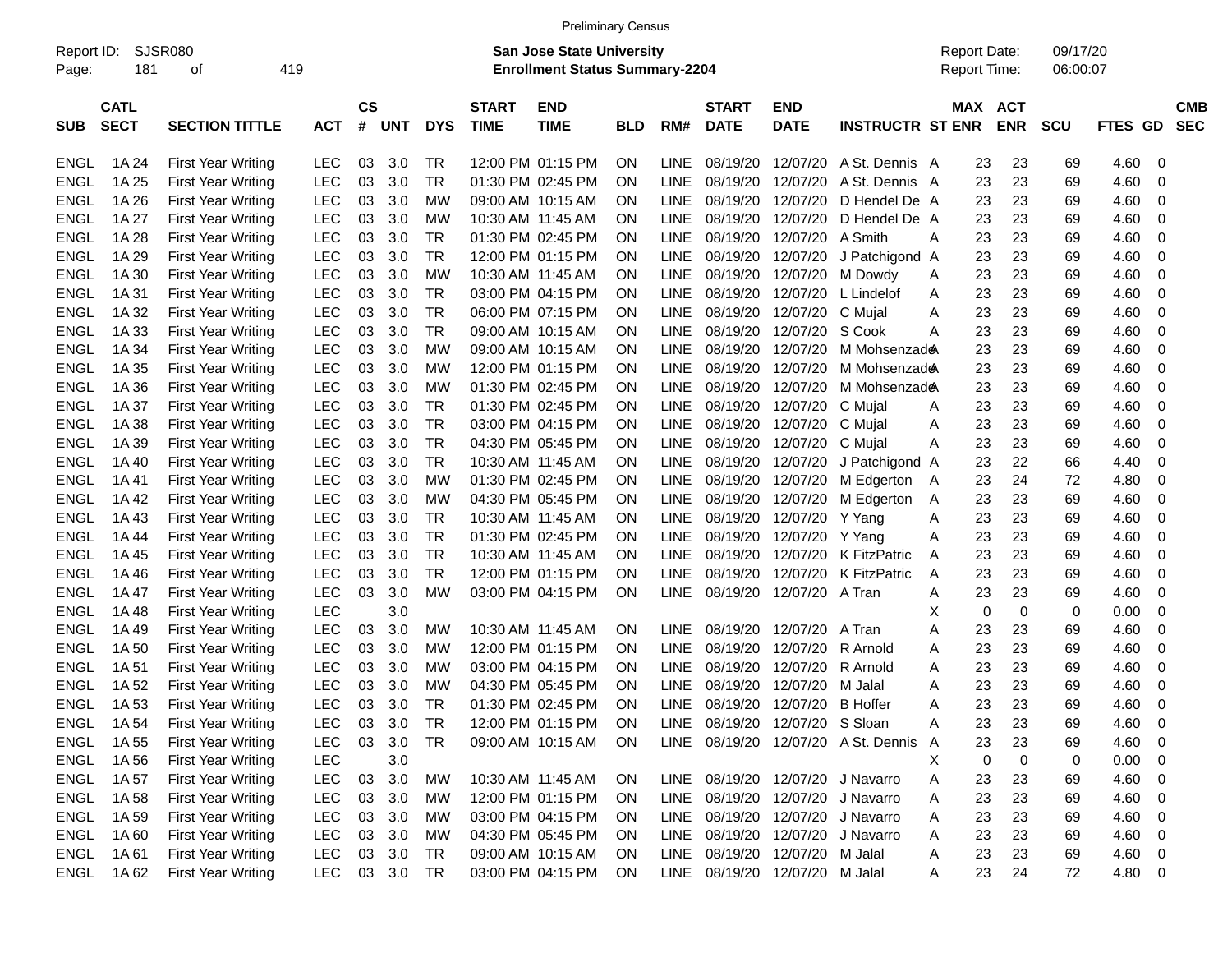|                     |                            |                           |            |                |            |            |                             | <b>Preliminary Census</b>                                                 |            |      |                                |                           |                                  |                                     |                       |                      |             |                          |
|---------------------|----------------------------|---------------------------|------------|----------------|------------|------------|-----------------------------|---------------------------------------------------------------------------|------------|------|--------------------------------|---------------------------|----------------------------------|-------------------------------------|-----------------------|----------------------|-------------|--------------------------|
| Report ID:<br>Page: | 181                        | SJSR080<br>419<br>οf      |            |                |            |            |                             | <b>San Jose State University</b><br><b>Enrollment Status Summary-2204</b> |            |      |                                |                           |                                  | <b>Report Date:</b><br>Report Time: |                       | 09/17/20<br>06:00:07 |             |                          |
| <b>SUB</b>          | <b>CATL</b><br><b>SECT</b> | <b>SECTION TITTLE</b>     | <b>ACT</b> | <b>CS</b><br># | <b>UNT</b> | <b>DYS</b> | <b>START</b><br><b>TIME</b> | <b>END</b><br><b>TIME</b>                                                 | <b>BLD</b> | RM#  | <b>START</b><br><b>DATE</b>    | <b>END</b><br><b>DATE</b> | <b>INSTRUCTR ST ENR</b>          |                                     | MAX ACT<br><b>ENR</b> | <b>SCU</b>           | FTES GD     | <b>CMB</b><br><b>SEC</b> |
| ENGL                | 1A 24                      | <b>First Year Writing</b> | LEC        | 03             | 3.0        | TR         |                             | 12:00 PM 01:15 PM                                                         | ΟN         | LINE | 08/19/20                       | 12/07/20                  | A St. Dennis A                   | 23                                  | 23                    | 69                   | 4.60        | - 0                      |
| <b>ENGL</b>         | 1A 25                      | <b>First Year Writing</b> | LEC        | 03             | 3.0        | TR.        |                             | 01:30 PM 02:45 PM                                                         | ΟN         | LINE | 08/19/20                       | 12/07/20                  | A St. Dennis                     | 23<br>A                             | 23                    | 69                   | 4.60        | -0                       |
| <b>ENGL</b>         | 1A 26                      | <b>First Year Writing</b> | LEC        | 03             | 3.0        | МW         |                             | 09:00 AM 10:15 AM                                                         | ΟN         | LINE | 08/19/20                       | 12/07/20                  | D Hendel De A                    | 23                                  | 23                    | 69                   | 4.60        | 0                        |
| <b>ENGL</b>         | 1A 27                      | <b>First Year Writing</b> | LEC        | 03             | 3.0        | <b>MW</b>  |                             | 10:30 AM 11:45 AM                                                         | ΟN         | LINE | 08/19/20                       | 12/07/20                  | D Hendel De A                    | 23                                  | 23                    | 69                   | 4.60        | 0                        |
| <b>ENGL</b>         | 1A 28                      | <b>First Year Writing</b> | LEC        | 03             | 3.0        | TR         |                             | 01:30 PM 02:45 PM                                                         | ΟN         | LINE | 08/19/20                       | 12/07/20 A Smith          |                                  | 23<br>А                             | 23                    | 69                   | 4.60        | 0                        |
| <b>ENGL</b>         | 1A 29                      | <b>First Year Writing</b> | LEC        | 03             | 3.0        | TR.        |                             | 12:00 PM 01:15 PM                                                         | ΟN         | LINE | 08/19/20                       | 12/07/20                  | J Patchigond                     | 23<br>A                             | 23                    | 69                   | 4.60        | 0                        |
| <b>ENGL</b>         | 1A 30                      | <b>First Year Writing</b> | LEC        | 03             | 3.0        | МW         |                             | 10:30 AM 11:45 AM                                                         | ΟN         | LINE | 08/19/20                       | 12/07/20                  | M Dowdy                          | 23<br>Α                             | 23                    | 69                   | 4.60        | 0                        |
| <b>ENGL</b>         | 1A 31                      | <b>First Year Writing</b> | <b>LEC</b> | 03             | 3.0        | TR         |                             | 03:00 PM 04:15 PM                                                         | ΟN         | LINE | 08/19/20                       | 12/07/20                  | L Lindelof                       | 23<br>Α                             | 23                    | 69                   | 4.60        | 0                        |
| <b>ENGL</b>         | 1A 32                      | <b>First Year Writing</b> | LEC        | 03             | 3.0        | TR         |                             | 06:00 PM 07:15 PM                                                         | ΟN         | LINE | 08/19/20                       | 12/07/20 C Mujal          |                                  | Α<br>23                             | 23                    | 69                   | 4.60        | 0                        |
| <b>ENGL</b>         | 1A 33                      | <b>First Year Writing</b> | LEC        | 03             | 3.0        | TR.        |                             | 09:00 AM 10:15 AM                                                         | ΟN         | LINE | 08/19/20                       | 12/07/20 S Cook           |                                  | 23<br>Α                             | 23                    | 69                   | 4.60        | 0                        |
| <b>ENGL</b>         | 1A 34                      | <b>First Year Writing</b> | <b>LEC</b> | 03             | 3.0        | МW         |                             | 09:00 AM 10:15 AM                                                         | ΟN         | LINE | 08/19/20                       | 12/07/20                  | M Mohsenzade                     | 23                                  | 23                    | 69                   | 4.60        | 0                        |
| <b>ENGL</b>         | 1A 35                      | <b>First Year Writing</b> | LEC        | 03             | 3.0        | МW         |                             | 12:00 PM 01:15 PM                                                         | ΟN         | LINE | 08/19/20                       | 12/07/20                  | M Mohsenzade                     | 23                                  | 23                    | 69                   | 4.60        | 0                        |
| <b>ENGL</b>         | 1A 36                      | <b>First Year Writing</b> | LEC        | 03             | 3.0        | МW         |                             | 01:30 PM 02:45 PM                                                         | ΟN         | LINE | 08/19/20                       | 12/07/20                  | M Mohsenzade                     | 23                                  | 23                    | 69                   | 4.60        | 0                        |
| <b>ENGL</b>         | 1A 37                      | <b>First Year Writing</b> | <b>LEC</b> | 03             | 3.0        | TR         |                             | 01:30 PM 02:45 PM                                                         | ΟN         | LINE | 08/19/20                       | 12/07/20 C Mujal          |                                  | 23<br>Α                             | 23                    | 69                   | 4.60        | 0                        |
| <b>ENGL</b>         | 1A 38                      | <b>First Year Writing</b> | LEC        | 03             | 3.0        | TR         |                             | 03:00 PM 04:15 PM                                                         | ΟN         | LINE | 08/19/20                       | 12/07/20 C Mujal          |                                  | 23<br>Α                             | 23                    | 69                   | 4.60        | 0                        |
| <b>ENGL</b>         | 1A 39                      | <b>First Year Writing</b> | <b>LEC</b> | 03             | 3.0        | <b>TR</b>  |                             | 04:30 PM 05:45 PM                                                         | ΟN         | LINE | 08/19/20                       | 12/07/20 C Mujal          |                                  | 23<br>Α                             | 23                    | 69                   | 4.60        | 0                        |
| <b>ENGL</b>         | 1A 40                      | <b>First Year Writing</b> | <b>LEC</b> | 03             | 3.0        | <b>TR</b>  |                             | 10:30 AM 11:45 AM                                                         | ΟN         | LINE | 08/19/20                       | 12/07/20                  | J Patchigond                     | 23<br>A                             | 22                    | 66                   | 4.40        | 0                        |
| <b>ENGL</b>         | 1A 41                      | <b>First Year Writing</b> | <b>LEC</b> | 03             | 3.0        | МW         |                             | 01:30 PM 02:45 PM                                                         | ΟN         | LINE | 08/19/20                       | 12/07/20                  | M Edgerton                       | 23<br>A                             | 24                    | 72                   | 4.80        | 0                        |
| <b>ENGL</b>         | 1A 42                      | <b>First Year Writing</b> | <b>LEC</b> | 03             | 3.0        | МW         |                             | 04:30 PM 05:45 PM                                                         | ΟN         | LINE | 08/19/20                       | 12/07/20                  | M Edgerton                       | 23<br>Α                             | 23                    | 69                   | 4.60        | 0                        |
| <b>ENGL</b>         | 1A 43                      | <b>First Year Writing</b> | <b>LEC</b> | 03             | 3.0        | TR         |                             | 10:30 AM 11:45 AM                                                         | ΟN         | LINE | 08/19/20                       | 12/07/20 Y Yang           |                                  | 23<br>Α                             | 23                    | 69                   | 4.60        | 0                        |
| <b>ENGL</b>         | 1A 44                      | <b>First Year Writing</b> | <b>LEC</b> | 03             | 3.0        | TR         |                             | 01:30 PM 02:45 PM                                                         | ΟN         | LINE | 08/19/20                       | 12/07/20 Y Yang           |                                  | 23<br>Α                             | 23                    | 69                   | 4.60        | 0                        |
| <b>ENGL</b>         | 1A 45                      | <b>First Year Writing</b> | <b>LEC</b> | 03             | 3.0        | TR         | 10:30 AM 11:45 AM           |                                                                           | ΟN         | LINE | 08/19/20                       |                           | 12/07/20 K FitzPatric            | 23<br>Α                             | 23                    | 69                   | 4.60        | 0                        |
| <b>ENGL</b>         | 1A 46                      | <b>First Year Writing</b> | <b>LEC</b> | 03             | 3.0        | TR         |                             | 12:00 PM 01:15 PM                                                         | ΟN         | LINE | 08/19/20                       | 12/07/20                  | K FitzPatric                     | 23<br>Α                             | 23                    | 69                   | 4.60        | 0                        |
| <b>ENGL</b>         | 1A 47                      | <b>First Year Writing</b> | <b>LEC</b> | 03             | 3.0        | МW         |                             | 03:00 PM 04:15 PM                                                         | ON         | LINE | 08/19/20                       | 12/07/20 A Tran           |                                  | 23<br>Α                             | 23                    | 69                   | 4.60        | 0                        |
| <b>ENGL</b>         | 1A 48                      | <b>First Year Writing</b> | LEC        |                | 3.0        |            |                             |                                                                           |            |      |                                |                           |                                  | Χ<br>0                              | 0                     | 0                    | 0.00        | 0                        |
| <b>ENGL</b>         | 1A 49                      | <b>First Year Writing</b> | <b>LEC</b> | 03             | 3.0        | MW         |                             | 10:30 AM 11:45 AM                                                         | ΟN         | LINE | 08/19/20                       | 12/07/20                  | A Tran                           | Α<br>23                             | 23                    | 69                   | 4.60        | 0                        |
| <b>ENGL</b>         | 1A 50                      | <b>First Year Writing</b> | <b>LEC</b> | 03             | 3.0        | МW         |                             | 12:00 PM 01:15 PM                                                         | ΟN         | LINE | 08/19/20                       | 12/07/20                  | R Arnold                         | 23<br>Α                             | 23                    | 69                   | 4.60        | 0                        |
| <b>ENGL</b>         | 1A 51                      | <b>First Year Writing</b> | <b>LEC</b> | 03             | 3.0        | МW         |                             | 03:00 PM 04:15 PM                                                         | ΟN         | LINE | 08/19/20                       | 12/07/20                  | R Arnold                         | 23<br>Α                             | 23                    | 69                   | 4.60        | 0                        |
| <b>ENGL</b>         | 1A 52                      | <b>First Year Writing</b> | LEC        | 03             | 3.0        | МW         |                             | 04:30 PM 05:45 PM                                                         | ΟN         | LINE | 08/19/20                       | 12/07/20                  | M Jalal                          | 23<br>Α                             | 23                    | 69                   | 4.60        | 0                        |
| <b>ENGL</b>         | 1A 53                      | <b>First Year Writing</b> | <b>LEC</b> | 03             | 3.0        | TR         |                             | 01:30 PM 02:45 PM                                                         | ΟN         | LINE | 08/19/20                       | 12/07/20 B Hoffer         |                                  | 23<br>Α                             | 23                    | 69                   | 4.60        | - 0                      |
| ENGL                | 1A 54                      | <b>First Year Writing</b> | <b>LEC</b> | 03             | 3.0        | TR         |                             | 12:00 PM 01:15 PM                                                         | ON         | LINE | 08/19/20 12/07/20 S Sloan      |                           |                                  | 23<br>Α                             | 23                    | 69                   | 4.60        | $\overline{\mathbf{0}}$  |
| ENGL                | 1A 55                      | <b>First Year Writing</b> | <b>LEC</b> | 03             | 3.0        | TR         |                             | 09:00 AM 10:15 AM                                                         | <b>ON</b>  | LINE |                                |                           | 08/19/20 12/07/20 A St. Dennis   | 23<br>$\mathsf{A}$                  | 23                    | 69                   | 4.60 0      |                          |
| ENGL                | 1A 56                      | <b>First Year Writing</b> | <b>LEC</b> |                | 3.0        |            |                             |                                                                           |            |      |                                |                           |                                  | $\mathbf 0$<br>X                    | 0                     | 0                    | $0.00 \t 0$ |                          |
| ENGL                | 1A 57                      | <b>First Year Writing</b> | <b>LEC</b> | 03             | 3.0        | <b>MW</b>  |                             | 10:30 AM 11:45 AM                                                         | <b>ON</b>  |      |                                |                           | LINE 08/19/20 12/07/20 J Navarro | Α<br>23                             | 23                    | 69                   | $4.60$ 0    |                          |
| ENGL                | 1A 58                      | First Year Writing        | <b>LEC</b> | 03             | 3.0        | МW         |                             | 12:00 PM 01:15 PM                                                         | <b>ON</b>  | LINE |                                |                           | 08/19/20 12/07/20 J Navarro      | 23<br>Α                             | 23                    | 69                   | $4.60$ 0    |                          |
| <b>ENGL</b>         | 1A 59                      | <b>First Year Writing</b> | <b>LEC</b> | 03             | 3.0        | МW         |                             | 03:00 PM 04:15 PM                                                         | <b>ON</b>  | LINE |                                |                           | 08/19/20 12/07/20 J Navarro      | 23<br>Α                             | 23                    | 69                   | $4.60$ 0    |                          |
| ENGL                | 1A 60                      | <b>First Year Writing</b> | <b>LEC</b> |                | 03 3.0     | МW         |                             | 04:30 PM 05:45 PM                                                         | <b>ON</b>  | LINE |                                |                           | 08/19/20 12/07/20 J Navarro      | 23<br>Α                             | 23                    | 69                   | $4.60$ 0    |                          |
| ENGL                | 1A 61                      | First Year Writing        | <b>LEC</b> |                | 03 3.0     | TR         |                             | 09:00 AM 10:15 AM                                                         | <b>ON</b>  | LINE |                                | 08/19/20 12/07/20 M Jalal |                                  | 23<br>A                             | 23                    | 69                   | 4.60 0      |                          |
| ENGL                | 1A 62                      | <b>First Year Writing</b> | <b>LEC</b> |                | 03 3.0 TR  |            |                             | 03:00 PM 04:15 PM                                                         | ON         |      | LINE 08/19/20 12/07/20 M Jalal |                           |                                  | 23<br>A                             | 24                    | 72                   | 4.80 0      |                          |
|                     |                            |                           |            |                |            |            |                             |                                                                           |            |      |                                |                           |                                  |                                     |                       |                      |             |                          |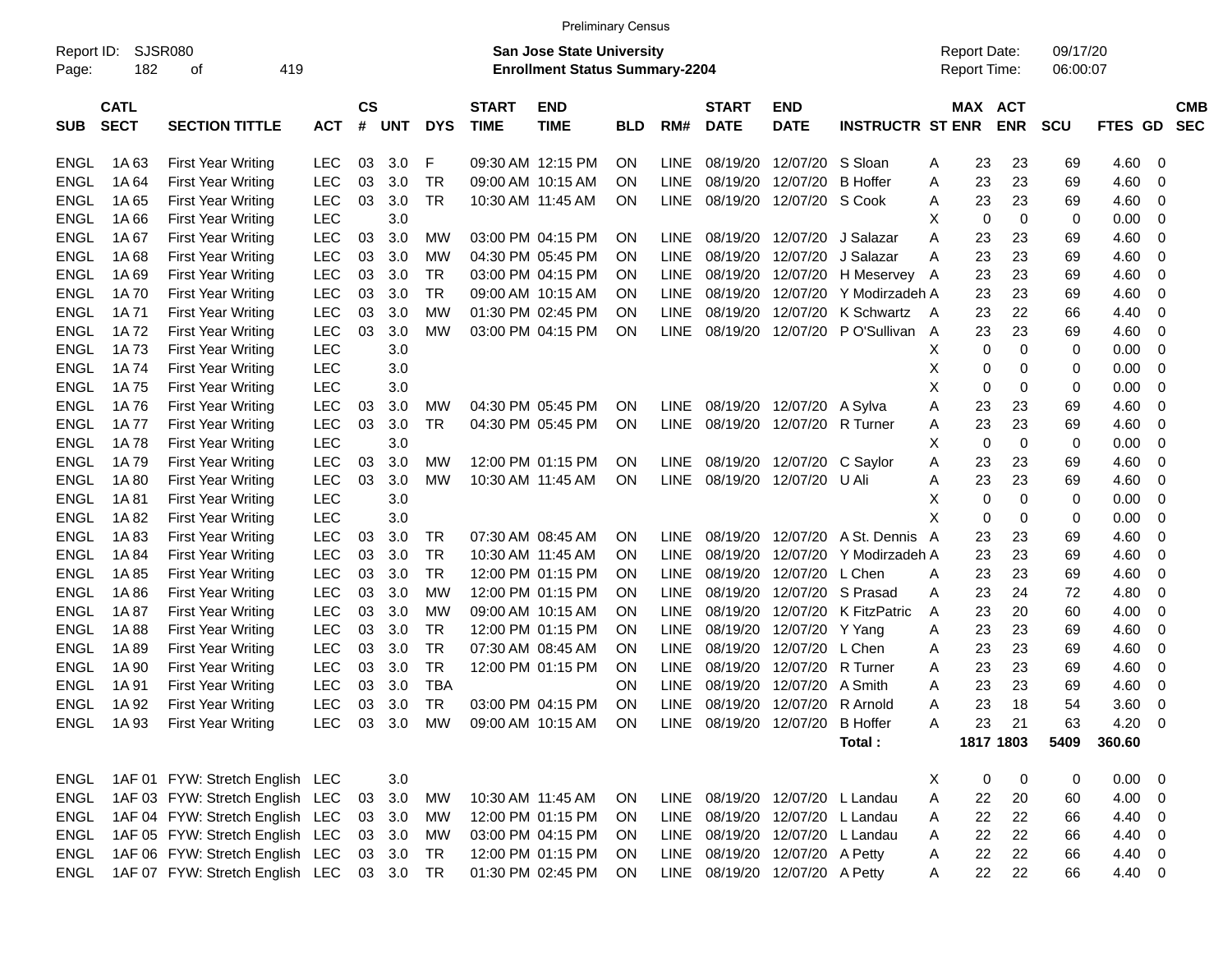|                     |                            |                                           |            |                    |            |            |                             | <b>Preliminary Census</b>                                          |            |             |                             |                                 |                         |    |                                     |            |                      |                   |             |            |
|---------------------|----------------------------|-------------------------------------------|------------|--------------------|------------|------------|-----------------------------|--------------------------------------------------------------------|------------|-------------|-----------------------------|---------------------------------|-------------------------|----|-------------------------------------|------------|----------------------|-------------------|-------------|------------|
| Report ID:<br>Page: | 182                        | <b>SJSR080</b><br>419<br>οf               |            |                    |            |            |                             | San Jose State University<br><b>Enrollment Status Summary-2204</b> |            |             |                             |                                 |                         |    | <b>Report Date:</b><br>Report Time: |            | 09/17/20<br>06:00:07 |                   |             |            |
| <b>SUB</b>          | <b>CATL</b><br><b>SECT</b> | <b>SECTION TITTLE</b>                     | <b>ACT</b> | $\mathsf{cs}$<br># | <b>UNT</b> | <b>DYS</b> | <b>START</b><br><b>TIME</b> | <b>END</b><br><b>TIME</b>                                          | <b>BLD</b> | RM#         | <b>START</b><br><b>DATE</b> | <b>END</b><br><b>DATE</b>       | <b>INSTRUCTR ST ENR</b> |    | MAX ACT                             | <b>ENR</b> | <b>SCU</b>           | <b>GD</b><br>FTES | <b>SEC</b>  | <b>CMB</b> |
| <b>ENGL</b>         | 1A 63                      | <b>First Year Writing</b>                 | LEC        | 03                 | 3.0        | F          |                             | 09:30 AM 12:15 PM                                                  | <b>ON</b>  | <b>LINE</b> | 08/19/20                    | 12/07/20 S Sloan                |                         | A  | 23                                  | 23         | 69                   | 4.60              | 0           |            |
| <b>ENGL</b>         | 1A64                       | <b>First Year Writing</b>                 | <b>LEC</b> | 03                 | 3.0        | <b>TR</b>  |                             | 09:00 AM 10:15 AM                                                  | ΟN         | <b>LINE</b> | 08/19/20                    | 12/07/20 B Hoffer               |                         | Α  | 23                                  | 23         | 69                   | 4.60              | 0           |            |
| <b>ENGL</b>         | 1A65                       | <b>First Year Writing</b>                 | <b>LEC</b> | 03                 | 3.0        | <b>TR</b>  |                             | 10:30 AM 11:45 AM                                                  | ON         | <b>LINE</b> | 08/19/20                    | 12/07/20 S Cook                 |                         | A  | 23                                  | 23         | 69                   | 4.60              | 0           |            |
| <b>ENGL</b>         | 1A 66                      | <b>First Year Writing</b>                 | <b>LEC</b> |                    | 3.0        |            |                             |                                                                    |            |             |                             |                                 |                         | X  | 0                                   | 0          | 0                    | 0.00              | 0           |            |
| <b>ENGL</b>         | 1A 67                      | <b>First Year Writing</b>                 | <b>LEC</b> | 03                 | 3.0        | МW         |                             | 03:00 PM 04:15 PM                                                  | <b>ON</b>  | LINE.       | 08/19/20                    | 12/07/20                        | J Salazar               | Α  | 23                                  | 23         | 69                   | 4.60              | 0           |            |
| <b>ENGL</b>         | 1A68                       | <b>First Year Writing</b>                 | <b>LEC</b> | 03                 | 3.0        | МW         |                             | 04:30 PM 05:45 PM                                                  | ΟN         | LINE.       | 08/19/20                    | 12/07/20                        | J Salazar               | Α  | 23                                  | 23         | 69                   | 4.60              | 0           |            |
| <b>ENGL</b>         | 1A69                       | <b>First Year Writing</b>                 | <b>LEC</b> | 03                 | 3.0        | <b>TR</b>  |                             | 03:00 PM 04:15 PM                                                  | ΟN         | <b>LINE</b> | 08/19/20                    |                                 | 12/07/20 H Meservey     | A  | 23                                  | 23         | 69                   | 4.60              | 0           |            |
| <b>ENGL</b>         | 1A 70                      | <b>First Year Writing</b>                 | <b>LEC</b> | 03                 | 3.0        | <b>TR</b>  |                             | 09:00 AM 10:15 AM                                                  | ΟN         | <b>LINE</b> | 08/19/20                    |                                 | 12/07/20 Y Modirzadeh A |    | 23                                  | 23         | 69                   | 4.60              | 0           |            |
| <b>ENGL</b>         | 1A 71                      | <b>First Year Writing</b>                 | <b>LEC</b> | 03                 | 3.0        | МW         |                             | 01:30 PM 02:45 PM                                                  | ΟN         | <b>LINE</b> | 08/19/20                    |                                 | 12/07/20 K Schwartz     | A  | 23                                  | 22         | 66                   | 4.40              | 0           |            |
| <b>ENGL</b>         | 1A 72                      | <b>First Year Writing</b>                 | <b>LEC</b> | 03                 | 3.0        | МW         |                             | 03:00 PM 04:15 PM                                                  | ON         | <b>LINE</b> | 08/19/20                    |                                 | 12/07/20 PO'Sullivan    | A  | 23                                  | 23         | 69                   | 4.60              | 0           |            |
| <b>ENGL</b>         | 1A 73                      | <b>First Year Writing</b>                 | <b>LEC</b> |                    | 3.0        |            |                             |                                                                    |            |             |                             |                                 |                         | X  | 0                                   | 0          | 0                    | 0.00              | 0           |            |
| <b>ENGL</b>         | 1A 74                      | <b>First Year Writing</b>                 | <b>LEC</b> |                    | 3.0        |            |                             |                                                                    |            |             |                             |                                 |                         | X  | 0                                   | 0          | 0                    | 0.00              | 0           |            |
| <b>ENGL</b>         | 1A75                       | <b>First Year Writing</b>                 | <b>LEC</b> |                    | 3.0        |            |                             |                                                                    |            |             |                             |                                 |                         | Χ  | 0                                   | 0          | 0                    | 0.00              | $\mathbf 0$ |            |
| <b>ENGL</b>         | 1A 76                      | <b>First Year Writing</b>                 | <b>LEC</b> | 03                 | 3.0        | МW         |                             | 04:30 PM 05:45 PM                                                  | ΟN         | <b>LINE</b> |                             | 08/19/20 12/07/20 A Sylva       |                         |    | 23                                  |            | 69                   |                   | 0           |            |
|                     |                            |                                           |            |                    |            | <b>TR</b>  |                             |                                                                    |            |             |                             |                                 |                         | Α  |                                     | 23         |                      | 4.60              |             |            |
| <b>ENGL</b>         | 1A 77                      | <b>First Year Writing</b>                 | <b>LEC</b> | 03                 | 3.0        |            |                             | 04:30 PM 05:45 PM                                                  | ON         | <b>LINE</b> |                             | 08/19/20 12/07/20 R Turner      |                         | A  | 23                                  | 23         | 69                   | 4.60              | 0           |            |
| <b>ENGL</b>         | 1A78                       | <b>First Year Writing</b>                 | <b>LEC</b> |                    | 3.0        |            |                             |                                                                    |            |             |                             |                                 |                         | X  | 0                                   | 0          | 0                    | 0.00              | 0           |            |
| <b>ENGL</b>         | 1A 79                      | <b>First Year Writing</b>                 | <b>LEC</b> | 03                 | 3.0        | МW         |                             | 12:00 PM 01:15 PM                                                  | <b>ON</b>  | <b>LINE</b> | 08/19/20                    | 12/07/20 C Saylor               |                         | Α  | 23                                  | 23         | 69                   | 4.60              | 0           |            |
| <b>ENGL</b>         | 1A 80                      | <b>First Year Writing</b>                 | <b>LEC</b> | 03                 | 3.0        | МW         |                             | 10:30 AM 11:45 AM                                                  | ON         | <b>LINE</b> |                             | 08/19/20 12/07/20 U Ali         |                         | Α  | 23                                  | 23         | 69                   | 4.60              | 0           |            |
| <b>ENGL</b>         | 1A81                       | <b>First Year Writing</b>                 | <b>LEC</b> |                    | 3.0        |            |                             |                                                                    |            |             |                             |                                 |                         | Х  | 0                                   | 0          | 0                    | 0.00              | 0           |            |
| <b>ENGL</b>         | 1A 82                      | <b>First Year Writing</b>                 | <b>LEC</b> |                    | 3.0        |            |                             |                                                                    |            |             |                             |                                 |                         | X  | 0                                   | 0          | 0                    | 0.00              | $\mathbf 0$ |            |
| <b>ENGL</b>         | 1A83                       | <b>First Year Writing</b>                 | <b>LEC</b> | 03                 | 3.0        | TR         |                             | 07:30 AM 08:45 AM                                                  | <b>ON</b>  | LINE.       | 08/19/20                    | 12/07/20                        | A St. Dennis A          |    | 23                                  | 23         | 69                   | 4.60              | 0           |            |
| <b>ENGL</b>         | 1A 84                      | <b>First Year Writing</b>                 | <b>LEC</b> | 03                 | 3.0        | <b>TR</b>  |                             | 10:30 AM 11:45 AM                                                  | ΟN         | LINE.       | 08/19/20                    | 12/07/20                        | Y Modirzadeh A          |    | 23                                  | 23         | 69                   | 4.60              | 0           |            |
| <b>ENGL</b>         | 1A85                       | <b>First Year Writing</b>                 | <b>LEC</b> | 03                 | 3.0        | <b>TR</b>  |                             | 12:00 PM 01:15 PM                                                  | ΟN         | <b>LINE</b> | 08/19/20                    | 12/07/20 L Chen                 |                         | Α  | 23                                  | 23         | 69                   | 4.60              | 0           |            |
| <b>ENGL</b>         | 1A86                       | <b>First Year Writing</b>                 | <b>LEC</b> | 03                 | 3.0        | МW         |                             | 12:00 PM 01:15 PM                                                  | ΟN         | <b>LINE</b> | 08/19/20                    |                                 | 12/07/20 S Prasad       | Α  | 23                                  | 24         | 72                   | 4.80              | 0           |            |
| <b>ENGL</b>         | 1A 87                      | <b>First Year Writing</b>                 | <b>LEC</b> | 03                 | 3.0        | МW         |                             | 09:00 AM 10:15 AM                                                  | ΟN         | <b>LINE</b> | 08/19/20                    |                                 | 12/07/20 K FitzPatric   | Α  | 23                                  | 20         | 60                   | 4.00              | 0           |            |
| <b>ENGL</b>         | 1A 88                      | <b>First Year Writing</b>                 | <b>LEC</b> | 03                 | 3.0        | TR.        |                             | 12:00 PM 01:15 PM                                                  | ΟN         | <b>LINE</b> | 08/19/20                    | 12/07/20 Y Yang                 |                         | A  | 23                                  | 23         | 69                   | 4.60              | 0           |            |
| <b>ENGL</b>         | 1A 89                      | <b>First Year Writing</b>                 | <b>LEC</b> | 03                 | 3.0        | <b>TR</b>  |                             | 07:30 AM 08:45 AM                                                  | ΟN         | <b>LINE</b> | 08/19/20                    | 12/07/20                        | L Chen                  | A  | 23                                  | 23         | 69                   | 4.60              | 0           |            |
| <b>ENGL</b>         | 1A 90                      | <b>First Year Writing</b>                 | <b>LEC</b> | 03                 | 3.0        | <b>TR</b>  |                             | 12:00 PM 01:15 PM                                                  | ON         | <b>LINE</b> | 08/19/20                    | 12/07/20 R Turner               |                         | A  | 23                                  | 23         | 69                   | 4.60              | 0           |            |
| <b>ENGL</b>         | 1A 91                      | <b>First Year Writing</b>                 | LEC        | 03                 | 3.0        | <b>TBA</b> |                             |                                                                    | ΟN         | <b>LINE</b> | 08/19/20                    | 12/07/20                        | A Smith                 | Α  | 23                                  | 23         | 69                   | 4.60              | 0           |            |
| <b>ENGL</b>         | 1A 92                      | <b>First Year Writing</b>                 | <b>LEC</b> | 03                 | 3.0        | TR         |                             | 03:00 PM 04:15 PM                                                  | <b>ON</b>  | <b>LINE</b> | 08/19/20                    | 12/07/20 R Arnold               |                         | Α  | 23                                  | 18         | 54                   | 3.60              | 0           |            |
|                     |                            | ENGL 1A 93 First Year Writing             |            |                    |            |            |                             | LEC 03 3.0 MW 09:00 AM 10:15 AM ON                                 |            |             |                             | LINE 08/19/20 12/07/20 B Hoffer |                         | A  | 23                                  | 21         | 63                   | 4.20 0            |             |            |
|                     |                            |                                           |            |                    |            |            |                             |                                                                    |            |             |                             |                                 | Total:                  |    |                                     | 1817 1803  | 5409                 | 360.60            |             |            |
|                     |                            | ENGL 1AF 01 FYW: Stretch English LEC      |            |                    | 3.0        |            |                             |                                                                    |            |             |                             |                                 |                         | X. | 0                                   | 0          | 0                    | $0.00 \t 0$       |             |            |
| ENGL                |                            | 1AF 03 FYW: Stretch English LEC           |            |                    | 03 3.0     | МW         |                             | 10:30 AM 11:45 AM                                                  | <b>ON</b>  |             |                             | LINE 08/19/20 12/07/20 L Landau |                         | A  | 22                                  | 20         | 60                   | $4.00 \ 0$        |             |            |
| ENGL                |                            | 1AF 04 FYW: Stretch English LEC           |            |                    | 03 3.0     | MW         |                             | 12:00 PM 01:15 PM                                                  | <b>ON</b>  |             |                             | LINE 08/19/20 12/07/20 L Landau |                         | A  | 22                                  | 22         | 66                   | $4.40 \quad 0$    |             |            |
| ENGL                |                            | 1AF 05 FYW: Stretch English LEC           |            |                    | 03 3.0     | МW         |                             | 03:00 PM 04:15 PM                                                  | <b>ON</b>  |             |                             | LINE 08/19/20 12/07/20 L Landau |                         | A  | 22                                  | 22         | 66                   | 4.40 0            |             |            |
| ENGL                |                            | 1AF 06 FYW: Stretch English LEC           |            |                    | 03 3.0     | TR         |                             | 12:00 PM 01:15 PM                                                  | <b>ON</b>  |             |                             | LINE 08/19/20 12/07/20 A Petty  |                         | A  | 22                                  | 22         | 66                   | 4.40 0            |             |            |
| ENGL                |                            | 1AF 07 FYW: Stretch English LEC 03 3.0 TR |            |                    |            |            |                             | 01:30 PM 02:45 PM                                                  | ON.        |             |                             | LINE 08/19/20 12/07/20 A Petty  |                         | A  | 22                                  | 22         | 66                   | 4.40 0            |             |            |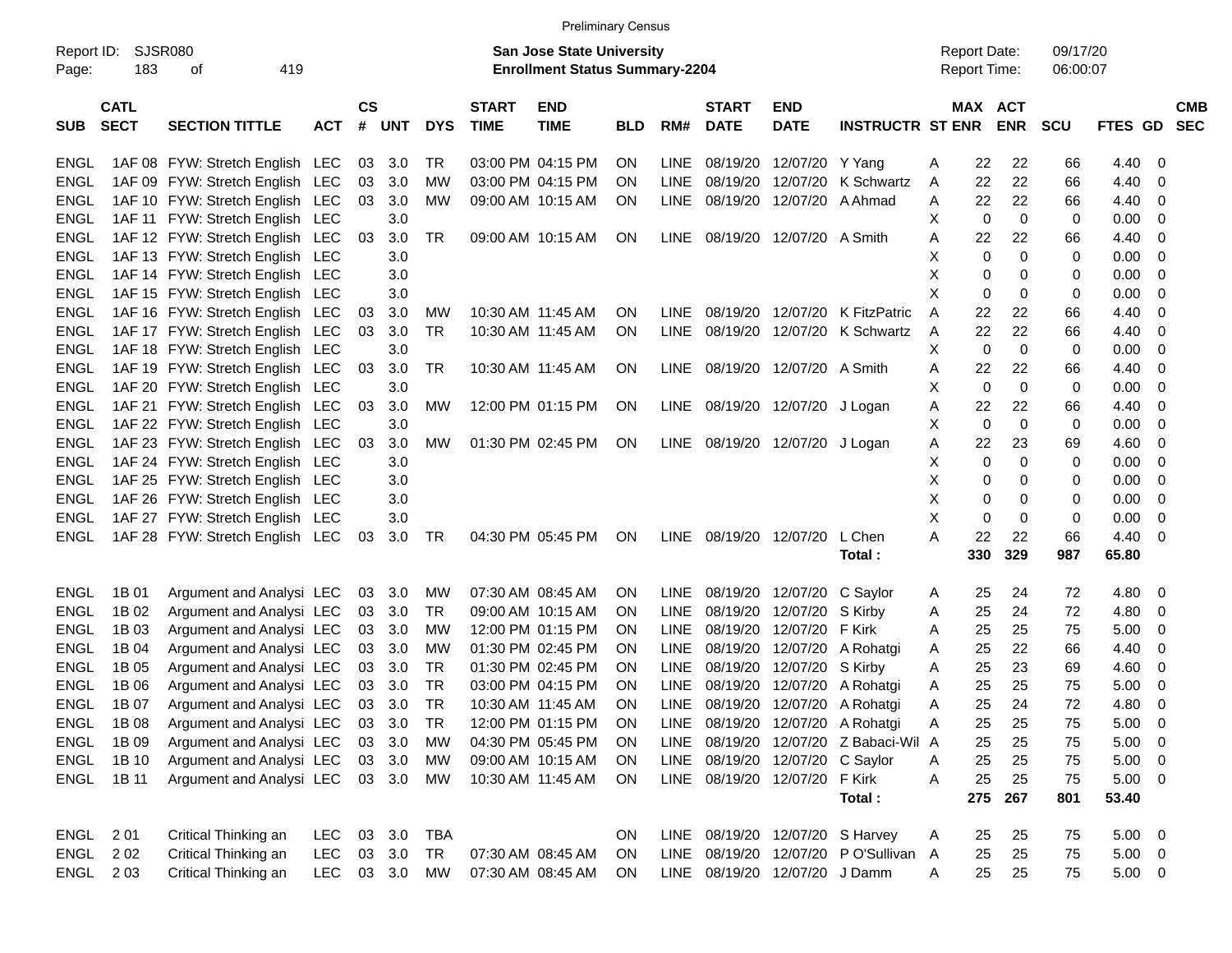|             |                |                                 |            |           |            |            |              |                                       | <b>Preliminary Census</b> |             |              |                                 |                                    |                     |              |                         |                |                          |            |
|-------------|----------------|---------------------------------|------------|-----------|------------|------------|--------------|---------------------------------------|---------------------------|-------------|--------------|---------------------------------|------------------------------------|---------------------|--------------|-------------------------|----------------|--------------------------|------------|
| Report ID:  | <b>SJSR080</b> |                                 |            |           |            |            |              | <b>San Jose State University</b>      |                           |             |              |                                 |                                    | <b>Report Date:</b> |              | 09/17/20                |                |                          |            |
| Page:       | 183            | 419<br>οf                       |            |           |            |            |              | <b>Enrollment Status Summary-2204</b> |                           |             |              |                                 |                                    | Report Time:        |              | 06:00:07                |                |                          |            |
|             | <b>CATL</b>    |                                 |            | <b>CS</b> |            |            | <b>START</b> | <b>END</b>                            |                           |             | <b>START</b> | <b>END</b>                      |                                    |                     | MAX ACT      |                         |                |                          | <b>CMB</b> |
| <b>SUB</b>  | <b>SECT</b>    | <b>SECTION TITTLE</b>           | <b>ACT</b> | #         | <b>UNT</b> | <b>DYS</b> | <b>TIME</b>  | <b>TIME</b>                           | <b>BLD</b>                | RM#         | <b>DATE</b>  | <b>DATE</b>                     | <b>INSTRUCTR ST ENR</b>            |                     | <b>ENR</b>   | <b>SCU</b>              | <b>FTES GD</b> |                          | <b>SEC</b> |
| ENGL        |                | 1AF 08 FYW: Stretch English LEC |            | 03        | 3.0        | TR         |              | 03:00 PM 04:15 PM                     | <b>ON</b>                 | LINE        | 08/19/20     | 12/07/20 Y Yang                 |                                    | Α                   | 22<br>22     | 66                      | 4.40           | 0                        |            |
| <b>ENGL</b> |                | 1AF 09 FYW: Stretch English LEC |            | 03        | 3.0        | МW         |              | 03:00 PM 04:15 PM                     | ΟN                        | <b>LINE</b> | 08/19/20     | 12/07/20                        | K Schwartz                         | Α                   | 22<br>22     | 66                      | 4.40           | 0                        |            |
| <b>ENGL</b> |                | 1AF 10 FYW: Stretch English LEC |            | 03        | 3.0        | MW         |              | 09:00 AM 10:15 AM                     | ΟN                        | LINE        |              | 08/19/20 12/07/20               | A Ahmad                            | Α                   | 22<br>22     | 66                      | 4.40           | 0                        |            |
| <b>ENGL</b> |                | 1AF 11 FYW: Stretch English LEC |            |           | 3.0        |            |              |                                       |                           |             |              |                                 |                                    | X                   | $\mathbf 0$  | $\mathbf 0$<br>$\Omega$ | 0.00           | 0                        |            |
| <b>ENGL</b> |                | 1AF 12 FYW: Stretch English LEC |            | 03        | 3.0        | <b>TR</b>  |              | 09:00 AM 10:15 AM                     | <b>ON</b>                 | LINE        |              | 08/19/20 12/07/20 A Smith       |                                    | Α                   | 22<br>22     | 66                      | 4.40           | 0                        |            |
| <b>ENGL</b> |                | 1AF 13 FYW: Stretch English LEC |            |           | 3.0        |            |              |                                       |                           |             |              |                                 |                                    | X                   | $\mathbf{0}$ | $\Omega$<br>$\Omega$    | 0.00           | 0                        |            |
| <b>ENGL</b> |                | 1AF 14 FYW: Stretch English LEC |            |           | 3.0        |            |              |                                       |                           |             |              |                                 |                                    | X                   | 0            | $\Omega$<br>0           | 0.00           | 0                        |            |
| <b>ENGL</b> |                | 1AF 15 FYW: Stretch English LEC |            |           | 3.0        |            |              |                                       |                           |             |              |                                 |                                    | X                   | 0            | 0<br>0                  | 0.00           | 0                        |            |
| <b>ENGL</b> |                | 1AF 16 FYW: Stretch English LEC |            | 03        | 3.0        | MW         |              | 10:30 AM 11:45 AM                     | ΟN                        | LINE        |              | 08/19/20 12/07/20               | K FitzPatric                       | A                   | 22<br>22     | 66                      | 4.40           | 0                        |            |
| <b>ENGL</b> |                | 1AF 17 FYW: Stretch English LEC |            | 03        | 3.0        | <b>TR</b>  |              | 10:30 AM 11:45 AM                     | ON                        | <b>LINE</b> |              | 08/19/20 12/07/20               | K Schwartz                         | A                   | 22<br>22     | 66                      | 4.40           | 0                        |            |
| <b>ENGL</b> |                | 1AF 18 FYW: Stretch English LEC |            |           | 3.0        |            |              |                                       |                           |             |              |                                 |                                    | X                   | 0            | $\mathbf 0$<br>0        | 0.00           | 0                        |            |
| <b>ENGL</b> |                | 1AF 19 FYW: Stretch English LEC |            | 03        | 3.0        | <b>TR</b>  |              | 10:30 AM 11:45 AM                     | ON                        | LINE        |              | 08/19/20 12/07/20 A Smith       |                                    | Α                   | 22<br>22     | 66                      | 4.40           | 0                        |            |
| <b>ENGL</b> |                | 1AF 20 FYW: Stretch English LEC |            |           | 3.0        |            |              |                                       |                           |             |              |                                 |                                    | Х                   | 0            | $\mathbf 0$<br>0        | 0.00           | 0                        |            |
| <b>ENGL</b> |                | 1AF 21 FYW: Stretch English LEC |            | 03        | 3.0        | MW         |              | 12:00 PM 01:15 PM                     | ON                        | LINE        |              | 08/19/20 12/07/20 J Logan       |                                    | Α                   | 22<br>22     | 66                      | 4.40           | 0                        |            |
| <b>ENGL</b> |                | 1AF 22 FYW: Stretch English LEC |            |           | 3.0        |            |              |                                       |                           |             |              |                                 |                                    | X                   | 0            | $\mathbf 0$<br>0        | 0.00           | 0                        |            |
| <b>ENGL</b> |                | 1AF 23 FYW: Stretch English LEC |            | 03        | 3.0        | MW         |              | 01:30 PM 02:45 PM                     | ON                        | LINE        |              | 08/19/20 12/07/20 J Logan       |                                    | Α                   | 22<br>23     | 69                      | 4.60           | 0                        |            |
| <b>ENGL</b> |                | 1AF 24 FYW: Stretch English LEC |            |           | 3.0        |            |              |                                       |                           |             |              |                                 |                                    | X                   | $\mathbf 0$  | $\Omega$<br>0           | 0.00           | 0                        |            |
| <b>ENGL</b> |                | 1AF 25 FYW: Stretch English LEC |            |           | 3.0        |            |              |                                       |                           |             |              |                                 |                                    | X                   | 0            | 0<br>0                  | 0.00           | 0                        |            |
| <b>ENGL</b> |                | 1AF 26 FYW: Stretch English LEC |            |           | 3.0        |            |              |                                       |                           |             |              |                                 |                                    | X                   | 0            | 0<br>0                  | 0.00           | 0                        |            |
| <b>ENGL</b> |                | 1AF 27 FYW: Stretch English LEC |            |           | 3.0        |            |              |                                       |                           |             |              |                                 |                                    | X                   | $\mathbf 0$  | 0<br>0                  | 0.00           | 0                        |            |
| <b>ENGL</b> |                | 1AF 28 FYW: Stretch English LEC |            | 03        | 3.0        | TR         |              | 04:30 PM 05:45 PM                     | ON                        | LINE        |              | 08/19/20 12/07/20               | L Chen                             | A                   | 22<br>22     | 66                      | 4.40           | 0                        |            |
|             |                |                                 |            |           |            |            |              |                                       |                           |             |              |                                 | Total:                             | 330                 | 329          | 987                     | 65.80          |                          |            |
| <b>ENGL</b> | 1B 01          | Argument and Analysi LEC        |            | 03        | 3.0        | MW         |              | 07:30 AM 08:45 AM                     | ON                        | <b>LINE</b> |              | 08/19/20 12/07/20               | C Saylor                           | A                   | 25<br>24     | 72                      | 4.80           | - 0                      |            |
| <b>ENGL</b> | 1B 02          | Argument and Analysi LEC        |            | 03        | 3.0        | TR         |              | 09:00 AM 10:15 AM                     | ON                        | <b>LINE</b> |              | 08/19/20 12/07/20               | S Kirby                            | Α                   | 25<br>24     | 72                      | 4.80           | 0                        |            |
| <b>ENGL</b> | 1B 03          | Argument and Analysi LEC        |            | 03        | 3.0        | МW         |              | 12:00 PM 01:15 PM                     | ON                        | <b>LINE</b> |              | 08/19/20 12/07/20               | F Kirk                             | A                   | 25<br>25     | 75                      | 5.00           | 0                        |            |
| <b>ENGL</b> | 1B 04          | Argument and Analysi LEC        |            | 03        | 3.0        | МW         |              | 01:30 PM 02:45 PM                     | ON                        | <b>LINE</b> |              | 08/19/20 12/07/20               | A Rohatgi                          | A                   | 25<br>22     | 66                      | 4.40           | 0                        |            |
| <b>ENGL</b> | 1B 05          | Argument and Analysi LEC        |            | 03        | 3.0        | TR         |              | 01:30 PM 02:45 PM                     | ON                        | LINE        |              | 08/19/20 12/07/20               | S Kirby                            | Α                   | 25<br>23     | 69                      | 4.60           | 0                        |            |
| <b>ENGL</b> | 1B 06          | Argument and Analysi LEC        |            | 03        | 3.0        | <b>TR</b>  |              | 03:00 PM 04:15 PM                     | ΟN                        | <b>LINE</b> |              | 08/19/20 12/07/20               | A Rohatgi                          | A                   | 25<br>25     | 75                      | 5.00           | 0                        |            |
| ENGL        | 1B 07          | Argument and Analysi LEC        |            | 03        | 3.0        | TR         |              | 10:30 AM 11:45 AM                     | ΟN                        | LINE        |              |                                 | 08/19/20 12/07/20 A Rohatgi        | Α                   | 25<br>24     | 72                      | 4.80           | 0                        |            |
|             | ENGL 1B08      | Argument and Analysi LEC        |            |           | 03 3.0     | TR         |              | 12:00 PM 01:15 PM                     | ON                        |             |              |                                 | LINE 08/19/20 12/07/20 A Rohatgi   | Α                   | 25<br>25     | 75                      | 5.00           | $\overline{\phantom{0}}$ |            |
| ENGL        | 1B 09          | Argument and Analysi LEC        |            |           | 03 3.0     | МW         |              | 04:30 PM 05:45 PM                     | <b>ON</b>                 | LINE        |              |                                 | 08/19/20 12/07/20 Z Babaci-Wil A   |                     | 25<br>25     | 75                      | $5.00 \t 0$    |                          |            |
| ENGL        | 1B 10          | Argument and Analysi LEC        |            |           | 03 3.0     | МW         |              | 09:00 AM 10:15 AM                     | ON.                       |             |              | LINE 08/19/20 12/07/20 C Saylor |                                    | Α                   | 25<br>25     | 75                      | $5.00 \t 0$    |                          |            |
| ENGL        | 1B 11          | Argument and Analysi LEC        |            |           | 03 3.0     | MW         |              | 10:30 AM 11:45 AM                     | ON                        |             |              | LINE 08/19/20 12/07/20          | F Kirk                             | Α                   | 25<br>25     | 75                      | $5.00 \t 0$    |                          |            |
|             |                |                                 |            |           |            |            |              |                                       |                           |             |              |                                 | Total:                             | 275                 | 267          | 801                     | 53.40          |                          |            |
|             | ENGL 201       | Critical Thinking an            | LEC.       |           | 03 3.0     | TBA        |              |                                       | ON                        |             |              |                                 | LINE 08/19/20 12/07/20 S Harvey    | A                   | 25<br>25     | 75                      | $5.00 \t 0$    |                          |            |
|             | ENGL 202       | Critical Thinking an            | <b>LEC</b> |           | 03 3.0     | TR         |              | 07:30 AM 08:45 AM                     | ON.                       |             |              |                                 | LINE 08/19/20 12/07/20 PO'Sullivan | $\mathsf{A}$        | 25<br>25     | 75                      | $5.00 \t 0$    |                          |            |
|             | ENGL 203       | Critical Thinking an            | <b>LEC</b> |           | 03 3.0 MW  |            |              | 07:30 AM 08:45 AM                     | <b>ON</b>                 |             |              | LINE 08/19/20 12/07/20 J Damm   |                                    | A                   | 25<br>25     | 75                      | $5.00 \t 0$    |                          |            |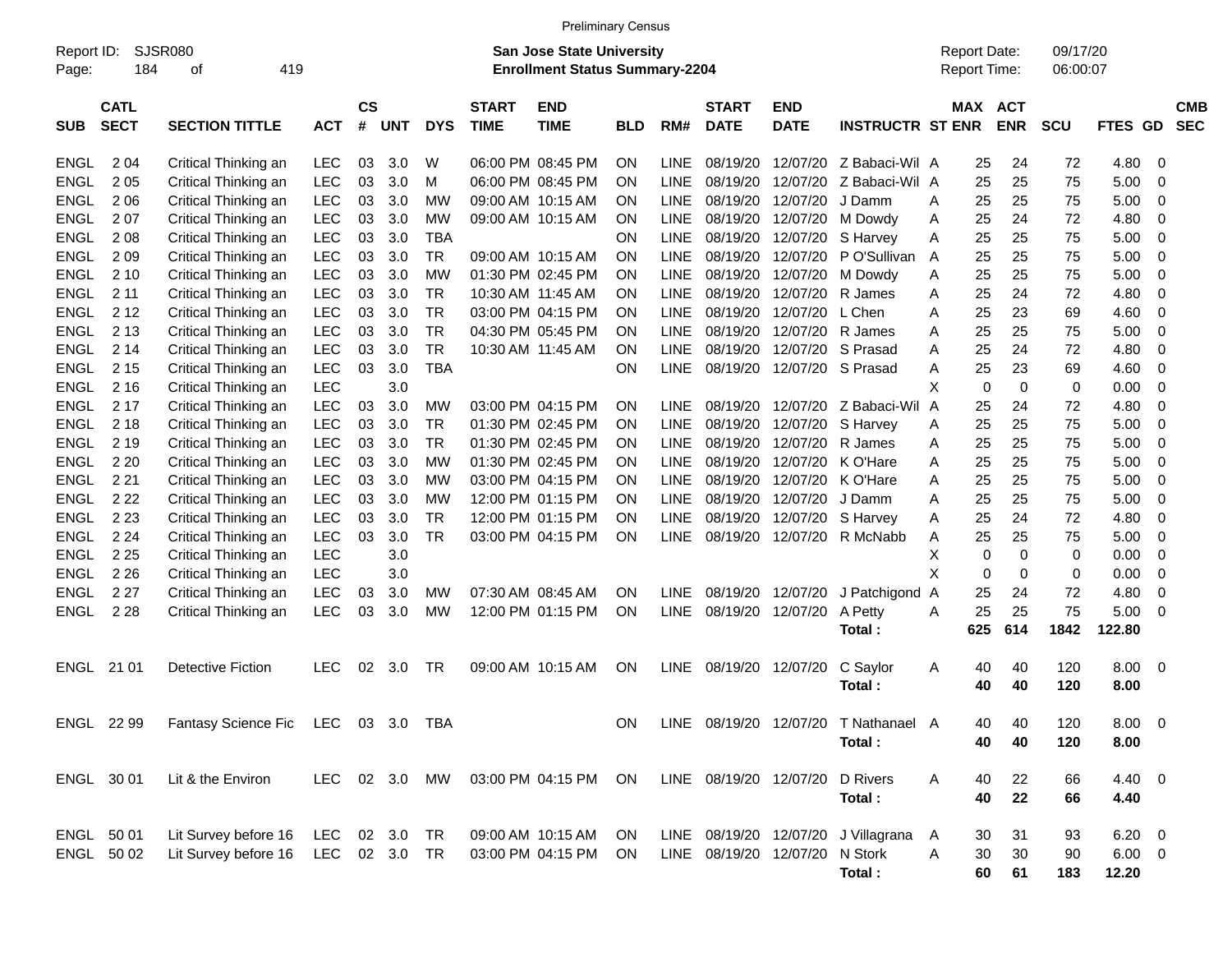|                     |                            |                             |            |                    |            |            |                             | <b>Preliminary Census</b>                                                 |            |             |                             |                                 |                                      |                                            |                       |                      |                |                          |  |
|---------------------|----------------------------|-----------------------------|------------|--------------------|------------|------------|-----------------------------|---------------------------------------------------------------------------|------------|-------------|-----------------------------|---------------------------------|--------------------------------------|--------------------------------------------|-----------------------|----------------------|----------------|--------------------------|--|
| Report ID:<br>Page: | 184                        | <b>SJSR080</b><br>419<br>οf |            |                    |            |            |                             | <b>San Jose State University</b><br><b>Enrollment Status Summary-2204</b> |            |             |                             |                                 |                                      | <b>Report Date:</b><br><b>Report Time:</b> |                       | 09/17/20<br>06:00:07 |                |                          |  |
| <b>SUB</b>          | <b>CATL</b><br><b>SECT</b> | <b>SECTION TITTLE</b>       | <b>ACT</b> | $\mathsf{cs}$<br># | UNT        | <b>DYS</b> | <b>START</b><br><b>TIME</b> | <b>END</b><br><b>TIME</b>                                                 | <b>BLD</b> | RM#         | <b>START</b><br><b>DATE</b> | <b>END</b><br><b>DATE</b>       | <b>INSTRUCTR ST ENR</b>              |                                            | MAX ACT<br><b>ENR</b> | <b>SCU</b>           | FTES GD        | <b>CMB</b><br><b>SEC</b> |  |
| <b>ENGL</b>         | 2 0 4                      | Critical Thinking an        | <b>LEC</b> | 03                 | 3.0        | W          |                             | 06:00 PM 08:45 PM                                                         | <b>ON</b>  | <b>LINE</b> | 08/19/20                    | 12/07/20                        | Z Babaci-Wil A                       |                                            | 24<br>25              | 72                   | 4.80           | -0                       |  |
| <b>ENGL</b>         | 205                        | Critical Thinking an        | <b>LEC</b> | 03                 | 3.0        | M          |                             | 06:00 PM 08:45 PM                                                         | <b>ON</b>  | <b>LINE</b> | 08/19/20                    | 12/07/20                        | Z Babaci-Wil A                       |                                            | 25<br>25              | 75                   | 5.00           | 0                        |  |
| <b>ENGL</b>         | 2 0 6                      | Critical Thinking an        | <b>LEC</b> | 03                 | 3.0        | МW         |                             | 09:00 AM 10:15 AM                                                         | <b>ON</b>  | <b>LINE</b> | 08/19/20                    | 12/07/20                        | J Damm                               | A                                          | 25<br>25              | 75                   | 5.00           | 0                        |  |
| <b>ENGL</b>         | 207                        | Critical Thinking an        | <b>LEC</b> | 03                 | 3.0        | МW         |                             | 09:00 AM 10:15 AM                                                         | <b>ON</b>  | <b>LINE</b> | 08/19/20                    | 12/07/20                        | M Dowdy                              | A                                          | 25<br>24              | 72                   | 4.80           | -0                       |  |
| <b>ENGL</b>         | 2 0 8                      | Critical Thinking an        | <b>LEC</b> | 03                 | 3.0        | <b>TBA</b> |                             |                                                                           | <b>ON</b>  | <b>LINE</b> | 08/19/20                    | 12/07/20                        | S Harvey                             | A                                          | 25<br>25              | 75                   | 5.00           | -0                       |  |
| <b>ENGL</b>         | 209                        | Critical Thinking an        | <b>LEC</b> | 03                 | 3.0        | <b>TR</b>  |                             | 09:00 AM 10:15 AM                                                         | <b>ON</b>  | <b>LINE</b> | 08/19/20                    | 12/07/20                        | P O'Sullivan                         | A                                          | 25<br>25              | 75                   | 5.00           | -0                       |  |
| <b>ENGL</b>         | 210                        | Critical Thinking an        | LEC        | 03                 | 3.0        | МW         |                             | 01:30 PM 02:45 PM                                                         | <b>ON</b>  | <b>LINE</b> | 08/19/20                    | 12/07/20                        | M Dowdy                              | A                                          | 25<br>25              | 75                   | 5.00           | -0                       |  |
| <b>ENGL</b>         | 2 11                       | Critical Thinking an        | LEC        | 03                 | 3.0        | TR         |                             | 10:30 AM 11:45 AM                                                         | <b>ON</b>  | <b>LINE</b> | 08/19/20                    | 12/07/20                        | R James                              | A                                          | 25<br>24              | 72                   | 4.80           | 0                        |  |
| <b>ENGL</b>         | 212                        | Critical Thinking an        | LEC        | 03                 | 3.0        | <b>TR</b>  |                             | 03:00 PM 04:15 PM                                                         | <b>ON</b>  | <b>LINE</b> | 08/19/20                    | 12/07/20                        | L Chen                               | A                                          | 23<br>25              | 69                   | 4.60           | -0                       |  |
| <b>ENGL</b>         | 2 1 3                      | Critical Thinking an        | LEC        | 03                 | 3.0        | <b>TR</b>  |                             | 04:30 PM 05:45 PM                                                         | <b>ON</b>  | <b>LINE</b> | 08/19/20                    | 12/07/20                        | R James                              | A                                          | 25<br>25              | 75                   | 5.00           | -0                       |  |
| <b>ENGL</b>         | 2 14                       | Critical Thinking an        | LEC        | 03                 | 3.0        | <b>TR</b>  |                             | 10:30 AM 11:45 AM                                                         | <b>ON</b>  | <b>LINE</b> | 08/19/20                    | 12/07/20                        | S Prasad                             | A                                          | 25<br>24              | 72                   | 4.80           | 0                        |  |
| <b>ENGL</b>         | 2 1 5                      | Critical Thinking an        | LEC        | 03                 | 3.0        | <b>TBA</b> |                             |                                                                           | <b>ON</b>  | <b>LINE</b> | 08/19/20                    | 12/07/20                        | S Prasad                             | A                                          | 23<br>25              | 69                   | 4.60           | 0                        |  |
| <b>ENGL</b>         | 2 1 6                      | Critical Thinking an        | LEC        |                    | 3.0        |            |                             |                                                                           |            |             |                             |                                 |                                      | X                                          | $\mathbf 0$<br>0      | $\mathbf 0$          | 0.00           | -0                       |  |
| <b>ENGL</b>         | 2 1 7                      | Critical Thinking an        | LEC        | 03                 | 3.0        | МW         |                             | 03:00 PM 04:15 PM                                                         | <b>ON</b>  | LINE        | 08/19/20                    | 12/07/20                        | Z Babaci-Wil A                       |                                            | 25<br>24              | 72                   | 4.80           | -0                       |  |
| <b>ENGL</b>         | 2 1 8                      | Critical Thinking an        | LEC        | 03                 | 3.0        | TR         |                             | 01:30 PM 02:45 PM                                                         | <b>ON</b>  | <b>LINE</b> | 08/19/20                    | 12/07/20                        | S Harvey                             | A                                          | 25<br>25              | 75                   | 5.00           | -0                       |  |
| <b>ENGL</b>         | 2 1 9                      | Critical Thinking an        | <b>LEC</b> | 03                 | 3.0        | TR         |                             | 01:30 PM 02:45 PM                                                         | <b>ON</b>  | <b>LINE</b> | 08/19/20                    | 12/07/20                        | R James                              | A                                          | 25<br>25              | 75                   | 5.00           | -0                       |  |
| <b>ENGL</b>         | 2 2 0                      | Critical Thinking an        | <b>LEC</b> | 03                 | 3.0        | МW         |                             | 01:30 PM 02:45 PM                                                         | <b>ON</b>  | <b>LINE</b> | 08/19/20                    | 12/07/20                        | K O'Hare                             | A                                          | 25<br>25              | 75                   | 5.00           | -0                       |  |
| <b>ENGL</b>         | 2 2 1                      | Critical Thinking an        | <b>LEC</b> | 03                 | 3.0        | МW         |                             | 03:00 PM 04:15 PM                                                         | <b>ON</b>  | <b>LINE</b> | 08/19/20                    | 12/07/20                        | K O'Hare                             | A                                          | 25<br>25              | 75                   | 5.00           | -0                       |  |
| <b>ENGL</b>         | 2 2 2                      | Critical Thinking an        | <b>LEC</b> | 03                 | 3.0        | МW         |                             | 12:00 PM 01:15 PM                                                         | <b>ON</b>  | <b>LINE</b> | 08/19/20                    | 12/07/20                        | J Damm                               | A                                          | 25<br>25              | 75                   | 5.00           | -0                       |  |
| <b>ENGL</b>         | 2 2 3                      | Critical Thinking an        | <b>LEC</b> | 03                 | 3.0        | <b>TR</b>  |                             | 12:00 PM 01:15 PM                                                         | <b>ON</b>  | <b>LINE</b> | 08/19/20                    | 12/07/20                        | S Harvey                             | A                                          | 25<br>24              | 72                   | 4.80           | -0                       |  |
| <b>ENGL</b>         | 2 2 4                      | Critical Thinking an        | <b>LEC</b> | 03                 | 3.0        | <b>TR</b>  |                             | 03:00 PM 04:15 PM                                                         | ON         | <b>LINE</b> | 08/19/20                    | 12/07/20                        | R McNabb                             | A                                          | 25<br>25              | 75                   | 5.00           | 0                        |  |
| <b>ENGL</b>         | 2 2 5                      | Critical Thinking an        | LEC        |                    | 3.0        |            |                             |                                                                           |            |             |                             |                                 |                                      | X                                          | $\mathbf 0$<br>0      | $\mathbf 0$          | 0.00           | 0                        |  |
| <b>ENGL</b>         | 2 2 6                      | Critical Thinking an        | <b>LEC</b> |                    | 3.0        |            |                             |                                                                           |            |             |                             |                                 |                                      | X                                          | $\mathbf 0$<br>0      | $\mathbf 0$          | 0.00           | -0                       |  |
| <b>ENGL</b>         | 2 2 7                      | Critical Thinking an        | <b>LEC</b> | 03                 | 3.0        | МW         |                             | 07:30 AM 08:45 AM                                                         | <b>ON</b>  | <b>LINE</b> | 08/19/20                    | 12/07/20                        | J Patchigond A                       |                                            | 25<br>24              | 72                   | 4.80           | -0                       |  |
| <b>ENGL</b>         | 2 2 8                      | Critical Thinking an        | <b>LEC</b> | 03                 | 3.0        | MW         |                             | 12:00 PM 01:15 PM                                                         | ON         | <b>LINE</b> | 08/19/20                    | 12/07/20                        | A Petty                              | A                                          | 25<br>25              | 75                   | 5.00           | -0                       |  |
|                     |                            |                             |            |                    |            |            |                             |                                                                           |            |             |                             |                                 | Total:                               | 625                                        | 614                   | 1842                 | 122.80         |                          |  |
| ENGL                | 21 01                      | <b>Detective Fiction</b>    | <b>LEC</b> | 02                 | 3.0        | TR         |                             | 09:00 AM 10:15 AM                                                         | <b>ON</b>  | <b>LINE</b> | 08/19/20                    | 12/07/20                        | C Saylor<br>Total:                   | A                                          | 40<br>40<br>40<br>40  | 120<br>120           | 8.00<br>8.00   | - 0                      |  |
|                     | ENGL 22 99                 | Fantasy Science Fic         | LEC        |                    | 03 3.0 TBA |            |                             |                                                                           | ON         |             |                             |                                 | LINE 08/19/20 12/07/20 T Nathanael A |                                            | 40<br>40              | 120                  | $8.00 \t 0$    |                          |  |
|                     |                            |                             |            |                    |            |            |                             |                                                                           |            |             |                             |                                 | Total:                               |                                            | 40<br>40              | 120                  | 8.00           |                          |  |
|                     | ENGL 30 01                 | Lit & the Environ           | LEC.       |                    | 02 3.0     | MW         |                             | 03:00 PM 04:15 PM                                                         | ON.        |             |                             | LINE 08/19/20 12/07/20 D Rivers |                                      | Α                                          | 22<br>40              | 66                   | 4.40 0         |                          |  |
|                     |                            |                             |            |                    |            |            |                             |                                                                           |            |             |                             |                                 | Total:                               |                                            | 22<br>40              | 66                   | 4.40           |                          |  |
|                     | ENGL 50 01                 | Lit Survey before 16        | <b>LEC</b> |                    | 02 3.0     | TR         |                             | 09:00 AM 10:15 AM                                                         | ON         |             |                             |                                 | LINE 08/19/20 12/07/20 J Villagrana  | A                                          | 31<br>30              | 93                   | $6.20 \quad 0$ |                          |  |
|                     | ENGL 50 02                 | Lit Survey before 16        | LEC        |                    | 02 3.0     | TR         |                             | 03:00 PM 04:15 PM                                                         | -ON        |             |                             | LINE 08/19/20 12/07/20 N Stork  |                                      | Α                                          | 30<br>30              | 90                   | $6.00 \t 0$    |                          |  |
|                     |                            |                             |            |                    |            |            |                             |                                                                           |            |             |                             |                                 | Total:                               |                                            | 60<br>61              | 183                  | 12.20          |                          |  |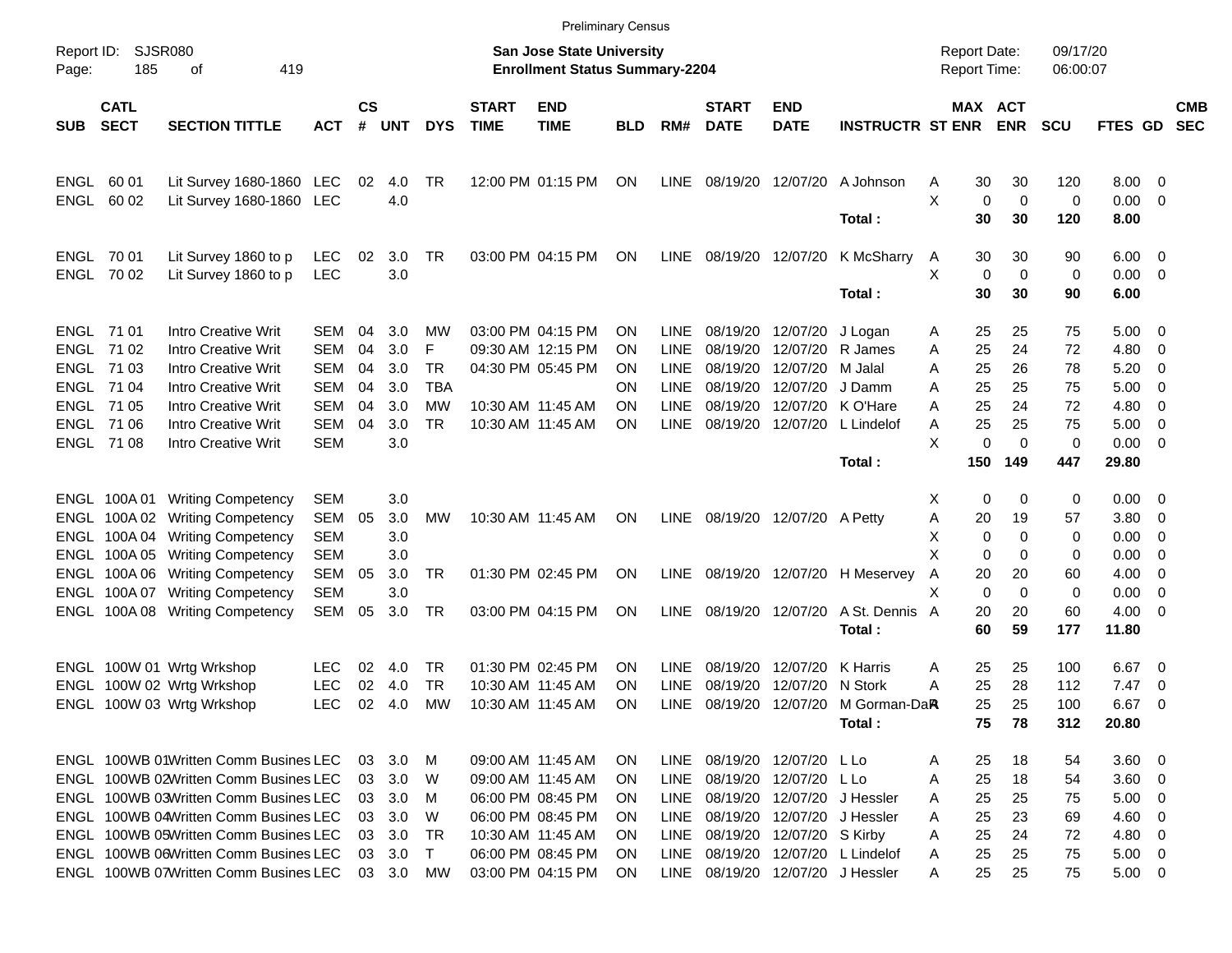|                     |                            |                                            |                          |                    |            |                         |                             | <b>Preliminary Census</b>                                                 |            |                            |                                  |                           |                                |              |                                     |            |                      |               |                          |                          |
|---------------------|----------------------------|--------------------------------------------|--------------------------|--------------------|------------|-------------------------|-----------------------------|---------------------------------------------------------------------------|------------|----------------------------|----------------------------------|---------------------------|--------------------------------|--------------|-------------------------------------|------------|----------------------|---------------|--------------------------|--------------------------|
| Report ID:<br>Page: | <b>SJSR080</b><br>185      | 419<br>οf                                  |                          |                    |            |                         |                             | <b>San Jose State University</b><br><b>Enrollment Status Summary-2204</b> |            |                            |                                  |                           |                                |              | <b>Report Date:</b><br>Report Time: |            | 09/17/20<br>06:00:07 |               |                          |                          |
| <b>SUB</b>          | <b>CATL</b><br><b>SECT</b> | <b>SECTION TITTLE</b>                      | <b>ACT</b>               | $\mathsf{cs}$<br># | <b>UNT</b> | <b>DYS</b>              | <b>START</b><br><b>TIME</b> | <b>END</b><br><b>TIME</b>                                                 | <b>BLD</b> | RM#                        | <b>START</b><br><b>DATE</b>      | <b>END</b><br><b>DATE</b> | <b>INSTRUCTR ST ENR</b>        |              | MAX ACT                             | <b>ENR</b> | <b>SCU</b>           | FTES GD       |                          | <b>CMB</b><br><b>SEC</b> |
| ENGL                | 60 01                      | Lit Survey 1680-1860 LEC                   |                          | 02                 | 4.0        | TR                      |                             | 12:00 PM 01:15 PM                                                         | ΟN         | <b>LINE</b>                | 08/19/20                         | 12/07/20                  | A Johnson                      | Α            | 30                                  | 30         | 120                  | $8.00 \ 0$    |                          |                          |
| ENGL                | 60 02                      | Lit Survey 1680-1860                       | LEC                      |                    | 4.0        |                         |                             |                                                                           |            |                            |                                  |                           | Total :                        | Χ            | 0<br>30                             | 0<br>30    | 0<br>120             | 0.00<br>8.00  | $\overline{\phantom{0}}$ |                          |
| ENGL                | 70 01                      | Lit Survey 1860 to p                       | <b>LEC</b>               | 02                 | 3.0        | <b>TR</b>               |                             | 03:00 PM 04:15 PM                                                         | <b>ON</b>  | LINE                       | 08/19/20 12/07/20                |                           | K McSharry                     | $\mathsf{A}$ | 30                                  | 30         | 90                   | 6.00          | $\overline{\phantom{0}}$ |                          |
| ENGL                | 70 02                      | Lit Survey 1860 to p                       | <b>LEC</b>               |                    | 3.0        |                         |                             |                                                                           |            |                            |                                  |                           | Total :                        | X            | 0<br>30                             | 0<br>30    | 0<br>90              | 0.00<br>6.00  | $\overline{\phantom{0}}$ |                          |
|                     | ENGL 71 01                 | Intro Creative Writ                        | <b>SEM</b>               | 04                 | 3.0        | MW                      |                             | 03:00 PM 04:15 PM                                                         | ON         | <b>LINE</b>                | 08/19/20                         | 12/07/20                  | J Logan                        | Α            | 25                                  | 25         | 75                   | 5.00          | - 0                      |                          |
| ENGL                | 71 02                      | Intro Creative Writ                        | <b>SEM</b>               | 04                 | 3.0        | F                       |                             | 09:30 AM 12:15 PM                                                         | ON         | <b>LINE</b>                | 08/19/20                         | 12/07/20                  | R James                        | Α            | 25                                  | 24         | 72                   | 4.80          | $\overline{\mathbf{0}}$  |                          |
| ENGL<br>ENGL        | 71 03<br>71 04             | Intro Creative Writ<br>Intro Creative Writ | <b>SEM</b><br><b>SEM</b> | 04<br>04           | 3.0<br>3.0 | <b>TR</b><br><b>TBA</b> |                             | 04:30 PM 05:45 PM                                                         | ON<br>ΟN   | <b>LINE</b><br><b>LINE</b> | 08/19/20<br>08/19/20             | 12/07/20<br>12/07/20      | M Jalal<br>J Damm              | Α            | 25<br>25                            | 26<br>25   | 78<br>75             | 5.20<br>5.00  | - 0                      |                          |
| ENGL                | 71 05                      | Intro Creative Writ                        | <b>SEM</b>               | 04                 | 3.0        | <b>MW</b>               |                             | 10:30 AM 11:45 AM                                                         | ΟN         | <b>LINE</b>                | 08/19/20                         | 12/07/20                  | K O'Hare                       | Α<br>Α       | 25                                  | 24         | 72                   | 4.80          | - 0<br>- 0               |                          |
| ENGL                | 71 06                      | Intro Creative Writ                        | <b>SEM</b>               | 04                 | 3.0        | <b>TR</b>               |                             | 10:30 AM 11:45 AM                                                         | ΟN         | <b>LINE</b>                | 08/19/20                         | 12/07/20                  | L Lindelof                     | Α            | 25                                  | 25         | 75                   | 5.00          | $\overline{\mathbf{0}}$  |                          |
| ENGL                | 71 08                      | <b>Intro Creative Writ</b>                 | <b>SEM</b>               |                    | 3.0        |                         |                             |                                                                           |            |                            |                                  |                           |                                | X            | 0                                   | 0          | 0                    | 0.00          | $\overline{\mathbf{0}}$  |                          |
|                     |                            |                                            |                          |                    |            |                         |                             |                                                                           |            |                            |                                  |                           | Total:                         |              | 150                                 | 149        | 447                  | 29.80         |                          |                          |
|                     | ENGL 100A01                | <b>Writing Competency</b>                  | <b>SEM</b>               |                    | 3.0        |                         |                             |                                                                           |            |                            |                                  |                           |                                | X            | 0                                   | 0          | 0                    | 0.00          | - 0                      |                          |
| ENGL                | 100A 02                    | <b>Writing Competency</b>                  | <b>SEM</b>               | 05                 | 3.0        | <b>MW</b>               |                             | 10:30 AM 11:45 AM                                                         | ON         | <b>LINE</b>                |                                  | 08/19/20 12/07/20 A Petty |                                | Α            | 20                                  | 19         | 57                   | 3.80          | - 0                      |                          |
|                     | ENGL 100A04                | <b>Writing Competency</b>                  | <b>SEM</b>               |                    | 3.0        |                         |                             |                                                                           |            |                            |                                  |                           |                                | Χ            | 0                                   | 0          | 0                    | 0.00          | - 0                      |                          |
|                     | ENGL 100A05                | <b>Writing Competency</b>                  | <b>SEM</b>               |                    | 3.0        |                         |                             |                                                                           |            |                            |                                  |                           |                                | X            | 0                                   | 0          | 0                    | 0.00          | - 0                      |                          |
|                     |                            | ENGL 100A 06 Writing Competency            | <b>SEM</b>               | 05                 | 3.0        | TR                      |                             | 01:30 PM 02:45 PM                                                         | ON         | <b>LINE</b>                |                                  |                           | 08/19/20 12/07/20 H Meservey   | A            | 20                                  | 20         | 60                   | 4.00          | - 0                      |                          |
|                     | ENGL 100A07                | <b>Writing Competency</b>                  | <b>SEM</b>               |                    | 3.0        |                         |                             |                                                                           |            |                            |                                  |                           |                                | Χ            | 0                                   | 0          | 0                    | 0.00          | $\overline{\mathbf{0}}$  |                          |
| ENGL                | 100A 08                    | <b>Writing Competency</b>                  | <b>SEM</b>               | 05                 | 3.0        | TR                      |                             | 03:00 PM 04:15 PM                                                         | ON         | <b>LINE</b>                | 08/19/20                         | 12/07/20                  | A St. Dennis                   | A            | 20                                  | 20         | 60                   | 4.00          | $\overline{\phantom{0}}$ |                          |
|                     |                            |                                            |                          |                    |            |                         |                             |                                                                           |            |                            |                                  |                           | Total:                         |              | 60                                  | 59         | 177                  | 11.80         |                          |                          |
|                     |                            | ENGL 100W 01 Wrtg Wrkshop                  | <b>LEC</b>               | 02                 | 4.0        | TR                      |                             | 01:30 PM 02:45 PM                                                         | ON         | <b>LINE</b>                | 08/19/20                         | 12/07/20                  | K Harris                       | Α            | 25                                  | 25         | 100                  | 6.67          | $\overline{\mathbf{0}}$  |                          |
| ENGL.               |                            | 100W 02 Wrtg Wrkshop                       | <b>LEC</b>               | 02                 | 4.0        | <b>TR</b>               |                             | 10:30 AM 11:45 AM                                                         | ON         | LINE                       | 08/19/20                         | 12/07/20                  | N Stork                        | Α            | 25                                  | 28         | 112                  | 7.47          | $\overline{\mathbf{0}}$  |                          |
|                     |                            | ENGL 100W 03 Wrtg Wrkshop                  | <b>LEC</b>               | 02                 | 4.0        | <b>MW</b>               |                             | 10:30 AM 11:45 AM                                                         | ΟN         | <b>LINE</b>                | 08/19/20                         | 12/07/20                  | M Gorman-Da <b>R</b><br>Total: |              | 25<br>75                            | 25<br>78   | 100<br>312           | 6.67<br>20.80 | - 0                      |                          |
|                     |                            |                                            |                          |                    |            |                         |                             |                                                                           |            |                            |                                  |                           |                                |              |                                     |            |                      |               |                          |                          |
|                     |                            | ENGL 100WB 01Written Comm Busines LEC      |                          | 03                 | 3.0        | M                       |                             | 09:00 AM 11:45 AM                                                         | <b>ON</b>  | LINE                       |                                  | 08/19/20 12/07/20 L Lo    |                                | A            | 25                                  | 18         | 54                   | 3.60 0        |                          |                          |
|                     |                            | ENGL 100WB 02Written Comm Busines LEC      |                          | 03                 | 3.0        | W                       |                             | 09:00 AM 11:45 AM                                                         | <b>ON</b>  | LINE                       |                                  | 08/19/20 12/07/20 L Lo    |                                | Α            | 25                                  | 18         | 54                   | 3.60 0        |                          |                          |
|                     |                            | ENGL 100WB 03Written Comm Busines LEC      |                          | 03                 | 3.0        | M                       |                             | 06:00 PM 08:45 PM                                                         | <b>ON</b>  | LINE                       |                                  |                           | 08/19/20 12/07/20 J Hessler    | Α            | 25                                  | 25         | 75                   | $5.00 \t 0$   |                          |                          |
|                     |                            | ENGL 100WB 04Written Comm Busines LEC      |                          | 03                 | 3.0        | W                       |                             | 06:00 PM 08:45 PM                                                         | <b>ON</b>  | LINE                       |                                  |                           | 08/19/20 12/07/20 J Hessler    | Α            | 25                                  | 23         | 69                   | $4.60$ 0      |                          |                          |
|                     |                            | ENGL 100WB 05Written Comm Busines LEC      |                          | 03                 | 3.0        | <b>TR</b>               |                             | 10:30 AM 11:45 AM                                                         | <b>ON</b>  | LINE                       |                                  | 08/19/20 12/07/20 S Kirby |                                | Α            | 25                                  | 24         | 72                   | 4.80 0        |                          |                          |
|                     |                            | ENGL 100WB 06Written Comm Busines LEC      |                          | 03                 | 3.0        | T                       |                             | 06:00 PM 08:45 PM                                                         | <b>ON</b>  | LINE                       |                                  | 08/19/20 12/07/20         | L Lindelof                     | Α            | 25                                  | 25         | 75                   | $5.00 \t 0$   |                          |                          |
|                     |                            | ENGL 100WB 07Written Comm Busines LEC      |                          |                    | 03 3.0     | MW                      |                             | 03:00 PM 04:15 PM                                                         | <b>ON</b>  |                            | LINE 08/19/20 12/07/20 J Hessler |                           |                                | Α            | 25                                  | 25         | 75                   | $5.00 \t 0$   |                          |                          |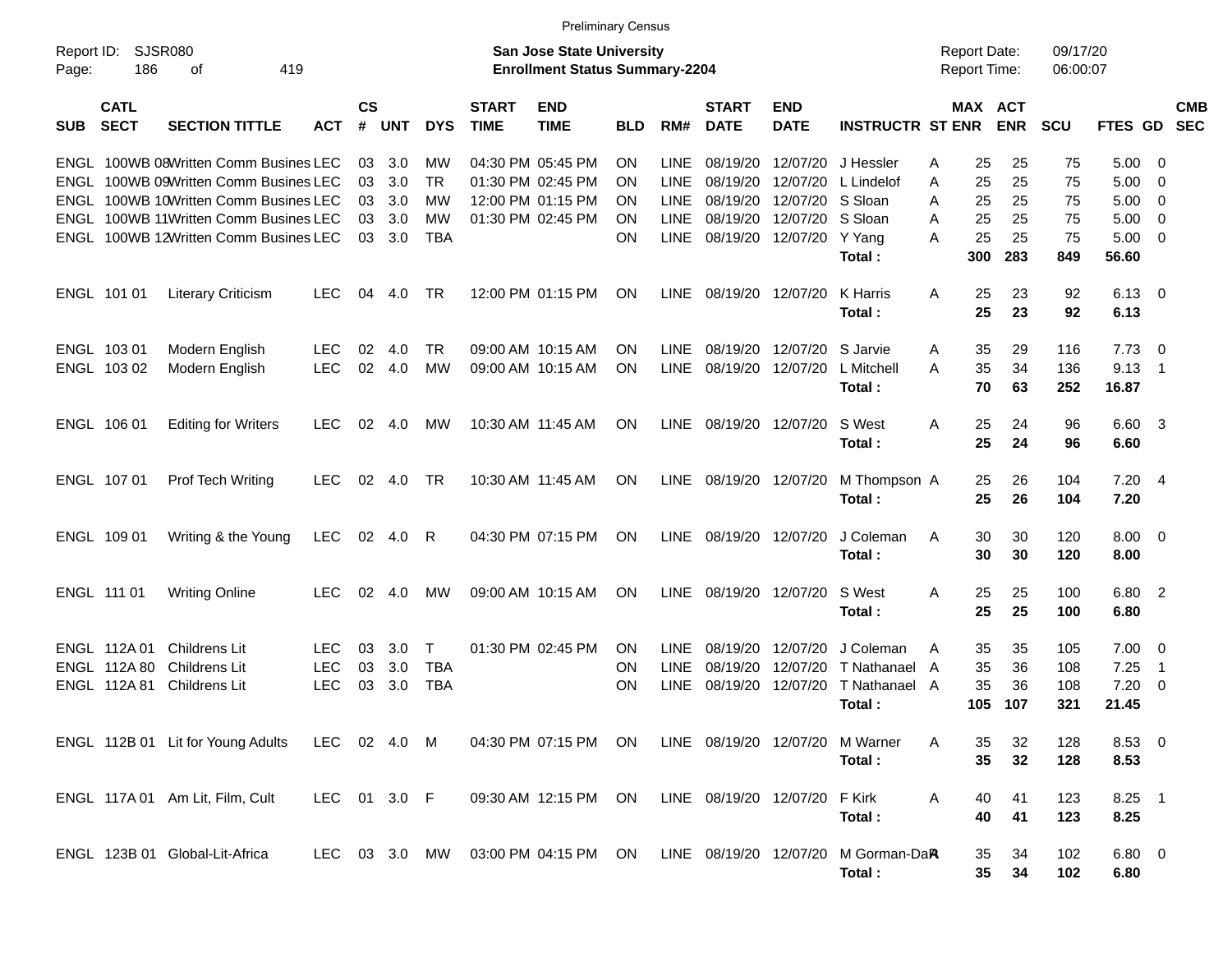|                     |                            |                                       |              |                    |            |            |                             |                                                                           | Preliminary Census |             |                             |                           |                         |                                     |            |                      |                |                            |                          |
|---------------------|----------------------------|---------------------------------------|--------------|--------------------|------------|------------|-----------------------------|---------------------------------------------------------------------------|--------------------|-------------|-----------------------------|---------------------------|-------------------------|-------------------------------------|------------|----------------------|----------------|----------------------------|--------------------------|
| Report ID:<br>Page: | 186                        | <b>SJSR080</b><br>419<br>οf           |              |                    |            |            |                             | <b>San Jose State University</b><br><b>Enrollment Status Summary-2204</b> |                    |             |                             |                           |                         | <b>Report Date:</b><br>Report Time: |            | 09/17/20<br>06:00:07 |                |                            |                          |
| <b>SUB</b>          | <b>CATL</b><br><b>SECT</b> | <b>SECTION TITTLE</b>                 | <b>ACT</b>   | $\mathsf{cs}$<br># | <b>UNT</b> | <b>DYS</b> | <b>START</b><br><b>TIME</b> | <b>END</b><br><b>TIME</b>                                                 | BLD                | RM#         | <b>START</b><br><b>DATE</b> | <b>END</b><br><b>DATE</b> | <b>INSTRUCTR ST ENR</b> | MAX ACT                             | <b>ENR</b> | <b>SCU</b>           | FTES GD        |                            | <b>CMB</b><br><b>SEC</b> |
| ENGL                |                            | 100WB 08Written Comm Busines LEC      |              | 03                 | 3.0        | МW         |                             | 04:30 PM 05:45 PM                                                         | <b>ON</b>          | LINE        | 08/19/20                    | 12/07/20                  | J Hessler               | 25<br>Α                             | 25         | 75                   | 5.00           | 0                          |                          |
| ENGL                |                            | 100WB 09Written Comm Busines LEC      |              | 03                 | 3.0        | <b>TR</b>  |                             | 01:30 PM 02:45 PM                                                         | <b>ON</b>          | LINE        | 08/19/20                    | 12/07/20                  | L Lindelof              | 25<br>Α                             | 25         | 75                   | 5.00           | $\overline{0}$             |                          |
| ENGL                |                            | 100WB 10Written Comm Busines LEC      |              | 03                 | 3.0        | МW         |                             | 12:00 PM 01:15 PM                                                         | <b>ON</b>          | LINE        | 08/19/20                    | 12/07/20                  | S Sloan                 | Α<br>25                             | 25         | 75                   | 5.00           | 0                          |                          |
| ENGL                |                            | 100WB 11Written Comm Busines LEC      |              | 03                 | 3.0        | МW         |                             | 01:30 PM 02:45 PM                                                         | <b>ON</b>          | <b>LINE</b> | 08/19/20                    | 12/07/20                  | S Sloan                 | 25<br>Α                             | 25         | 75                   | 5.00           | 0                          |                          |
|                     |                            | ENGL 100WB 12Written Comm Busines LEC |              | 03                 | 3.0        | <b>TBA</b> |                             |                                                                           | ON                 | <b>LINE</b> | 08/19/20 12/07/20           |                           | Y Yang                  | 25<br>А                             | 25         | 75                   | 5.00           | $\overline{0}$             |                          |
|                     |                            |                                       |              |                    |            |            |                             |                                                                           |                    |             |                             |                           | Total:                  | 300                                 | 283        | 849                  | 56.60          |                            |                          |
|                     | ENGL 101 01                | <b>Literary Criticism</b>             | <b>LEC</b>   | 04                 | 4.0        | TR         |                             | 12:00 PM 01:15 PM                                                         | ON                 | <b>LINE</b> | 08/19/20 12/07/20           |                           | K Harris<br>Total:      | A<br>25<br>25                       | 23<br>23   | 92<br>92             | 6.13<br>6.13   | $\mathbf{0}$               |                          |
|                     | ENGL 103 01                | Modern English                        | <b>LEC</b>   | 02                 | 4.0        | TR         |                             | 09:00 AM 10:15 AM                                                         | <b>ON</b>          | LINE        | 08/19/20                    | 12/07/20                  | S Jarvie                | Α<br>35                             | 29         | 116                  | 7.73           | 0                          |                          |
|                     | ENGL 103 02                | Modern English                        | <b>LEC</b>   | 02                 | 4.0        | МW         |                             | 09:00 AM 10:15 AM                                                         | <b>ON</b>          | <b>LINE</b> | 08/19/20                    | 12/07/20                  | L Mitchell              | 35<br>А                             | 34         | 136                  | 9.13           | $\mathbf 1$                |                          |
|                     |                            |                                       |              |                    |            |            |                             |                                                                           |                    |             |                             |                           | Total:                  | 70                                  | 63         | 252                  | 16.87          |                            |                          |
|                     | ENGL 106 01                | <b>Editing for Writers</b>            | <b>LEC</b>   | 02                 | 4.0        | мw         | 10:30 AM 11:45 AM           |                                                                           | ON                 | <b>LINE</b> | 08/19/20                    | 12/07/20                  | S West                  | 25<br>A                             | 24         | 96                   | 6.60           | - 3                        |                          |
|                     |                            |                                       |              |                    |            |            |                             |                                                                           |                    |             |                             |                           | Total:                  | 25                                  | 24         | 96                   | 6.60           |                            |                          |
|                     | ENGL 107 01                | Prof Tech Writing                     | LEC.         | 02                 | 4.0        | TR         |                             | 10:30 AM 11:45 AM                                                         | ON                 | LINE        | 08/19/20 12/07/20           |                           | M Thompson A            | 25                                  | 26         | 104                  | 7.20           | - 4                        |                          |
|                     |                            |                                       |              |                    |            |            |                             |                                                                           |                    |             |                             |                           | Total:                  | 25                                  | 26         | 104                  | 7.20           |                            |                          |
|                     | ENGL 109 01                | Writing & the Young                   | LEC.         | 02                 | 4.0        | R          |                             | 04:30 PM 07:15 PM                                                         | ON                 | <b>LINE</b> | 08/19/20 12/07/20           |                           | J Coleman               | 30<br>A                             | 30         | 120                  | 8.00           | $\overline{\mathbf{0}}$    |                          |
|                     |                            |                                       |              |                    |            |            |                             |                                                                           |                    |             |                             |                           | Total:                  | 30                                  | 30         | 120                  | 8.00           |                            |                          |
|                     | ENGL 111 01                | <b>Writing Online</b>                 | <b>LEC</b>   | 02                 | 4.0        | мw         |                             | 09:00 AM 10:15 AM                                                         | ON                 | <b>LINE</b> | 08/19/20                    | 12/07/20                  | S West                  | 25<br>A                             | 25         | 100                  | 6.80           | $\overline{\phantom{0}}^2$ |                          |
|                     |                            |                                       |              |                    |            |            |                             |                                                                           |                    |             |                             |                           | Total:                  | 25                                  | 25         | 100                  | 6.80           |                            |                          |
|                     | ENGL 112A 01               | Childrens Lit                         | <b>LEC</b>   | 03                 | 3.0        | Т          |                             | 01:30 PM 02:45 PM                                                         | <b>ON</b>          | <b>LINE</b> | 08/19/20                    | 12/07/20                  | J Coleman               | 35<br>A                             | 35         | 105                  | 7.00           | 0                          |                          |
|                     | ENGL 112A 80               | Childrens Lit                         | <b>LEC</b>   | 03                 | 3.0        | <b>TBA</b> |                             |                                                                           | <b>ON</b>          | <b>LINE</b> | 08/19/20                    | 12/07/20                  | T Nathanael             | 35<br>A                             | 36         | 108                  | 7.25           | $\overline{1}$             |                          |
|                     | ENGL 112A 81               | <b>Childrens Lit</b>                  | <b>LEC</b>   | 03                 | 3.0        | <b>TBA</b> |                             |                                                                           | <b>ON</b>          | <b>LINE</b> | 08/19/20                    | 12/07/20                  | T Nathanael             | 35<br>A                             | 36         | 108                  | 7.20           | 0                          |                          |
|                     |                            |                                       |              |                    |            |            |                             |                                                                           |                    |             |                             |                           | Total :                 | 105                                 | 107        | 321                  | 21.45          |                            |                          |
|                     |                            | ENGL 112B 01 Lit for Young Adults     | LEC 02 4.0 M |                    |            |            |                             | 04:30 PM 07:15 PM ON LINE 08/19/20 12/07/20                               |                    |             |                             |                           | M Warner                | A<br>35                             | 32         | 128                  | $8.53 \quad 0$ |                            |                          |
|                     |                            |                                       |              |                    |            |            |                             |                                                                           |                    |             |                             |                           | Total:                  | 35                                  | 32         | 128                  | 8.53           |                            |                          |
|                     |                            | ENGL 117A 01 Am Lit, Film, Cult       | LEC 01 3.0 F |                    |            |            |                             | 09:30 AM 12:15 PM ON LINE 08/19/20 12/07/20                               |                    |             |                             |                           | F Kirk                  | Α<br>40                             | 41         | 123                  | $8.25$ 1       |                            |                          |
|                     |                            |                                       |              |                    |            |            |                             |                                                                           |                    |             |                             |                           | Total:                  | 40                                  | 41         | 123                  | 8.25           |                            |                          |
|                     |                            | ENGL 123B 01 Global-Lit-Africa        |              |                    |            |            |                             | LEC 03 3.0 MW 03:00 PM 04:15 PM ON LINE 08/19/20 12/07/20                 |                    |             |                             |                           | M Gorman-DaR            | 35                                  | 34         | 102                  | $6.80$ 0       |                            |                          |
|                     |                            |                                       |              |                    |            |            |                             |                                                                           |                    |             |                             |                           | Total:                  | 35                                  | 34         | 102                  | 6.80           |                            |                          |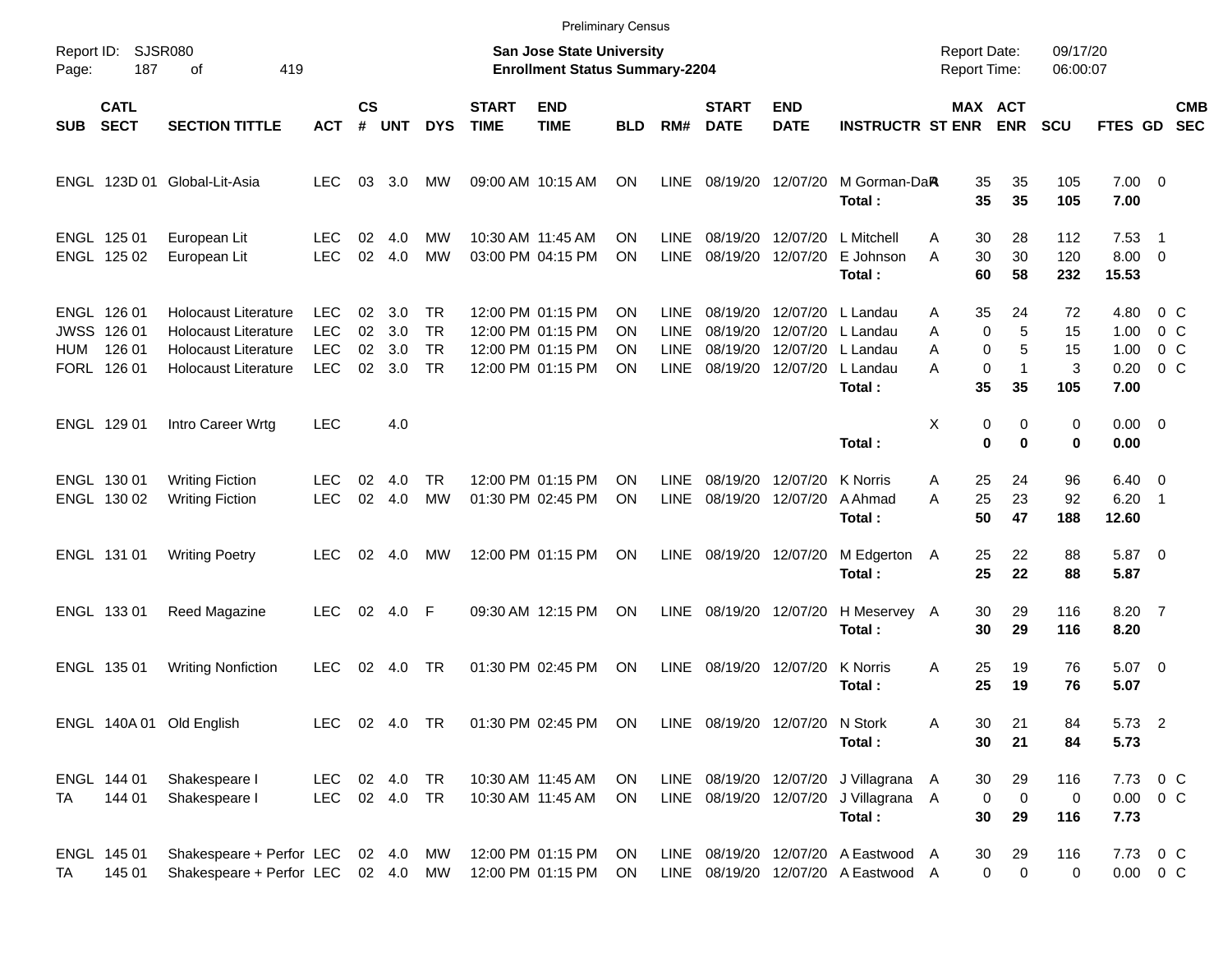|                                   |                                           |                                                                                                            |                                                      |                      |                          |                                    |                             | <b>Preliminary Census</b>                                                        |                             |                                                    |                                              |                                              |                                                                          |                                            |                                                  |                            |                                      |                                                               |                          |
|-----------------------------------|-------------------------------------------|------------------------------------------------------------------------------------------------------------|------------------------------------------------------|----------------------|--------------------------|------------------------------------|-----------------------------|----------------------------------------------------------------------------------|-----------------------------|----------------------------------------------------|----------------------------------------------|----------------------------------------------|--------------------------------------------------------------------------|--------------------------------------------|--------------------------------------------------|----------------------------|--------------------------------------|---------------------------------------------------------------|--------------------------|
| Report ID:<br>Page:               | 187                                       | SJSR080<br>419<br>οf                                                                                       |                                                      |                      |                          |                                    |                             | <b>San Jose State University</b><br><b>Enrollment Status Summary-2204</b>        |                             |                                                    |                                              |                                              |                                                                          | <b>Report Date:</b><br><b>Report Time:</b> |                                                  | 09/17/20<br>06:00:07       |                                      |                                                               |                          |
| <b>SUB</b>                        | <b>CATL</b><br><b>SECT</b>                | <b>SECTION TITTLE</b>                                                                                      | <b>ACT</b>                                           | $\mathsf{cs}$<br>#   | <b>UNT</b>               | <b>DYS</b>                         | <b>START</b><br><b>TIME</b> | <b>END</b><br><b>TIME</b>                                                        | <b>BLD</b>                  | RM#                                                | <b>START</b><br><b>DATE</b>                  | <b>END</b><br><b>DATE</b>                    | <b>INSTRUCTR ST ENR</b>                                                  |                                            | <b>MAX ACT</b><br><b>ENR</b>                     | <b>SCU</b>                 | FTES GD                              |                                                               | <b>CMB</b><br><b>SEC</b> |
|                                   |                                           | ENGL 123D 01 Global-Lit-Asia                                                                               | <b>LEC</b>                                           | 03                   | 3.0                      | МW                                 |                             | 09:00 AM 10:15 AM                                                                | ON                          | <b>LINE</b>                                        | 08/19/20                                     | 12/07/20                                     | M Gorman-DaR<br>Total:                                                   | 35<br>35                                   | 35<br>35                                         | 105<br>105                 | $7.00 \t 0$<br>7.00                  |                                                               |                          |
|                                   | ENGL 125 01<br>ENGL 125 02                | European Lit<br>European Lit                                                                               | LEC<br><b>LEC</b>                                    | 02<br>02             | 4.0<br>4.0               | МW<br>МW                           |                             | 10:30 AM 11:45 AM<br>03:00 PM 04:15 PM                                           | ΟN<br><b>ON</b>             | LINE.<br><b>LINE</b>                               | 08/19/20<br>08/19/20                         | 12/07/20<br>12/07/20                         | L Mitchell<br>E Johnson<br>Total:                                        | A<br>30<br>30<br>A<br>60                   | 28<br>30<br>58                                   | 112<br>120<br>232          | 7.53<br>8.00<br>15.53                | $\overline{1}$<br>$\overline{0}$                              |                          |
| <b>JWSS</b><br>HUM<br><b>FORL</b> | ENGL 126 01<br>126 01<br>126 01<br>126 01 | Holocaust Literature<br><b>Holocaust Literature</b><br>Holocaust Literature<br><b>Holocaust Literature</b> | <b>LEC</b><br><b>LEC</b><br><b>LEC</b><br><b>LEC</b> | 02<br>02<br>02<br>02 | 3.0<br>3.0<br>3.0<br>3.0 | TR<br>TR<br><b>TR</b><br><b>TR</b> |                             | 12:00 PM 01:15 PM<br>12:00 PM 01:15 PM<br>12:00 PM 01:15 PM<br>12:00 PM 01:15 PM | ON<br>ON<br>ON<br><b>ON</b> | LINE.<br><b>LINE</b><br><b>LINE</b><br><b>LINE</b> | 08/19/20<br>08/19/20<br>08/19/20<br>08/19/20 | 12/07/20<br>12/07/20<br>12/07/20<br>12/07/20 | L Landau<br>L Landau<br>L Landau<br>L Landau<br>Total:                   | 35<br>A<br>Α<br>A<br>A<br>35               | 24<br>5<br>0<br>5<br>0<br>0<br>$\mathbf 1$<br>35 | 72<br>15<br>15<br>3<br>105 | 4.80<br>1.00<br>1.00<br>0.20<br>7.00 | $0\,$ C<br>0 <sup>o</sup><br>0 <sup>o</sup><br>0 <sup>o</sup> |                          |
|                                   | ENGL 129 01                               | Intro Career Wrtg                                                                                          | <b>LEC</b>                                           |                      | 4.0                      |                                    |                             |                                                                                  |                             |                                                    |                                              |                                              | Total:                                                                   | X                                          | 0<br>0<br>$\bf{0}$<br>$\bf{0}$                   | 0<br>0                     | 0.00<br>0.00                         | $\overline{\phantom{0}}$                                      |                          |
|                                   | ENGL 130 01<br>ENGL 130 02                | <b>Writing Fiction</b><br><b>Writing Fiction</b>                                                           | LEC<br><b>LEC</b>                                    | 02<br>02             | 4.0<br>4.0               | <b>TR</b><br><b>MW</b>             |                             | 12:00 PM 01:15 PM<br>01:30 PM 02:45 PM                                           | <b>ON</b><br><b>ON</b>      | <b>LINE</b><br><b>LINE</b>                         | 08/19/20<br>08/19/20                         | 12/07/20<br>12/07/20                         | K Norris<br>A Ahmad<br>Total:                                            | 25<br>A<br>25<br>A<br>50                   | 24<br>23<br>47                                   | 96<br>92<br>188            | 6.40<br>6.20<br>12.60                | $\overline{\mathbf{0}}$<br>-1                                 |                          |
|                                   | ENGL 131 01                               | <b>Writing Poetry</b>                                                                                      | <b>LEC</b>                                           | 02                   | 4.0                      | МW                                 |                             | 12:00 PM 01:15 PM                                                                | ON                          | <b>LINE</b>                                        | 08/19/20                                     | 12/07/20                                     | M Edgerton<br>Total:                                                     | 25<br>A<br>25                              | 22<br>22                                         | 88<br>88                   | 5.87<br>5.87                         | $\overline{\phantom{0}}$                                      |                          |
|                                   | ENGL 133 01                               | Reed Magazine                                                                                              | <b>LEC</b>                                           | 02                   | 4.0                      | F                                  |                             | 09:30 AM 12:15 PM                                                                | ON                          | <b>LINE</b>                                        | 08/19/20                                     | 12/07/20                                     | H Meservey A<br>Total:                                                   | 30<br>30                                   | 29<br>29                                         | 116<br>116                 | 8.20<br>8.20                         | $\overline{7}$                                                |                          |
|                                   | ENGL 135 01                               | <b>Writing Nonfiction</b>                                                                                  | <b>LEC</b>                                           | 02                   | 4.0                      | TR                                 |                             | 01:30 PM 02:45 PM                                                                | ON                          | <b>LINE</b>                                        | 08/19/20                                     | 12/07/20                                     | <b>K</b> Norris<br>Total:                                                | A<br>25<br>25                              | 19<br>19                                         | 76<br>76                   | 5.07<br>5.07                         | $\overline{\phantom{0}}$                                      |                          |
|                                   |                                           | ENGL 140A 01 Old English                                                                                   | LEC                                                  |                      | 02 4.0                   | TR                                 |                             | 01:30 PM 02:45 PM                                                                | ON                          |                                                    |                                              | LINE 08/19/20 12/07/20 N Stork               | Total:                                                                   | 30<br>Α<br>30                              | 21<br>21                                         | 84<br>84                   | 5.73 2<br>5.73                       |                                                               |                          |
| TA                                | ENGL 144 01<br>144 01                     | Shakespeare I<br>Shakespeare I                                                                             | <b>LEC</b><br>LEC                                    |                      | 02 4.0<br>02  4.0  TR    | <b>TR</b>                          |                             | 10:30 AM 11:45 AM<br>10:30 AM 11:45 AM                                           | <b>ON</b><br><b>ON</b>      |                                                    | LINE 08/19/20                                |                                              | LINE 08/19/20 12/07/20 J Villagrana<br>12/07/20 J Villagrana A<br>Total: | 30<br>A<br>30                              | 29<br>$\mathbf 0$<br>0<br>29                     | 116<br>0<br>116            | 7.73<br>$0.00 \t 0 C$<br>7.73        | 0 <sup>o</sup>                                                |                          |
| TA                                | ENGL 145 01<br>145 01                     | Shakespeare + Perfor LEC<br>Shakespeare + Perfor LEC 02 4.0 MW                                             |                                                      |                      | 02 4.0                   | МW                                 |                             | 12:00 PM 01:15 PM<br>12:00 PM 01:15 PM                                           | ON<br>ON                    | LINE                                               | LINE 08/19/20                                |                                              | 08/19/20 12/07/20 A Eastwood A<br>12/07/20 A Eastwood A                  | 30                                         | 29<br>0<br>0                                     | 116<br>0                   | 7.73<br>$0.00 \t 0 C$                | $0\,$ C                                                       |                          |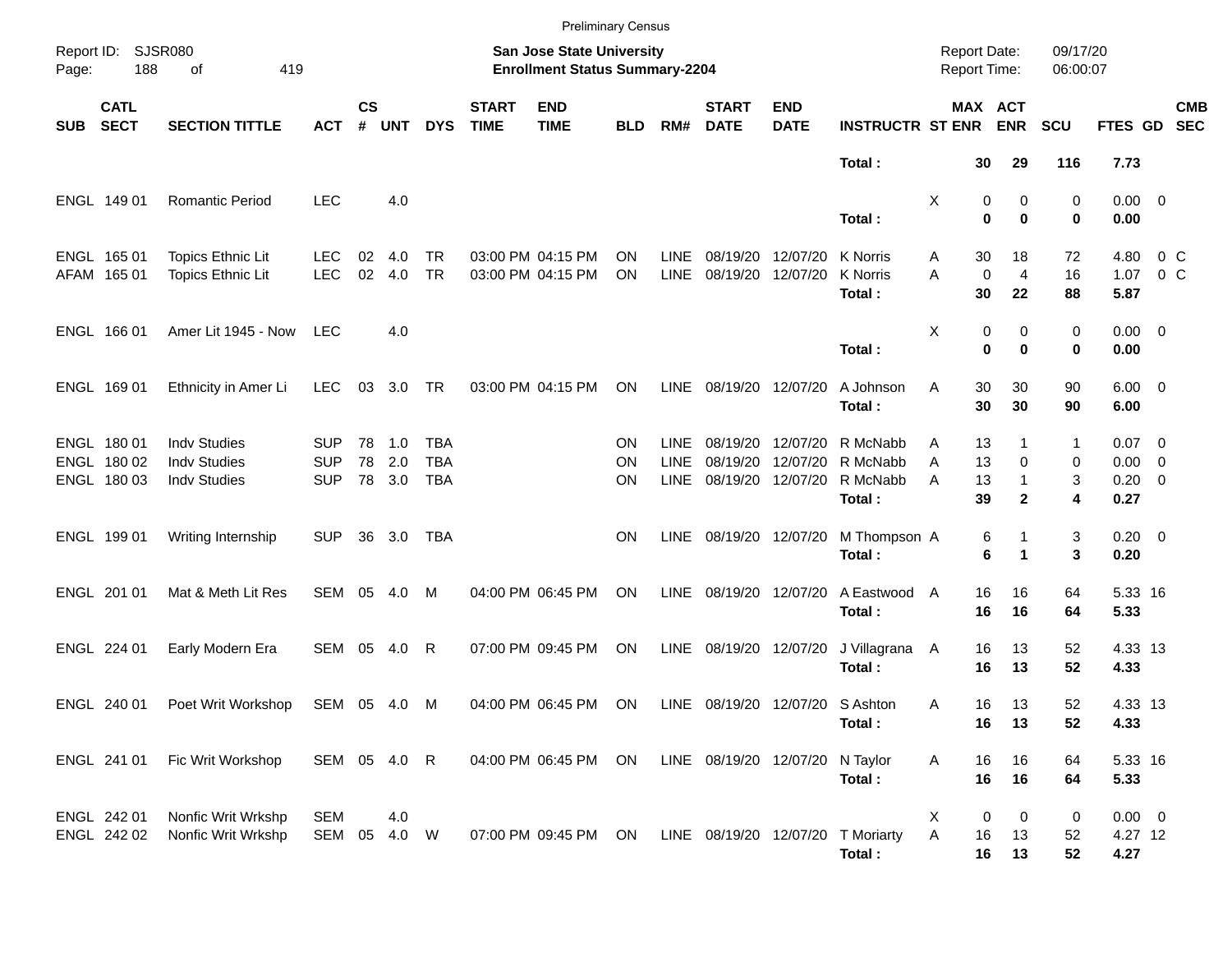|                     |                                           |                                                                   |                                        |                    |                         |                                 |                             |                                                                           | <b>Preliminary Census</b> |                                           |                                 |                                           |                                            |             |                         |                                     |                      |                                               |                  |                          |
|---------------------|-------------------------------------------|-------------------------------------------------------------------|----------------------------------------|--------------------|-------------------------|---------------------------------|-----------------------------|---------------------------------------------------------------------------|---------------------------|-------------------------------------------|---------------------------------|-------------------------------------------|--------------------------------------------|-------------|-------------------------|-------------------------------------|----------------------|-----------------------------------------------|------------------|--------------------------|
| Report ID:<br>Page: | 188                                       | <b>SJSR080</b><br>of<br>419                                       |                                        |                    |                         |                                 |                             | <b>San Jose State University</b><br><b>Enrollment Status Summary-2204</b> |                           |                                           |                                 |                                           |                                            |             |                         | <b>Report Date:</b><br>Report Time: | 09/17/20<br>06:00:07 |                                               |                  |                          |
| <b>SUB</b>          | <b>CATL</b><br><b>SECT</b>                | <b>SECTION TITTLE</b>                                             | <b>ACT</b>                             | $\mathsf{cs}$<br># | <b>UNT</b>              | <b>DYS</b>                      | <b>START</b><br><b>TIME</b> | <b>END</b><br><b>TIME</b>                                                 | <b>BLD</b>                | RM#                                       | <b>START</b><br><b>DATE</b>     | <b>END</b><br><b>DATE</b>                 | <b>INSTRUCTR ST ENR</b>                    |             |                         | MAX ACT<br><b>ENR</b>               | <b>SCU</b>           | FTES GD                                       |                  | <b>CMB</b><br><b>SEC</b> |
|                     |                                           |                                                                   |                                        |                    |                         |                                 |                             |                                                                           |                           |                                           |                                 |                                           | Total:                                     |             | 30                      | 29                                  | 116                  | 7.73                                          |                  |                          |
|                     | ENGL 149 01                               | Romantic Period                                                   | <b>LEC</b>                             |                    | 4.0                     |                                 |                             |                                                                           |                           |                                           |                                 |                                           | Total:                                     | Χ           | 0<br>$\bf{0}$           | 0<br>$\mathbf 0$                    | 0<br>0               | $0.00 \t 0$<br>0.00                           |                  |                          |
|                     | ENGL 165 01<br>AFAM 165 01                | <b>Topics Ethnic Lit</b><br>Topics Ethnic Lit                     | <b>LEC</b><br><b>LEC</b>               | 02<br>02           | 4.0<br>4.0              | TR<br><b>TR</b>                 |                             | 03:00 PM 04:15 PM<br>03:00 PM 04:15 PM                                    | ΟN<br><b>ON</b>           | <b>LINE</b><br><b>LINE</b>                | 08/19/20<br>08/19/20            | 12/07/20<br>12/07/20                      | K Norris<br>K Norris<br>Total:             | Α<br>A      | 30<br>$\mathbf 0$<br>30 | 18<br>$\overline{4}$<br>22          | 72<br>16<br>88       | 4.80<br>1.07<br>5.87                          | $0\,C$<br>$0\,C$ |                          |
|                     | ENGL 166 01                               | Amer Lit 1945 - Now                                               | <b>LEC</b>                             |                    | 4.0                     |                                 |                             |                                                                           |                           |                                           |                                 |                                           | Total:                                     | Χ           | 0<br>0                  | 0<br>$\bf{0}$                       | 0<br>0               | $0.00 \t 0$<br>0.00                           |                  |                          |
|                     | ENGL 169 01                               | Ethnicity in Amer Li                                              | <b>LEC</b>                             | 03                 | 3.0                     | TR                              |                             | 03:00 PM 04:15 PM                                                         | <b>ON</b>                 | <b>LINE</b>                               | 08/19/20 12/07/20               |                                           | A Johnson<br>Total:                        | Α           | 30<br>30                | 30<br>30                            | 90<br>90             | $6.00 \quad 0$<br>6.00                        |                  |                          |
|                     | ENGL 180 01<br>ENGL 180 02<br>ENGL 180 03 | <b>Indv Studies</b><br><b>Indv Studies</b><br><b>Indv Studies</b> | <b>SUP</b><br><b>SUP</b><br><b>SUP</b> | 78                 | 78 1.0<br>2.0<br>78 3.0 | TBA<br><b>TBA</b><br><b>TBA</b> |                             |                                                                           | ΟN<br>ΟN<br>ΟN            | <b>LINE</b><br><b>LINE</b><br><b>LINE</b> | 08/19/20<br>08/19/20            | 12/07/20<br>12/07/20<br>08/19/20 12/07/20 | R McNabb<br>R McNabb<br>R McNabb<br>Total: | Α<br>A<br>A | 13<br>13<br>13<br>39    | 0<br>1<br>$\mathbf{2}$              | 1<br>0<br>3<br>4     | $0.07$ 0<br>$0.00 \t 0$<br>$0.20 \ 0$<br>0.27 |                  |                          |
|                     | ENGL 199 01                               | Writing Internship                                                | <b>SUP</b>                             | 36                 | 3.0                     | TBA                             |                             |                                                                           | ΟN                        | <b>LINE</b>                               | 08/19/20 12/07/20               |                                           | M Thompson A<br>Total:                     |             | 6<br>6                  |                                     | 3<br>3               | $0.20 \ 0$<br>0.20                            |                  |                          |
|                     | ENGL 201 01                               | Mat & Meth Lit Res                                                | SEM                                    | 05                 | 4.0                     | M                               |                             | 04:00 PM 06:45 PM                                                         | ΟN                        | <b>LINE</b>                               | 08/19/20 12/07/20               |                                           | A Eastwood<br>Total:                       | A           | 16<br>16                | 16<br>16                            | 64<br>64             | 5.33 16<br>5.33                               |                  |                          |
|                     | ENGL 224 01                               | Early Modern Era                                                  | SEM                                    | 05                 | 4.0                     | R                               |                             | 07:00 PM 09:45 PM                                                         | ON                        | <b>LINE</b>                               | 08/19/20 12/07/20               |                                           | J Villagrana<br>Total:                     | A           | 16<br>16                | 13<br>13                            | 52<br>52             | 4.33 13<br>4.33                               |                  |                          |
|                     | ENGL 240 01                               | Poet Writ Workshop                                                | SEM 05                                 |                    | - 4.0                   | M                               |                             | 04:00 PM 06:45 PM                                                         | ON                        | LINE                                      |                                 | 08/19/20 12/07/20 S Ashton                | Total:                                     | Α           | 16<br>16                | 13<br>13                            | 52<br>52             | 4.33 13<br>4.33                               |                  |                          |
|                     | ENGL 241 01                               | Fic Writ Workshop                                                 |                                        |                    | SEM 05 4.0 R            |                                 |                             | 04:00 PM 06:45 PM                                                         | ON                        |                                           | LINE 08/19/20 12/07/20 N Taylor |                                           | Total:                                     | A           | 16<br>16                | 16<br>16                            | 64<br>64             | 5.33 16<br>5.33                               |                  |                          |
|                     | ENGL 242 01<br>ENGL 242 02                | Nonfic Writ Wrkshp<br>Nonfic Writ Wrkshp                          | <b>SEM</b><br>SEM 05                   |                    | 4.0<br>4.0 W            |                                 |                             | 07:00 PM 09:45 PM                                                         | ON                        |                                           | LINE 08/19/20 12/07/20          |                                           | <b>T</b> Moriarty<br>Total:                | X<br>Α      | 0<br>16<br>16           | 0<br>13<br>13                       | 0<br>52<br>52        | $0.00 \t 0$<br>4.27 12<br>4.27                |                  |                          |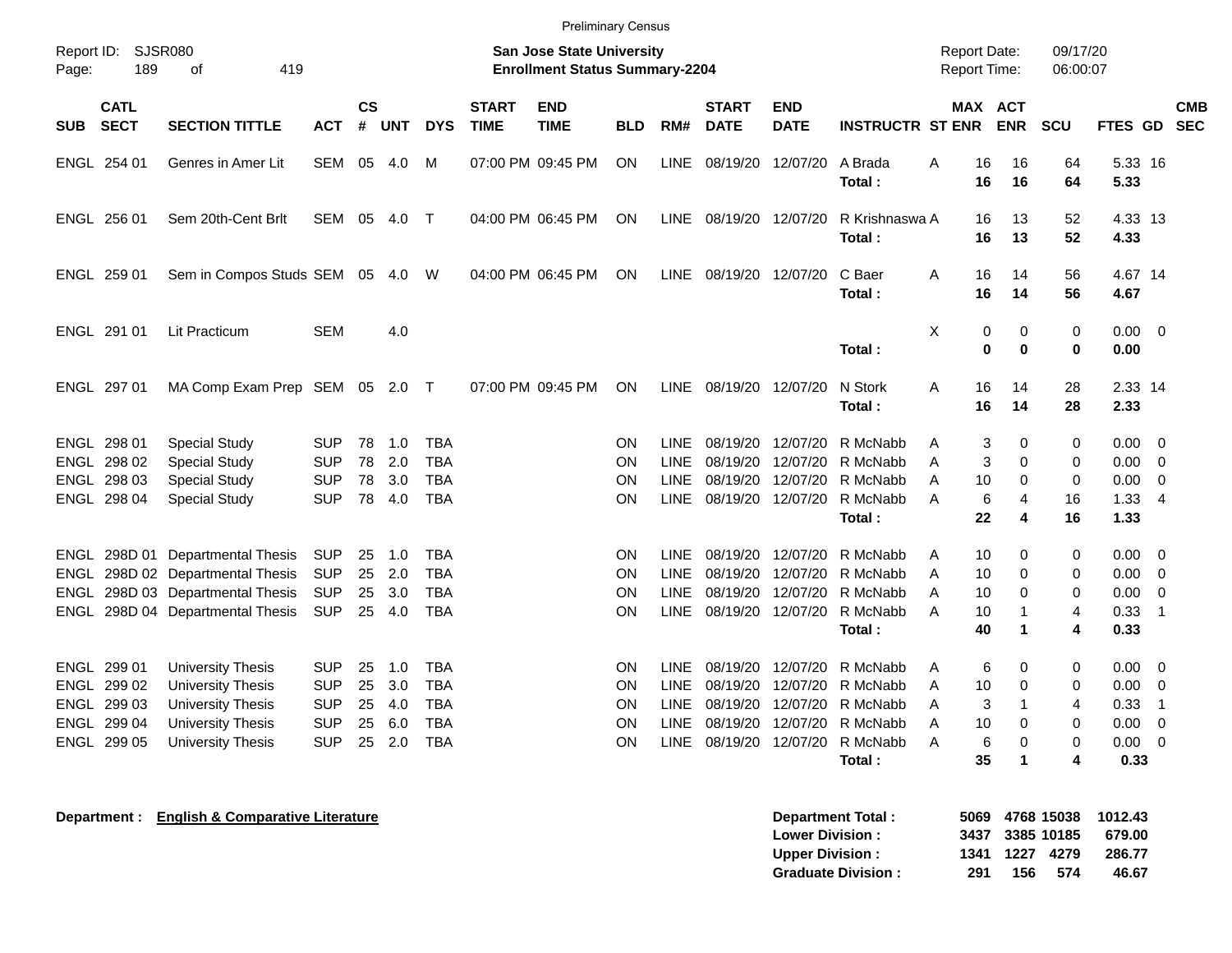| Report ID:<br>189<br>Page:                                              | <b>SJSR080</b><br>419<br>of                                                                                                              |                                                                    |                            |                                 |                                                                    |                             | <b>San Jose State University</b><br><b>Enrollment Status Summary-2204</b> |                            |                                                                         |                                                          |                                                          |                                                                     | <b>Report Date:</b><br><b>Report Time:</b>     |                                                     | 09/17/20<br>06:00:07       |                                              |                                                                  |            |
|-------------------------------------------------------------------------|------------------------------------------------------------------------------------------------------------------------------------------|--------------------------------------------------------------------|----------------------------|---------------------------------|--------------------------------------------------------------------|-----------------------------|---------------------------------------------------------------------------|----------------------------|-------------------------------------------------------------------------|----------------------------------------------------------|----------------------------------------------------------|---------------------------------------------------------------------|------------------------------------------------|-----------------------------------------------------|----------------------------|----------------------------------------------|------------------------------------------------------------------|------------|
| <b>CATL</b><br><b>SECT</b><br><b>SUB</b>                                | <b>SECTION TITTLE</b>                                                                                                                    | ACT                                                                | <b>CS</b><br>#             | <b>UNT</b>                      | <b>DYS</b>                                                         | <b>START</b><br><b>TIME</b> | <b>END</b><br><b>TIME</b>                                                 | <b>BLD</b>                 | RM#                                                                     | <b>START</b><br><b>DATE</b>                              | <b>END</b><br><b>DATE</b>                                | <b>INSTRUCTR ST ENR</b>                                             |                                                | MAX ACT<br><b>ENR</b>                               | <b>SCU</b>                 | FTES GD SEC                                  |                                                                  | <b>CMB</b> |
| ENGL 254 01                                                             | Genres in Amer Lit                                                                                                                       | <b>SEM</b>                                                         | 05                         | 4.0                             | м                                                                  |                             | 07:00 PM 09:45 PM                                                         | ON                         | <b>LINE</b>                                                             | 08/19/20                                                 | 12/07/20                                                 | A Brada<br>Total:                                                   | A<br>16<br>16                                  | 16<br>16                                            | 64<br>64                   | 5.33 16<br>5.33                              |                                                                  |            |
| ENGL 256 01                                                             | Sem 20th-Cent Brlt                                                                                                                       | SEM 05                                                             |                            | 4.0                             | $\mathsf{T}$                                                       |                             | 04:00 PM 06:45 PM                                                         | ON                         | <b>LINE</b>                                                             | 08/19/20 12/07/20                                        |                                                          | R Krishnaswa A<br>Total:                                            | 16<br>16                                       | 13<br>13                                            | 52<br>52                   | 4.33 13<br>4.33                              |                                                                  |            |
| ENGL 259 01                                                             | Sem in Compos Studs SEM 05                                                                                                               |                                                                    |                            | 4.0                             | W                                                                  |                             | 04:00 PM 06:45 PM                                                         | ON                         | <b>LINE</b>                                                             | 08/19/20 12/07/20                                        |                                                          | C Baer<br>Total:                                                    | A<br>16<br>16                                  | 14<br>14                                            | 56<br>56                   | 4.67 14<br>4.67                              |                                                                  |            |
| ENGL 291 01                                                             | Lit Practicum                                                                                                                            | <b>SEM</b>                                                         |                            | 4.0                             |                                                                    |                             |                                                                           |                            |                                                                         |                                                          |                                                          | Total:                                                              | X                                              | 0<br>0<br>$\bf{0}$<br>$\bf{0}$                      | 0<br>0                     | 0.00<br>0.00                                 | $\overline{\mathbf{0}}$                                          |            |
| ENGL 297 01                                                             | MA Comp Exam Prep SEM 05 2.0                                                                                                             |                                                                    |                            |                                 | $\top$                                                             |                             | 07:00 PM 09:45 PM                                                         | ON                         | <b>LINE</b>                                                             | 08/19/20 12/07/20                                        |                                                          | N Stork<br>Total:                                                   | A<br>16<br>16                                  | 14<br>14                                            | 28<br>28                   | 2.33 14<br>2.33                              |                                                                  |            |
| ENGL 298 01<br>ENGL 298 02<br>ENGL 298 03<br>ENGL 298 04                | <b>Special Study</b><br><b>Special Study</b><br>Special Study<br><b>Special Study</b>                                                    | <b>SUP</b><br><b>SUP</b><br><b>SUP</b><br><b>SUP</b>               | 78<br>78<br>78<br>78       | 1.0<br>2.0<br>3.0<br>4.0        | <b>TBA</b><br><b>TBA</b><br><b>TBA</b><br><b>TBA</b>               |                             |                                                                           | ON<br>ΟN<br>ΟN<br>ON       | <b>LINE</b><br><b>LINE</b><br><b>LINE</b><br>LINE                       | 08/19/20<br>08/19/20<br>08/19/20<br>08/19/20             | 12/07/20<br>12/07/20<br>12/07/20<br>12/07/20             | R McNabb<br>R McNabb<br>R McNabb<br>R McNabb<br>Total:              | Α<br>Α<br>Α<br>10<br>A<br>22                   | 3<br>0<br>3<br>0<br>0<br>6<br>4<br>4                | 0<br>0<br>0<br>16<br>16    | 0.00<br>0.00<br>0.00<br>1.33<br>1.33         | $\mathbf 0$<br>$\overline{0}$<br>0<br>$\overline{4}$             |            |
| ENGL<br>ENGL<br>ENGL                                                    | 298D 01 Departmental Thesis<br>ENGL 298D 02 Departmental Thesis<br>298D 03 Departmental Thesis<br>298D 04 Departmental Thesis            | <b>SUP</b><br><b>SUP</b><br><b>SUP</b><br><b>SUP</b>               | 25<br>25<br>25<br>25       | 1.0<br>2.0<br>3.0<br>4.0        | <b>TBA</b><br><b>TBA</b><br><b>TBA</b><br><b>TBA</b>               |                             |                                                                           | ON<br>ΟN<br>ΟN<br>ON       | <b>LINE</b><br><b>LINE</b><br><b>LINE</b><br>LINE                       | 08/19/20<br>08/19/20<br>08/19/20<br>08/19/20             | 12/07/20<br>12/07/20<br>12/07/20<br>12/07/20             | R McNabb<br>R McNabb<br>R McNabb<br>R McNabb<br>Total:              | Α<br>10<br>Α<br>10<br>Α<br>10<br>A<br>10<br>40 | 0<br>0<br>0<br>1<br>1                               | 0<br>0<br>0<br>4<br>4      | 0.00<br>0.00<br>0.00<br>0.33<br>0.33         | $\mathbf 0$<br>0<br>0<br>$\overline{1}$                          |            |
| ENGL 299 01<br>ENGL 299 02<br>ENGL 299 03<br>ENGL 299 04<br>ENGL 299 05 | <b>University Thesis</b><br><b>University Thesis</b><br><b>University Thesis</b><br><b>University Thesis</b><br><b>University Thesis</b> | <b>SUP</b><br><b>SUP</b><br><b>SUP</b><br><b>SUP</b><br><b>SUP</b> | 25<br>25<br>25<br>25<br>25 | 1.0<br>3.0<br>4.0<br>6.0<br>2.0 | <b>TBA</b><br><b>TBA</b><br><b>TBA</b><br><b>TBA</b><br><b>TBA</b> |                             |                                                                           | ON<br>ΟN<br>ΟN<br>ON<br>ON | <b>LINE</b><br><b>LINE</b><br><b>LINE</b><br><b>LINE</b><br><b>LINE</b> | 08/19/20<br>08/19/20<br>08/19/20<br>08/19/20<br>08/19/20 | 12/07/20<br>12/07/20<br>12/07/20<br>12/07/20<br>12/07/20 | R McNabb<br>R McNabb<br>R McNabb<br>R McNabb<br>R McNabb<br>Total : | Α<br>10<br>Α<br>Α<br>A<br>10<br>Α<br>35        | 0<br>6<br>0<br>3<br>1<br>0<br>6<br>0<br>$\mathbf 1$ | 0<br>0<br>4<br>0<br>0<br>4 | 0.00<br>0.00<br>0.33<br>0.00<br>0.00<br>0.33 | $\mathbf 0$<br>0<br>$\overline{1}$<br>$\mathbf 0$<br>$\mathbf 0$ |            |

**Department : English & Comparative Literature** 

| Department Total:         |     |     |                 | 5069 4768 15038 1012.43 |
|---------------------------|-----|-----|-----------------|-------------------------|
| <b>Lower Division:</b>    |     |     | 3437 3385 10185 | 679.00                  |
| <b>Upper Division:</b>    |     |     | 1341 1227 4279  | 286.77                  |
| <b>Graduate Division:</b> | 291 | 156 | -574            | 46.67                   |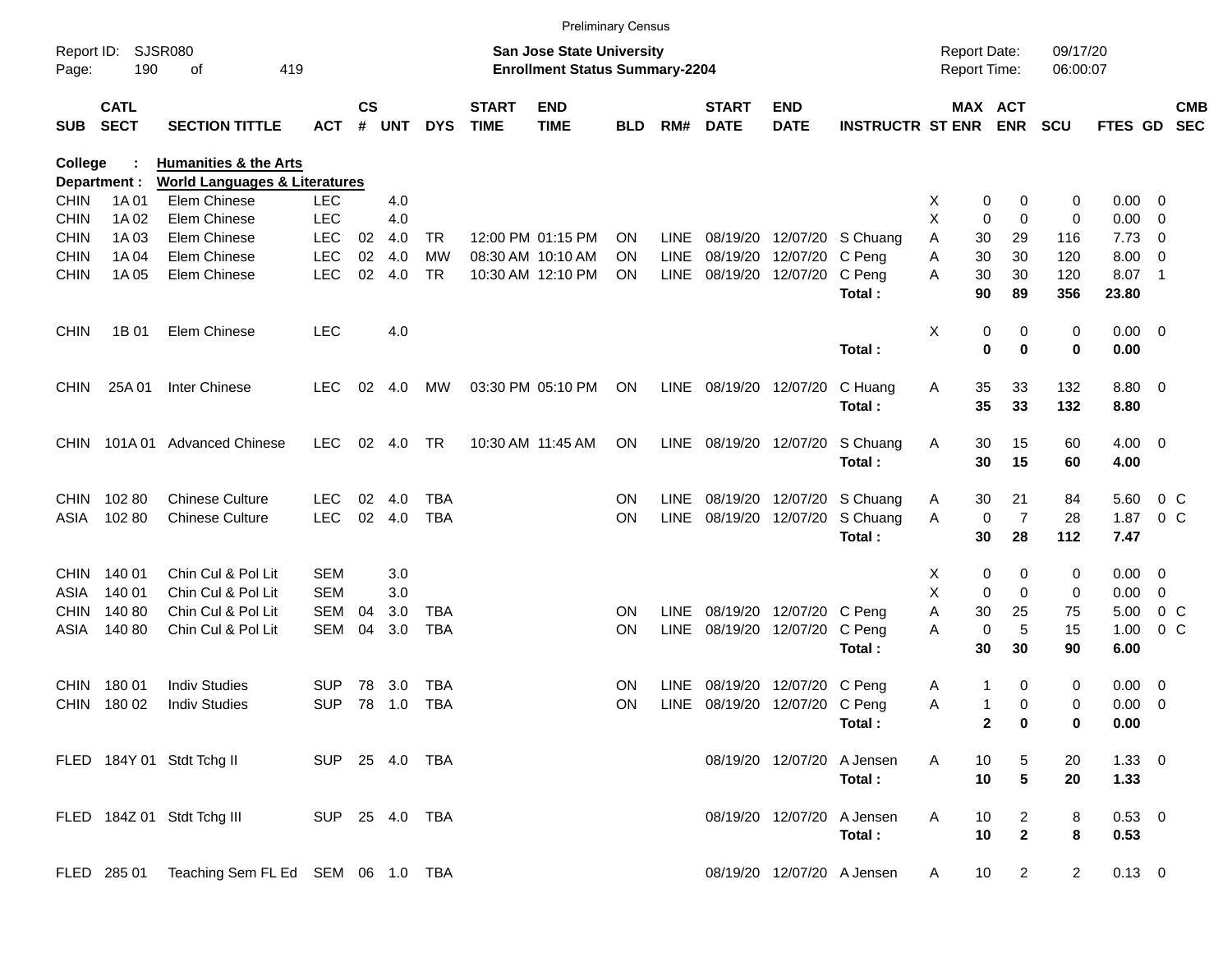|                     |                            |                                               |                |               |       |            |                             |                                                                           | <b>Preliminary Census</b> |             |                             |                           |                            |                                     |                                  |                      |               |                         |                          |
|---------------------|----------------------------|-----------------------------------------------|----------------|---------------|-------|------------|-----------------------------|---------------------------------------------------------------------------|---------------------------|-------------|-----------------------------|---------------------------|----------------------------|-------------------------------------|----------------------------------|----------------------|---------------|-------------------------|--------------------------|
| Report ID:<br>Page: | 190                        | <b>SJSR080</b><br>419<br>οf                   |                |               |       |            |                             | <b>San Jose State University</b><br><b>Enrollment Status Summary-2204</b> |                           |             |                             |                           |                            | <b>Report Date:</b><br>Report Time: |                                  | 09/17/20<br>06:00:07 |               |                         |                          |
| <b>SUB</b>          | <b>CATL</b><br><b>SECT</b> | <b>SECTION TITTLE</b>                         | <b>ACT</b>     | $\mathsf{cs}$ | # UNT | <b>DYS</b> | <b>START</b><br><b>TIME</b> | <b>END</b><br><b>TIME</b>                                                 | <b>BLD</b>                | RM#         | <b>START</b><br><b>DATE</b> | <b>END</b><br><b>DATE</b> | <b>INSTRUCTR ST ENR</b>    |                                     | MAX ACT<br><b>ENR</b>            | <b>SCU</b>           | FTES GD       |                         | <b>CMB</b><br><b>SEC</b> |
| <b>College</b>      |                            | <b>Humanities &amp; the Arts</b>              |                |               |       |            |                             |                                                                           |                           |             |                             |                           |                            |                                     |                                  |                      |               |                         |                          |
|                     | Department :               | <b>World Languages &amp; Literatures</b>      |                |               |       |            |                             |                                                                           |                           |             |                             |                           |                            |                                     |                                  |                      |               |                         |                          |
| <b>CHIN</b>         | 1A 01                      | Elem Chinese                                  | <b>LEC</b>     |               | 4.0   |            |                             |                                                                           |                           |             |                             |                           |                            | X                                   | 0<br>0                           | 0                    | 0.00          | 0                       |                          |
| <b>CHIN</b>         | 1A 02                      | Elem Chinese                                  | <b>LEC</b>     |               | 4.0   |            |                             |                                                                           |                           |             |                             |                           |                            | X                                   | $\mathbf 0$<br>0                 | $\mathbf 0$          | 0.00          | 0                       |                          |
| <b>CHIN</b>         | 1A03                       | Elem Chinese                                  | <b>LEC</b>     | 02            | 4.0   | TR         |                             | 12:00 PM 01:15 PM                                                         | <b>ON</b>                 | LINE        | 08/19/20                    | 12/07/20                  | S Chuang                   | 30<br>A                             | 29                               | 116                  | 7.73          | 0                       |                          |
| <b>CHIN</b>         | 1A 04                      | Elem Chinese                                  | <b>LEC</b>     | 02            | 4.0   | <b>MW</b>  |                             | 08:30 AM 10:10 AM                                                         | <b>ON</b>                 | <b>LINE</b> | 08/19/20                    | 12/07/20                  | C Peng                     | 30<br>Α                             | 30                               | 120                  | 8.00          | 0                       |                          |
| <b>CHIN</b>         | 1A 05                      | Elem Chinese                                  | <b>LEC</b>     | 02            | - 4.0 | <b>TR</b>  |                             | 10:30 AM 12:10 PM                                                         | <b>ON</b>                 | LINE        | 08/19/20                    | 12/07/20                  | C Peng<br>Total:           | 30<br>Α<br>90                       | 30<br>89                         | 120<br>356           | 8.07<br>23.80 | $\overline{1}$          |                          |
|                     |                            |                                               |                |               |       |            |                             |                                                                           |                           |             |                             |                           |                            |                                     |                                  |                      |               |                         |                          |
| <b>CHIN</b>         | 1B 01                      | Elem Chinese                                  | <b>LEC</b>     |               | 4.0   |            |                             |                                                                           |                           |             |                             |                           |                            | Χ                                   | 0<br>0                           | 0                    | 0.00          | $\overline{\mathbf{0}}$ |                          |
|                     |                            |                                               |                |               |       |            |                             |                                                                           |                           |             |                             |                           | Total:                     |                                     | $\mathbf 0$<br>$\bf{0}$          | $\mathbf 0$          | 0.00          |                         |                          |
| <b>CHIN</b>         | 25A 01                     | Inter Chinese                                 | <b>LEC</b>     | 02            | 4.0   | МW         |                             | 03:30 PM 05:10 PM                                                         | ON                        | <b>LINE</b> | 08/19/20 12/07/20           |                           | C Huang                    | 35<br>A                             | 33                               | 132                  | 8.80          | $\overline{\mathbf{0}}$ |                          |
|                     |                            |                                               |                |               |       |            |                             |                                                                           |                           |             |                             |                           | Total:                     | 35                                  | 33                               | 132                  | 8.80          |                         |                          |
| <b>CHIN</b>         | 101A 01                    | <b>Advanced Chinese</b>                       | <b>LEC</b>     | 02            | 4.0   | TR         |                             | 10:30 AM 11:45 AM                                                         | ON                        | LINE        | 08/19/20                    | 12/07/20                  | S Chuang                   | 30<br>A                             | 15                               | 60                   | 4.00          | $\overline{\mathbf{0}}$ |                          |
|                     |                            |                                               |                |               |       |            |                             |                                                                           |                           |             |                             |                           | Total:                     | 30                                  | 15                               | 60                   | 4.00          |                         |                          |
| <b>CHIN</b>         | 10280                      | <b>Chinese Culture</b>                        | <b>LEC</b>     | 02            | 4.0   | TBA        |                             |                                                                           | ON                        | LINE        | 08/19/20                    | 12/07/20                  | S Chuang                   | 30<br>A                             | 21                               | 84                   | 5.60          | $0\,$ C                 |                          |
| ASIA                | 102 80                     | <b>Chinese Culture</b>                        | <b>LEC</b>     | 02            | 4.0   | <b>TBA</b> |                             |                                                                           | ON                        | <b>LINE</b> | 08/19/20                    | 12/07/20                  | S Chuang                   | Α                                   | $\overline{7}$<br>0              | 28                   | 1.87          | 0 <sup>o</sup>          |                          |
|                     |                            |                                               |                |               |       |            |                             |                                                                           |                           |             |                             |                           | Total:                     | 30                                  | 28                               | 112                  | 7.47          |                         |                          |
| <b>CHIN</b>         | 140 01                     | Chin Cul & Pol Lit                            | SEM            |               | 3.0   |            |                             |                                                                           |                           |             |                             |                           |                            | X                                   | 0<br>0                           | 0                    | 0.00          | 0                       |                          |
| ASIA                | 140 01                     | Chin Cul & Pol Lit                            | <b>SEM</b>     |               | 3.0   |            |                             |                                                                           |                           |             |                             |                           |                            | X                                   | 0<br>0                           | 0                    | 0.00          | 0                       |                          |
| <b>CHIN</b>         | 140 80                     | Chin Cul & Pol Lit                            | <b>SEM</b>     | 04            | 3.0   | <b>TBA</b> |                             |                                                                           | <b>ON</b>                 | <b>LINE</b> | 08/19/20                    | 12/07/20 C Peng           |                            | 30<br>Α                             | 25                               | 75                   | 5.00          | 0 <sup>o</sup>          |                          |
| ASIA                | 140 80                     | Chin Cul & Pol Lit                            | <b>SEM</b>     | 04            | 3.0   | <b>TBA</b> |                             |                                                                           | <b>ON</b>                 | <b>LINE</b> | 08/19/20                    | 12/07/20                  | C Peng                     | Α                                   | $\mathbf 0$<br>5                 | 15                   | 1.00          | 0 <sup>o</sup>          |                          |
|                     |                            |                                               |                |               |       |            |                             |                                                                           |                           |             |                             |                           | Total:                     | 30                                  | 30                               | 90                   | 6.00          |                         |                          |
| <b>CHIN</b>         | 180 01                     | <b>Indiv Studies</b>                          | SUP            | 78            | 3.0   | <b>TBA</b> |                             |                                                                           | <b>ON</b>                 | LINE        | 08/19/20                    | 12/07/20                  | C Peng                     | 1<br>A                              | 0                                | 0                    | 0.00          | 0                       |                          |
| <b>CHIN</b>         | 180 02                     | <b>Indiv Studies</b>                          | <b>SUP</b>     | 78            | 1.0   | <b>TBA</b> |                             |                                                                           | ON                        | LINE        |                             | 08/19/20 12/07/20 C Peng  |                            | Α<br>1                              | $\Omega$                         | 0                    | 0.00          | $\overline{0}$          |                          |
|                     |                            |                                               |                |               |       |            |                             |                                                                           |                           |             |                             |                           | Total:                     |                                     | $\mathbf{2}$<br>$\boldsymbol{0}$ | 0                    | 0.00          |                         |                          |
|                     |                            | FLED 184Y 01 Stdt Tchg II                     | SUP 25 4.0 TBA |               |       |            |                             |                                                                           |                           |             |                             | 08/19/20 12/07/20         | A Jensen                   | A<br>10                             | 5                                | 20                   | $1.33 \ 0$    |                         |                          |
|                     |                            |                                               |                |               |       |            |                             |                                                                           |                           |             |                             |                           | Total:                     | 10                                  | $5\phantom{.0}$                  | 20                   | 1.33          |                         |                          |
|                     |                            | FLED 184Z 01 Stdt Tchg III                    | SUP 25 4.0 TBA |               |       |            |                             |                                                                           |                           |             |                             | 08/19/20 12/07/20         | A Jensen                   | A<br>10                             |                                  | 8                    | 0.53 0        |                         |                          |
|                     |                            |                                               |                |               |       |            |                             |                                                                           |                           |             |                             |                           | Total:                     | 10                                  | $\overline{a}$<br>$\mathbf{2}$   | 8                    | 0.53          |                         |                          |
|                     |                            | FLED 285 01 Teaching Sem FL Ed SEM 06 1.0 TBA |                |               |       |            |                             |                                                                           |                           |             |                             |                           | 08/19/20 12/07/20 A Jensen | 10<br>A                             | $\overline{a}$                   | $\overline{2}$       | $0.13 \ 0$    |                         |                          |
|                     |                            |                                               |                |               |       |            |                             |                                                                           |                           |             |                             |                           |                            |                                     |                                  |                      |               |                         |                          |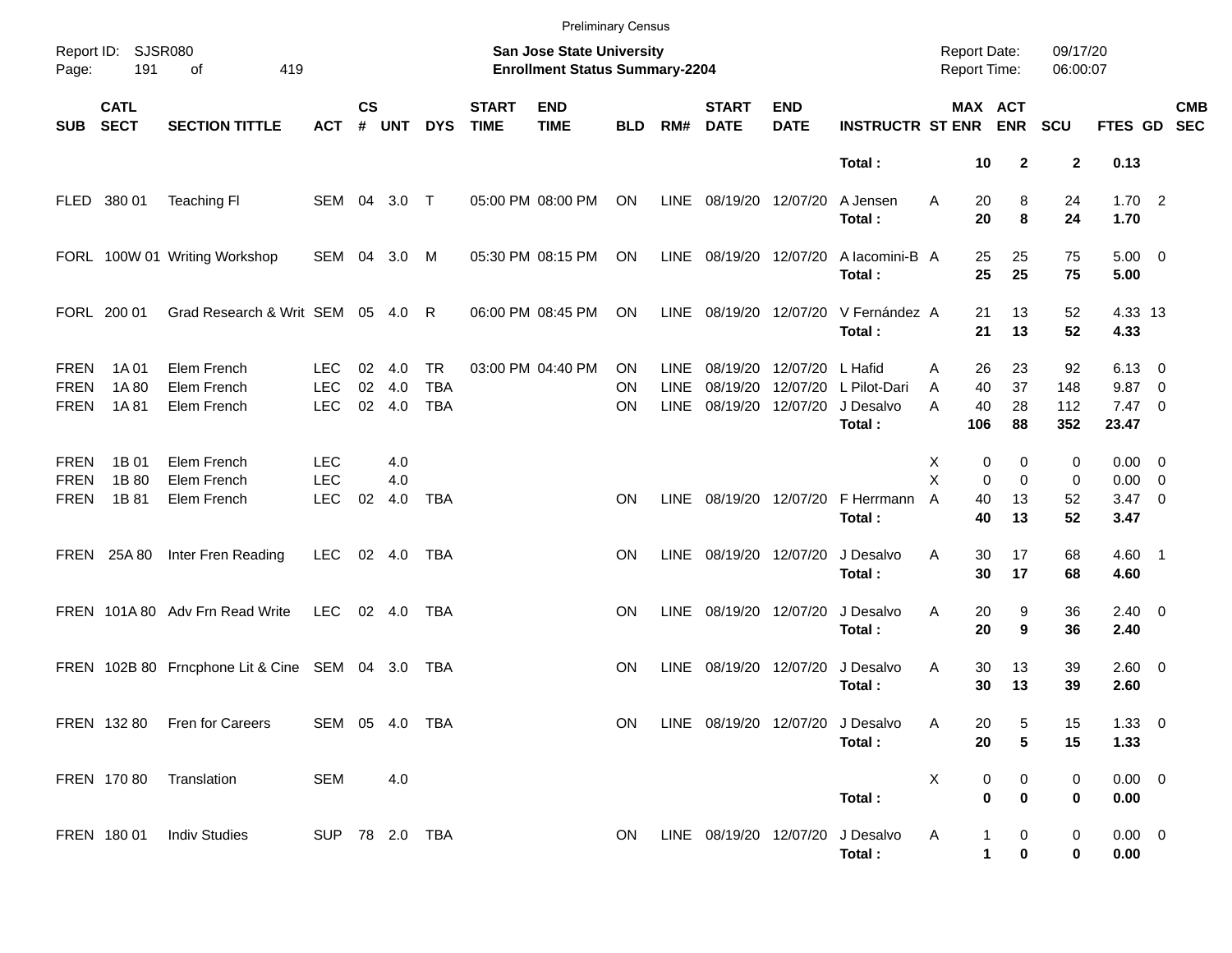|                                           |                            |                                              |                                        |                    |                      |                                       |                             | <b>Preliminary Census</b>                                          |                              |                                           |                                           |                           |                                              |             |                           |                                            |                         |                                                      |                          |            |
|-------------------------------------------|----------------------------|----------------------------------------------|----------------------------------------|--------------------|----------------------|---------------------------------------|-----------------------------|--------------------------------------------------------------------|------------------------------|-------------------------------------------|-------------------------------------------|---------------------------|----------------------------------------------|-------------|---------------------------|--------------------------------------------|-------------------------|------------------------------------------------------|--------------------------|------------|
| Page:                                     | Report ID: SJSR080<br>191  | 419<br>of                                    |                                        |                    |                      |                                       |                             | San Jose State University<br><b>Enrollment Status Summary-2204</b> |                              |                                           |                                           |                           |                                              |             |                           | <b>Report Date:</b><br><b>Report Time:</b> | 09/17/20<br>06:00:07    |                                                      |                          |            |
| <b>SUB</b>                                | <b>CATL</b><br><b>SECT</b> | <b>SECTION TITTLE</b>                        | <b>ACT</b>                             | $\mathsf{cs}$<br># | <b>UNT</b>           | <b>DYS</b>                            | <b>START</b><br><b>TIME</b> | <b>END</b><br><b>TIME</b>                                          | <b>BLD</b>                   | RM#                                       | <b>START</b><br><b>DATE</b>               | <b>END</b><br><b>DATE</b> | <b>INSTRUCTR ST ENR</b>                      |             |                           | MAX ACT<br><b>ENR</b>                      | <b>SCU</b>              | FTES GD SEC                                          |                          | <b>CMB</b> |
|                                           |                            |                                              |                                        |                    |                      |                                       |                             |                                                                    |                              |                                           |                                           |                           | Total:                                       |             | 10                        | $\overline{2}$                             | $\mathbf 2$             | 0.13                                                 |                          |            |
|                                           | FLED 380 01                | <b>Teaching FI</b>                           | SEM 04 3.0 T                           |                    |                      |                                       |                             | 05:00 PM 08:00 PM                                                  | ON                           | LINE                                      | 08/19/20 12/07/20                         |                           | A Jensen<br>Total:                           | A           | 20<br>20                  | 8<br>8                                     | 24<br>24                | 1.702<br>1.70                                        |                          |            |
|                                           |                            | FORL 100W 01 Writing Workshop                | SEM 04 3.0                             |                    |                      | M                                     |                             | 05:30 PM 08:15 PM                                                  | ON                           | LINE                                      | 08/19/20 12/07/20                         |                           | A lacomini-B A<br>Total:                     |             | 25<br>25                  | 25<br>25                                   | 75<br>75                | $5.00 \t 0$<br>5.00                                  |                          |            |
|                                           | FORL 200 01                | Grad Research & Writ SEM 05 4.0 R            |                                        |                    |                      |                                       |                             | 06:00 PM 08:45 PM                                                  | ON                           | LINE                                      | 08/19/20 12/07/20                         |                           | V Fernández A<br>Total:                      |             | 21<br>21                  | 13<br>13                                   | 52<br>52                | 4.33 13<br>4.33                                      |                          |            |
| <b>FREN</b><br><b>FREN</b><br><b>FREN</b> | 1A 01<br>1A 80<br>1A 81    | Elem French<br>Elem French<br>Elem French    | LEC.<br><b>LEC</b><br><b>LEC</b>       | 02<br>02           | 4.0<br>4.0<br>02 4.0 | <b>TR</b><br><b>TBA</b><br><b>TBA</b> |                             | 03:00 PM 04:40 PM                                                  | <b>ON</b><br>ΟN<br><b>ON</b> | <b>LINE</b><br><b>LINE</b><br><b>LINE</b> | 08/19/20<br>08/19/20<br>08/19/20 12/07/20 | 12/07/20 L Hafid          | 12/07/20 L Pilot-Dari<br>J Desalvo<br>Total: | A<br>A<br>A | 26<br>40<br>40<br>106     | 23<br>37<br>28<br>88                       | 92<br>148<br>112<br>352 | $6.13 \quad 0$<br>9.87<br>$7.47\quad 0$<br>23.47     | $\overline{\phantom{0}}$ |            |
| <b>FREN</b><br><b>FREN</b><br><b>FREN</b> | 1B 01<br>1B 80<br>1B 81    | Elem French<br>Elem French<br>Elem French    | <b>LEC</b><br><b>LEC</b><br><b>LEC</b> | 02                 | 4.0<br>4.0<br>4.0    | <b>TBA</b>                            |                             |                                                                    | <b>ON</b>                    | <b>LINE</b>                               | 08/19/20 12/07/20                         |                           | F Herrmann<br>Total:                         | X<br>X<br>A | 0<br>$\Omega$<br>40<br>40 | 0<br>$\Omega$<br>13<br>13                  | 0<br>0<br>52<br>52      | $0.00 \t 0$<br>$0.00 \t 0$<br>$3.47 \quad 0$<br>3.47 |                          |            |
|                                           | FREN 25A 80                | Inter Fren Reading                           | <b>LEC</b>                             |                    | 02 4.0               | TBA                                   |                             |                                                                    | <b>ON</b>                    | LINE                                      | 08/19/20 12/07/20                         |                           | J Desalvo<br>Total:                          | Α           | 30<br>30                  | 17<br>17                                   | 68<br>68                | $4.60$ 1<br>4.60                                     |                          |            |
|                                           |                            | FREN 101A 80 Adv Frn Read Write              | <b>LEC</b>                             |                    | 02 4.0               | TBA                                   |                             |                                                                    | <b>ON</b>                    | LINE                                      | 08/19/20 12/07/20                         |                           | J Desalvo<br>Total:                          | Α           | 20<br>20                  | 9<br>9                                     | 36<br>36                | $2.40 \ 0$<br>2.40                                   |                          |            |
|                                           |                            | FREN 102B 80 Frncphone Lit & Cine SEM 04 3.0 |                                        |                    |                      | TBA                                   |                             |                                                                    | <b>ON</b>                    | LINE                                      | 08/19/20 12/07/20                         |                           | J Desalvo<br>Total:                          | Α           | 30<br>30                  | 13<br>13                                   | 39<br>39                | $2.60 \t 0$<br>2.60                                  |                          |            |
|                                           |                            | FREN 132 80 Fren for Careers                 | SEM 05 4.0 TBA                         |                    |                      |                                       |                             |                                                                    | ON.                          |                                           |                                           |                           | LINE 08/19/20 12/07/20 J Desalvo<br>Total:   | Α           | 20<br>20                  | 5<br>5                                     | 15<br>15                | $1.33 \ 0$<br>1.33                                   |                          |            |
|                                           |                            | FREN 170 80 Translation                      | <b>SEM</b>                             |                    | 4.0                  |                                       |                             |                                                                    |                              |                                           |                                           |                           | Total:                                       | X           | 0<br>$\bf{0}$             | 0<br>$\bf{0}$                              | 0<br>0                  | $0.00 \t 0$<br>0.00                                  |                          |            |
|                                           |                            | FREN 180 01 Indiv Studies                    | SUP 78 2.0 TBA                         |                    |                      |                                       |                             |                                                                    | ON.                          |                                           | LINE 08/19/20 12/07/20                    |                           | J Desalvo<br>Total:                          | A           | $\mathbf{1}$              | 0<br>$\pmb{0}$                             | 0<br>0                  | $0.00 \t 0$<br>0.00                                  |                          |            |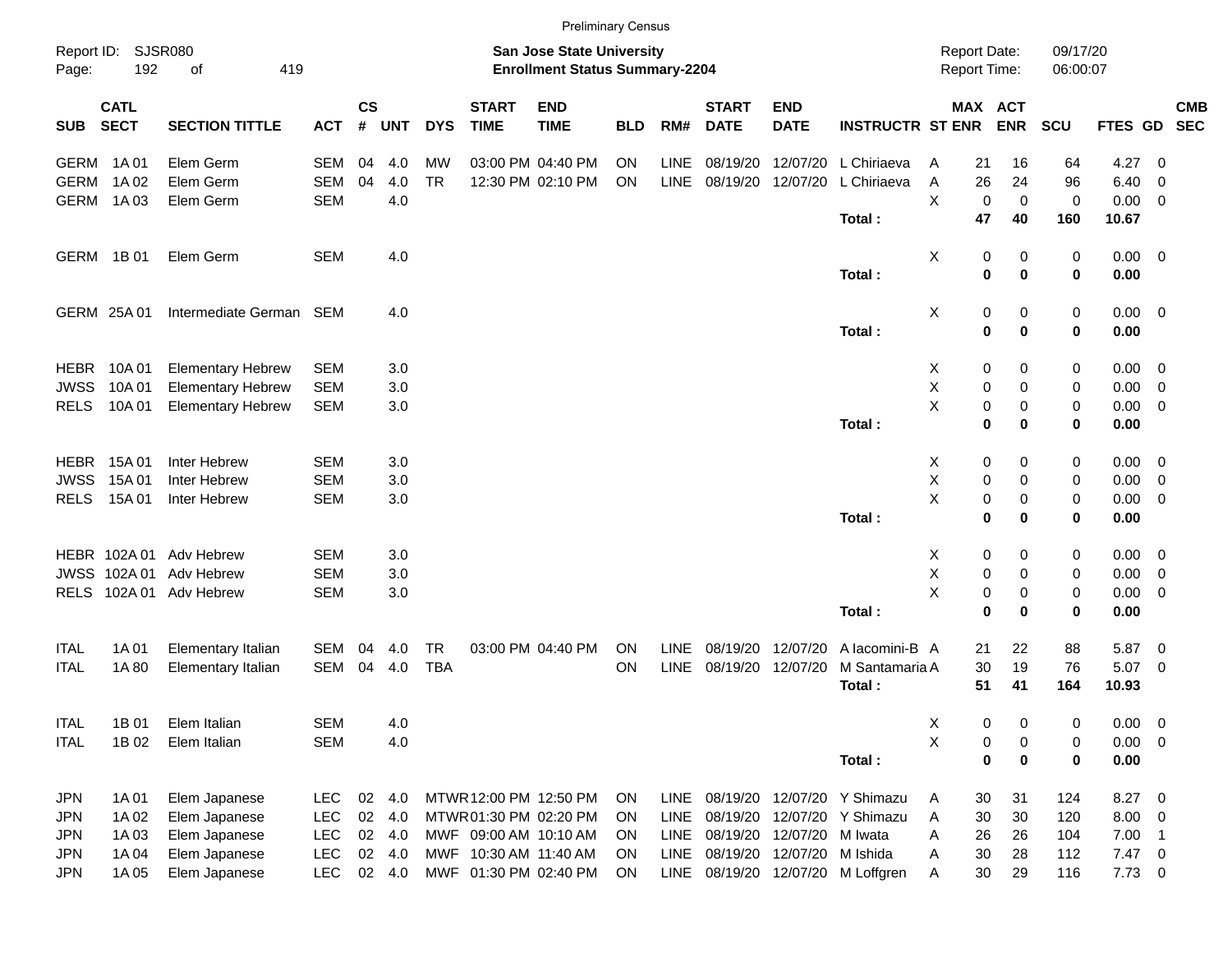|             |                            |                          |            |                |            |            |                             | <b>Preliminary Census</b>                                          |            |             |                             |                            |                                   |                                     |             |                      |             |                            |            |
|-------------|----------------------------|--------------------------|------------|----------------|------------|------------|-----------------------------|--------------------------------------------------------------------|------------|-------------|-----------------------------|----------------------------|-----------------------------------|-------------------------------------|-------------|----------------------|-------------|----------------------------|------------|
| Page:       | Report ID: SJSR080<br>192  | 419<br>of                |            |                |            |            |                             | San Jose State University<br><b>Enrollment Status Summary-2204</b> |            |             |                             |                            |                                   | <b>Report Date:</b><br>Report Time: |             | 09/17/20<br>06:00:07 |             |                            |            |
| <b>SUB</b>  | <b>CATL</b><br><b>SECT</b> | <b>SECTION TITTLE</b>    | <b>ACT</b> | <b>CS</b><br># | <b>UNT</b> | <b>DYS</b> | <b>START</b><br><b>TIME</b> | <b>END</b><br><b>TIME</b>                                          | <b>BLD</b> | RM#         | <b>START</b><br><b>DATE</b> | <b>END</b><br><b>DATE</b>  | <b>INSTRUCTR ST ENR</b>           | MAX ACT                             | <b>ENR</b>  | <b>SCU</b>           | FTES GD SEC |                            | <b>CMB</b> |
|             | GERM 1A01                  | Elem Germ                | <b>SEM</b> | 04             | 4.0        | MW         |                             | 03:00 PM 04:40 PM                                                  | <b>ON</b>  | <b>LINE</b> | 08/19/20                    | 12/07/20                   | L Chiriaeva                       | 21<br>A                             | 16          | 64                   | 4.27        | - 0                        |            |
| <b>GERM</b> | 1A 02                      | Elem Germ                | <b>SEM</b> | 04             | 4.0        | <b>TR</b>  |                             | 12:30 PM 02:10 PM                                                  | ON         | <b>LINE</b> |                             | 08/19/20 12/07/20          | L Chiriaeva                       | 26<br>Α                             | 24          | 96                   | 6.40        | - 0                        |            |
|             | GERM 1A03                  | Elem Germ                | <b>SEM</b> |                | 4.0        |            |                             |                                                                    |            |             |                             |                            |                                   | X<br>0                              | $\mathbf 0$ | $\mathbf 0$          | 0.00        | $\overline{\phantom{0}}$   |            |
|             |                            |                          |            |                |            |            |                             |                                                                    |            |             |                             |                            | Total:                            | 47                                  | 40          | 160                  | 10.67       |                            |            |
|             | GERM 1B 01                 | Elem Germ                | <b>SEM</b> |                | 4.0        |            |                             |                                                                    |            |             |                             |                            |                                   | X<br>0                              | 0           | 0                    | $0.00 \t 0$ |                            |            |
|             |                            |                          |            |                |            |            |                             |                                                                    |            |             |                             |                            | Total:                            | $\mathbf 0$                         | 0           | 0                    | 0.00        |                            |            |
|             | GERM 25A 01                | Intermediate German SEM  |            |                | 4.0        |            |                             |                                                                    |            |             |                             |                            |                                   | X<br>0                              | 0           | 0                    | $0.00 \t 0$ |                            |            |
|             |                            |                          |            |                |            |            |                             |                                                                    |            |             |                             |                            | Total:                            | $\mathbf 0$                         | 0           | 0                    | 0.00        |                            |            |
| <b>HEBR</b> | 10A 01                     | <b>Elementary Hebrew</b> | <b>SEM</b> |                | 3.0        |            |                             |                                                                    |            |             |                             |                            |                                   | 0<br>X                              | 0           | 0                    | 0.00        | $\overline{\phantom{0}}$   |            |
| <b>JWSS</b> | 10A 01                     | <b>Elementary Hebrew</b> | <b>SEM</b> |                | 3.0        |            |                             |                                                                    |            |             |                             |                            |                                   | X<br>0                              | 0           | 0                    | 0.00        | $\overline{\mathbf{0}}$    |            |
| <b>RELS</b> | 10A 01                     | <b>Elementary Hebrew</b> | <b>SEM</b> |                | 3.0        |            |                             |                                                                    |            |             |                             |                            |                                   | X<br>$\pmb{0}$                      | 0           | 0                    | 0.00        | $\overline{\mathbf{0}}$    |            |
|             |                            |                          |            |                |            |            |                             |                                                                    |            |             |                             |                            | Total:                            | $\mathbf 0$                         | 0           | 0                    | 0.00        |                            |            |
|             | <b>HEBR</b> 15A 01         | Inter Hebrew             | <b>SEM</b> |                | 3.0        |            |                             |                                                                    |            |             |                             |                            |                                   | 0<br>X                              | 0           | 0                    | 0.00        | $\overline{\phantom{0}}$   |            |
| <b>JWSS</b> | 15A 01                     | Inter Hebrew             | <b>SEM</b> |                | 3.0        |            |                             |                                                                    |            |             |                             |                            |                                   | X<br>$\pmb{0}$                      | 0           | 0                    | 0.00        | $\overline{\mathbf{0}}$    |            |
| <b>RELS</b> | 15A 01                     | Inter Hebrew             | <b>SEM</b> |                | 3.0        |            |                             |                                                                    |            |             |                             |                            |                                   | X<br>0                              | 0           | 0                    | 0.00        | $\overline{\mathbf{0}}$    |            |
|             |                            |                          |            |                |            |            |                             |                                                                    |            |             |                             |                            | Total:                            | $\mathbf 0$                         | 0           | 0                    | 0.00        |                            |            |
|             |                            | HEBR 102A 01 Adv Hebrew  | <b>SEM</b> |                | 3.0        |            |                             |                                                                    |            |             |                             |                            |                                   | 0<br>X                              | 0           | 0                    | 0.00        | $\overline{\phantom{0}}$   |            |
| JWSS        | 102A 01                    | Adv Hebrew               | <b>SEM</b> |                | 3.0        |            |                             |                                                                    |            |             |                             |                            |                                   | X<br>0                              | 0           | 0                    | 0.00        | $\overline{\mathbf{0}}$    |            |
| <b>RELS</b> |                            | 102A 01 Adv Hebrew       | <b>SEM</b> |                | 3.0        |            |                             |                                                                    |            |             |                             |                            |                                   | X<br>$\pmb{0}$                      | 0           | 0                    | 0.00        | $\overline{\mathbf{0}}$    |            |
|             |                            |                          |            |                |            |            |                             |                                                                    |            |             |                             |                            | Total:                            | $\mathbf 0$                         | 0           | 0                    | 0.00        |                            |            |
| <b>ITAL</b> | 1A 01                      | Elementary Italian       | SEM        | 04             | 4.0        | TR         |                             | 03:00 PM 04:40 PM                                                  | <b>ON</b>  | LINE        | 08/19/20                    | 12/07/20                   | A lacomini-B A                    | 21                                  | 22          | 88                   | 5.87        | $\overline{\mathbf{0}}$    |            |
| <b>ITAL</b> | 1A 80                      | Elementary Italian       | SEM        | 04             | 4.0        | <b>TBA</b> |                             |                                                                    | ON         | <b>LINE</b> |                             | 08/19/20 12/07/20          | M Santamaria A                    | 30                                  | 19          | 76                   | 5.07 0      |                            |            |
|             |                            |                          |            |                |            |            |                             |                                                                    |            |             |                             |                            | Total:                            | 51                                  | 41          | 164                  | 10.93       |                            |            |
| <b>ITAL</b> | 1B 01                      | Elem Italian             | <b>SEM</b> |                | 4.0        |            |                             |                                                                    |            |             |                             |                            |                                   | х<br>0                              | 0           | 0                    | 0.00        | $\overline{\mathbf{0}}$    |            |
| <b>ITAL</b> | 1B 02                      | Elem Italian             | <b>SEM</b> |                | 4.0        |            |                             |                                                                    |            |             |                             |                            |                                   | Χ<br>0                              | 0           | 0                    | $0.00 \t 0$ |                            |            |
|             |                            |                          |            |                |            |            |                             |                                                                    |            |             |                             |                            | Total:                            | $\bf{0}$                            | 0           | 0                    | 0.00        |                            |            |
| JPN         | 1A 01                      | Elem Japanese            | <b>LEC</b> | 02             | 4.0        |            | MTWR 12:00 PM 12:50 PM      |                                                                    | <b>ON</b>  | <b>LINE</b> |                             |                            | 08/19/20 12/07/20 Y Shimazu       | 30<br>A                             | 31          | 124                  | 8.27 0      |                            |            |
| JPN         | 1A 02                      | Elem Japanese            | <b>LEC</b> | $02\,$         | 4.0        |            | MTWR 01:30 PM 02:20 PM      |                                                                    | <b>ON</b>  | <b>LINE</b> |                             |                            | 08/19/20 12/07/20 Y Shimazu       | 30<br>Α                             | 30          | 120                  | 8.00        | $\overline{\phantom{0}}$   |            |
| JPN         | 1A03                       | Elem Japanese            | <b>LEC</b> |                | 02 4.0     |            | MWF 09:00 AM 10:10 AM       |                                                                    | <b>ON</b>  | <b>LINE</b> |                             | 08/19/20 12/07/20 M Iwata  |                                   | 26<br>Α                             | 26          | 104                  | 7.00        | $\overline{\phantom{0}}$ 1 |            |
| JPN         | 1A 04                      | Elem Japanese            | <b>LEC</b> |                | 02 4.0     |            | MWF 10:30 AM 11:40 AM       |                                                                    | <b>ON</b>  | LINE        |                             | 08/19/20 12/07/20 M Ishida |                                   | 30<br>Α                             | 28          | 112                  | $7.47$ 0    |                            |            |
| <b>JPN</b>  | 1A 05                      | Elem Japanese            | <b>LEC</b> |                | 02 4.0     |            | MWF 01:30 PM 02:40 PM       |                                                                    | ON         |             |                             |                            | LINE 08/19/20 12/07/20 M Loffgren | 30<br>Α                             | 29          | 116                  | $7.73 \t 0$ |                            |            |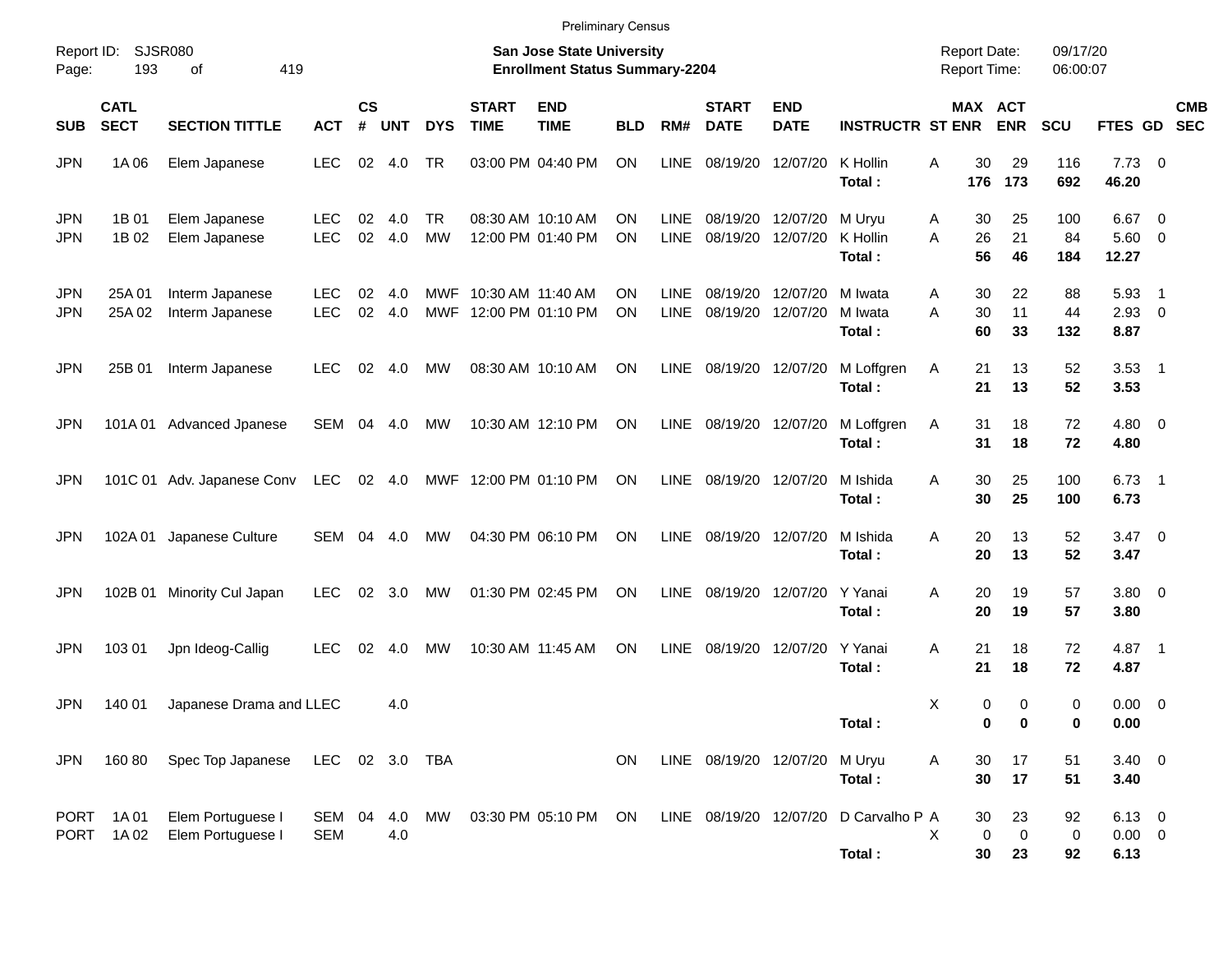|                          |                            |                                        |                          |                |            |                  |                                                | <b>Preliminary Census</b>                                                 |            |                            |                               |                           |                                                 |                                            |                |                              |                      |                                 |                          |            |
|--------------------------|----------------------------|----------------------------------------|--------------------------|----------------|------------|------------------|------------------------------------------------|---------------------------------------------------------------------------|------------|----------------------------|-------------------------------|---------------------------|-------------------------------------------------|--------------------------------------------|----------------|------------------------------|----------------------|---------------------------------|--------------------------|------------|
| Report ID:<br>Page:      | 193                        | SJSR080<br>419<br>οf                   |                          |                |            |                  |                                                | <b>San Jose State University</b><br><b>Enrollment Status Summary-2204</b> |            |                            |                               |                           |                                                 | <b>Report Date:</b><br><b>Report Time:</b> |                |                              | 09/17/20<br>06:00:07 |                                 |                          |            |
| <b>SUB</b>               | <b>CATL</b><br><b>SECT</b> | <b>SECTION TITTLE</b>                  | <b>ACT</b>               | <b>CS</b><br># | <b>UNT</b> | <b>DYS</b>       | <b>START</b><br><b>TIME</b>                    | <b>END</b><br><b>TIME</b>                                                 | <b>BLD</b> | RM#                        | <b>START</b><br><b>DATE</b>   | <b>END</b><br><b>DATE</b> | <b>INSTRUCTR ST ENR</b>                         |                                            |                | <b>MAX ACT</b><br><b>ENR</b> | <b>SCU</b>           | FTES GD SEC                     |                          | <b>CMB</b> |
| <b>JPN</b>               | 1A 06                      | Elem Japanese                          | <b>LEC</b>               | 02             | 4.0        | TR               |                                                | 03:00 PM 04:40 PM                                                         | <b>ON</b>  | <b>LINE</b>                | 08/19/20                      | 12/07/20                  | K Hollin<br>Total:                              | Α                                          | 30<br>176      | 29<br>173                    | 116<br>692           | $7.73 \t 0$<br>46.20            |                          |            |
| <b>JPN</b><br><b>JPN</b> | 1B 01<br>1B 02             | Elem Japanese<br>Elem Japanese         | <b>LEC</b><br><b>LEC</b> | 02<br>02       | 4.0<br>4.0 | TR.<br><b>MW</b> |                                                | 08:30 AM 10:10 AM<br>12:00 PM 01:40 PM                                    | ΟN<br>ON   | <b>LINE</b><br><b>LINE</b> | 08/19/20<br>08/19/20          | 12/07/20<br>12/07/20      | M Uryu<br>K Hollin<br>Total:                    | Α<br>A                                     | 30<br>26<br>56 | 25<br>21<br>46               | 100<br>84<br>184     | 6.67<br>$5.60$ 0<br>12.27       | $\overline{\phantom{0}}$ |            |
| <b>JPN</b><br><b>JPN</b> | 25A 01<br>25A 02           | Interm Japanese<br>Interm Japanese     | <b>LEC</b><br><b>LEC</b> | 02<br>02       | 4.0<br>4.0 |                  | MWF 10:30 AM 11:40 AM<br>MWF 12:00 PM 01:10 PM |                                                                           | ON<br>ON   | <b>LINE</b><br><b>LINE</b> | 08/19/20<br>08/19/20 12/07/20 | 12/07/20                  | M Iwata<br>M Iwata<br>Total:                    | Α<br>A                                     | 30<br>30<br>60 | 22<br>11<br>33               | 88<br>44<br>132      | 5.93<br>$2.93$ 0<br>8.87        | $\overline{\phantom{1}}$ |            |
| <b>JPN</b>               | 25B 01                     | Interm Japanese                        | <b>LEC</b>               | 02             | 4.0        | МW               |                                                | 08:30 AM 10:10 AM                                                         | ON         | LINE                       | 08/19/20 12/07/20             |                           | M Loffgren<br>Total:                            | Α                                          | 21<br>21       | 13<br>13                     | 52<br>52             | $3.53$ 1<br>3.53                |                          |            |
| <b>JPN</b>               |                            | 101A 01 Advanced Jpanese               | SEM 04 4.0               |                |            | МW               |                                                | 10:30 AM 12:10 PM                                                         | ON         | LINE                       | 08/19/20 12/07/20             |                           | M Loffgren<br>Total:                            | Α                                          | 31<br>31       | 18<br>18                     | 72<br>72             | $4.80\ 0$<br>4.80               |                          |            |
| <b>JPN</b>               |                            | 101C 01 Adv. Japanese Conv             | LEC                      |                | 02 4.0     |                  |                                                | MWF 12:00 PM 01:10 PM                                                     | ON         | <b>LINE</b>                | 08/19/20 12/07/20             |                           | M Ishida<br>Total:                              | Α                                          | 30<br>30       | 25<br>25                     | 100<br>100           | $6.73$ 1<br>6.73                |                          |            |
| <b>JPN</b>               | 102A 01                    | Japanese Culture                       | SEM                      | 04             | 4.0        | МW               |                                                | 04:30 PM 06:10 PM                                                         | ON         | LINE                       | 08/19/20 12/07/20             |                           | M Ishida<br>Total:                              | Α                                          | 20<br>20       | 13<br>13                     | 52<br>52             | $3.47 \quad 0$<br>3.47          |                          |            |
| <b>JPN</b>               | 102B 01                    | Minority Cul Japan                     | <b>LEC</b>               | 02             | 3.0        | МW               |                                                | 01:30 PM 02:45 PM                                                         | ON         | <b>LINE</b>                |                               | 08/19/20 12/07/20         | Y Yanai<br>Total:                               | Α                                          | 20<br>20       | 19<br>19                     | 57<br>57             | 3.80 0<br>3.80                  |                          |            |
| <b>JPN</b>               | 103 01                     | Jpn Ideog-Callig                       | <b>LEC</b>               | 02             | 4.0        | МW               |                                                | 10:30 AM 11:45 AM                                                         | ON         | <b>LINE</b>                | 08/19/20                      | 12/07/20                  | Y Yanai<br>Total:                               | Α                                          | 21<br>21       | 18<br>18                     | 72<br>72             | 4.87 1<br>4.87                  |                          |            |
| <b>JPN</b>               | 140 01                     | Japanese Drama and LLEC                |                          |                | 4.0        |                  |                                                |                                                                           |            |                            |                               |                           | Total:                                          | X                                          | 0<br>0         | 0<br>0                       | 0<br>0               | $0.00 \t 0$<br>0.00             |                          |            |
| JPN                      | 160 80                     | Spec Top Japanese                      | LEC 02 3.0 TBA           |                |            |                  |                                                |                                                                           | ON         |                            | LINE 08/19/20 12/07/20 M Uryu |                           | Total:                                          | Α                                          | 30<br>30       | 17<br>17                     | 51<br>51             | $3.40 \ 0$<br>3.40              |                          |            |
|                          | PORT 1A01<br>PORT 1A02     | Elem Portuguese I<br>Elem Portuguese I | SEM 04<br><b>SEM</b>     |                | 4.0        |                  |                                                | 4.0 MW 03:30 PM 05:10 PM ON                                               |            |                            |                               |                           | LINE 08/19/20 12/07/20 D Carvalho P A<br>Total: | X                                          | 30<br>0<br>30  | 23<br>$\mathbf 0$<br>23      | 92<br>0<br>92        | $6.13$ 0<br>$0.00 \t 0$<br>6.13 |                          |            |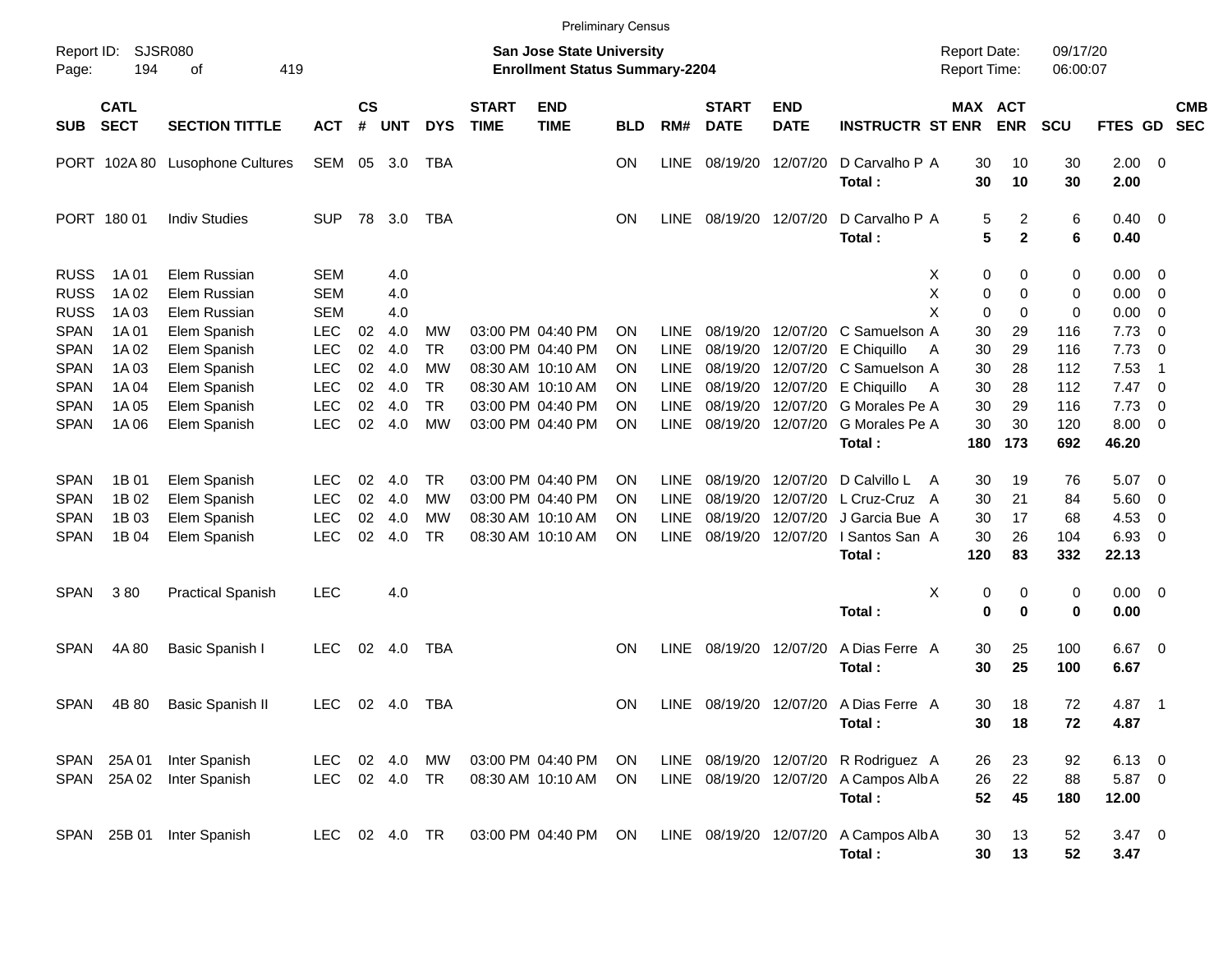|                                           |                            |                                              |                                        |                       |                       |                              |                             | <b>Preliminary Census</b>                                                 |                |                            |                                  |                                  |                                                                               |                                     |                   |                      |                             |                                                              |                          |
|-------------------------------------------|----------------------------|----------------------------------------------|----------------------------------------|-----------------------|-----------------------|------------------------------|-----------------------------|---------------------------------------------------------------------------|----------------|----------------------------|----------------------------------|----------------------------------|-------------------------------------------------------------------------------|-------------------------------------|-------------------|----------------------|-----------------------------|--------------------------------------------------------------|--------------------------|
| Report ID:<br>Page:                       | <b>SJSR080</b><br>194      | 419<br>οf                                    |                                        |                       |                       |                              |                             | <b>San Jose State University</b><br><b>Enrollment Status Summary-2204</b> |                |                            |                                  |                                  |                                                                               | <b>Report Date:</b><br>Report Time: |                   | 09/17/20<br>06:00:07 |                             |                                                              |                          |
| <b>SUB</b>                                | <b>CATL</b><br><b>SECT</b> | <b>SECTION TITTLE</b>                        | <b>ACT</b>                             | $\mathsf{cs}$<br>$\#$ | <b>UNT</b>            | <b>DYS</b>                   | <b>START</b><br><b>TIME</b> | <b>END</b><br><b>TIME</b>                                                 | <b>BLD</b>     | RM#                        | <b>START</b><br><b>DATE</b>      | <b>END</b><br><b>DATE</b>        | <b>INSTRUCTR ST ENR</b>                                                       | MAX ACT                             | <b>ENR</b>        | <b>SCU</b>           | FTES GD                     |                                                              | <b>CMB</b><br><b>SEC</b> |
|                                           |                            | PORT 102A 80 Lusophone Cultures              | SEM                                    | 05                    | 3.0                   | TBA                          |                             |                                                                           | ON             | <b>LINE</b>                | 08/19/20                         | 12/07/20                         | D Carvalho P A<br>Total:                                                      | 30<br>30                            | 10<br>10          | 30<br>30             | $2.00 \t 0$<br>2.00         |                                                              |                          |
|                                           | PORT 180 01                | <b>Indiv Studies</b>                         | <b>SUP</b>                             | 78                    | 3.0                   | TBA                          |                             |                                                                           | ΟN             | <b>LINE</b>                | 08/19/20 12/07/20                |                                  | D Carvalho P A<br>Total:                                                      | 5<br>5                              | 2<br>$\mathbf{2}$ | 6<br>6               | $0.40 \quad 0$<br>0.40      |                                                              |                          |
| <b>RUSS</b><br><b>RUSS</b>                | 1A 01<br>1A 02             | Elem Russian<br>Elem Russian                 | <b>SEM</b><br><b>SEM</b>               |                       | 4.0<br>4.0            |                              |                             |                                                                           |                |                            |                                  |                                  |                                                                               | х<br>0<br>Χ<br>0                    | 0<br>0            | 0<br>0               | 0.00<br>0.00                | - 0<br>- 0                                                   |                          |
| <b>RUSS</b><br><b>SPAN</b>                | 1A 03<br>1A 01             | Elem Russian<br>Elem Spanish                 | <b>SEM</b><br><b>LEC</b>               | 02                    | 4.0<br>4.0            | MW                           |                             | 03:00 PM 04:40 PM<br>03:00 PM 04:40 PM                                    | ΟN             | <b>LINE</b><br><b>LINE</b> | 08/19/20                         | 12/07/20                         | C Samuelson A                                                                 | X<br>0<br>30                        | 0<br>29           | 0<br>116             | 0.00<br>7.73<br>7.73        | - 0<br>- 0                                                   |                          |
| <b>SPAN</b><br><b>SPAN</b><br><b>SPAN</b> | 1A 02<br>1A 03<br>1A 04    | Elem Spanish<br>Elem Spanish<br>Elem Spanish | <b>LEC</b><br><b>LEC</b><br><b>LEC</b> | 02<br>02<br>02        | 4.0<br>4.0<br>4.0     | <b>TR</b><br>MW<br><b>TR</b> |                             | 08:30 AM 10:10 AM<br>08:30 AM 10:10 AM                                    | ON<br>ΟN<br>ON | <b>LINE</b><br><b>LINE</b> | 08/19/20<br>08/19/20<br>08/19/20 | 12/07/20<br>12/07/20<br>12/07/20 | E Chiquillo<br>C Samuelson A<br>E Chiquillo                                   | 30<br>A<br>30<br>30<br>A            | 29<br>28<br>28    | 116<br>112<br>112    | 7.53<br>7.47                | $\overline{0}$<br>$\overline{1}$<br>$\overline{\phantom{0}}$ |                          |
| <b>SPAN</b><br><b>SPAN</b>                | 1A 05<br>1A 06             | Elem Spanish<br>Elem Spanish                 | <b>LEC</b><br><b>LEC</b>               | 02<br>02              | 4.0<br>4.0            | <b>TR</b><br><b>MW</b>       |                             | 03:00 PM 04:40 PM<br>03:00 PM 04:40 PM                                    | ON<br>ΟN       | <b>LINE</b><br><b>LINE</b> | 08/19/20<br>08/19/20             | 12/07/20<br>12/07/20             | G Morales Pe A<br>G Morales Pe A<br>Total:                                    | 30<br>30<br>180                     | 29<br>30<br>173   | 116<br>120<br>692    | 7.73<br>8.00<br>46.20       | $\overline{0}$<br>- 0                                        |                          |
|                                           |                            |                                              |                                        |                       |                       |                              |                             |                                                                           |                |                            |                                  |                                  |                                                                               |                                     |                   |                      |                             |                                                              |                          |
| <b>SPAN</b><br><b>SPAN</b>                | 1B 01<br>1B 02             | Elem Spanish<br>Elem Spanish                 | <b>LEC</b><br><b>LEC</b>               | 02<br>02              | 4.0<br>4.0            | <b>TR</b><br>MW              |                             | 03:00 PM 04:40 PM<br>03:00 PM 04:40 PM                                    | ON<br>ON       | <b>LINE</b><br><b>LINE</b> | 08/19/20<br>08/19/20             | 12/07/20<br>12/07/20             | D Calvillo L<br>L Cruz-Cruz A                                                 | 30<br>A<br>30                       | 19<br>21          | 76<br>84             | 5.07<br>5.60                | $\overline{\phantom{0}}$<br>$\mathbf 0$                      |                          |
| <b>SPAN</b>                               | 1B 03                      | Elem Spanish                                 | <b>LEC</b>                             | 02                    | 4.0                   | <b>MW</b>                    |                             | 08:30 AM 10:10 AM                                                         | ON             | <b>LINE</b>                | 08/19/20                         | 12/07/20                         | J Garcia Bue A                                                                | 30                                  | 17                | 68                   | 4.53                        | 0                                                            |                          |
| <b>SPAN</b>                               | 1B 04                      | Elem Spanish                                 | <b>LEC</b>                             | 02                    | 4.0                   | <b>TR</b>                    |                             | 08:30 AM 10:10 AM                                                         | ΟN             | <b>LINE</b>                | 08/19/20                         | 12/07/20                         | I Santos San A<br>Total:                                                      | 30<br>120                           | 26<br>83          | 104<br>332           | 6.93<br>22.13               | - 0                                                          |                          |
| <b>SPAN</b>                               | 380                        | <b>Practical Spanish</b>                     | <b>LEC</b>                             |                       | 4.0                   |                              |                             |                                                                           |                |                            |                                  |                                  |                                                                               | X<br>0                              | 0                 | 0                    | $0.00 \t 0$                 |                                                              |                          |
|                                           |                            |                                              |                                        |                       |                       |                              |                             |                                                                           |                |                            |                                  |                                  | Total:                                                                        | 0                                   | 0                 | 0                    | 0.00                        |                                                              |                          |
| <b>SPAN</b>                               | 4A 80                      | Basic Spanish I                              | <b>LEC</b>                             | 02                    | 4.0                   | TBA                          |                             |                                                                           | ΟN             | <b>LINE</b>                | 08/19/20 12/07/20                |                                  | A Dias Ferre A<br>Total:                                                      | 30<br>30                            | 25<br>25          | 100<br>100           | 6.67<br>6.67                | $\overline{\phantom{0}}$                                     |                          |
| <b>SPAN</b>                               | 4B 80                      | <b>Basic Spanish II</b>                      | <b>LEC</b>                             |                       | 02 4.0                | TBA                          |                             |                                                                           | <b>ON</b>      | <b>LINE</b>                |                                  |                                  | 08/19/20 12/07/20 A Dias Ferre A<br>Total:                                    | 30<br>30                            | 18<br>18          | 72<br>72             | 4.87<br>4.87                | $\overline{\phantom{1}}$                                     |                          |
| <b>SPAN</b><br>SPAN                       | 25A 01<br>25A 02           | Inter Spanish<br>Inter Spanish               | <b>LEC</b><br><b>LEC</b>               |                       | 02 4.0<br>02  4.0  TR | MW                           |                             | 03:00 PM 04:40 PM<br>08:30 AM 10:10 AM                                    | ON<br>ON       |                            |                                  |                                  | LINE 08/19/20 12/07/20 R Rodriguez A<br>LINE 08/19/20 12/07/20 A Campos Alb A | 26<br>26                            | 23<br>22          | 92<br>88             | $6.13 \quad 0$<br>5.87 0    |                                                              |                          |
| SPAN                                      |                            | 25B 01 Inter Spanish                         | LEC.                                   |                       | 02  4.0  TR           |                              |                             | 03:00 PM 04:40 PM                                                         | ON             |                            |                                  |                                  | Total:<br>LINE 08/19/20 12/07/20 A Campos Alb A<br>Total:                     | 52<br>30<br>30                      | 45<br>13<br>13    | 180<br>52<br>52      | 12.00<br>$3.47 \ 0$<br>3.47 |                                                              |                          |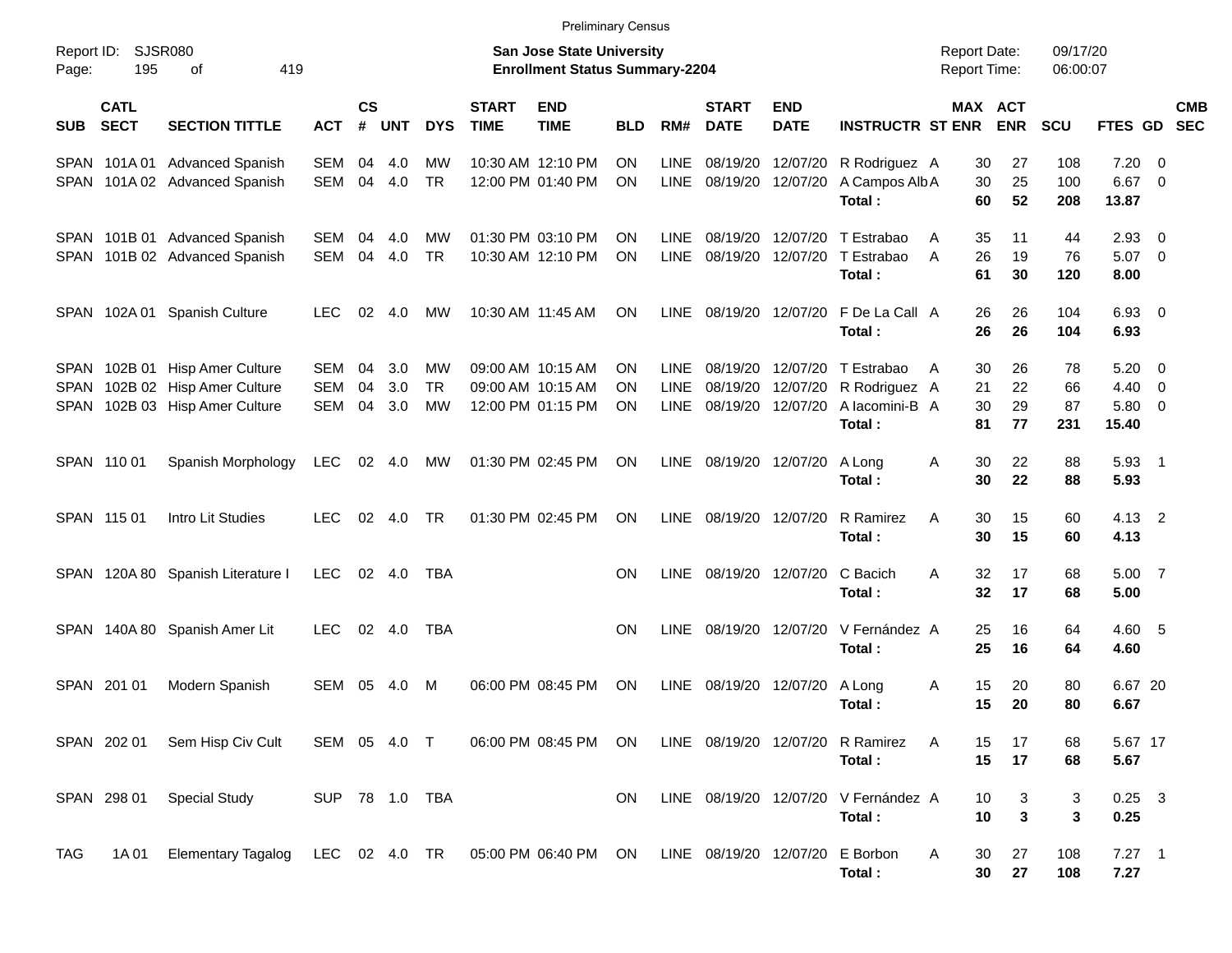|                     |                            |                                                                                               |                          |                    |                   |                              |                             | <b>Preliminary Census</b>                                                 |                        |                                           |                                  |                           |                                                                           |                                            |                              |                       |                                       |                          |            |
|---------------------|----------------------------|-----------------------------------------------------------------------------------------------|--------------------------|--------------------|-------------------|------------------------------|-----------------------------|---------------------------------------------------------------------------|------------------------|-------------------------------------------|----------------------------------|---------------------------|---------------------------------------------------------------------------|--------------------------------------------|------------------------------|-----------------------|---------------------------------------|--------------------------|------------|
| Report ID:<br>Page: | 195                        | SJSR080<br>419<br>οf                                                                          |                          |                    |                   |                              |                             | <b>San Jose State University</b><br><b>Enrollment Status Summary-2204</b> |                        |                                           |                                  |                           |                                                                           | <b>Report Date:</b><br><b>Report Time:</b> |                              | 09/17/20<br>06:00:07  |                                       |                          |            |
| <b>SUB</b>          | <b>CATL</b><br><b>SECT</b> | <b>SECTION TITTLE</b>                                                                         | <b>ACT</b>               | $\mathsf{cs}$<br># | <b>UNT</b>        | <b>DYS</b>                   | <b>START</b><br><b>TIME</b> | <b>END</b><br><b>TIME</b>                                                 | <b>BLD</b>             | RM#                                       | <b>START</b><br><b>DATE</b>      | <b>END</b><br><b>DATE</b> | <b>INSTRUCTR ST ENR</b>                                                   |                                            | <b>MAX ACT</b><br><b>ENR</b> | <b>SCU</b>            | FTES GD SEC                           |                          | <b>CMB</b> |
|                     |                            | SPAN 101A 01 Advanced Spanish<br>SPAN 101A 02 Advanced Spanish                                | SEM<br>SEM               | 04<br>04           | 4.0<br>4.0        | МW<br><b>TR</b>              |                             | 10:30 AM 12:10 PM<br>12:00 PM 01:40 PM                                    | <b>ON</b><br><b>ON</b> | <b>LINE</b><br><b>LINE</b>                | 08/19/20<br>08/19/20             | 12/07/20                  | 12/07/20 R Rodriguez A<br>A Campos Alb A<br>Total:                        | 30<br>30<br>60                             | 27<br>25<br>52               | 108<br>100<br>208     | 7.20<br>$6.67$ 0<br>13.87             | - 0                      |            |
|                     |                            | SPAN 101B 01 Advanced Spanish<br>SPAN 101B 02 Advanced Spanish                                | SEM<br>SEM               | 04<br>04           | 4.0<br>4.0        | МW<br><b>TR</b>              |                             | 01:30 PM 03:10 PM<br>10:30 AM 12:10 PM                                    | <b>ON</b><br><b>ON</b> | <b>LINE</b><br><b>LINE</b>                | 08/19/20<br>08/19/20             |                           | 12/07/20 T Estrabao<br>12/07/20 T Estrabao<br>Total:                      | 35<br>A<br>26<br>A<br>61                   | 11<br>19<br>30               | 44<br>76<br>120       | 2.93<br>$5.07$ 0<br>8.00              | $\overline{\phantom{0}}$ |            |
|                     |                            | SPAN 102A 01 Spanish Culture                                                                  | <b>LEC</b>               | 02                 | 4.0               | MW                           |                             | 10:30 AM 11:45 AM                                                         | <b>ON</b>              | <b>LINE</b>                               |                                  |                           | 08/19/20 12/07/20 F De La Call A<br>Total:                                | 26<br>26                                   | 26<br>26                     | 104<br>104            | $6.93$ 0<br>6.93                      |                          |            |
| SPAN                |                            | SPAN 102B 01 Hisp Amer Culture<br>102B 02 Hisp Amer Culture<br>SPAN 102B 03 Hisp Amer Culture | SEM<br><b>SEM</b><br>SEM | 04<br>04<br>04     | 3.0<br>3.0<br>3.0 | МW<br><b>TR</b><br><b>MW</b> |                             | 09:00 AM 10:15 AM<br>09:00 AM 10:15 AM<br>12:00 PM 01:15 PM               | ON<br>ON<br><b>ON</b>  | <b>LINE</b><br><b>LINE</b><br><b>LINE</b> | 08/19/20<br>08/19/20<br>08/19/20 | 12/07/20                  | 12/07/20 T Estrabao<br>12/07/20 R Rodriguez A<br>A lacomini-B A<br>Total: | 30<br>A<br>21<br>30<br>81                  | 26<br>22<br>29<br>77         | 78<br>66<br>87<br>231 | $5.20 \ 0$<br>4.40<br>5.80 0<br>15.40 | $\overline{\phantom{0}}$ |            |
|                     | SPAN 110 01                | Spanish Morphology                                                                            | <b>LEC</b>               | 02                 | 4.0               | MW                           |                             | 01:30 PM 02:45 PM                                                         | <b>ON</b>              | <b>LINE</b>                               |                                  | 08/19/20 12/07/20         | A Long<br>Total:                                                          | 30<br>A<br>30                              | 22<br>22                     | 88<br>88              | $5.93$ 1<br>5.93                      |                          |            |
|                     | SPAN 115 01                | Intro Lit Studies                                                                             | LEC.                     | 02                 | 4.0               | TR                           |                             | 01:30 PM 02:45 PM                                                         | <b>ON</b>              | <b>LINE</b>                               |                                  | 08/19/20 12/07/20         | <b>R</b> Ramirez<br>Total:                                                | 30<br>Α<br>30                              | 15<br>15                     | 60<br>60              | 4.13 2<br>4.13                        |                          |            |
|                     |                            | SPAN 120A 80 Spanish Literature I                                                             | <b>LEC</b>               |                    | 02 4.0            | TBA                          |                             |                                                                           | <b>ON</b>              | <b>LINE</b>                               |                                  | 08/19/20 12/07/20         | C Bacich<br>Total:                                                        | 32<br>A<br>32                              | 17<br>17                     | 68<br>68              | 5.00 7<br>5.00                        |                          |            |
|                     |                            | SPAN 140A 80 Spanish Amer Lit                                                                 | <b>LEC</b>               |                    | 02 4.0            | <b>TBA</b>                   |                             |                                                                           | <b>ON</b>              | <b>LINE</b>                               |                                  |                           | 08/19/20 12/07/20 V Fernández A<br>Total:                                 | 25<br>25                                   | 16<br>16                     | 64<br>64              | 4.60 5<br>4.60                        |                          |            |
|                     | SPAN 201 01                | Modern Spanish                                                                                | SEM                      | 05                 | 4.0               | M                            |                             | 06:00 PM 08:45 PM                                                         | <b>ON</b>              | <b>LINE</b>                               | 08/19/20                         | 12/07/20                  | A Long<br>Total:                                                          | 15<br>A<br>15                              | 20<br>20                     | 80<br>80              | 6.67 20<br>6.67                       |                          |            |
|                     |                            | SPAN 202 01 Sem Hisp Civ Cult                                                                 |                          |                    |                   |                              |                             | SEM 05 4.0 T 06:00 PM 08:45 PM ON                                         |                        |                                           |                                  |                           | LINE 08/19/20 12/07/20 R Ramirez<br>Total:                                | 15<br>A<br>15                              | 17<br>17                     | 68<br>68              | 5.67 17<br>5.67                       |                          |            |
|                     | SPAN 298 01                | <b>Special Study</b>                                                                          | SUP 78 1.0 TBA           |                    |                   |                              |                             |                                                                           | ON.                    |                                           |                                  |                           | LINE 08/19/20 12/07/20 V Fernández A<br>Total:                            | 10<br>10                                   | 3<br>3                       | 3<br>3                | $0.25$ 3<br>0.25                      |                          |            |
| TAG                 | 1A 01                      | Elementary Tagalog LEC 02 4.0 TR 05:00 PM 06:40 PM ON                                         |                          |                    |                   |                              |                             |                                                                           |                        |                                           |                                  |                           | LINE 08/19/20 12/07/20 E Borbon<br>Total:                                 | 30<br>A<br>30                              | 27<br>27                     | 108<br>108            | $7.27$ 1<br>7.27                      |                          |            |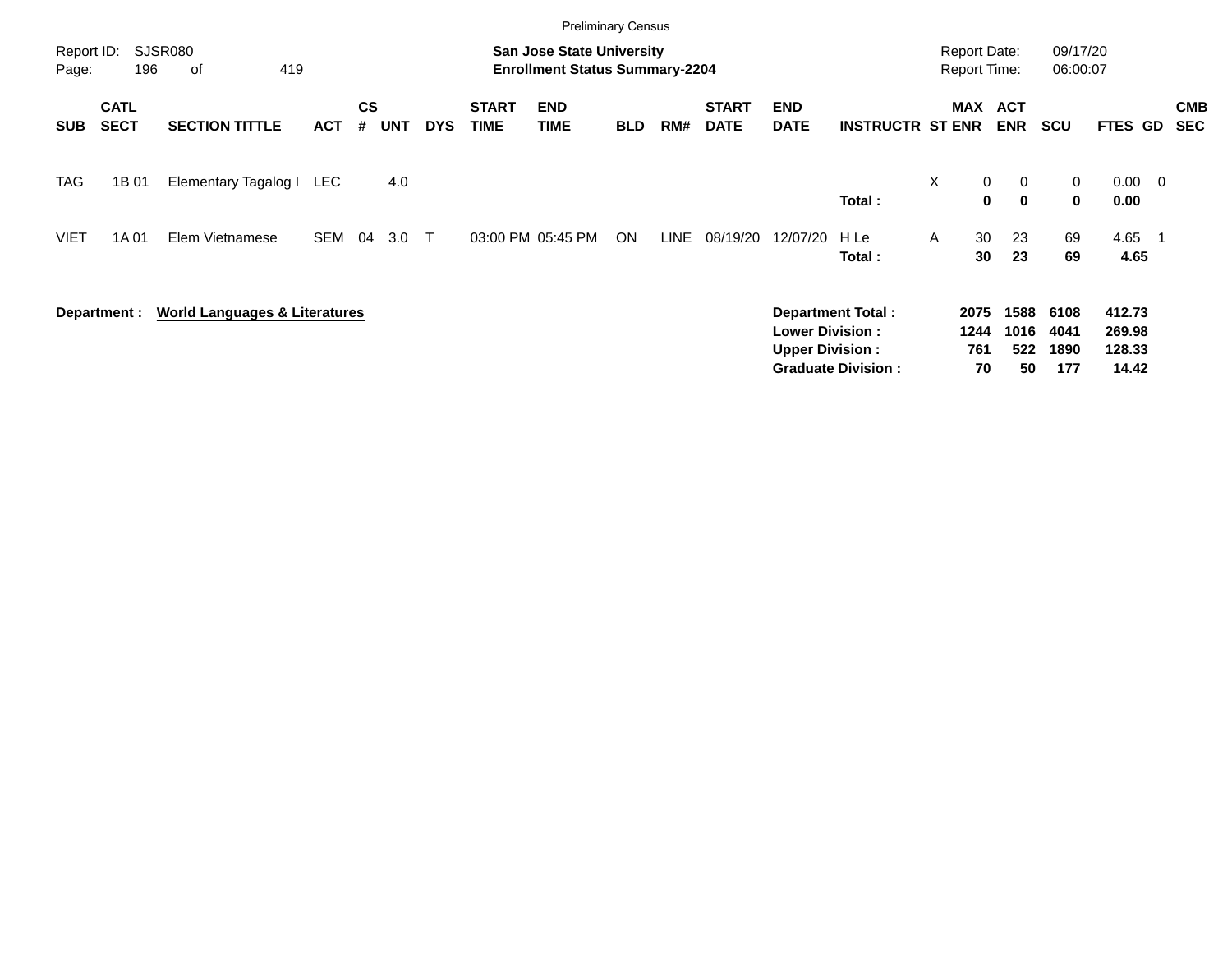|                     |                            |                                          |            |                |            |              |                             | <b>Preliminary Census</b>                                                 |            |      |                             |                                                  |                                                |   |                                            |                             |                             |                                     |                          |                          |
|---------------------|----------------------------|------------------------------------------|------------|----------------|------------|--------------|-----------------------------|---------------------------------------------------------------------------|------------|------|-----------------------------|--------------------------------------------------|------------------------------------------------|---|--------------------------------------------|-----------------------------|-----------------------------|-------------------------------------|--------------------------|--------------------------|
| Report ID:<br>Page: | 196                        | SJSR080<br>419<br>οf                     |            |                |            |              |                             | <b>San Jose State University</b><br><b>Enrollment Status Summary-2204</b> |            |      |                             |                                                  |                                                |   | <b>Report Date:</b><br><b>Report Time:</b> |                             | 09/17/20<br>06:00:07        |                                     |                          |                          |
| <b>SUB</b>          | <b>CATL</b><br><b>SECT</b> | <b>SECTION TITTLE</b>                    | <b>ACT</b> | <b>CS</b><br># | <b>UNT</b> | <b>DYS</b>   | <b>START</b><br><b>TIME</b> | <b>END</b><br><b>TIME</b>                                                 | <b>BLD</b> | RM#  | <b>START</b><br><b>DATE</b> | <b>END</b><br><b>DATE</b>                        | <b>INSTRUCTR ST ENR</b>                        |   | MAX                                        | <b>ACT</b><br><b>ENR</b>    | <b>SCU</b>                  | FTES GD                             |                          | <b>CMB</b><br><b>SEC</b> |
| TAG                 | 1B 01                      | Elementary Tagalog I                     | LEC        |                | 4.0        |              |                             |                                                                           |            |      |                             |                                                  | Total:                                         | X | 0<br>0                                     | $\mathbf{0}$<br>$\mathbf 0$ | 0<br>0                      | 0.00<br>0.00                        | $\overline{\phantom{0}}$ |                          |
| <b>VIET</b>         | 1A 01                      | Elem Vietnamese                          | <b>SEM</b> | 04             | 3.0        | $\mathsf{T}$ |                             | 03:00 PM 05:45 PM                                                         | ON         | LINE | 08/19/20                    | 12/07/20                                         | H Le<br>Total:                                 | A | 30<br>30                                   | 23<br>23                    | 69<br>69                    | 4.65<br>4.65                        |                          |                          |
|                     | Department :               | <b>World Languages &amp; Literatures</b> |            |                |            |              |                             |                                                                           |            |      |                             | <b>Lower Division:</b><br><b>Upper Division:</b> | Department Total:<br><b>Graduate Division:</b> |   | 2075<br>1244<br>761<br>70                  | 1588<br>1016<br>522<br>50   | 6108<br>4041<br>1890<br>177 | 412.73<br>269.98<br>128.33<br>14.42 |                          |                          |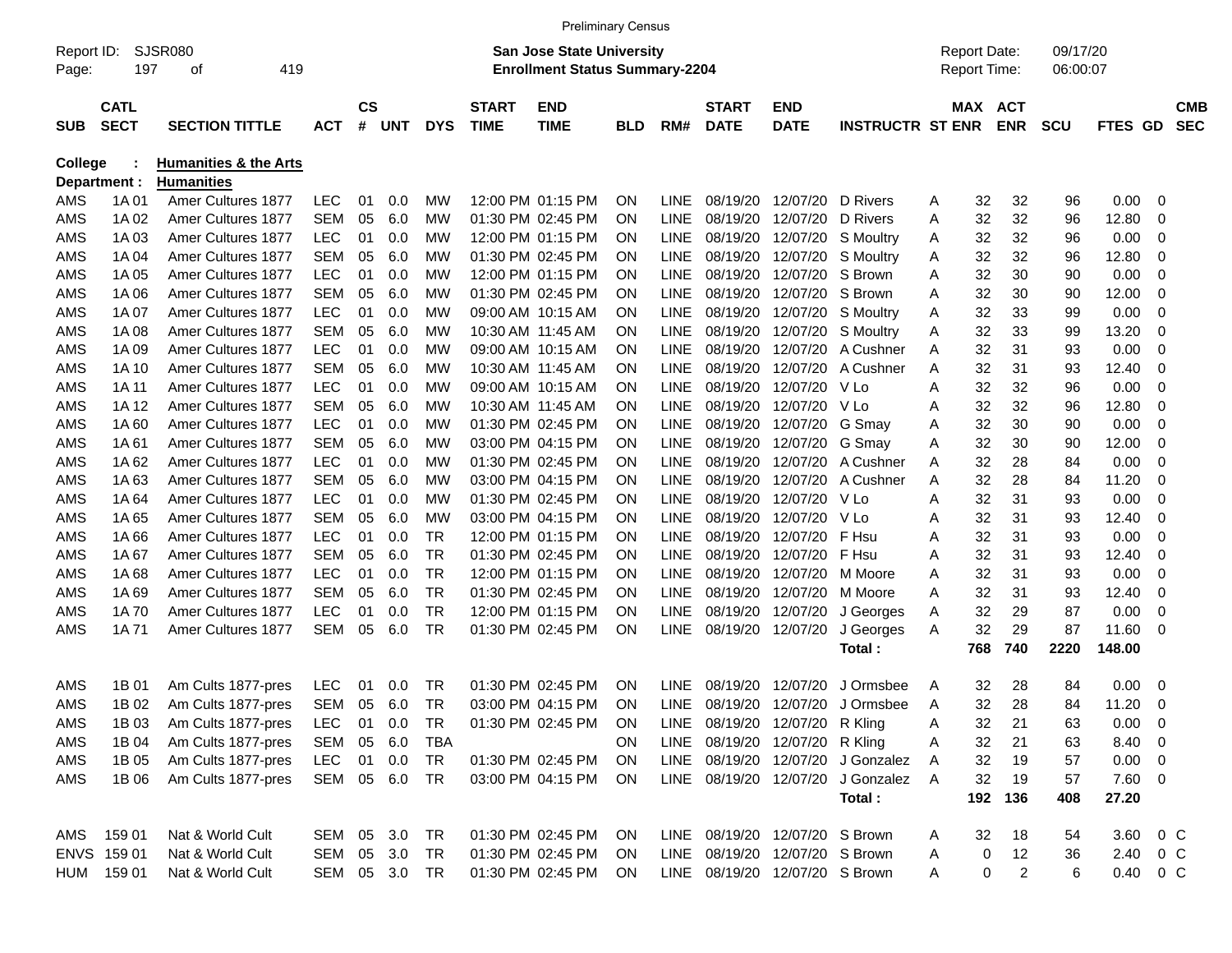|                     |                            |                                  |            |                    |               |            |                             | <b>Preliminary Census</b>                                                 |            |             |                             |                                |                                     |   |                                            |                |                      |                |             |                          |
|---------------------|----------------------------|----------------------------------|------------|--------------------|---------------|------------|-----------------------------|---------------------------------------------------------------------------|------------|-------------|-----------------------------|--------------------------------|-------------------------------------|---|--------------------------------------------|----------------|----------------------|----------------|-------------|--------------------------|
| Report ID:<br>Page: | 197                        | SJSR080<br>419<br>οf             |            |                    |               |            |                             | <b>San Jose State University</b><br><b>Enrollment Status Summary-2204</b> |            |             |                             |                                |                                     |   | <b>Report Date:</b><br><b>Report Time:</b> |                | 09/17/20<br>06:00:07 |                |             |                          |
| <b>SUB</b>          | <b>CATL</b><br><b>SECT</b> | <b>SECTION TITTLE</b>            | <b>ACT</b> | $\mathsf{cs}$<br># | <b>UNT</b>    | <b>DYS</b> | <b>START</b><br><b>TIME</b> | <b>END</b><br><b>TIME</b>                                                 | <b>BLD</b> | RM#         | <b>START</b><br><b>DATE</b> | <b>END</b><br><b>DATE</b>      | <b>INSTRUCTR ST ENR</b>             |   | MAX ACT                                    | <b>ENR</b>     | <b>SCU</b>           | <b>FTES GD</b> |             | <b>CMB</b><br><b>SEC</b> |
| <b>College</b>      |                            | <b>Humanities &amp; the Arts</b> |            |                    |               |            |                             |                                                                           |            |             |                             |                                |                                     |   |                                            |                |                      |                |             |                          |
|                     | Department :               | <b>Humanities</b>                |            |                    |               |            |                             |                                                                           |            |             |                             |                                |                                     |   |                                            |                |                      |                |             |                          |
| AMS                 | 1A 01                      | Amer Cultures 1877               | <b>LEC</b> | 01                 | 0.0           | МW         |                             | 12:00 PM 01:15 PM                                                         | <b>ON</b>  | <b>LINE</b> | 08/19/20                    | 12/07/20                       | D Rivers                            | Α | 32                                         | 32             | 96                   | 0.00           | - 0         |                          |
| AMS                 | 1A 02                      | <b>Amer Cultures 1877</b>        | <b>SEM</b> | 05                 | 6.0           | МW         |                             | 01:30 PM 02:45 PM                                                         | <b>ON</b>  | <b>LINE</b> | 08/19/20                    | 12/07/20                       | D Rivers                            | A | 32                                         | 32             | 96                   | 12.80          | $\mathbf 0$ |                          |
| AMS                 | 1A 03                      | Amer Cultures 1877               | <b>LEC</b> | 01                 | 0.0           | МW         |                             | 12:00 PM 01:15 PM                                                         | ON         | <b>LINE</b> | 08/19/20                    | 12/07/20                       | S Moultry                           | Α | 32                                         | 32             | 96                   | 0.00           | $\mathbf 0$ |                          |
| <b>AMS</b>          | 1A 04                      | <b>Amer Cultures 1877</b>        | <b>SEM</b> | 05                 | 6.0           | МW         |                             | 01:30 PM 02:45 PM                                                         | ON         | <b>LINE</b> | 08/19/20                    | 12/07/20                       | <b>S</b> Moultry                    | Α | 32                                         | 32             | 96                   | 12.80          | $\mathbf 0$ |                          |
| AMS                 | 1A 05                      | <b>Amer Cultures 1877</b>        | <b>LEC</b> | 01                 | 0.0           | МW         |                             | 12:00 PM 01:15 PM                                                         | <b>ON</b>  | <b>LINE</b> | 08/19/20                    | 12/07/20                       | S Brown                             | A | 32                                         | 30             | 90                   | 0.00           | $\mathbf 0$ |                          |
| <b>AMS</b>          | 1A 06                      | <b>Amer Cultures 1877</b>        | <b>SEM</b> | 05                 | 6.0           | МW         |                             | 01:30 PM 02:45 PM                                                         | <b>ON</b>  | <b>LINE</b> | 08/19/20                    | 12/07/20                       | S Brown                             | A | 32                                         | 30             | 90                   | 12.00          | $\mathbf 0$ |                          |
| <b>AMS</b>          | 1A 07                      | <b>Amer Cultures 1877</b>        | <b>LEC</b> | 01                 | 0.0           | МW         |                             | 09:00 AM 10:15 AM                                                         | ON         | <b>LINE</b> | 08/19/20                    | 12/07/20                       | S Moultry                           | Α | 32                                         | 33             | 99                   | 0.00           | $\mathbf 0$ |                          |
| <b>AMS</b>          | 1A 08                      | Amer Cultures 1877               | <b>SEM</b> | 05                 | 6.0           | МW         |                             | 10:30 AM 11:45 AM                                                         | ON         | <b>LINE</b> | 08/19/20                    | 12/07/20                       | S Moultry                           | A | 32                                         | 33             | 99                   | 13.20          | $\mathbf 0$ |                          |
| AMS                 | 1A 09                      | Amer Cultures 1877               | <b>LEC</b> | 01                 | 0.0           | МW         |                             | 09:00 AM 10:15 AM                                                         | <b>ON</b>  | <b>LINE</b> | 08/19/20                    | 12/07/20                       | A Cushner                           | A | 32                                         | 31             | 93                   | 0.00           | $\mathbf 0$ |                          |
| <b>AMS</b>          | 1A 10                      | Amer Cultures 1877               | <b>SEM</b> | 05                 | 6.0           | МW         |                             | 10:30 AM 11:45 AM                                                         | <b>ON</b>  | <b>LINE</b> | 08/19/20                    | 12/07/20                       | A Cushner                           | A | 32                                         | 31             | 93                   | 12.40          | $\mathbf 0$ |                          |
| <b>AMS</b>          | 1A 11                      | Amer Cultures 1877               | <b>LEC</b> | 01                 | 0.0           | МW         |                             | 09:00 AM 10:15 AM                                                         | <b>ON</b>  | <b>LINE</b> | 08/19/20                    | 12/07/20                       | V Lo                                | Α | 32                                         | 32             | 96                   | 0.00           | $\mathbf 0$ |                          |
| AMS                 | 1A 12                      | <b>Amer Cultures 1877</b>        | <b>SEM</b> | 05                 | 6.0           | МW         |                             | 10:30 AM 11:45 AM                                                         | <b>ON</b>  | <b>LINE</b> | 08/19/20                    | 12/07/20                       | V Lo                                | A | 32                                         | 32             | 96                   | 12.80          | $\mathbf 0$ |                          |
| <b>AMS</b>          | 1A60                       | Amer Cultures 1877               | <b>LEC</b> | 01                 | 0.0           | МW         |                             | 01:30 PM 02:45 PM                                                         | ON         | <b>LINE</b> | 08/19/20                    | 12/07/20                       | G Smay                              | A | 32                                         | 30             | 90                   | 0.00           | $\mathbf 0$ |                          |
| <b>AMS</b>          | 1A 61                      | Amer Cultures 1877               | <b>SEM</b> | 05                 | 6.0           | МW         |                             | 03:00 PM 04:15 PM                                                         | ON         | <b>LINE</b> | 08/19/20                    | 12/07/20                       | G Smay                              | A | 32                                         | 30             | 90                   | 12.00          | $\mathbf 0$ |                          |
| <b>AMS</b>          | 1A62                       | Amer Cultures 1877               | <b>LEC</b> | 01                 | 0.0           | МW         |                             | 01:30 PM 02:45 PM                                                         | <b>ON</b>  | <b>LINE</b> | 08/19/20                    | 12/07/20                       | A Cushner                           | A | 32                                         | 28             | 84                   | 0.00           | $\mathbf 0$ |                          |
| <b>AMS</b>          | 1A63                       | <b>Amer Cultures 1877</b>        | <b>SEM</b> | 05                 | 6.0           | МW         |                             | 03:00 PM 04:15 PM                                                         | ON         | <b>LINE</b> | 08/19/20                    | 12/07/20                       | A Cushner                           | A | 32                                         | 28             | 84                   | 11.20          | $\mathbf 0$ |                          |
| <b>AMS</b>          | 1A 64                      | <b>Amer Cultures 1877</b>        | <b>LEC</b> | 01                 | 0.0           | МW         |                             | 01:30 PM 02:45 PM                                                         | ON         | <b>LINE</b> | 08/19/20                    | 12/07/20                       | V Lo                                | A | 32                                         | 31             | 93                   | 0.00           | $\mathbf 0$ |                          |
| <b>AMS</b>          | 1A 65                      | <b>Amer Cultures 1877</b>        | <b>SEM</b> | 05                 | 6.0           | МW         |                             | 03:00 PM 04:15 PM                                                         | <b>ON</b>  | <b>LINE</b> | 08/19/20                    | 12/07/20                       | V Lo                                | Α | 32                                         | 31             | 93                   | 12.40          | $\mathbf 0$ |                          |
| <b>AMS</b>          | 1A66                       | <b>Amer Cultures 1877</b>        | <b>LEC</b> | 01                 | 0.0           | <b>TR</b>  |                             | 12:00 PM 01:15 PM                                                         | <b>ON</b>  | <b>LINE</b> | 08/19/20                    | 12/07/20                       | F Hsu                               | A | 32                                         | 31             | 93                   | 0.00           | $\mathbf 0$ |                          |
| <b>AMS</b>          | 1A 67                      | <b>Amer Cultures 1877</b>        | <b>SEM</b> | 05                 | 6.0           | <b>TR</b>  |                             | 01:30 PM 02:45 PM                                                         | ON         | <b>LINE</b> | 08/19/20                    | 12/07/20                       | F Hsu                               | Α | 32                                         | 31             | 93                   | 12.40          | $\mathbf 0$ |                          |
| <b>AMS</b>          | 1A68                       | <b>Amer Cultures 1877</b>        | <b>LEC</b> | 01                 | 0.0           | <b>TR</b>  |                             | 12:00 PM 01:15 PM                                                         | ON         | <b>LINE</b> | 08/19/20                    | 12/07/20                       | M Moore                             | A | 32                                         | 31             | 93                   | 0.00           | $\mathbf 0$ |                          |
| AMS                 | 1A 69                      | <b>Amer Cultures 1877</b>        | <b>SEM</b> | 05                 | 6.0           | <b>TR</b>  |                             | 01:30 PM 02:45 PM                                                         | <b>ON</b>  | <b>LINE</b> | 08/19/20                    | 12/07/20                       | M Moore                             | A | 32                                         | 31             | 93                   | 12.40          | $\mathbf 0$ |                          |
| <b>AMS</b>          | 1A 70                      | <b>Amer Cultures 1877</b>        | <b>LEC</b> | 01                 | 0.0           | <b>TR</b>  |                             | 12:00 PM 01:15 PM                                                         | ON         | <b>LINE</b> | 08/19/20                    | 12/07/20                       | J Georges                           | Α | 32                                         | 29             | 87                   | 0.00           | $\mathbf 0$ |                          |
| AMS                 | 1A 71                      | Amer Cultures 1877               | <b>SEM</b> | 05                 | 6.0           | <b>TR</b>  |                             | 01:30 PM 02:45 PM                                                         | ON         | <b>LINE</b> | 08/19/20                    | 12/07/20                       | J Georges                           | Α | 32                                         | 29             | 87                   | 11.60          | - 0         |                          |
|                     |                            |                                  |            |                    |               |            |                             |                                                                           |            |             |                             |                                | Total:                              |   | 768                                        | 740            | 2220                 | 148.00         |             |                          |
| AMS                 | 1B 01                      | Am Cults 1877-pres               | <b>LEC</b> | 01                 | 0.0           | TR         |                             | 01:30 PM 02:45 PM                                                         | <b>ON</b>  | LINE        | 08/19/20                    | 12/07/20                       | J Ormsbee                           | A | 32                                         | 28             | 84                   | 0.00           | - 0         |                          |
| AMS                 | 1B 02                      | Am Cults 1877-pres               | <b>SEM</b> | 05                 | 6.0           | <b>TR</b>  |                             | 03:00 PM 04:15 PM                                                         | <b>ON</b>  | <b>LINE</b> | 08/19/20                    | 12/07/20                       | J Ormsbee                           | A | 32                                         | 28             | 84                   | 11.20          | 0           |                          |
| AMS                 | 1B 03                      | Am Cults 1877-pres               | LEC.       |                    | 01 0.0        | TR         |                             | 01:30 PM 02:45 PM                                                         | ON         |             |                             | LINE 08/19/20 12/07/20 R Kling |                                     | A | 32                                         | 21             | 63                   | $0.00 \t 0$    |             |                          |
| AMS                 | 1B 04                      | Am Cults 1877-pres               | SEM 05 6.0 |                    |               | <b>TBA</b> |                             |                                                                           | <b>ON</b>  |             |                             | LINE 08/19/20 12/07/20 R Kling |                                     | Α | 32                                         | 21             | 63                   | 8.40 0         |             |                          |
| AMS                 | 1B 05                      | Am Cults 1877-pres               | <b>LEC</b> |                    | 01 0.0        | TR         |                             | 01:30 PM 02:45 PM ON                                                      |            |             |                             |                                | LINE 08/19/20 12/07/20 J Gonzalez   | A | 32                                         | 19             | 57                   | $0.00 \t 0$    |             |                          |
| AMS                 | 1B 06                      | Am Cults 1877-pres               | SEM 05 6.0 |                    |               | TR         |                             | 03:00 PM 04:15 PM                                                         | - ON       |             |                             |                                | LINE 08/19/20 12/07/20 J Gonzalez A |   | 32                                         | 19             | 57                   | 7.60 0         |             |                          |
|                     |                            |                                  |            |                    |               |            |                             |                                                                           |            |             |                             |                                | Total:                              |   |                                            | 192 136        | 408                  | 27.20          |             |                          |
|                     |                            |                                  |            |                    |               |            |                             |                                                                           |            |             |                             |                                |                                     |   |                                            |                |                      |                |             |                          |
| AMS                 | 159 01                     | Nat & World Cult                 | SEM 05 3.0 |                    |               | TR         |                             | 01:30 PM 02:45 PM                                                         | -ON        |             |                             | LINE 08/19/20 12/07/20 S Brown |                                     | A | 32                                         | 18             | 54                   | 3.60           | $0\,$ C     |                          |
|                     | ENVS 159 01                | Nat & World Cult                 | SEM 05 3.0 |                    |               | TR         |                             | 01:30 PM 02:45 PM                                                         | - ON       |             |                             | LINE 08/19/20 12/07/20 S Brown |                                     | A | 0                                          | 12             | 36                   | 2.40 0 C       |             |                          |
|                     | HUM 159 01                 | Nat & World Cult                 |            |                    | SEM 05 3.0 TR |            |                             | 01:30 PM 02:45 PM                                                         | ON         |             |                             | LINE 08/19/20 12/07/20 S Brown |                                     | A | 0                                          | $\overline{2}$ | 6                    | 0.40 0 C       |             |                          |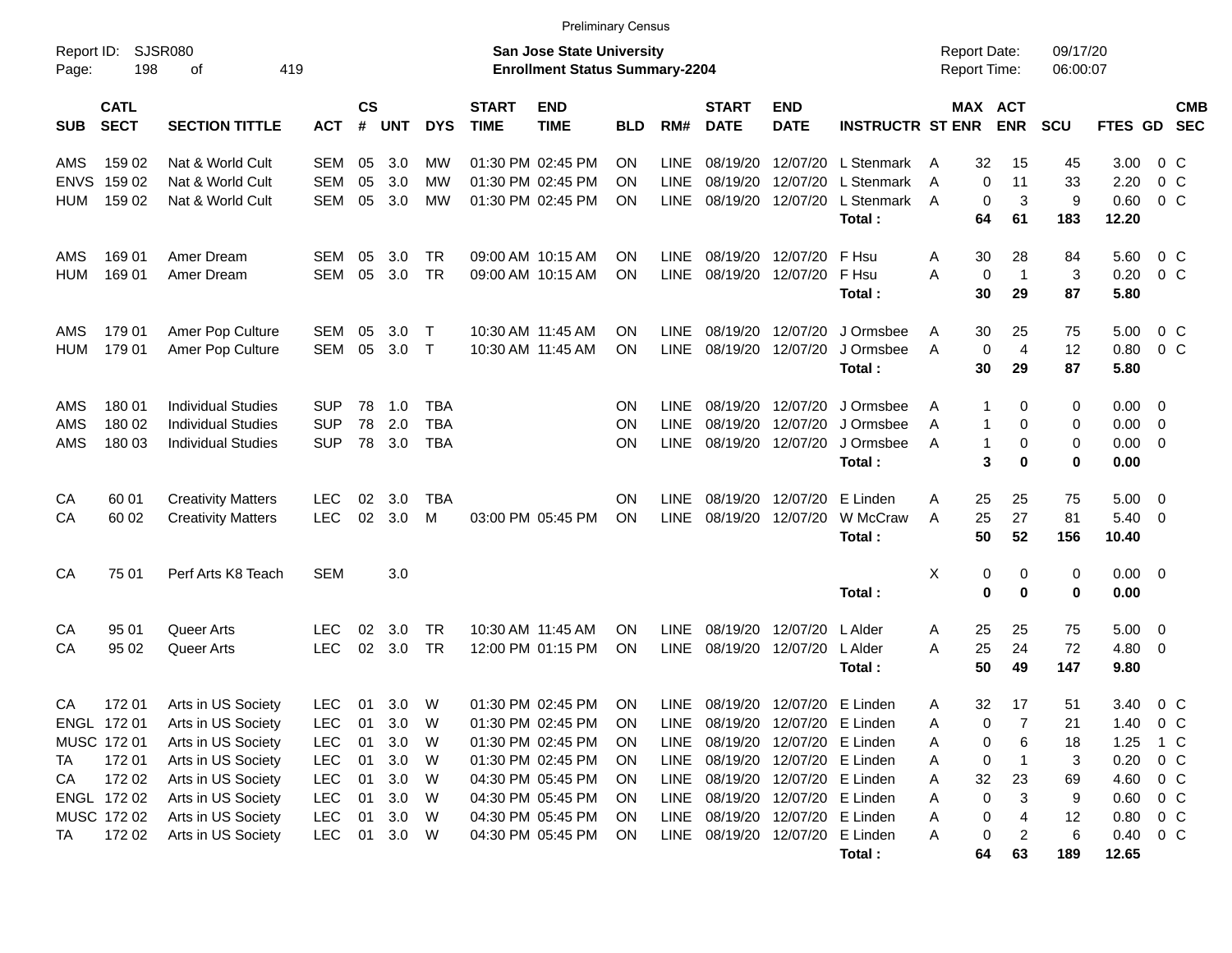| Report ID:<br>Page: | SJSR080<br>198             | 419<br>οf                 |            |                    |            |            |                             | <b>San Jose State University</b><br><b>Enrollment Status Summary-2204</b> |            |             |                                 |                            |                         | <b>Report Date:</b><br>Report Time: |                       | 09/17/20<br>06:00:07 |             |                          |                          |
|---------------------|----------------------------|---------------------------|------------|--------------------|------------|------------|-----------------------------|---------------------------------------------------------------------------|------------|-------------|---------------------------------|----------------------------|-------------------------|-------------------------------------|-----------------------|----------------------|-------------|--------------------------|--------------------------|
| <b>SUB</b>          | <b>CATL</b><br><b>SECT</b> | <b>SECTION TITTLE</b>     | <b>ACT</b> | $\mathsf{cs}$<br># | <b>UNT</b> | <b>DYS</b> | <b>START</b><br><b>TIME</b> | <b>END</b><br><b>TIME</b>                                                 | <b>BLD</b> | RM#         | <b>START</b><br><b>DATE</b>     | <b>END</b><br><b>DATE</b>  | <b>INSTRUCTR ST ENR</b> |                                     | MAX ACT<br><b>ENR</b> | SCU                  | FTES GD     |                          | <b>CMB</b><br><b>SEC</b> |
| AMS                 | 159 02                     | Nat & World Cult          | <b>SEM</b> | 05                 | 3.0        | МW         |                             | 01:30 PM 02:45 PM                                                         | ΟN         | <b>LINE</b> | 08/19/20                        | 12/07/20                   | L Stenmark              | 32<br>A                             | 15                    | 45                   | 3.00        | 0 C                      |                          |
| <b>ENVS</b>         | 159 02                     | Nat & World Cult          | <b>SEM</b> | 05                 | 3.0        | <b>MW</b>  |                             | 01:30 PM 02:45 PM                                                         | ΟN         | <b>LINE</b> | 08/19/20                        | 12/07/20                   | L Stenmark              | A                                   | 0<br>11               | 33                   | 2.20        | 0 <sup>o</sup>           |                          |
| <b>HUM</b>          | 159 02                     | Nat & World Cult          | <b>SEM</b> | 05                 | 3.0        | <b>MW</b>  |                             | 01:30 PM 02:45 PM                                                         | ΟN         | <b>LINE</b> | 08/19/20                        | 12/07/20                   | L Stenmark              | A                                   | 0<br>3                | 9                    | 0.60        | 0 <sup>o</sup>           |                          |
|                     |                            |                           |            |                    |            |            |                             |                                                                           |            |             |                                 |                            | Total:                  | 64                                  | 61                    | 183                  | 12.20       |                          |                          |
| AMS                 | 169 01                     | Amer Dream                | SEM        | 05                 | 3.0        | TR         |                             | 09:00 AM 10:15 AM                                                         | ON         | <b>LINE</b> | 08/19/20                        | 12/07/20                   | F Hsu                   | Α<br>30                             | 28                    | 84                   | 5.60        | $0\,$ C                  |                          |
| HUM                 | 169 01                     | Amer Dream                | <b>SEM</b> | 05                 | 3.0        | <b>TR</b>  |                             | 09:00 AM 10:15 AM                                                         | ΟN         | <b>LINE</b> | 08/19/20                        | 12/07/20                   | F Hsu                   | Α                                   | 0<br>$\mathbf{1}$     | 3                    | 0.20        | $0\,$ C                  |                          |
|                     |                            |                           |            |                    |            |            |                             |                                                                           |            |             |                                 |                            | Total:                  | 30                                  | 29                    | 87                   | 5.80        |                          |                          |
| AMS                 | 179 01                     | Amer Pop Culture          | SEM        | 05                 | 3.0        | $\top$     |                             | 10:30 AM 11:45 AM                                                         | ΟN         | <b>LINE</b> | 08/19/20                        | 12/07/20                   | J Ormsbee               | A<br>30                             | 25                    | 75                   | 5.00        | 0 C                      |                          |
| HUM                 | 179 01                     | Amer Pop Culture          | <b>SEM</b> | 05                 | 3.0        | $\top$     | 10:30 AM 11:45 AM           |                                                                           | ΟN         | <b>LINE</b> | 08/19/20                        | 12/07/20                   | J Ormsbee               | A                                   | 0<br>$\overline{4}$   | 12                   | 0.80        | 0 <sup>o</sup>           |                          |
|                     |                            |                           |            |                    |            |            |                             |                                                                           |            |             |                                 |                            | Total:                  | 30                                  | 29                    | 87                   | 5.80        |                          |                          |
| AMS                 | 180 01                     | Individual Studies        | <b>SUP</b> | 78                 | 1.0        | <b>TBA</b> |                             |                                                                           | ΟN         | <b>LINE</b> | 08/19/20                        | 12/07/20                   | J Ormsbee               | A                                   | 1<br>$\Omega$         | 0                    | 0.00        | $\overline{\mathbf{0}}$  |                          |
| AMS                 | 180 02                     | <b>Individual Studies</b> | <b>SUP</b> | 78                 | 2.0        | <b>TBA</b> |                             |                                                                           | ΟN         | <b>LINE</b> | 08/19/20                        | 12/07/20                   | J Ormsbee               | A                                   | 1<br>0                | 0                    | 0.00        | $\overline{0}$           |                          |
| <b>AMS</b>          | 180 03                     | <b>Individual Studies</b> | <b>SUP</b> | 78                 | 3.0        | <b>TBA</b> |                             |                                                                           | ON         | <b>LINE</b> | 08/19/20                        | 12/07/20                   | J Ormsbee               | A                                   | $\mathbf{1}$<br>0     | 0                    | 0.00        | $\overline{\phantom{0}}$ |                          |
|                     |                            |                           |            |                    |            |            |                             |                                                                           |            |             |                                 |                            | Total:                  |                                     | 3<br>$\bf{0}$         | 0                    | 0.00        |                          |                          |
| CA                  | 60 01                      | <b>Creativity Matters</b> | <b>LEC</b> | 02                 | 3.0        | <b>TBA</b> |                             |                                                                           | OΝ         | <b>LINE</b> | 08/19/20                        | 12/07/20                   | E Linden                | 25<br>A                             | 25                    | 75                   | 5.00        | $\overline{\mathbf{0}}$  |                          |
| CА                  | 60 02                      | <b>Creativity Matters</b> | <b>LEC</b> | 02                 | 3.0        | м          |                             | 03:00 PM 05:45 PM                                                         | ON         | <b>LINE</b> | 08/19/20                        | 12/07/20                   | W McCraw                | 25<br>A                             | 27                    | 81                   | 5.40        | - 0                      |                          |
|                     |                            |                           |            |                    |            |            |                             |                                                                           |            |             |                                 |                            | Total:                  | 50                                  | 52                    | 156                  | 10.40       |                          |                          |
| CA                  | 75 01                      | Perf Arts K8 Teach        | <b>SEM</b> |                    | 3.0        |            |                             |                                                                           |            |             |                                 |                            |                         | X                                   | 0<br>0                | 0                    | $0.00 \t 0$ |                          |                          |
|                     |                            |                           |            |                    |            |            |                             |                                                                           |            |             |                                 |                            | Total:                  |                                     | $\mathbf 0$<br>0      | $\mathbf 0$          | 0.00        |                          |                          |
| CA                  | 95 01                      | Queer Arts                | <b>LEC</b> | 02                 | 3.0        | <b>TR</b>  |                             | 10:30 AM 11:45 AM                                                         | ON         | <b>LINE</b> | 08/19/20                        | 12/07/20                   | L Alder                 | 25<br>Α                             | 25                    | 75                   | 5.00        | $\overline{\mathbf{0}}$  |                          |
| CА                  | 95 02                      | Queer Arts                | <b>LEC</b> | 02                 | 3.0        | <b>TR</b>  |                             | 12:00 PM 01:15 PM                                                         | ΟN         | <b>LINE</b> | 08/19/20                        | 12/07/20                   | L Alder                 | 25<br>Α                             | 24                    | 72                   | 4.80        | $\overline{\mathbf{0}}$  |                          |
|                     |                            |                           |            |                    |            |            |                             |                                                                           |            |             |                                 |                            | Total:                  | 50                                  | 49                    | 147                  | 9.80        |                          |                          |
| CA                  | 172 01                     | Arts in US Society        | <b>LEC</b> | 01                 | 3.0        | W          |                             | 01:30 PM 02:45 PM                                                         | ΟN         | <b>LINE</b> | 08/19/20                        | 12/07/20                   | E Linden                | 32<br>Α                             | 17                    | 51                   | 3.40        | $0\,$ C                  |                          |
|                     | ENGL 172 01                | Arts in US Society        | <b>LEC</b> | 01                 | 3.0        | W          |                             | 01:30 PM 02:45 PM                                                         | ON         | <b>LINE</b> | 08/19/20                        | 12/07/20                   | E Linden                | Α                                   | $\overline{7}$<br>0   | 21                   | 1.40        | 0 <sup>o</sup>           |                          |
|                     | MUSC 172 01                | Arts in US Society        | <b>LEC</b> | 01                 | 3.0        | W          |                             | 01:30 PM 02:45 PM                                                         | ON         | LINE        | 08/19/20 12/07/20 E Linden      |                            |                         | Α                                   | 6<br>0                | 18                   | 1.25        | 1 C                      |                          |
| TA                  | 172 01                     | Arts in US Society        | <b>LEC</b> | 01                 | $3.0\,$    | W          |                             | 01:30 PM 02:45 PM                                                         | ON         | LINE        |                                 | 08/19/20 12/07/20 E Linden |                         | Α                                   | 0                     | 3                    | 0.20        | $0\,C$                   |                          |
| CA                  | 172 02                     | Arts in US Society        | <b>LEC</b> | 01                 | 3.0        | W          |                             | 04:30 PM 05:45 PM                                                         | <b>ON</b>  |             | LINE 08/19/20 12/07/20 E Linden |                            |                         | 32<br>A                             | 23                    | 69                   | 4.60        | $0\,C$                   |                          |
|                     | ENGL 172 02                | Arts in US Society        | <b>LEC</b> | 01                 | 3.0        | W          |                             | 04:30 PM 05:45 PM                                                         | <b>ON</b>  |             | LINE 08/19/20 12/07/20 E Linden |                            |                         | Α                                   | 0<br>3                | 9                    | 0.60        | $0\,C$                   |                          |
|                     | MUSC 172 02                | Arts in US Society        | <b>LEC</b> | 01                 | 3.0        | W          |                             | 04:30 PM 05:45 PM                                                         | ON         |             | LINE 08/19/20 12/07/20 E Linden |                            |                         | Α                                   | 0<br>4                | 12                   | 0.80        | $0\,C$                   |                          |
| TA                  | 172 02                     | Arts in US Society        | <b>LEC</b> | 01                 | 3.0 W      |            |                             | 04:30 PM 05:45 PM                                                         | ON         |             | LINE 08/19/20 12/07/20 E Linden |                            |                         | A                                   | 0<br>$\overline{c}$   | 6                    | 0.40        | $0\,$ C                  |                          |
|                     |                            |                           |            |                    |            |            |                             |                                                                           |            |             |                                 |                            | Total:                  | 64                                  | 63                    | 189                  | 12.65       |                          |                          |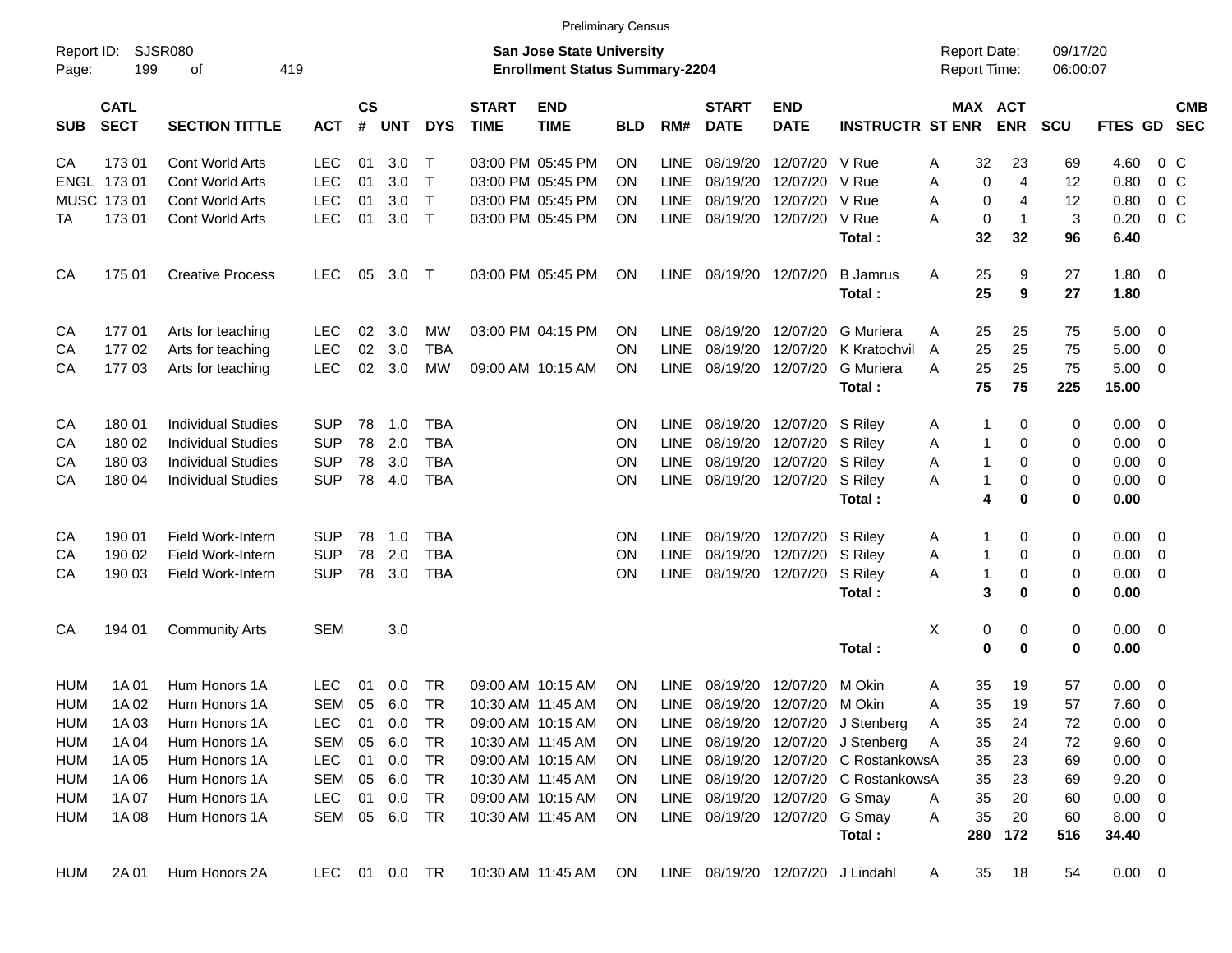|                     |                            |                           |               |                    |            |              |                             | <b>Preliminary Census</b>                                          |            |             |                             |                                  |                                      |              |              |                                            |                      |             |                          |            |
|---------------------|----------------------------|---------------------------|---------------|--------------------|------------|--------------|-----------------------------|--------------------------------------------------------------------|------------|-------------|-----------------------------|----------------------------------|--------------------------------------|--------------|--------------|--------------------------------------------|----------------------|-------------|--------------------------|------------|
| Report ID:<br>Page: | 199                        | SJSR080<br>419<br>οf      |               |                    |            |              |                             | San Jose State University<br><b>Enrollment Status Summary-2204</b> |            |             |                             |                                  |                                      |              |              | <b>Report Date:</b><br><b>Report Time:</b> | 09/17/20<br>06:00:07 |             |                          |            |
| <b>SUB</b>          | <b>CATL</b><br><b>SECT</b> | <b>SECTION TITTLE</b>     | <b>ACT</b>    | $\mathsf{cs}$<br># | <b>UNT</b> | <b>DYS</b>   | <b>START</b><br><b>TIME</b> | <b>END</b><br><b>TIME</b>                                          | <b>BLD</b> | RM#         | <b>START</b><br><b>DATE</b> | <b>END</b><br><b>DATE</b>        | <b>INSTRUCTR ST ENR</b>              |              |              | MAX ACT<br><b>ENR</b>                      | <b>SCU</b>           | FTES GD SEC |                          | <b>CMB</b> |
| CА                  | 17301                      | <b>Cont World Arts</b>    | LEC.          | 01                 | 3.0        | T            |                             | 03:00 PM 05:45 PM                                                  | ΟN         | <b>LINE</b> | 08/19/20                    | 12/07/20                         | V Rue                                | A            | 32           | 23                                         | 69                   | 4.60        | $0\,$ C                  |            |
|                     | ENGL 173 01                | <b>Cont World Arts</b>    | <b>LEC</b>    | 01                 | 3.0        | $\mathsf{T}$ |                             | 03:00 PM 05:45 PM                                                  | OΝ         | LINE        | 08/19/20                    | 12/07/20                         | V Rue                                | A            | 0            | 4                                          | 12                   | 0.80        | 0 <sup>C</sup>           |            |
|                     | MUSC 173 01                | Cont World Arts           | <b>LEC</b>    | 01                 | 3.0        | $\top$       |                             | 03:00 PM 05:45 PM                                                  | OΝ         | <b>LINE</b> | 08/19/20                    | 12/07/20                         | V Rue                                | A            | 0            | 4                                          | 12                   | 0.80        | 0 <sup>C</sup>           |            |
| ТA                  | 173 01                     | <b>Cont World Arts</b>    | <b>LEC</b>    | 01                 | 3.0        | $\top$       |                             | 03:00 PM 05:45 PM                                                  | ΟN         | LINE        |                             | 08/19/20 12/07/20                | V Rue                                | A            | 0            | $\mathbf 1$                                | 3                    | 0.20        | 0 <sup>C</sup>           |            |
|                     |                            |                           |               |                    |            |              |                             |                                                                    |            |             |                             |                                  | Total:                               |              | 32           | 32                                         | 96                   | 6.40        |                          |            |
| CA                  | 175 01                     | <b>Creative Process</b>   | <b>LEC</b>    | 05                 | 3.0        | $\top$       |                             | 03:00 PM 05:45 PM                                                  | ON         | LINE        | 08/19/20 12/07/20           |                                  | <b>B</b> Jamrus                      | Α            | 25           | 9                                          | 27                   | 1.80 0      |                          |            |
|                     |                            |                           |               |                    |            |              |                             |                                                                    |            |             |                             |                                  | Total:                               |              | 25           | 9                                          | 27                   | 1.80        |                          |            |
| CA                  | 17701                      | Arts for teaching         | <b>LEC</b>    | 02                 | 3.0        | MW           |                             | 03:00 PM 04:15 PM                                                  | ΟN         | <b>LINE</b> | 08/19/20                    | 12/07/20                         | <b>G</b> Muriera                     | A            | 25           | 25                                         | 75                   | 5.00        | $\overline{\mathbf{0}}$  |            |
| CA                  | 17702                      | Arts for teaching         | <b>LEC</b>    | 02                 | 3.0        | <b>TBA</b>   |                             |                                                                    | OΝ         | LINE        | 08/19/20                    | 12/07/20                         | K Kratochvil                         | A            | 25           | 25                                         | 75                   | 5.00        | - 0                      |            |
| CA                  | 17703                      | Arts for teaching         | <b>LEC</b>    | 02                 | 3.0        | MW           |                             | 09:00 AM 10:15 AM                                                  | ΟN         | <b>LINE</b> |                             | 08/19/20 12/07/20                | G Muriera                            | A            | 25           | 25                                         | 75                   | 5.00        | - 0                      |            |
|                     |                            |                           |               |                    |            |              |                             |                                                                    |            |             |                             |                                  | Total:                               |              | 75           | 75                                         | 225                  | 15.00       |                          |            |
| CA                  | 180 01                     | <b>Individual Studies</b> | SUP           | 78                 | 1.0        | <b>TBA</b>   |                             |                                                                    | ΟN         | <b>LINE</b> |                             | 08/19/20 12/07/20                | S Riley                              | A            | 1            | 0                                          | 0                    | 0.00        | - 0                      |            |
| CА                  | 180 02                     | <b>Individual Studies</b> | <b>SUP</b>    | 78                 | 2.0        | <b>TBA</b>   |                             |                                                                    | ΟN         | <b>LINE</b> | 08/19/20                    | 12/07/20                         | S Rilev                              | Α            | 1            | 0                                          | 0                    | 0.00        | 0                        |            |
| CА                  | 180 03                     | <b>Individual Studies</b> | <b>SUP</b>    | 78                 | 3.0        | <b>TBA</b>   |                             |                                                                    | ΟN         | <b>LINE</b> | 08/19/20                    | 12/07/20                         | S Rilev                              | Α            | $\mathbf{1}$ | 0                                          | 0                    | 0.00        | 0                        |            |
| CA                  | 180 04                     | <b>Individual Studies</b> | <b>SUP</b>    | 78                 | 4.0        | <b>TBA</b>   |                             |                                                                    | ΟN         | LINE        |                             | 08/19/20 12/07/20                | S Riley                              | A            | 1            | 0                                          | 0                    | 0.00        | - 0                      |            |
|                     |                            |                           |               |                    |            |              |                             |                                                                    |            |             |                             |                                  | Total:                               |              | 4            | 0                                          | 0                    | 0.00        |                          |            |
| CA                  | 190 01                     | Field Work-Intern         | <b>SUP</b>    | 78                 | 1.0        | <b>TBA</b>   |                             |                                                                    | ON         | <b>LINE</b> |                             | 08/19/20 12/07/20                | S Riley                              | A            | 1            | 0                                          | 0                    | 0.00        | $\overline{\phantom{0}}$ |            |
| CA                  | 190 02                     | Field Work-Intern         | <b>SUP</b>    | 78                 | 2.0        | <b>TBA</b>   |                             |                                                                    | ΟN         | LINE        | 08/19/20                    | 12/07/20                         | S Riley                              | Α            | 1            | 0                                          | 0                    | 0.00        | $\overline{\mathbf{0}}$  |            |
| CA                  | 190 03                     | Field Work-Intern         | <b>SUP</b>    | 78                 | 3.0        | <b>TBA</b>   |                             |                                                                    | ΟN         | <b>LINE</b> |                             | 08/19/20 12/07/20                | S Riley                              | Α            | $\mathbf{1}$ | 0                                          | 0                    | 0.00        | 0                        |            |
|                     |                            |                           |               |                    |            |              |                             |                                                                    |            |             |                             |                                  | Total:                               |              | 3            | 0                                          | 0                    | 0.00        |                          |            |
| CA                  | 194 01                     | <b>Community Arts</b>     | <b>SEM</b>    |                    | 3.0        |              |                             |                                                                    |            |             |                             |                                  |                                      | X            | 0            | 0                                          | 0                    | $0.00 \t 0$ |                          |            |
|                     |                            |                           |               |                    |            |              |                             |                                                                    |            |             |                             |                                  | Total:                               |              | 0            | 0                                          | 0                    | 0.00        |                          |            |
| <b>HUM</b>          | 1A 01                      | Hum Honors 1A             | LEC           | 01                 | 0.0        | TR           |                             | 09:00 AM 10:15 AM                                                  | OΝ         | <b>LINE</b> | 08/19/20                    | 12/07/20                         | M Okin                               | A            | 35           | 19                                         | 57                   | 0.00        | - 0                      |            |
| <b>HUM</b>          | 1A 02                      | Hum Honors 1A             | SEM           | 05                 | 6.0        | TR           |                             | 10:30 AM 11:45 AM                                                  | ON         | <b>LINE</b> |                             | 08/19/20 12/07/20                | M Okin                               | A            | 35           | 19                                         | 57                   | 7.60        | 0                        |            |
| <b>HUM</b>          | 1A 03                      | Hum Honors 1A             | <b>LEC</b>    | 01                 | 0.0        | TR           |                             | 09:00 AM 10:15 AM                                                  | <b>ON</b>  |             |                             |                                  | LINE 08/19/20 12/07/20 J Stenberg    | $\mathsf{A}$ | 35           | 24                                         | 72                   | 0.00        | $\overline{\mathbf{0}}$  |            |
| <b>HUM</b>          | 1A 04                      | Hum Honors 1A             | SEM           | 05                 | 6.0        | TR           |                             | 10:30 AM 11:45 AM                                                  | 0N         |             |                             |                                  | LINE 08/19/20 12/07/20 J Stenberg    | A            | 35           | 24                                         | 72                   | 9.60 0      |                          |            |
| HUM                 | 1A 05                      | Hum Honors 1A             | <b>LEC</b>    | 01                 | 0.0        | TR           |                             | 09:00 AM 10:15 AM                                                  | <b>ON</b>  |             |                             |                                  | LINE 08/19/20 12/07/20 C RostankowsA |              | 35           | 23                                         | 69                   | $0.00 \t 0$ |                          |            |
| HUM                 | 1A 06                      | Hum Honors 1A             | SEM           | 05                 | 6.0        | TR           |                             | 10:30 AM 11:45 AM                                                  | <b>ON</b>  |             |                             |                                  | LINE 08/19/20 12/07/20 C RostankowsA |              | 35           | 23                                         | 69                   | 9.20 0      |                          |            |
| HUM                 | 1A 07                      | Hum Honors 1A             | <b>LEC</b>    | 01                 | 0.0        | TR           |                             | 09:00 AM 10:15 AM                                                  | ON.        |             |                             | LINE 08/19/20 12/07/20 G Smay    |                                      | A            | 35           | 20                                         | 60                   | $0.00 \t 0$ |                          |            |
| HUM                 | 1A 08                      | Hum Honors 1A             | SEM 05 6.0 TR |                    |            |              |                             | 10:30 AM 11:45 AM                                                  | <b>ON</b>  |             |                             | LINE 08/19/20 12/07/20 G Smay    |                                      | A            | 35           | 20                                         | 60                   | $8.00 \t 0$ |                          |            |
|                     |                            |                           |               |                    |            |              |                             |                                                                    |            |             |                             |                                  | Total:                               |              | 280          | 172                                        | 516                  | 34.40       |                          |            |
| HUM                 | 2A 01                      | Hum Honors 2A             | LEC 01 0.0 TR |                    |            |              |                             | 10:30 AM 11:45 AM                                                  | ON         |             |                             | LINE 08/19/20 12/07/20 J Lindahl |                                      | A            | 35           | 18                                         | 54                   | $0.00 \t 0$ |                          |            |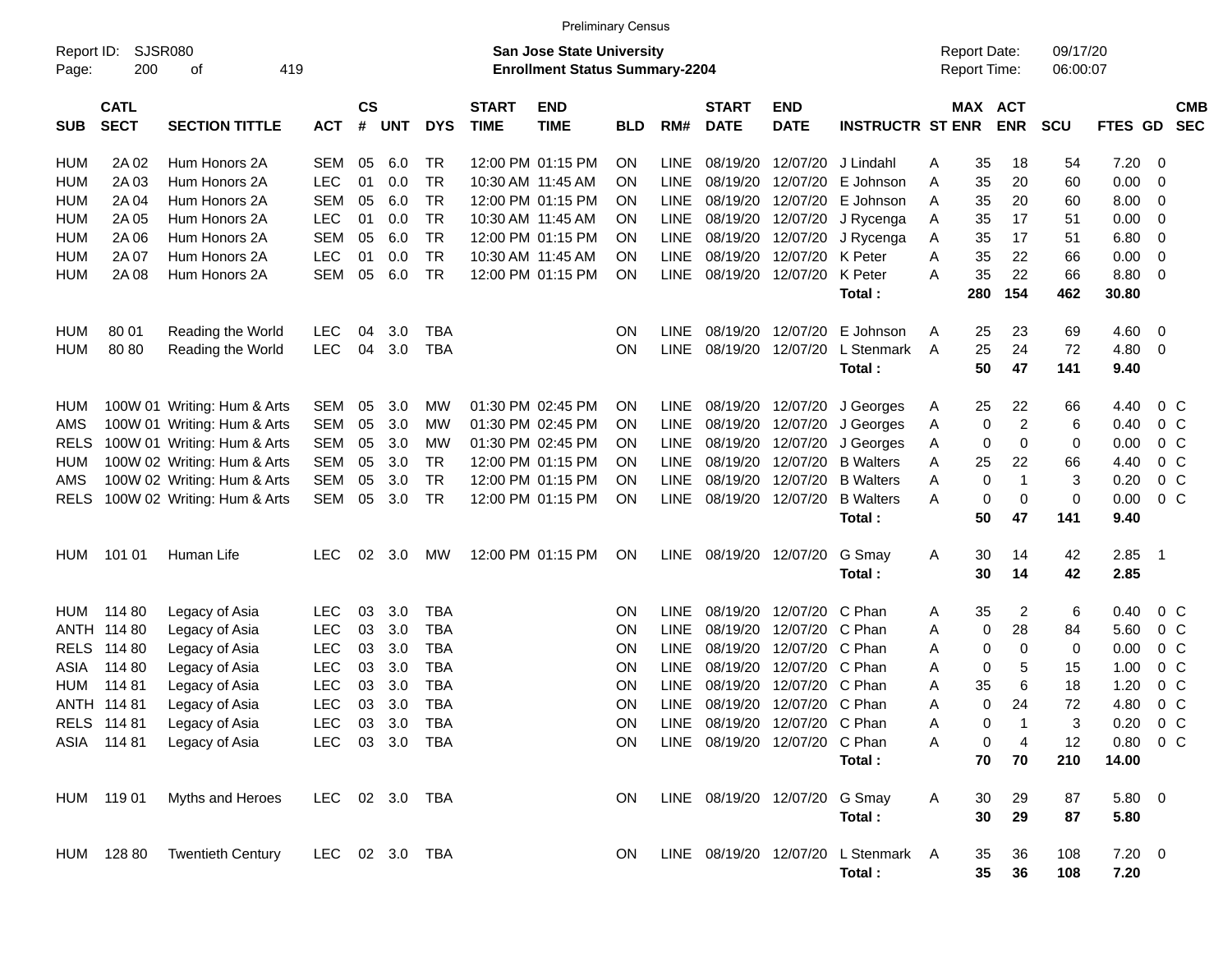| <b>Preliminary Census</b>                                                                                                       |                                                                                                                                                                                                                       |                                                                                                                                |                |                       |            |            |                             |                           |            |             |                             |                               |                                     |                                     |     |                       |                      |               |                          |  |
|---------------------------------------------------------------------------------------------------------------------------------|-----------------------------------------------------------------------------------------------------------------------------------------------------------------------------------------------------------------------|--------------------------------------------------------------------------------------------------------------------------------|----------------|-----------------------|------------|------------|-----------------------------|---------------------------|------------|-------------|-----------------------------|-------------------------------|-------------------------------------|-------------------------------------|-----|-----------------------|----------------------|---------------|--------------------------|--|
| SJSR080<br>Report ID:<br><b>San Jose State University</b><br>200<br><b>Enrollment Status Summary-2204</b><br>419<br>Page:<br>οf |                                                                                                                                                                                                                       |                                                                                                                                |                |                       |            |            |                             |                           |            |             |                             |                               |                                     | <b>Report Date:</b><br>Report Time: |     |                       | 09/17/20<br>06:00:07 |               |                          |  |
| <b>SUB</b>                                                                                                                      | <b>CATL</b><br><b>SECT</b>                                                                                                                                                                                            | <b>SECTION TITTLE</b>                                                                                                          | <b>ACT</b>     | $\mathsf{cs}$<br>$\#$ | <b>UNT</b> | <b>DYS</b> | <b>START</b><br><b>TIME</b> | <b>END</b><br><b>TIME</b> | <b>BLD</b> | RM#         | <b>START</b><br><b>DATE</b> | <b>END</b><br><b>DATE</b>     | <b>INSTRUCTR ST ENR</b>             |                                     |     | MAX ACT<br><b>ENR</b> | SCU                  | FTES GD       | <b>CMB</b><br><b>SEC</b> |  |
| HUM                                                                                                                             | 2A 02                                                                                                                                                                                                                 | Hum Honors 2A                                                                                                                  | SEM            | 05                    | 6.0        | TR         |                             | 12:00 PM 01:15 PM         | ON.        | <b>LINE</b> | 08/19/20                    | 12/07/20                      | J Lindahl                           | Α                                   | 35  | 18                    | 54                   | 7.20          | 0                        |  |
| <b>HUM</b>                                                                                                                      | <b>TR</b><br>2A03<br>Hum Honors 2A<br><b>LEC</b><br>01<br>0.0<br>10:30 AM 11:45 AM<br><b>LINE</b><br>08/19/20<br>12/07/20<br>E Johnson<br><b>ON</b><br>E Johnson                                                      |                                                                                                                                |                |                       |            |            |                             |                           |            |             |                             |                               |                                     | A                                   | 35  | 20                    | 60                   | 0.00          | 0                        |  |
| <b>HUM</b>                                                                                                                      | 2A 04                                                                                                                                                                                                                 | <b>SEM</b><br>6.0<br><b>TR</b><br>12:00 PM 01:15 PM<br><b>LINE</b><br>08/19/20<br>12/07/20<br>Hum Honors 2A<br>05<br><b>ON</b> |                |                       |            |            |                             |                           |            |             |                             |                               |                                     |                                     | 35  | 20                    | 60                   | 8.00          | 0                        |  |
| <b>HUM</b>                                                                                                                      | 2A 05                                                                                                                                                                                                                 | <b>TR</b><br><b>LEC</b><br>01<br>0.0<br><b>LINE</b><br>08/19/20<br>12/07/20<br>Hum Honors 2A<br>10:30 AM 11:45 AM<br><b>ON</b> |                |                       |            |            |                             |                           |            |             |                             |                               |                                     |                                     | 35  | 17                    | 51                   | 0.00          | 0                        |  |
| <b>HUM</b>                                                                                                                      | J Rycenga<br><b>TR</b><br><b>SEM</b><br>6.0<br>12:00 PM 01:15 PM<br><b>LINE</b><br>08/19/20<br>12/07/20<br>2A 06<br>Hum Honors 2A<br>05<br><b>ON</b>                                                                  |                                                                                                                                |                |                       |            |            |                             |                           |            |             |                             |                               | J Rycenga                           | A                                   | 35  | 17                    | 51                   | 6.80          | 0                        |  |
| <b>HUM</b>                                                                                                                      | <b>TR</b><br><b>LEC</b><br>01<br>0.0<br><b>LINE</b><br>08/19/20<br>12/07/20<br>2A 07<br>Hum Honors 2A<br>10:30 AM 11:45 AM<br><b>ON</b><br>K Peter                                                                    |                                                                                                                                |                |                       |            |            |                             |                           |            |             |                             |                               |                                     | A                                   | 35  | 22                    | 66                   | 0.00          | 0                        |  |
| <b>HUM</b>                                                                                                                      | <b>TR</b><br>2A 08<br><b>SEM</b><br>05<br>6.0<br>12:00 PM 01:15 PM<br><b>LINE</b><br>08/19/20<br>12/07/20<br>Hum Honors 2A<br>ON<br>Total:                                                                            |                                                                                                                                |                |                       |            |            |                             |                           |            |             |                             |                               | K Peter                             | Α                                   | 35  | 22                    | 66                   | 8.80          | 0                        |  |
|                                                                                                                                 | E Johnson                                                                                                                                                                                                             |                                                                                                                                |                |                       |            |            |                             |                           |            |             |                             |                               |                                     |                                     | 280 | 154                   | 462                  | 30.80         |                          |  |
| HUM                                                                                                                             | 80 01<br>08/19/20<br>12/07/20<br>Reading the World<br>LEC.<br>04<br>3.0<br><b>TBA</b><br><b>ON</b><br>LINE<br>3.0<br><b>LEC</b><br>04<br><b>TBA</b><br>ON<br><b>LINE</b><br>08/19/20<br>12/07/20<br>Reading the World |                                                                                                                                |                |                       |            |            |                             |                           |            |             |                             |                               |                                     |                                     | 25  | 23                    | 69                   | 4.60          | 0                        |  |
| <b>HUM</b>                                                                                                                      | 80 80                                                                                                                                                                                                                 | L Stenmark                                                                                                                     | A<br>A         | 25                    | 24         | 72         | 4.80                        | 0                         |            |             |                             |                               |                                     |                                     |     |                       |                      |               |                          |  |
|                                                                                                                                 |                                                                                                                                                                                                                       |                                                                                                                                |                |                       |            |            |                             |                           |            |             |                             |                               | Total:                              |                                     | 50  | 47                    | 141                  | 9.40          |                          |  |
| HUM                                                                                                                             |                                                                                                                                                                                                                       | 100W 01 Writing: Hum & Arts                                                                                                    | SEM            | 05                    | 3.0        | MW         |                             | 01:30 PM 02:45 PM         | <b>ON</b>  | LINE        | 08/19/20                    | 12/07/20                      | J Georges                           | A                                   | 25  | 22                    | 66                   | 4.40          | $0\,C$                   |  |
| AMS                                                                                                                             |                                                                                                                                                                                                                       | 100W 01 Writing: Hum & Arts                                                                                                    | <b>SEM</b>     | 05                    | 3.0        | MW         |                             | 01:30 PM 02:45 PM         | ON         | <b>LINE</b> | 08/19/20                    | 12/07/20                      | J Georges                           | Α                                   | 0   | $\overline{2}$        | 6                    | 0.40          | 0 <sup>C</sup>           |  |
| <b>RELS</b>                                                                                                                     |                                                                                                                                                                                                                       | 100W 01 Writing: Hum & Arts                                                                                                    | <b>SEM</b>     | 05                    | 3.0        | MW         |                             | 01:30 PM 02:45 PM         | <b>ON</b>  | <b>LINE</b> | 08/19/20                    | 12/07/20                      | J Georges                           | Α                                   | 0   | 0                     | 0                    | 0.00          | 0 <sup>C</sup>           |  |
| <b>HUM</b>                                                                                                                      |                                                                                                                                                                                                                       | 100W 02 Writing: Hum & Arts                                                                                                    | <b>SEM</b>     | 05                    | 3.0        | <b>TR</b>  |                             | 12:00 PM 01:15 PM         | <b>ON</b>  | <b>LINE</b> | 08/19/20                    | 12/07/20                      | <b>B</b> Walters                    | A                                   | 25  | 22                    | 66                   | 4.40          | 0 <sup>C</sup>           |  |
| AMS                                                                                                                             |                                                                                                                                                                                                                       | 100W 02 Writing: Hum & Arts                                                                                                    | <b>SEM</b>     | 05                    | 3.0        | <b>TR</b>  |                             | 12:00 PM 01:15 PM         | <b>ON</b>  | <b>LINE</b> | 08/19/20                    | 12/07/20                      | <b>B</b> Walters                    | Α                                   | 0   | $\mathbf{1}$          | 3                    | 0.20          | 0 <sup>C</sup>           |  |
| <b>RELS</b>                                                                                                                     |                                                                                                                                                                                                                       | 100W 02 Writing: Hum & Arts                                                                                                    | <b>SEM</b>     | 05                    | 3.0        | <b>TR</b>  |                             | 12:00 PM 01:15 PM         | ON         | <b>LINE</b> | 08/19/20                    | 12/07/20                      | <b>B</b> Walters                    | Α                                   | 0   | 0                     | 0                    | 0.00          | $0\,C$                   |  |
|                                                                                                                                 |                                                                                                                                                                                                                       |                                                                                                                                |                |                       |            |            |                             |                           |            |             |                             |                               | Total:                              |                                     | 50  | 47                    | 141                  | 9.40          |                          |  |
| <b>HUM</b>                                                                                                                      | 101 01                                                                                                                                                                                                                | Human Life                                                                                                                     | <b>LEC</b>     | 02                    | 3.0        | MW         |                             | 12:00 PM 01:15 PM         | <b>ON</b>  | <b>LINE</b> | 08/19/20                    | 12/07/20                      | G Smay                              | Α                                   | 30  | 14                    | 42                   | 2.85          | -1                       |  |
|                                                                                                                                 |                                                                                                                                                                                                                       |                                                                                                                                |                |                       |            |            |                             |                           |            |             |                             |                               | Total:                              |                                     | 30  | 14                    | 42                   | 2.85          |                          |  |
| HUM                                                                                                                             | 114 80                                                                                                                                                                                                                | Legacy of Asia                                                                                                                 | <b>LEC</b>     | 03                    | 3.0        | <b>TBA</b> |                             |                           | ON         | <b>LINE</b> | 08/19/20                    | 12/07/20                      | C Phan                              | A                                   | 35  | $\overline{2}$        | 6                    | 0.40          | 0 <sup>C</sup>           |  |
|                                                                                                                                 | ANTH 114 80                                                                                                                                                                                                           | Legacy of Asia                                                                                                                 | <b>LEC</b>     | 03                    | 3.0        | <b>TBA</b> |                             |                           | ON         | <b>LINE</b> | 08/19/20                    | 12/07/20                      | C Phan                              | A                                   | 0   | 28                    | 84                   | 5.60          | 0 <sup>C</sup>           |  |
| <b>RELS</b>                                                                                                                     | 114 80                                                                                                                                                                                                                | Legacy of Asia                                                                                                                 | <b>LEC</b>     | 03                    | 3.0        | <b>TBA</b> |                             |                           | ON         | <b>LINE</b> | 08/19/20                    | 12/07/20                      | C Phan                              | A                                   | 0   | 0                     | 0                    | 0.00          | 0 <sup>C</sup>           |  |
| ASIA                                                                                                                            | 114 80                                                                                                                                                                                                                | Legacy of Asia                                                                                                                 | <b>LEC</b>     | 03                    | 3.0        | <b>TBA</b> |                             |                           | ON         | <b>LINE</b> | 08/19/20                    | 12/07/20                      | C Phan                              | Α                                   | 0   | 5                     | 15                   | 1.00          | 0 <sup>C</sup>           |  |
| <b>HUM</b>                                                                                                                      | 11481                                                                                                                                                                                                                 | Legacy of Asia                                                                                                                 | <b>LEC</b>     | 03                    | 3.0        | <b>TBA</b> |                             |                           | ON         | <b>LINE</b> | 08/19/20                    | 12/07/20                      | C Phan                              | Α                                   | 35  | 6                     | 18                   | 1.20          | 0 <sup>C</sup>           |  |
|                                                                                                                                 | ANTH 114 81                                                                                                                                                                                                           | Legacy of Asia                                                                                                                 | <b>LEC</b>     | 03                    | 3.0        | <b>TBA</b> |                             |                           | ON         | <b>LINE</b> | 08/19/20                    | 12/07/20                      | C Phan                              | Α                                   | 0   | 24                    | 72                   | 4.80          | 0 <sup>C</sup>           |  |
|                                                                                                                                 | RELS 114 81                                                                                                                                                                                                           | Legacy of Asia                                                                                                                 | <b>LEC</b>     |                       | 03 3.0 TBA |            |                             |                           | <b>ON</b>  |             |                             | LINE 08/19/20 12/07/20 C Phan |                                     |                                     | 0   | $\mathbf 1$           | 3                    | $0.20 \t 0 C$ |                          |  |
|                                                                                                                                 | ASIA 114 81                                                                                                                                                                                                           | Legacy of Asia                                                                                                                 | LEC            |                       | 03 3.0 TBA |            |                             |                           | <b>ON</b>  |             |                             | LINE 08/19/20 12/07/20 C Phan |                                     | Α                                   | 0   | 4                     | 12                   | 0.80          | $0\,C$                   |  |
|                                                                                                                                 |                                                                                                                                                                                                                       |                                                                                                                                |                |                       |            |            |                             |                           |            |             |                             |                               | Total:                              |                                     | 70  | 70                    | 210                  | 14.00         |                          |  |
|                                                                                                                                 | HUM 11901                                                                                                                                                                                                             | Myths and Heroes                                                                                                               | LEC 02 3.0 TBA |                       |            |            |                             |                           | <b>ON</b>  |             |                             | LINE 08/19/20 12/07/20 G Smay |                                     | $\mathsf{A}$                        | 30  | 29                    | 87                   | $5.80\ 0$     |                          |  |
|                                                                                                                                 |                                                                                                                                                                                                                       |                                                                                                                                |                |                       |            |            |                             |                           |            |             |                             |                               | Total:                              |                                     | 30  | 29                    | 87                   | 5.80          |                          |  |
|                                                                                                                                 | HUM 128 80                                                                                                                                                                                                            | <b>Twentieth Century</b>                                                                                                       | LEC 02 3.0 TBA |                       |            |            |                             |                           | <b>ON</b>  |             |                             |                               | LINE 08/19/20 12/07/20 L Stenmark A |                                     | 35  | 36                    | 108                  | $7.20 \t 0$   |                          |  |
|                                                                                                                                 |                                                                                                                                                                                                                       |                                                                                                                                |                |                       |            |            |                             |                           |            |             |                             |                               | Total:                              |                                     | 35  | 36                    | 108                  | 7.20          |                          |  |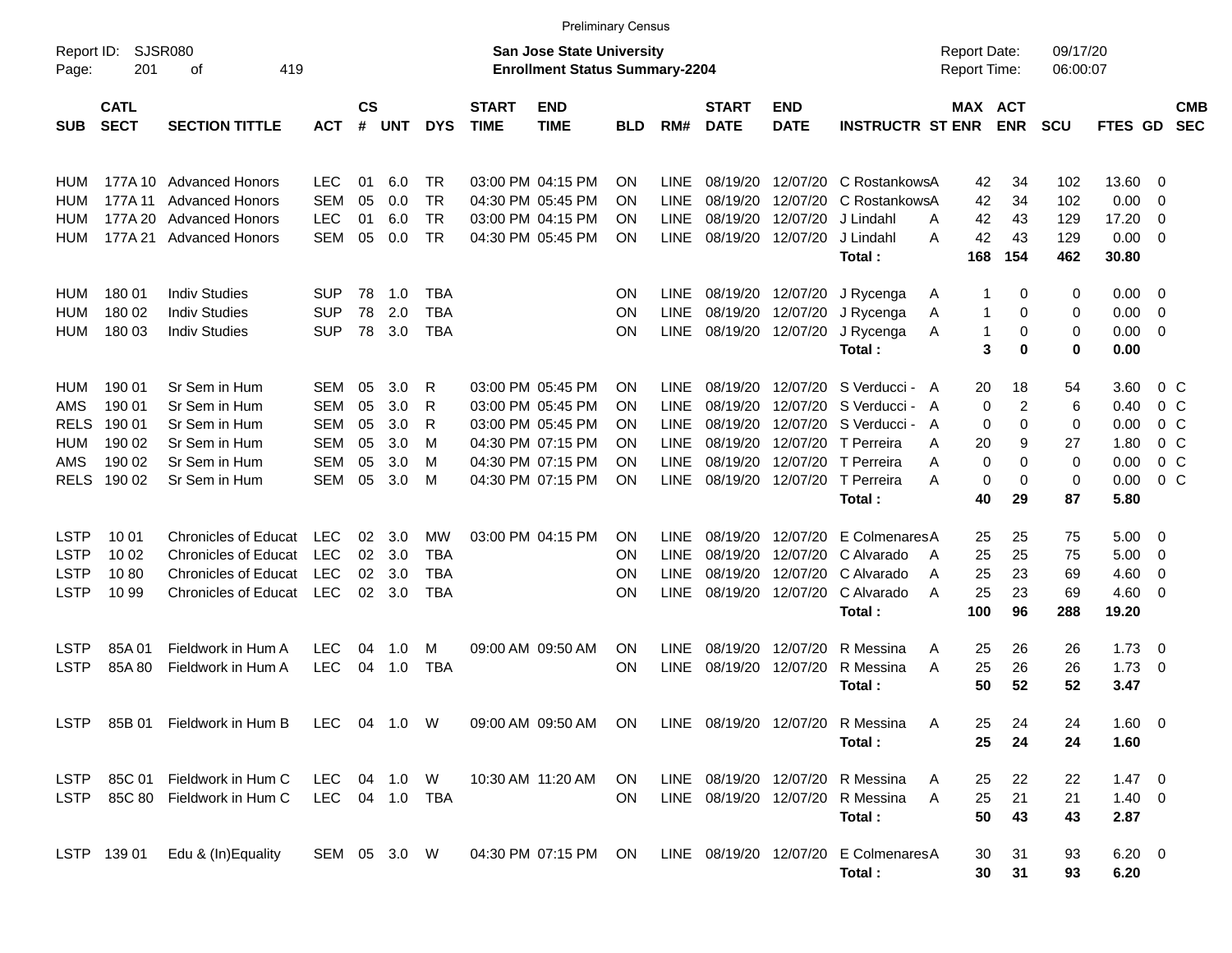|                     |                            |                                |                |                    |            |            |                                                                    | <b>Preliminary Census</b> |            |             |                             |                           |                                      |                   |                      |             |                |                |                          |
|---------------------|----------------------------|--------------------------------|----------------|--------------------|------------|------------|--------------------------------------------------------------------|---------------------------|------------|-------------|-----------------------------|---------------------------|--------------------------------------|-------------------|----------------------|-------------|----------------|----------------|--------------------------|
| Report ID:<br>Page: | <b>SJSR080</b><br>201      | 419                            |                |                    |            |            | San Jose State University<br><b>Enrollment Status Summary-2204</b> |                           |            |             |                             |                           | <b>Report Date:</b><br>Report Time:  |                   | 09/17/20<br>06:00:07 |             |                |                |                          |
| <b>SUB</b>          | <b>CATL</b><br><b>SECT</b> | <b>SECTION TITTLE</b>          | <b>ACT</b>     | $\mathsf{cs}$<br># | <b>UNT</b> | <b>DYS</b> | <b>START</b><br><b>TIME</b>                                        | <b>END</b><br><b>TIME</b> | <b>BLD</b> | RM#         | <b>START</b><br><b>DATE</b> | <b>END</b><br><b>DATE</b> | <b>INSTRUCTR ST ENR ENR</b>          | MAX ACT           |                      | <b>SCU</b>  | FTES GD        |                | <b>CMB</b><br><b>SEC</b> |
| HUM                 |                            | 177A 10 Advanced Honors        | <b>LEC</b>     | 01                 | 6.0        | TR.        |                                                                    | 03:00 PM 04:15 PM         | ΟN         | LINE        | 08/19/20                    | 12/07/20                  | C RostankowsA                        | 42                | 34                   | 102         | 13.60          | 0              |                          |
| HUM                 | 177A 11                    | <b>Advanced Honors</b>         | <b>SEM</b>     | 05                 | 0.0        | <b>TR</b>  |                                                                    | 04:30 PM 05:45 PM         | ΟN         | <b>LINE</b> | 08/19/20                    | 12/07/20                  | C RostankowsA                        | 42                | 34                   | 102         | 0.00           | 0              |                          |
| HUM                 | 177A 20                    | <b>Advanced Honors</b>         | <b>LEC</b>     | 01                 | 6.0        | <b>TR</b>  |                                                                    | 03:00 PM 04:15 PM         | ΟN         | LINE        | 08/19/20                    | 12/07/20                  | J Lindahl                            | 42<br>A           | 43                   | 129         | 17.20          | 0              |                          |
| HUM                 | 177A 21                    | <b>Advanced Honors</b>         | <b>SEM</b>     | 05                 | 0.0        | <b>TR</b>  |                                                                    | 04:30 PM 05:45 PM         | ΟN         | <b>LINE</b> |                             | 08/19/20 12/07/20         | J Lindahl                            | 42<br>Α           | 43                   | 129         | 0.00           | 0              |                          |
|                     |                            |                                |                |                    |            |            |                                                                    |                           |            |             |                             |                           | Total:                               | 168               | 154                  | 462         | 30.80          |                |                          |
| HUM                 | 180 01                     | <b>Indiv Studies</b>           | <b>SUP</b>     | 78                 | 1.0        | TBA        |                                                                    |                           | ΟN         | LINE.       |                             | 08/19/20 12/07/20         | J Rycenga                            | Α                 | 0                    | 0           | 0.00           | 0              |                          |
| HUM                 | 180 02                     | <b>Indiv Studies</b>           | <b>SUP</b>     | 78                 | 2.0        | <b>TBA</b> |                                                                    |                           | ΟN         | <b>LINE</b> | 08/19/20                    | 12/07/20                  | J Rycenga                            | A<br>-1           | 0                    | 0           | 0.00           | $\overline{0}$ |                          |
| HUM                 | 180 03                     | <b>Indiv Studies</b>           | <b>SUP</b>     | 78                 | 3.0        | <b>TBA</b> |                                                                    |                           | ΟN         | <b>LINE</b> |                             | 08/19/20 12/07/20         | J Rycenga                            | $\mathbf{1}$<br>A | 0                    | 0           | 0.00           | 0              |                          |
|                     |                            |                                |                |                    |            |            |                                                                    |                           |            |             |                             |                           | Total:                               | 3                 | $\bf{0}$             | 0           | 0.00           |                |                          |
| HUM                 | 190 01                     | Sr Sem in Hum                  | <b>SEM</b>     | 05                 | 3.0        | R          |                                                                    | 03:00 PM 05:45 PM         | ΟN         | LINE        | 08/19/20                    | 12/07/20                  | S Verducci - A                       | 20                | 18                   | 54          | 3.60           | $0\,$ C        |                          |
| AMS                 | 190 01                     | Sr Sem in Hum                  | <b>SEM</b>     | 05                 | 3.0        | R          |                                                                    | 03:00 PM 05:45 PM         | ΟN         | LINE        | 08/19/20                    | 12/07/20                  | S Verducci -                         | 0<br>A            | 2                    | 6           | 0.40           | 0 <sup>o</sup> |                          |
| <b>RELS</b>         | 190 01                     | Sr Sem in Hum                  | <b>SEM</b>     | 05                 | 3.0        | R          |                                                                    | 03:00 PM 05:45 PM         | ΟN         | LINE        | 08/19/20                    | 12/07/20                  | S Verducci -                         | 0<br>A            | $\Omega$             | $\mathbf 0$ | 0.00           | 0 <sup>o</sup> |                          |
| HUM                 | 190 02                     | Sr Sem in Hum                  | <b>SEM</b>     | 05                 | 3.0        | M          |                                                                    | 04:30 PM 07:15 PM         | ΟN         | LINE        | 08/19/20                    | 12/07/20                  | T Perreira                           | 20<br>A           | 9                    | 27          | 1.80           | 0 <sup>o</sup> |                          |
| AMS                 | 190 02                     | Sr Sem in Hum                  | <b>SEM</b>     | 05                 | 3.0        | м          |                                                                    | 04:30 PM 07:15 PM         | ΟN         | LINE        | 08/19/20                    | 12/07/20                  | T Perreira                           | 0<br>A            | $\Omega$             | $\mathbf 0$ | 0.00           | 0 <sup>o</sup> |                          |
| <b>RELS</b>         | 190 02                     | Sr Sem in Hum                  | <b>SEM</b>     | 05                 | 3.0        | M          |                                                                    | 04:30 PM 07:15 PM         | ΟN         | <b>LINE</b> |                             | 08/19/20 12/07/20         | T Perreira                           | 0<br>Α            | $\Omega$             | $\mathbf 0$ | 0.00           | 0 <sup>o</sup> |                          |
|                     |                            |                                |                |                    |            |            |                                                                    |                           |            |             |                             |                           | Total:                               | 40                | 29                   | 87          | 5.80           |                |                          |
| <b>LSTP</b>         | 10 01                      | <b>Chronicles of Educat</b>    | <b>LEC</b>     | 02                 | 3.0        | MW         |                                                                    | 03:00 PM 04:15 PM         | ΟN         | <b>LINE</b> | 08/19/20                    | 12/07/20                  | E Colmenares A                       | 25                | 25                   | 75          | 5.00           | 0              |                          |
| LSTP                | 10 02                      | <b>Chronicles of Educat</b>    | <b>LEC</b>     | 02                 | 3.0        | <b>TBA</b> |                                                                    |                           | ΟN         | <b>LINE</b> | 08/19/20                    | 12/07/20                  | C Alvarado                           | 25<br>A           | 25                   | 75          | 5.00           | 0              |                          |
| LSTP                | 1080                       | <b>Chronicles of Educat</b>    | <b>LEC</b>     | 02                 | 3.0        | TBA        |                                                                    |                           | ΟN         | LINE        | 08/19/20                    | 12/07/20                  | C Alvarado                           | 25<br>A           | 23                   | 69          | 4.60           | 0              |                          |
| <b>LSTP</b>         | 10 99                      | <b>Chronicles of Educat</b>    | <b>LEC</b>     | 02                 | 3.0        | <b>TBA</b> |                                                                    |                           | ΟN         | <b>LINE</b> |                             | 08/19/20 12/07/20         | C Alvarado                           | 25<br>A           | 23                   | 69          | 4.60           | 0              |                          |
|                     |                            |                                |                |                    |            |            |                                                                    |                           |            |             |                             |                           | Total:                               | 100               | 96                   | 288         | 19.20          |                |                          |
| <b>LSTP</b>         | 85A 01                     | Fieldwork in Hum A             | <b>LEC</b>     | 04                 | 1.0        | M          |                                                                    | 09:00 AM 09:50 AM         | ΟN         | LINE        | 08/19/20                    | 12/07/20                  | R Messina                            | 25<br>Α           | 26                   | 26          | 1.73           | 0              |                          |
| <b>LSTP</b>         | 85A 80                     | Fieldwork in Hum A             | <b>LEC</b>     | 04                 | 1.0        | <b>TBA</b> |                                                                    |                           | ON         | LINE        |                             | 08/19/20 12/07/20         | R Messina                            | 25<br>Α           | 26                   | 26          | 1.73           | $\overline{0}$ |                          |
|                     |                            |                                |                |                    |            |            |                                                                    |                           |            |             |                             |                           | Total:                               | 50                | 52                   | 52          | 3.47           |                |                          |
|                     |                            | LSTP 85B 01 Fieldwork in Hum B | LEC 04 1.0 W   |                    |            |            |                                                                    | 09:00 AM 09:50 AM ON      |            |             |                             |                           | LINE 08/19/20 12/07/20 R Messina     | 25<br>A           | 24                   | 24          | $1.60 \t 0$    |                |                          |
|                     |                            |                                |                |                    |            |            |                                                                    |                           |            |             |                             |                           | Total:                               | 25                | 24                   | 24          | 1.60           |                |                          |
|                     |                            | LSTP 85C 01 Fieldwork in Hum C | LEC 04 1.0 W   |                    |            |            |                                                                    | 10:30 AM 11:20 AM         | ON.        |             |                             |                           | LINE 08/19/20 12/07/20 R Messina     | 25<br>A           | 22                   | 22          | $1.47 \quad 0$ |                |                          |
| LSTP                |                            | 85C 80 Fieldwork in Hum C      | LEC 04 1.0 TBA |                    |            |            |                                                                    |                           | ON.        |             | LINE 08/19/20 12/07/20      |                           | R Messina                            | 25<br>A           | 21                   | 21          | $1.40 \ 0$     |                |                          |
|                     |                            |                                |                |                    |            |            |                                                                    |                           |            |             |                             |                           | Total:                               | 50                | 43                   | 43          | 2.87           |                |                          |
|                     | LSTP 139 01                | Edu & (In)Equality             | SEM 05 3.0 W   |                    |            |            |                                                                    | 04:30 PM 07:15 PM ON      |            |             |                             |                           | LINE 08/19/20 12/07/20 E ColmenaresA | 30                | 31                   | 93          | $6.20 \quad 0$ |                |                          |
|                     |                            |                                |                |                    |            |            |                                                                    |                           |            |             |                             |                           | Total:                               | 30                | 31                   | 93          | 6.20           |                |                          |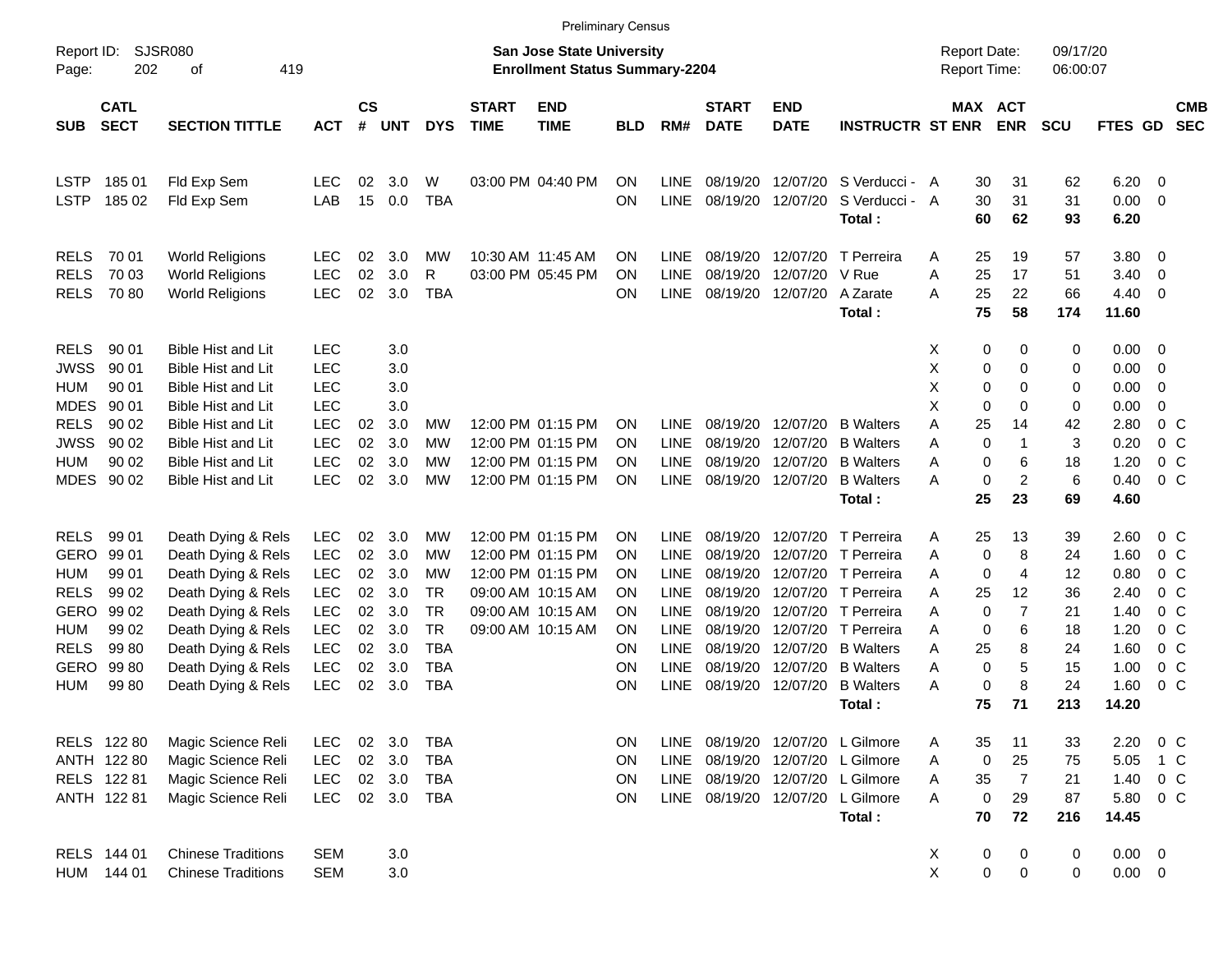|                            |                                                                   |                                                        |                          |          |            |                 |                             |                                                                           | <b>Preliminary Census</b> |                            |                             |                            |                             |                                     |             |                       |                      |                |                         |                          |
|----------------------------|-------------------------------------------------------------------|--------------------------------------------------------|--------------------------|----------|------------|-----------------|-----------------------------|---------------------------------------------------------------------------|---------------------------|----------------------------|-----------------------------|----------------------------|-----------------------------|-------------------------------------|-------------|-----------------------|----------------------|----------------|-------------------------|--------------------------|
| Report ID:<br>Page:        | 202                                                               | SJSR080<br>419<br>οf                                   |                          |          |            |                 |                             | <b>San Jose State University</b><br><b>Enrollment Status Summary-2204</b> |                           |                            |                             |                            |                             | <b>Report Date:</b><br>Report Time: |             |                       | 09/17/20<br>06:00:07 |                |                         |                          |
| <b>SUB</b>                 | <b>CATL</b><br><b>SECT</b><br><b>SECTION TITTLE</b><br><b>ACT</b> |                                                        |                          |          | <b>UNT</b> | <b>DYS</b>      | <b>START</b><br><b>TIME</b> | <b>END</b><br><b>TIME</b>                                                 | <b>BLD</b>                | RM#                        | <b>START</b><br><b>DATE</b> | <b>END</b><br><b>DATE</b>  | <b>INSTRUCTR ST ENR</b>     |                                     |             | MAX ACT<br><b>ENR</b> | <b>SCU</b>           | <b>FTES GD</b> |                         | <b>CMB</b><br><b>SEC</b> |
| LSTP                       | 185 01                                                            | Fld Exp Sem                                            | <b>LEC</b>               | 02       | 3.0        | W               |                             | 03:00 PM 04:40 PM                                                         | OΝ                        | <b>LINE</b>                | 08/19/20                    | 12/07/20                   | S Verducci - A              |                                     | 30          | 31                    | 62                   | 6.20           | - 0                     |                          |
| <b>LSTP</b>                | 185 02                                                            | Fld Exp Sem                                            | LAB                      | 15       | 0.0        | <b>TBA</b>      |                             |                                                                           | <b>ON</b>                 | <b>LINE</b>                | 08/19/20                    | 12/07/20                   | S Verducci - A<br>Total:    |                                     | 30<br>60    | 31<br>62              | 31<br>93             | 0.00<br>6.20   | - 0                     |                          |
| <b>RELS</b>                | 70 01                                                             | <b>World Religions</b>                                 | <b>LEC</b>               | 02       | 3.0        | MW              | 10:30 AM 11:45 AM           |                                                                           | <b>ON</b>                 | <b>LINE</b>                | 08/19/20                    | 12/07/20                   | T Perreira                  | A                                   | 25          | 19                    | 57                   | 3.80           | $\overline{\mathbf{0}}$ |                          |
| <b>RELS</b><br><b>RELS</b> | 70 03<br>7080                                                     | <b>World Religions</b><br><b>World Religions</b>       | <b>LEC</b><br><b>LEC</b> | 02<br>02 | 3.0<br>3.0 | R<br><b>TBA</b> |                             | 03:00 PM 05:45 PM                                                         | OΝ<br>OΝ                  | <b>LINE</b><br><b>LINE</b> | 08/19/20<br>08/19/20        | 12/07/20 V Rue<br>12/07/20 | A Zarate                    | A<br>A                              | 25<br>25    | 17<br>22              | 51<br>66             | 3.40<br>4.40   | - 0<br>- 0              |                          |
|                            |                                                                   |                                                        |                          |          |            |                 |                             |                                                                           |                           |                            |                             |                            | Total:                      |                                     | 75          | 58                    | 174                  | 11.60          |                         |                          |
| <b>RELS</b>                | 90 01                                                             | <b>Bible Hist and Lit</b>                              | <b>LEC</b>               |          | 3.0        |                 |                             |                                                                           |                           |                            |                             |                            |                             | Х                                   | 0           | 0                     | 0                    | 0.00           | - 0                     |                          |
| <b>JWSS</b><br>HUM         | 90 01<br>90 01                                                    | <b>Bible Hist and Lit</b><br><b>Bible Hist and Lit</b> | <b>LEC</b><br><b>LEC</b> |          | 3.0<br>3.0 |                 |                             |                                                                           |                           |                            |                             |                            |                             | X<br>X                              | 0<br>0      | 0<br>0                | 0<br>0               | 0.00<br>0.00   | 0<br>0                  |                          |
| <b>MDES</b>                | 90 01                                                             | <b>Bible Hist and Lit</b>                              | <b>LEC</b>               |          | 3.0        |                 |                             |                                                                           |                           |                            |                             |                            |                             | X                                   | 0           | $\Omega$              | 0                    | 0.00           | $\mathbf 0$             |                          |
| <b>RELS</b>                | 90 02                                                             | <b>Bible Hist and Lit</b>                              | <b>LEC</b>               | 02       | 3.0        | MW              |                             | 12:00 PM 01:15 PM                                                         | <b>ON</b>                 | <b>LINE</b>                | 08/19/20                    | 12/07/20                   | <b>B</b> Walters            | A                                   | 25          | 14                    | 42                   | 2.80           | 0 <sup>C</sup>          |                          |
| <b>JWSS</b>                | 90 02                                                             | <b>Bible Hist and Lit</b>                              | <b>LEC</b>               | 02       | 3.0        | MW              |                             | 12:00 PM 01:15 PM                                                         | <b>ON</b>                 | <b>LINE</b>                | 08/19/20                    | 12/07/20                   | <b>B</b> Walters            | A                                   | $\mathbf 0$ | $\mathbf{1}$          | 3                    | 0.20           | 0 <sup>C</sup>          |                          |
| HUM                        | 90 02                                                             | <b>Bible Hist and Lit</b>                              | <b>LEC</b>               | 02       | 3.0        | МW              |                             | 12:00 PM 01:15 PM                                                         | OΝ                        | <b>LINE</b>                | 08/19/20                    | 12/07/20                   | <b>B</b> Walters            | A                                   | 0           | 6                     | 18                   | 1.20           | $0\,C$                  |                          |
|                            | MDES 90 02                                                        | <b>Bible Hist and Lit</b>                              | <b>LEC</b>               | 02       | 3.0        | MW              |                             | 12:00 PM 01:15 PM                                                         | ON                        | <b>LINE</b>                | 08/19/20                    | 12/07/20                   | <b>B</b> Walters            | A                                   | 0           | $\overline{c}$        | 6                    | 0.40           | 0 <sup>C</sup>          |                          |
|                            |                                                                   |                                                        |                          |          |            |                 |                             |                                                                           |                           |                            |                             |                            | Total:                      |                                     | 25          | 23                    | 69                   | 4.60           |                         |                          |
| <b>RELS</b>                | 99 01                                                             | Death Dying & Rels                                     | <b>LEC</b>               | 02       | 3.0        | MW              |                             | 12:00 PM 01:15 PM                                                         | <b>ON</b>                 | <b>LINE</b>                | 08/19/20                    |                            | 12/07/20 T Perreira         | A                                   | 25          | 13                    | 39                   | 2.60           | 0 <sup>C</sup>          |                          |
| <b>GERO</b>                | 99 01                                                             | Death Dying & Rels                                     | <b>LEC</b>               | 02       | 3.0        | МW              |                             | 12:00 PM 01:15 PM                                                         | <b>ON</b>                 | <b>LINE</b>                | 08/19/20                    |                            | 12/07/20 T Perreira         | A                                   | 0           | 8                     | 24                   | 1.60           | 0 <sup>C</sup>          |                          |
| HUM                        | 99 01                                                             | Death Dying & Rels                                     | <b>LEC</b>               | 02       | 3.0        | MW              |                             | 12:00 PM 01:15 PM                                                         | OΝ                        | <b>LINE</b>                | 08/19/20                    |                            | 12/07/20 T Perreira         | A                                   | 0           | 4                     | 12                   | 0.80           | 0 <sup>C</sup>          |                          |
| <b>RELS</b>                | 99 02                                                             | Death Dying & Rels                                     | <b>LEC</b>               | 02       | 3.0        | TR              |                             | 09:00 AM 10:15 AM                                                         | <b>ON</b>                 | <b>LINE</b>                | 08/19/20                    |                            | 12/07/20 T Perreira         | A                                   | 25          | 12                    | 36                   | 2.40           | 0 <sup>C</sup>          |                          |
| <b>GERO</b>                | 99 02                                                             | Death Dying & Rels                                     | <b>LEC</b>               | 02       | 3.0        | <b>TR</b>       |                             | 09:00 AM 10:15 AM                                                         | OΝ                        | <b>LINE</b>                | 08/19/20                    |                            | 12/07/20 T Perreira         | A                                   | 0           | $\overline{7}$        | 21                   | 1.40           | 0 <sup>C</sup>          |                          |
| HUM                        | 99 02                                                             | Death Dying & Rels                                     | <b>LEC</b>               | 02       | 3.0        | <b>TR</b>       |                             | 09:00 AM 10:15 AM                                                         | OΝ                        | <b>LINE</b>                | 08/19/20                    |                            | 12/07/20 T Perreira         | A                                   | 0           | 6                     | 18                   | 1.20           | 0 <sup>C</sup>          |                          |
| <b>RELS</b>                | 99 80                                                             | Death Dying & Rels                                     | <b>LEC</b>               | 02       | 3.0        | <b>TBA</b>      |                             |                                                                           | <b>ON</b>                 | <b>LINE</b>                | 08/19/20                    | 12/07/20                   | <b>B</b> Walters            | A                                   | 25          | 8                     | 24                   | 1.60           | 0 <sup>C</sup>          |                          |
| <b>GERO</b>                | 9980                                                              | Death Dying & Rels                                     | <b>LEC</b>               | 02       | 3.0        | <b>TBA</b>      |                             |                                                                           | ON                        | <b>LINE</b>                | 08/19/20                    | 12/07/20                   | <b>B</b> Walters            | A                                   | $\mathbf 0$ | 5                     | 15                   | 1.00           | 0 <sup>C</sup>          |                          |
| <b>HUM</b>                 | 99 80                                                             | Death Dying & Rels                                     | <b>LEC</b>               | 02       | 3.0        | <b>TBA</b>      |                             |                                                                           | <b>ON</b>                 | <b>LINE</b>                | 08/19/20                    | 12/07/20                   | <b>B</b> Walters            | A                                   | 0<br>75     | 8<br>71               | 24                   | 1.60           | 0 <sup>C</sup>          |                          |
|                            |                                                                   |                                                        |                          |          |            |                 |                             |                                                                           |                           |                            |                             |                            | Total:                      |                                     |             |                       | 213                  | 14.20          |                         |                          |
|                            | RELS 122 80                                                       | Magic Science Reli                                     | LEC                      | 02       | 3.0        | <b>TBA</b>      |                             |                                                                           | ON                        | <b>LINE</b>                |                             |                            | 08/19/20 12/07/20 L Gilmore | A                                   | 35          | 11                    | 33                   | 2.20           | 0 <sup>C</sup>          |                          |
|                            | ANTH 122 80                                                       | Magic Science Reli                                     | <b>LEC</b>               | $02\,$   | 3.0        | <b>TBA</b>      |                             |                                                                           | ON                        | <b>LINE</b>                |                             |                            | 08/19/20 12/07/20 L Gilmore | Α                                   | 0           | 25                    | 75                   | 5.05           | 1 C                     |                          |
|                            | RELS 122 81                                                       | Magic Science Reli                                     | <b>LEC</b>               | 02       | 3.0        | <b>TBA</b>      |                             |                                                                           | ON                        | <b>LINE</b>                | 08/19/20                    |                            | 12/07/20 L Gilmore          | Α                                   | 35          | $\overline{7}$        | 21                   | 1.40           | $0\,C$                  |                          |
|                            | ANTH 122 81                                                       | Magic Science Reli                                     | <b>LEC</b>               |          | 02 3.0     | TBA             |                             |                                                                           | ON                        | <b>LINE</b>                |                             |                            | 08/19/20 12/07/20 L Gilmore | A                                   | 0           | 29                    | 87                   | 5.80           | $0\,C$                  |                          |
|                            |                                                                   |                                                        |                          |          |            |                 |                             |                                                                           |                           |                            |                             |                            | Total:                      |                                     | 70          | 72                    | 216                  | 14.45          |                         |                          |
|                            | RELS 144 01                                                       | <b>Chinese Traditions</b>                              | <b>SEM</b>               |          | 3.0        |                 |                             |                                                                           |                           |                            |                             |                            |                             | X                                   | $\pmb{0}$   | $\pmb{0}$             | $\pmb{0}$            | $0.00 \t 0$    |                         |                          |
| HUM                        | 144 01                                                            | <b>Chinese Traditions</b>                              | <b>SEM</b>               |          | 3.0        |                 |                             |                                                                           |                           |                            |                             |                            |                             | $\pmb{\times}$                      | $\mathbf 0$ | $\pmb{0}$             | 0                    | $0.00 \t 0$    |                         |                          |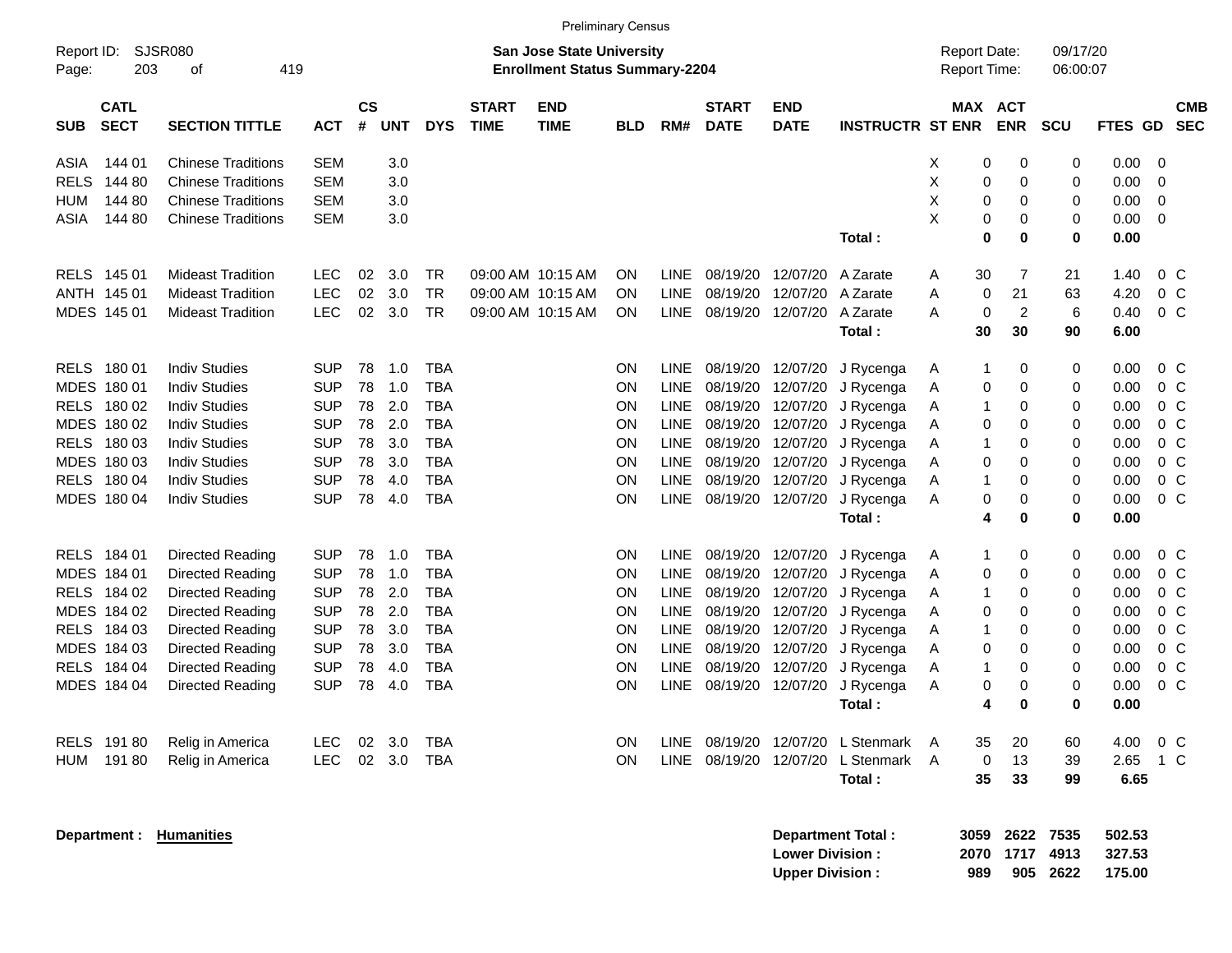|                                          |                             |            |                    |            |            |                             | <b>Preliminary Census</b>                                                 |            |             |                             |                           |                          |   |                                     |                              |                      |         |                |                          |
|------------------------------------------|-----------------------------|------------|--------------------|------------|------------|-----------------------------|---------------------------------------------------------------------------|------------|-------------|-----------------------------|---------------------------|--------------------------|---|-------------------------------------|------------------------------|----------------------|---------|----------------|--------------------------|
| Report ID:<br>203<br>Page:               | <b>SJSR080</b><br>419<br>οf |            |                    |            |            |                             | <b>San Jose State University</b><br><b>Enrollment Status Summary-2204</b> |            |             |                             |                           |                          |   | <b>Report Date:</b><br>Report Time: |                              | 09/17/20<br>06:00:07 |         |                |                          |
| <b>CATL</b><br><b>SECT</b><br><b>SUB</b> | <b>SECTION TITTLE</b>       | <b>ACT</b> | $\mathsf{cs}$<br># | <b>UNT</b> | <b>DYS</b> | <b>START</b><br><b>TIME</b> | <b>END</b><br><b>TIME</b>                                                 | <b>BLD</b> | RM#         | <b>START</b><br><b>DATE</b> | <b>END</b><br><b>DATE</b> | <b>INSTRUCTR ST ENR</b>  |   |                                     | <b>MAX ACT</b><br><b>ENR</b> | <b>SCU</b>           | FTES GD |                | <b>CMB</b><br><b>SEC</b> |
| ASIA<br>144 01                           | <b>Chinese Traditions</b>   | <b>SEM</b> |                    | 3.0        |            |                             |                                                                           |            |             |                             |                           |                          | х | 0                                   | 0                            | 0                    | 0.00    | 0              |                          |
| <b>RELS</b><br>144 80                    | <b>Chinese Traditions</b>   | <b>SEM</b> |                    | 3.0        |            |                             |                                                                           |            |             |                             |                           |                          | Χ | 0                                   | 0                            | 0                    | 0.00    | 0              |                          |
| <b>HUM</b><br>144 80                     | <b>Chinese Traditions</b>   | <b>SEM</b> |                    | 3.0        |            |                             |                                                                           |            |             |                             |                           |                          | Χ | 0                                   | 0                            | 0                    | 0.00    | 0              |                          |
| <b>ASIA</b><br>144 80                    | <b>Chinese Traditions</b>   | <b>SEM</b> |                    | 3.0        |            |                             |                                                                           |            |             |                             |                           |                          | X | 0                                   | 0                            | 0                    | 0.00    | 0              |                          |
|                                          |                             |            |                    |            |            |                             |                                                                           |            |             |                             |                           | Total:                   |   | 0                                   | 0                            | $\mathbf 0$          | 0.00    |                |                          |
| RELS 145 01                              | <b>Mideast Tradition</b>    | <b>LEC</b> | 02                 | 3.0        | <b>TR</b>  |                             | 09:00 AM 10:15 AM                                                         | ΟN         | LINE.       | 08/19/20                    | 12/07/20                  | A Zarate                 | Α | 30                                  | 7                            | 21                   | 1.40    | $0\,$ C        |                          |
| ANTH 145 01                              | <b>Mideast Tradition</b>    | <b>LEC</b> | 02                 | 3.0        | <b>TR</b>  |                             | 09:00 AM 10:15 AM                                                         | OΝ         | <b>LINE</b> | 08/19/20                    | 12/07/20                  | A Zarate                 | Α | 0                                   | 21                           | 63                   | 4.20    | $0\,C$         |                          |
| MDES 145 01                              | <b>Mideast Tradition</b>    | <b>LEC</b> | 02                 | 3.0        | <b>TR</b>  |                             | 09:00 AM 10:15 AM                                                         | OΝ         | <b>LINE</b> | 08/19/20                    | 12/07/20                  | A Zarate                 | A | 0                                   | $\overline{2}$               | 6                    | 0.40    | 0 <sup>o</sup> |                          |
|                                          |                             |            |                    |            |            |                             |                                                                           |            |             |                             |                           | Total:                   |   | 30                                  | 30                           | 90                   | 6.00    |                |                          |
| RELS 180 01                              | <b>Indiv Studies</b>        | <b>SUP</b> | 78                 | 1.0        | <b>TBA</b> |                             |                                                                           | <b>ON</b>  | <b>LINE</b> | 08/19/20                    | 12/07/20                  | J Rycenga                | A | -1                                  | 0                            | 0                    | 0.00    | $0\,C$         |                          |
| MDES 180 01                              | <b>Indiv Studies</b>        | <b>SUP</b> | 78                 | 1.0        | <b>TBA</b> |                             |                                                                           | ON         | <b>LINE</b> | 08/19/20                    | 12/07/20                  | J Rycenga                | Α | 0                                   | 0                            | 0                    | 0.00    | 0 <sup>o</sup> |                          |
| RELS 180 02                              | <b>Indiv Studies</b>        | <b>SUP</b> | 78                 | 2.0        | <b>TBA</b> |                             |                                                                           | ON         | <b>LINE</b> | 08/19/20                    | 12/07/20                  | J Rycenga                | Α | -1                                  | 0                            | 0                    | 0.00    | 0 <sup>o</sup> |                          |
| MDES 180 02                              | <b>Indiv Studies</b>        | <b>SUP</b> | 78                 | 2.0        | <b>TBA</b> |                             |                                                                           | ON         | <b>LINE</b> | 08/19/20                    | 12/07/20                  | J Rycenga                | Α | 0                                   | 0                            | 0                    | 0.00    | 0 <sup>o</sup> |                          |
| RELS 180 03                              | <b>Indiv Studies</b>        | <b>SUP</b> | 78                 | 3.0        | <b>TBA</b> |                             |                                                                           | ON         | <b>LINE</b> | 08/19/20                    | 12/07/20                  | J Rycenga                | Α | -1                                  | 0                            | 0                    | 0.00    | 0 <sup>o</sup> |                          |
| MDES 180 03                              | <b>Indiv Studies</b>        | <b>SUP</b> | 78                 | 3.0        | <b>TBA</b> |                             |                                                                           | ON         | <b>LINE</b> | 08/19/20                    | 12/07/20                  | J Rycenga                | Α | 0                                   | 0                            | 0                    | 0.00    | 0 <sup>o</sup> |                          |
| RELS 180 04                              | <b>Indiv Studies</b>        | <b>SUP</b> | 78                 | 4.0        | <b>TBA</b> |                             |                                                                           | ON         | <b>LINE</b> | 08/19/20                    | 12/07/20                  | J Rycenga                | Α | -1                                  | 0                            | 0                    | 0.00    | 0 <sup>o</sup> |                          |
| MDES 180 04                              | <b>Indiv Studies</b>        | <b>SUP</b> | 78                 | 4.0        | <b>TBA</b> |                             |                                                                           | ON         | <b>LINE</b> | 08/19/20                    | 12/07/20                  | J Rycenga                | Α | 0                                   | 0                            | 0                    | 0.00    | 0 <sup>o</sup> |                          |
|                                          |                             |            |                    |            |            |                             |                                                                           |            |             |                             |                           | Total:                   |   | 4                                   | 0                            | $\mathbf 0$          | 0.00    |                |                          |
| RELS 184 01                              | Directed Reading            | <b>SUP</b> | 78                 | 1.0        | <b>TBA</b> |                             |                                                                           | <b>ON</b>  | <b>LINE</b> | 08/19/20                    | 12/07/20                  | J Rycenga                | Α | -1                                  | 0                            | 0                    | 0.00    | $0\,$ C        |                          |
| MDES 184 01                              | Directed Reading            | <b>SUP</b> | 78                 | 1.0        | <b>TBA</b> |                             |                                                                           | ON         | <b>LINE</b> | 08/19/20                    | 12/07/20                  | J Rycenga                | Α | 0                                   | 0                            | 0                    | 0.00    | 0 <sup>o</sup> |                          |
| RELS 184 02                              | Directed Reading            | <b>SUP</b> | 78                 | 2.0        | <b>TBA</b> |                             |                                                                           | <b>ON</b>  | <b>LINE</b> | 08/19/20                    | 12/07/20                  | J Rycenga                | Α | -1                                  | 0                            | 0                    | 0.00    | $0\,$ C        |                          |
| MDES 184 02                              | Directed Reading            | <b>SUP</b> | 78                 | 2.0        | <b>TBA</b> |                             |                                                                           | ON         | <b>LINE</b> | 08/19/20                    | 12/07/20                  | J Rycenga                | Α | 0                                   | 0                            | 0                    | 0.00    | 0 <sup>o</sup> |                          |
| RELS 184 03                              | Directed Reading            | <b>SUP</b> | 78                 | 3.0        | <b>TBA</b> |                             |                                                                           | ON         | <b>LINE</b> | 08/19/20                    | 12/07/20                  | J Rycenga                | Α | -1                                  | 0                            | 0                    | 0.00    | 0 <sup>o</sup> |                          |
| MDES 184 03                              | Directed Reading            | <b>SUP</b> | 78                 | 3.0        | <b>TBA</b> |                             |                                                                           | ON         | <b>LINE</b> | 08/19/20                    | 12/07/20                  | J Rycenga                | Α | 0                                   | 0                            | 0                    | 0.00    | 0 <sup>o</sup> |                          |
| RELS 184 04                              | Directed Reading            | <b>SUP</b> | 78                 | 4.0        | <b>TBA</b> |                             |                                                                           | ON         | <b>LINE</b> | 08/19/20                    | 12/07/20                  | J Rycenga                | Α | -1                                  | 0                            | 0                    | 0.00    | $0\,$ C        |                          |
| MDES 184 04                              | Directed Reading            | <b>SUP</b> | 78                 | 4.0        | <b>TBA</b> |                             |                                                                           | ON         | LINE        | 08/19/20                    | 12/07/20                  | J Rycenga                | Α | 0                                   | 0                            | 0                    | 0.00    | 0 <sup>o</sup> |                          |
|                                          |                             |            |                    |            |            |                             |                                                                           |            |             |                             |                           | Total:                   |   | 4                                   | 0                            | 0                    | 0.00    |                |                          |
| RELS 191 80                              | Relig in America            | LEC        | 02                 | 3.0        | TBA        |                             |                                                                           | <b>ON</b>  | LINE        | 08/19/20                    |                           | 12/07/20 L Stenmark      | A | 35                                  | 20                           | 60                   | 4.00    | $0\,$ C        |                          |
| 191 80<br>HUM                            | Relig in America            | <b>LEC</b> | 02                 | 3.0        | <b>TBA</b> |                             |                                                                           | <b>ON</b>  | <b>LINE</b> | 08/19/20                    | 12/07/20                  | L Stenmark               | A | 0                                   | 13                           | 39                   | 2.65    | 1 C            |                          |
|                                          |                             |            |                    |            |            |                             |                                                                           |            |             |                             |                           | Total:                   |   | 35                                  | 33                           | 99                   | 6.65    |                |                          |
| Department :                             | <b>Humanities</b>           |            |                    |            |            |                             |                                                                           |            |             |                             |                           | <b>Department Total:</b> |   |                                     | 3059 2622                    | 7535                 | 502.53  |                |                          |
|                                          |                             |            |                    |            |            |                             |                                                                           |            |             |                             | <b>Lower Division:</b>    |                          |   |                                     | 2070 1717 4913               |                      | 327.53  |                |                          |

**Upper Division : 989 905 2622 175.00**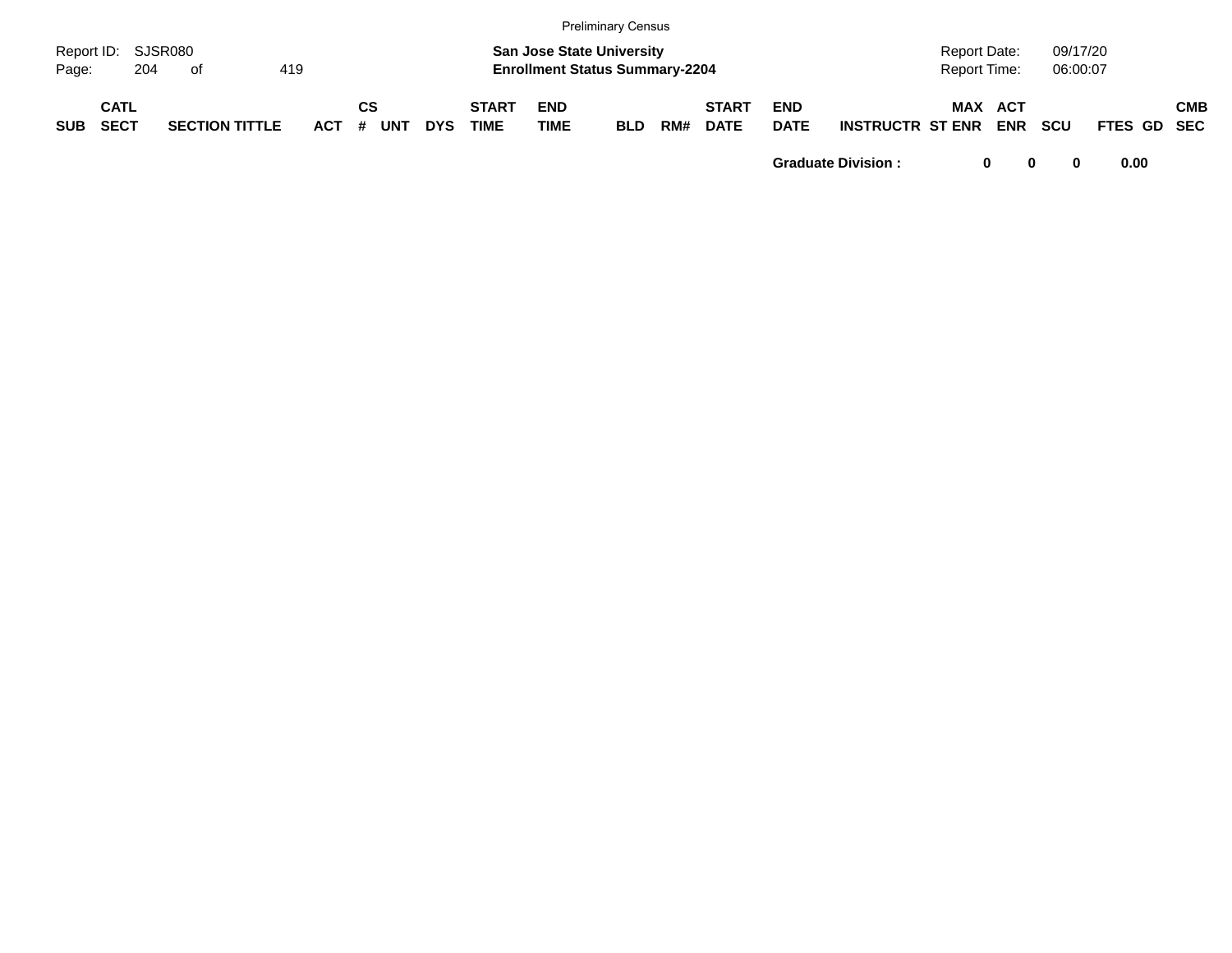|            |                            |     |                       |     |            |         |            |            |                             |                    | <b>Preliminary Census</b>                                                 |     |                             |                           |                         |                                     |                   |                      |             |            |
|------------|----------------------------|-----|-----------------------|-----|------------|---------|------------|------------|-----------------------------|--------------------|---------------------------------------------------------------------------|-----|-----------------------------|---------------------------|-------------------------|-------------------------------------|-------------------|----------------------|-------------|------------|
| Page:      | Report ID: SJSR080         | 204 | of                    | 419 |            |         |            |            |                             |                    | <b>San Jose State University</b><br><b>Enrollment Status Summary-2204</b> |     |                             |                           |                         | <b>Report Date:</b><br>Report Time: |                   | 09/17/20<br>06:00:07 |             |            |
| <b>SUB</b> | <b>CATL</b><br><b>SECT</b> |     | <b>SECTION TITTLE</b> |     | <b>ACT</b> | СS<br># | <b>UNT</b> | <b>DYS</b> | <b>START</b><br><b>TIME</b> | <b>END</b><br>TIME | <b>BLD</b>                                                                | RM# | <b>START</b><br><b>DATE</b> | <b>END</b><br><b>DATE</b> | <b>INSTRUCTR ST ENR</b> | MAX                                 | ACT<br><b>ENR</b> | <b>SCU</b>           | FTES GD SEC | <b>CMB</b> |

**Graduate Division : 0 0 0 0.00**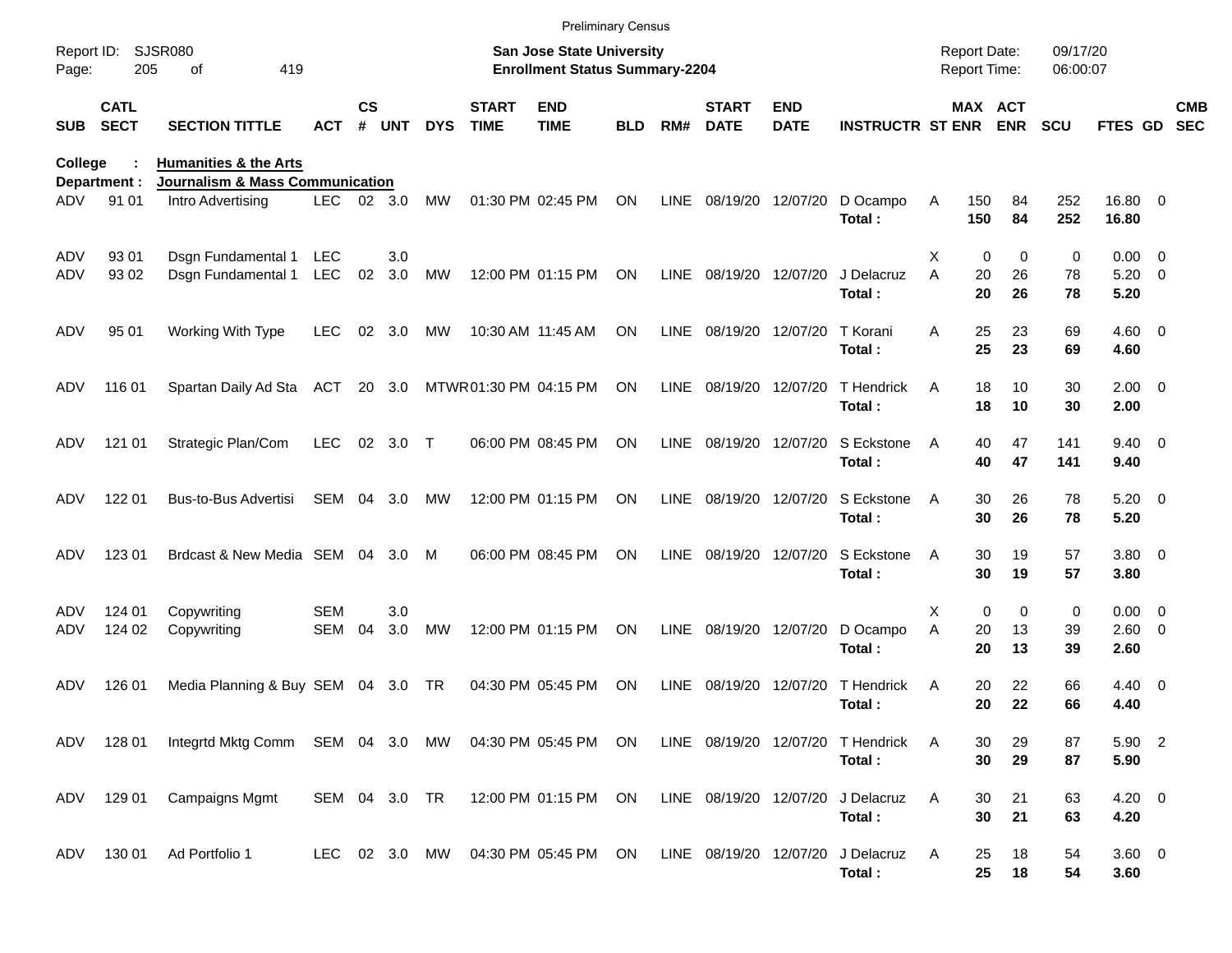|                     |                            |                                                                                                      |               |               |        |               |                             | <b>Preliminary Census</b>                                                 |           |             |                             |                           |                             |                                            |                      |                      |                        |            |            |
|---------------------|----------------------------|------------------------------------------------------------------------------------------------------|---------------|---------------|--------|---------------|-----------------------------|---------------------------------------------------------------------------|-----------|-------------|-----------------------------|---------------------------|-----------------------------|--------------------------------------------|----------------------|----------------------|------------------------|------------|------------|
| Report ID:<br>Page: | 205                        | <b>SJSR080</b><br>419<br>οf                                                                          |               |               |        |               |                             | <b>San Jose State University</b><br><b>Enrollment Status Summary-2204</b> |           |             |                             |                           |                             | <b>Report Date:</b><br><b>Report Time:</b> |                      | 09/17/20<br>06:00:07 |                        |            |            |
| <b>SUB</b>          | <b>CATL</b><br><b>SECT</b> | <b>SECTION TITTLE</b>                                                                                | ACT           | $\mathsf{cs}$ | # UNT  | <b>DYS</b>    | <b>START</b><br><b>TIME</b> | <b>END</b><br><b>TIME</b>                                                 | BLD       | RM#         | <b>START</b><br><b>DATE</b> | <b>END</b><br><b>DATE</b> | <b>INSTRUCTR ST ENR ENR</b> |                                            | MAX ACT              | <b>SCU</b>           | <b>FTES GD</b>         | <b>SEC</b> | <b>CMB</b> |
| College             | Department :               | <b>Humanities &amp; the Arts</b><br><b>Journalism &amp; Mass Communication</b>                       |               |               |        |               |                             |                                                                           |           |             |                             |                           |                             |                                            |                      |                      |                        |            |            |
| ADV                 | 91 01                      | Intro Advertising                                                                                    | LEC.          |               | 02 3.0 | MW            |                             | 01:30 PM 02:45 PM                                                         | ON        | LINE        | 08/19/20 12/07/20           |                           | D Ocampo<br>Total:          | Α<br>150<br>150                            | 84<br>84             | 252<br>252           | 16.80 0<br>16.80       |            |            |
| ADV                 | 93 01                      | Dsgn Fundamental 1                                                                                   | LEC           |               | 3.0    |               |                             |                                                                           |           |             |                             |                           |                             | х                                          | 0<br>$\Omega$        | 0                    | $0.00 \t 0$            |            |            |
| ADV                 | 93 02                      | Dsgn Fundamental 1                                                                                   | <b>LEC</b>    | 02            | 3.0    | MW            |                             | 12:00 PM 01:15 PM                                                         | ON        |             | LINE 08/19/20 12/07/20      |                           | J Delacruz<br>Total:        | A                                          | 20<br>26<br>20<br>26 | 78<br>78             | $5.20 \ 0$<br>5.20     |            |            |
| ADV                 | 95 01                      | Working With Type                                                                                    | <b>LEC</b>    | 02            | 3.0    | МW            |                             | 10:30 AM 11:45 AM                                                         | ON        | LINE        | 08/19/20 12/07/20           |                           | T Korani<br>Total:          | A                                          | 25<br>23<br>25<br>23 | 69<br>69             | $4.60$ 0<br>4.60       |            |            |
| ADV                 | 116 01                     | Spartan Daily Ad Sta                                                                                 | ACT           |               | 20 3.0 |               | MTWR01:30 PM 04:15 PM       |                                                                           | ON        | LINE        | 08/19/20 12/07/20           |                           | T Hendrick<br>Total:        | A                                          | 18<br>10<br>18<br>10 | 30<br>30             | $2.00 \t 0$<br>2.00    |            |            |
| ADV                 | 121 01                     | Strategic Plan/Com                                                                                   | <b>LEC</b>    |               | 02 3.0 | $\top$        |                             | 06:00 PM 08:45 PM                                                         | ON        | LINE        | 08/19/20 12/07/20           |                           | S Eckstone<br>Total:        | A                                          | 47<br>40<br>40<br>47 | 141<br>141           | $9.40 \quad 0$<br>9.40 |            |            |
| ADV.                | 122 01                     | Bus-to-Bus Advertisi                                                                                 | SEM           | 04            | 3.0    | MW            |                             | 12:00 PM 01:15 PM                                                         | <b>ON</b> | LINE        | 08/19/20 12/07/20           |                           | S Eckstone<br>Total:        | A                                          | 30<br>26<br>30<br>26 | 78<br>78             | $5.20 \ 0$<br>5.20     |            |            |
| ADV                 | 123 01                     | Brdcast & New Media SEM                                                                              |               | 04            | 3.0    | M             |                             | 06:00 PM 08:45 PM                                                         | <b>ON</b> | LINE        | 08/19/20 12/07/20           |                           | S Eckstone<br>Total:        | A                                          | 30<br>19<br>30<br>19 | 57<br>57             | 3.80 0<br>3.80         |            |            |
| ADV                 | 124 01                     | Copywriting                                                                                          | <b>SEM</b>    |               | 3.0    |               |                             |                                                                           |           |             |                             |                           |                             | X                                          | 0<br>0               | 0                    | $0.00 \t 0$            |            |            |
| ADV                 | 124 02                     | Copywriting                                                                                          | SEM           | 04            | 3.0    | <b>MW</b>     |                             | 12:00 PM 01:15 PM                                                         | ON        | LINE        | 08/19/20 12/07/20           |                           | D Ocampo<br>Total:          | A                                          | 20<br>13<br>20<br>13 | 39<br>39             | $2.60 \t 0$<br>2.60    |            |            |
| ADV                 | 126 01                     | Media Planning & Buy SEM 04 3.0 TR                                                                   |               |               |        |               |                             | 04:30 PM 05:45 PM                                                         | ON        | <b>LINE</b> | 08/19/20 12/07/20           |                           | T Hendrick<br>Total:        | A                                          | 22<br>20<br>20<br>22 | 66<br>66             | $4.40 \ 0$<br>4.40     |            |            |
|                     |                            | ADV 128 01 Integrtd Mktg Comm SEM 04 3.0 MW 04:30 PM 05:45 PM ON LINE 08/19/20 12/07/20 T Hendrick A |               |               |        |               |                             |                                                                           |           |             |                             |                           | Total:                      |                                            | 29<br>30<br>30<br>29 | 87<br>87             | 5.90 2<br>5.90         |            |            |
|                     | ADV 129 01                 | <b>Campaigns Mgmt</b>                                                                                | SEM 04 3.0 TR |               |        |               |                             | 12:00 PM 01:15 PM ON                                                      |           |             | LINE 08/19/20 12/07/20      |                           | J Delacruz<br>Total:        | Α                                          | 21<br>30<br>30<br>21 | 63<br>63             | $4.20 \ 0$<br>4.20     |            |            |
| ADV                 | 130 01                     | Ad Portfolio 1                                                                                       |               |               |        | LEC 02 3.0 MW |                             | 04:30 PM 05:45 PM ON                                                      |           |             | LINE 08/19/20 12/07/20      |                           | J Delacruz<br>Total:        | A                                          | 18<br>25<br>25<br>18 | 54<br>54             | 3.60 0<br>3.60         |            |            |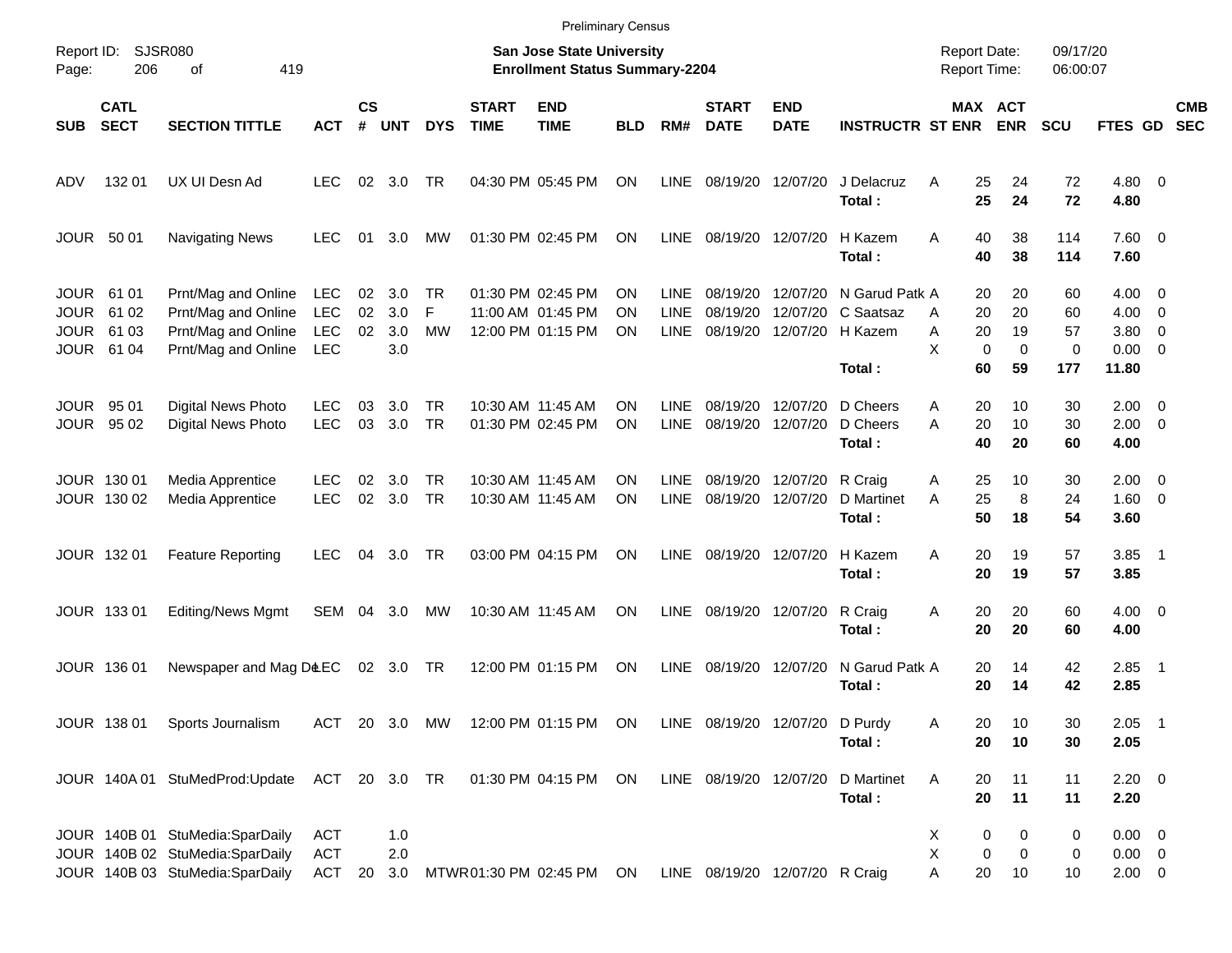|                                            |                                  |                                                                                                       |                                                      |                |                          |                      |                             |                                                                    | <b>Preliminary Census</b> |                                           |                                |                                           |                                                  |                                            |                                                 |                                      |                                                                   |                          |
|--------------------------------------------|----------------------------------|-------------------------------------------------------------------------------------------------------|------------------------------------------------------|----------------|--------------------------|----------------------|-----------------------------|--------------------------------------------------------------------|---------------------------|-------------------------------------------|--------------------------------|-------------------------------------------|--------------------------------------------------|--------------------------------------------|-------------------------------------------------|--------------------------------------|-------------------------------------------------------------------|--------------------------|
| Report ID:<br>Page:                        | 206                              | SJSR080<br>419<br>οf                                                                                  |                                                      |                |                          |                      |                             | San Jose State University<br><b>Enrollment Status Summary-2204</b> |                           |                                           |                                |                                           |                                                  | <b>Report Date:</b><br><b>Report Time:</b> |                                                 | 09/17/20<br>06:00:07                 |                                                                   |                          |
| <b>SUB</b>                                 | <b>CATL</b><br><b>SECT</b>       | <b>SECTION TITTLE</b>                                                                                 | <b>ACT</b>                                           | <b>CS</b><br># | <b>UNT</b>               | <b>DYS</b>           | <b>START</b><br><b>TIME</b> | <b>END</b><br><b>TIME</b>                                          | <b>BLD</b>                | RM#                                       | <b>START</b><br><b>DATE</b>    | <b>END</b><br><b>DATE</b>                 | <b>INSTRUCTR ST ENR</b>                          |                                            | MAX ACT<br><b>ENR</b>                           | <b>SCU</b>                           | FTES GD                                                           | <b>CMB</b><br><b>SEC</b> |
| ADV                                        | 132 01                           | UX UI Desn Ad                                                                                         | LEC.                                                 | 02             | 3.0                      | TR                   |                             | 04:30 PM 05:45 PM                                                  | <b>ON</b>                 | <b>LINE</b>                               |                                | 08/19/20 12/07/20                         | J Delacruz<br>Total:                             | 25<br>A<br>25                              | 24<br>24                                        | 72<br>72                             | $4.80\ 0$<br>4.80                                                 |                          |
|                                            | <b>JOUR 5001</b>                 | <b>Navigating News</b>                                                                                | LEC.                                                 | 01             | 3.0                      | MW                   |                             | 01:30 PM 02:45 PM                                                  | ΟN                        | <b>LINE</b>                               | 08/19/20 12/07/20              |                                           | H Kazem<br>Total:                                | 40<br>A<br>40                              | 38<br>38                                        | 114<br>114                           | $7.60 \t 0$<br>7.60                                               |                          |
| JOUR<br><b>JOUR</b><br>JOUR<br><b>JOUR</b> | 61 01<br>61 02<br>61 03<br>61 04 | Prnt/Mag and Online<br>Prnt/Mag and Online<br>Prnt/Mag and Online<br>Prnt/Mag and Online              | <b>LEC</b><br><b>LEC</b><br><b>LEC</b><br><b>LEC</b> | 02<br>02<br>02 | 3.0<br>3.0<br>3.0<br>3.0 | TR<br>F<br><b>MW</b> |                             | 01:30 PM 02:45 PM<br>11:00 AM 01:45 PM<br>12:00 PM 01:15 PM        | ON<br>ΟN<br>ΟN            | <b>LINE</b><br><b>LINE</b><br><b>LINE</b> | 08/19/20<br>08/19/20           | 12/07/20<br>12/07/20<br>08/19/20 12/07/20 | N Garud Patk A<br>C Saatsaz<br>H Kazem<br>Total: | 20<br>20<br>A<br>20<br>A<br>X<br>60        | 20<br>20<br>19<br>$\mathbf 0$<br>$\Omega$<br>59 | 60<br>60<br>57<br>$\mathbf 0$<br>177 | $4.00 \ 0$<br>$4.00 \ 0$<br>$3.80 \ 0$<br>$0.00 \quad 0$<br>11.80 |                          |
| JOUR<br>JOUR                               | 95 01<br>95 02                   | <b>Digital News Photo</b><br>Digital News Photo                                                       | <b>LEC</b><br><b>LEC</b>                             | 03<br>03       | 3.0<br>3.0               | TR<br><b>TR</b>      |                             | 10:30 AM 11:45 AM<br>01:30 PM 02:45 PM                             | ΟN<br>ON                  | <b>LINE</b><br><b>LINE</b>                | 08/19/20                       | 12/07/20<br>08/19/20 12/07/20             | D Cheers<br>D Cheers<br>Total:                   | 20<br>A<br>20<br>A<br>40                   | 10<br>10<br>20                                  | 30<br>30<br>60                       | $2.00 \t 0$<br>$2.00 \t 0$<br>4.00                                |                          |
|                                            | JOUR 130 01<br>JOUR 130 02       | Media Apprentice<br>Media Apprentice                                                                  | LEC.<br><b>LEC</b>                                   | 02<br>02       | 3.0<br>3.0               | TR<br><b>TR</b>      |                             | 10:30 AM 11:45 AM<br>10:30 AM 11:45 AM                             | ON<br>ON                  | <b>LINE</b><br>LINE                       | 08/19/20 12/07/20              | 08/19/20 12/07/20 R Craig                 | D Martinet<br>Total:                             | 25<br>A<br>25<br>A<br>50                   | 10<br>8<br>18                                   | 30<br>24<br>54                       | $2.00 \t 0$<br>$1.60 \t 0$<br>3.60                                |                          |
|                                            | JOUR 132 01                      | <b>Feature Reporting</b>                                                                              | <b>LEC</b>                                           | 04             | 3.0                      | TR                   |                             | 03:00 PM 04:15 PM                                                  | ON                        | LINE                                      | 08/19/20 12/07/20              |                                           | H Kazem<br>Total:                                | A<br>20<br>20                              | 19<br>19                                        | 57<br>57                             | $3.85$ 1<br>3.85                                                  |                          |
|                                            | JOUR 133 01                      | Editing/News Mgmt                                                                                     | SEM 04 3.0                                           |                |                          | MW                   |                             | 10:30 AM 11:45 AM                                                  | ON                        | LINE                                      | 08/19/20 12/07/20              |                                           | R Craig<br>Total:                                | 20<br>Α<br>20                              | 20<br>20                                        | 60<br>60                             | $4.00 \ 0$<br>4.00                                                |                          |
|                                            | <b>JOUR 13601</b>                | Newspaper and Mag D&EC                                                                                |                                                      |                | 02 3.0 TR                |                      |                             | 12:00 PM 01:15 PM                                                  | ON                        | LINE                                      | 08/19/20 12/07/20              |                                           | N Garud Patk A<br>Total:                         | 20<br>20                                   | 14<br>14                                        | 42<br>42                             | $2.85$ 1<br>2.85                                                  |                          |
|                                            |                                  | JOUR 138 01 Sports Journalism                                                                         |                                                      |                |                          |                      |                             | ACT 20 3.0 MW 12:00 PM 01:15 PM ON                                 |                           |                                           | LINE 08/19/20 12/07/20 D Purdy |                                           | Total:                                           | Α<br>20<br>20                              | 10<br>10                                        | 30<br>30                             | $2.05$ 1<br>2.05                                                  |                          |
|                                            |                                  | JOUR 140A 01 StuMedProd:Update ACT 20 3.0 TR                                                          |                                                      |                |                          |                      |                             | 01:30 PM 04:15 PM ON                                               |                           |                                           | LINE 08/19/20 12/07/20         |                                           | D Martinet<br>Total:                             | 20<br>A<br>20                              | 11<br>11                                        | 11<br>11                             | $2.20 \t 0$<br>2.20                                               |                          |
|                                            |                                  | JOUR 140B 01 StuMedia:SparDaily<br>JOUR 140B 02 StuMedia:SparDaily<br>JOUR 140B 03 StuMedia:SparDaily | ACT<br><b>ACT</b><br>ACT                             |                | 1.0<br>2.0<br>20 3.0     |                      |                             | MTWR 01:30 PM 02:45 PM ON                                          |                           |                                           | LINE 08/19/20 12/07/20 R Craig |                                           |                                                  | X<br>Χ<br>A<br>20                          | 0<br>0<br>0<br>0<br>10                          | 0<br>0<br>10                         | $0.00 \t 0$<br>$0.00 \t 0$<br>$2.00 \t 0$                         |                          |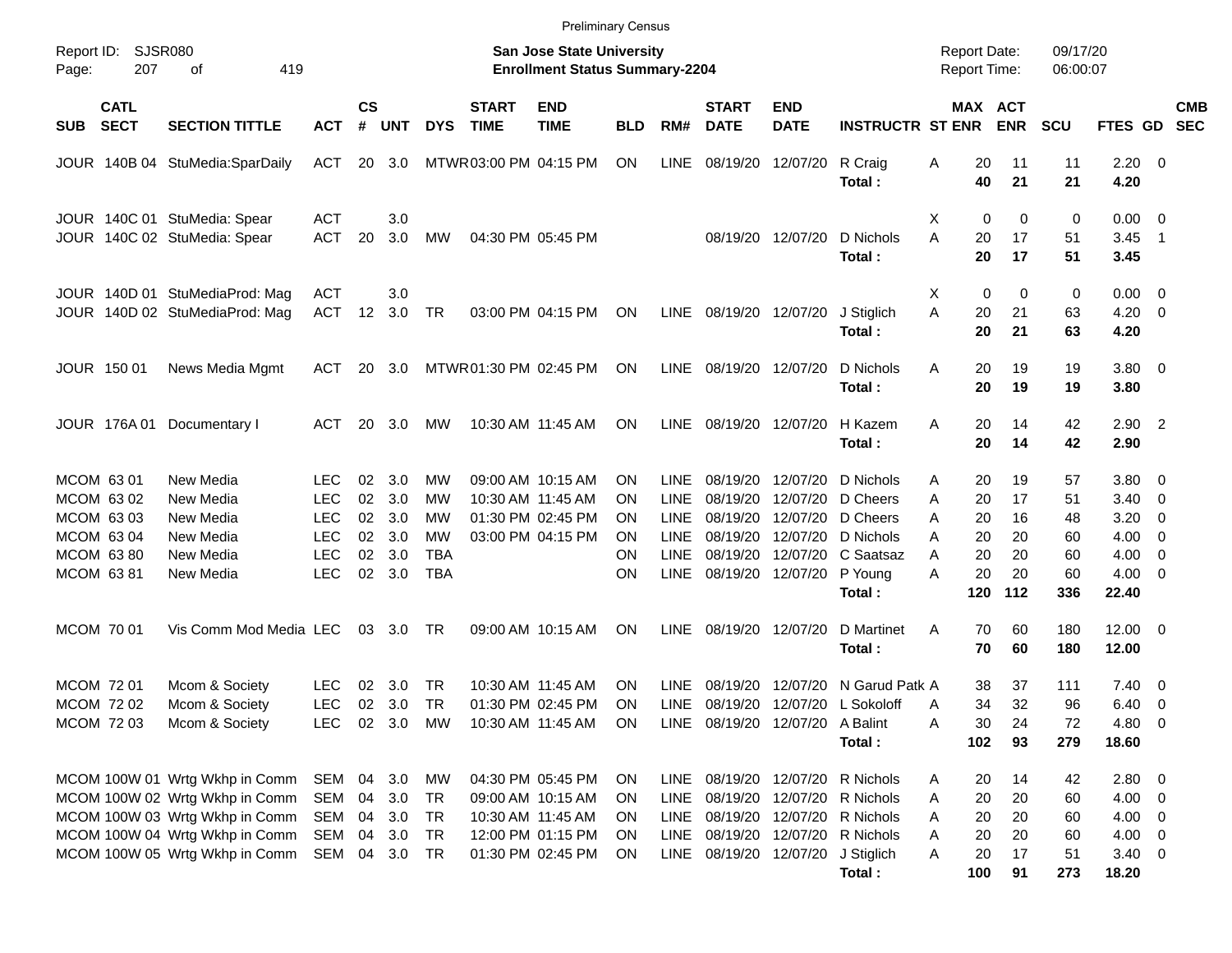|                     |                                        |                                                                                                                                                                        |                                               |                      |                                      |                            |                             |                                                                                                       | <b>Preliminary Census</b>                  |                                                          |                                              |                                              |                                                                                                                               |                                                     |                            |                            |                                                                |                          |            |
|---------------------|----------------------------------------|------------------------------------------------------------------------------------------------------------------------------------------------------------------------|-----------------------------------------------|----------------------|--------------------------------------|----------------------------|-----------------------------|-------------------------------------------------------------------------------------------------------|--------------------------------------------|----------------------------------------------------------|----------------------------------------------|----------------------------------------------|-------------------------------------------------------------------------------------------------------------------------------|-----------------------------------------------------|----------------------------|----------------------------|----------------------------------------------------------------|--------------------------|------------|
| Report ID:<br>Page: | <b>SJSR080</b><br>207                  | 419<br>οf                                                                                                                                                              |                                               |                      |                                      |                            |                             | <b>San Jose State University</b><br><b>Enrollment Status Summary-2204</b>                             |                                            |                                                          |                                              |                                              |                                                                                                                               | <b>Report Date:</b><br>Report Time:                 |                            | 09/17/20<br>06:00:07       |                                                                |                          |            |
| <b>SUB</b>          | <b>CATL</b><br><b>SECT</b>             | <b>SECTION TITTLE</b>                                                                                                                                                  | <b>ACT</b>                                    | $\mathsf{cs}$<br>#   | <b>UNT</b>                           | <b>DYS</b>                 | <b>START</b><br><b>TIME</b> | <b>END</b><br><b>TIME</b>                                                                             | <b>BLD</b>                                 | RM#                                                      | <b>START</b><br><b>DATE</b>                  | <b>END</b><br><b>DATE</b>                    | <b>INSTRUCTR ST ENR</b>                                                                                                       |                                                     | MAX ACT<br><b>ENR</b>      | <b>SCU</b>                 | FTES GD SEC                                                    |                          | <b>CMB</b> |
|                     |                                        | JOUR 140B 04 StuMedia:SparDaily                                                                                                                                        | <b>ACT</b>                                    |                      | 20 3.0                               |                            | MTWR03:00 PM 04:15 PM       |                                                                                                       | ON                                         | <b>LINE</b>                                              | 08/19/20                                     | 12/07/20                                     | R Craig<br>Total:                                                                                                             | Α<br>20<br>40                                       | 11<br>21                   | 11<br>21                   | $2.20 \t 0$<br>4.20                                            |                          |            |
|                     |                                        | JOUR 140C 01 StuMedia: Spear<br>JOUR 140C 02 StuMedia: Spear                                                                                                           | ACT<br><b>ACT</b>                             | 20                   | 3.0<br>3.0                           | MW                         |                             | 04:30 PM 05:45 PM                                                                                     |                                            |                                                          |                                              | 08/19/20 12/07/20                            | D Nichols<br>Total:                                                                                                           | $\mathbf 0$<br>X<br>A<br>20<br>20                   | $\mathbf 0$<br>17<br>17    | 0<br>51<br>51              | $0.00 \t 0$<br>3.45<br>3.45                                    | $\overline{\phantom{1}}$ |            |
|                     |                                        | JOUR 140D 01 StuMediaProd: Mag<br>JOUR 140D 02 StuMediaProd: Mag                                                                                                       | <b>ACT</b><br><b>ACT</b>                      | 12                   | 3.0<br>3.0                           | <b>TR</b>                  |                             | 03:00 PM 04:15 PM                                                                                     | ON                                         | LINE                                                     | 08/19/20 12/07/20                            |                                              | J Stiglich<br>Total:                                                                                                          | $\mathbf 0$<br>X<br>A<br>20<br>20                   | 0<br>21<br>21              | 0<br>63<br>63              | $0.00 \t 0$<br>$4.20 \ 0$<br>4.20                              |                          |            |
|                     | JOUR 150 01                            | News Media Mgmt                                                                                                                                                        | <b>ACT</b>                                    | 20                   | 3.0                                  |                            | MTWR01:30 PM 02:45 PM       |                                                                                                       | <b>ON</b>                                  | <b>LINE</b>                                              | 08/19/20 12/07/20                            |                                              | D Nichols<br>Total:                                                                                                           | Α<br>20<br>20                                       | 19<br>19                   | 19<br>19                   | 3.80 0<br>3.80                                                 |                          |            |
|                     | JOUR 176A 01                           | Documentary I                                                                                                                                                          | ACT                                           | 20                   | 3.0                                  | MW                         |                             | 10:30 AM 11:45 AM                                                                                     | ΟN                                         | LINE                                                     | 08/19/20 12/07/20                            |                                              | H Kazem<br>Total:                                                                                                             | Α<br>20<br>20                                       | 14<br>14                   | 42<br>42                   | $2.90$ 2<br>2.90                                               |                          |            |
| MCOM 63 01          | MCOM 63 02<br>MCOM 63 03<br>MCOM 63 04 | New Media<br>New Media<br>New Media<br>New Media                                                                                                                       | LEC<br><b>LEC</b><br><b>LEC</b><br><b>LEC</b> | 02<br>02<br>02<br>02 | 3.0<br>3.0<br>3.0<br>3.0             | MW<br>MW<br>MW<br>MW       |                             | 09:00 AM 10:15 AM<br>10:30 AM 11:45 AM<br>01:30 PM 02:45 PM<br>03:00 PM 04:15 PM                      | OΝ<br>ON<br>ON<br>ΟN                       | <b>LINE</b><br><b>LINE</b><br><b>LINE</b><br><b>LINE</b> | 08/19/20<br>08/19/20<br>08/19/20<br>08/19/20 | 12/07/20<br>12/07/20<br>12/07/20<br>12/07/20 | D Nichols<br>D Cheers<br>D Cheers<br>D Nichols                                                                                | 20<br>Α<br>Α<br>20<br>Α<br>20<br>20<br>A            | 19<br>17<br>16<br>20       | 57<br>51<br>48<br>60       | 3.80 0<br>$3.40 \ 0$<br>3.20<br>$4.00 \ 0$                     | $\overline{\phantom{0}}$ |            |
|                     | <b>MCOM 6380</b><br>MCOM 63 81         | New Media<br>New Media                                                                                                                                                 | <b>LEC</b><br><b>LEC</b>                      | 02<br>02             | 3.0<br>3.0                           | <b>TBA</b><br><b>TBA</b>   |                             |                                                                                                       | OΝ<br>ΟN                                   | <b>LINE</b><br><b>LINE</b>                               | 08/19/20                                     | 12/07/20<br>08/19/20 12/07/20                | C Saatsaz<br>P Young<br>Total:                                                                                                | 20<br>A<br>20<br>А<br>120                           | 20<br>20<br>112            | 60<br>60<br>336            | $4.00 \ 0$<br>$4.00 \ 0$<br>22.40                              |                          |            |
|                     | MCOM 70 01                             | Vis Comm Mod Media LEC                                                                                                                                                 |                                               |                      | 03 3.0                               | TR.                        |                             | 09:00 AM 10:15 AM                                                                                     | <b>ON</b>                                  | <b>LINE</b>                                              | 08/19/20 12/07/20                            |                                              | D Martinet<br>Total:                                                                                                          | A<br>70<br>70                                       | 60<br>60                   | 180<br>180                 | $12.00 \t 0$<br>12.00                                          |                          |            |
|                     | MCOM 72 01<br>MCOM 72 02<br>MCOM 72 03 | Mcom & Society<br>Mcom & Society<br>Mcom & Society                                                                                                                     | LEC<br><b>LEC</b><br>LEC.                     | 02                   | 3.0<br>02 3.0<br>02 3.0 MW           | <b>TR</b><br>TR            |                             | 10:30 AM 11:45 AM<br>01:30 PM 02:45 PM<br>10:30 AM 11:45 AM ON                                        | OΝ<br>ON                                   | <b>LINE</b><br>LINE                                      | 08/19/20                                     | 12/07/20<br>LINE 08/19/20 12/07/20 A Balint  | N Garud Patk A<br>08/19/20 12/07/20 L Sokoloff<br>Total:                                                                      | 38<br>34<br>A<br>Α<br>30<br>102                     | 37<br>32<br>24<br>93       | 111<br>96<br>72<br>279     | $7.40 \quad 0$<br>$6.40 \quad 0$<br>$4.80\ 0$<br>18.60         |                          |            |
|                     |                                        | MCOM 100W 01 Wrtg Wkhp in Comm<br>MCOM 100W 02 Wrtg Wkhp in Comm<br>MCOM 100W 03 Wrtg Wkhp in Comm<br>MCOM 100W 04 Wrtg Wkhp in Comm<br>MCOM 100W 05 Wrtg Wkhp in Comm | SEM 04 3.0<br>SEM<br>SEM<br>SEM<br>SEM        |                      | 04 3.0<br>04 3.0<br>04 3.0<br>04 3.0 | МW<br>TR<br>TR<br>TR<br>TR |                             | 04:30 PM 05:45 PM<br>09:00 AM 10:15 AM<br>10:30 AM 11:45 AM<br>12:00 PM 01:15 PM<br>01:30 PM 02:45 PM | 0N<br>ON.<br>ON.<br><b>ON</b><br><b>ON</b> | LINE<br>LINE<br>LINE                                     |                                              | LINE 08/19/20 12/07/20 J Stiglich            | LINE 08/19/20 12/07/20 R Nichols<br>08/19/20 12/07/20 R Nichols<br>08/19/20 12/07/20 R Nichols<br>08/19/20 12/07/20 R Nichols | 20<br>A<br>Α<br>20<br>20<br>Α<br>20<br>Α<br>A<br>20 | 14<br>20<br>20<br>20<br>17 | 42<br>60<br>60<br>60<br>51 | 2.80 0<br>$4.00 \ 0$<br>$4.00 \ 0$<br>$4.00 \ 0$<br>$3.40 \ 0$ |                          |            |
|                     |                                        |                                                                                                                                                                        |                                               |                      |                                      |                            |                             |                                                                                                       |                                            |                                                          |                                              |                                              | Total:                                                                                                                        | 100                                                 | 91                         | 273                        | 18.20                                                          |                          |            |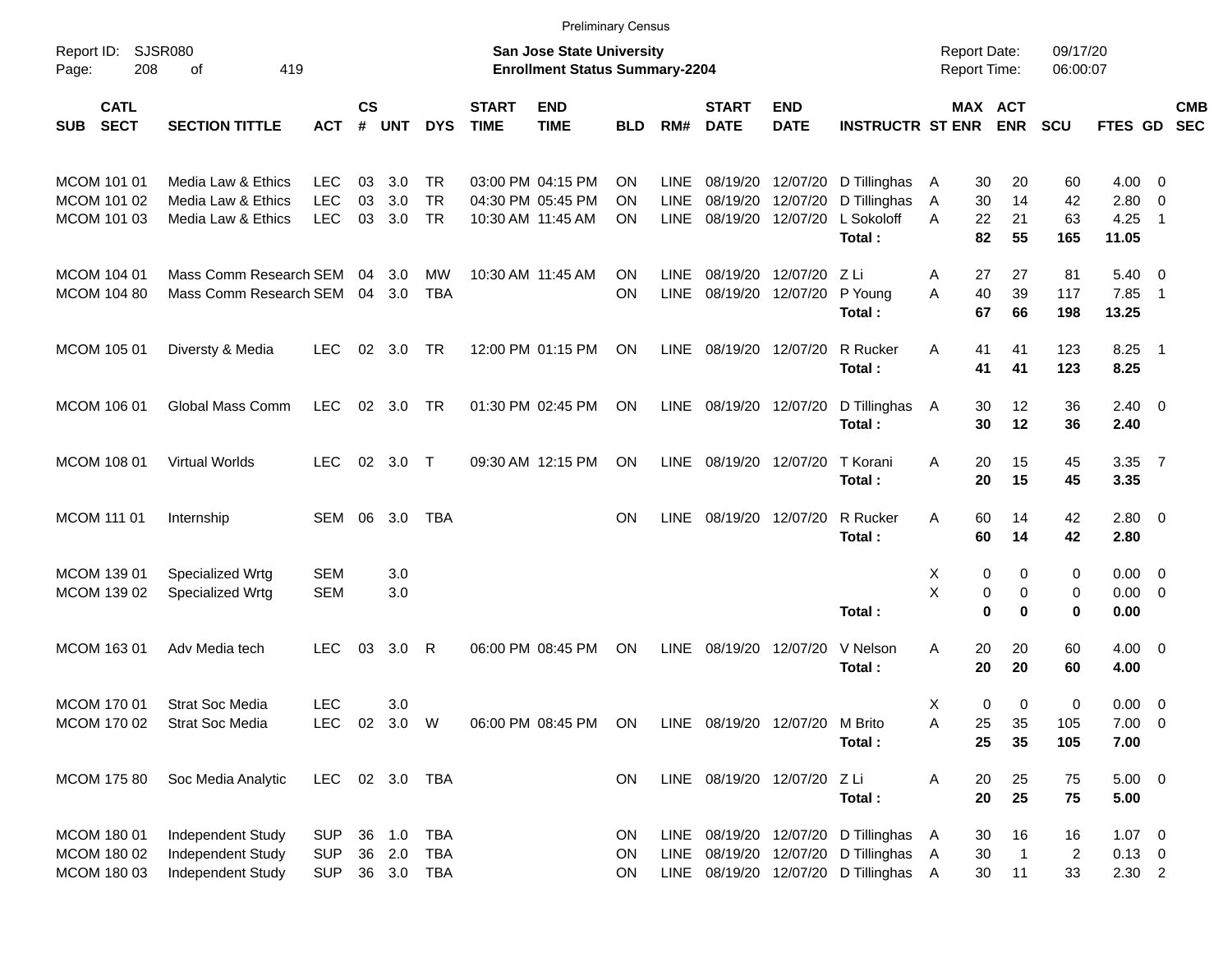|                                           |                                                                    |                                        |                |                      |                                        |                             | <b>Preliminary Census</b>                                                 |                               |                                    |                                  |                                  |                                                                                                                     |                                            |                      |                          |                            |                                       |                                                     |                          |
|-------------------------------------------|--------------------------------------------------------------------|----------------------------------------|----------------|----------------------|----------------------------------------|-----------------------------|---------------------------------------------------------------------------|-------------------------------|------------------------------------|----------------------------------|----------------------------------|---------------------------------------------------------------------------------------------------------------------|--------------------------------------------|----------------------|--------------------------|----------------------------|---------------------------------------|-----------------------------------------------------|--------------------------|
| Report ID:<br>208<br>Page:                | SJSR080<br>419<br>οf                                               |                                        |                |                      |                                        |                             | <b>San Jose State University</b><br><b>Enrollment Status Summary-2204</b> |                               |                                    |                                  |                                  |                                                                                                                     | <b>Report Date:</b><br><b>Report Time:</b> |                      |                          | 09/17/20<br>06:00:07       |                                       |                                                     |                          |
| <b>CATL</b><br><b>SECT</b><br><b>SUB</b>  | <b>SECTION TITTLE</b>                                              | ACT                                    | <b>CS</b><br># | <b>UNT</b>           | <b>DYS</b>                             | <b>START</b><br><b>TIME</b> | <b>END</b><br><b>TIME</b>                                                 | <b>BLD</b>                    | RM#                                | <b>START</b><br><b>DATE</b>      | <b>END</b><br><b>DATE</b>        | <b>INSTRUCTR ST ENR</b>                                                                                             |                                            |                      | MAX ACT<br><b>ENR</b>    | <b>SCU</b>                 | <b>FTES GD</b>                        |                                                     | <b>CMB</b><br><b>SEC</b> |
| MCOM 101 01<br>MCOM 101 02<br>MCOM 101 03 | Media Law & Ethics<br>Media Law & Ethics<br>Media Law & Ethics     | <b>LEC</b><br>LEC<br><b>LEC</b>        | 03<br>03<br>03 | 3.0<br>3.0<br>3.0    | <b>TR</b><br><b>TR</b><br><b>TR</b>    |                             | 03:00 PM 04:15 PM<br>04:30 PM 05:45 PM<br>10:30 AM 11:45 AM               | <b>ON</b><br><b>ON</b><br>ON. | LINE<br><b>LINE</b><br><b>LINE</b> | 08/19/20<br>08/19/20<br>08/19/20 | 12/07/20<br>12/07/20<br>12/07/20 | D Tillinghas<br>D Tillinghas<br>L Sokoloff<br>Total:                                                                | A<br>Α<br>A                                | 30<br>30<br>22<br>82 | 20<br>14<br>21<br>55     | 60<br>42<br>63<br>165      | $4.00 \ 0$<br>2.80<br>4.25<br>11.05   | $\overline{0}$<br>$\overline{1}$                    |                          |
| MCOM 104 01<br><b>MCOM 104 80</b>         | Mass Comm Research SEM<br>Mass Comm Research SEM                   |                                        | 04<br>04       | 3.0<br>3.0           | MW<br><b>TBA</b>                       |                             | 10:30 AM 11:45 AM                                                         | <b>ON</b><br><b>ON</b>        | <b>LINE</b><br><b>LINE</b>         | 08/19/20<br>08/19/20             | 12/07/20<br>12/07/20             | ZLi<br>P Young<br>Total:                                                                                            | Α<br>A                                     | 27<br>40<br>67       | 27<br>39<br>66           | 81<br>117<br>198           | 5.40<br>7.85<br>13.25                 | $\overline{\mathbf{0}}$<br>$\overline{\phantom{0}}$ |                          |
| MCOM 105 01                               | Diversty & Media                                                   | LEC                                    | 02             | 3.0                  | <b>TR</b>                              |                             | 12:00 PM 01:15 PM                                                         | ON.                           | <b>LINE</b>                        | 08/19/20                         | 12/07/20                         | R Rucker<br>Total:                                                                                                  | A                                          | 41<br>41             | 41<br>41                 | 123<br>123                 | 8.25<br>8.25                          | $\overline{\phantom{1}}$                            |                          |
| MCOM 106 01                               | Global Mass Comm                                                   | <b>LEC</b>                             | 02             | 3.0                  | <b>TR</b>                              |                             | 01:30 PM 02:45 PM                                                         | <b>ON</b>                     | LINE                               | 08/19/20                         | 12/07/20                         | D Tillinghas<br>Total:                                                                                              | A                                          | 30<br>30             | 12<br>12                 | 36<br>36                   | $2.40 \quad 0$<br>2.40                |                                                     |                          |
| MCOM 108 01                               | Virtual Worlds                                                     | <b>LEC</b>                             | 02             | 3.0                  | $\top$                                 |                             | 09:30 AM 12:15 PM                                                         | <b>ON</b>                     | <b>LINE</b>                        | 08/19/20                         | 12/07/20                         | T Korani<br>Total:                                                                                                  | A                                          | 20<br>20             | 15<br>15                 | 45<br>45                   | 3.35<br>3.35                          | $\overline{7}$                                      |                          |
| <b>MCOM 111 01</b>                        | Internship                                                         | SEM                                    | 06             | 3.0                  | <b>TBA</b>                             |                             |                                                                           | <b>ON</b>                     | <b>LINE</b>                        |                                  | 08/19/20 12/07/20                | R Rucker<br>Total:                                                                                                  | A                                          | 60<br>60             | 14<br>14                 | 42<br>42                   | $2.80 \t 0$<br>2.80                   |                                                     |                          |
| MCOM 139 01<br><b>MCOM 139 02</b>         | Specialized Wrtg<br>Specialized Wrtg                               | <b>SEM</b><br><b>SEM</b>               |                | 3.0<br>3.0           |                                        |                             |                                                                           |                               |                                    |                                  |                                  | Total:                                                                                                              | X<br>X                                     | 0<br>0<br>$\bf{0}$   | 0<br>0<br>$\mathbf 0$    | 0<br>0<br>0                | $0.00 \t 0$<br>$0.00 \t 0$<br>0.00    |                                                     |                          |
| MCOM 163 01                               | Adv Media tech                                                     | <b>LEC</b>                             | 03             | 3.0                  | R                                      |                             | 06:00 PM 08:45 PM                                                         | ON                            | <b>LINE</b>                        | 08/19/20                         | 12/07/20                         | V Nelson<br>Total:                                                                                                  | A                                          | 20<br>20             | 20<br>20                 | 60<br>60                   | $4.00 \ 0$<br>4.00                    |                                                     |                          |
| <b>MCOM 17001</b><br>MCOM 170 02          | <b>Strat Soc Media</b><br><b>Strat Soc Media</b>                   | <b>LEC</b><br><b>LEC</b>               | 02             | 3.0<br>3.0 W         |                                        |                             | 06:00 PM 08:45 PM                                                         | ON                            |                                    | LINE 08/19/20 12/07/20 M Brito   |                                  | Total:                                                                                                              | X<br>Α                                     | 0<br>25<br>25        | $\mathbf 0$<br>35<br>35  | 0<br>105<br>105            | $0.00 \t 0$<br>$7.00 \t 0$<br>7.00    |                                                     |                          |
| <b>MCOM 175 80</b>                        | Soc Media Analytic                                                 | <b>LEC</b>                             |                |                      | 02 3.0 TBA                             |                             |                                                                           | ON                            |                                    | LINE 08/19/20 12/07/20 Z Li      |                                  | Total:                                                                                                              | Α                                          | 20<br>20             | 25<br>25                 | 75<br>75                   | $5.00 \t 0$<br>5.00                   |                                                     |                          |
| MCOM 180 01<br>MCOM 180 02<br>MCOM 180 03 | Independent Study<br>Independent Study<br><b>Independent Study</b> | <b>SUP</b><br><b>SUP</b><br><b>SUP</b> | 36<br>36       | 1.0<br>2.0<br>36 3.0 | <b>TBA</b><br><b>TBA</b><br><b>TBA</b> |                             |                                                                           | ON<br>ON<br>ON                |                                    |                                  |                                  | LINE 08/19/20 12/07/20 D Tillinghas<br>LINE 08/19/20 12/07/20 D Tillinghas<br>LINE 08/19/20 12/07/20 D Tillinghas A | A<br>A                                     | 30<br>30<br>30       | 16<br>$\mathbf{1}$<br>11 | 16<br>$\overline{c}$<br>33 | $1.07 \t 0$<br>$0.13 \ 0$<br>$2.30$ 2 |                                                     |                          |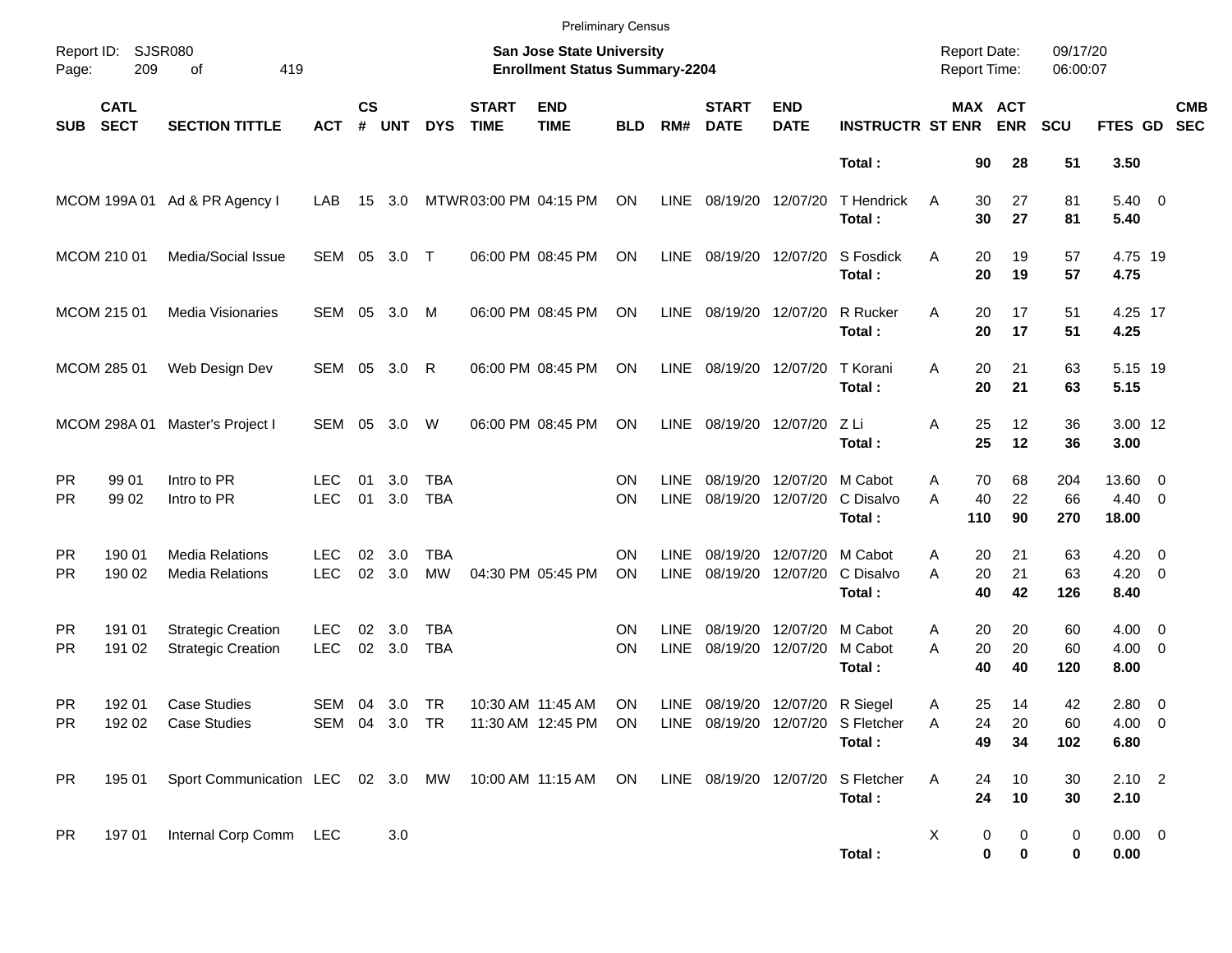|                        |                            |                                                        |                          |                    |            |                          |                             | <b>Preliminary Census</b>                                          |                 |                            |                                 |                           |                                             |                                            |                 |                       |                      |                                    |                          |
|------------------------|----------------------------|--------------------------------------------------------|--------------------------|--------------------|------------|--------------------------|-----------------------------|--------------------------------------------------------------------|-----------------|----------------------------|---------------------------------|---------------------------|---------------------------------------------|--------------------------------------------|-----------------|-----------------------|----------------------|------------------------------------|--------------------------|
| Page:                  | Report ID: SJSR080<br>209  | 419<br>of                                              |                          |                    |            |                          |                             | San Jose State University<br><b>Enrollment Status Summary-2204</b> |                 |                            |                                 |                           |                                             | <b>Report Date:</b><br><b>Report Time:</b> |                 |                       | 09/17/20<br>06:00:07 |                                    |                          |
| <b>SUB</b>             | <b>CATL</b><br><b>SECT</b> | <b>SECTION TITTLE</b>                                  | <b>ACT</b>               | $\mathsf{cs}$<br># | <b>UNT</b> | <b>DYS</b>               | <b>START</b><br><b>TIME</b> | <b>END</b><br><b>TIME</b>                                          | <b>BLD</b>      | RM#                        | <b>START</b><br><b>DATE</b>     | <b>END</b><br><b>DATE</b> | <b>INSTRUCTR ST ENR</b>                     |                                            |                 | MAX ACT<br><b>ENR</b> | <b>SCU</b>           | FTES GD                            | <b>CMB</b><br><b>SEC</b> |
|                        |                            |                                                        |                          |                    |            |                          |                             |                                                                    |                 |                            |                                 |                           | Total:                                      |                                            | 90              | 28                    | 51                   | 3.50                               |                          |
|                        |                            | MCOM 199A 01 Ad & PR Agency I                          | LAB                      | 15                 | 3.0        |                          | MTWR03:00 PM 04:15 PM       |                                                                    | ON              | LINE                       | 08/19/20 12/07/20               |                           | <b>T</b> Hendrick<br>Total:                 | A                                          | 30<br>30        | 27<br>27              | 81<br>81             | $5.40 \ 0$<br>5.40                 |                          |
|                        | MCOM 210 01                | Media/Social Issue                                     | SEM                      | 05                 | 3.0 T      |                          |                             | 06:00 PM 08:45 PM                                                  | ON              | LINE                       | 08/19/20 12/07/20               |                           | S Fosdick<br>Total:                         | A                                          | 20<br>20        | 19<br>19              | 57<br>57             | 4.75 19<br>4.75                    |                          |
|                        | MCOM 215 01                | <b>Media Visionaries</b>                               | SEM                      | 05                 | 3.0        | M                        |                             | 06:00 PM 08:45 PM                                                  | <b>ON</b>       | LINE                       | 08/19/20 12/07/20               |                           | R Rucker<br>Total:                          | A                                          | 20<br>20        | 17<br>17              | 51<br>51             | 4.25 17<br>4.25                    |                          |
|                        | MCOM 285 01                | Web Design Dev                                         | SEM 05                   |                    | 3.0        | R                        |                             | 06:00 PM 08:45 PM                                                  | <b>ON</b>       | LINE                       | 08/19/20 12/07/20               |                           | T Korani<br>Total:                          | A                                          | 20<br>20        | 21<br>21              | 63<br>63             | 5.15 19<br>5.15                    |                          |
|                        | MCOM 298A 01               | Master's Project I                                     | SEM 05                   |                    | 3.0        | W                        |                             | 06:00 PM 08:45 PM                                                  | ON              | <b>LINE</b>                | 08/19/20 12/07/20               |                           | ZLi<br>Total:                               | Α                                          | 25<br>25        | 12<br>12              | 36<br>36             | 3.00 12<br>3.00                    |                          |
| <b>PR</b><br><b>PR</b> | 99 01<br>99 02             | Intro to PR<br>Intro to PR                             | <b>LEC</b><br><b>LEC</b> | 01<br>01           | 3.0<br>3.0 | <b>TBA</b><br><b>TBA</b> |                             |                                                                    | ΟN<br>ON        | <b>LINE</b><br><b>LINE</b> | 08/19/20<br>08/19/20            | 12/07/20<br>12/07/20      | M Cabot<br>C Disalvo<br>Total:              | A<br>A                                     | 70<br>40<br>110 | 68<br>22<br>90        | 204<br>66<br>270     | 13.60 0<br>$4.40 \quad 0$<br>18.00 |                          |
| <b>PR</b><br><b>PR</b> | 190 01<br>190 02           | <b>Media Relations</b><br><b>Media Relations</b>       | <b>LEC</b><br><b>LEC</b> | 02<br>02           | 3.0<br>3.0 | <b>TBA</b><br><b>MW</b>  |                             | 04:30 PM 05:45 PM                                                  | ON<br><b>ON</b> | <b>LINE</b><br><b>LINE</b> | 08/19/20<br>08/19/20 12/07/20   | 12/07/20                  | M Cabot<br>C Disalvo<br>Total:              | A<br>A                                     | 20<br>20<br>40  | 21<br>21<br>42        | 63<br>63<br>126      | $4.20 \ 0$<br>$4.20 \ 0$<br>8.40   |                          |
| <b>PR</b><br><b>PR</b> | 191 01<br>191 02           | <b>Strategic Creation</b><br><b>Strategic Creation</b> | <b>LEC</b><br><b>LEC</b> | 02<br>$02\,$       | 3.0<br>3.0 | <b>TBA</b><br><b>TBA</b> |                             |                                                                    | ΟN<br>ON        | <b>LINE</b><br><b>LINE</b> | 08/19/20<br>08/19/20            | 12/07/20<br>12/07/20      | M Cabot<br>M Cabot<br>Total:                | A<br>A                                     | 20<br>20<br>40  | 20<br>20<br>40        | 60<br>60<br>120      | $4.00 \ 0$<br>$4.00 \ 0$<br>8.00   |                          |
| <b>PR</b><br><b>PR</b> | 192 01                     | <b>Case Studies</b><br>192 02 Case Studies             | SEM 04 3.0 TR            |                    |            |                          |                             | 10:30 AM 11:45 AM<br>SEM 04 3.0 TR 11:30 AM 12:45 PM ON            | ON              |                            | LINE 08/19/20 12/07/20 R Siegel |                           | LINE 08/19/20 12/07/20 S Fletcher<br>Total: | A<br>Α                                     | 25<br>24<br>49  | 14<br>20<br>34        | 42<br>60<br>102      | 2.80 0<br>4.00 0<br>6.80           |                          |
| <b>PR</b>              | 195 01                     | Sport Communication LEC 02 3.0 MW 10:00 AM 11:15 AM ON |                          |                    |            |                          |                             |                                                                    |                 |                            | LINE 08/19/20 12/07/20          |                           | S Fletcher<br>Total:                        | Α                                          | 24<br>24        | 10<br>10              | 30<br>30             | $2.10$ 2<br>2.10                   |                          |
| <b>PR</b>              | 197 01                     | Internal Corp Comm LEC                                 |                          |                    | 3.0        |                          |                             |                                                                    |                 |                            |                                 |                           | Total:                                      | X                                          | 0<br>0          | 0<br>0                | $\pmb{0}$<br>0       | $0.00 \t 0$<br>0.00                |                          |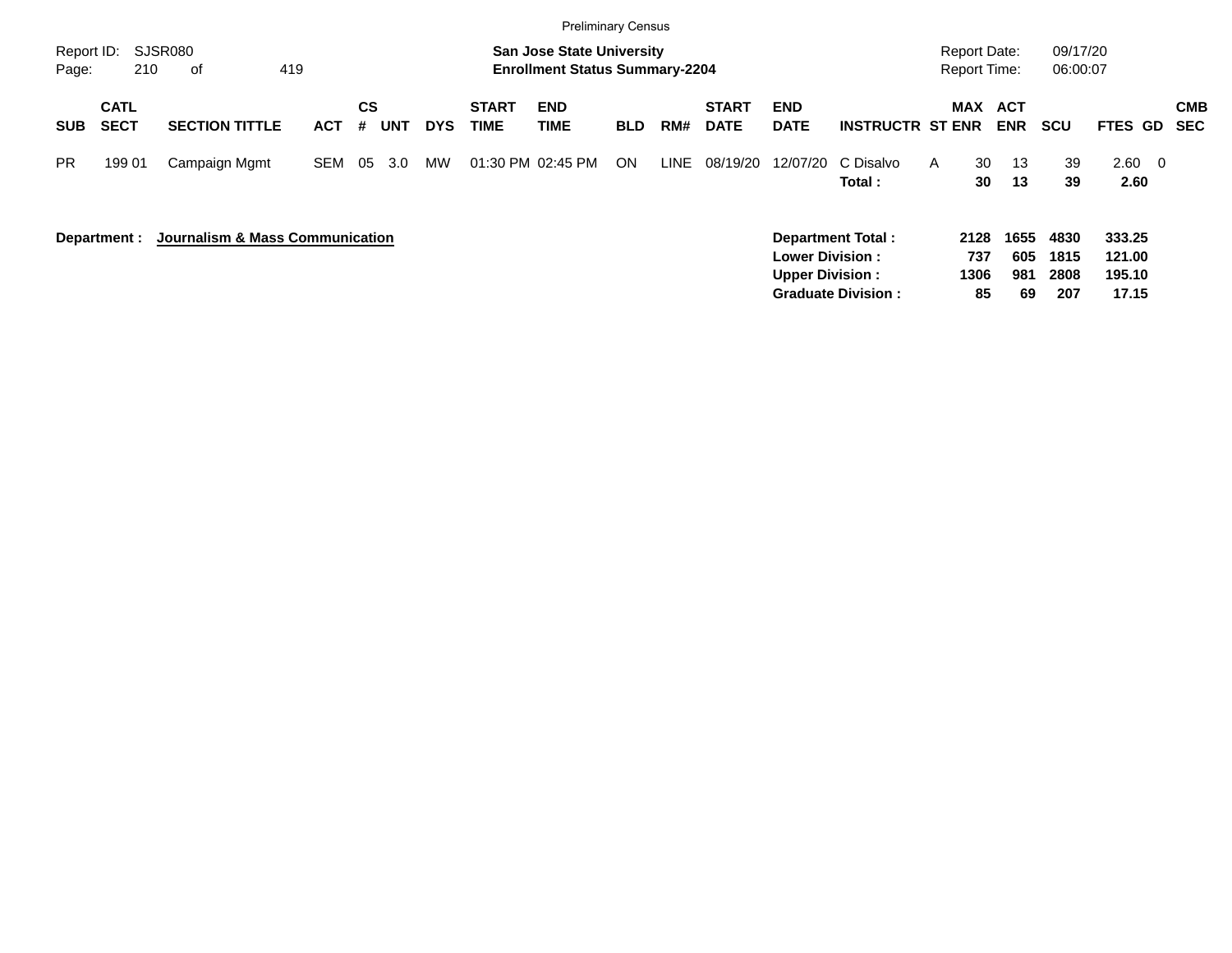|                     |                            |                                 |            |                |            |            |                      | <b>Preliminary Census</b>                                                 |            |      |                             |                                                  |                           |                                            |                     |                    |                      |                                |                          |
|---------------------|----------------------------|---------------------------------|------------|----------------|------------|------------|----------------------|---------------------------------------------------------------------------|------------|------|-----------------------------|--------------------------------------------------|---------------------------|--------------------------------------------|---------------------|--------------------|----------------------|--------------------------------|--------------------------|
| Report ID:<br>Page: | 210                        | SJSR080<br>419<br>of            |            |                |            |            |                      | <b>San Jose State University</b><br><b>Enrollment Status Summary-2204</b> |            |      |                             |                                                  |                           | <b>Report Date:</b><br><b>Report Time:</b> |                     |                    | 09/17/20<br>06:00:07 |                                |                          |
| <b>SUB</b>          | <b>CATL</b><br><b>SECT</b> | <b>SECTION TITTLE</b>           | <b>ACT</b> | <b>CS</b><br># | <b>UNT</b> | <b>DYS</b> | <b>START</b><br>TIME | <b>END</b><br><b>TIME</b>                                                 | <b>BLD</b> | RM#  | <b>START</b><br><b>DATE</b> | <b>END</b><br><b>DATE</b>                        | <b>INSTRUCTR ST ENR</b>   |                                            | MAX ACT             | <b>ENR</b>         | <b>SCU</b>           | FTES GD                        | <b>CMB</b><br><b>SEC</b> |
| <b>PR</b>           | 199 01                     | Campaign Mgmt                   | <b>SEM</b> | 05             | 3.0        | <b>MW</b>  |                      | 01:30 PM 02:45 PM                                                         | <b>ON</b>  | LINE | 08/19/20                    | 12/07/20                                         | C Disalvo<br>Total:       | $\mathsf{A}$                               | 30<br>30            | 13<br>13           | 39<br>39             | 2.60<br>$\overline{0}$<br>2.60 |                          |
|                     | Department :               | Journalism & Mass Communication |            |                |            |            |                      |                                                                           |            |      |                             | <b>Lower Division:</b><br><b>Upper Division:</b> | <b>Department Total:</b>  |                                            | 2128<br>737<br>1306 | 1655<br>605<br>981 | 4830<br>1815<br>2808 | 333.25<br>121.00<br>195.10     |                          |
|                     |                            |                                 |            |                |            |            |                      |                                                                           |            |      |                             |                                                  | <b>Graduate Division:</b> |                                            | 85                  | 69                 | 207                  | 17.15                          |                          |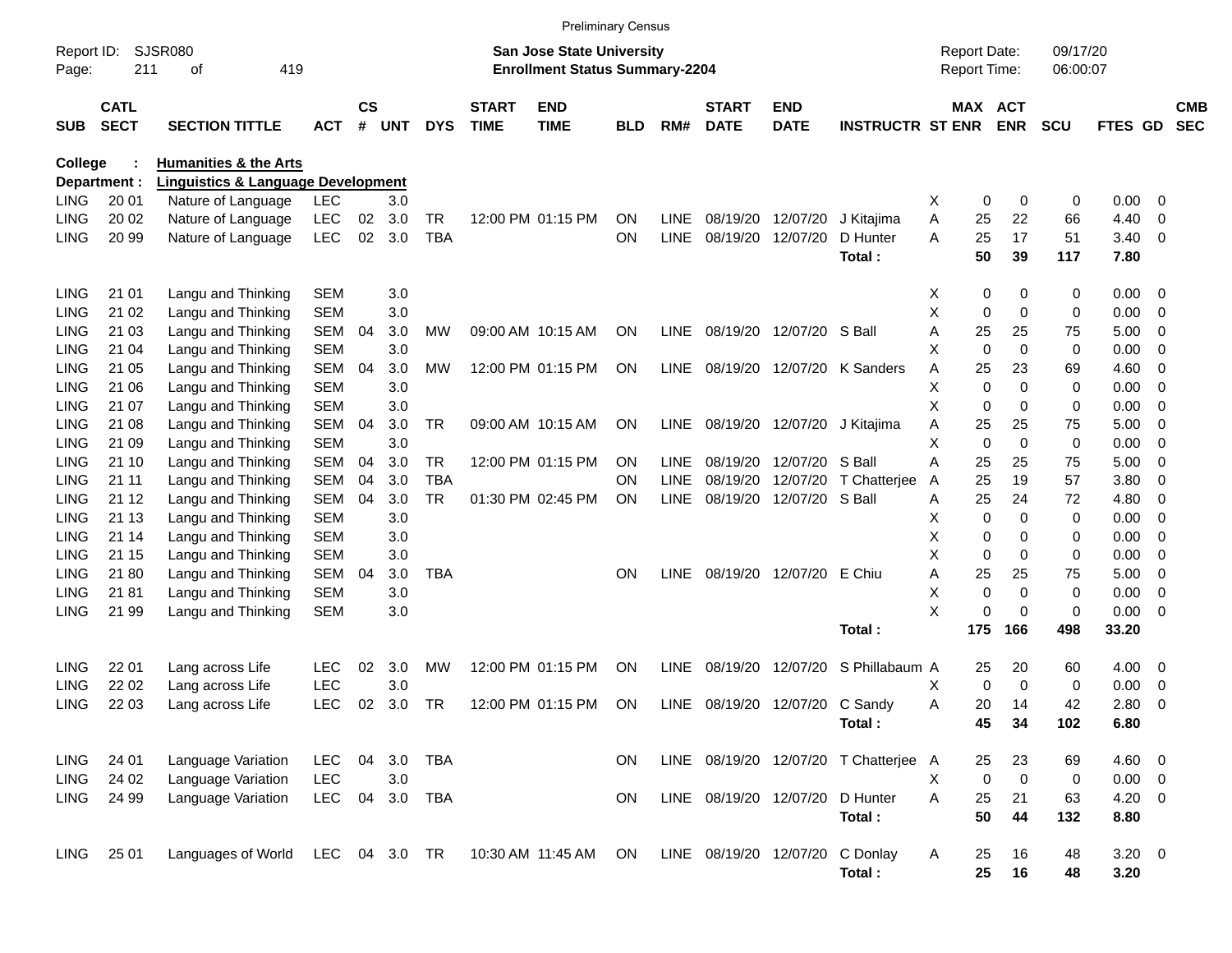|                     |                            |                                               |            |                |            |            |                             |                                                                    | <b>Preliminary Census</b> |             |                             |                           |                                       |                                     |                       |                      |             |     |                          |
|---------------------|----------------------------|-----------------------------------------------|------------|----------------|------------|------------|-----------------------------|--------------------------------------------------------------------|---------------------------|-------------|-----------------------------|---------------------------|---------------------------------------|-------------------------------------|-----------------------|----------------------|-------------|-----|--------------------------|
| Report ID:<br>Page: | 211                        | <b>SJSR080</b><br>οf<br>419                   |            |                |            |            |                             | San Jose State University<br><b>Enrollment Status Summary-2204</b> |                           |             |                             |                           |                                       | <b>Report Date:</b><br>Report Time: |                       | 09/17/20<br>06:00:07 |             |     |                          |
| <b>SUB</b>          | <b>CATL</b><br><b>SECT</b> | <b>SECTION TITTLE</b>                         | <b>ACT</b> | <b>CS</b><br># | <b>UNT</b> | <b>DYS</b> | <b>START</b><br><b>TIME</b> | <b>END</b><br><b>TIME</b>                                          | BLD                       | RM#         | <b>START</b><br><b>DATE</b> | <b>END</b><br><b>DATE</b> | <b>INSTRUCTR ST ENR</b>               |                                     | MAX ACT<br><b>ENR</b> | <b>SCU</b>           | FTES GD     |     | <b>CMB</b><br><b>SEC</b> |
| <b>College</b>      |                            | <b>Humanities &amp; the Arts</b>              |            |                |            |            |                             |                                                                    |                           |             |                             |                           |                                       |                                     |                       |                      |             |     |                          |
|                     | Department :               | <b>Linguistics &amp; Language Development</b> |            |                |            |            |                             |                                                                    |                           |             |                             |                           |                                       |                                     |                       |                      |             |     |                          |
| <b>LING</b>         | 20 01                      | Nature of Language                            | <b>LEC</b> |                | 3.0        |            |                             |                                                                    |                           |             |                             |                           |                                       | х                                   | 0                     | 0<br>0               | 0.00        | - 0 |                          |
| <b>LING</b>         | 20 02                      | Nature of Language                            | <b>LEC</b> | 02             | 3.0        | TR         |                             | 12:00 PM 01:15 PM                                                  | <b>ON</b>                 | <b>LINE</b> | 08/19/20                    | 12/07/20                  | J Kitajima                            | Α                                   | 22<br>25              | 66                   | 4.40        | 0   |                          |
| <b>LING</b>         | 20 99                      | Nature of Language                            | <b>LEC</b> | 02             | 3.0        | <b>TBA</b> |                             |                                                                    | ON                        | <b>LINE</b> | 08/19/20                    | 12/07/20                  | D Hunter                              | Α                                   | 25<br>17              | 51                   | 3.40        | - 0 |                          |
|                     |                            |                                               |            |                |            |            |                             |                                                                    |                           |             |                             |                           | Total:                                |                                     | 50<br>39              | 117                  | 7.80        |     |                          |
| <b>LING</b>         | 21 01                      | Langu and Thinking                            | <b>SEM</b> |                | 3.0        |            |                             |                                                                    |                           |             |                             |                           |                                       | X                                   | 0                     | 0<br>0               | 0.00        | - 0 |                          |
| <b>LING</b>         | 21 02                      | Langu and Thinking                            | <b>SEM</b> |                | 3.0        |            |                             |                                                                    |                           |             |                             |                           |                                       | X                                   | 0                     | 0<br>0               | 0.00        | - 0 |                          |
| <b>LING</b>         | 21 03                      | Langu and Thinking                            | <b>SEM</b> | 04             | 3.0        | MW         |                             | 09:00 AM 10:15 AM                                                  | <b>ON</b>                 | <b>LINE</b> | 08/19/20                    | 12/07/20                  | S Ball                                | Α                                   | 25<br>25              | 75                   | 5.00        | 0   |                          |
| <b>LING</b>         | 21 04                      | Langu and Thinking                            | <b>SEM</b> |                | 3.0        |            |                             |                                                                    |                           |             |                             |                           |                                       | Χ                                   | 0                     | 0<br>0               | 0.00        | 0   |                          |
| <b>LING</b>         | 21 05                      | Langu and Thinking                            | <b>SEM</b> | 04             | 3.0        | MW         |                             | 12:00 PM 01:15 PM                                                  | <b>ON</b>                 | <b>LINE</b> | 08/19/20                    | 12/07/20                  | K Sanders                             | Α                                   | 25<br>23              | 69                   | 4.60        | 0   |                          |
| <b>LING</b>         | 21 06                      | Langu and Thinking                            | <b>SEM</b> |                | 3.0        |            |                             |                                                                    |                           |             |                             |                           |                                       | Χ                                   | 0                     | 0<br>0               | 0.00        | 0   |                          |
| <b>LING</b>         | 21 07                      | Langu and Thinking                            | <b>SEM</b> |                | 3.0        |            |                             |                                                                    |                           |             |                             |                           |                                       | Χ                                   | 0                     | 0<br>0               | 0.00        | 0   |                          |
| <b>LING</b>         | 21 08                      | Langu and Thinking                            | <b>SEM</b> | 04             | 3.0        | TR         |                             | 09:00 AM 10:15 AM                                                  | <b>ON</b>                 | <b>LINE</b> |                             | 08/19/20 12/07/20         | J Kitajima                            | Α                                   | 25<br>25              | 75                   | 5.00        | 0   |                          |
| <b>LING</b>         | 21 09                      | Langu and Thinking                            | <b>SEM</b> |                | 3.0        |            |                             |                                                                    |                           |             |                             |                           |                                       | Χ                                   | 0                     | $\mathbf 0$<br>0     | 0.00        | 0   |                          |
| <b>LING</b>         | 21 10                      | Langu and Thinking                            | <b>SEM</b> | 04             | 3.0        | TR         |                             | 12:00 PM 01:15 PM                                                  | <b>ON</b>                 | LINE        | 08/19/20                    | 12/07/20                  | S Ball                                | Α                                   | 25<br>25              | 75                   | 5.00        | 0   |                          |
| <b>LING</b>         | 21 11                      | Langu and Thinking                            | <b>SEM</b> | 04             | 3.0        | <b>TBA</b> |                             |                                                                    | ΟN                        | LINE        | 08/19/20                    | 12/07/20                  | T Chatterjee                          | A                                   | 25<br>19              | 57                   | 3.80        | 0   |                          |
| <b>LING</b>         | 21 12                      | Langu and Thinking                            | <b>SEM</b> | 04             | 3.0        | <b>TR</b>  |                             | 01:30 PM 02:45 PM                                                  | <b>ON</b>                 | <b>LINE</b> | 08/19/20                    | 12/07/20                  | S Ball                                | Α                                   | 25<br>24              | 72                   | 4.80        | 0   |                          |
| <b>LING</b>         | 21 13                      | Langu and Thinking                            | <b>SEM</b> |                | 3.0        |            |                             |                                                                    |                           |             |                             |                           |                                       | Х                                   | 0                     | 0<br>0               | 0.00        | 0   |                          |
| <b>LING</b>         | 21 14                      | Langu and Thinking                            | <b>SEM</b> |                | 3.0        |            |                             |                                                                    |                           |             |                             |                           |                                       | Χ                                   | 0                     | 0<br>0               | 0.00        | 0   |                          |
| <b>LING</b>         | 21 15                      | Langu and Thinking                            | <b>SEM</b> |                | 3.0        |            |                             |                                                                    |                           |             |                             |                           |                                       | Χ                                   | 0                     | 0<br>0               | 0.00        | 0   |                          |
| <b>LING</b>         | 21 80                      | Langu and Thinking                            | SEM        | 04             | 3.0        | <b>TBA</b> |                             |                                                                    | <b>ON</b>                 | <b>LINE</b> |                             | 08/19/20 12/07/20         | E Chiu                                | Α                                   | 25<br>25              | 75                   | 5.00        | - 0 |                          |
| <b>LING</b>         | 2181                       | Langu and Thinking                            | <b>SEM</b> |                | 3.0        |            |                             |                                                                    |                           |             |                             |                           |                                       | X                                   | 0                     | 0<br>0               | 0.00        | 0   |                          |
| <b>LING</b>         | 21 99                      | Langu and Thinking                            | <b>SEM</b> |                | 3.0        |            |                             |                                                                    |                           |             |                             |                           |                                       | X                                   | 0                     | $\Omega$<br>0        | 0.00        | -0  |                          |
|                     |                            |                                               |            |                |            |            |                             |                                                                    |                           |             |                             |                           | Total:                                | 175                                 | 166                   | 498                  | 33.20       |     |                          |
| <b>LING</b>         | 22 01                      | Lang across Life                              | <b>LEC</b> | 02             | 3.0        | MW         |                             | 12:00 PM 01:15 PM                                                  | <b>ON</b>                 | LINE        | 08/19/20                    | 12/07/20                  | S Phillabaum A                        |                                     | 25<br>20              | 60                   | 4.00        | - 0 |                          |
| <b>LING</b>         | 22 02                      | Lang across Life                              | <b>LEC</b> |                | 3.0        |            |                             |                                                                    |                           |             |                             |                           |                                       | Х                                   | 0                     | 0<br>0               | 0.00        | 0   |                          |
| <b>LING</b>         | 22 03                      | Lang across Life                              | <b>LEC</b> | 02             | 3.0        | TR         |                             | 12:00 PM 01:15 PM                                                  | <b>ON</b>                 | LINE        |                             | 08/19/20 12/07/20 C Sandy |                                       | Α                                   | 20<br>14              | 42                   | 2.80        | 0   |                          |
|                     |                            |                                               |            |                |            |            |                             |                                                                    |                           |             |                             |                           | Total:                                |                                     | 45<br>34              | 102                  | 6.80        |     |                          |
| <b>LING</b>         | 24 01                      | Language Variation                            | <b>LEC</b> | 04             | 3.0        | TBA        |                             |                                                                    | <b>ON</b>                 |             |                             |                           | LINE 08/19/20 12/07/20 T Chatterjee A |                                     | 23<br>25              | 69                   | 4.60 0      |     |                          |
| <b>LING</b>         | 24 02                      | Language Variation                            | <b>LEC</b> |                | 3.0        |            |                             |                                                                    |                           |             |                             |                           |                                       | X                                   | 0                     | $\mathbf 0$<br>0     | $0.00 \t 0$ |     |                          |
| LING                | 24 99                      | Language Variation                            | <b>LEC</b> | 04             | 3.0        | TBA        |                             |                                                                    | <b>ON</b>                 |             | LINE 08/19/20 12/07/20      |                           | D Hunter                              | Α                                   | 25<br>21              | 63                   | $4.20 \ 0$  |     |                          |
|                     |                            |                                               |            |                |            |            |                             |                                                                    |                           |             |                             |                           | Total:                                |                                     | 50<br>44              | 132                  | 8.80        |     |                          |
| LING                | 25 01                      | Languages of World LEC 04 3.0 TR              |            |                |            |            |                             | 10:30 AM 11:45 AM ON                                               |                           |             | LINE 08/19/20 12/07/20      |                           | C Donlay                              | A                                   | 16<br>25              | 48                   | $3.20 \ 0$  |     |                          |
|                     |                            |                                               |            |                |            |            |                             |                                                                    |                           |             |                             |                           | Total:                                |                                     | 25<br>16              | 48                   | 3.20        |     |                          |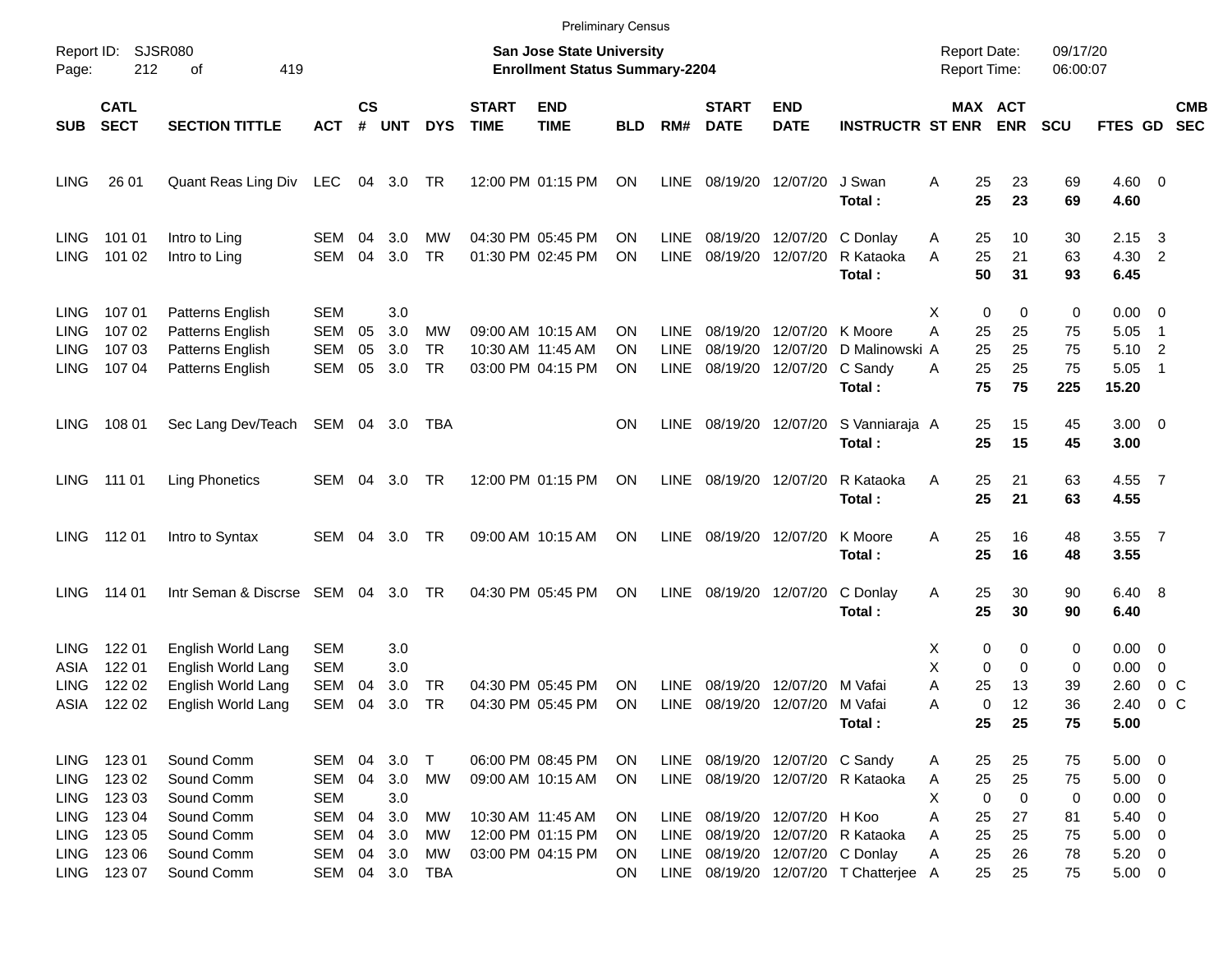|                                                                         |                                                |                                                                                      |                                                         |                |                                 |                                        |                             |                                                                                  | <b>Preliminary Census</b>   |                                           |                                  |                                                      |                                                            |                                                    |                                         |                            |                                                                        |                                                   |                          |
|-------------------------------------------------------------------------|------------------------------------------------|--------------------------------------------------------------------------------------|---------------------------------------------------------|----------------|---------------------------------|----------------------------------------|-----------------------------|----------------------------------------------------------------------------------|-----------------------------|-------------------------------------------|----------------------------------|------------------------------------------------------|------------------------------------------------------------|----------------------------------------------------|-----------------------------------------|----------------------------|------------------------------------------------------------------------|---------------------------------------------------|--------------------------|
| Page:                                                                   | SJSR080<br>Report ID:<br>212<br>419<br>οf      |                                                                                      |                                                         |                |                                 |                                        |                             | <b>San Jose State University</b><br><b>Enrollment Status Summary-2204</b>        |                             |                                           |                                  |                                                      |                                                            | <b>Report Date:</b><br><b>Report Time:</b>         |                                         | 09/17/20<br>06:00:07       |                                                                        |                                                   |                          |
| <b>SUB</b>                                                              | <b>CATL</b><br><b>SECT</b>                     | <b>SECTION TITTLE</b>                                                                | <b>ACT</b>                                              | <b>CS</b><br># | <b>UNT</b>                      | <b>DYS</b>                             | <b>START</b><br><b>TIME</b> | <b>END</b><br><b>TIME</b>                                                        | <b>BLD</b>                  | RM#                                       | <b>START</b><br><b>DATE</b>      | <b>END</b><br><b>DATE</b>                            | <b>INSTRUCTR ST ENR</b>                                    |                                                    | MAX ACT<br><b>ENR</b>                   | <b>SCU</b>                 | <b>FTES GD</b>                                                         |                                                   | <b>CMB</b><br><b>SEC</b> |
| <b>LING</b>                                                             | 26 01                                          | Quant Reas Ling Div LEC 04 3.0 TR                                                    |                                                         |                |                                 |                                        |                             | 12:00 PM 01:15 PM                                                                | ON                          | <b>LINE</b>                               |                                  | 08/19/20 12/07/20                                    | J Swan<br>Total:                                           | Α<br>25<br>25                                      | 23<br>23                                | 69<br>69                   | $4.60$ 0<br>4.60                                                       |                                                   |                          |
| <b>LING</b><br><b>LING</b>                                              | 101 01<br>101 02                               | Intro to Ling<br>Intro to Ling                                                       | SEM<br>SEM                                              | 04<br>04       | 3.0<br>3.0                      | МW<br>TR                               |                             | 04:30 PM 05:45 PM<br>01:30 PM 02:45 PM                                           | ON<br>ΟN                    | LINE.<br><b>LINE</b>                      | 08/19/20<br>08/19/20             |                                                      | 12/07/20 C Donlay<br>12/07/20 R Kataoka<br>Total:          | 25<br>A<br>25<br>Α<br>50                           | 10<br>21<br>31                          | 30<br>63<br>93             | 2.15<br>4.30 2<br>6.45                                                 | $\overline{\mathbf{3}}$                           |                          |
| LING.<br><b>LING</b><br>LING.<br><b>LING</b>                            | 107 01<br>107 02<br>107 03<br>107 04           | Patterns English<br>Patterns English<br>Patterns English<br>Patterns English         | <b>SEM</b><br><b>SEM</b><br>SEM<br><b>SEM</b>           | 05<br>05<br>05 | 3.0<br>3.0<br>3.0<br>3.0        | МW<br><b>TR</b><br>TR                  |                             | 09:00 AM 10:15 AM<br>10:30 AM 11:45 AM<br>03:00 PM 04:15 PM                      | ΟN<br>ΟN<br>ON              | <b>LINE</b><br><b>LINE</b><br><b>LINE</b> | 08/19/20<br>08/19/20<br>08/19/20 | 12/07/20 K Moore<br>12/07/20<br>12/07/20 C Sandy     | D Malinowski A<br>Total:                                   | х<br>Α<br>25<br>25<br>25<br>A<br>75                | 0<br>0<br>25<br>25<br>25<br>75          | 0<br>75<br>75<br>75<br>225 | $0.00 \t 0$<br>5.05<br>5.10<br>5.05<br>15.20                           | - 1<br>$\overline{\phantom{0}}$<br>$\overline{1}$ |                          |
| LING.                                                                   | 108 01                                         | Sec Lang Dev/Teach                                                                   | SEM 04 3.0                                              |                |                                 | TBA                                    |                             |                                                                                  | ΟN                          | LINE.                                     |                                  |                                                      | 08/19/20 12/07/20 S Vanniaraja A<br>Total:                 | 25<br>25                                           | 15<br>15                                | 45<br>45                   | $3.00 \ 0$<br>3.00                                                     |                                                   |                          |
| LING                                                                    | 111 01                                         | <b>Ling Phonetics</b>                                                                | SEM                                                     | 04             | 3.0                             | TR                                     |                             | 12:00 PM 01:15 PM                                                                | ON                          | <b>LINE</b>                               |                                  | 08/19/20 12/07/20                                    | R Kataoka<br>Total:                                        | 25<br>Α<br>25                                      | 21<br>21                                | 63<br>63                   | 4.55 7<br>4.55                                                         |                                                   |                          |
| <b>LING</b>                                                             | 112 01                                         | Intro to Syntax                                                                      | SEM                                                     | 04             | 3.0                             | TR                                     |                             | 09:00 AM 10:15 AM                                                                | ON                          | <b>LINE</b>                               |                                  | 08/19/20 12/07/20                                    | K Moore<br>Total:                                          | 25<br>Α<br>25                                      | 16<br>16                                | 48<br>48                   | $3.55$ 7<br>3.55                                                       |                                                   |                          |
| <b>LING</b>                                                             | 114 01                                         | Intr Seman & Discrse SEM 04                                                          |                                                         |                | 3.0                             | TR                                     |                             | 04:30 PM 05:45 PM                                                                | ON                          | LINE                                      |                                  | 08/19/20 12/07/20                                    | C Donlay<br>Total:                                         | 25<br>A<br>25                                      | 30<br>30                                | 90<br>90                   | 6.40 8<br>6.40                                                         |                                                   |                          |
| LING.<br>ASIA<br>LING<br>ASIA                                           | 122 01<br>122 01<br>122 02<br>122 02           | English World Lang<br>English World Lang<br>English World Lang<br>English World Lang | <b>SEM</b><br><b>SEM</b><br>SEM<br>SEM                  | 04<br>04       | 3.0<br>3.0<br>3.0<br>3.0        | TR<br>TR                               |                             | 04:30 PM 05:45 PM<br>04:30 PM 05:45 PM                                           | ΟN<br>ON                    | <b>LINE</b><br><b>LINE</b>                | 08/19/20<br>08/19/20             | 12/07/20<br>12/07/20 M Vafai                         | M Vafai<br>Total:                                          | х<br>Χ<br>Α<br>25<br>Α<br>25                       | 0<br>0<br>0<br>0<br>13<br>0<br>12<br>25 | 0<br>0<br>39<br>36<br>75   | $0.00 \quad 0$<br>0.00<br>2.60<br>2.40<br>5.00                         | 0<br>0 <sup>o</sup>                               | $0\,C$                   |
| <b>LING</b><br><b>LING</b><br><b>LING</b><br><b>LING</b><br><b>LING</b> | 123 01<br>123 02<br>123 03<br>123 04<br>123 05 | Sound Comm<br>Sound Comm<br>Sound Comm<br>Sound Comm<br>Sound Comm                   | SEM 04<br>SEM<br><b>SEM</b><br><b>SEM</b><br><b>SEM</b> | 04<br>04<br>04 | 3.0<br>3.0<br>3.0<br>3.0<br>3.0 | $\top$<br><b>MW</b><br><b>MW</b><br>МW |                             | 06:00 PM 08:45 PM<br>09:00 AM 10:15 AM<br>10:30 AM 11:45 AM<br>12:00 PM 01:15 PM | <b>ON</b><br>ON<br>ON<br>ON | LINE<br><b>LINE</b><br><b>LINE</b>        | 08/19/20                         | 08/19/20 12/07/20 C Sandy<br>08/19/20 12/07/20 H Koo | LINE 08/19/20 12/07/20 R Kataoka<br>12/07/20 R Kataoka     | 25<br>A<br>25<br>A<br>X<br>0<br>Α<br>25<br>25<br>A | 25<br>25<br>0<br>27<br>25               | 75<br>75<br>0<br>81<br>75  | $5.00 \t 0$<br>$5.00 \t 0$<br>$0.00 \t 0$<br>$5.40 \ 0$<br>$5.00 \t 0$ |                                                   |                          |
| <b>LING</b><br>LING                                                     | 123 06<br>123 07                               | Sound Comm<br>Sound Comm                                                             | SEM                                                     | 04             | 3.0                             | МW<br>SEM 04 3.0 TBA                   |                             | 03:00 PM 04:15 PM                                                                | ON<br>ON                    | LINE                                      | 08/19/20                         |                                                      | 12/07/20 C Donlay<br>LINE 08/19/20 12/07/20 T Chatterjee A | 25<br>Α<br>25                                      | 26<br>25                                | 78<br>75                   | $5.20 \ 0$<br>$5.00 \t 0$                                              |                                                   |                          |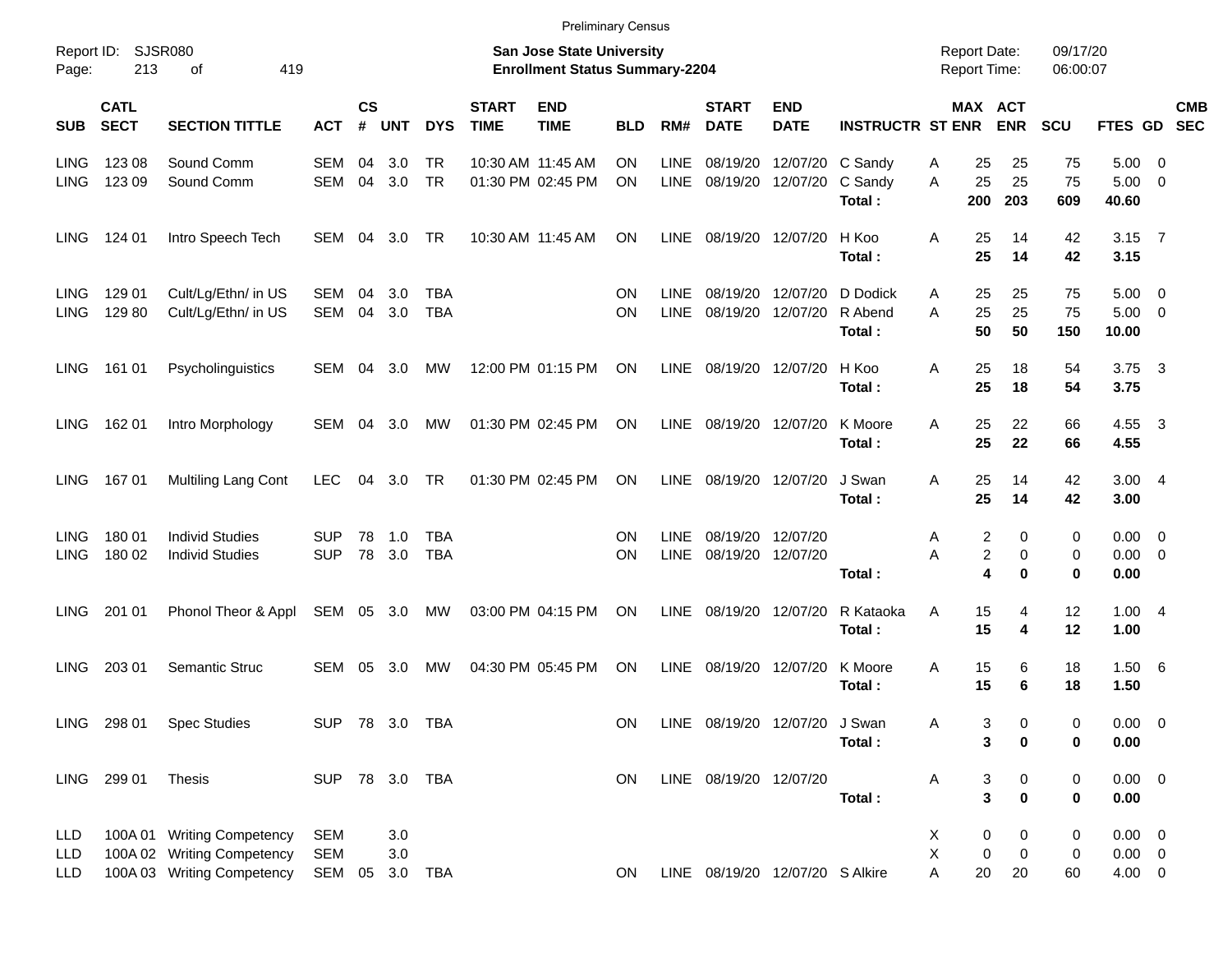|                     |                            |                                                          |                              |                |                |            |                             | <b>Preliminary Census</b>                                                 |            |             |                             |                                 |                         |                                            |                              |                      |                        |                          |            |
|---------------------|----------------------------|----------------------------------------------------------|------------------------------|----------------|----------------|------------|-----------------------------|---------------------------------------------------------------------------|------------|-------------|-----------------------------|---------------------------------|-------------------------|--------------------------------------------|------------------------------|----------------------|------------------------|--------------------------|------------|
| Report ID:<br>Page: | 213                        | SJSR080<br>419<br>оf                                     |                              |                |                |            |                             | <b>San Jose State University</b><br><b>Enrollment Status Summary-2204</b> |            |             |                             |                                 |                         | <b>Report Date:</b><br><b>Report Time:</b> |                              | 09/17/20<br>06:00:07 |                        |                          |            |
| <b>SUB</b>          | <b>CATL</b><br><b>SECT</b> | <b>SECTION TITTLE</b>                                    | <b>ACT</b>                   | <b>CS</b><br># | UNT            | <b>DYS</b> | <b>START</b><br><b>TIME</b> | <b>END</b><br><b>TIME</b>                                                 | <b>BLD</b> | RM#         | <b>START</b><br><b>DATE</b> | <b>END</b><br><b>DATE</b>       | <b>INSTRUCTR ST ENR</b> |                                            | <b>MAX ACT</b><br><b>ENR</b> | <b>SCU</b>           | FTES GD SEC            |                          | <b>CMB</b> |
| <b>LING</b>         | 123 08                     | Sound Comm                                               | SEM                          | 04             | 3.0            | <b>TR</b>  |                             | 10:30 AM 11:45 AM                                                         | ΟN         | LINE        | 08/19/20                    | 12/07/20 C Sandy                |                         | 25<br>Α                                    | 25                           | 75                   | 5.00                   | - 0                      |            |
| <b>LING</b>         | 123 09                     | Sound Comm                                               | <b>SEM</b>                   | 04             | 3.0            | <b>TR</b>  |                             | 01:30 PM 02:45 PM                                                         | ON         | LINE        | 08/19/20                    | 12/07/20                        | C Sandy<br>Total:       | 25<br>A<br>200                             | 25<br>203                    | 75<br>609            | 5.00<br>40.60          | $\overline{\phantom{0}}$ |            |
| <b>LING</b>         | 124 01                     | Intro Speech Tech                                        | SEM                          | 04             | 3.0            | TR         |                             | 10:30 AM 11:45 AM                                                         | ON.        | LINE        |                             | 08/19/20 12/07/20               | H Koo<br>Total:         | 25<br>A<br>25                              | 14<br>14                     | 42<br>42             | $3.15$ 7<br>3.15       |                          |            |
| <b>LING</b>         | 129 01                     | Cult/Lg/Ethn/ in US                                      | SEM                          | 04             | 3.0            | <b>TBA</b> |                             |                                                                           | ON         | LINE        | 08/19/20                    | 12/07/20                        | D Dodick                | 25<br>A                                    | 25                           | 75                   | $5.00 \quad 0$         |                          |            |
| <b>LING</b>         | 129 80                     | Cult/Lg/Ethn/ in US                                      | <b>SEM</b>                   | 04             | 3.0            | <b>TBA</b> |                             |                                                                           | ΟN         | <b>LINE</b> | 08/19/20                    | 12/07/20                        | R Abend<br>Total:       | 25<br>A<br>50                              | 25<br>50                     | 75<br>150            | $5.00 \t 0$<br>10.00   |                          |            |
| LING                | 161 01                     | Psycholinguistics                                        | SEM                          | 04             | 3.0            | MW         |                             | 12:00 PM 01:15 PM                                                         | ON         | LINE        |                             | 08/19/20 12/07/20               | H Koo<br>Total:         | 25<br>Α<br>25                              | 18<br>18                     | 54<br>54             | $3.75 \quad 3$<br>3.75 |                          |            |
| <b>LING</b>         | 162 01                     | Intro Morphology                                         | SEM                          | 04             | 3.0            | MW         |                             | 01:30 PM 02:45 PM                                                         | ON         | LINE        | 08/19/20 12/07/20           |                                 | K Moore<br>Total:       | 25<br>A<br>25                              | 22<br>22                     | 66<br>66             | 4.55 3<br>4.55         |                          |            |
| <b>LING</b>         | 16701                      | Multiling Lang Cont                                      | LEC                          |                | 04 3.0         | <b>TR</b>  |                             | 01:30 PM 02:45 PM                                                         | ON         | LINE        | 08/19/20 12/07/20           |                                 | J Swan<br>Total:        | 25<br>A<br>25                              | 14<br>14                     | 42<br>42             | 3.004<br>3.00          |                          |            |
| <b>LING</b>         | 180 01                     | <b>Individ Studies</b>                                   | SUP                          | 78             | 1.0            | <b>TBA</b> |                             |                                                                           | ON         | <b>LINE</b> |                             | 08/19/20 12/07/20               |                         | 2<br>Α                                     | 0                            | 0                    | $0.00 \quad 0$         |                          |            |
| <b>LING</b>         | 180 02                     | <b>Individ Studies</b>                                   | <b>SUP</b>                   | 78             | 3.0            | <b>TBA</b> |                             |                                                                           | ΟN         | LINE        |                             | 08/19/20 12/07/20               |                         | $\overline{c}$<br>A                        | 0                            | 0                    | $0.00 \t 0$            |                          |            |
|                     |                            |                                                          |                              |                |                |            |                             |                                                                           |            |             |                             |                                 | Total:                  | 4                                          | $\bf{0}$                     | 0                    | 0.00                   |                          |            |
| <b>LING</b>         | 201 01                     | Phonol Theor & Appl                                      | SEM 05 3.0                   |                |                | <b>MW</b>  |                             | 03:00 PM 04:15 PM                                                         | <b>ON</b>  | LINE        | 08/19/20 12/07/20           |                                 | R Kataoka               | 15<br>A                                    | 4                            | 12                   | 1.004                  |                          |            |
|                     |                            |                                                          |                              |                |                |            |                             |                                                                           |            |             |                             |                                 | Total:                  | 15                                         | 4                            | 12                   | 1.00                   |                          |            |
| <b>LING</b>         | 203 01                     | Semantic Struc                                           | SEM                          | 05             | 3.0            | MW         |                             | 04:30 PM 05:45 PM                                                         | ON         | LINE        | 08/19/20                    | 12/07/20                        | K Moore<br>Total:       | Α<br>15<br>15                              | 6<br>6                       | 18<br>18             | 1.50 6<br>1.50         |                          |            |
|                     |                            | LING 298 01 Spec Studies                                 |                              |                | SUP 78 3.0 TBA |            |                             |                                                                           | ON         |             |                             | LINE 08/19/20 12/07/20 J Swan   |                         | Α                                          | 3<br>0                       | 0                    | $0.00 \t 0$            |                          |            |
|                     |                            |                                                          |                              |                |                |            |                             |                                                                           |            |             |                             |                                 | Total:                  | 3                                          | 0                            | 0                    | 0.00                   |                          |            |
|                     | LING 299 01                | Thesis                                                   | SUP 78 3.0 TBA               |                |                |            |                             |                                                                           | <b>ON</b>  |             | LINE 08/19/20 12/07/20      |                                 |                         | 3<br>Α                                     | 0                            | 0                    | $0.00 \t 0$            |                          |            |
|                     |                            |                                                          |                              |                |                |            |                             |                                                                           |            |             |                             |                                 | Total:                  | $\overline{\mathbf{3}}$                    | 0                            | 0                    | 0.00                   |                          |            |
| LLD                 |                            | 100A 01 Writing Competency                               | <b>SEM</b>                   |                | 3.0            |            |                             |                                                                           |            |             |                             |                                 |                         | X<br>0                                     | 0                            | 0                    | $0.00 \t 0$            |                          |            |
| LLD<br><b>LLD</b>   |                            | 100A 02 Writing Competency<br>100A 03 Writing Competency | <b>SEM</b><br>SEM 05 3.0 TBA |                | 3.0            |            |                             |                                                                           | <b>ON</b>  |             |                             | LINE 08/19/20 12/07/20 S Alkire |                         | $\mathsf X$<br>$\pmb{0}$<br>A<br>20        | $\pmb{0}$<br>20              | 0<br>60              | $0.00 \t 0$<br>4.00 0  |                          |            |
|                     |                            |                                                          |                              |                |                |            |                             |                                                                           |            |             |                             |                                 |                         |                                            |                              |                      |                        |                          |            |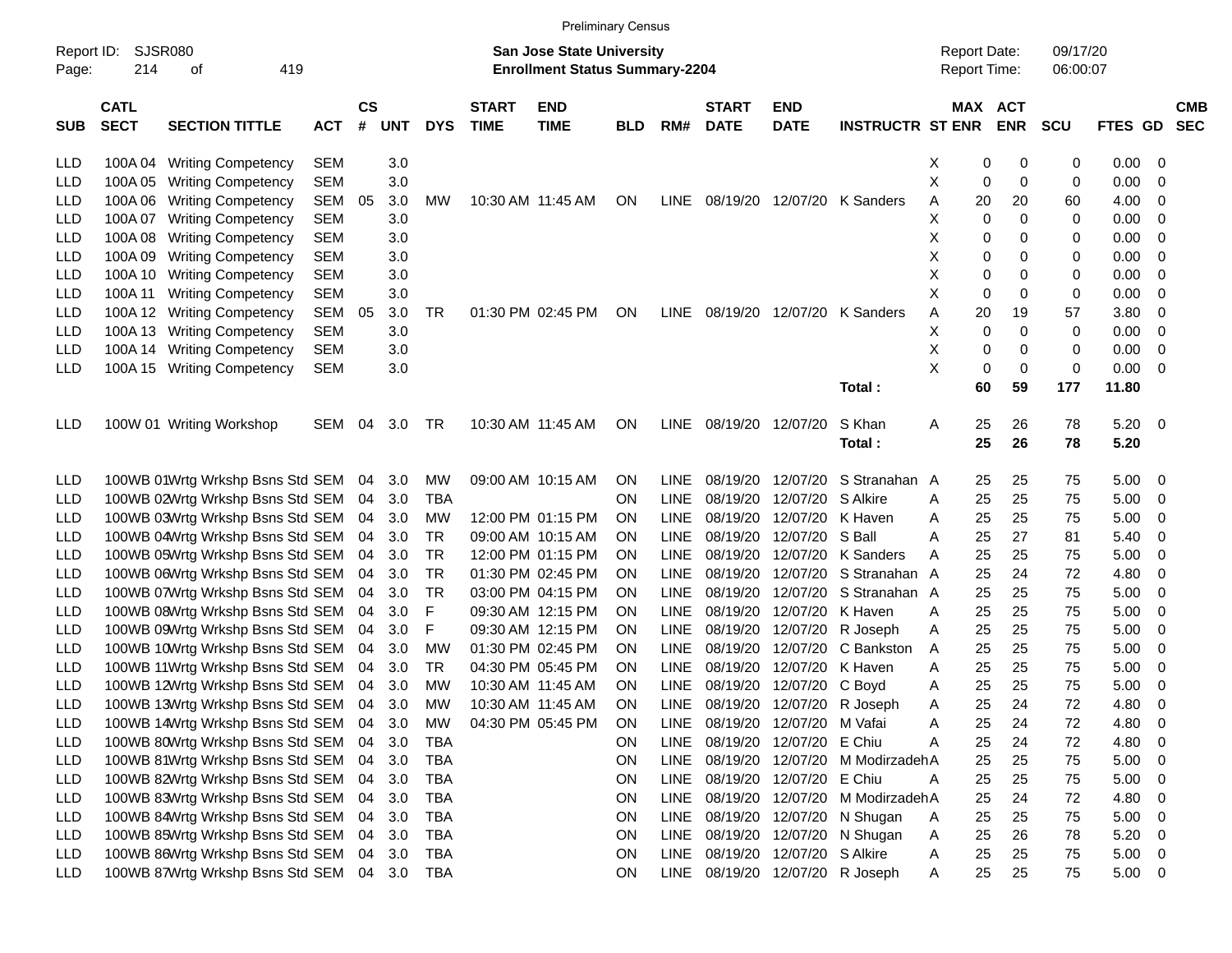| <b>Preliminary Census</b> |
|---------------------------|
|                           |

| Report ID:<br>Page: | <b>SJSR080</b><br>214<br>419<br>οf |                                         |            |                    |            |            |                             | <b>San Jose State University</b><br><b>Enrollment Status Summary-2204</b> |            |             |                             |                                 |                         | <b>Report Date:</b><br>Report Time: |                       | 09/17/20<br>06:00:07 |              |                          |                          |
|---------------------|------------------------------------|-----------------------------------------|------------|--------------------|------------|------------|-----------------------------|---------------------------------------------------------------------------|------------|-------------|-----------------------------|---------------------------------|-------------------------|-------------------------------------|-----------------------|----------------------|--------------|--------------------------|--------------------------|
| <b>SUB</b>          | <b>CATL</b><br><b>SECT</b>         | <b>SECTION TITTLE</b>                   | <b>ACT</b> | $\mathsf{cs}$<br># | <b>UNT</b> | <b>DYS</b> | <b>START</b><br><b>TIME</b> | <b>END</b><br><b>TIME</b>                                                 | <b>BLD</b> | RM#         | <b>START</b><br><b>DATE</b> | <b>END</b><br><b>DATE</b>       | <b>INSTRUCTR ST ENR</b> |                                     | MAX ACT<br><b>ENR</b> | <b>SCU</b>           | FTES GD      |                          | <b>CMB</b><br><b>SEC</b> |
| LLD                 |                                    | 100A 04 Writing Competency              | SEM        |                    | 3.0        |            |                             |                                                                           |            |             |                             |                                 |                         | X                                   | 0<br>0                | 0                    | 0.00         | - 0                      |                          |
| LLD                 | 100A 05                            | <b>Writing Competency</b>               | <b>SEM</b> |                    | 3.0        |            |                             |                                                                           |            |             |                             |                                 |                         | Χ                                   | 0<br>0                | 0                    | 0.00         | 0                        |                          |
| LLD                 | 100A 06                            | <b>Writing Competency</b>               | <b>SEM</b> | 05                 | 3.0        | МW         | 10:30 AM 11:45 AM           |                                                                           | <b>ON</b>  | LINE        |                             | 08/19/20 12/07/20               | K Sanders               | Α                                   | 20<br>20              | 60                   | 4.00         | -0                       |                          |
| LLD                 | 100A07                             | <b>Writing Competency</b>               | <b>SEM</b> |                    | 3.0        |            |                             |                                                                           |            |             |                             |                                 |                         | х                                   | 0<br>0                | 0                    | 0.00         | 0                        |                          |
| LLD                 | 100A08                             | <b>Writing Competency</b>               | <b>SEM</b> |                    | 3.0        |            |                             |                                                                           |            |             |                             |                                 |                         | х                                   | 0<br>0                | 0                    | 0.00         | 0                        |                          |
| LLD                 | 100A09                             | <b>Writing Competency</b>               | <b>SEM</b> |                    | 3.0        |            |                             |                                                                           |            |             |                             |                                 |                         | х                                   | 0<br>0                | 0                    | 0.00         | 0                        |                          |
| LLD                 | 100A 10                            | <b>Writing Competency</b>               | <b>SEM</b> |                    | 3.0        |            |                             |                                                                           |            |             |                             |                                 |                         | х                                   | 0<br>0                | 0                    | 0.00         | 0                        |                          |
| LLD                 | 100A 11                            | <b>Writing Competency</b>               | <b>SEM</b> |                    | 3.0        |            |                             |                                                                           |            |             |                             |                                 |                         | х                                   | 0<br>0                | 0                    | 0.00         | 0                        |                          |
| LLD                 | 100A 12                            | <b>Writing Competency</b>               | <b>SEM</b> | 05                 | 3.0        | TR         |                             | 01:30 PM 02:45 PM                                                         | ON         | <b>LINE</b> |                             | 08/19/20 12/07/20               | K Sanders               | Α                                   | 20<br>19              | 57                   | 3.80         | 0                        |                          |
| LLD                 | 100A 13                            | <b>Writing Competency</b>               | <b>SEM</b> |                    | 3.0        |            |                             |                                                                           |            |             |                             |                                 |                         | х                                   | 0<br>0                | 0                    | 0.00         | 0                        |                          |
| LLD                 | 100A 14                            | <b>Writing Competency</b>               | <b>SEM</b> |                    | 3.0        |            |                             |                                                                           |            |             |                             |                                 |                         | х                                   | 0<br>0                | 0                    | 0.00         | 0                        |                          |
| LLD                 | 100A 15                            | <b>Writing Competency</b>               | <b>SEM</b> |                    | 3.0        |            |                             |                                                                           |            |             |                             |                                 |                         | X                                   | 0<br>0                | 0                    | 0.00         | 0                        |                          |
|                     |                                    |                                         |            |                    |            |            |                             |                                                                           |            |             |                             |                                 | Total:                  |                                     | 59<br>60              | 177                  | 11.80        |                          |                          |
| LLD                 |                                    | 100W 01 Writing Workshop                | SEM        | 04                 | 3.0        | TR         | 10:30 AM 11:45 AM           |                                                                           | ON         | <b>LINE</b> | 08/19/20 12/07/20           |                                 | S Khan<br>Total:        | Α                                   | 25<br>26<br>25<br>26  | 78<br>78             | 5.20<br>5.20 | $\overline{\phantom{0}}$ |                          |
| LLD                 |                                    | 100WB 01Wrtg Wrkshp Bsns Std SEM        |            | 04                 | 3.0        | MW         |                             | 09:00 AM 10:15 AM                                                         | ON         | LINE        | 08/19/20                    | 12/07/20                        | S Stranahan             | A                                   | 25<br>25              | 75                   | 5.00         | - 0                      |                          |
| LLD                 |                                    | 100WB 02Wrtg Wrkshp Bsns Std SEM        |            | 04                 | 3.0        | <b>TBA</b> |                             |                                                                           | <b>ON</b>  | <b>LINE</b> | 08/19/20                    | 12/07/20                        | S Alkire                | Α                                   | 25<br>25              | 75                   | 5.00         | - 0                      |                          |
| LLD                 |                                    | 100WB 03Wrtg Wrkshp Bsns Std SEM        |            | 04                 | 3.0        | <b>MW</b>  |                             | 12:00 PM 01:15 PM                                                         | <b>ON</b>  | <b>LINE</b> |                             | 08/19/20 12/07/20               | K Haven                 | Α                                   | 25<br>25              | 75                   | 5.00         | -0                       |                          |
| LLD                 |                                    | 100WB 04Wrtg Wrkshp Bsns Std SEM        |            | 04                 | 3.0        | TR         |                             | 09:00 AM 10:15 AM                                                         | <b>ON</b>  | <b>LINE</b> |                             | 08/19/20 12/07/20               | S Ball                  | Α                                   | 25<br>27              | 81                   | 5.40         | - 0                      |                          |
| LLD                 |                                    | 100WB 05Wrtg Wrkshp Bsns Std SEM        |            | 04                 | 3.0        | TR         |                             | 12:00 PM 01:15 PM                                                         | <b>ON</b>  | <b>LINE</b> |                             | 08/19/20 12/07/20               | K Sanders               | Α                                   | 25<br>25              | 75                   | 5.00         | 0                        |                          |
| LLD                 |                                    | 100WB 06Wrtg Wrkshp Bsns Std SEM        |            | 04                 | 3.0        | TR         |                             | 01:30 PM 02:45 PM                                                         | <b>ON</b>  | <b>LINE</b> |                             | 08/19/20 12/07/20               | S Stranahan             | A                                   | 25<br>24              | 72                   | 4.80         | 0                        |                          |
| LLD                 |                                    | 100WB 07Wrtg Wrkshp Bsns Std SEM        |            | 04                 | 3.0        | TR         |                             | 03:00 PM 04:15 PM                                                         | <b>ON</b>  | <b>LINE</b> | 08/19/20                    | 12/07/20                        | S Stranahan A           |                                     | 25<br>25              | 75                   | 5.00         | 0                        |                          |
| LLD                 |                                    | 100WB 08Wrtg Wrkshp Bsns Std SEM        |            | 04                 | 3.0        | F          |                             | 09:30 AM 12:15 PM                                                         | ON         | <b>LINE</b> |                             | 08/19/20 12/07/20               | K Haven                 | Α                                   | 25<br>25              | 75                   | 5.00         | 0                        |                          |
| LLD                 |                                    | 100WB 09Wrtg Wrkshp Bsns Std SEM        |            | 04                 | 3.0        | F          |                             | 09:30 AM 12:15 PM                                                         | ON         | <b>LINE</b> |                             | 08/19/20 12/07/20               | R Joseph                | Α                                   | 25<br>25              | 75                   | 5.00         | $\mathbf 0$              |                          |
| LLD                 |                                    | 100WB 10Wrtg Wrkshp Bsns Std SEM        |            | 04                 | 3.0        | <b>MW</b>  | 01:30 PM 02:45 PM           |                                                                           | ON         | <b>LINE</b> | 08/19/20                    | 12/07/20                        | C Bankston              | A                                   | 25<br>25              | 75                   | 5.00         | $\mathbf 0$              |                          |
| LLD                 |                                    | 100WB 11Wrtg Wrkshp Bsns Std SEM        |            | 04                 | 3.0        | TR         |                             | 04:30 PM 05:45 PM                                                         | ON         | <b>LINE</b> | 08/19/20                    | 12/07/20                        | K Haven                 | Α                                   | 25<br>25              | 75                   | 5.00         | 0                        |                          |
| LLD                 |                                    | 100WB 12Wrtg Wrkshp Bsns Std SEM        |            | 04                 | 3.0        | MW         | 10:30 AM 11:45 AM           |                                                                           | <b>ON</b>  | LINE        | 08/19/20                    | 12/07/20                        | C Boyd                  | Α                                   | 25<br>25              | 75                   | 5.00         | $\mathbf 0$              |                          |
| LLD                 |                                    | 100WB 13Wrtg Wrkshp Bsns Std SEM        |            | 04                 | 3.0        | МW         | 10:30 AM 11:45 AM           |                                                                           | ON         | <b>LINE</b> | 08/19/20                    | 12/07/20                        | R Joseph                | Α                                   | 25<br>24              | 72                   | 4.80         | $\mathbf 0$              |                          |
| LLD                 |                                    | 100WB 14Wrtg Wrkshp Bsns Std SEM        |            | 04                 | 3.0        | <b>MW</b>  |                             | 04:30 PM 05:45 PM                                                         | ON         | LINE        | 08/19/20 12/07/20           |                                 | M Vafai                 | A                                   | 25<br>24              | 72                   | 4.80         | 0                        |                          |
| LLD                 |                                    | 100WB 80Wrtg Wrkshp Bsns Std SEM        |            | 04                 | 3.0        | TBA        |                             |                                                                           | ON         | LINE        |                             | 08/19/20 12/07/20               | E Chiu                  | Α                                   | 25<br>24              | 72                   | 4.80         | $\overline{\mathbf{0}}$  |                          |
| LLD                 |                                    | 100WB 81Wrtg Wrkshp Bsns Std SEM        |            | 04                 | 3.0        | <b>TBA</b> |                             |                                                                           | ON         | <b>LINE</b> |                             | 08/19/20 12/07/20               | M ModirzadehA           |                                     | 25<br>25              | 75                   | 5.00         | $\overline{\phantom{0}}$ |                          |
| LLD                 |                                    | 100WB 82Wrtg Wrkshp Bsns Std SEM        |            | 04                 | 3.0        | TBA        |                             |                                                                           | ON         | <b>LINE</b> |                             | 08/19/20 12/07/20               | E Chiu                  | Α                                   | 25<br>25              | 75                   | 5.00         | $\overline{\phantom{0}}$ |                          |
| LLD                 |                                    | 100WB 83Wrtg Wrkshp Bsns Std SEM        |            | 04                 | 3.0        | <b>TBA</b> |                             |                                                                           | ON         | <b>LINE</b> |                             | 08/19/20 12/07/20               | M ModirzadehA           |                                     | 25<br>24              | 72                   | 4.80         | $\overline{\phantom{0}}$ |                          |
| LLD                 |                                    | 100WB 84Wrtg Wrkshp Bsns Std SEM        |            | 04                 | 3.0        | TBA        |                             |                                                                           | ON         | <b>LINE</b> |                             | 08/19/20 12/07/20               | N Shugan                | A                                   | 25<br>25              | 75                   | 5.00         | $\overline{\phantom{0}}$ |                          |
| LLD                 |                                    | 100WB 85Wrtg Wrkshp Bsns Std SEM        |            | 04                 | 3.0        | TBA        |                             |                                                                           | ON         | <b>LINE</b> |                             | 08/19/20 12/07/20               | N Shugan                | Α                                   | 25<br>26              | 78                   | 5.20         | $\overline{\phantom{0}}$ |                          |
| <b>LLD</b>          |                                    | 100WB 86Wrtg Wrkshp Bsns Std SEM        |            | 04                 | 3.0        | TBA        |                             |                                                                           | ON         | LINE        |                             | 08/19/20 12/07/20               | S Alkire                | Α                                   | 25<br>25              | 75                   | $5.00 \t 0$  |                          |                          |
| <b>LLD</b>          |                                    | 100WB 87Wrtg Wrkshp Bsns Std SEM 04 3.0 |            |                    |            | TBA        |                             |                                                                           | ON         |             |                             | LINE 08/19/20 12/07/20 R Joseph |                         | A                                   | 25<br>25              | 75                   | $5.00 \t 0$  |                          |                          |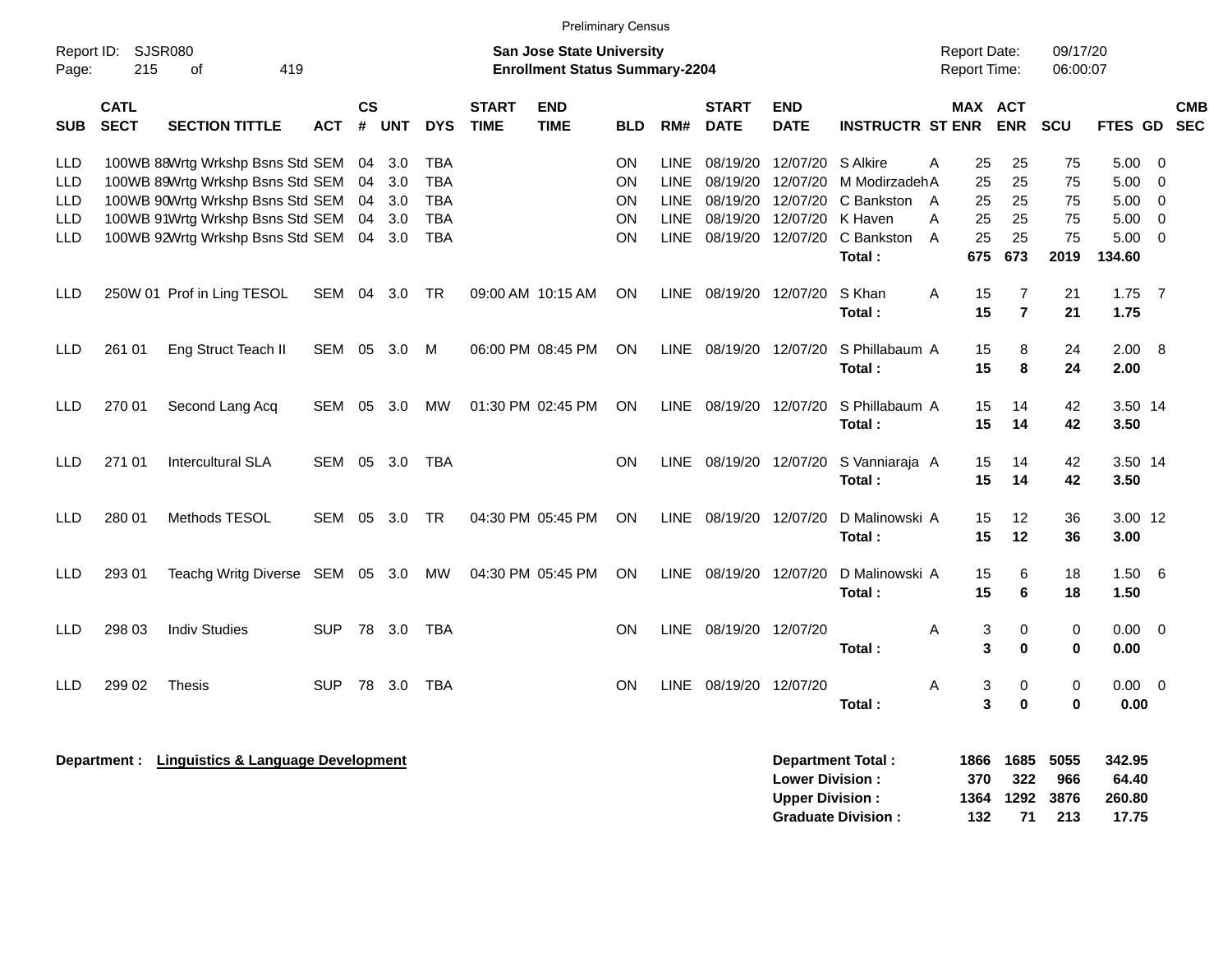|                                 |                                                                                                          |                                                                                                                                                                                         |            |                      |                          |                                                                    |                             | <b>Preliminary Census</b> |                                                 |                                                                         |                                                                            |                                                  |                                                                  |                                     |                                   |                                   |                                    |                                                |                                              |                          |
|---------------------------------|----------------------------------------------------------------------------------------------------------|-----------------------------------------------------------------------------------------------------------------------------------------------------------------------------------------|------------|----------------------|--------------------------|--------------------------------------------------------------------|-----------------------------|---------------------------|-------------------------------------------------|-------------------------------------------------------------------------|----------------------------------------------------------------------------|--------------------------------------------------|------------------------------------------------------------------|-------------------------------------|-----------------------------------|-----------------------------------|------------------------------------|------------------------------------------------|----------------------------------------------|--------------------------|
| Report ID:<br>Page:             | <b>SJSR080</b><br>San Jose State University<br>215<br>419<br><b>Enrollment Status Summary-2204</b><br>οf |                                                                                                                                                                                         |            |                      |                          |                                                                    |                             |                           |                                                 |                                                                         |                                                                            |                                                  |                                                                  | <b>Report Date:</b><br>Report Time: |                                   |                                   | 09/17/20<br>06:00:07               |                                                |                                              |                          |
| <b>SUB</b>                      | <b>CATL</b><br><b>SECT</b>                                                                               | <b>SECTION TITTLE</b>                                                                                                                                                                   | <b>ACT</b> | <b>CS</b><br>#       | <b>UNT</b>               | <b>DYS</b>                                                         | <b>START</b><br><b>TIME</b> | <b>END</b><br><b>TIME</b> | BLD                                             | RM#                                                                     | <b>START</b><br><b>DATE</b>                                                | <b>END</b><br><b>DATE</b>                        | <b>INSTRUCTR ST ENR</b>                                          |                                     |                                   | MAX ACT<br><b>ENR</b>             | <b>SCU</b>                         | <b>FTES GD</b>                                 |                                              | <b>CMB</b><br><b>SEC</b> |
| LLD<br>LLD<br>LLD<br>LLD<br>LLD |                                                                                                          | 100WB 88Wrtg Wrkshp Bsns Std SEM<br>100WB 89Wrtg Wrkshp Bsns Std SEM<br>100WB 90Wrtg Wrkshp Bsns Std SEM<br>100WB 91Wrtg Wrkshp Bsns Std SEM<br>100WB 92Wrtg Wrkshp Bsns Std SEM 04 3.0 |            | 04<br>04<br>04<br>04 | 3.0<br>3.0<br>3.0<br>3.0 | <b>TBA</b><br><b>TBA</b><br><b>TBA</b><br><b>TBA</b><br><b>TBA</b> |                             |                           | ON<br><b>ON</b><br>ON<br><b>ON</b><br><b>ON</b> | <b>LINE</b><br><b>LINE</b><br><b>LINE</b><br><b>LINE</b><br><b>LINE</b> | 08/19/20<br>08/19/20<br>08/19/20 12/07/20<br>08/19/20<br>08/19/20 12/07/20 | 12/07/20 S Alkire<br>12/07/20<br>12/07/20        | M ModirzadehA<br>C Bankston A<br>K Haven<br>C Bankston<br>Total: | Α<br>A<br>$\overline{A}$            | 25<br>25<br>25<br>25<br>25<br>675 | 25<br>25<br>25<br>25<br>25<br>673 | 75<br>75<br>75<br>75<br>75<br>2019 | 5.00<br>5.00<br>5.00<br>5.00<br>5.00<br>134.60 | 0<br>$\mathbf 0$<br>0<br>0<br>$\overline{0}$ |                          |
| LLD                             |                                                                                                          | 250W 01 Prof in Ling TESOL                                                                                                                                                              | SEM        | 04                   | 3.0                      | <b>TR</b>                                                          |                             | 09:00 AM 10:15 AM         | <b>ON</b>                                       | LINE                                                                    | 08/19/20 12/07/20                                                          |                                                  | S Khan<br>Total:                                                 | A                                   | 15<br>15                          | $\overline{7}$<br>$\overline{7}$  | 21<br>21                           | $1.75$ 7<br>1.75                               |                                              |                          |
| <b>LLD</b>                      | 261 01                                                                                                   | Eng Struct Teach II                                                                                                                                                                     | SEM        | 05                   | 3.0                      | M                                                                  |                             | 06:00 PM 08:45 PM         | <b>ON</b>                                       | LINE.                                                                   | 08/19/20 12/07/20                                                          |                                                  | S Phillabaum A<br>Total:                                         |                                     | 15<br>15                          | 8<br>8                            | 24<br>24                           | 2.00<br>2.00                                   | 8                                            |                          |
| LLD                             | 270 01                                                                                                   | Second Lang Acq                                                                                                                                                                         | SEM        | 05                   | 3.0                      | МW                                                                 |                             | 01:30 PM 02:45 PM         | ON                                              |                                                                         | LINE 08/19/20 12/07/20                                                     |                                                  | S Phillabaum A<br>Total:                                         |                                     | 15<br>15                          | 14<br>14                          | 42<br>42                           | 3.50 14<br>3.50                                |                                              |                          |
| <b>LLD</b>                      | 271 01                                                                                                   | <b>Intercultural SLA</b>                                                                                                                                                                | SEM 05 3.0 |                      |                          | TBA                                                                |                             |                           | <b>ON</b>                                       |                                                                         | LINE 08/19/20 12/07/20                                                     |                                                  | S Vanniaraja A<br>Total:                                         |                                     | 15<br>15                          | 14<br>14                          | 42<br>42                           | 3.50 14<br>3.50                                |                                              |                          |
| LLD                             | 280 01                                                                                                   | Methods TESOL                                                                                                                                                                           | SEM        | 05                   | - 3.0                    | TR                                                                 |                             | 04:30 PM 05:45 PM         | <b>ON</b>                                       |                                                                         | LINE 08/19/20 12/07/20                                                     |                                                  | D Malinowski A<br>Total :                                        |                                     | 15<br>15                          | 12<br>$12 \,$                     | 36<br>36                           | 3.00 12<br>3.00                                |                                              |                          |
| LLD                             | 293 01                                                                                                   | Teachg Writg Diverse SEM 05 3.0                                                                                                                                                         |            |                      |                          | MW                                                                 |                             | 04:30 PM 05:45 PM         | ON                                              | LINE                                                                    | 08/19/20 12/07/20                                                          |                                                  | D Malinowski A<br>Total:                                         |                                     | 15<br>15                          | 6<br>6                            | 18<br>18                           | 1.50<br>1.50                                   | - 6                                          |                          |
| LLD                             | 298 03                                                                                                   | <b>Indiv Studies</b>                                                                                                                                                                    | <b>SUP</b> |                      | 78 3.0                   | <b>TBA</b>                                                         |                             |                           | ON                                              |                                                                         | LINE 08/19/20 12/07/20                                                     |                                                  | Total:                                                           | Α                                   | 3<br>3                            | $\pmb{0}$<br>$\bf{0}$             | 0<br>0                             | 0.00<br>0.00                                   | $\overline{\mathbf{0}}$                      |                          |
| LLD                             | 299 02                                                                                                   | <b>Thesis</b>                                                                                                                                                                           | <b>SUP</b> |                      | 78 3.0                   | <b>TBA</b>                                                         |                             |                           | <b>ON</b>                                       | <b>LINE</b>                                                             | 08/19/20 12/07/20                                                          |                                                  | Total:                                                           | A                                   | 3<br>3                            | 0<br>$\bf{0}$                     | 0<br>$\bf{0}$                      | 0.00<br>0.00                                   | $\overline{0}$                               |                          |
|                                 |                                                                                                          | Department : Linguistics & Language Development                                                                                                                                         |            |                      |                          |                                                                    |                             |                           |                                                 |                                                                         |                                                                            | <b>Lower Division:</b><br><b>Upper Division:</b> | Department Total:<br><b>Graduate Division:</b>                   | 1866<br>1364                        | 370<br>132                        | 1685<br>322<br>1292<br>71         | 5055<br>966<br>3876<br>213         | 342.95<br>64.40<br>260.80<br>17.75             |                                              |                          |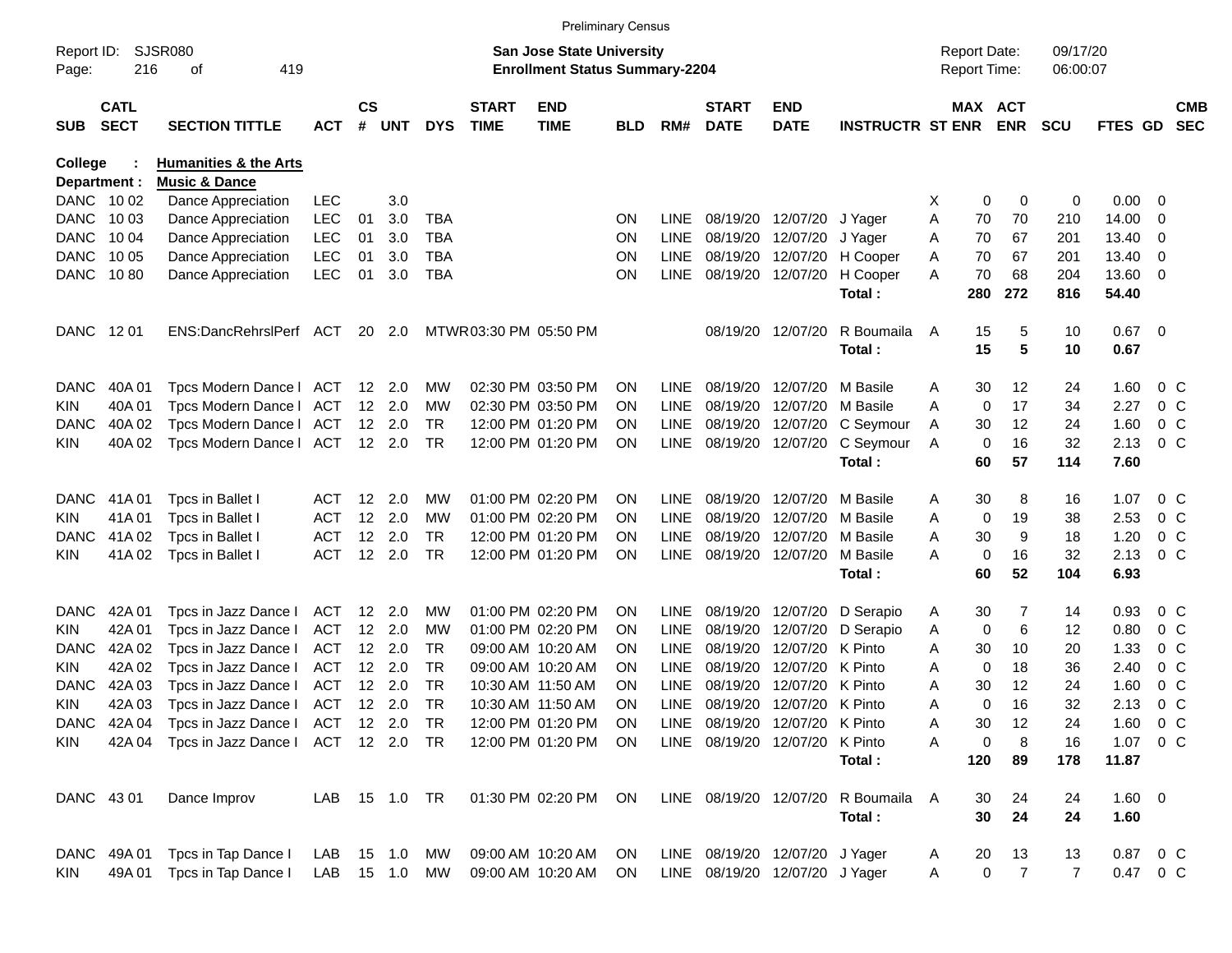|              |                            |                                    |               |                    |                |             |                             |                                       | <b>Preliminary Census</b> |             |                             |                                |                             |   |             |                     |            |                |                |                          |
|--------------|----------------------------|------------------------------------|---------------|--------------------|----------------|-------------|-----------------------------|---------------------------------------|---------------------------|-------------|-----------------------------|--------------------------------|-----------------------------|---|-------------|---------------------|------------|----------------|----------------|--------------------------|
| Report ID:   |                            | <b>SJSR080</b>                     |               |                    |                |             |                             | San Jose State University             |                           |             |                             |                                |                             |   |             | <b>Report Date:</b> | 09/17/20   |                |                |                          |
| Page:        | 216                        | 419<br>οf                          |               |                    |                |             |                             | <b>Enrollment Status Summary-2204</b> |                           |             |                             |                                |                             |   |             | Report Time:        | 06:00:07   |                |                |                          |
| <b>SUB</b>   | <b>CATL</b><br><b>SECT</b> | <b>SECTION TITTLE</b>              | <b>ACT</b>    | $\mathsf{cs}$<br># | UNT            | <b>DYS</b>  | <b>START</b><br><b>TIME</b> | <b>END</b><br><b>TIME</b>             | <b>BLD</b>                | RM#         | <b>START</b><br><b>DATE</b> | <b>END</b><br><b>DATE</b>      | <b>INSTRUCTR ST ENR ENR</b> |   |             | MAX ACT             | <b>SCU</b> | <b>FTES GD</b> |                | <b>CMB</b><br><b>SEC</b> |
| College      |                            | <b>Humanities &amp; the Arts</b>   |               |                    |                |             |                             |                                       |                           |             |                             |                                |                             |   |             |                     |            |                |                |                          |
| Department : |                            | <b>Music &amp; Dance</b>           |               |                    |                |             |                             |                                       |                           |             |                             |                                |                             |   |             |                     |            |                |                |                          |
| DANC 1002    |                            | Dance Appreciation                 | <b>LEC</b>    |                    | 3.0            |             |                             |                                       |                           |             |                             |                                |                             | X | 0           | 0                   | 0          | 0.00           | - 0            |                          |
| DANC 1003    |                            | Dance Appreciation                 | LEC           | 01                 | 3.0            | <b>TBA</b>  |                             |                                       | <b>ON</b>                 | <b>LINE</b> |                             | 08/19/20 12/07/20              | J Yager                     | Α | 70          | 70                  | 210        | 14.00          | -0             |                          |
| <b>DANC</b>  | 10 04                      | Dance Appreciation                 | <b>LEC</b>    | 01                 | 3.0            | <b>TBA</b>  |                             |                                       | <b>ON</b>                 | <b>LINE</b> |                             | 08/19/20 12/07/20              | J Yager                     | A | 70          | 67                  | 201        | 13.40          | $\overline{0}$ |                          |
| <b>DANC</b>  | 10 05                      | Dance Appreciation                 | <b>LEC</b>    | 01                 | 3.0            | <b>TBA</b>  |                             |                                       | <b>ON</b>                 | <b>LINE</b> |                             | 08/19/20 12/07/20              | H Cooper                    | A | 70          | 67                  | 201        | 13.40          | 0              |                          |
| DANC         | 1080                       | Dance Appreciation                 | <b>LEC</b>    | 01                 | 3.0            | <b>TBA</b>  |                             |                                       | ΟN                        | <b>LINE</b> |                             | 08/19/20 12/07/20              | H Cooper                    | А | 70          | 68                  | 204        | 13.60 0        |                |                          |
|              |                            |                                    |               |                    |                |             |                             |                                       |                           |             |                             |                                | Total:                      |   | 280         | 272                 | 816        | 54.40          |                |                          |
| DANC 1201    |                            | ENS:DancRehrslPerf ACT             |               |                    | 20 2.0         |             |                             | MTWR 03:30 PM 05:50 PM                |                           |             |                             | 08/19/20 12/07/20              | R Boumaila                  | A | 15          | 5                   | 10         | $0.67$ 0       |                |                          |
|              |                            |                                    |               |                    |                |             |                             |                                       |                           |             |                             |                                | Total:                      |   | 15          | 5                   | 10         | 0.67           |                |                          |
| <b>DANC</b>  | 40A 01                     | Tpcs Modern Dance   ACT            |               |                    | 12 2.0         | MW          |                             | 02:30 PM 03:50 PM                     | ON                        | <b>LINE</b> |                             | 08/19/20 12/07/20              | M Basile                    | Α | 30          | 12                  | 24         | 1.60           | $0\,$ C        |                          |
| <b>KIN</b>   | 40A01                      | Tpcs Modern Dance   ACT            |               |                    | 12 2.0         | МW          |                             | 02:30 PM 03:50 PM                     | ON                        | <b>LINE</b> |                             | 08/19/20 12/07/20              | M Basile                    | A | 0           | 17                  | 34         | 2.27           |                | $0\,$ C                  |
| DANC         | 40A 02                     | Tpcs Modern Dance   ACT            |               |                    | $12 \quad 2.0$ | <b>TR</b>   |                             | 12:00 PM 01:20 PM                     | ON                        | <b>LINE</b> |                             | 08/19/20 12/07/20              | C Seymour                   | A | 30          | 12                  | 24         | 1.60           |                | $0\,$ C                  |
| <b>KIN</b>   | 40A 02                     | Tpcs Modern Dance   ACT 12 2.0     |               |                    |                | TR.         |                             | 12:00 PM 01:20 PM                     | ON                        | LINE        |                             | 08/19/20 12/07/20              | C Seymour                   | A | $\mathbf 0$ | 16                  | 32         | 2.13           | $0\,$ C        |                          |
|              |                            |                                    |               |                    |                |             |                             |                                       |                           |             |                             |                                | Total:                      |   | 60          | 57                  | 114        | 7.60           |                |                          |
| <b>DANC</b>  | 41A 01                     | Tpcs in Ballet I                   | ACT           |                    | $12 \quad 2.0$ | МW          |                             | 01:00 PM 02:20 PM                     | ON                        | LINE        |                             | 08/19/20 12/07/20              | M Basile                    | Α | 30          | 8                   | 16         | 1.07           | $0\,$ C        |                          |
| <b>KIN</b>   | 41A01                      | Tpcs in Ballet I                   | <b>ACT</b>    |                    | 12 2.0         | МW          |                             | 01:00 PM 02:20 PM                     | ON                        | <b>LINE</b> |                             | 08/19/20 12/07/20              | M Basile                    | Α | 0           | 19                  | 38         | 2.53           |                | $0\,$ C                  |
| DANC         | 41A 02                     | Tpcs in Ballet I                   | <b>ACT</b>    |                    | $12 \quad 2.0$ | <b>TR</b>   |                             | 12:00 PM 01:20 PM                     | ON                        | <b>LINE</b> |                             | 08/19/20 12/07/20              | M Basile                    | A | 30          | 9                   | 18         | 1.20           |                | $0\,$ C                  |
| <b>KIN</b>   | 41A 02                     | Tpcs in Ballet I                   | <b>ACT</b>    |                    | 12 2.0         | <b>TR</b>   |                             | 12:00 PM 01:20 PM                     | ΟN                        | LINE        |                             | 08/19/20 12/07/20              | M Basile                    | A | 0           | 16                  | 32         | 2.13           | $0\,C$         |                          |
|              |                            |                                    |               |                    |                |             |                             |                                       |                           |             |                             |                                | Total:                      |   | 60          | 52                  | 104        | 6.93           |                |                          |
| <b>DANC</b>  | 42A 01                     | Tpcs in Jazz Dance I               | ACT           |                    | 12 2.0         | МW          |                             | 01:00 PM 02:20 PM                     | ON                        | <b>LINE</b> |                             | 08/19/20 12/07/20              | D Serapio                   | A | 30          | 7                   | 14         | 0.93           | $0\,$ C        |                          |
| <b>KIN</b>   | 42A 01                     | Tpcs in Jazz Dance I               | ACT           |                    | 12 2.0         | МW          |                             | 01:00 PM 02:20 PM                     | ON                        | <b>LINE</b> |                             | 08/19/20 12/07/20              | D Serapio                   | A | 0           | 6                   | 12         | 0.80           | $0\,$ C        |                          |
| <b>DANC</b>  | 42A 02                     | Tpcs in Jazz Dance I               | ACT           |                    | $12 \quad 2.0$ | TR.         |                             | 09:00 AM 10:20 AM                     | ON                        | <b>LINE</b> |                             | 08/19/20 12/07/20              | K Pinto                     | A | 30          | 10                  | 20         | 1.33           | 0 <sup>o</sup> |                          |
| <b>KIN</b>   | 42A 02                     | Tpcs in Jazz Dance I               | ACT           |                    | 12 2.0         | <b>TR</b>   |                             | 09:00 AM 10:20 AM                     | ON                        | <b>LINE</b> |                             | 08/19/20 12/07/20              | K Pinto                     | Α | 0           | 18                  | 36         | 2.40           | 0 <sup>o</sup> |                          |
| DANC         | 42A 03                     | Tpcs in Jazz Dance I               | ACT           |                    | 12 2.0         | <b>TR</b>   |                             | 10:30 AM 11:50 AM                     | ON                        | LINE        | 08/19/20                    | 12/07/20                       | K Pinto                     | A | 30          | 12                  | 24         | 1.60           |                | 0 <sup>o</sup>           |
| <b>KIN</b>   | 42A 03                     | Tpcs in Jazz Dance I               | ACT           |                    | $12 \quad 2.0$ | TR.         |                             | 10:30 AM 11:50 AM                     | ON                        | LINE        |                             | 08/19/20 12/07/20 K Pinto      |                             | A | $\Omega$    | 16                  | 32         | 2.13           | 0 <sup>o</sup> |                          |
|              | DANC 42A 04                | Tpcs in Jazz Dance   ACT 12 2.0 TR |               |                    |                |             |                             | 12:00 PM 01:20 PM                     | ON                        |             |                             | LINE 08/19/20 12/07/20 K Pinto |                             | Α | 30          | 12                  | 24         | 1.60 0 C       |                |                          |
| KIN.         | 42A 04                     | Tpcs in Jazz Dance   ACT 12 2.0 TR |               |                    |                |             |                             | 12:00 PM 01:20 PM                     | <b>ON</b>                 |             |                             | LINE 08/19/20 12/07/20 K Pinto |                             | Α | 0           | 8                   | 16         | 1.07 0 C       |                |                          |
|              |                            |                                    |               |                    |                |             |                             |                                       |                           |             |                             |                                | Total:                      |   | 120         | 89                  | 178        | 11.87          |                |                          |
| DANC 43 01   |                            | Dance Improv                       | LAB 15 1.0 TR |                    |                |             |                             | 01:30 PM 02:20 PM                     | ON                        |             |                             | LINE 08/19/20 12/07/20         | R Boumaila A                |   | 30          | 24                  | 24         | 1.60 0         |                |                          |
|              |                            |                                    |               |                    |                |             |                             |                                       |                           |             |                             |                                | Total:                      |   | 30          | 24                  | 24         | 1.60           |                |                          |
|              | DANC 49A 01                | Tpcs in Tap Dance I                | LAB           |                    |                | 15  1.0  MW |                             | 09:00 AM 10:20 AM                     | <b>ON</b>                 |             |                             | LINE 08/19/20 12/07/20 J Yager |                             | A | 20          | 13                  | 13         | 0.87 0 C       |                |                          |
| KIN          | 49A 01                     | Tpcs in Tap Dance I                | LAB 15 1.0 MW |                    |                |             |                             | 09:00 AM 10:20 AM                     | <b>ON</b>                 |             |                             | LINE 08/19/20 12/07/20 J Yager |                             | Α | $\pmb{0}$   | $\overline{7}$      | 7          | 0.47 0 C       |                |                          |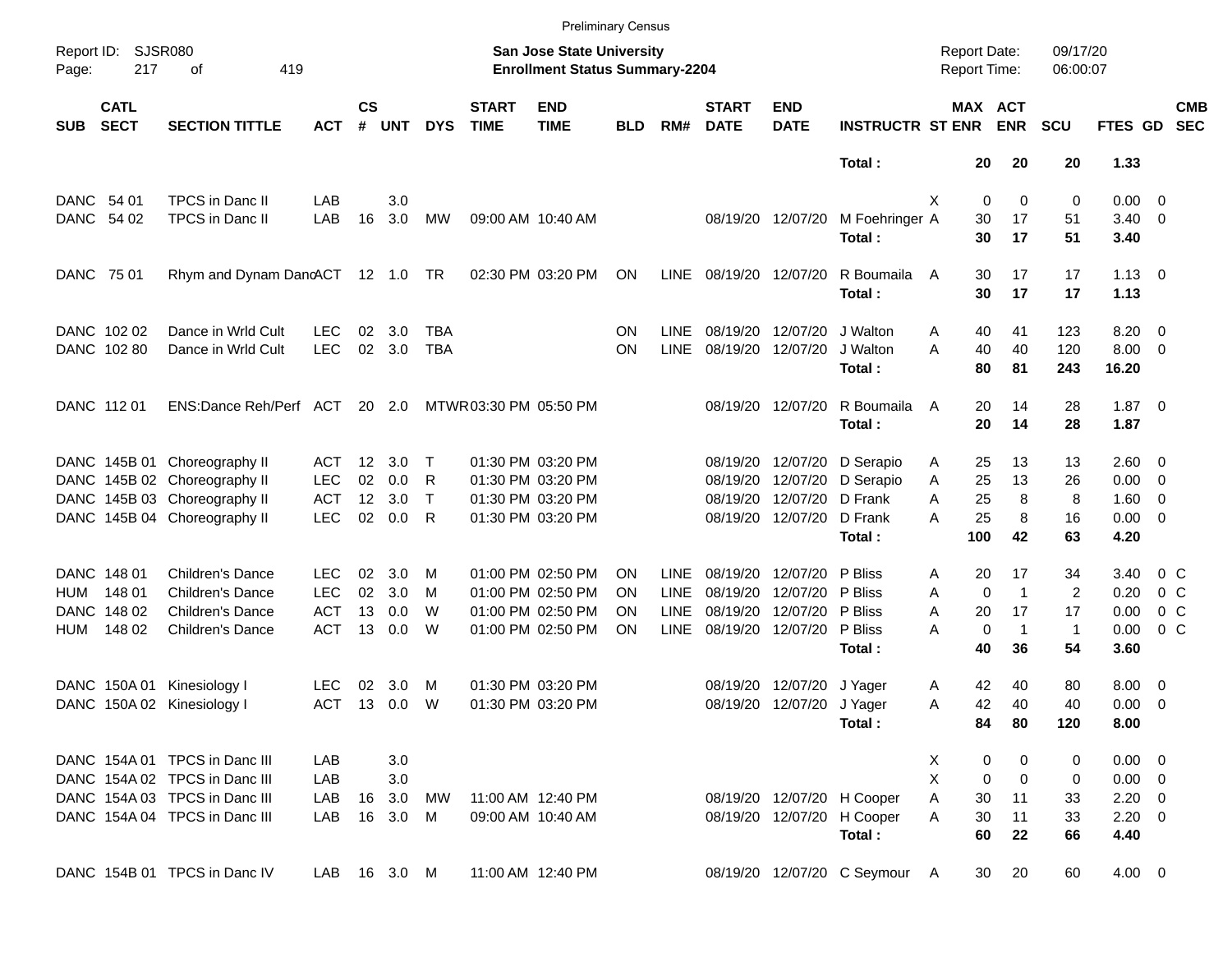|                     |                            |                                  |            |                    |            |              |                             |                                                                           | <b>Preliminary Census</b> |             |                             |                           |                               |                                     |                       |                      |                |                |                          |
|---------------------|----------------------------|----------------------------------|------------|--------------------|------------|--------------|-----------------------------|---------------------------------------------------------------------------|---------------------------|-------------|-----------------------------|---------------------------|-------------------------------|-------------------------------------|-----------------------|----------------------|----------------|----------------|--------------------------|
| Report ID:<br>Page: | 217                        | <b>SJSR080</b><br>419<br>οf      |            |                    |            |              |                             | <b>San Jose State University</b><br><b>Enrollment Status Summary-2204</b> |                           |             |                             |                           |                               | <b>Report Date:</b><br>Report Time: |                       | 09/17/20<br>06:00:07 |                |                |                          |
| <b>SUB</b>          | <b>CATL</b><br><b>SECT</b> | <b>SECTION TITTLE</b>            | <b>ACT</b> | $\mathsf{cs}$<br># | <b>UNT</b> | <b>DYS</b>   | <b>START</b><br><b>TIME</b> | <b>END</b><br><b>TIME</b>                                                 | <b>BLD</b>                | RM#         | <b>START</b><br><b>DATE</b> | <b>END</b><br><b>DATE</b> | <b>INSTRUCTR ST ENR</b>       |                                     | MAX ACT<br><b>ENR</b> | <b>SCU</b>           | FTES GD        |                | <b>CMB</b><br><b>SEC</b> |
|                     |                            |                                  |            |                    |            |              |                             |                                                                           |                           |             |                             |                           | Total:                        | 20                                  | 20                    | 20                   | 1.33           |                |                          |
|                     | DANC 54 01                 | TPCS in Danc II                  | LAB        |                    | 3.0        |              |                             |                                                                           |                           |             |                             |                           |                               | X<br>0                              | $\mathbf 0$           | 0                    | $0.00 \t 0$    |                |                          |
|                     | DANC 54 02                 | TPCS in Danc II                  | LAB        | 16                 | 3.0        | МW           |                             | 09:00 AM 10:40 AM                                                         |                           |             |                             | 08/19/20 12/07/20         | M Foehringer A                | 30                                  | 17                    | 51                   | $3.40 \quad 0$ |                |                          |
|                     |                            |                                  |            |                    |            |              |                             |                                                                           |                           |             |                             |                           | Total:                        | 30                                  | 17                    | 51                   | 3.40           |                |                          |
|                     | DANC 75 01                 | Rhym and Dynam DanoACT 12 1.0 TR |            |                    |            |              |                             | 02:30 PM 03:20 PM                                                         | ON                        | <b>LINE</b> |                             | 08/19/20 12/07/20         | R Boumaila                    | 30<br>A                             | 17                    | 17                   | $1.13 \ 0$     |                |                          |
|                     |                            |                                  |            |                    |            |              |                             |                                                                           |                           |             |                             |                           | Total:                        | 30                                  | 17                    | 17                   | 1.13           |                |                          |
|                     | DANC 102 02                | Dance in Wrld Cult               | <b>LEC</b> | 02                 | 3.0        | TBA          |                             |                                                                           | ON                        | <b>LINE</b> |                             | 08/19/20 12/07/20         | J Walton                      | 40<br>Α                             | 41                    | 123                  | $8.20 \ 0$     |                |                          |
|                     | DANC 102 80                | Dance in Wrld Cult               | <b>LEC</b> |                    | 02 3.0     | <b>TBA</b>   |                             |                                                                           | ΟN                        | <b>LINE</b> |                             | 08/19/20 12/07/20         | J Walton                      | A<br>40                             | 40                    | 120                  | $8.00 \t 0$    |                |                          |
|                     |                            |                                  |            |                    |            |              |                             |                                                                           |                           |             |                             |                           | Total:                        | 80                                  | 81                    | 243                  | 16.20          |                |                          |
|                     | DANC 112 01                | ENS:Dance Reh/Perf ACT           |            |                    | 20 2.0     |              | MTWR 03:30 PM 05:50 PM      |                                                                           |                           |             |                             | 08/19/20 12/07/20         | R Boumaila                    | 20<br>A                             | 14                    | 28                   | $1.87 \t 0$    |                |                          |
|                     |                            |                                  |            |                    |            |              |                             |                                                                           |                           |             |                             |                           | Total:                        | 20                                  | 14                    | 28                   | 1.87           |                |                          |
|                     |                            | DANC 145B 01 Choreography II     | ACT        | 12 <sup>12</sup>   | 3.0        | Т            |                             | 01:30 PM 03:20 PM                                                         |                           |             |                             | 08/19/20 12/07/20         | D Serapio                     | 25<br>Α                             | 13                    | 13                   | $2.60 \quad 0$ |                |                          |
|                     |                            | DANC 145B 02 Choreography II     | <b>LEC</b> | 02                 | 0.0        | R            |                             | 01:30 PM 03:20 PM                                                         |                           |             | 08/19/20                    | 12/07/20                  | D Serapio                     | 25<br>Α                             | 13                    | 26                   | $0.00 \quad 0$ |                |                          |
|                     |                            | DANC 145B 03 Choreography II     | <b>ACT</b> | 12                 | 3.0        | $\mathsf{T}$ |                             | 01:30 PM 03:20 PM                                                         |                           |             | 08/19/20                    | 12/07/20                  | D Frank                       | 25<br>A                             | 8                     | 8                    | $1.60 \t 0$    |                |                          |
|                     |                            | DANC 145B 04 Choreography II     | <b>LEC</b> | 02                 | 0.0        | R            |                             | 01:30 PM 03:20 PM                                                         |                           |             |                             | 08/19/20 12/07/20         | D Frank                       | 25<br>А                             | 8                     | 16                   | $0.00 \t 0$    |                |                          |
|                     |                            |                                  |            |                    |            |              |                             |                                                                           |                           |             |                             |                           | Total:                        | 100                                 | 42                    | 63                   | 4.20           |                |                          |
|                     | DANC 148 01                | <b>Children's Dance</b>          | LEC.       | 02                 | 3.0        | м            |                             | 01:00 PM 02:50 PM                                                         | ON                        | <b>LINE</b> |                             | 08/19/20 12/07/20         | P Bliss                       | 20<br>Α                             | 17                    | 34                   | 3.40           | 0 C            |                          |
| HUM                 | 148 01                     | <b>Children's Dance</b>          | <b>LEC</b> | 02                 | 3.0        | м            |                             | 01:00 PM 02:50 PM                                                         | OΝ                        | <b>LINE</b> | 08/19/20                    | 12/07/20                  | P Bliss                       | $\mathbf 0$<br>Α                    | $\mathbf{1}$          | 2                    | 0.20           | 0 <sup>o</sup> |                          |
|                     | DANC 148 02                | <b>Children's Dance</b>          | <b>ACT</b> | 13                 | 0.0        | W            |                             | 01:00 PM 02:50 PM                                                         | OΝ                        | <b>LINE</b> | 08/19/20                    | 12/07/20                  | P Bliss                       | 20<br>A                             | 17                    | 17                   | 0.00           | $0\,C$         |                          |
| HUM                 | 148 02                     | <b>Children's Dance</b>          | <b>ACT</b> | 13                 | 0.0        | W            |                             | 01:00 PM 02:50 PM                                                         | ΟN                        | <b>LINE</b> |                             | 08/19/20 12/07/20         | P Bliss                       | $\mathbf 0$<br>А                    | $\mathbf{1}$          | $\overline{1}$       | 0.00           | 0 <sup>o</sup> |                          |
|                     |                            |                                  |            |                    |            |              |                             |                                                                           |                           |             |                             |                           | Total:                        | 40                                  | 36                    | 54                   | 3.60           |                |                          |
|                     | DANC 150A 01               | Kinesiology I                    | LEC        | 02                 | 3.0        | м            |                             | 01:30 PM 03:20 PM                                                         |                           |             | 08/19/20                    | 12/07/20                  | J Yager                       | 42<br>Α                             | 40                    | 80                   | $8.00 \quad 0$ |                |                          |
|                     |                            | DANC 150A 02 Kinesiology I       | ACT        |                    | 13 0.0     | W            |                             | 01:30 PM 03:20 PM                                                         |                           |             |                             | 08/19/20 12/07/20 J Yager |                               | 42<br>Α                             | 40                    | 40                   | $0.00 \t 0$    |                |                          |
|                     |                            |                                  |            |                    |            |              |                             |                                                                           |                           |             |                             |                           | Total :                       | 84                                  | 80                    | 120                  | 8.00           |                |                          |
|                     |                            | DANC 154A 01 TPCS in Danc III    | LAB        |                    | 3.0        |              |                             |                                                                           |                           |             |                             |                           |                               | 0<br>X                              | 0                     | 0                    | $0.00 \t 0$    |                |                          |
|                     |                            | DANC 154A 02 TPCS in Danc III    | LAB        |                    | 3.0        |              |                             |                                                                           |                           |             |                             |                           |                               | X<br>$\mathbf 0$                    | $\mathbf 0$           | 0                    | $0.00 \t 0$    |                |                          |
|                     |                            | DANC 154A 03 TPCS in Danc III    | LAB        | 16                 | 3.0        | MW           |                             | 11:00 AM 12:40 PM                                                         |                           |             |                             |                           | 08/19/20 12/07/20 H Cooper    | Α<br>30                             | 11                    | 33                   | $2.20 \t 0$    |                |                          |
|                     |                            | DANC 154A 04 TPCS in Danc III    | LAB        |                    | 16 3.0     | M            |                             | 09:00 AM 10:40 AM                                                         |                           |             |                             |                           | 08/19/20 12/07/20 H Cooper    | 30<br>A                             | 11                    | 33                   | $2.20 \t 0$    |                |                          |
|                     |                            |                                  |            |                    |            |              |                             |                                                                           |                           |             |                             |                           | Total:                        | 60                                  | 22                    | 66                   | 4.40           |                |                          |
|                     |                            | DANC 154B 01 TPCS in Danc IV     | LAB        |                    | 16 3.0 M   |              |                             | 11:00 AM 12:40 PM                                                         |                           |             |                             |                           | 08/19/20 12/07/20 C Seymour A | 30                                  | 20                    | 60                   | $4.00 \ 0$     |                |                          |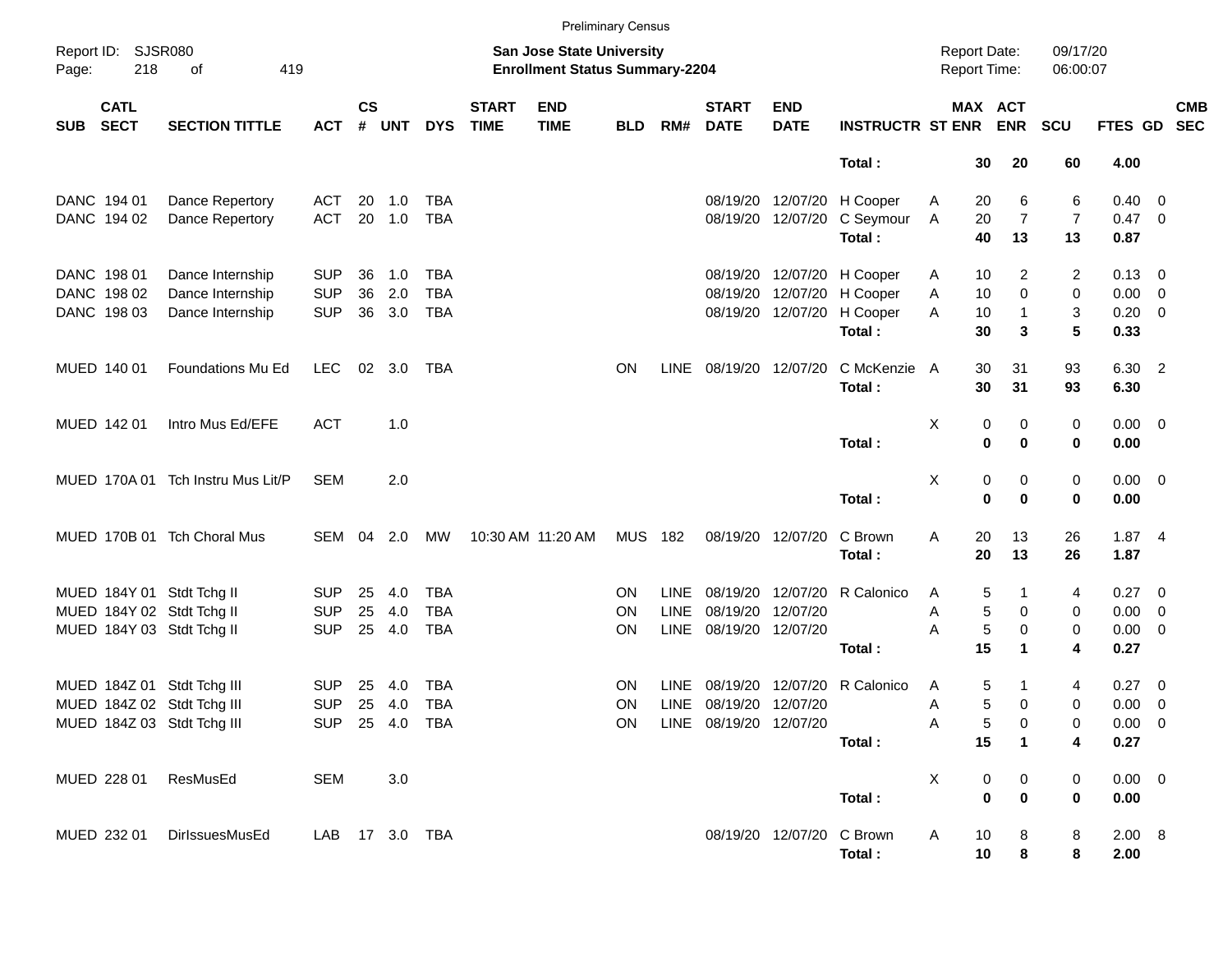|            |                            |                                   |            |                    |                |            |                             |                                                                    | <b>Preliminary Census</b> |             |                             |                           |                             |   |                  |                                     |                      |                        |            |
|------------|----------------------------|-----------------------------------|------------|--------------------|----------------|------------|-----------------------------|--------------------------------------------------------------------|---------------------------|-------------|-----------------------------|---------------------------|-----------------------------|---|------------------|-------------------------------------|----------------------|------------------------|------------|
| Page:      | Report ID: SJSR080<br>218  | οf<br>419                         |            |                    |                |            |                             | San Jose State University<br><b>Enrollment Status Summary-2204</b> |                           |             |                             |                           |                             |   |                  | <b>Report Date:</b><br>Report Time: | 09/17/20<br>06:00:07 |                        |            |
| <b>SUB</b> | <b>CATL</b><br><b>SECT</b> | <b>SECTION TITTLE</b>             | <b>ACT</b> | $\mathsf{cs}$<br># | <b>UNT</b>     | <b>DYS</b> | <b>START</b><br><b>TIME</b> | <b>END</b><br><b>TIME</b>                                          | <b>BLD</b>                | RM#         | <b>START</b><br><b>DATE</b> | <b>END</b><br><b>DATE</b> | <b>INSTRUCTR ST ENR ENR</b> |   |                  | MAX ACT                             | <b>SCU</b>           | FTES GD SEC            | <b>CMB</b> |
|            |                            |                                   |            |                    |                |            |                             |                                                                    |                           |             |                             |                           | Total:                      |   | 30               | 20                                  | 60                   | 4.00                   |            |
|            | DANC 194 01                | Dance Repertory                   | ACT        | 20                 | 1.0            | <b>TBA</b> |                             |                                                                    |                           |             |                             |                           | 08/19/20 12/07/20 H Cooper  | A | 20               | 6                                   | 6                    | $0.40 \quad 0$         |            |
|            | DANC 194 02                | Dance Repertory                   | <b>ACT</b> |                    | 20 1.0         | <b>TBA</b> |                             |                                                                    |                           |             |                             | 08/19/20 12/07/20         | C Seymour<br>Total:         | Α | 20<br>40         | $\overline{7}$<br>13                | 7<br>13              | $0.47 \quad 0$<br>0.87 |            |
|            | DANC 198 01                | Dance Internship                  | <b>SUP</b> | 36                 | 1.0            | <b>TBA</b> |                             |                                                                    |                           |             |                             |                           | 08/19/20 12/07/20 H Cooper  | A | 10               | 2                                   | 2                    | $0.13 \quad 0$         |            |
|            | DANC 198 02                | Dance Internship                  | <b>SUP</b> | 36                 | 2.0            | <b>TBA</b> |                             |                                                                    |                           |             |                             | 08/19/20 12/07/20         | H Cooper                    | Α | 10               | 0                                   | 0                    | $0.00 \t 0$            |            |
|            | DANC 198 03                | Dance Internship                  | <b>SUP</b> | 36                 | 3.0            | <b>TBA</b> |                             |                                                                    |                           |             |                             | 08/19/20 12/07/20         | H Cooper<br>Total:          | A | 10<br>30         | 1<br>3                              | 3<br>5               | $0.20 \ 0$<br>0.33     |            |
|            | MUED 140 01                | Foundations Mu Ed                 | LEC        |                    | $02 \quad 3.0$ | TBA        |                             |                                                                    | ON                        | LINE        |                             | 08/19/20 12/07/20         | C McKenzie A<br>Total:      |   | 30<br>30         | 31<br>31                            | 93<br>93             | 6.30 2<br>6.30         |            |
|            | MUED 142 01                | Intro Mus Ed/EFE                  | <b>ACT</b> |                    | 1.0            |            |                             |                                                                    |                           |             |                             |                           | Total:                      | Χ | 0<br>$\mathbf 0$ | 0<br>$\mathbf 0$                    | 0<br>0               | $0.00 \t 0$<br>0.00    |            |
|            |                            |                                   |            |                    |                |            |                             |                                                                    |                           |             |                             |                           |                             |   |                  |                                     |                      |                        |            |
|            |                            | MUED 170A 01 Tch Instru Mus Lit/P | <b>SEM</b> |                    | 2.0            |            |                             |                                                                    |                           |             |                             |                           |                             | Χ | 0                | 0                                   | 0                    | $0.00 \t 0$            |            |
|            |                            |                                   |            |                    |                |            |                             |                                                                    |                           |             |                             |                           | Total:                      |   | $\mathbf 0$      | $\mathbf 0$                         | 0                    | 0.00                   |            |
|            |                            | MUED 170B 01 Tch Choral Mus       | SEM 04     |                    | 2.0            | МW         |                             | 10:30 AM 11:20 AM                                                  | <b>MUS 182</b>            |             |                             | 08/19/20 12/07/20         | C Brown<br>Total:           | Α | 20<br>20         | 13<br>13                            | 26<br>26             | 1.874<br>1.87          |            |
|            |                            | MUED 184Y 01 Stdt Tchg II         | <b>SUP</b> | 25                 | 4.0            | <b>TBA</b> |                             |                                                                    | <b>ON</b>                 | <b>LINE</b> |                             | 08/19/20 12/07/20         | R Calonico                  | A | 5                |                                     | 4                    | 0.27 0                 |            |
|            |                            | MUED 184Y 02 Stdt Tchg II         | <b>SUP</b> | 25                 | 4.0            | <b>TBA</b> |                             |                                                                    | <b>ON</b>                 | <b>LINE</b> |                             | 08/19/20 12/07/20         |                             | Α | 5                | 0                                   | 0                    | $0.00 \t 0$            |            |
|            |                            | MUED 184Y 03 Stdt Tchg II         | <b>SUP</b> | 25                 | 4.0            | <b>TBA</b> |                             |                                                                    | <b>ON</b>                 | LINE        | 08/19/20 12/07/20           |                           |                             | A | $\sqrt{5}$       | 0                                   | 0                    | $0.00 \t 0$            |            |
|            |                            |                                   |            |                    |                |            |                             |                                                                    |                           |             |                             |                           | Total:                      |   | 15               | 1                                   | 4                    | 0.27                   |            |
|            |                            | MUED 184Z 01 Stdt Tchg III        | <b>SUP</b> | 25                 | 4.0            | <b>TBA</b> |                             |                                                                    | <b>ON</b>                 | LINE        |                             | 08/19/20 12/07/20         | R Calonico                  | A | 5                |                                     | 4                    | 0.27 0                 |            |
|            |                            | MUED 184Z 02 Stdt Tchg III        | <b>SUP</b> | 25                 | 4.0            | <b>TBA</b> |                             |                                                                    | <b>ON</b>                 | LINE        | 08/19/20 12/07/20           |                           |                             | Α | 5                | 0                                   | 0                    | $0.00 \t 0$            |            |
|            |                            | MUED 184Z 03 Stdt Tchg III        |            |                    | SUP 25 4.0 TBA |            |                             |                                                                    | ON.                       |             | LINE 08/19/20 12/07/20      |                           |                             | Α | 5                | 0                                   | 0                    | 0.00 0                 |            |
|            |                            |                                   |            |                    |                |            |                             |                                                                    |                           |             |                             |                           | Total:                      |   | 15               | $\mathbf 1$                         | 4                    | 0.27                   |            |
|            | MUED 228 01                | ResMusEd                          | <b>SEM</b> |                    | 3.0            |            |                             |                                                                    |                           |             |                             |                           |                             | X | 0                | $\mathbf 0$                         | 0                    | $0.00 \t 0$            |            |
|            |                            |                                   |            |                    |                |            |                             |                                                                    |                           |             |                             |                           | Total:                      |   | $\bf{0}$         | $\bf{0}$                            | 0                    | 0.00                   |            |
|            | MUED 232 01                | DirlssuesMusEd                    |            |                    | LAB 17 3.0 TBA |            |                             |                                                                    |                           |             |                             | 08/19/20 12/07/20 C Brown | Total:                      | A | 10<br>10         | 8<br>8                              | 8<br>8               | 2.00 8<br>2.00         |            |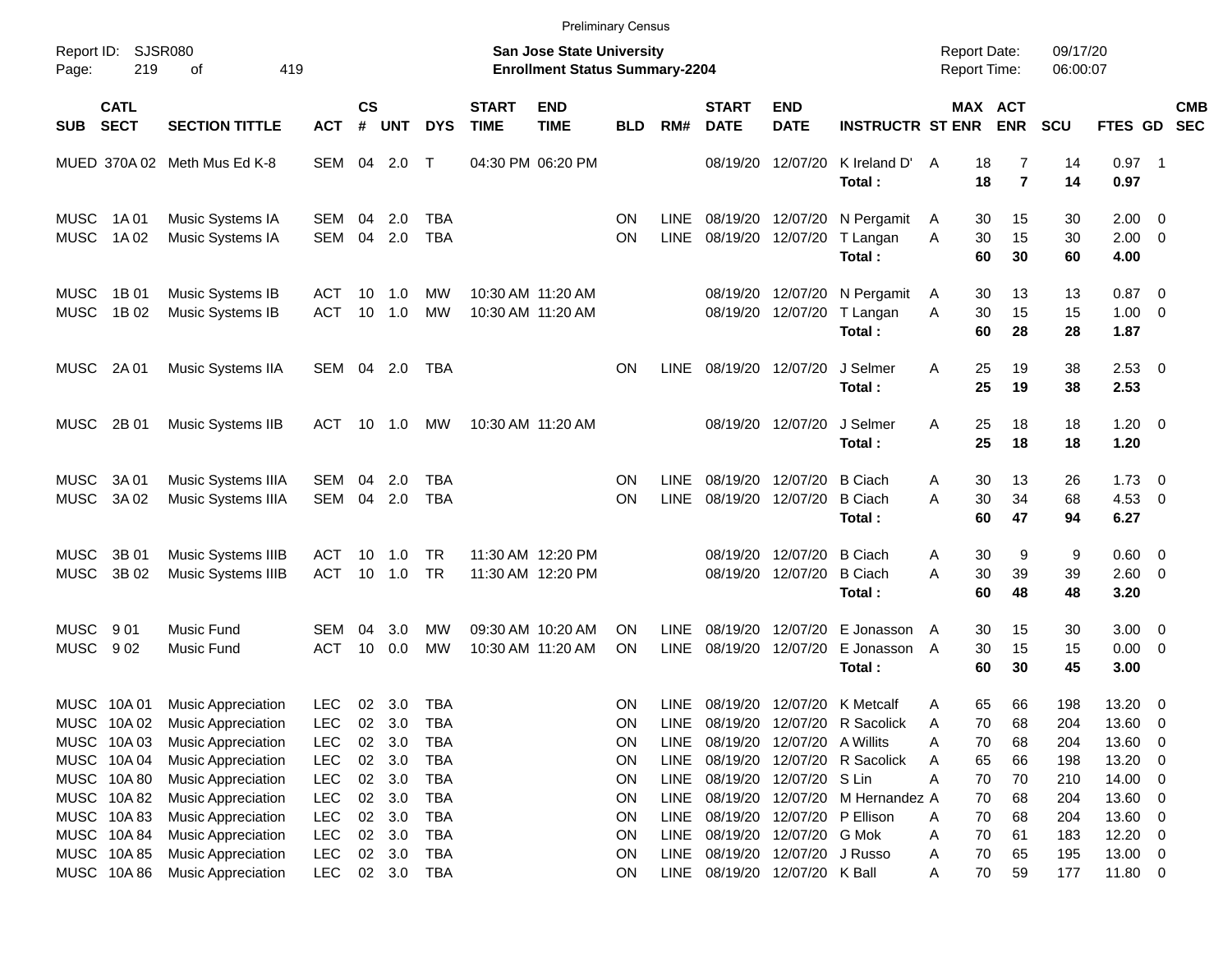|                            |                                                         |                                                                                                    |                                                      |                            |                                |                                                      |                             |                                                                    | <b>Preliminary Census</b>   |                                            |                                  |                                                                |                                                             |                                          |                      |                          |                                               |                          |                          |
|----------------------------|---------------------------------------------------------|----------------------------------------------------------------------------------------------------|------------------------------------------------------|----------------------------|--------------------------------|------------------------------------------------------|-----------------------------|--------------------------------------------------------------------|-----------------------------|--------------------------------------------|----------------------------------|----------------------------------------------------------------|-------------------------------------------------------------|------------------------------------------|----------------------|--------------------------|-----------------------------------------------|--------------------------|--------------------------|
| Report ID:<br>Page:        | SJSR080<br>219                                          | 419<br>οf                                                                                          |                                                      |                            |                                |                                                      |                             | San Jose State University<br><b>Enrollment Status Summary-2204</b> |                             |                                            |                                  |                                                                |                                                             | <b>Report Date:</b><br>Report Time:      |                      | 09/17/20<br>06:00:07     |                                               |                          |                          |
| <b>SUB</b>                 | <b>CATL</b><br><b>SECT</b>                              | <b>SECTION TITTLE</b>                                                                              | <b>ACT</b>                                           | $\mathsf{cs}$<br>#         | <b>UNT</b>                     | <b>DYS</b>                                           | <b>START</b><br><b>TIME</b> | <b>END</b><br><b>TIME</b>                                          | <b>BLD</b>                  | RM#                                        | <b>START</b><br><b>DATE</b>      | <b>END</b><br><b>DATE</b>                                      | <b>INSTRUCTR ST ENR</b>                                     | MAX ACT                                  | <b>ENR</b>           | <b>SCU</b>               | FTES GD                                       |                          | <b>CMB</b><br><b>SEC</b> |
|                            |                                                         | MUED 370A 02 Meth Mus Ed K-8                                                                       | SEM                                                  |                            | 04 2.0                         | $\mathsf{T}$                                         |                             | 04:30 PM 06:20 PM                                                  |                             |                                            | 08/19/20                         | 12/07/20                                                       | K Ireland D'<br>Total:                                      | A<br>18<br>18                            | 7<br>$\overline{7}$  | 14<br>14                 | $0.97$ 1<br>0.97                              |                          |                          |
| <b>MUSC</b><br><b>MUSC</b> | 1A 01<br>1A 02                                          | Music Systems IA<br>Music Systems IA                                                               | SEM<br><b>SEM</b>                                    | 04<br>04                   | 2.0<br>2.0                     | TBA<br><b>TBA</b>                                    |                             |                                                                    | ON<br>ON                    | LINE.<br><b>LINE</b>                       | 08/19/20<br>08/19/20             | 12/07/20<br>12/07/20                                           | N Pergamit<br>T Langan<br>Total:                            | 30<br>A<br>30<br>A<br>60                 | 15<br>15<br>30       | 30<br>30<br>60           | $2.00 \t 0$<br>$2.00 \t 0$<br>4.00            |                          |                          |
| <b>MUSC</b><br><b>MUSC</b> | 1B 01<br>1B 02                                          | Music Systems IB<br>Music Systems IB                                                               | ACT<br>ACT                                           | 10<br>10                   | 1.0<br>1.0                     | MW<br>MW                                             |                             | 10:30 AM 11:20 AM<br>10:30 AM 11:20 AM                             |                             |                                            | 08/19/20<br>08/19/20             | 12/07/20<br>12/07/20                                           | N Pergamit<br>T Langan<br>Total:                            | 30<br>A<br>30<br>A<br>60                 | 13<br>15<br>28       | 13<br>15<br>28           | $0.87$ 0<br>$1.00 \t 0$<br>1.87               |                          |                          |
| <b>MUSC</b>                | 2A 01                                                   | Music Systems IIA                                                                                  | SEM                                                  |                            | 04 2.0                         | TBA                                                  |                             |                                                                    | ΟN                          | <b>LINE</b>                                |                                  | 08/19/20 12/07/20                                              | J Selmer<br>Total:                                          | 25<br>Α<br>25                            | 19<br>19             | 38<br>38                 | $2.53$ 0<br>2.53                              |                          |                          |
| <b>MUSC</b>                | 2B 01                                                   | Music Systems IIB                                                                                  | ACT                                                  | 10                         | 1.0                            | MW                                                   |                             | 10:30 AM 11:20 AM                                                  |                             |                                            |                                  | 08/19/20 12/07/20                                              | J Selmer<br>Total:                                          | 25<br>Α<br>25                            | 18<br>18             | 18<br>18                 | $1.20 \t 0$<br>1.20                           |                          |                          |
| <b>MUSC</b><br><b>MUSC</b> | 3A 01<br>3A 02                                          | Music Systems IIIA<br>Music Systems IIIA                                                           | SEM<br><b>SEM</b>                                    | 04<br>04                   | 2.0<br>2.0                     | TBA<br><b>TBA</b>                                    |                             |                                                                    | ON<br>ΟN                    | <b>LINE</b><br><b>LINE</b>                 | 08/19/20<br>08/19/20             | 12/07/20<br>12/07/20                                           | <b>B</b> Ciach<br><b>B</b> Ciach<br>Total:                  | 30<br>A<br>30<br>A<br>60                 | 13<br>34<br>47       | 26<br>68<br>94           | $1.73 \t 0$<br>$4.53$ 0<br>6.27               |                          |                          |
| <b>MUSC</b><br><b>MUSC</b> | 3B 01<br>3B 02                                          | Music Systems IIIB<br>Music Systems IIIB                                                           | ACT<br><b>ACT</b>                                    | 10<br>10                   | 1.0<br>1.0                     | TR<br><b>TR</b>                                      |                             | 11:30 AM 12:20 PM<br>11:30 AM 12:20 PM                             |                             |                                            | 08/19/20<br>08/19/20             | 12/07/20<br>12/07/20                                           | <b>B</b> Ciach<br><b>B</b> Ciach<br>Total:                  | 30<br>A<br>A<br>30<br>60                 | 9<br>39<br>48        | 9<br>39<br>48            | $0.60 \quad 0$<br>2.60 0<br>3.20              |                          |                          |
| <b>MUSC</b><br><b>MUSC</b> | 901<br>902                                              | Music Fund<br>Music Fund                                                                           | <b>SEM</b><br><b>ACT</b>                             | 04<br>10                   | 3.0<br>0.0                     | MW<br>MW                                             |                             | 09:30 AM 10:20 AM<br>10:30 AM 11:20 AM                             | ΟN<br>ΟN                    | <b>LINE</b><br>LINE                        | 08/19/20<br>08/19/20             | 12/07/20<br>12/07/20                                           | E Jonasson<br>E Jonasson<br>Total:                          | 30<br>A<br>30<br>A<br>60                 | 15<br>15<br>30       | 30<br>15<br>45           | $3.00 \ 0$<br>$0.00 \t 0$<br>3.00             |                          |                          |
|                            | MUSC 10A 01<br>MUSC 10A02<br>MUSC 10A03                 | <b>Music Appreciation</b><br><b>Music Appreciation</b><br>Music Appreciation                       | <b>LEC</b><br><b>LEC</b><br><b>LEC</b>               | 02<br>02                   | 02 3.0<br>3.0<br>3.0           | TBA<br>TBA<br><b>TBA</b>                             |                             |                                                                    | ΟN<br>ON<br>ON              | LINE.<br>LINE<br><b>LINE</b>               | 08/19/20                         | 12/07/20 A Willits                                             | 08/19/20 12/07/20 K Metcalf<br>08/19/20 12/07/20 R Sacolick | 65<br>Α<br>70<br>A<br>70<br>Α            | 66<br>68<br>68       | 198<br>204<br>204        | 13.20 0<br>13.60<br>13.60 0                   | - 0                      |                          |
|                            | MUSC 10A 04<br>MUSC 10A 80<br>MUSC 10A 82               | Music Appreciation<br><b>Music Appreciation</b><br>Music Appreciation                              | <b>LEC</b><br><b>LEC</b><br><b>LEC</b>               | $02\,$<br>$02\,$<br>$02\,$ | 3.0<br>3.0<br>3.0              | <b>TBA</b><br><b>TBA</b><br><b>TBA</b>               |                             |                                                                    | ON<br><b>ON</b><br>ON       | LINE<br>LINE<br><b>LINE</b>                | 08/19/20<br>08/19/20<br>08/19/20 | 12/07/20 S Lin                                                 | 12/07/20 R Sacolick<br>12/07/20 M Hernandez A               | 65<br>A<br>Α<br>70<br>70                 | 66<br>70<br>68       | 198<br>210<br>204        | 13.20<br>14.00 0<br>13.60 0                   | $\overline{\phantom{0}}$ |                          |
|                            | MUSC 10A83<br>MUSC 10A 84<br>MUSC 10A 85<br>MUSC 10A 86 | Music Appreciation<br>Music Appreciation<br><b>Music Appreciation</b><br><b>Music Appreciation</b> | <b>LEC</b><br><b>LEC</b><br><b>LEC</b><br><b>LEC</b> | 02<br>02                   | 3.0<br>3.0<br>02 3.0<br>02 3.0 | <b>TBA</b><br><b>TBA</b><br><b>TBA</b><br><b>TBA</b> |                             |                                                                    | ON<br><b>ON</b><br>ON<br>ON | <b>LINE</b><br><b>LINE</b><br>LINE<br>LINE | 08/19/20<br>08/19/20<br>08/19/20 | 12/07/20 G Mok<br>12/07/20 J Russo<br>08/19/20 12/07/20 K Ball | 12/07/20 P Ellison                                          | 70<br>A<br>70<br>Α<br>70<br>Α<br>70<br>Α | 68<br>61<br>65<br>59 | 204<br>183<br>195<br>177 | 13.60 0<br>$12.20 \t 0$<br>13.00 0<br>11.80 0 |                          |                          |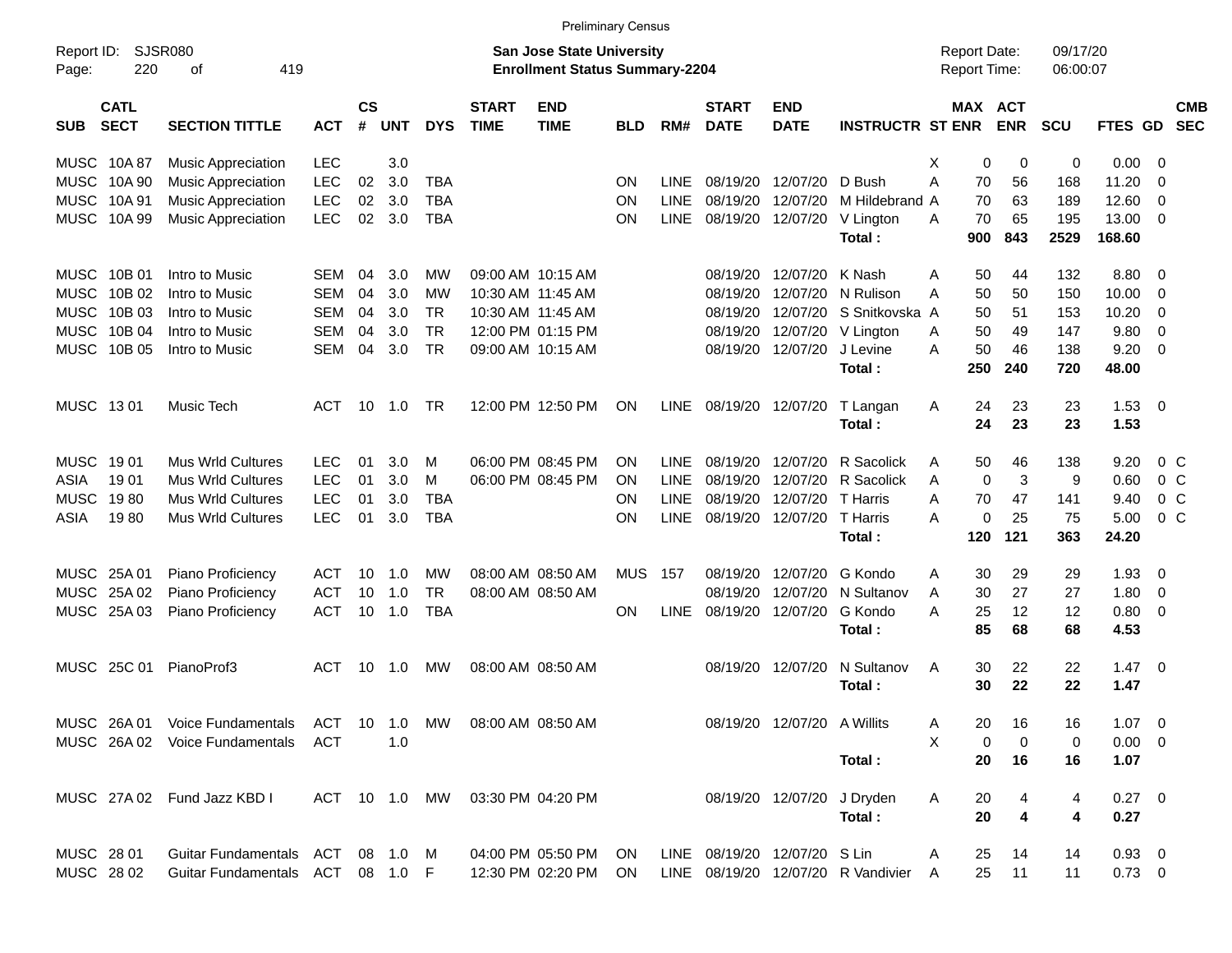|                     |                            |                                  |               |                |            |            |                                 |                                                                           | <b>Preliminary Census</b> |             |                             |                              |                                    |                                     |                       |                      |                 |                          |                          |
|---------------------|----------------------------|----------------------------------|---------------|----------------|------------|------------|---------------------------------|---------------------------------------------------------------------------|---------------------------|-------------|-----------------------------|------------------------------|------------------------------------|-------------------------------------|-----------------------|----------------------|-----------------|--------------------------|--------------------------|
| Report ID:<br>Page: | 220                        | <b>SJSR080</b><br>419<br>оf      |               |                |            |            |                                 | <b>San Jose State University</b><br><b>Enrollment Status Summary-2204</b> |                           |             |                             |                              |                                    | <b>Report Date:</b><br>Report Time: |                       | 09/17/20<br>06:00:07 |                 |                          |                          |
| <b>SUB</b>          | <b>CATL</b><br><b>SECT</b> | <b>SECTION TITTLE</b>            | <b>ACT</b>    | <b>CS</b><br># | <b>UNT</b> | <b>DYS</b> | <b>START</b><br><b>TIME</b>     | <b>END</b><br><b>TIME</b>                                                 | BLD                       | RM#         | <b>START</b><br><b>DATE</b> | <b>END</b><br><b>DATE</b>    | <b>INSTRUCTR ST ENR</b>            |                                     | MAX ACT<br><b>ENR</b> | <b>SCU</b>           | FTES GD         |                          | <b>CMB</b><br><b>SEC</b> |
| MUSC                | 10A 87                     | <b>Music Appreciation</b>        | <b>LEC</b>    |                | 3.0        |            |                                 |                                                                           |                           |             |                             |                              |                                    | X<br>0                              | 0                     | 0                    | 0.00            | - 0                      |                          |
| <b>MUSC</b>         | 10A 90                     | <b>Music Appreciation</b>        | <b>LEC</b>    | 02             | 3.0        | <b>TBA</b> |                                 |                                                                           | <b>ON</b>                 | <b>LINE</b> | 08/19/20                    | 12/07/20                     | D Bush                             | Α<br>70                             | 56                    | 168                  | 11.20           | 0                        |                          |
| <b>MUSC</b>         | 10A 91                     | <b>Music Appreciation</b>        | <b>LEC</b>    | 02             | 3.0        | <b>TBA</b> |                                 |                                                                           | <b>ON</b>                 | <b>LINE</b> | 08/19/20                    | 12/07/20                     | M Hildebrand A                     | 70                                  | 63                    | 189                  | 12.60           | 0                        |                          |
| <b>MUSC</b>         | 10A 99                     | <b>Music Appreciation</b>        | <b>LEC</b>    | 02             | 3.0        | <b>TBA</b> |                                 |                                                                           | <b>ON</b>                 | <b>LINE</b> | 08/19/20                    | 12/07/20                     | V Lington<br>Total:                | A<br>70<br>900                      | 65<br>843             | 195<br>2529          | 13.00<br>168.60 | - 0                      |                          |
| MUSC                | 10B 01                     | Intro to Music                   | <b>SEM</b>    | 04             | 3.0        | MW         |                                 | 09:00 AM 10:15 AM                                                         |                           |             | 08/19/20                    | 12/07/20                     | K Nash                             | 50<br>A                             | 44                    | 132                  | 8.80            | - 0                      |                          |
| <b>MUSC</b>         | 10B 02                     | Intro to Music                   | <b>SEM</b>    | 04             | 3.0        | МW         |                                 | 10:30 AM 11:45 AM                                                         |                           |             | 08/19/20                    | 12/07/20                     | N Rulison                          | 50<br>Α                             | 50                    | 150                  | 10.00           | 0                        |                          |
| <b>MUSC</b>         | 10B 03                     | Intro to Music                   | <b>SEM</b>    | 04             | 3.0        | <b>TR</b>  |                                 | 10:30 AM 11:45 AM                                                         |                           |             | 08/19/20                    | 12/07/20                     | S Snitkovska A                     | 50                                  | 51                    | 153                  | 10.20           | 0                        |                          |
| <b>MUSC</b>         | 10B 04                     | Intro to Music                   | <b>SEM</b>    | 04             | 3.0        | <b>TR</b>  |                                 | 12:00 PM 01:15 PM                                                         |                           |             | 08/19/20                    | 12/07/20                     | V Lington                          | 50<br>A                             | 49                    | 147                  | 9.80            | 0                        |                          |
| <b>MUSC</b>         | 10B 05                     | Intro to Music                   | <b>SEM</b>    | 04             | 3.0        | <b>TR</b>  |                                 | 09:00 AM 10:15 AM                                                         |                           |             | 08/19/20                    | 12/07/20                     | J Levine<br>Total:                 | 50<br>A<br>250                      | 46<br>240             | 138<br>720           | 9.20<br>48.00   | $\overline{0}$           |                          |
| MUSC 1301           |                            | Music Tech                       | <b>ACT</b>    | 10             | 1.0        | <b>TR</b>  |                                 | 12:00 PM 12:50 PM                                                         | <b>ON</b>                 | LINE        |                             | 08/19/20 12/07/20            | T Langan<br>Total:                 | 24<br>A<br>24                       | 23<br>23              | 23<br>23             | 1.53<br>1.53    | - 0                      |                          |
| <b>MUSC</b>         | 19 01                      | <b>Mus Wrld Cultures</b>         | <b>LEC</b>    | 01             | 3.0        | м          |                                 | 06:00 PM 08:45 PM                                                         | ON                        | <b>LINE</b> | 08/19/20                    | 12/07/20                     | R Sacolick                         | 50<br>A                             | 46                    | 138                  | 9.20            | $0\,$ C                  |                          |
| ASIA                | 1901                       | <b>Mus Wrld Cultures</b>         | <b>LEC</b>    | 01             | 3.0        | M          |                                 | 06:00 PM 08:45 PM                                                         | <b>ON</b>                 | <b>LINE</b> | 08/19/20                    | 12/07/20                     | R Sacolick                         | $\mathbf 0$<br>A                    | 3                     | 9                    | 0.60            | 0 <sup>o</sup>           |                          |
| <b>MUSC</b>         | 1980                       | <b>Mus Wrld Cultures</b>         | <b>LEC</b>    | 01             | 3.0        | <b>TBA</b> |                                 |                                                                           | ON                        | <b>LINE</b> | 08/19/20                    | 12/07/20                     | <b>T</b> Harris                    | A<br>70                             | 47                    | 141                  | 9.40            | 0 <sup>C</sup>           |                          |
| ASIA                | 1980                       | <b>Mus Wrld Cultures</b>         | <b>LEC</b>    | 01             | 3.0        | <b>TBA</b> |                                 |                                                                           | ON                        | <b>LINE</b> | 08/19/20                    | 12/07/20                     | T Harris                           | А<br>0                              | 25                    | 75                   | 5.00            | 0 <sup>o</sup>           |                          |
|                     |                            |                                  |               |                |            |            |                                 |                                                                           |                           |             |                             |                              | Total:                             | 120                                 | 121                   | 363                  | 24.20           |                          |                          |
|                     | MUSC 25A 01                | Piano Proficiency                | <b>ACT</b>    | 10             | 1.0        | MW         |                                 | 08:00 AM 08:50 AM                                                         | <b>MUS</b>                | 157         | 08/19/20                    | 12/07/20                     | G Kondo                            | Α<br>30                             | 29                    | 29                   | 1.93            | 0                        |                          |
| MUSC                | 25A 02                     | Piano Proficiency                | <b>ACT</b>    | 10             | 1.0        | <b>TR</b>  |                                 | 08:00 AM 08:50 AM                                                         |                           |             | 08/19/20                    | 12/07/20                     | N Sultanov                         | 30<br>A                             | 27                    | 27                   | 1.80            | 0                        |                          |
|                     | MUSC 25A 03                | Piano Proficiency                | <b>ACT</b>    | 10             | 1.0        | <b>TBA</b> |                                 |                                                                           | <b>ON</b>                 | <b>LINE</b> | 08/19/20                    | 12/07/20                     | G Kondo                            | 25<br>А                             | 12                    | 12                   | 0.80            | 0                        |                          |
|                     |                            |                                  |               |                |            |            |                                 |                                                                           |                           |             |                             |                              | Total:                             | 85                                  | 68                    | 68                   | 4.53            |                          |                          |
| MUSC                | 25C 01                     | PianoProf3                       | <b>ACT</b>    | 10             | 1.0        | <b>MW</b>  |                                 | 08:00 AM 08:50 AM                                                         |                           |             | 08/19/20                    | 12/07/20                     | N Sultanov<br>Total:               | A<br>30<br>30                       | 22<br>22              | 22<br>22             | 1.47<br>1.47    | $\overline{\phantom{0}}$ |                          |
|                     |                            | MUSC 26A 01 Voice Fundamentals   |               |                |            |            | ACT 10 1.0 MW 08:00 AM 08:50 AM |                                                                           |                           |             |                             | 08/19/20 12/07/20 A Willits  |                                    | Α<br>20                             | 16                    | 16                   | $1.07 \quad 0$  |                          |                          |
|                     |                            | MUSC 26A 02 Voice Fundamentals   | ACT           |                | 1.0        |            |                                 |                                                                           |                           |             |                             |                              |                                    | X<br>0                              | 0                     | 0                    | $0.00 \t 0$     |                          |                          |
|                     |                            |                                  |               |                |            |            |                                 |                                                                           |                           |             |                             |                              | Total:                             | 20                                  | 16                    | 16                   | 1.07            |                          |                          |
|                     |                            | MUSC 27A 02 Fund Jazz KBD I      | ACT 10 1.0 MW |                |            |            |                                 | 03:30 PM 04:20 PM                                                         |                           |             |                             | 08/19/20 12/07/20 J Dryden   |                                    | A<br>20                             | 4                     | 4                    | $0.27 \t 0$     |                          |                          |
|                     |                            |                                  |               |                |            |            |                                 |                                                                           |                           |             |                             |                              | Total:                             | 20                                  | 4                     | 4                    | 0.27            |                          |                          |
| MUSC 28 01          |                            | <b>Guitar Fundamentals</b>       | ACT           |                | 08 1.0 M   |            |                                 | 04:00 PM 05:50 PM                                                         | ON                        |             |                             | LINE 08/19/20 12/07/20 S Lin |                                    | A<br>25                             | 14                    | 14                   | $0.93 \quad 0$  |                          |                          |
| MUSC 28 02          |                            | Guitar Fundamentals ACT 08 1.0 F |               |                |            |            |                                 | 12:30 PM 02:20 PM                                                         | ON.                       |             |                             |                              | LINE 08/19/20 12/07/20 R Vandivier | 25<br>A                             | 11                    | 11                   | $0.73 \quad 0$  |                          |                          |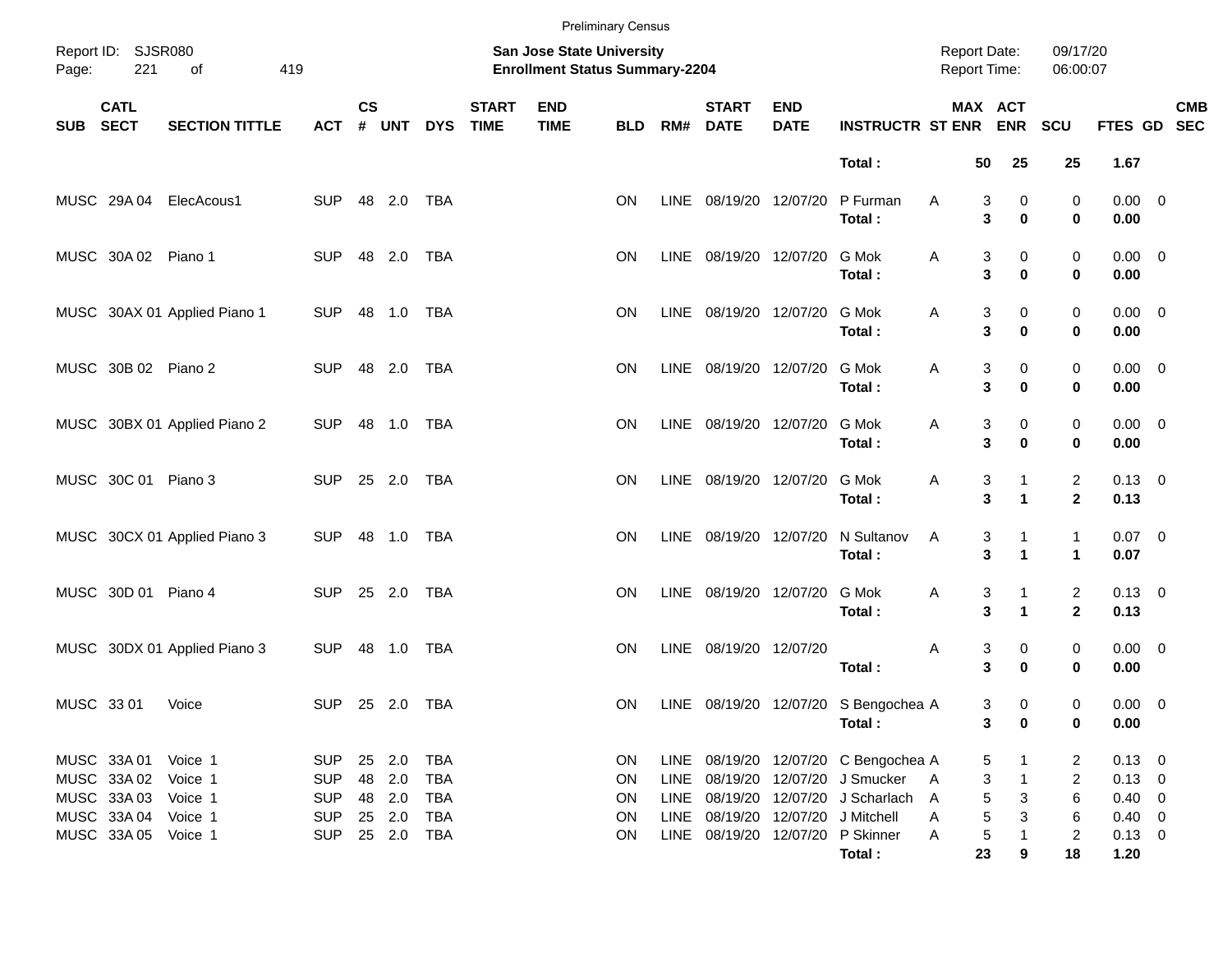|            |                            |                              |            |                    |            |            |                             |                                                                    | <b>Preliminary Census</b> |             |                             |                           |                                            |                                     |                                     |                                |                     |                           |
|------------|----------------------------|------------------------------|------------|--------------------|------------|------------|-----------------------------|--------------------------------------------------------------------|---------------------------|-------------|-----------------------------|---------------------------|--------------------------------------------|-------------------------------------|-------------------------------------|--------------------------------|---------------------|---------------------------|
| Page:      | Report ID: SJSR080<br>221  | 419<br>of                    |            |                    |            |            |                             | San Jose State University<br><b>Enrollment Status Summary-2204</b> |                           |             |                             |                           |                                            | <b>Report Date:</b><br>Report Time: |                                     | 09/17/20<br>06:00:07           |                     |                           |
| <b>SUB</b> | <b>CATL</b><br><b>SECT</b> | <b>SECTION TITTLE</b>        | <b>ACT</b> | $\mathsf{cs}$<br># | <b>UNT</b> | <b>DYS</b> | <b>START</b><br><b>TIME</b> | <b>END</b><br><b>TIME</b>                                          | <b>BLD</b>                | RM#         | <b>START</b><br><b>DATE</b> | <b>END</b><br><b>DATE</b> | <b>INSTRUCTR ST ENR</b>                    |                                     | <b>MAX ACT</b><br><b>ENR</b>        | SCU                            |                     | <b>CMB</b><br>FTES GD SEC |
|            |                            |                              |            |                    |            |            |                             |                                                                    |                           |             |                             |                           | Total:                                     | 50                                  | 25                                  | 25                             | 1.67                |                           |
|            |                            | MUSC 29A 04 ElecAcous1       | <b>SUP</b> |                    | 48 2.0     | <b>TBA</b> |                             |                                                                    | <b>ON</b>                 | LINE        | 08/19/20 12/07/20           |                           | P Furman<br>Total:                         | Α                                   | 3<br>0<br>3<br>$\bf{0}$             | 0<br>0                         | $0.00 \t 0$<br>0.00 |                           |
|            | MUSC 30A 02 Piano 1        |                              | <b>SUP</b> |                    | 48 2.0     | TBA        |                             |                                                                    | <b>ON</b>                 | LINE        | 08/19/20 12/07/20           |                           | G Mok<br>Total:                            | Α                                   | 3<br>0<br>3<br>$\bf{0}$             | 0<br>0                         | $0.00 \t 0$<br>0.00 |                           |
|            |                            | MUSC 30AX 01 Applied Piano 1 | <b>SUP</b> |                    | 48 1.0     | TBA        |                             |                                                                    | <b>ON</b>                 | LINE        | 08/19/20 12/07/20           |                           | G Mok<br>Total:                            | Α                                   | 3<br>0<br>3<br>$\bf{0}$             | 0<br>0                         | $0.00 \t 0$<br>0.00 |                           |
|            | MUSC 30B 02 Piano 2        |                              | <b>SUP</b> |                    | 48 2.0     | TBA        |                             |                                                                    | <b>ON</b>                 | LINE        | 08/19/20 12/07/20           |                           | G Mok<br>Total:                            | Α                                   | 3<br>0<br>3<br>$\bf{0}$             | 0<br>0                         | $0.00 \t 0$<br>0.00 |                           |
|            |                            | MUSC 30BX 01 Applied Piano 2 | <b>SUP</b> |                    | 48 1.0     | TBA        |                             |                                                                    | <b>ON</b>                 | LINE        | 08/19/20 12/07/20           |                           | G Mok<br>Total:                            | Α                                   | 3<br>0<br>3<br>$\bf{0}$             | 0<br>0                         | $0.00 \t 0$<br>0.00 |                           |
|            | MUSC 30C 01 Piano 3        |                              | <b>SUP</b> |                    | 25 2.0     | TBA        |                             |                                                                    | <b>ON</b>                 | LINE        | 08/19/20 12/07/20           |                           | G Mok<br>Total:                            | Α                                   | 3<br>1<br>3<br>$\mathbf{1}$         | $\overline{c}$<br>$\mathbf{2}$ | $0.13 \ 0$<br>0.13  |                           |
|            |                            | MUSC 30CX 01 Applied Piano 3 | <b>SUP</b> |                    | 48 1.0     | TBA        |                             |                                                                    | <b>ON</b>                 | LINE        | 08/19/20 12/07/20           |                           | N Sultanov<br>Total:                       | Α                                   | 3<br>1<br>3<br>$\mathbf{1}$         | $\mathbf{1}$<br>$\mathbf{1}$   | $0.07$ 0<br>0.07    |                           |
|            | MUSC 30D 01 Piano 4        |                              | <b>SUP</b> |                    | 25 2.0     | TBA        |                             |                                                                    | <b>ON</b>                 | LINE        | 08/19/20 12/07/20           |                           | G Mok<br>Total:                            | Α                                   | 3<br>1<br>3<br>$\blacktriangleleft$ | $\overline{c}$<br>$\mathbf{2}$ | $0.13 \ 0$<br>0.13  |                           |
|            |                            | MUSC 30DX 01 Applied Piano 3 | <b>SUP</b> |                    | 48 1.0     | TBA        |                             |                                                                    | ΟN                        | LINE        | 08/19/20 12/07/20           |                           | Total:                                     | Α                                   | 3<br>0<br>3<br>$\bf{0}$             | 0<br>0                         | $0.00 \t 0$<br>0.00 |                           |
|            | MUSC 33 01                 | Voice                        | <b>SUP</b> |                    | 25 2.0     | TBA        |                             |                                                                    | <b>ON</b>                 | LINE        |                             |                           | 08/19/20 12/07/20 S Bengochea A<br>Total : |                                     | 3<br>0<br>3<br>0                    | 0<br>0                         | $0.00 \t 0$<br>0.00 |                           |
|            | MUSC 33A 01                | Voice 1                      | <b>SUP</b> |                    | 25 2.0     | TBA        |                             |                                                                    | ON                        |             |                             |                           | LINE 08/19/20 12/07/20 C Bengochea A       |                                     | 5                                   | 2                              | $0.13 \ 0$          |                           |
|            | MUSC 33A 02                | Voice 1                      | <b>SUP</b> |                    | 48 2.0     | <b>TBA</b> |                             |                                                                    | ON                        | LINE        |                             |                           | 08/19/20 12/07/20 J Smucker                | A                                   | 3<br>1                              | 2                              | $0.13 \ 0$          |                           |
|            | MUSC 33A03                 | Voice 1                      | <b>SUP</b> |                    | 48 2.0     | <b>TBA</b> |                             |                                                                    | <b>ON</b>                 | LINE        |                             |                           | 08/19/20 12/07/20 J Scharlach              | A                                   | 5<br>3                              | 6                              | $0.40 \ 0$          |                           |
|            | MUSC 33A 04                | Voice 1                      | <b>SUP</b> |                    | 25 2.0     | TBA        |                             |                                                                    | <b>ON</b>                 | <b>LINE</b> |                             |                           | 08/19/20 12/07/20 J Mitchell               | Α                                   | 5<br>3                              | 6                              | $0.40 \ 0$          |                           |
|            | MUSC 33A 05 Voice 1        |                              | <b>SUP</b> |                    | 25 2.0     | TBA        |                             |                                                                    | ON                        | LINE        |                             |                           | 08/19/20 12/07/20 P Skinner                | A                                   | 5                                   | 2                              | $0.13 \ 0$          |                           |
|            |                            |                              |            |                    |            |            |                             |                                                                    |                           |             |                             |                           | Total:                                     | 23                                  | 9                                   | 18                             | 1.20                |                           |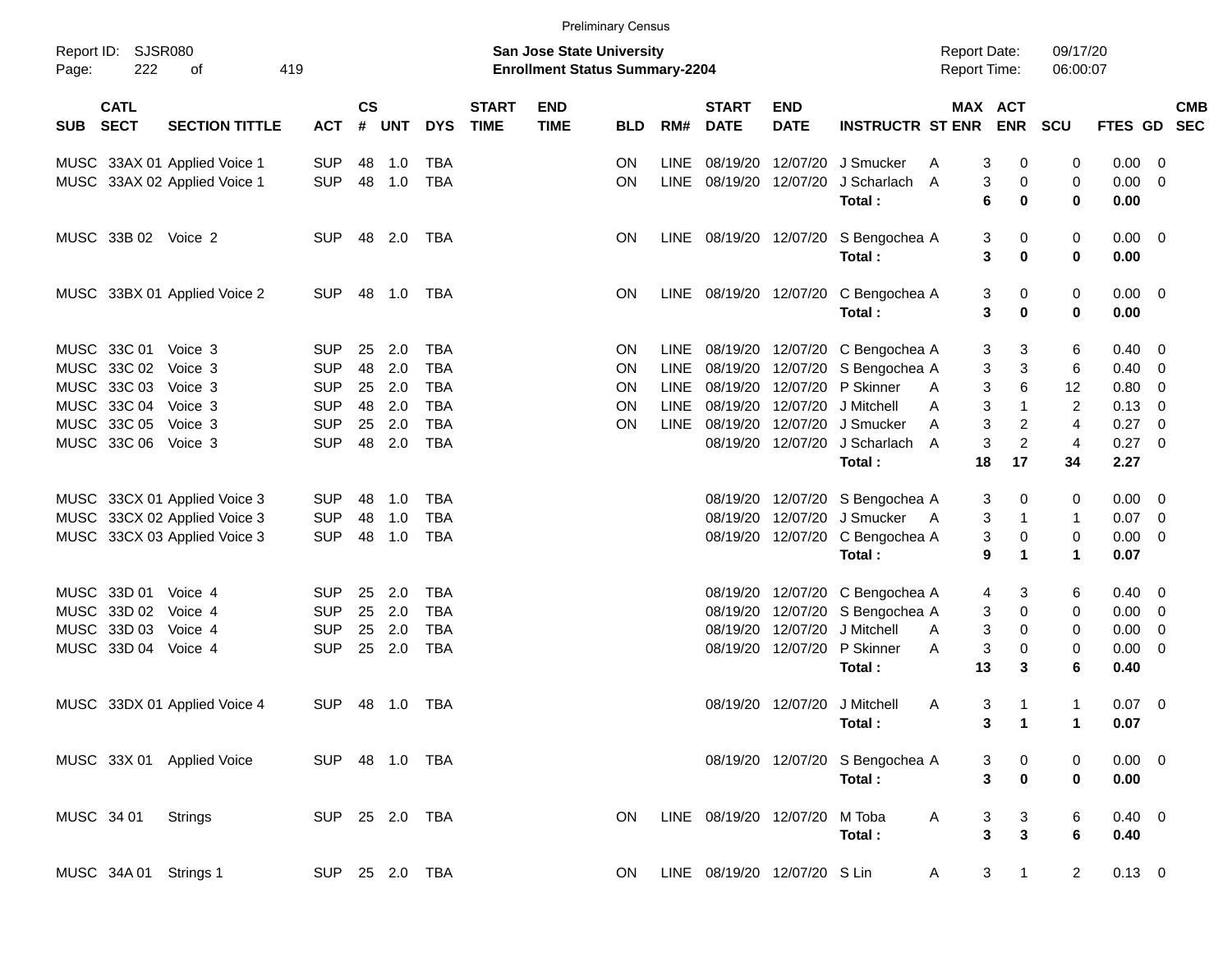|                     |                            |                              |            |                    |            |                |                             |                                                                           | <b>Preliminary Census</b> |      |                             |                              |                                 |                                            |                                    |                      |                     |                          |  |
|---------------------|----------------------------|------------------------------|------------|--------------------|------------|----------------|-----------------------------|---------------------------------------------------------------------------|---------------------------|------|-----------------------------|------------------------------|---------------------------------|--------------------------------------------|------------------------------------|----------------------|---------------------|--------------------------|--|
| Report ID:<br>Page: | <b>SJSR080</b><br>222      | οf                           | 419        |                    |            |                |                             | <b>San Jose State University</b><br><b>Enrollment Status Summary-2204</b> |                           |      |                             |                              |                                 | <b>Report Date:</b><br><b>Report Time:</b> |                                    | 09/17/20<br>06:00:07 |                     |                          |  |
| <b>SUB</b>          | <b>CATL</b><br><b>SECT</b> | <b>SECTION TITTLE</b>        | <b>ACT</b> | $\mathsf{cs}$<br># | <b>UNT</b> | <b>DYS</b>     | <b>START</b><br><b>TIME</b> | <b>END</b><br><b>TIME</b>                                                 | <b>BLD</b>                | RM#  | <b>START</b><br><b>DATE</b> | <b>END</b><br><b>DATE</b>    | <b>INSTRUCTR ST ENR</b>         |                                            | <b>MAX ACT</b><br><b>ENR</b>       | SCU                  | FTES GD             | <b>CMB</b><br><b>SEC</b> |  |
|                     |                            | MUSC 33AX 01 Applied Voice 1 | <b>SUP</b> | 48                 | 1.0        | <b>TBA</b>     |                             |                                                                           | ON.                       | LINE | 08/19/20                    | 12/07/20                     | J Smucker                       | A                                          | 0<br>3                             | 0                    | 0.00                | - 0                      |  |
|                     |                            | MUSC 33AX 02 Applied Voice 1 | <b>SUP</b> | 48                 | 1.0        | <b>TBA</b>     |                             |                                                                           | ON.                       |      | LINE 08/19/20               | 12/07/20                     | J Scharlach<br>Total:           | A                                          | 3<br>0<br>$\bf{0}$<br>6            | 0<br>$\mathbf 0$     | 0.00<br>0.00        | - 0                      |  |
|                     | MUSC 33B 02 Voice 2        |                              | <b>SUP</b> | 48                 | 2.0        | TBA            |                             |                                                                           | ON.                       |      | LINE 08/19/20 12/07/20      |                              | S Bengochea A<br>Total:         |                                            | 3<br>0<br>$\bf{0}$<br>3            | 0<br>$\mathbf 0$     | $0.00 \t 0$<br>0.00 |                          |  |
|                     |                            | MUSC 33BX 01 Applied Voice 2 | <b>SUP</b> | 48                 | 1.0        | TBA            |                             |                                                                           | ON.                       |      | LINE 08/19/20 12/07/20      |                              | C Bengochea A<br>Total:         |                                            | 3<br>0<br>$\bf{0}$<br>3            | 0<br>0               | $0.00 \t 0$<br>0.00 |                          |  |
|                     | MUSC 33C 01                | Voice 3                      | <b>SUP</b> | 25                 | 2.0        | <b>TBA</b>     |                             |                                                                           | ON.                       |      |                             | LINE 08/19/20 12/07/20       | C Bengochea A                   |                                            | 3<br>3                             | 6                    | 0.40                | - 0                      |  |
|                     | MUSC 33C 02                | Voice 3                      | <b>SUP</b> | 48                 | 2.0        | <b>TBA</b>     |                             |                                                                           | <b>ON</b>                 | LINE | 08/19/20                    | 12/07/20                     | S Bengochea A                   |                                            | 3<br>3                             | 6                    | 0.40                | $\overline{0}$           |  |
|                     | MUSC 33C 03                | Voice 3                      | <b>SUP</b> | 25                 | 2.0        | <b>TBA</b>     |                             |                                                                           | <b>ON</b>                 | LINE | 08/19/20                    | 12/07/20                     | P Skinner                       | A                                          | $\,6$<br>3                         | 12                   | 0.80                | 0                        |  |
|                     | MUSC 33C 04                | Voice 3                      | <b>SUP</b> | 48                 | 2.0        | <b>TBA</b>     |                             |                                                                           | ON                        | LINE | 08/19/20                    | 12/07/20                     | J Mitchell                      | A                                          | 3<br>$\mathbf 1$                   | $\overline{c}$       | 0.13                | - 0                      |  |
|                     | MUSC 33C 05                | Voice 3                      | <b>SUP</b> | 25                 | 2.0        | <b>TBA</b>     |                             |                                                                           | ON.                       |      | LINE 08/19/20               | 12/07/20                     | J Smucker                       | A                                          | 3<br>2                             | 4                    | 0.27                | 0                        |  |
|                     | MUSC 33C 06 Voice 3        |                              | <b>SUP</b> | 48                 | 2.0        | <b>TBA</b>     |                             |                                                                           |                           |      | 08/19/20                    | 12/07/20                     | J Scharlach                     | A                                          | $\boldsymbol{2}$<br>3              | 4                    | 0.27                | - 0                      |  |
|                     |                            |                              |            |                    |            |                |                             |                                                                           |                           |      |                             |                              | Total:                          | 18                                         | 17                                 | 34                   | 2.27                |                          |  |
|                     |                            | MUSC 33CX 01 Applied Voice 3 | <b>SUP</b> | 48                 | 1.0        | TBA            |                             |                                                                           |                           |      | 08/19/20                    | 12/07/20                     | S Bengochea A                   |                                            | 3<br>0                             | 0                    | 0.00                | - 0                      |  |
|                     |                            | MUSC 33CX 02 Applied Voice 3 | <b>SUP</b> | 48                 | 1.0        | <b>TBA</b>     |                             |                                                                           |                           |      | 08/19/20                    | 12/07/20                     | J Smucker                       | - A                                        | 3<br>1                             | 1                    | 0.07                | $\overline{\mathbf{0}}$  |  |
|                     |                            | MUSC 33CX 03 Applied Voice 3 | <b>SUP</b> | 48                 | 1.0        | <b>TBA</b>     |                             |                                                                           |                           |      |                             | 08/19/20 12/07/20            | C Bengochea A                   |                                            | 3<br>0                             | 0                    | 0.00                | $\overline{\mathbf{0}}$  |  |
|                     |                            |                              |            |                    |            |                |                             |                                                                           |                           |      |                             |                              | Total:                          |                                            | 9<br>1                             | 1                    | 0.07                |                          |  |
|                     | MUSC 33D 01                | Voice 4                      | <b>SUP</b> | 25                 | 2.0        | <b>TBA</b>     |                             |                                                                           |                           |      | 08/19/20                    | 12/07/20                     | C Bengochea A                   |                                            | 3<br>4                             | 6                    | 0.40                | - 0                      |  |
|                     | MUSC 33D 02 Voice 4        |                              | <b>SUP</b> | 25                 | 2.0        | <b>TBA</b>     |                             |                                                                           |                           |      | 08/19/20                    | 12/07/20                     | S Bengochea A                   |                                            | 0<br>3                             | 0                    | 0.00                | $\overline{\mathbf{0}}$  |  |
|                     | MUSC 33D 03                | Voice 4                      | <b>SUP</b> | 25                 | 2.0        | <b>TBA</b>     |                             |                                                                           |                           |      | 08/19/20                    | 12/07/20                     | J Mitchell                      | A                                          | 3<br>0                             | 0                    | 0.00                | 0                        |  |
|                     | MUSC 33D 04 Voice 4        |                              | <b>SUP</b> | 25                 | 2.0        | <b>TBA</b>     |                             |                                                                           |                           |      |                             | 08/19/20 12/07/20            | P Skinner                       | Α                                          | 3<br>0                             | 0                    | 0.00                | - 0                      |  |
|                     |                            |                              |            |                    |            |                |                             |                                                                           |                           |      |                             |                              | Total:                          | 13                                         | 3                                  | 6                    | 0.40                |                          |  |
|                     |                            | MUSC 33DX 01 Applied Voice 4 | <b>SUP</b> | 48                 | 1.0        | TBA            |                             |                                                                           |                           |      |                             |                              | 08/19/20 12/07/20 J Mitchell    | A                                          | 3<br>-1                            | 1                    | 0.07                | $\overline{\phantom{0}}$ |  |
|                     |                            |                              |            |                    |            |                |                             |                                                                           |                           |      |                             |                              | Total:                          |                                            | $\blacksquare$ 1<br>3 <sup>7</sup> | 1 <sub>1</sub>       | 0.07                |                          |  |
|                     |                            | MUSC 33X 01 Applied Voice    |            |                    |            | SUP 48 1.0 TBA |                             |                                                                           |                           |      |                             |                              | 08/19/20 12/07/20 S Bengochea A |                                            | 3<br>$\boldsymbol{0}$              | 0                    | $0.00 \t 0$         |                          |  |
|                     |                            |                              |            |                    |            |                |                             |                                                                           |                           |      |                             |                              | Total:                          |                                            | $\pmb{0}$<br>3                     | $\mathbf 0$          | 0.00                |                          |  |
| MUSC 34 01          |                            | Strings                      |            |                    |            | SUP 25 2.0 TBA |                             |                                                                           | ON.                       |      | LINE 08/19/20 12/07/20      |                              | M Toba                          | A                                          | 3<br>$\mathbf{3}$                  | 6                    | $0.40 \ 0$          |                          |  |
|                     |                            |                              |            |                    |            |                |                             |                                                                           |                           |      |                             |                              | Total:                          |                                            | $\mathbf{3}$<br>3                  | 6                    | 0.40                |                          |  |
|                     | MUSC 34A 01 Strings 1      |                              |            |                    |            | SUP 25 2.0 TBA |                             |                                                                           | ON.                       |      |                             | LINE 08/19/20 12/07/20 S Lin |                                 | A                                          | 3<br>$\overline{1}$                | $\overline{2}$       | $0.13 \ 0$          |                          |  |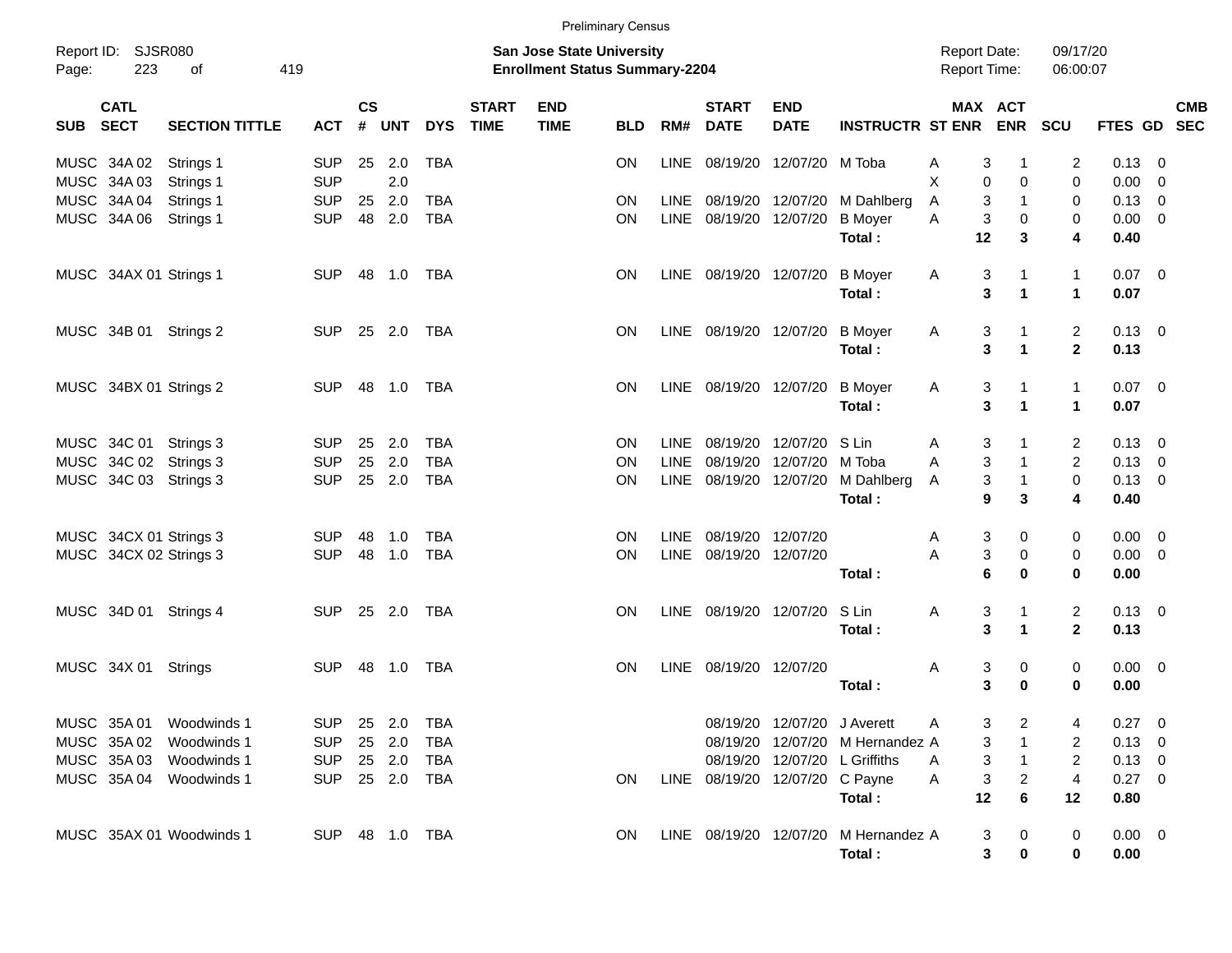|       |                            |                                        |                |                    |                  |            |                             |                                                                           | <b>Preliminary Census</b> |             |                                |                           |                                                                  |                                            |                                  |                             |                        |            |  |
|-------|----------------------------|----------------------------------------|----------------|--------------------|------------------|------------|-----------------------------|---------------------------------------------------------------------------|---------------------------|-------------|--------------------------------|---------------------------|------------------------------------------------------------------|--------------------------------------------|----------------------------------|-----------------------------|------------------------|------------|--|
| Page: | Report ID: SJSR080<br>223  | of<br>419                              |                |                    |                  |            |                             | <b>San Jose State University</b><br><b>Enrollment Status Summary-2204</b> |                           |             |                                |                           |                                                                  | <b>Report Date:</b><br><b>Report Time:</b> |                                  | 09/17/20<br>06:00:07        |                        |            |  |
| SUB   | <b>CATL</b><br><b>SECT</b> | <b>SECTION TITTLE</b>                  | <b>ACT</b>     | $\mathsf{cs}$<br># | <b>UNT</b>       | <b>DYS</b> | <b>START</b><br><b>TIME</b> | <b>END</b><br><b>TIME</b>                                                 | <b>BLD</b>                | RM#         | <b>START</b><br><b>DATE</b>    | <b>END</b><br><b>DATE</b> | <b>INSTRUCTR ST ENR</b>                                          | MAX ACT                                    | <b>ENR</b>                       | <b>SCU</b>                  | FTES GD SEC            | <b>CMB</b> |  |
|       | MUSC 34A 02                | Strings 1                              | <b>SUP</b>     | 25                 | 2.0              | TBA        |                             |                                                                           | ON                        | LINE        | 08/19/20 12/07/20 M Toba       |                           |                                                                  | 3<br>Α                                     | -1                               | 2                           | $0.13 \ 0$             |            |  |
|       | MUSC 34A 03                | Strings 1                              | <b>SUP</b>     |                    | 2.0              |            |                             |                                                                           |                           |             |                                |                           |                                                                  | X<br>0                                     | 0                                | 0                           | $0.00 \t 0$            |            |  |
|       | MUSC 34A 04                | Strings 1                              | <b>SUP</b>     | 25                 | 2.0              | TBA        |                             |                                                                           | ON                        | <b>LINE</b> | 08/19/20 12/07/20              |                           | M Dahlberg                                                       | 3<br>A                                     | $\mathbf{1}$                     | 0                           | $0.13 \ 0$             |            |  |
|       | MUSC 34A 06                | Strings 1                              | <b>SUP</b>     | 48                 | 2.0              | <b>TBA</b> |                             |                                                                           | ON                        |             | LINE 08/19/20 12/07/20         |                           | <b>B</b> Moyer<br>Total:                                         | 3<br>A<br>12                               | 0<br>3                           | 0<br>4                      | $0.00 \t 0$<br>0.40    |            |  |
|       | MUSC 34AX 01 Strings 1     |                                        | <b>SUP</b>     | 48                 | 1.0              | TBA        |                             |                                                                           | ON                        |             | LINE 08/19/20 12/07/20         |                           | <b>B</b> Moyer<br>Total:                                         | Α<br>3<br>3                                | 1<br>$\blacktriangleleft$        | $\mathbf{1}$<br>$\mathbf 1$ | $0.07$ 0<br>0.07       |            |  |
|       |                            | MUSC 34B 01 Strings 2                  | <b>SUP</b>     |                    | 25 2.0           | TBA        |                             |                                                                           | <b>ON</b>                 |             | LINE 08/19/20 12/07/20         |                           | <b>B</b> Moyer<br>Total:                                         | Α<br>3<br>3                                | 1<br>$\blacktriangleleft$        | 2<br>$\mathbf{2}$           | $0.13 \quad 0$<br>0.13 |            |  |
|       |                            | MUSC 34BX 01 Strings 2                 | <b>SUP</b>     |                    | 48 1.0           | TBA        |                             |                                                                           | ON                        |             | LINE 08/19/20 12/07/20         |                           | <b>B</b> Moyer                                                   | Α<br>3                                     | 1                                | $\mathbf{1}$                | $0.07$ 0               |            |  |
|       |                            |                                        |                |                    |                  |            |                             |                                                                           |                           |             |                                |                           | Total:                                                           | 3                                          | $\blacktriangleleft$             | $\mathbf 1$                 | 0.07                   |            |  |
|       | MUSC 34C 01                | Strings 3                              | <b>SUP</b>     | 25                 | 2.0              | TBA        |                             |                                                                           | ON                        | <b>LINE</b> | 08/19/20                       | 12/07/20                  | S Lin                                                            | 3<br>Α                                     |                                  | 2                           | $0.13 \quad 0$         |            |  |
|       |                            | MUSC 34C 02 Strings 3                  | <b>SUP</b>     | 25                 | 2.0              | <b>TBA</b> |                             |                                                                           | ON                        | <b>LINE</b> | 08/19/20                       | 12/07/20                  | M Toba                                                           | 3<br>A                                     | $\mathbf{1}$                     | $\overline{2}$              | $0.13 \ 0$             |            |  |
|       |                            | MUSC 34C 03 Strings 3                  | <b>SUP</b>     |                    | 25 2.0           | <b>TBA</b> |                             |                                                                           | <b>ON</b>                 | LINE        | 08/19/20 12/07/20              |                           | M Dahlberg                                                       | 3<br>A                                     | $\mathbf{1}$                     | 0                           | $0.13 \ 0$             |            |  |
|       |                            |                                        |                |                    |                  |            |                             |                                                                           |                           |             |                                |                           | Total:                                                           | 9                                          | 3                                | 4                           | 0.40                   |            |  |
|       |                            | MUSC 34CX 01 Strings 3                 | <b>SUP</b>     | 48                 | 1.0              | TBA        |                             |                                                                           | <b>ON</b>                 | <b>LINE</b> | 08/19/20 12/07/20              |                           |                                                                  | 3<br>Α                                     | 0                                | 0                           | $0.00 \t 0$            |            |  |
|       |                            | MUSC 34CX 02 Strings 3                 | <b>SUP</b>     | 48                 | 1.0              | <b>TBA</b> |                             |                                                                           | ΟN                        | <b>LINE</b> | 08/19/20 12/07/20              |                           |                                                                  | 3<br>Α                                     | 0                                | 0                           | $0.00 \t 0$            |            |  |
|       |                            |                                        |                |                    |                  |            |                             |                                                                           |                           |             |                                |                           | Total:                                                           | 6                                          | $\bf{0}$                         | 0                           | 0.00                   |            |  |
|       |                            | MUSC 34D 01 Strings 4                  | <b>SUP</b>     |                    | 25 2.0           | TBA        |                             |                                                                           | <b>ON</b>                 |             | LINE 08/19/20 12/07/20         |                           | S Lin                                                            | Α<br>3                                     | 1                                | 2                           | $0.13 \quad 0$         |            |  |
|       |                            |                                        |                |                    |                  |            |                             |                                                                           |                           |             |                                |                           | Total:                                                           | 3                                          | $\blacktriangleleft$             | $\mathbf{2}$                | 0.13                   |            |  |
|       | MUSC 34X 01 Strings        |                                        | <b>SUP</b>     |                    | 48 1.0           | TBA        |                             |                                                                           | <b>ON</b>                 |             | LINE 08/19/20 12/07/20         |                           |                                                                  | Α<br>3                                     | 0                                | 0                           | $0.00 \t 0$            |            |  |
|       |                            |                                        |                |                    |                  |            |                             |                                                                           |                           |             |                                |                           | Total:                                                           | 3                                          | $\bf{0}$                         | 0                           | 0.00                   |            |  |
|       |                            |                                        |                |                    |                  |            |                             |                                                                           |                           |             |                                |                           |                                                                  |                                            |                                  |                             |                        |            |  |
|       |                            | MUSC 35A 01 Woodwinds 1                | SUP 25 2.0 TBA |                    |                  |            |                             |                                                                           |                           |             |                                |                           | 08/19/20 12/07/20 J Averett                                      | Α                                          | 3 <sup>7</sup><br>$\overline{2}$ | $\overline{4}$              | $0.27 \t 0$            |            |  |
|       |                            | MUSC 35A 02 Woodwinds 1                | <b>SUP</b>     |                    | 25 2.0<br>25 2.0 | TBA        |                             |                                                                           |                           |             |                                |                           | 08/19/20 12/07/20 M Hernandez A<br>08/19/20 12/07/20 L Griffiths | 3                                          | 1                                | 2                           | $0.13 \ 0$             |            |  |
|       | MUSC 35A 03                | Woodwinds 1<br>MUSC 35A 04 Woodwinds 1 | <b>SUP</b>     |                    |                  | TBA        |                             |                                                                           | ON                        |             | LINE 08/19/20 12/07/20 C Payne |                           |                                                                  | 3<br>A                                     | 1                                | 2<br>4                      | $0.13 \ 0$             |            |  |
|       |                            |                                        | SUP 25 2.0 TBA |                    |                  |            |                             |                                                                           |                           |             |                                |                           | Total:                                                           | 3<br>A<br>12                               | 2<br>6                           | 12                          | $0.27 \t 0$<br>0.80    |            |  |
|       |                            | MUSC 35AX 01 Woodwinds 1               | SUP 48 1.0 TBA |                    |                  |            |                             |                                                                           | ON.                       |             |                                |                           | LINE 08/19/20 12/07/20 M Hernandez A                             | 3                                          | 0                                | 0                           | $0.00 \t 0$            |            |  |
|       |                            |                                        |                |                    |                  |            |                             |                                                                           |                           |             |                                |                           | Total:                                                           | 3                                          | $\bf{0}$                         | 0                           | 0.00                   |            |  |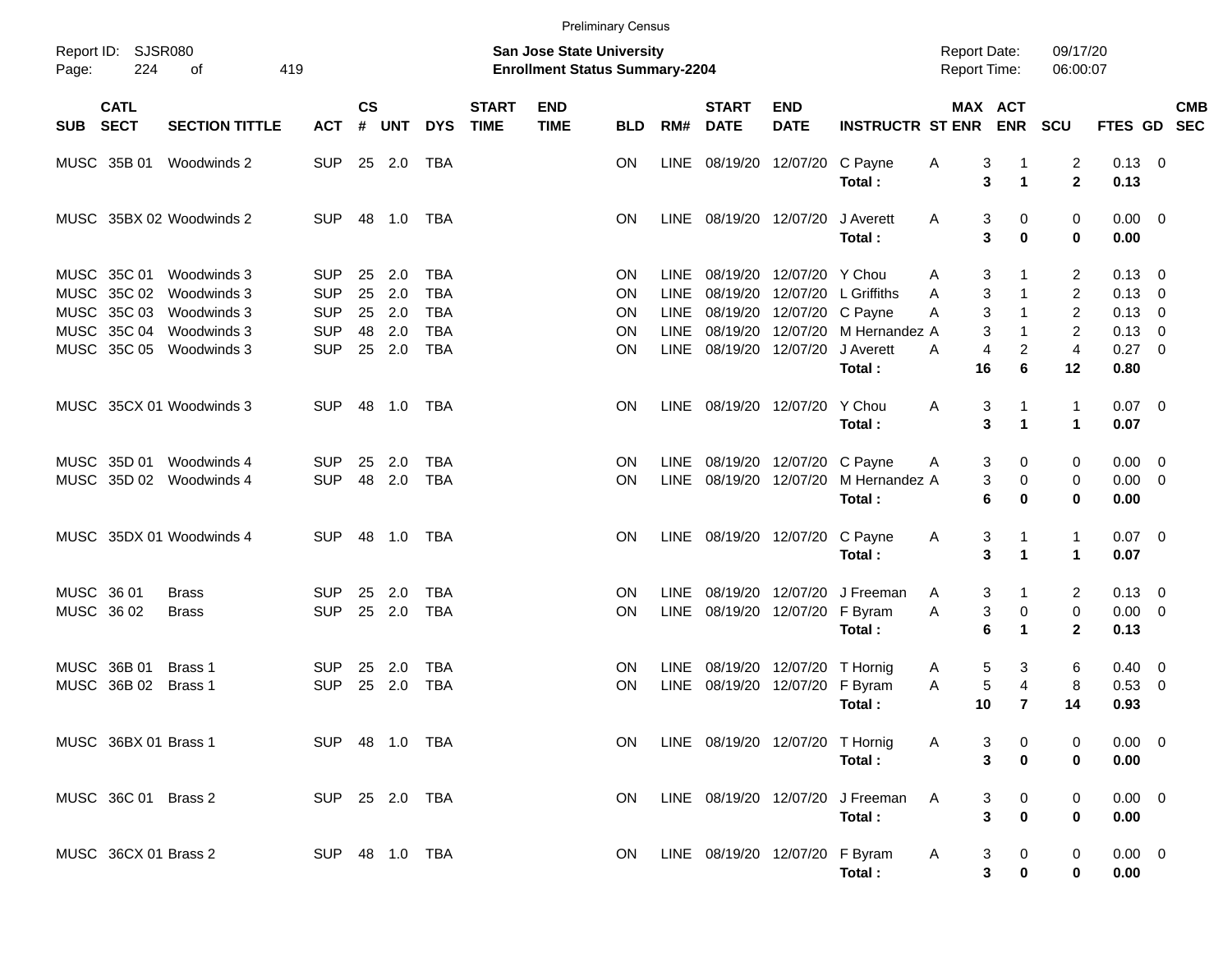|                                                 |                            |                                        |                          |                                                                    |            |                          |                             |                           | <b>Preliminary Census</b> |                            |                             |                                        |                                |                                   |                                        |                                      |                             |                                                    |            |  |
|-------------------------------------------------|----------------------------|----------------------------------------|--------------------------|--------------------------------------------------------------------|------------|--------------------------|-----------------------------|---------------------------|---------------------------|----------------------------|-----------------------------|----------------------------------------|--------------------------------|-----------------------------------|----------------------------------------|--------------------------------------|-----------------------------|----------------------------------------------------|------------|--|
| Report ID: SJSR080<br>224<br>419<br>Page:<br>οf |                            |                                        |                          | San Jose State University<br><b>Enrollment Status Summary-2204</b> |            |                          |                             |                           |                           |                            |                             |                                        |                                |                                   | <b>Report Date:</b><br>Report Time:    | 09/17/20<br>06:00:07                 |                             |                                                    |            |  |
| SUB                                             | <b>CATL</b><br><b>SECT</b> | <b>SECTION TITTLE</b>                  | <b>ACT</b>               | <b>CS</b><br>#                                                     | <b>UNT</b> | <b>DYS</b>               | <b>START</b><br><b>TIME</b> | <b>END</b><br><b>TIME</b> | <b>BLD</b>                | RM#                        | <b>START</b><br><b>DATE</b> | <b>END</b><br><b>DATE</b>              | <b>INSTRUCTR ST ENR</b>        |                                   | MAX ACT<br><b>ENR</b>                  | <b>SCU</b>                           | FTES GD SEC                 |                                                    | <b>CMB</b> |  |
|                                                 | MUSC 35B 01                | Woodwinds 2                            | <b>SUP</b>               |                                                                    | 25 2.0     | TBA                      |                             |                           | ON                        |                            |                             | LINE 08/19/20 12/07/20                 | C Payne<br>Total:              | 3<br>A<br>3                       | -1<br>$\blacktriangleleft$             | $\overline{2}$<br>$\mathbf{2}$       | $0.13 \quad 0$<br>0.13      |                                                    |            |  |
|                                                 |                            | MUSC 35BX 02 Woodwinds 2               | <b>SUP</b>               |                                                                    | 48 1.0     | TBA                      |                             |                           | ΟN                        |                            | LINE 08/19/20 12/07/20      |                                        | J Averett<br>Total:            | 3<br>A<br>3                       | 0<br>0                                 | 0<br>$\bf{0}$                        | $0.00 \quad 0$<br>0.00      |                                                    |            |  |
| <b>MUSC</b>                                     | MUSC 35C 01<br>35C 02      | Woodwinds 3<br>Woodwinds 3             | <b>SUP</b><br><b>SUP</b> | 25<br>25                                                           | 2.0<br>2.0 | <b>TBA</b><br><b>TBA</b> |                             |                           | ON<br>ΟN                  | <b>LINE</b><br><b>LINE</b> | 08/19/20                    | 08/19/20 12/07/20<br>12/07/20          | Y Chou<br>L Griffiths          | 3<br>Α<br>3<br>Α                  | 1<br>$\mathbf{1}$                      | $\overline{2}$<br>$\overline{2}$     | 0.13<br>0.13                | $\overline{\mathbf{0}}$<br>$\overline{\mathbf{0}}$ |            |  |
| <b>MUSC</b><br><b>MUSC</b>                      | 35C 03<br>35C 04           | Woodwinds 3<br>Woodwinds 3             | <b>SUP</b><br><b>SUP</b> | 25<br>48                                                           | 2.0<br>2.0 | <b>TBA</b><br><b>TBA</b> |                             |                           | ON<br>ΟN                  | LINE<br><b>LINE</b>        |                             | 08/19/20 12/07/20<br>08/19/20 12/07/20 | C Payne<br>M Hernandez A       | 3<br>Α<br>3                       | $\mathbf{1}$<br>$\mathbf{1}$           | $\overline{2}$<br>2                  | 0.13<br>0.13                | $\overline{\mathbf{0}}$<br>$\overline{\mathbf{0}}$ |            |  |
|                                                 | MUSC 35C 05                | Woodwinds 3                            | <b>SUP</b>               |                                                                    | 25 2.0     | <b>TBA</b>               |                             |                           | ΟN                        |                            | LINE 08/19/20 12/07/20      |                                        | J Averett<br>Total:            | A<br>4<br>16                      | $\overline{c}$<br>6                    | $\overline{4}$<br>12                 | 0.27<br>0.80                | $\overline{\phantom{0}}$                           |            |  |
|                                                 |                            | MUSC 35CX 01 Woodwinds 3               | <b>SUP</b>               |                                                                    | 48 1.0     | TBA                      |                             |                           | ΟN                        |                            |                             | LINE 08/19/20 12/07/20                 | Y Chou<br>Total:               | Α<br>3<br>3                       | $\mathbf{1}$<br>$\blacktriangleleft$   | $\mathbf{1}$<br>$\blacktriangleleft$ | $0.07 \quad 0$<br>0.07      |                                                    |            |  |
|                                                 | MUSC 35D 01                | Woodwinds 4<br>MUSC 35D 02 Woodwinds 4 | <b>SUP</b><br><b>SUP</b> | 25<br>48                                                           | 2.0<br>2.0 | <b>TBA</b><br><b>TBA</b> |                             |                           | ΟN<br>ΟN                  | LINE                       | 08/19/20 12/07/20           | LINE 08/19/20 12/07/20                 | C Payne<br>M Hernandez A       | 3<br>A<br>3                       | 0<br>0                                 | 0<br>0                               | 0.00<br>$0.00 \t 0$         | $\overline{\phantom{0}}$                           |            |  |
|                                                 |                            |                                        |                          |                                                                    |            |                          |                             |                           |                           |                            |                             |                                        | Total:                         | 6                                 | 0                                      | 0                                    | 0.00                        |                                                    |            |  |
|                                                 |                            | MUSC 35DX 01 Woodwinds 4               | <b>SUP</b>               |                                                                    | 48 1.0     | TBA                      |                             |                           | ΟN                        |                            | LINE 08/19/20 12/07/20      |                                        | C Payne<br>Total:              | 3<br>A<br>3                       | 1<br>$\blacktriangleleft$              | $\mathbf{1}$<br>$\mathbf{1}$         | $0.07$ 0<br>0.07            |                                                    |            |  |
| MUSC 36 01<br>MUSC 36 02                        |                            | <b>Brass</b><br><b>Brass</b>           | <b>SUP</b><br><b>SUP</b> | 25<br>25                                                           | 2.0<br>2.0 | TBA<br><b>TBA</b>        |                             |                           | ΟN<br>ΟN                  | <b>LINE</b><br><b>LINE</b> |                             | 08/19/20 12/07/20<br>08/19/20 12/07/20 | J Freeman<br>F Byram<br>Total: | 3<br>A<br>3<br>A<br>6             | 1<br>0<br>$\mathbf 1$                  | $\overline{2}$<br>0<br>$\mathbf{2}$  | 0.13<br>$0.00 \t 0$<br>0.13 | $\overline{\phantom{0}}$                           |            |  |
| <b>MUSC</b>                                     | MUSC 36B 01<br>36B 02      | Brass 1<br>Brass 1                     | <b>SUP</b><br><b>SUP</b> | 25<br>25                                                           | 2.0<br>2.0 | TBA<br><b>TBA</b>        |                             |                           | ON<br>ΟN                  | LINE<br><b>LINE</b>        |                             | 08/19/20 12/07/20<br>08/19/20 12/07/20 | T Hornig<br>F Byram<br>Total:  | 5<br>A<br>5<br>A<br>10            | 3<br>4<br>$\overline{7}$               | 6<br>8<br>14                         | 0.40<br>0.53<br>0.93        | $\overline{\mathbf{0}}$<br>$\overline{\mathbf{0}}$ |            |  |
|                                                 | MUSC 36BX 01 Brass 1       |                                        | SUP 48 1.0 TBA           |                                                                    |            |                          |                             |                           | ON.                       |                            |                             | LINE 08/19/20 12/07/20 T Hornig        | Total:                         | A<br>$\mathbf{3}$<br>$\mathbf{3}$ | $\overline{\mathbf{0}}$<br>$\mathbf 0$ | 0                                    | $0.00 \t 0$<br>0.00         |                                                    |            |  |
|                                                 | MUSC 36C 01 Brass 2        |                                        | SUP 25 2.0 TBA           |                                                                    |            |                          |                             |                           | <b>ON</b>                 |                            |                             | LINE 08/19/20 12/07/20                 | J Freeman<br>Total:            | $\mathsf{A}$<br>3<br>$\mathbf{3}$ | $\overline{\mathbf{0}}$<br>$\pmb{0}$   | 0<br>0                               | $0.00 \t 0$<br>0.00         |                                                    |            |  |
|                                                 | MUSC 36CX 01 Brass 2       |                                        | SUP 48 1.0 TBA           |                                                                    |            |                          |                             |                           | ON.                       |                            |                             | LINE 08/19/20 12/07/20 F Byram         | <b>A</b><br>Total:             | $\mathbf{3}$<br>3                 | $\overline{\mathbf{0}}$<br>$\bf{0}$    | 0<br>0                               | $0.00 \t 0$<br>$0.00\,$     |                                                    |            |  |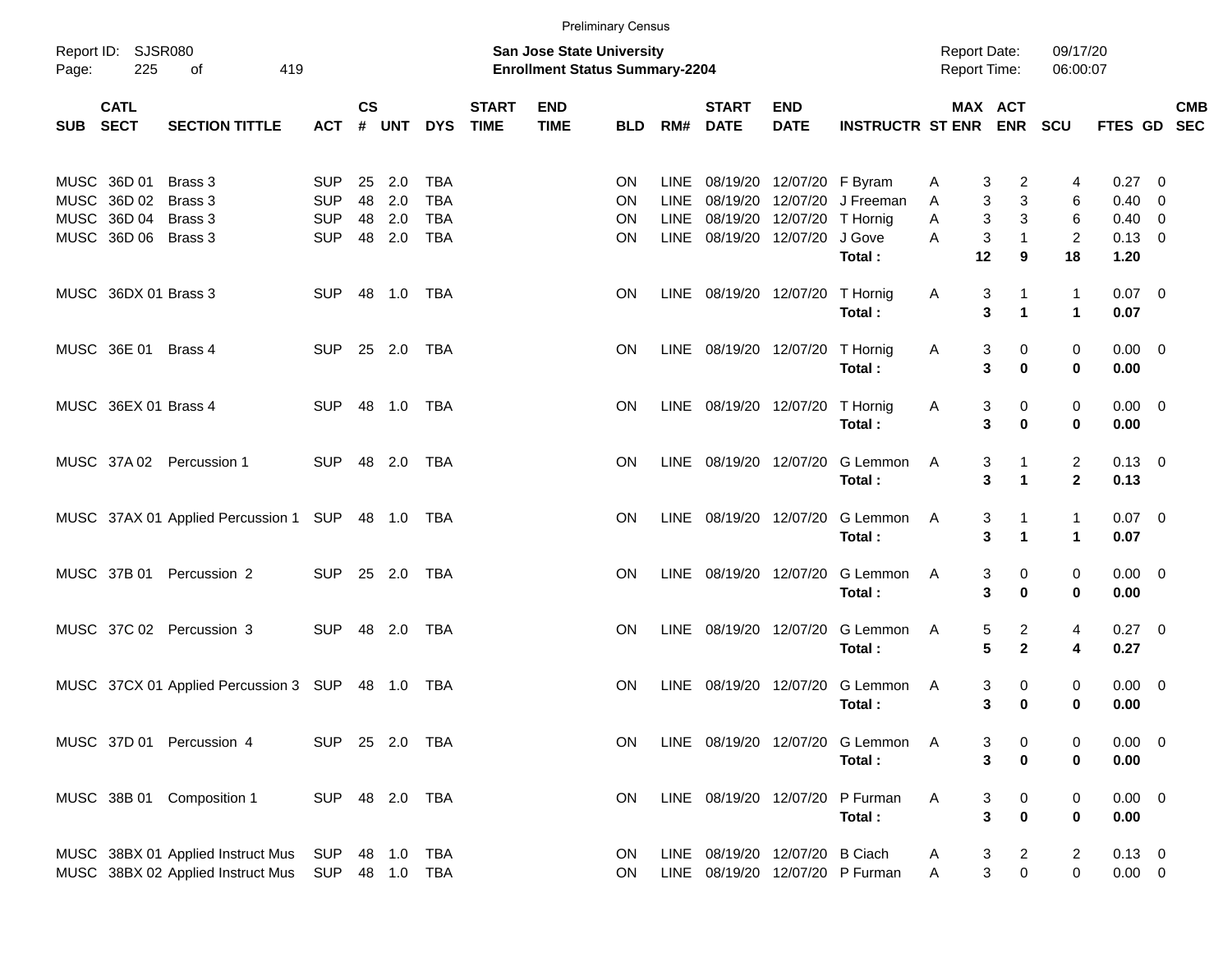|          |                                           |                                                                        |                                        |                |                   |                                        |                          |                                                                    | <b>Preliminary Census</b> |                              |                                 |                                                         |                                           |                                     |                      |                                |                                       |                         |            |
|----------|-------------------------------------------|------------------------------------------------------------------------|----------------------------------------|----------------|-------------------|----------------------------------------|--------------------------|--------------------------------------------------------------------|---------------------------|------------------------------|---------------------------------|---------------------------------------------------------|-------------------------------------------|-------------------------------------|----------------------|--------------------------------|---------------------------------------|-------------------------|------------|
| Page:    | Report ID: SJSR080<br>225                 | 419<br>of                                                              |                                        |                |                   |                                        |                          | San Jose State University<br><b>Enrollment Status Summary-2204</b> |                           |                              |                                 |                                                         |                                           | <b>Report Date:</b><br>Report Time: |                      | 09/17/20<br>06:00:07           |                                       |                         |            |
| SUB SECT | <b>CATL</b>                               | <b>SECTION TITTLE</b>                                                  | <b>ACT</b>                             | <b>CS</b><br># | <b>UNT</b>        |                                        | <b>START</b><br>DYS TIME | <b>END</b><br><b>TIME</b>                                          | <b>BLD</b>                | RM#                          | <b>START</b><br><b>DATE</b>     | <b>END</b><br><b>DATE</b>                               | <b>INSTRUCTR ST ENR ENR</b>               | MAX ACT                             |                      | <b>SCU</b>                     | FTES GD SEC                           |                         | <b>CMB</b> |
|          | MUSC 36D 01<br>MUSC 36D 02<br>MUSC 36D 04 | Brass 3<br>Brass 3<br>Brass 3                                          | <b>SUP</b><br><b>SUP</b><br><b>SUP</b> | 25<br>48<br>48 | 2.0<br>2.0<br>2.0 | <b>TBA</b><br><b>TBA</b><br><b>TBA</b> |                          |                                                                    | ON<br>ON<br>OΝ            | LINE.<br><b>LINE</b><br>LINE |                                 | 08/19/20 12/07/20 F Byram<br>08/19/20 12/07/20 T Hornig | 08/19/20 12/07/20 J Freeman               | 3<br>A<br>3<br>A<br>3<br>Α          | 2<br>3<br>3          | 4<br>6<br>6                    | $0.27 \t 0$<br>0.40<br>$0.40 \quad 0$ | $\overline{\mathbf{0}}$ |            |
|          | MUSC 36D 06 Brass 3                       |                                                                        | <b>SUP</b>                             | 48             | 2.0               | <b>TBA</b>                             |                          |                                                                    | OΝ                        | LINE                         | 08/19/20 12/07/20               |                                                         | J Gove<br>Total:                          | 3<br>A<br>12                        | 1<br>9               | $\overline{2}$<br>18           | $0.13 \ 0$<br>1.20                    |                         |            |
|          | MUSC 36DX 01 Brass 3                      |                                                                        | <b>SUP</b>                             |                | 48 1.0 TBA        |                                        |                          |                                                                    | <b>ON</b>                 |                              | LINE 08/19/20 12/07/20 T Hornig |                                                         | Total:                                    | Α<br>3<br>3                         | $\blacktriangleleft$ | 1<br>$\mathbf{1}$              | $0.07 \ 0$<br>0.07                    |                         |            |
|          | MUSC 36E 01                               | Brass 4                                                                | SUP 25 2.0 TBA                         |                |                   |                                        |                          |                                                                    | <b>ON</b>                 |                              | LINE 08/19/20 12/07/20 T Hornig |                                                         | Total:                                    | 3<br>A<br>3                         | 0<br>$\bf{0}$        | 0<br>0                         | $0.00 \t 0$<br>0.00                   |                         |            |
|          | MUSC 36EX 01 Brass 4                      |                                                                        | <b>SUP</b>                             |                | 48 1.0 TBA        |                                        |                          |                                                                    | <b>ON</b>                 |                              | LINE 08/19/20 12/07/20 T Hornig |                                                         | Total:                                    | 3<br>A<br>3                         | 0<br>0               | $\mathbf 0$<br>0               | $0.00 \t 0$<br>0.00                   |                         |            |
|          |                                           | MUSC 37A 02 Percussion 1                                               | <b>SUP</b>                             |                | 48 2.0 TBA        |                                        |                          |                                                                    | <b>ON</b>                 |                              | LINE 08/19/20 12/07/20          |                                                         | G Lemmon<br>Total:                        | 3<br>A<br>3                         | $\blacktriangleleft$ | $\overline{c}$<br>$\mathbf{2}$ | $0.13 \quad 0$<br>0.13                |                         |            |
|          |                                           | MUSC 37AX 01 Applied Percussion 1 SUP 48 1.0 TBA                       |                                        |                |                   |                                        |                          |                                                                    | <b>ON</b>                 |                              | LINE 08/19/20 12/07/20          |                                                         | G Lemmon<br>Total:                        | 3<br>A<br>3                         | $\blacktriangleleft$ | 1<br>1                         | $0.07 \ 0$<br>0.07                    |                         |            |
|          |                                           | MUSC 37B 01 Percussion 2                                               | <b>SUP</b>                             |                | 25 2.0            | TBA                                    |                          |                                                                    | <b>ON</b>                 | LINE                         | 08/19/20 12/07/20               |                                                         | G Lemmon<br>Total:                        | 3<br>A<br>3                         | 0<br>$\bf{0}$        | 0<br>0                         | $0.00 \t 0$<br>0.00                   |                         |            |
|          |                                           | MUSC 37C 02 Percussion 3                                               | <b>SUP</b>                             |                | 48 2.0            | TBA                                    |                          |                                                                    | <b>ON</b>                 | LINE                         | 08/19/20 12/07/20               |                                                         | G Lemmon<br>Total:                        | 5<br>A<br>$5\phantom{1}$            | 2<br>$\mathbf{2}$    | 4<br>4                         | $0.27 \t 0$<br>0.27                   |                         |            |
|          |                                           | MUSC 37CX 01 Applied Percussion 3 SUP                                  |                                        |                |                   | TBA                                    |                          |                                                                    | <b>ON</b>                 | LINE                         | 08/19/20 12/07/20               |                                                         | G Lemmon<br>Total:                        | 3<br>A<br>3                         | 0<br>$\bf{0}$        | 0<br>0                         | $0.00 \t 0$<br>0.00                   |                         |            |
|          |                                           | MUSC 37D 01 Percussion 4                                               | SUP 25 2.0 TBA                         |                |                   |                                        |                          |                                                                    | ON                        |                              |                                 |                                                         | LINE 08/19/20 12/07/20 G Lemmon<br>Total: | A<br>3<br>3                         | 0<br>0               | 0<br>0                         | $0.00 \t 0$<br>0.00                   |                         |            |
|          |                                           | MUSC 38B 01 Composition 1                                              | SUP 48 2.0 TBA                         |                |                   |                                        |                          |                                                                    | <b>ON</b>                 |                              | LINE 08/19/20 12/07/20          |                                                         | P Furman<br>Total:                        | Α<br>3<br>3                         | 0<br>0               | 0<br>0                         | $0.00 \t 0$<br>0.00                   |                         |            |
|          |                                           | MUSC 38BX 01 Applied Instruct Mus<br>MUSC 38BX 02 Applied Instruct Mus | SUP<br>SUP 48 1.0 TBA                  |                |                   | 48  1.0  TBA                           |                          |                                                                    | <b>ON</b><br><b>ON</b>    |                              | LINE 08/19/20 12/07/20 B Ciach  |                                                         | LINE 08/19/20 12/07/20 P Furman           | 3<br>A<br>3<br>Α                    | 2<br>$\mathbf 0$     | 2<br>0                         | $0.13 \ 0$<br>$0.00 \t 0$             |                         |            |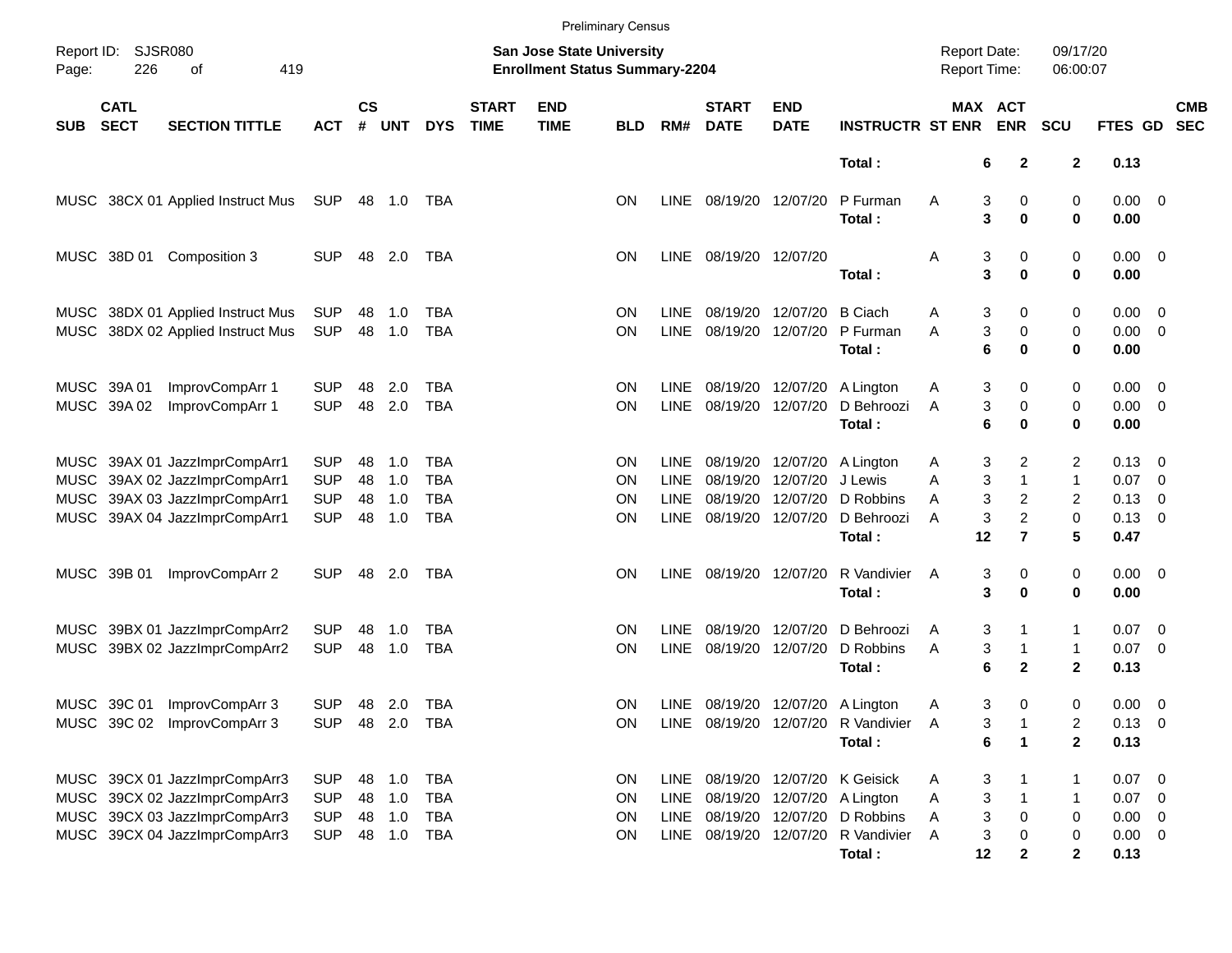|            |                            |                                                                                                                                  |                                                      |                      |                                   |                                               |                             |                                                                           | <b>Preliminary Census</b>                 |                                            |                                        |                                                             |                                                              |                                            |                                                            |                                                |                                                            |                                                                                 |            |
|------------|----------------------------|----------------------------------------------------------------------------------------------------------------------------------|------------------------------------------------------|----------------------|-----------------------------------|-----------------------------------------------|-----------------------------|---------------------------------------------------------------------------|-------------------------------------------|--------------------------------------------|----------------------------------------|-------------------------------------------------------------|--------------------------------------------------------------|--------------------------------------------|------------------------------------------------------------|------------------------------------------------|------------------------------------------------------------|---------------------------------------------------------------------------------|------------|
| Page:      | Report ID: SJSR080<br>226  | 419<br>оf                                                                                                                        |                                                      |                      |                                   |                                               |                             | <b>San Jose State University</b><br><b>Enrollment Status Summary-2204</b> |                                           |                                            |                                        |                                                             |                                                              | <b>Report Date:</b><br><b>Report Time:</b> |                                                            | 09/17/20<br>06:00:07                           |                                                            |                                                                                 |            |
| <b>SUB</b> | <b>CATL</b><br><b>SECT</b> | <b>SECTION TITTLE</b>                                                                                                            | <b>ACT</b>                                           | <b>CS</b><br>#       | <b>UNT</b>                        | <b>DYS</b>                                    | <b>START</b><br><b>TIME</b> | <b>END</b><br><b>TIME</b>                                                 | <b>BLD</b>                                | RM#                                        | <b>START</b><br><b>DATE</b>            | <b>END</b><br><b>DATE</b>                                   | <b>INSTRUCTR ST ENR</b>                                      | MAX ACT                                    | <b>ENR</b>                                                 | <b>SCU</b>                                     | FTES GD SEC                                                |                                                                                 | <b>CMB</b> |
|            |                            |                                                                                                                                  |                                                      |                      |                                   |                                               |                             |                                                                           |                                           |                                            |                                        |                                                             | Total:                                                       | 6                                          | $\mathbf{2}$                                               | $\boldsymbol{2}$                               | 0.13                                                       |                                                                                 |            |
|            |                            | MUSC 38CX 01 Applied Instruct Mus                                                                                                | SUP                                                  |                      | 48  1.0  TBA                      |                                               |                             |                                                                           | <b>ON</b>                                 | LINE                                       | 08/19/20 12/07/20                      |                                                             | P Furman<br>Total:                                           | Α<br>3<br>3                                | 0<br>$\bf{0}$                                              | 0<br>0                                         | $0.00 \t 0$<br>0.00                                        |                                                                                 |            |
|            | MUSC 38D 01                | Composition 3                                                                                                                    | <b>SUP</b>                                           |                      | 48 2.0                            | TBA                                           |                             |                                                                           | <b>ON</b>                                 |                                            | LINE 08/19/20 12/07/20                 |                                                             | Total:                                                       | 3<br>Α<br>3                                | 0<br>$\bf{0}$                                              | 0<br>0                                         | $0.00 \t 0$<br>0.00                                        |                                                                                 |            |
|            |                            | MUSC 38DX 01 Applied Instruct Mus<br>MUSC 38DX 02 Applied Instruct Mus                                                           | SUP<br><b>SUP</b>                                    | 48                   | 1.0<br>48 1.0                     | TBA<br><b>TBA</b>                             |                             |                                                                           | <b>ON</b><br><b>ON</b>                    | <b>LINE</b><br><b>LINE</b>                 | 08/19/20 12/07/20                      | 08/19/20 12/07/20                                           | <b>B</b> Ciach<br>P Furman<br>Total:                         | 3<br>Α<br>3<br>A<br>6                      | 0<br>0<br>0                                                | 0<br>0<br>0                                    | $0.00 \quad 0$<br>$0.00 \t 0$<br>0.00                      |                                                                                 |            |
|            | MUSC 39A 01<br>MUSC 39A 02 | ImprovCompArr 1<br>ImprovCompArr 1                                                                                               | <b>SUP</b><br><b>SUP</b>                             | 48<br>48             | 2.0<br>2.0                        | TBA<br><b>TBA</b>                             |                             |                                                                           | <b>ON</b><br><b>ON</b>                    | <b>LINE</b><br><b>LINE</b>                 | 08/19/20 12/07/20                      | 08/19/20 12/07/20                                           | A Lington<br>D Behroozi<br>Total:                            | 3<br>A<br>3<br>A<br>6                      | 0<br>0<br>$\bf{0}$                                         | 0<br>0<br>0                                    | $0.00 \quad 0$<br>$0.00 \t 0$<br>0.00                      |                                                                                 |            |
|            |                            | MUSC 39AX 01 JazzImprCompArr1<br>MUSC 39AX 02 JazzImprCompArr1<br>MUSC 39AX 03 JazzImprCompArr1<br>MUSC 39AX 04 JazzImprCompArr1 | <b>SUP</b><br><b>SUP</b><br><b>SUP</b><br><b>SUP</b> | 48<br>48<br>48<br>48 | 1.0<br>1.0<br>1.0<br>1.0          | TBA<br><b>TBA</b><br><b>TBA</b><br><b>TBA</b> |                             |                                                                           | <b>ON</b><br><b>ON</b><br><b>ON</b><br>ΟN | <b>LINE</b><br>LINE<br><b>LINE</b><br>LINE | 08/19/20 12/07/20                      | 08/19/20 12/07/20<br>08/19/20 12/07/20<br>08/19/20 12/07/20 | A Lington<br>J Lewis<br>D Robbins<br>D Behroozi<br>Total:    | 3<br>A<br>3<br>A<br>3<br>A<br>3<br>A<br>12 | 2<br>$\mathbf{1}$<br>$\overline{c}$<br>2<br>$\overline{7}$ | 2<br>$\mathbf{1}$<br>$\overline{2}$<br>0<br>5  | $0.13 \quad 0$<br>0.07<br>0.13<br>0.13<br>0.47             | $\overline{\phantom{0}}$<br>$\overline{\mathbf{0}}$<br>$\overline{\phantom{0}}$ |            |
|            | MUSC 39B 01                | ImprovCompArr 2                                                                                                                  | <b>SUP</b>                                           |                      | 48 2.0                            | TBA                                           |                             |                                                                           | <b>ON</b>                                 | LINE                                       | 08/19/20 12/07/20                      |                                                             | R Vandivier<br>Total:                                        | 3<br>A<br>3                                | 0<br>$\bf{0}$                                              | 0<br>0                                         | $0.00 \t 0$<br>0.00                                        |                                                                                 |            |
|            |                            | MUSC 39BX 01 JazzImprCompArr2<br>MUSC 39BX 02 JazzImprCompArr2                                                                   | <b>SUP</b><br><b>SUP</b>                             | 48<br>48             | 1.0<br>1.0                        | TBA<br><b>TBA</b>                             |                             |                                                                           | <b>ON</b><br><b>ON</b>                    | LINE<br><b>LINE</b>                        | 08/19/20 12/07/20<br>08/19/20 12/07/20 |                                                             | D Behroozi<br>D Robbins<br>Total:                            | 3<br>A<br>3<br>Α<br>6                      | 1<br>$\mathbf{2}$                                          | 1<br>$\mathbf{1}$<br>$\mathbf{2}$              | $0.07 \quad 0$<br>$0.07$ 0<br>0.13                         |                                                                                 |            |
|            | MUSC 39C 01                | ImprovCompArr 3<br>MUSC 39C 02 ImprovCompArr 3                                                                                   | <b>SUP</b><br>SUP 48 2.0 TBA                         |                      | 48 2.0                            | TBA                                           |                             |                                                                           | <b>ON</b><br>ON                           | LINE                                       | LINE 08/19/20 12/07/20                 |                                                             | 08/19/20 12/07/20 A Lington<br>R Vandivier A<br>Total:       | 3<br>A<br>3<br>6                           | 0<br>$\blacktriangleleft$                                  | 0<br>2<br>$\mathbf 2$                          | $0.00 \t 0$<br>$0.13 \ 0$<br>0.13                          |                                                                                 |            |
|            |                            | MUSC 39CX 01 JazzImprCompArr3<br>MUSC 39CX 02 JazzImprCompArr3<br>MUSC 39CX 03 JazzImprCompArr3<br>MUSC 39CX 04 JazzImprCompArr3 | <b>SUP</b><br><b>SUP</b><br><b>SUP</b><br><b>SUP</b> | 48                   | 1.0<br>48 1.0<br>48 1.0<br>48 1.0 | <b>TBA</b><br><b>TBA</b><br>TBA<br>TBA        |                             |                                                                           | <b>ON</b><br><b>ON</b><br>ON<br>ON        | LINE<br>LINE<br>LINE<br>LINE               | 08/19/20 12/07/20<br>08/19/20 12/07/20 | 08/19/20 12/07/20<br>08/19/20 12/07/20                      | K Geisick<br>A Lington<br>D Robbins<br>R Vandivier<br>Total: | 3<br>A<br>3<br>Α<br>3<br>Α<br>3<br>Α<br>12 | 0<br>0<br>2                                                | $\mathbf 1$<br>1<br>0<br>0<br>$\boldsymbol{2}$ | $0.07$ 0<br>$0.07$ 0<br>$0.00 \t 0$<br>$0.00 \t 0$<br>0.13 |                                                                                 |            |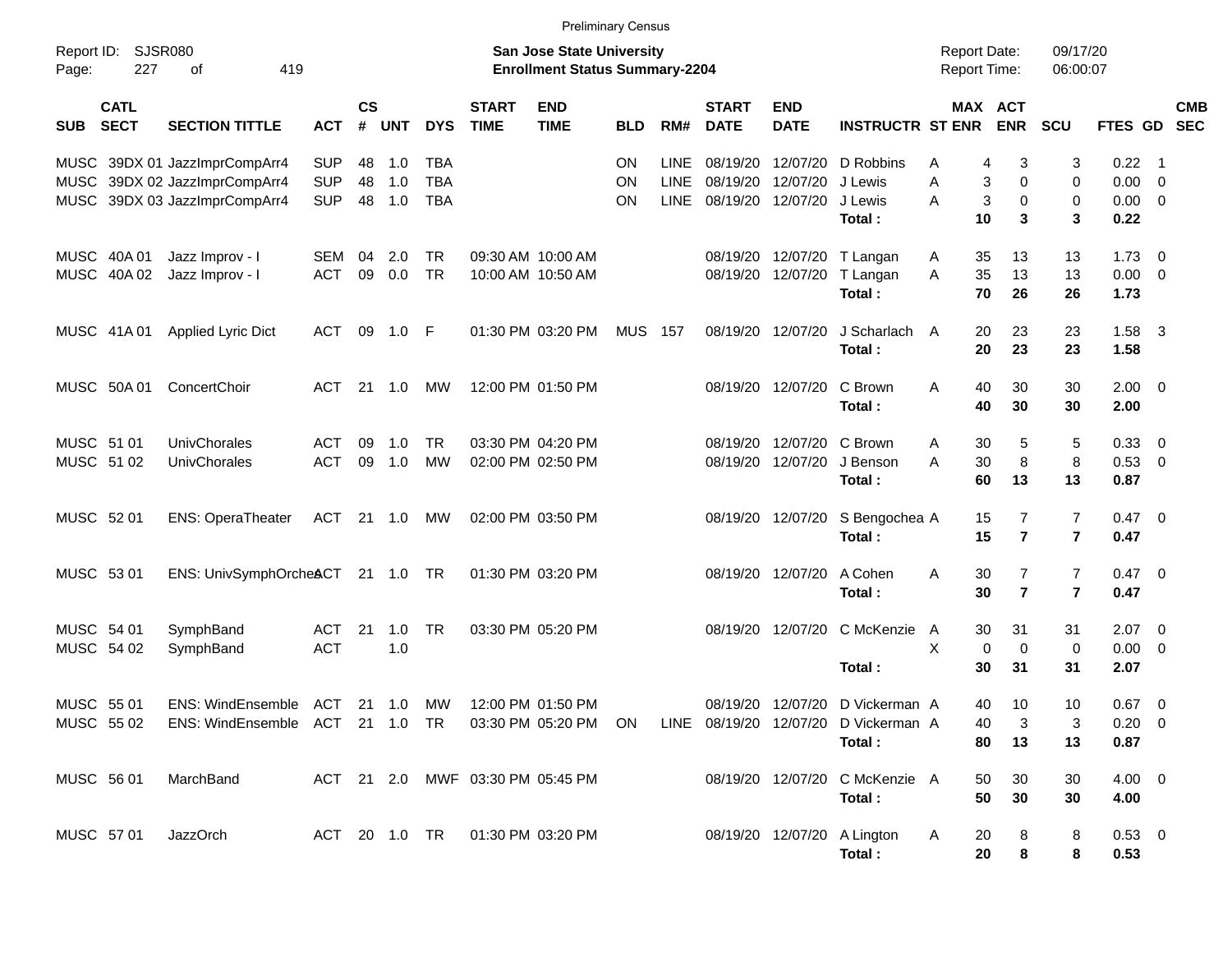|                     |                            |                                                                                                      |            |                |                |            |                                  | <b>Preliminary Census</b>                                          |            |             |                             |                           |                                |                                     |                |                         |              |                            |            |
|---------------------|----------------------------|------------------------------------------------------------------------------------------------------|------------|----------------|----------------|------------|----------------------------------|--------------------------------------------------------------------|------------|-------------|-----------------------------|---------------------------|--------------------------------|-------------------------------------|----------------|-------------------------|--------------|----------------------------|------------|
| Report ID:<br>Page: | <b>SJSR080</b><br>227      | of<br>419                                                                                            |            |                |                |            |                                  | San Jose State University<br><b>Enrollment Status Summary-2204</b> |            |             |                             |                           |                                | <b>Report Date:</b><br>Report Time: |                | 09/17/20<br>06:00:07    |              |                            |            |
| <b>SUB</b>          | <b>CATL</b><br><b>SECT</b> | <b>SECTION TITTLE</b>                                                                                | <b>ACT</b> | <b>CS</b><br># | <b>UNT</b>     | <b>DYS</b> | <b>START</b><br><b>TIME</b>      | <b>END</b><br><b>TIME</b>                                          | <b>BLD</b> | RM#         | <b>START</b><br><b>DATE</b> | <b>END</b><br><b>DATE</b> | <b>INSTRUCTR ST ENR</b>        | MAX ACT                             | <b>ENR</b>     | SCU                     | FTES GD SEC  |                            | <b>CMB</b> |
|                     |                            | MUSC 39DX 01 JazzImprCompArr4                                                                        | <b>SUP</b> | 48             | 1.0            | TBA        |                                  |                                                                    | ON         | <b>LINE</b> | 08/19/20                    | 12/07/20                  | D Robbins                      | Α<br>4                              | 3              | 3                       | 0.22         | $\overline{\phantom{0}}$ 1 |            |
|                     |                            | MUSC 39DX 02 JazzImprCompArr4                                                                        | <b>SUP</b> | 48             | 1.0            | <b>TBA</b> |                                  |                                                                    | ON         | <b>LINE</b> | 08/19/20                    | 12/07/20                  | J Lewis                        | A<br>3                              | 0              | 0                       | 0.00         | - 0                        |            |
|                     |                            | MUSC 39DX 03 JazzImprCompArr4                                                                        | <b>SUP</b> | 48             | 1.0            | <b>TBA</b> |                                  |                                                                    | ΟN         | <b>LINE</b> | 08/19/20                    | 12/07/20                  | J Lewis<br>Total :             | $\mathbf{3}$<br>A<br>10             | 0<br>3         | 0<br>3                  | 0.00<br>0.22 | $\overline{\phantom{0}}$   |            |
|                     | MUSC 40A 01                | Jazz Improv - I                                                                                      | SEM        | 04             | 2.0            | <b>TR</b>  |                                  | 09:30 AM 10:00 AM                                                  |            |             | 08/19/20                    | 12/07/20                  | T Langan                       | 35<br>A                             | 13             | 13                      | 1.73         | $\overline{\phantom{0}}$   |            |
|                     | MUSC 40A 02                | Jazz Improv - I                                                                                      | <b>ACT</b> | 09             | 0.0            | <b>TR</b>  |                                  | 10:00 AM 10:50 AM                                                  |            |             |                             | 08/19/20 12/07/20         | T Langan                       | A<br>35                             | 13             | 13                      | $0.00 \t 0$  |                            |            |
|                     |                            |                                                                                                      |            |                |                |            |                                  |                                                                    |            |             |                             |                           | Total:                         | 70                                  | 26             | 26                      | 1.73         |                            |            |
|                     | MUSC 41A 01                | Applied Lyric Dict                                                                                   | <b>ACT</b> | 09             | $1.0$ F        |            |                                  | 01:30 PM 03:20 PM                                                  | MUS        | 157         |                             | 08/19/20 12/07/20         | J Scharlach A                  | 20                                  | 23             | 23                      | $1.58$ 3     |                            |            |
|                     |                            |                                                                                                      |            |                |                |            |                                  |                                                                    |            |             |                             |                           | Total:                         | 20                                  | 23             | 23                      | 1.58         |                            |            |
|                     | MUSC 50A 01                | ConcertChoir                                                                                         | <b>ACT</b> | 21             | 1.0            | МW         |                                  | 12:00 PM 01:50 PM                                                  |            |             | 08/19/20 12/07/20           |                           | C Brown                        | A<br>40                             | 30             | 30                      | $2.00 \t 0$  |                            |            |
|                     |                            |                                                                                                      |            |                |                |            |                                  |                                                                    |            |             |                             |                           | Total:                         | 40                                  | 30             | 30                      | 2.00         |                            |            |
| MUSC 51 01          |                            | UnivChorales                                                                                         | <b>ACT</b> | 09             | 1.0            | <b>TR</b>  |                                  | 03:30 PM 04:20 PM                                                  |            |             | 08/19/20                    | 12/07/20                  | C Brown                        | 30<br>A                             | 5              | 5                       | 0.33         | $\overline{\mathbf{0}}$    |            |
| MUSC 51 02          |                            | UnivChorales                                                                                         | <b>ACT</b> | 09             | 1.0            | <b>MW</b>  |                                  | 02:00 PM 02:50 PM                                                  |            |             | 08/19/20                    | 12/07/20                  | J Benson                       | A<br>30                             | 8              | 8                       | 0.53 0       |                            |            |
|                     |                            |                                                                                                      |            |                |                |            |                                  |                                                                    |            |             |                             |                           | Total:                         | 60                                  | 13             | 13                      | 0.87         |                            |            |
| MUSC 52 01          |                            | <b>ENS: OperaTheater</b>                                                                             | ACT        |                | $21 \quad 1.0$ | МW         |                                  | 02:00 PM 03:50 PM                                                  |            |             | 08/19/20 12/07/20           |                           | S Bengochea A                  | 15                                  | 7              | 7                       | $0.47 \ 0$   |                            |            |
|                     |                            |                                                                                                      |            |                |                |            |                                  |                                                                    |            |             |                             |                           | Total:                         | 15                                  | $\overline{7}$ | $\overline{\mathbf{r}}$ | 0.47         |                            |            |
| MUSC 53 01          |                            | ENS: UnivSymphOrcheACT                                                                               |            |                | 21 1.0 TR      |            |                                  | 01:30 PM 03:20 PM                                                  |            |             | 08/19/20 12/07/20           |                           | A Cohen                        | A<br>30                             | 7              | $\overline{7}$          | $0.47 \ 0$   |                            |            |
|                     |                            |                                                                                                      |            |                |                |            |                                  |                                                                    |            |             |                             |                           | Total:                         | 30                                  | $\overline{7}$ | $\overline{7}$          | 0.47         |                            |            |
| MUSC 54 01          |                            | SymphBand                                                                                            | <b>ACT</b> | 21             | 1.0            | <b>TR</b>  |                                  | 03:30 PM 05:20 PM                                                  |            |             | 08/19/20 12/07/20           |                           | C McKenzie                     | 30<br>A                             | 31             | 31                      | $2.07$ 0     |                            |            |
| MUSC 54 02          |                            | SymphBand                                                                                            | <b>ACT</b> |                | 1.0            |            |                                  |                                                                    |            |             |                             |                           |                                | X<br>0                              | $\mathbf 0$    | 0                       | 0.00         | $\overline{\phantom{0}}$   |            |
|                     |                            |                                                                                                      |            |                |                |            |                                  |                                                                    |            |             |                             |                           | Total:                         | 30                                  | 31             | 31                      | 2.07         |                            |            |
| MUSC 55 01          |                            | ENS: WindEnsemble ACT                                                                                |            |                | 21 1.0         | MW         | 12:00 PM 01:50 PM                |                                                                    |            |             |                             | 08/19/20 12/07/20         | D Vickerman A                  | 40                                  | 10             | 10                      | $0.67$ 0     |                            |            |
|                     |                            | MUSC 55 02 ENS: WindEnsemble ACT 21 1.0 TR 03:30 PM 05:20 PM ON LINE 08/19/20 12/07/20 D Vickerman A |            |                |                |            |                                  |                                                                    |            |             |                             |                           |                                | 40                                  | 3              | 3                       | $0.20 \ 0$   |                            |            |
|                     |                            |                                                                                                      |            |                |                |            |                                  |                                                                    |            |             |                             |                           | Total:                         | 80                                  | 13             | 13                      | 0.87         |                            |            |
| MUSC 56 01          |                            | MarchBand                                                                                            |            |                |                |            | ACT 21 2.0 MWF 03:30 PM 05:45 PM |                                                                    |            |             |                             |                           | 08/19/20 12/07/20 C McKenzie A | 50                                  | 30             | 30                      | $4.00 \ 0$   |                            |            |
|                     |                            |                                                                                                      |            |                |                |            |                                  |                                                                    |            |             |                             |                           | Total:                         | 50                                  | 30             | 30                      | 4.00         |                            |            |
| MUSC 57 01          |                            | JazzOrch                                                                                             |            |                |                |            | ACT 20 1.0 TR 01:30 PM 03:20 PM  |                                                                    |            |             |                             |                           | 08/19/20 12/07/20 A Lington    | A<br>20                             | 8              | 8                       | $0.53 \ 0$   |                            |            |
|                     |                            |                                                                                                      |            |                |                |            |                                  |                                                                    |            |             |                             |                           | Total:                         | 20                                  | 8              | 8                       | 0.53         |                            |            |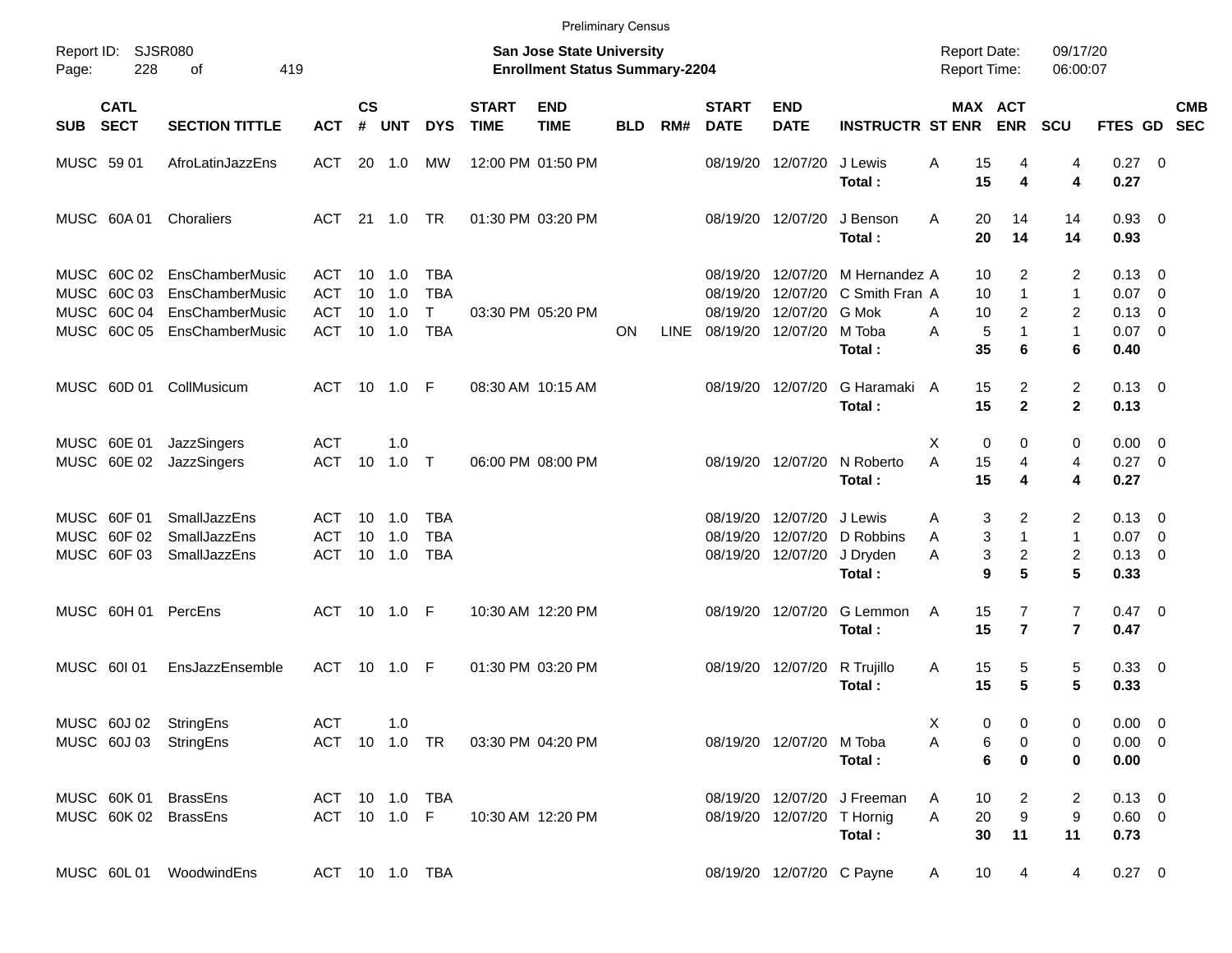|            |                                                          |                                                                          |                                        |                    |                                        |                                      |                             |                                                                           | <b>Preliminary Census</b> |             |                                  |                                           |                                                                      |                                            |                                                       |                                          |                                                          |            |
|------------|----------------------------------------------------------|--------------------------------------------------------------------------|----------------------------------------|--------------------|----------------------------------------|--------------------------------------|-----------------------------|---------------------------------------------------------------------------|---------------------------|-------------|----------------------------------|-------------------------------------------|----------------------------------------------------------------------|--------------------------------------------|-------------------------------------------------------|------------------------------------------|----------------------------------------------------------|------------|
| Page:      | Report ID: SJSR080<br>228                                | 419<br>οf                                                                |                                        |                    |                                        |                                      |                             | <b>San Jose State University</b><br><b>Enrollment Status Summary-2204</b> |                           |             |                                  |                                           |                                                                      | <b>Report Date:</b><br><b>Report Time:</b> |                                                       | 09/17/20<br>06:00:07                     |                                                          |            |
| <b>SUB</b> | <b>CATL</b><br><b>SECT</b>                               | <b>SECTION TITTLE</b>                                                    | <b>ACT</b>                             | $\mathsf{cs}$<br># | <b>UNT</b>                             | <b>DYS</b>                           | <b>START</b><br><b>TIME</b> | <b>END</b><br><b>TIME</b>                                                 | <b>BLD</b>                | RM#         | <b>START</b><br><b>DATE</b>      | <b>END</b><br><b>DATE</b>                 | <b>INSTRUCTR ST ENR</b>                                              | MAX ACT                                    | <b>ENR</b>                                            | <b>SCU</b>                               | FTES GD SEC                                              | <b>CMB</b> |
|            | MUSC 59 01                                               | AfroLatinJazzEns                                                         | ACT                                    |                    | 20 1.0                                 | МW                                   |                             | 12:00 PM 01:50 PM                                                         |                           |             |                                  | 08/19/20 12/07/20                         | J Lewis<br>Total:                                                    | 15<br>Α<br>15                              | 4<br>$\boldsymbol{4}$                                 | 4<br>4                                   | $0.27$ 0<br>0.27                                         |            |
|            | MUSC 60A01                                               | Choraliers                                                               | ACT                                    |                    |                                        |                                      |                             | 01:30 PM 03:20 PM                                                         |                           |             |                                  | 08/19/20 12/07/20                         | J Benson<br>Total:                                                   | A<br>20<br>20                              | 14<br>14                                              | 14<br>14                                 | $0.93$ 0<br>0.93                                         |            |
|            | MUSC 60C 02<br>MUSC 60C 03<br>MUSC 60C 04<br>MUSC 60C 05 | EnsChamberMusic<br>EnsChamberMusic<br>EnsChamberMusic<br>EnsChamberMusic | ACT<br><b>ACT</b><br><b>ACT</b><br>ACT | 10<br>10           | $10 \quad 1.0$<br>1.0<br>1.0<br>10 1.0 | TBA<br><b>TBA</b><br>T<br><b>TBA</b> |                             | 03:30 PM 05:20 PM                                                         | <b>ON</b>                 | <b>LINE</b> | 08/19/20<br>08/19/20<br>08/19/20 | 12/07/20<br>08/19/20 12/07/20             | 12/07/20 M Hernandez A<br>12/07/20 C Smith Fran A<br>G Mok<br>M Toba | 10<br>10<br>10<br>A<br>5<br>A              | 2<br>$\mathbf{1}$<br>$\overline{2}$<br>$\mathbf{1}$   | 2<br>$\mathbf{1}$<br>2<br>$\mathbf{1}$   | $0.13 \quad 0$<br>$0.07$ 0<br>$0.13 \quad 0$<br>$0.07$ 0 |            |
|            |                                                          |                                                                          |                                        |                    |                                        |                                      |                             |                                                                           |                           |             |                                  |                                           | Total:                                                               | 35                                         | 6                                                     | 6                                        | 0.40                                                     |            |
|            | MUSC 60D 01                                              | CollMusicum                                                              | ACT                                    |                    | 10 1.0 F                               |                                      |                             | 08:30 AM 10:15 AM                                                         |                           |             |                                  | 08/19/20 12/07/20                         | G Haramaki A<br>Total:                                               | 15<br>15                                   | $\overline{2}$<br>$\overline{2}$                      | $\overline{c}$<br>$\mathbf{2}$           | $0.13 \quad 0$<br>0.13                                   |            |
|            | MUSC 60E 01<br>MUSC 60E 02                               | JazzSingers<br>JazzSingers                                               | <b>ACT</b><br><b>ACT</b>               | 10                 | 1.0<br>$1.0$ T                         |                                      |                             | 06:00 PM 08:00 PM                                                         |                           |             |                                  | 08/19/20 12/07/20                         | N Roberto<br>Total:                                                  | 0<br>х<br>A<br>15<br>15                    | 0<br>4<br>4                                           | 0<br>4<br>4                              | $0.00 \t 0$<br>$0.27 \t 0$<br>0.27                       |            |
|            | MUSC 60F 01<br>MUSC 60F 02<br>MUSC 60F 03                | <b>SmallJazzEns</b><br>SmallJazzEns<br>SmallJazzEns                      | ACT<br><b>ACT</b><br><b>ACT</b>        | 10                 | $10 \quad 1.0$<br>1.0<br>10 1.0        | TBA<br><b>TBA</b><br><b>TBA</b>      |                             |                                                                           |                           |             | 08/19/20<br>08/19/20             | 12/07/20<br>12/07/20<br>08/19/20 12/07/20 | J Lewis<br>D Robbins<br>J Dryden<br>Total:                           | 3<br>Α<br>3<br>A<br>3<br>A<br>9            | $\overline{2}$<br>$\mathbf{1}$<br>$\overline{a}$<br>5 | 2<br>$\mathbf{1}$<br>$\overline{c}$<br>5 | $0.13 \quad 0$<br>$0.07$ 0<br>$0.13 \quad 0$<br>0.33     |            |
|            | MUSC 60H 01                                              | PercEns                                                                  | ACT 10 1.0 F                           |                    |                                        |                                      |                             | 10:30 AM 12:20 PM                                                         |                           |             |                                  | 08/19/20 12/07/20                         | G Lemmon<br>Total:                                                   | 15<br>A<br>15                              | $\overline{7}$<br>$\overline{7}$                      | $\overline{7}$<br>$\overline{7}$         | $0.47 \quad 0$<br>0.47                                   |            |
|            | MUSC 601 01                                              | EnsJazzEnsemble                                                          | ACT 10 1.0 F                           |                    |                                        |                                      |                             | 01:30 PM 03:20 PM                                                         |                           |             |                                  | 08/19/20 12/07/20                         | R Trujillo<br>Total:                                                 | 15<br>A<br>15                              | 5<br>$5\phantom{1}$                                   | 5<br>5                                   | 0.33 0<br>0.33                                           |            |
|            |                                                          | MUSC 60J 02 StringEns<br>MUSC 60J 03 StringEns                           | <b>ACT</b><br>ACT 10 1.0 TR            |                    | 1.0                                    |                                      |                             | 03:30 PM 04:20 PM                                                         |                           |             |                                  | 08/19/20 12/07/20 M Toba                  | Total:                                                               | 0<br>X<br>6<br>Α<br>6                      | 0<br>0<br>0                                           | 0<br>0<br>0                              | $0.00 \t 0$<br>$0.00 \t 0$<br>0.00                       |            |
|            |                                                          | MUSC 60K 01 BrassEns<br>MUSC 60K 02 BrassEns                             | ACT 10 1.0 TBA<br>ACT 10 1.0 F         |                    |                                        |                                      |                             | 10:30 AM 12:20 PM                                                         |                           |             |                                  | 08/19/20 12/07/20 T Hornig                | 08/19/20 12/07/20 J Freeman<br>Total:                                | 10<br>A<br>20<br>Α<br>30                   | 2<br>9<br>11                                          | 2<br>9<br>11                             | $0.13 \ 0$<br>$0.60 \t 0$<br>0.73                        |            |
|            |                                                          | MUSC 60L01 WoodwindEns                                                   |                                        |                    |                                        | ACT 10 1.0 TBA                       |                             |                                                                           |                           |             |                                  | 08/19/20 12/07/20 C Payne                 |                                                                      | 10<br>A                                    | 4                                                     | 4                                        | $0.27 \t 0$                                              |            |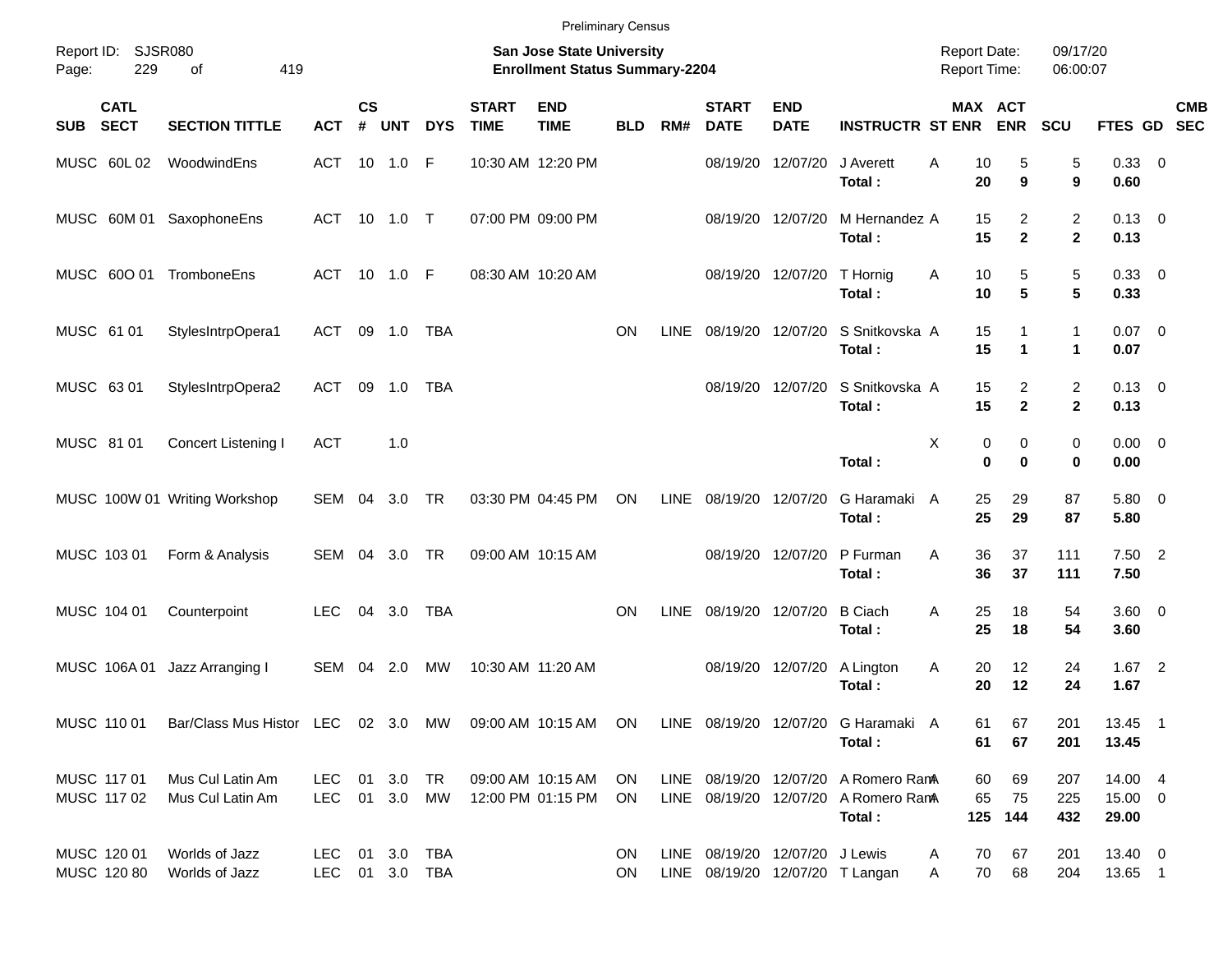|                            |                            |                                                         |                                  |                |            |            |                             | <b>Preliminary Census</b>                                                 |            |             |                                |                           |                                                                                        |                                            |                                              |                                |                             |                           |
|----------------------------|----------------------------|---------------------------------------------------------|----------------------------------|----------------|------------|------------|-----------------------------|---------------------------------------------------------------------------|------------|-------------|--------------------------------|---------------------------|----------------------------------------------------------------------------------------|--------------------------------------------|----------------------------------------------|--------------------------------|-----------------------------|---------------------------|
| Page:                      | Report ID: SJSR080<br>229  | 419<br>of                                               |                                  |                |            |            |                             | <b>San Jose State University</b><br><b>Enrollment Status Summary-2204</b> |            |             |                                |                           |                                                                                        | <b>Report Date:</b><br><b>Report Time:</b> |                                              | 09/17/20<br>06:00:07           |                             |                           |
| <b>SUB</b>                 | <b>CATL</b><br><b>SECT</b> | <b>SECTION TITTLE</b>                                   | <b>ACT</b>                       | <b>CS</b><br># | <b>UNT</b> | <b>DYS</b> | <b>START</b><br><b>TIME</b> | <b>END</b><br><b>TIME</b>                                                 | <b>BLD</b> | RM#         | <b>START</b><br><b>DATE</b>    | <b>END</b><br><b>DATE</b> | <b>INSTRUCTR ST ENR</b>                                                                |                                            | MAX ACT<br><b>ENR</b>                        | SCU                            |                             | <b>CMB</b><br>FTES GD SEC |
| MUSC 60L02                 |                            | WoodwindEns                                             | ACT                              | 10             | 1.0        | -F         |                             | 10:30 AM 12:20 PM                                                         |            |             | 08/19/20                       | 12/07/20                  | J Averett<br>Total:                                                                    | A                                          | 10<br>5<br>20<br>9                           | 5<br>$\boldsymbol{9}$          | 0.33 0<br>0.60              |                           |
|                            |                            | MUSC 60M 01 SaxophoneEns                                | ACT                              | 10             | 1.0 T      |            | 07:00 PM 09:00 PM           |                                                                           |            |             |                                | 08/19/20 12/07/20         | M Hernandez A<br>Total:                                                                |                                            | 15<br>$\overline{2}$<br>$\overline{2}$<br>15 | $\overline{2}$<br>$\mathbf{2}$ | $0.13 \quad 0$<br>0.13      |                           |
|                            |                            | MUSC 60O 01 TromboneEns                                 | <b>ACT</b>                       |                | 10 1.0     | - F        |                             | 08:30 AM 10:20 AM                                                         |            |             |                                | 08/19/20 12/07/20         | T Hornig<br>Total:                                                                     | Α                                          | 5<br>10<br>$5\phantom{1}$<br>10              | 5<br>5                         | 0.33 0<br>0.33              |                           |
| MUSC 61 01                 |                            | StylesIntrpOpera1                                       | ACT                              | 09             | 1.0        | TBA        |                             |                                                                           | <b>ON</b>  | <b>LINE</b> |                                | 08/19/20 12/07/20         | S Snitkovska A<br>Total:                                                               |                                            | 15<br>$\mathbf 1$<br>15<br>1                 | 1<br>$\mathbf{1}$              | $0.07 \quad 0$<br>0.07      |                           |
| MUSC 63 01                 |                            | StylesIntrpOpera2                                       | ACT                              | 09             | 1.0        | TBA        |                             |                                                                           |            |             | 08/19/20                       | 12/07/20                  | S Snitkovska A<br>Total:                                                               |                                            | 15<br>$\overline{2}$<br>$\overline{2}$<br>15 | $\overline{c}$<br>$\mathbf{2}$ | $0.13 \quad 0$<br>0.13      |                           |
| MUSC 81 01                 |                            | Concert Listening I                                     | <b>ACT</b>                       |                | 1.0        |            |                             |                                                                           |            |             |                                |                           | Total:                                                                                 | X                                          | 0<br>0<br>$\bf{0}$<br>0                      | 0<br>$\bf{0}$                  | $0.00 \quad 0$<br>0.00      |                           |
|                            |                            | MUSC 100W 01 Writing Workshop                           | <b>SEM</b>                       | 04             | 3.0        | TR         |                             | 03:30 PM 04:45 PM                                                         | <b>ON</b>  | <b>LINE</b> | 08/19/20 12/07/20              |                           | G Haramaki A<br>Total:                                                                 |                                            | 25<br>29<br>29<br>25                         | 87<br>87                       | 5.80 0<br>5.80              |                           |
| MUSC 103 01                |                            | Form & Analysis                                         | SEM                              | 04             | 3.0        | TR         |                             | 09:00 AM 10:15 AM                                                         |            |             | 08/19/20                       | 12/07/20                  | P Furman<br>Total:                                                                     | A                                          | 36<br>37<br>36<br>37                         | 111<br>111                     | $7.50$ 2<br>7.50            |                           |
| MUSC 104 01                |                            | Counterpoint                                            | <b>LEC</b>                       | 04             | 3.0        | TBA        |                             |                                                                           | <b>ON</b>  | <b>LINE</b> |                                | 08/19/20 12/07/20         | <b>B</b> Ciach<br>Total:                                                               | A                                          | 25<br>18<br>25<br>18                         | 54<br>54                       | $3.60 \ 0$<br>3.60          |                           |
|                            | MUSC 106A01                | Jazz Arranging I                                        | <b>SEM</b>                       | 04             | 2.0        | MW         | 10:30 AM 11:20 AM           |                                                                           |            |             | 08/19/20                       | 12/07/20                  | A Lington<br>Total:                                                                    | Α                                          | 20<br>12<br>20<br>12                         | 24<br>24                       | 1.67<br>1.67                | $\overline{\phantom{0}}$  |
|                            | MUSC 110 01                | Bar/Class Mus Histor LEC 02 3.0 MW 09:00 AM 10:15 AM ON |                                  |                |            |            |                             |                                                                           |            |             |                                |                           | LINE 08/19/20 12/07/20 G Haramaki A<br>Total:                                          |                                            | 67<br>61<br>61<br>67                         | 201<br>201                     | 13.45 1<br>13.45            |                           |
| MUSC 117 01<br>MUSC 117 02 |                            | Mus Cul Latin Am<br>Mus Cul Latin Am                    | LEC 01 3.0 TR<br>LEC 01 3.0 MW   |                |            |            |                             | 09:00 AM 10:15 AM ON<br>12:00 PM 01:15 PM                                 | ON.        |             |                                |                           | LINE 08/19/20 12/07/20 A Romero RamA<br>LINE 08/19/20 12/07/20 A Romero RamA<br>Total: | 65                                         | 60<br>69<br>75<br>125 144                    | 207<br>225<br>432              | 14.00 4<br>15.00 0<br>29.00 |                           |
| MUSC 120 01<br>MUSC 120 80 |                            | Worlds of Jazz<br>Worlds of Jazz                        | LEC 01 3.0 TBA<br>LEC 01 3.0 TBA |                |            |            |                             |                                                                           | ON.<br>ON. |             | LINE 08/19/20 12/07/20 J Lewis |                           | LINE 08/19/20 12/07/20 T Langan                                                        | A<br>A                                     | 67<br>70<br>70<br>68                         | 201<br>204                     | 13.40 0<br>13.65 1          |                           |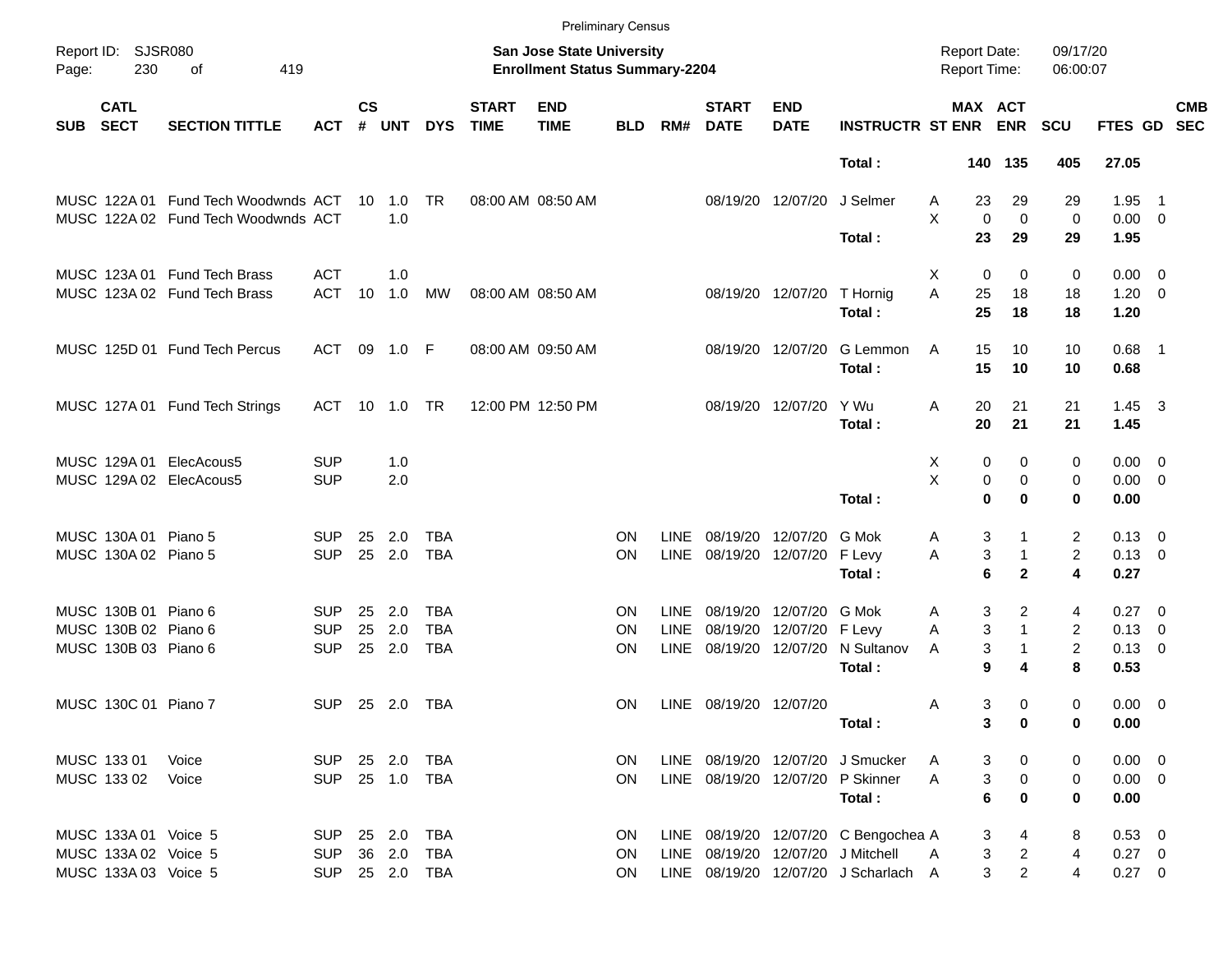|            |                            |                                     |            |                    |              |            |                             |                                                                           | <b>Preliminary Census</b> |             |                             |                           |                                      |                                     |                   |                              |                        |                            |                          |
|------------|----------------------------|-------------------------------------|------------|--------------------|--------------|------------|-----------------------------|---------------------------------------------------------------------------|---------------------------|-------------|-----------------------------|---------------------------|--------------------------------------|-------------------------------------|-------------------|------------------------------|------------------------|----------------------------|--------------------------|
| Page:      | Report ID: SJSR080<br>230  | οf<br>419                           |            |                    |              |            |                             | <b>San Jose State University</b><br><b>Enrollment Status Summary-2204</b> |                           |             |                             |                           |                                      | <b>Report Date:</b><br>Report Time: |                   | 09/17/20<br>06:00:07         |                        |                            |                          |
| <b>SUB</b> | <b>CATL</b><br><b>SECT</b> | <b>SECTION TITTLE</b>               | <b>ACT</b> | $\mathsf{cs}$<br># | <b>UNT</b>   | <b>DYS</b> | <b>START</b><br><b>TIME</b> | <b>END</b><br><b>TIME</b>                                                 | <b>BLD</b>                | RM#         | <b>START</b><br><b>DATE</b> | <b>END</b><br><b>DATE</b> | <b>INSTRUCTR ST ENR ENR</b>          | MAX ACT                             |                   | <b>SCU</b>                   | <b>FTES GD</b>         |                            | <b>CMB</b><br><b>SEC</b> |
|            |                            |                                     |            |                    |              |            |                             |                                                                           |                           |             |                             |                           | Total:                               |                                     | 140 135           | 405                          | 27.05                  |                            |                          |
|            |                            | MUSC 122A 01 Fund Tech Woodwnds ACT |            |                    | 10 1.0       | TR         |                             | 08:00 AM 08:50 AM                                                         |                           |             |                             | 08/19/20 12/07/20         | J Selmer                             | 23<br>A                             | 29                | 29                           | 1.95                   | $\overline{\phantom{0}}$ 1 |                          |
|            |                            | MUSC 122A 02 Fund Tech Woodwnds ACT |            |                    | 1.0          |            |                             |                                                                           |                           |             |                             |                           | Total:                               | X<br>0<br>23                        | $\mathbf 0$<br>29 | 0<br>29                      | $0.00 \t 0$<br>1.95    |                            |                          |
|            |                            | MUSC 123A 01 Fund Tech Brass        | <b>ACT</b> |                    | 1.0          |            |                             |                                                                           |                           |             |                             |                           |                                      | Χ<br>0                              | 0                 | 0                            | $0.00 \t 0$            |                            |                          |
|            |                            | MUSC 123A 02 Fund Tech Brass        | <b>ACT</b> | 10                 | 1.0          | MW         |                             | 08:00 AM 08:50 AM                                                         |                           |             |                             | 08/19/20 12/07/20         | T Hornig<br>Total:                   | A<br>25<br>25                       | 18<br>18          | 18<br>18                     | $1.20 \t 0$<br>1.20    |                            |                          |
|            |                            | MUSC 125D 01 Fund Tech Percus       | ACT        |                    | 09 1.0 F     |            |                             | 08:00 AM 09:50 AM                                                         |                           |             |                             | 08/19/20 12/07/20         | G Lemmon<br>Total:                   | Α<br>15<br>15                       | 10<br>10          | 10<br>10                     | $0.68$ 1<br>0.68       |                            |                          |
|            |                            | MUSC 127A 01 Fund Tech Strings      | ACT        |                    | 10 1.0       | TR         |                             | 12:00 PM 12:50 PM                                                         |                           |             |                             | 08/19/20 12/07/20         | Y Wu<br>Total:                       | Α<br>20<br>20                       | 21<br>21          | 21<br>21                     | $1.45 \quad 3$<br>1.45 |                            |                          |
|            |                            | MUSC 129A 01 ElecAcous5             | <b>SUP</b> |                    | 1.0          |            |                             |                                                                           |                           |             |                             |                           |                                      | X<br>0                              | 0                 | 0                            | $0.00 \t 0$            |                            |                          |
|            |                            | MUSC 129A 02 ElecAcous5             | <b>SUP</b> |                    | 2.0          |            |                             |                                                                           |                           |             |                             |                           | Total:                               | X<br>0<br>$\bf{0}$                  | 0<br>0            | 0<br>0                       | $0.00 \t 0$<br>0.00    |                            |                          |
|            |                            |                                     |            |                    |              |            |                             |                                                                           |                           |             |                             |                           |                                      |                                     |                   |                              |                        |                            |                          |
|            | MUSC 130A 01 Piano 5       |                                     | SUP.       | 25                 | 2.0          | <b>TBA</b> |                             |                                                                           | ON                        | <b>LINE</b> |                             | 08/19/20 12/07/20         | G Mok                                | 3<br>A                              |                   | 2                            | $0.13 \quad 0$         |                            |                          |
|            | MUSC 130A 02 Piano 5       |                                     | <b>SUP</b> | 25                 | 2.0          | <b>TBA</b> |                             |                                                                           | <b>ON</b>                 | LINE        |                             | 08/19/20 12/07/20         | F Levy<br>Total:                     | 3<br>Α<br>6                         | 1<br>$\mathbf{2}$ | $\overline{\mathbf{c}}$<br>4 | $0.13 \ 0$<br>0.27     |                            |                          |
|            | MUSC 130B 01 Piano 6       |                                     | SUP.       | 25                 | 2.0          | TBA        |                             |                                                                           | <b>ON</b>                 | LINE        |                             | 08/19/20 12/07/20         | G Mok                                | 3<br>A                              | 2                 | 4                            | 0.27 0                 |                            |                          |
|            | MUSC 130B 02 Piano 6       |                                     | <b>SUP</b> | 25                 | 2.0          | <b>TBA</b> |                             |                                                                           | <b>ON</b>                 | LINE        |                             | 08/19/20 12/07/20 F Levy  |                                      | 3<br>Α                              | $\mathbf{1}$      | 2                            | $0.13 \ 0$             |                            |                          |
|            | MUSC 130B 03 Piano 6       |                                     | <b>SUP</b> | 25                 | 2.0          | <b>TBA</b> |                             |                                                                           | <b>ON</b>                 | LINE        |                             | 08/19/20 12/07/20         | N Sultanov<br>Total:                 | 3<br>A<br>9                         | 4                 | 2<br>8                       | $0.13 \ 0$<br>0.53     |                            |                          |
|            |                            |                                     |            |                    |              |            |                             |                                                                           |                           |             |                             |                           |                                      |                                     |                   |                              |                        |                            |                          |
|            | MUSC 130C 01 Piano 7       |                                     | <b>SUP</b> |                    | 25 2.0       | TBA        |                             |                                                                           | <b>ON</b>                 |             | LINE 08/19/20 12/07/20      |                           |                                      | 3<br>A                              | 0<br>0            | 0<br>0                       | $0.00 \t 0$<br>0.00    |                            |                          |
|            |                            |                                     |            |                    |              |            |                             |                                                                           |                           |             |                             |                           | Total :                              | 3                                   |                   |                              |                        |                            |                          |
|            | MUSC 133 01                | Voice                               | <b>SUP</b> |                    | 25 2.0       | TBA        |                             |                                                                           | <b>ON</b>                 |             |                             |                           | LINE 08/19/20 12/07/20 J Smucker     | 3<br>A                              | 0                 | 0                            | $0.00 \t 0$            |                            |                          |
|            | MUSC 133 02                | Voice                               | <b>SUP</b> |                    | 25 1.0       | TBA        |                             |                                                                           | <b>ON</b>                 |             |                             |                           | LINE 08/19/20 12/07/20 P Skinner     | 3<br>Α                              | 0                 | 0                            | $0.00 \t 0$            |                            |                          |
|            |                            |                                     |            |                    |              |            |                             |                                                                           |                           |             |                             |                           | Total:                               | 6                                   | 0                 | 0                            | 0.00                   |                            |                          |
|            | MUSC 133A 01 Voice 5       |                                     | <b>SUP</b> |                    | 25 2.0       | <b>TBA</b> |                             |                                                                           | ON                        |             |                             |                           | LINE 08/19/20 12/07/20 C Bengochea A | 3                                   | 4                 | 8                            | $0.53$ 0               |                            |                          |
|            | MUSC 133A 02 Voice 5       |                                     | <b>SUP</b> |                    | 36 2.0       | <b>TBA</b> |                             |                                                                           | <b>ON</b>                 |             |                             |                           | LINE 08/19/20 12/07/20 J Mitchell    | 3<br>A                              | $\overline{c}$    | 4                            | $0.27 \ 0$             |                            |                          |
|            | MUSC 133A 03 Voice 5       |                                     | <b>SUP</b> |                    | 25  2.0  TBA |            |                             |                                                                           | <b>ON</b>                 |             |                             |                           | LINE 08/19/20 12/07/20 J Scharlach A | 3                                   | $\overline{2}$    | 4                            | $0.27 \t 0$            |                            |                          |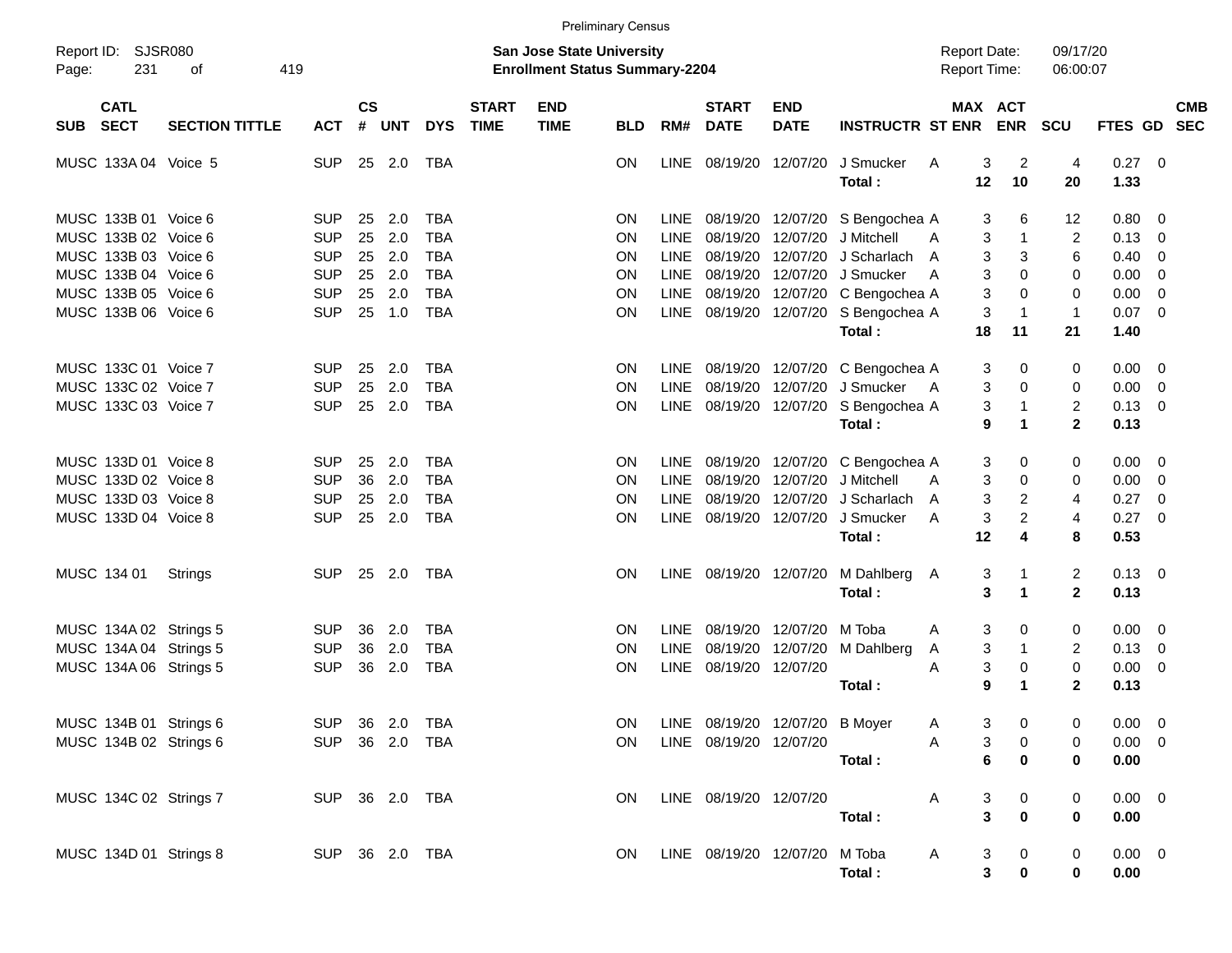|            |                                              |                                                  |                          |                    |                                  |                                        |                             | <b>Preliminary Census</b>                                                 |                        |             |                                    |                           |                                                                          |                                            |                               |                                  |                            |                                                    |
|------------|----------------------------------------------|--------------------------------------------------|--------------------------|--------------------|----------------------------------|----------------------------------------|-----------------------------|---------------------------------------------------------------------------|------------------------|-------------|------------------------------------|---------------------------|--------------------------------------------------------------------------|--------------------------------------------|-------------------------------|----------------------------------|----------------------------|----------------------------------------------------|
| Page:      | Report ID: SJSR080<br>231                    | 419<br>οf                                        |                          |                    |                                  |                                        |                             | <b>San Jose State University</b><br><b>Enrollment Status Summary-2204</b> |                        |             |                                    |                           |                                                                          | <b>Report Date:</b><br><b>Report Time:</b> |                               | 09/17/20<br>06:00:07             |                            |                                                    |
| <b>SUB</b> | <b>CATL</b><br><b>SECT</b>                   | <b>SECTION TITTLE</b>                            | <b>ACT</b>               | $\mathsf{cs}$<br># | <b>UNT</b>                       | <b>DYS</b>                             | <b>START</b><br><b>TIME</b> | <b>END</b><br><b>TIME</b>                                                 | <b>BLD</b>             | RM#         | <b>START</b><br><b>DATE</b>        | <b>END</b><br><b>DATE</b> | <b>INSTRUCTR ST ENR</b>                                                  | MAX ACT                                    | <b>ENR</b>                    | SCU                              | <b>FTES GD</b>             | <b>CMB</b><br><b>SEC</b>                           |
|            | MUSC 133A 04 Voice 5                         |                                                  | <b>SUP</b>               |                    | 25 2.0                           | TBA                                    |                             |                                                                           | <b>ON</b>              |             | LINE 08/19/20                      | 12/07/20                  | J Smucker<br>Total:                                                      | 3<br>A<br>12                               | 2<br>10                       | 4<br>20                          | 0.27<br>1.33               | $\overline{\phantom{0}}$                           |
|            | MUSC 133B 01 Voice 6<br>MUSC 133B 02 Voice 6 |                                                  | <b>SUP</b><br><b>SUP</b> | 25                 | 2.0<br>2.0                       | <b>TBA</b><br><b>TBA</b>               |                             |                                                                           | <b>ON</b>              | <b>LINE</b> |                                    |                           | LINE 08/19/20 12/07/20 S Bengochea A                                     | 3                                          | 6                             | 12                               | 0.80                       | - 0                                                |
|            | MUSC 133B 03 Voice 6                         |                                                  | <b>SUP</b>               | 25<br>25           | 2.0                              | <b>TBA</b>                             |                             |                                                                           | ON<br>ON               |             | 08/19/20<br>LINE 08/19/20          |                           | 12/07/20 J Mitchell<br>12/07/20 J Scharlach                              | 3<br>A<br>3<br>A                           | $\mathbf 1$<br>3              | $\overline{2}$<br>6              | 0.13<br>0.40               | $\overline{\phantom{0}}$<br>$\overline{0}$         |
|            | MUSC 133B 04 Voice 6<br>MUSC 133B 05 Voice 6 |                                                  | <b>SUP</b><br><b>SUP</b> | 25<br>25           | 2.0<br>2.0                       | <b>TBA</b><br><b>TBA</b><br><b>TBA</b> |                             |                                                                           | ON<br>ON               | <b>LINE</b> | 08/19/20                           |                           | LINE 08/19/20 12/07/20 J Smucker<br>12/07/20 C Bengochea A               | 3<br>A<br>3                                | 0<br>0                        | 0<br>0                           | 0.00<br>0.00               | $\overline{0}$<br>$\overline{0}$                   |
|            | MUSC 133B 06 Voice 6                         |                                                  | <b>SUP</b>               | 25                 | 1.0                              |                                        |                             |                                                                           | ON                     |             | LINE 08/19/20                      |                           | 12/07/20 S Bengochea A<br>Total:                                         | 3<br>18                                    | $\overline{1}$<br>11          | $\mathbf{1}$<br>21               | $0.07$ 0<br>1.40           |                                                    |
|            | MUSC 133C 01 Voice 7<br>MUSC 133C 02 Voice 7 |                                                  | <b>SUP</b><br><b>SUP</b> | 25<br>25           | 2.0<br>2.0                       | <b>TBA</b><br><b>TBA</b>               |                             |                                                                           | <b>ON</b><br>ON        |             |                                    |                           | LINE 08/19/20 12/07/20 C Bengochea A<br>LINE 08/19/20 12/07/20 J Smucker | 3<br>3<br>A                                | 0<br>0                        | 0<br>0                           | 0.00<br>0.00               | - 0<br>$\overline{\mathbf{0}}$                     |
|            | MUSC 133C 03 Voice 7                         |                                                  | <b>SUP</b>               | 25                 | 2.0                              | <b>TBA</b>                             |                             |                                                                           | ON                     |             |                                    |                           | LINE 08/19/20 12/07/20 S Bengochea A<br>Total:                           | 3<br>9                                     | $\overline{1}$<br>$\mathbf 1$ | $\overline{c}$<br>$\overline{2}$ | $0.13 \ 0$<br>0.13         |                                                    |
|            | MUSC 133D 01 Voice 8<br>MUSC 133D 02 Voice 8 |                                                  | <b>SUP</b><br><b>SUP</b> | 25<br>36           | 2.0<br>2.0                       | <b>TBA</b><br><b>TBA</b>               |                             |                                                                           | <b>ON</b><br>ON        | <b>LINE</b> |                                    |                           | LINE 08/19/20 12/07/20 C Bengochea A<br>08/19/20 12/07/20 J Mitchell     | 3<br>3<br>A                                | 0<br>0                        | 0<br>0                           | 0.00<br>0.00               | - 0<br>$\overline{\mathbf{0}}$                     |
|            | MUSC 133D 03 Voice 8<br>MUSC 133D 04 Voice 8 |                                                  | <b>SUP</b><br><b>SUP</b> | 25<br>25           | 2.0<br>2.0                       | <b>TBA</b><br><b>TBA</b>               |                             |                                                                           | ON<br><b>ON</b>        | LINE        | 08/19/20                           | 12/07/20                  | J Scharlach<br>LINE 08/19/20 12/07/20 J Smucker                          | 3<br>A<br>3<br>A                           | $\overline{2}$<br>2           | 4<br>4                           | 0.27<br>0.27               | $\overline{0}$<br>$\overline{\phantom{0}}$         |
|            |                                              |                                                  |                          |                    |                                  |                                        |                             |                                                                           |                        |             |                                    |                           | Total:                                                                   | 12                                         | 4                             | 8                                | 0.53                       |                                                    |
|            | MUSC 134 01                                  | Strings                                          | <b>SUP</b>               |                    | 25 2.0                           | TBA                                    |                             |                                                                           | <b>ON</b>              |             |                                    |                           | LINE 08/19/20 12/07/20 M Dahlberg<br>Total:                              | 3<br>A<br>3                                | -1<br>$\mathbf 1$             | 2<br>$\mathbf{2}$                | $0.13 \quad 0$<br>0.13     |                                                    |
|            |                                              | MUSC 134A 02 Strings 5<br>MUSC 134A 04 Strings 5 | SUP.<br><b>SUP</b>       | 36<br>36           | 2.0<br>2.0                       | <b>TBA</b><br><b>TBA</b>               |                             |                                                                           | <b>ON</b><br><b>ON</b> | <b>LINE</b> | LINE 08/19/20 12/07/20<br>08/19/20 |                           | M Toba<br>12/07/20 M Dahlberg                                            | 3<br>A<br>3<br>A                           | 0<br>$\overline{1}$           | 0<br>2                           | 0.00<br>0.13               | $\overline{\mathbf{0}}$<br>$\overline{\mathbf{0}}$ |
|            |                                              | MUSC 134A 06 Strings 5                           | <b>SUP</b>               | 36                 | 2.0                              | <b>TBA</b>                             |                             |                                                                           | ON                     |             | LINE 08/19/20 12/07/20             |                           | Total:                                                                   | 3<br>A<br>9                                | 0<br>$\mathbf 1$              | $\mathbf 0$<br>$\mathbf{2}$      | 0.00<br>0.13               | $\overline{0}$                                     |
|            |                                              | MUSC 134B 01 Strings 6<br>MUSC 134B 02 Strings 6 |                          |                    | SUP 36 2.0 TBA<br>SUP 36 2.0 TBA |                                        |                             |                                                                           | <b>ON</b>              |             | LINE 08/19/20 12/07/20             |                           | ON LINE 08/19/20 12/07/20 B Moyer                                        | $\mathsf{A}$<br>3<br>A                     | $3 \t 0$<br>0                 | $\mathbf 0$<br>0                 | $0.00 \t 0$<br>$0.00 \t 0$ |                                                    |
|            |                                              |                                                  |                          |                    |                                  |                                        |                             |                                                                           |                        |             |                                    |                           | Total:                                                                   | 6                                          | $\bf{0}$                      | 0                                | 0.00                       |                                                    |
|            |                                              | MUSC 134C 02 Strings 7                           |                          |                    | SUP 36 2.0 TBA                   |                                        |                             |                                                                           | <b>ON</b>              |             | LINE 08/19/20 12/07/20             |                           | Total:                                                                   | 3<br>A<br>3                                | 0<br>$\pmb{0}$                | 0<br>0                           | $0.00 \t 0$<br>0.00        |                                                    |
|            |                                              | MUSC 134D 01 Strings 8                           |                          |                    | SUP 36 2.0 TBA                   |                                        |                             |                                                                           | <b>ON</b>              |             | LINE 08/19/20 12/07/20 M Toba      |                           | Total:                                                                   | A<br>3<br>3                                | $\mathbf 0$<br>$\pmb{0}$      | 0<br>0                           | $0.00 \t 0$<br>0.00        |                                                    |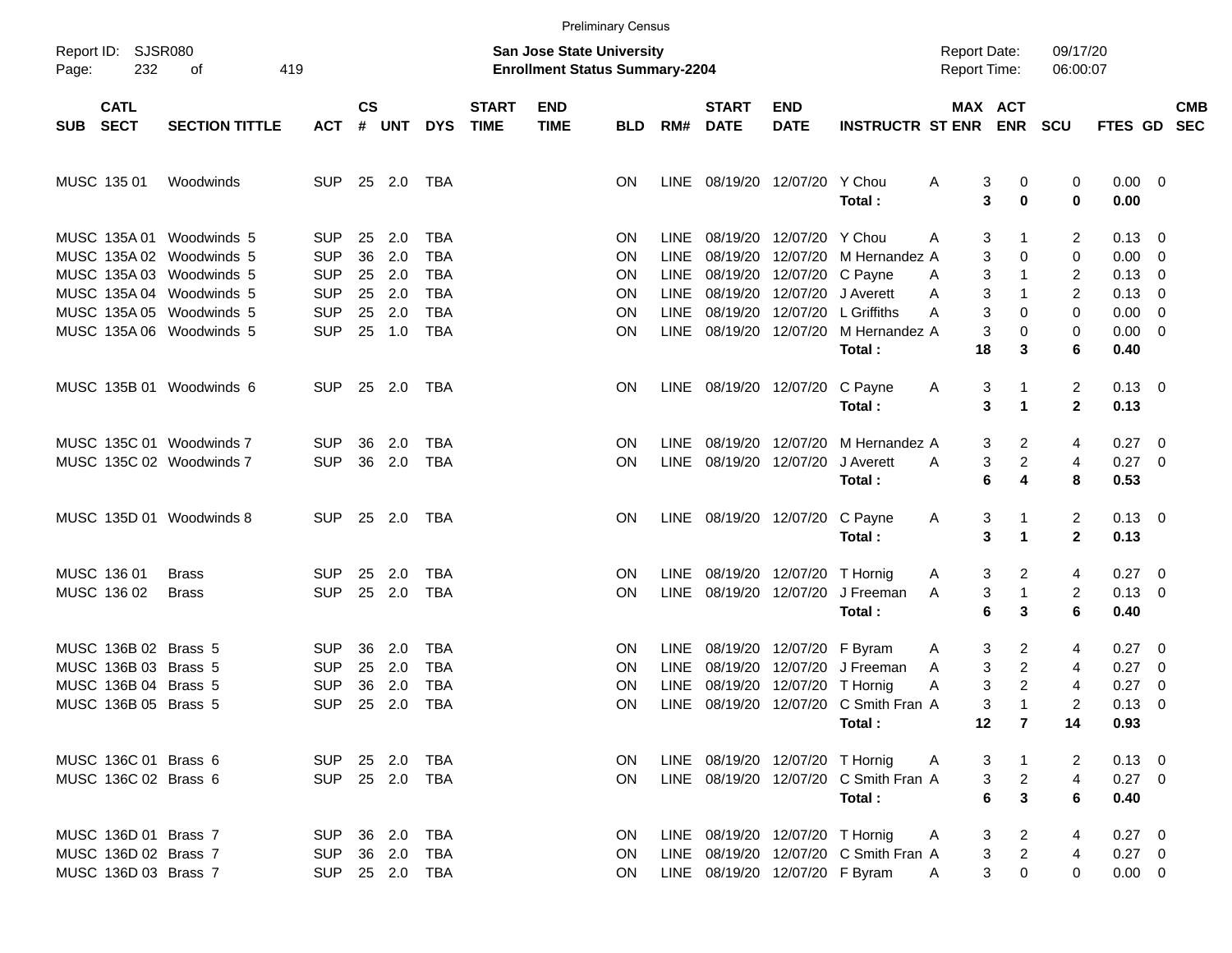|       |                                              |                                                      |                          |                    |               |                          |                             |                                                                           | <b>Preliminary Census</b> |                     |                                 |                                        |                                                 |                                     |                                |                                |                           |                                                     |                          |
|-------|----------------------------------------------|------------------------------------------------------|--------------------------|--------------------|---------------|--------------------------|-----------------------------|---------------------------------------------------------------------------|---------------------------|---------------------|---------------------------------|----------------------------------------|-------------------------------------------------|-------------------------------------|--------------------------------|--------------------------------|---------------------------|-----------------------------------------------------|--------------------------|
| Page: | Report ID: SJSR080<br>232                    | 419<br>оf                                            |                          |                    |               |                          |                             | <b>San Jose State University</b><br><b>Enrollment Status Summary-2204</b> |                           |                     |                                 |                                        |                                                 | <b>Report Date:</b><br>Report Time: |                                | 09/17/20<br>06:00:07           |                           |                                                     |                          |
|       | <b>CATL</b><br>SUB SECT                      | <b>SECTION TITTLE</b>                                | <b>ACT</b>               | $\mathsf{cs}$<br># | <b>UNT</b>    | <b>DYS</b>               | <b>START</b><br><b>TIME</b> | <b>END</b><br><b>TIME</b>                                                 | <b>BLD</b>                | RM#                 | <b>START</b><br><b>DATE</b>     | <b>END</b><br><b>DATE</b>              | <b>INSTRUCTR ST ENR</b>                         | MAX ACT                             | <b>ENR</b>                     | <b>SCU</b>                     | <b>FTES GD</b>            |                                                     | <b>CMB</b><br><b>SEC</b> |
|       | MUSC 135 01                                  | Woodwinds                                            | <b>SUP</b>               |                    | 25 2.0        | TBA                      |                             |                                                                           | ON                        |                     | LINE 08/19/20 12/07/20 Y Chou   |                                        | Total:                                          | 3<br>A<br>3                         | 0<br>0                         | 0<br>$\bf{0}$                  | $0.00 \quad 0$<br>0.00    |                                                     |                          |
|       |                                              | MUSC 135A 01 Woodwinds 5<br>MUSC 135A 02 Woodwinds 5 | <b>SUP</b><br><b>SUP</b> | 25<br>36           | 2.0<br>2.0    | TBA<br><b>TBA</b>        |                             |                                                                           | ΟN<br>ΟN                  | LINE<br>LINE        | 08/19/20                        | 08/19/20 12/07/20<br>12/07/20          | Y Chou<br>M Hernandez A                         | 3<br>A<br>3                         | 1<br>0                         | $\overline{2}$<br>0            | 0.13<br>0.00              | $\overline{\phantom{0}}$<br>$\overline{\mathbf{0}}$ |                          |
|       |                                              | MUSC 135A 03 Woodwinds 5<br>MUSC 135A 04 Woodwinds 5 | <b>SUP</b><br><b>SUP</b> | 25<br>25           | 2.0<br>2.0    | <b>TBA</b><br><b>TBA</b> |                             |                                                                           | ΟN<br>ΟN                  | <b>LINE</b><br>LINE |                                 | 08/19/20 12/07/20<br>08/19/20 12/07/20 | C Payne<br>J Averett                            | 3<br>Α<br>3<br>A                    | -1<br>$\mathbf 1$              | $\overline{2}$<br>2            | 0.13<br>0.13              | $\overline{\mathbf{0}}$<br>$\overline{\mathbf{0}}$  |                          |
|       |                                              | MUSC 135A 05 Woodwinds 5<br>MUSC 135A 06 Woodwinds 5 | <b>SUP</b><br><b>SUP</b> | 25                 | 2.0<br>25 1.0 | <b>TBA</b><br><b>TBA</b> |                             |                                                                           | ΟN<br>ΟN                  | <b>LINE</b>         | LINE 08/19/20 12/07/20          | 08/19/20 12/07/20                      | L Griffiths<br>M Hernandez A<br>Total:          | 3<br>Α<br>3<br>18                   | 0<br>0<br>3                    | 0<br>0<br>6                    | 0.00<br>0.00<br>0.40      | $\overline{\mathbf{0}}$<br>$\overline{\phantom{0}}$ |                          |
|       |                                              | MUSC 135B 01 Woodwinds 6                             | <b>SUP</b>               |                    | 25 2.0        | TBA                      |                             |                                                                           | ON                        |                     | LINE 08/19/20 12/07/20          |                                        | C Payne<br>Total:                               | 3<br>A<br>3                         | 1<br>$\blacktriangleleft$      | $\overline{2}$<br>$\mathbf{2}$ | $0.13 \quad 0$<br>0.13    |                                                     |                          |
|       |                                              | MUSC 135C 01 Woodwinds 7                             | <b>SUP</b>               | 36                 | 2.0           | TBA                      |                             |                                                                           | ΟN                        | LINE                | 08/19/20 12/07/20               |                                        | M Hernandez A                                   | 3                                   | 2                              | 4                              | 0.27                      | $\overline{\phantom{0}}$                            |                          |
|       |                                              | MUSC 135C 02 Woodwinds 7                             | <b>SUP</b>               | 36                 | 2.0           | <b>TBA</b>               |                             |                                                                           | ΟN                        |                     | LINE 08/19/20 12/07/20          |                                        | J Averett<br>Total:                             | 3<br>A<br>6                         | $\overline{c}$<br>4            | 4<br>8                         | $0.27$ 0<br>0.53          |                                                     |                          |
|       |                                              | MUSC 135D 01 Woodwinds 8                             | <b>SUP</b>               |                    | 25 2.0        | TBA                      |                             |                                                                           | ON                        |                     | LINE 08/19/20 12/07/20          |                                        | C Payne<br>Total:                               | 3<br>A<br>3                         | 1<br>$\blacktriangleleft$      | $\overline{2}$<br>$\mathbf{2}$ | $0.13 \quad 0$<br>0.13    |                                                     |                          |
|       | MUSC 136 01                                  | <b>Brass</b>                                         | <b>SUP</b>               | 25                 | 2.0           | TBA                      |                             |                                                                           | ΟN                        |                     | LINE 08/19/20 12/07/20          |                                        | T Hornig                                        | 3<br>A                              | 2                              | 4                              | 0.27                      | $\overline{\phantom{0}}$                            |                          |
|       | MUSC 136 02                                  | <b>Brass</b>                                         | <b>SUP</b>               |                    | 25 2.0        | <b>TBA</b>               |                             |                                                                           | ΟN                        | LINE                | 08/19/20 12/07/20               |                                        | J Freeman<br>Total:                             | 3<br>A<br>6                         | $\mathbf{1}$<br>3              | $\overline{2}$<br>6            | $0.13 \quad 0$<br>0.40    |                                                     |                          |
|       | MUSC 136B 02 Brass 5<br>MUSC 136B 03 Brass 5 |                                                      | <b>SUP</b><br><b>SUP</b> | 36<br>25           | 2.0<br>2.0    | <b>TBA</b><br><b>TBA</b> |                             |                                                                           | ON<br>ΟN                  | LINE<br>LINE        | 08/19/20                        | 08/19/20 12/07/20<br>12/07/20          | F Byram<br>J Freeman                            | 3<br>A<br>3<br>A                    | 2<br>$\overline{c}$            | 4<br>4                         | 0.27<br>0.27              | $\overline{\phantom{0}}$<br>$\overline{\mathbf{0}}$ |                          |
|       | MUSC 136B 04 Brass 5                         |                                                      | <b>SUP</b>               | 36                 | 2.0           | <b>TBA</b>               |                             |                                                                           | ON                        | <b>LINE</b>         |                                 | 08/19/20 12/07/20                      | T Hornig                                        | 3<br>Α                              | $\overline{c}$                 | 4                              | 0.27                      | $\overline{\mathbf{0}}$                             |                          |
|       | MUSC 136B 05 Brass 5                         |                                                      | <b>SUP</b>               |                    | 25 2.0        | <b>TBA</b>               |                             |                                                                           | ΟN                        |                     |                                 |                                        | LINE 08/19/20 12/07/20 C Smith Fran A<br>Total: | 3<br>12                             | $\mathbf{1}$<br>$\overline{7}$ | 2<br>14                        | 0.13<br>0.93              | $\overline{\mathbf{0}}$                             |                          |
|       | MUSC 136C 01 Brass 6                         |                                                      |                          |                    |               | SUP 25 2.0 TBA           |                             |                                                                           | ON.                       |                     | LINE 08/19/20 12/07/20 T Hornig |                                        |                                                 | A<br>3                              | $\overline{1}$                 | 2                              | $0.13 \ 0$                |                                                     |                          |
|       | MUSC 136C 02 Brass 6                         |                                                      |                          |                    |               | SUP 25 2.0 TBA           |                             |                                                                           | <b>ON</b>                 |                     |                                 |                                        | LINE 08/19/20 12/07/20 C Smith Fran A<br>Total: | 3<br>6                              | $\overline{2}$<br>$\mathbf{3}$ | $\overline{4}$<br>6            | $0.27 \ 0$<br>0.40        |                                                     |                          |
|       | MUSC 136D 01 Brass 7                         |                                                      | SUP 36 2.0               |                    |               | TBA                      |                             |                                                                           | ON.                       |                     | LINE 08/19/20 12/07/20 T Hornig |                                        |                                                 | A<br>3                              | $\overline{2}$                 |                                | $0.27 \quad 0$            |                                                     |                          |
|       | MUSC 136D 02 Brass 7<br>MUSC 136D 03 Brass 7 |                                                      | SUP 36 2.0               |                    |               | TBA<br>SUP 25 2.0 TBA    |                             |                                                                           | <b>ON</b><br>ON.          |                     | LINE 08/19/20 12/07/20 F Byram  |                                        | LINE 08/19/20 12/07/20 C Smith Fran A           | 3<br>3<br>A                         | $\overline{2}$<br>$\mathbf 0$  | 4<br>$\Omega$                  | $0.27 \ 0$<br>$0.00 \t 0$ |                                                     |                          |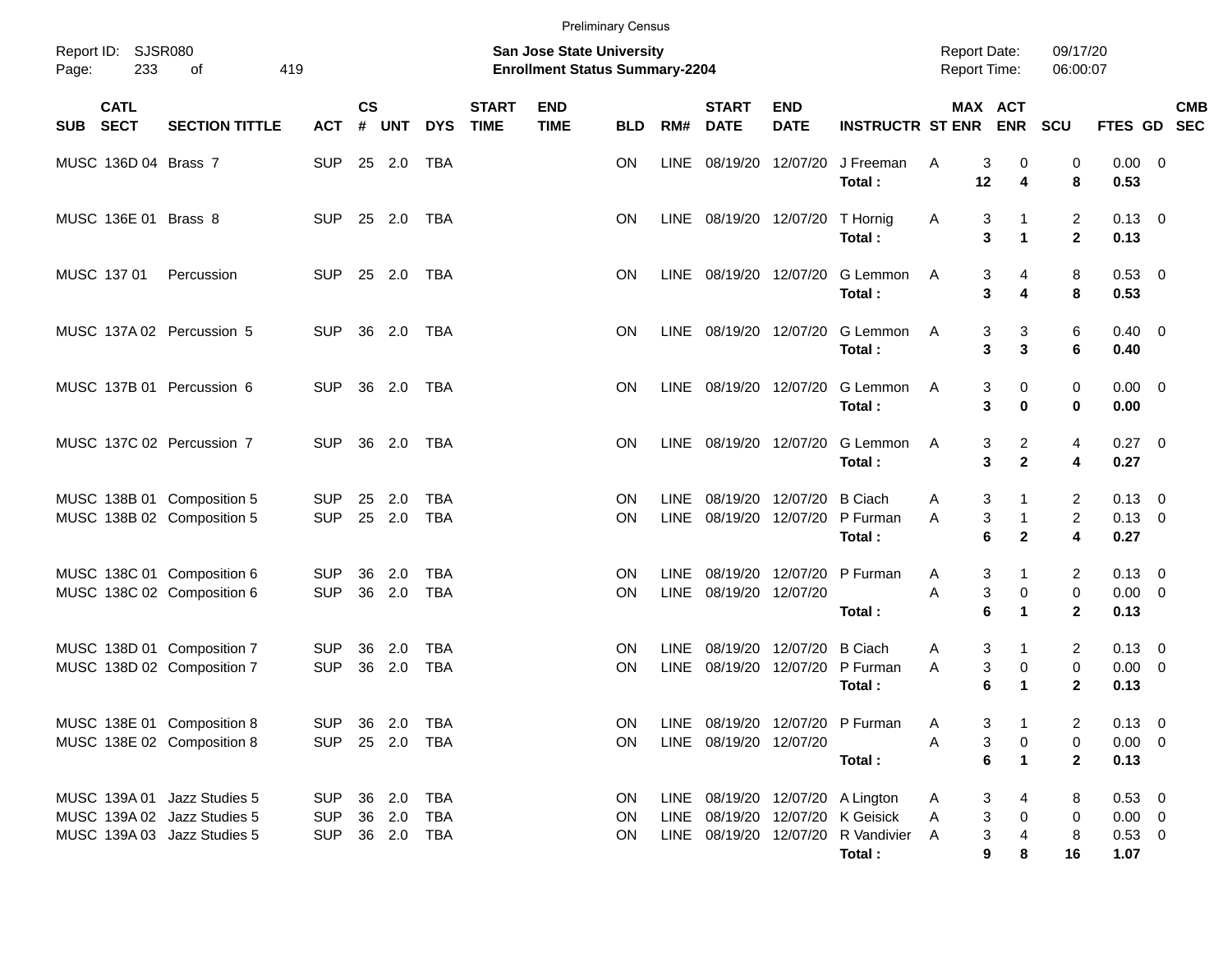|       |                           |                                                                                           |                                            |                    |                  |                          |                             |                                                                           | <b>Preliminary Census</b> |                            |                             |                                        |                                                                                                 |                                            |                                   |                                |                                                 |                                                      |
|-------|---------------------------|-------------------------------------------------------------------------------------------|--------------------------------------------|--------------------|------------------|--------------------------|-----------------------------|---------------------------------------------------------------------------|---------------------------|----------------------------|-----------------------------|----------------------------------------|-------------------------------------------------------------------------------------------------|--------------------------------------------|-----------------------------------|--------------------------------|-------------------------------------------------|------------------------------------------------------|
| Page: | Report ID: SJSR080<br>233 | 419<br>οf                                                                                 |                                            |                    |                  |                          |                             | <b>San Jose State University</b><br><b>Enrollment Status Summary-2204</b> |                           |                            |                             |                                        |                                                                                                 | <b>Report Date:</b><br><b>Report Time:</b> |                                   | 09/17/20<br>06:00:07           |                                                 |                                                      |
|       | <b>CATL</b><br>SUB SECT   | <b>SECTION TITTLE</b>                                                                     | <b>ACT</b>                                 | $\mathsf{cs}$<br># | <b>UNT</b>       | <b>DYS</b>               | <b>START</b><br><b>TIME</b> | <b>END</b><br><b>TIME</b>                                                 | <b>BLD</b>                | RM#                        | <b>START</b><br><b>DATE</b> | <b>END</b><br><b>DATE</b>              | <b>INSTRUCTR ST ENR</b>                                                                         |                                            | MAX ACT<br><b>ENR</b>             | SCU                            |                                                 | <b>CMB</b><br>FTES GD SEC                            |
|       | MUSC 136D 04 Brass 7      |                                                                                           | <b>SUP</b>                                 |                    | 25 2.0           | TBA                      |                             |                                                                           | ΟN                        |                            | LINE 08/19/20 12/07/20      |                                        | J Freeman<br>Total:                                                                             | 3<br>A<br>12                               | 0<br>4                            | 0<br>8                         | 0.00<br>0.53                                    | $\overline{\phantom{0}}$                             |
|       | MUSC 136E 01 Brass 8      |                                                                                           | <b>SUP</b>                                 |                    | 25 2.0           | <b>TBA</b>               |                             |                                                                           | ΟN                        |                            |                             | LINE 08/19/20 12/07/20                 | T Hornig<br>Total:                                                                              | Α<br>3<br>3                                | 1<br>$\blacktriangleleft$         | $\overline{2}$<br>$\mathbf{2}$ | $0.13 \quad 0$<br>0.13                          |                                                      |
|       | MUSC 137 01               | Percussion                                                                                | <b>SUP</b>                                 |                    | 25 2.0           | TBA                      |                             |                                                                           | ΟN                        |                            | LINE 08/19/20 12/07/20      |                                        | G Lemmon<br>Total:                                                                              | A<br>3<br>3                                | 4<br>4                            | 8<br>8                         | $0.53$ 0<br>0.53                                |                                                      |
|       |                           | MUSC 137A 02 Percussion 5                                                                 | <b>SUP</b>                                 |                    | 36 2.0           | TBA                      |                             |                                                                           | ΟN                        |                            | LINE 08/19/20 12/07/20      |                                        | G Lemmon<br>Total:                                                                              | 3<br>A<br>3                                | 3<br>3                            | 6<br>6                         | 0.40<br>0.40                                    | $\overline{\phantom{0}}$                             |
|       |                           | MUSC 137B 01 Percussion 6                                                                 | <b>SUP</b>                                 |                    | 36 2.0           | TBA                      |                             |                                                                           | ΟN                        |                            | LINE 08/19/20 12/07/20      |                                        | G Lemmon<br>Total:                                                                              | 3<br>A<br>3                                | 0<br>$\bf{0}$                     | 0<br>0                         | 0.00<br>0.00                                    | $\overline{\phantom{0}}$                             |
|       |                           | MUSC 137C 02 Percussion 7                                                                 | <b>SUP</b>                                 | 36                 | 2.0              | TBA                      |                             |                                                                           | ΟN                        |                            | LINE 08/19/20 12/07/20      |                                        | G Lemmon<br>Total:                                                                              | A<br>3<br>3                                | $\overline{a}$<br>$\mathbf{2}$    | 4<br>4                         | 0.27<br>0.27                                    | $\overline{\phantom{0}}$                             |
|       |                           | MUSC 138B 01 Composition 5<br>MUSC 138B 02 Composition 5                                  | <b>SUP</b><br><b>SUP</b>                   | 25<br>25           | 2.0<br>2.0       | TBA<br><b>TBA</b>        |                             |                                                                           | ON<br>ΟN                  | <b>LINE</b>                | LINE 08/19/20 12/07/20      | 08/19/20 12/07/20                      | <b>B</b> Ciach<br>P Furman<br>Total:                                                            | 3<br>A<br>3<br>A<br>6                      | 1<br>$\mathbf{1}$<br>$\mathbf{2}$ | $\overline{2}$<br>2<br>4       | 0.13<br>0.13<br>0.27                            | $\overline{\phantom{0}}$<br>$\overline{\phantom{0}}$ |
|       |                           | MUSC 138C 01 Composition 6<br>MUSC 138C 02 Composition 6                                  | <b>SUP</b><br><b>SUP</b>                   | 36<br>36           | 2.0<br>2.0       | <b>TBA</b><br><b>TBA</b> |                             |                                                                           | ΟN<br>ΟN                  | <b>LINE</b><br>LINE        | 08/19/20 12/07/20           | 08/19/20 12/07/20                      | P Furman<br>Total:                                                                              | 3<br>A<br>3<br>A<br>6                      | 1<br>0<br>1                       | 2<br>0<br>$\mathbf{2}$         | 0.13<br>0.00<br>0.13                            | $\overline{\phantom{0}}$<br>$\overline{\phantom{0}}$ |
|       |                           | MUSC 138D 01 Composition 7<br>MUSC 138D 02 Composition 7                                  | <b>SUP</b><br><b>SUP</b>                   | 36<br>36           | 2.0<br>2.0       | <b>TBA</b><br><b>TBA</b> |                             |                                                                           | ΟN<br>ΟN                  | <b>LINE</b><br><b>LINE</b> |                             | 08/19/20 12/07/20<br>08/19/20 12/07/20 | <b>B</b> Ciach<br>P Furman<br>Total:                                                            | 3<br>A<br>3<br>A<br>6                      | $\mathbf{1}$<br>0<br>1            | 2<br>0<br>$\mathbf{2}$         | 0.13<br>0.00<br>0.13                            | $\overline{\phantom{0}}$<br>$\overline{\phantom{0}}$ |
|       |                           | MUSC 138E 01 Composition 8<br>MUSC 138E 02 Composition 8                                  | SUP 36 2.0<br><b>SUP</b>                   |                    | 25 2.0           | TBA<br>TBA               |                             |                                                                           | ΟN<br>ON.                 |                            | LINE 08/19/20 12/07/20      |                                        | LINE 08/19/20 12/07/20 P Furman<br>Total:                                                       | 3<br>Α<br>3<br>Α<br>6                      | 0<br>$\mathbf 1$                  | 2<br>0<br>$\mathbf{2}$         | $0.13 \quad 0$<br>$0.00 \t 0$<br>0.13           |                                                      |
|       |                           | MUSC 139A 01 Jazz Studies 5<br>MUSC 139A 02 Jazz Studies 5<br>MUSC 139A 03 Jazz Studies 5 | <b>SUP</b><br><b>SUP</b><br>SUP 36 2.0 TBA |                    | 36 2.0<br>36 2.0 | TBA<br>TBA               |                             |                                                                           | 0N<br>ON<br>ON.           |                            |                             | LINE 08/19/20 12/07/20                 | LINE 08/19/20 12/07/20 A Lington<br>K Geisick<br>LINE 08/19/20 12/07/20 R Vandivier A<br>Total: | A<br>3<br>3<br>Α<br>3<br>9                 | 4<br>0<br>4<br>8                  | 8<br>0<br>8<br>16              | $0.53 \ 0$<br>$0.00 \t 0$<br>$0.53 \ 0$<br>1.07 |                                                      |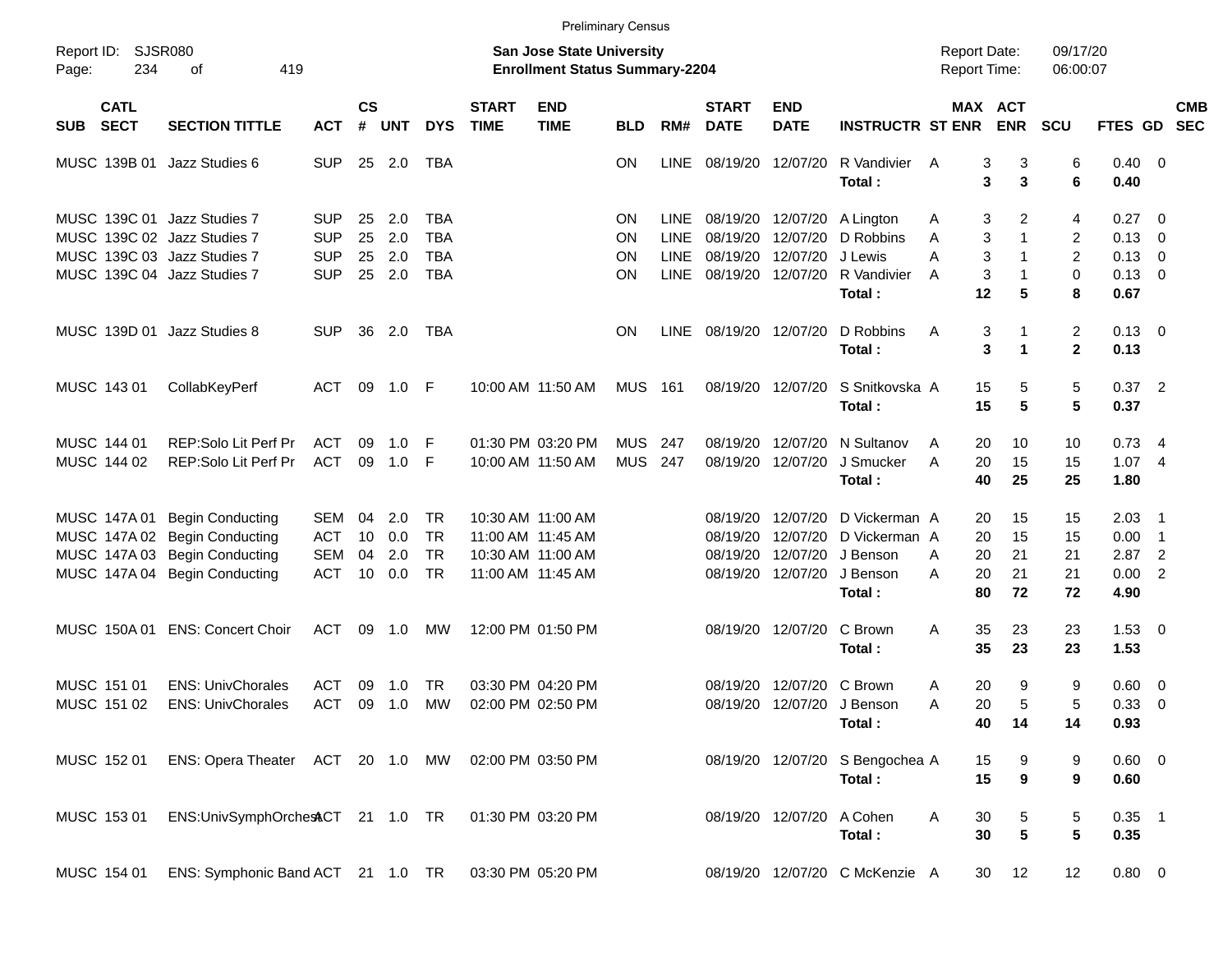|                     |                            |                                   |            |                |            |            |                             |                                                                    | <b>Preliminary Census</b> |             |                             |                           |                                |                                            |                         |                      |                |                          |                          |
|---------------------|----------------------------|-----------------------------------|------------|----------------|------------|------------|-----------------------------|--------------------------------------------------------------------|---------------------------|-------------|-----------------------------|---------------------------|--------------------------------|--------------------------------------------|-------------------------|----------------------|----------------|--------------------------|--------------------------|
| Report ID:<br>Page: | 234                        | SJSR080<br>419<br>οf              |            |                |            |            |                             | San Jose State University<br><b>Enrollment Status Summary-2204</b> |                           |             |                             |                           |                                | <b>Report Date:</b><br><b>Report Time:</b> |                         | 09/17/20<br>06:00:07 |                |                          |                          |
| <b>SUB</b>          | <b>CATL</b><br><b>SECT</b> | <b>SECTION TITTLE</b>             | <b>ACT</b> | <b>CS</b><br># | <b>UNT</b> | <b>DYS</b> | <b>START</b><br><b>TIME</b> | <b>END</b><br><b>TIME</b>                                          | <b>BLD</b>                | RM#         | <b>START</b><br><b>DATE</b> | <b>END</b><br><b>DATE</b> | <b>INSTRUCTR ST ENR</b>        |                                            | MAX ACT<br><b>ENR</b>   | <b>SCU</b>           | FTES GD        |                          | <b>CMB</b><br><b>SEC</b> |
|                     | MUSC 139B 01               | Jazz Studies 6                    | <b>SUP</b> | 25             | 2.0        | TBA        |                             |                                                                    | <b>ON</b>                 | <b>LINE</b> | 08/19/20                    | 12/07/20                  | R Vandivier                    | A                                          | 3<br>3                  | 6                    | $0.40 \quad 0$ |                          |                          |
|                     |                            |                                   |            |                |            |            |                             |                                                                    |                           |             |                             |                           | Total:                         |                                            | 3<br>3                  | 6                    | 0.40           |                          |                          |
|                     |                            | MUSC 139C 01 Jazz Studies 7       | <b>SUP</b> | 25             | 2.0        | <b>TBA</b> |                             |                                                                    | ON                        | LINE.       | 08/19/20                    | 12/07/20                  | A Lington                      | A                                          | 3<br>2                  | 4                    | 0.27           | $\overline{\mathbf{0}}$  |                          |
|                     |                            | MUSC 139C 02 Jazz Studies 7       | <b>SUP</b> | 25             | 2.0        | <b>TBA</b> |                             |                                                                    | ON                        | <b>LINE</b> | 08/19/20                    | 12/07/20                  | D Robbins                      | Α                                          | 3<br>$\mathbf{1}$       | 2                    | $0.13 \quad 0$ |                          |                          |
|                     |                            | MUSC 139C 03 Jazz Studies 7       | <b>SUP</b> | 25             | 2.0        | <b>TBA</b> |                             |                                                                    | ON                        | <b>LINE</b> | 08/19/20                    | 12/07/20                  | J Lewis                        | A                                          | 3<br>1                  | 2                    | 0.13           | $\overline{\mathbf{0}}$  |                          |
|                     |                            | MUSC 139C 04 Jazz Studies 7       | <b>SUP</b> | 25             | 2.0        | <b>TBA</b> |                             |                                                                    | ΟN                        | <b>LINE</b> | 08/19/20                    | 12/07/20                  | R Vandivier                    | A                                          | 3                       | 0                    | 0.13           | $\overline{\mathbf{0}}$  |                          |
|                     |                            |                                   |            |                |            |            |                             |                                                                    |                           |             |                             |                           | Total:                         | 12                                         | 5                       | 8                    | 0.67           |                          |                          |
|                     |                            | MUSC 139D 01 Jazz Studies 8       | <b>SUP</b> | 36             | 2.0        | TBA        |                             |                                                                    | <b>ON</b>                 | <b>LINE</b> | 08/19/20                    | 12/07/20                  | D Robbins                      | Α                                          | 3<br>1                  | $\overline{c}$       | 0.13           | $\overline{\phantom{0}}$ |                          |
|                     |                            |                                   |            |                |            |            |                             |                                                                    |                           |             |                             |                           | Total:                         |                                            | 3<br>$\mathbf 1$        | $\mathbf{2}$         | 0.13           |                          |                          |
|                     | MUSC 143 01                | CollabKeyPerf                     | <b>ACT</b> | 09             | 1.0        | -F         |                             | 10:00 AM 11:50 AM                                                  | <b>MUS</b>                | 161         | 08/19/20                    | 12/07/20                  | S Snitkovska A                 | 15                                         | 5                       | 5                    | 0.37           | $\overline{2}$           |                          |
|                     |                            |                                   |            |                |            |            |                             |                                                                    |                           |             |                             |                           | Total:                         | 15                                         | 5                       | 5                    | 0.37           |                          |                          |
|                     | MUSC 144 01                | <b>REP:Solo Lit Perf Pr</b>       | <b>ACT</b> | 09             | 1.0        | F          |                             | 01:30 PM 03:20 PM                                                  | <b>MUS</b>                | 247         | 08/19/20                    | 12/07/20                  | N Sultanov                     | A<br>20                                    | 10                      | 10                   | 0.73           | -4                       |                          |
|                     | MUSC 144 02                | REP:Solo Lit Perf Pr              | <b>ACT</b> | 09             | 1.0        | F          |                             | 10:00 AM 11:50 AM                                                  | <b>MUS</b>                | 247         | 08/19/20                    | 12/07/20                  | J Smucker                      | A<br>20                                    | 15                      | 15                   | 1.074          |                          |                          |
|                     |                            |                                   |            |                |            |            |                             |                                                                    |                           |             |                             |                           | Total:                         | 40                                         | 25                      | 25                   | 1.80           |                          |                          |
|                     | MUSC 147A 01               | <b>Begin Conducting</b>           | <b>SEM</b> | 04             | 2.0        | TR         |                             | 10:30 AM 11:00 AM                                                  |                           |             | 08/19/20                    | 12/07/20                  | D Vickerman A                  | 20                                         | 15                      | 15                   | 2.03           | - 1                      |                          |
|                     | MUSC 147A 02               | <b>Begin Conducting</b>           | <b>ACT</b> | 10             | 0.0        | <b>TR</b>  |                             | 11:00 AM 11:45 AM                                                  |                           |             | 08/19/20                    | 12/07/20                  | D Vickerman A                  | 20                                         | 15                      | 15                   | 0.00           | $\overline{\phantom{1}}$ |                          |
|                     | MUSC 147A 03               | <b>Begin Conducting</b>           | <b>SEM</b> | 04             | 2.0        | <b>TR</b>  |                             | 10:30 AM 11:00 AM                                                  |                           |             | 08/19/20                    | 12/07/20                  | J Benson                       | 20<br>A                                    | 21                      | 21                   | 2.87           | $\overline{2}$           |                          |
|                     |                            | MUSC 147A 04 Begin Conducting     | <b>ACT</b> | 10             | 0.0        | <b>TR</b>  |                             | 11:00 AM 11:45 AM                                                  |                           |             | 08/19/20                    | 12/07/20                  | J Benson                       | A<br>20                                    | 21                      | 21                   | 0.00           | $\overline{2}$           |                          |
|                     |                            |                                   |            |                |            |            |                             |                                                                    |                           |             |                             |                           | Total:                         | 80                                         | 72                      | 72                   | 4.90           |                          |                          |
|                     | MUSC 150A 01               | <b>ENS: Concert Choir</b>         | ACT        | 09             | 1.0        | МW         |                             | 12:00 PM 01:50 PM                                                  |                           |             | 08/19/20                    | 12/07/20                  | C Brown                        | 35<br>A                                    | 23                      | 23                   | 1.53           | $\overline{\phantom{0}}$ |                          |
|                     |                            |                                   |            |                |            |            |                             |                                                                    |                           |             |                             |                           | Total:                         | 35                                         | 23                      | 23                   | 1.53           |                          |                          |
|                     | MUSC 151 01                | <b>ENS: UnivChorales</b>          | <b>ACT</b> | 09             | 1.0        | TR         |                             | 03:30 PM 04:20 PM                                                  |                           |             | 08/19/20                    | 12/07/20                  | C Brown                        | 20<br>A                                    | 9                       | 9                    | $0.60 \quad 0$ |                          |                          |
|                     | MUSC 151 02                | <b>ENS: UnivChorales</b>          | <b>ACT</b> | 09             | 1.0        | МW         |                             | 02:00 PM 02:50 PM                                                  |                           |             | 08/19/20                    |                           | 12/07/20 J Benson              | 20<br>A                                    | 5                       | 5                    | 0.33           | - 0                      |                          |
|                     |                            |                                   |            |                |            |            |                             |                                                                    |                           |             |                             |                           | Total:                         |                                            | 14<br>40                | 14                   | 0.93           |                          |                          |
|                     | MUSC 152 01                | ENS: Opera Theater ACT 20 1.0 MW  |            |                |            |            | 02:00 PM 03:50 PM           |                                                                    |                           |             |                             | 08/19/20 12/07/20         | S Bengochea A                  | 15                                         | 9                       | 9                    | $0.60 \t 0$    |                          |                          |
|                     |                            |                                   |            |                |            |            |                             |                                                                    |                           |             |                             |                           | Total:                         | 15                                         | $\boldsymbol{9}$        | 9                    | 0.60           |                          |                          |
|                     | MUSC 153 01                | ENS:UnivSymphOrchestCT 21 1.0 TR  |            |                |            |            |                             | 01:30 PM 03:20 PM                                                  |                           |             |                             | 08/19/20 12/07/20         | A Cohen                        | 30<br>A                                    | 5                       | 5                    | $0.35$ 1       |                          |                          |
|                     |                            |                                   |            |                |            |            |                             |                                                                    |                           |             |                             |                           | Total:                         | 30                                         | $\overline{\mathbf{5}}$ | 5                    | 0.35           |                          |                          |
|                     | MUSC 154 01                | ENS: Symphonic Band ACT 21 1.0 TR |            |                |            |            |                             | 03:30 PM 05:20 PM                                                  |                           |             |                             |                           | 08/19/20 12/07/20 C McKenzie A |                                            | 12<br>30                | 12                   | $0.80 \t 0$    |                          |                          |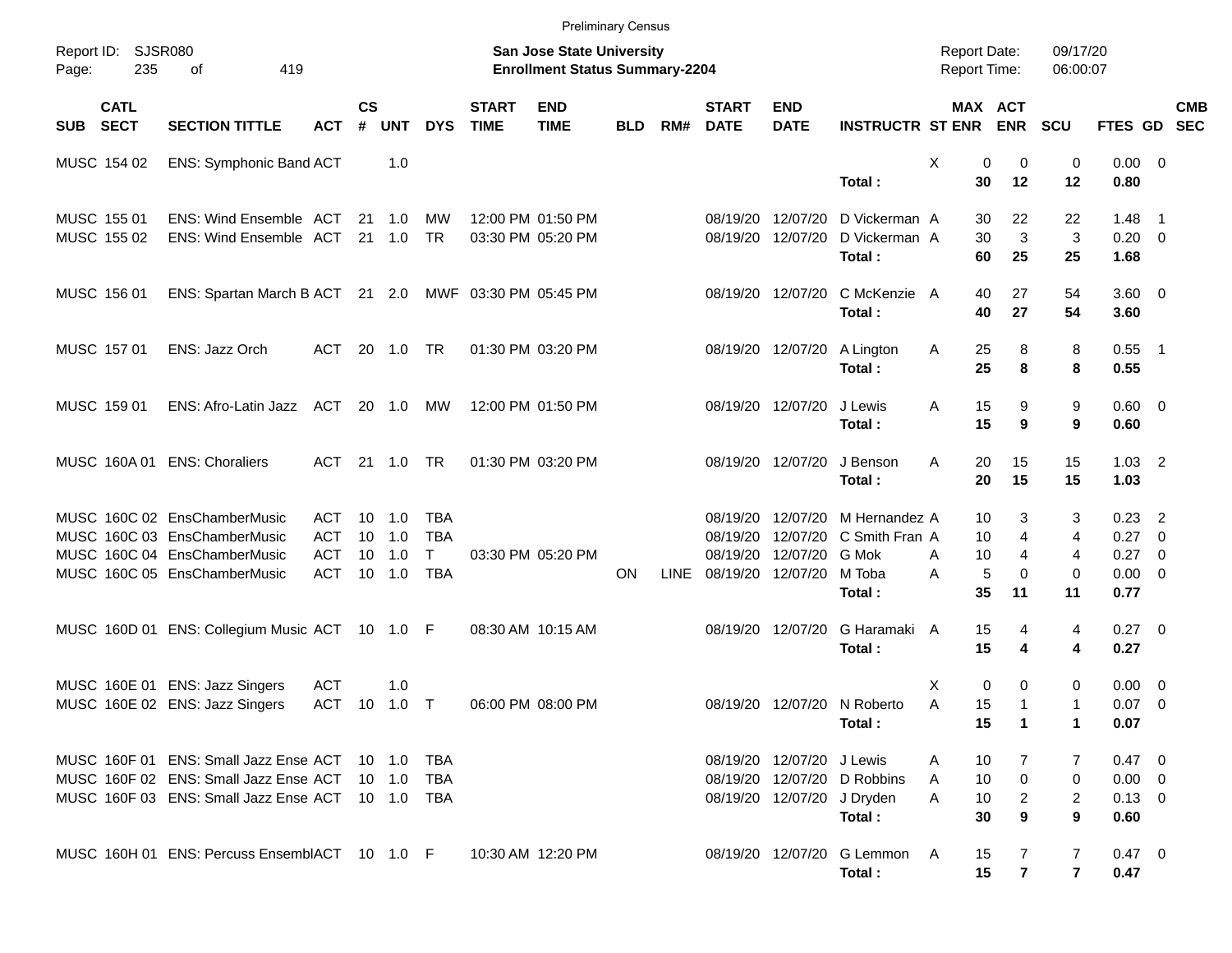|             |                            |                                                       |              |                    |                |            |                             | <b>Preliminary Census</b>                                                 |            |             |                             |                           |                             |                                            |                         |                      |                |                          |            |
|-------------|----------------------------|-------------------------------------------------------|--------------|--------------------|----------------|------------|-----------------------------|---------------------------------------------------------------------------|------------|-------------|-----------------------------|---------------------------|-----------------------------|--------------------------------------------|-------------------------|----------------------|----------------|--------------------------|------------|
| Page:       | Report ID: SJSR080<br>235  | of<br>419                                             |              |                    |                |            |                             | <b>San Jose State University</b><br><b>Enrollment Status Summary-2204</b> |            |             |                             |                           |                             | <b>Report Date:</b><br><b>Report Time:</b> |                         | 09/17/20<br>06:00:07 |                |                          |            |
| SUB         | <b>CATL</b><br><b>SECT</b> | <b>SECTION TITTLE</b>                                 | <b>ACT</b>   | $\mathsf{cs}$<br># | <b>UNT</b>     | <b>DYS</b> | <b>START</b><br><b>TIME</b> | <b>END</b><br><b>TIME</b>                                                 | <b>BLD</b> | RM#         | <b>START</b><br><b>DATE</b> | <b>END</b><br><b>DATE</b> | <b>INSTRUCTR ST ENR</b>     |                                            | MAX ACT<br><b>ENR</b>   | <b>SCU</b>           | FTES GD SEC    |                          | <b>CMB</b> |
| MUSC 154 02 |                            | ENS: Symphonic Band ACT                               |              |                    | 1.0            |            |                             |                                                                           |            |             |                             |                           |                             | Χ<br>0                                     | 0                       | 0                    | $0.00 \t 0$    |                          |            |
|             |                            |                                                       |              |                    |                |            |                             |                                                                           |            |             |                             |                           | Total:                      | 30                                         | 12                      | 12                   | 0.80           |                          |            |
| MUSC 155 01 |                            | ENS: Wind Ensemble ACT                                |              |                    | 21 1.0         | MW         |                             | 12:00 PM 01:50 PM                                                         |            |             | 08/19/20                    | 12/07/20                  | D Vickerman A               | 30                                         | 22                      | 22                   | 1.48           | $\overline{\phantom{0}}$ |            |
| MUSC 155 02 |                            | ENS: Wind Ensemble ACT 21 1.0                         |              |                    |                | <b>TR</b>  |                             | 03:30 PM 05:20 PM                                                         |            |             |                             | 08/19/20 12/07/20         | D Vickerman A               | 30                                         | 3                       | 3                    | $0.20 \ 0$     |                          |            |
|             |                            |                                                       |              |                    |                |            |                             |                                                                           |            |             |                             |                           | Total:                      | 60                                         | 25                      | 25                   | 1.68           |                          |            |
| MUSC 156 01 |                            | ENS: Spartan March B ACT 21 2.0 MWF 03:30 PM 05:45 PM |              |                    |                |            |                             |                                                                           |            |             |                             | 08/19/20 12/07/20         | C McKenzie A                | 40                                         | 27                      | 54                   | $3.60 \ 0$     |                          |            |
|             |                            |                                                       |              |                    |                |            |                             |                                                                           |            |             |                             |                           | Total:                      | 40                                         | 27                      | 54                   | 3.60           |                          |            |
| MUSC 157 01 |                            | ENS: Jazz Orch                                        | ACT          |                    | 20 1.0 TR      |            |                             | 01:30 PM 03:20 PM                                                         |            |             |                             | 08/19/20 12/07/20         | A Lington                   | Α<br>25                                    | 8                       | 8                    | $0.55$ 1       |                          |            |
|             |                            |                                                       |              |                    |                |            |                             |                                                                           |            |             |                             |                           | Total:                      | 25                                         | 8                       | 8                    | 0.55           |                          |            |
| MUSC 159 01 |                            | ENS: Afro-Latin Jazz ACT 20 1.0 MW                    |              |                    |                |            |                             | 12:00 PM 01:50 PM                                                         |            |             |                             | 08/19/20 12/07/20         | J Lewis                     | 15<br>Α                                    | 9                       | 9                    | $0.60 \quad 0$ |                          |            |
|             |                            |                                                       |              |                    |                |            |                             |                                                                           |            |             |                             |                           | Total:                      | 15                                         | 9                       | 9                    | 0.60           |                          |            |
|             |                            | MUSC 160A 01 ENS: Choraliers                          | ACT          |                    | 21  1.0  TR    |            |                             | 01:30 PM 03:20 PM                                                         |            |             |                             | 08/19/20 12/07/20         | J Benson                    | A<br>20                                    | 15                      | 15                   | $1.03$ 2       |                          |            |
|             |                            |                                                       |              |                    |                |            |                             |                                                                           |            |             |                             |                           | Total:                      | 20                                         | 15                      | 15                   | 1.03           |                          |            |
|             |                            | MUSC 160C 02 EnsChamberMusic                          | ACT          |                    | $10 \quad 1.0$ | <b>TBA</b> |                             |                                                                           |            |             | 08/19/20                    | 12/07/20                  | M Hernandez A               | 10                                         | 3                       | 3                    | $0.23$ 2       |                          |            |
|             |                            | MUSC 160C 03 EnsChamberMusic                          | <b>ACT</b>   | 10 <sup>°</sup>    | 1.0            | <b>TBA</b> |                             |                                                                           |            |             | 08/19/20                    | 12/07/20                  | C Smith Fran A              | 10                                         | 4                       | 4                    | $0.27$ 0       |                          |            |
|             |                            | MUSC 160C 04 EnsChamberMusic                          | <b>ACT</b>   | 10                 | 1.0            | Τ          |                             | 03:30 PM 05:20 PM                                                         |            |             | 08/19/20                    | 12/07/20 G Mok            |                             | 10<br>A                                    | $\overline{4}$          | 4                    | $0.27$ 0       |                          |            |
|             |                            | MUSC 160C 05 EnsChamberMusic                          | ACT          |                    | 10 1.0         | <b>TBA</b> |                             |                                                                           | ON         | <b>LINE</b> | 08/19/20 12/07/20           |                           | M Toba                      | 5<br>A                                     | $\mathbf 0$             | 0                    | $0.00 \t 0$    |                          |            |
|             |                            |                                                       |              |                    |                |            |                             |                                                                           |            |             |                             |                           | Total:                      | 35                                         | 11                      | 11                   | 0.77           |                          |            |
|             |                            | MUSC 160D 01 ENS: Collegium Music ACT 10 1.0 F        |              |                    |                |            |                             | 08:30 AM 10:15 AM                                                         |            |             |                             | 08/19/20 12/07/20         | G Haramaki A                | 15                                         | 4                       | 4                    | $0.27 \ 0$     |                          |            |
|             |                            |                                                       |              |                    |                |            |                             |                                                                           |            |             |                             |                           | Total:                      | 15                                         | 4                       | 4                    | 0.27           |                          |            |
|             |                            | MUSC 160E 01 ENS: Jazz Singers                        | ACT          |                    | 1.0            |            |                             |                                                                           |            |             |                             |                           |                             | $\mathbf 0$<br>X                           | 0                       | 0                    | $0.00 \t 0$    |                          |            |
|             |                            | MUSC 160E 02 ENS: Jazz Singers                        | ACT 10 1.0 T |                    |                |            |                             | 06:00 PM 08:00 PM                                                         |            |             |                             |                           | 08/19/20 12/07/20 N Roberto | A<br>15                                    | $\mathbf{1}$            | 1                    | $0.07$ 0       |                          |            |
|             |                            |                                                       |              |                    |                |            |                             |                                                                           |            |             |                             |                           | Total:                      | 15                                         | $\mathbf{1}$            | 1                    | 0.07           |                          |            |
|             |                            | MUSC 160F 01 ENS: Small Jazz Ense ACT 10 1.0          |              |                    |                | TBA        |                             |                                                                           |            |             |                             | 08/19/20 12/07/20 J Lewis |                             | 10<br>A                                    | 7                       | 7                    | 0.47 0         |                          |            |
|             |                            | MUSC 160F 02 ENS: Small Jazz Ense ACT                 |              |                    | 10 1.0         | TBA        |                             |                                                                           |            |             |                             |                           | 08/19/20 12/07/20 D Robbins | 10<br>A                                    | $\pmb{0}$               | 0                    | $0.00 \t 0$    |                          |            |
|             |                            | MUSC 160F 03 ENS: Small Jazz Ense ACT 10 1.0 TBA      |              |                    |                |            |                             |                                                                           |            |             |                             |                           | 08/19/20 12/07/20 J Dryden  | A<br>10                                    | $\overline{a}$          | $\overline{2}$       | $0.13 \ 0$     |                          |            |
|             |                            |                                                       |              |                    |                |            |                             |                                                                           |            |             |                             |                           | Total:                      | 30                                         | $\boldsymbol{9}$        | 9                    | 0.60           |                          |            |
|             |                            | MUSC 160H 01 ENS: Percuss EnsemblACT 10 1.0 F         |              |                    |                |            |                             | 10:30 AM 12:20 PM                                                         |            |             |                             |                           | 08/19/20 12/07/20 G Lemmon  | 15<br>A                                    | 7                       | $\overline{7}$       | $0.47 \quad 0$ |                          |            |
|             |                            |                                                       |              |                    |                |            |                             |                                                                           |            |             |                             |                           | Total:                      | 15                                         | $\overline{\mathbf{z}}$ | $\overline{7}$       | 0.47           |                          |            |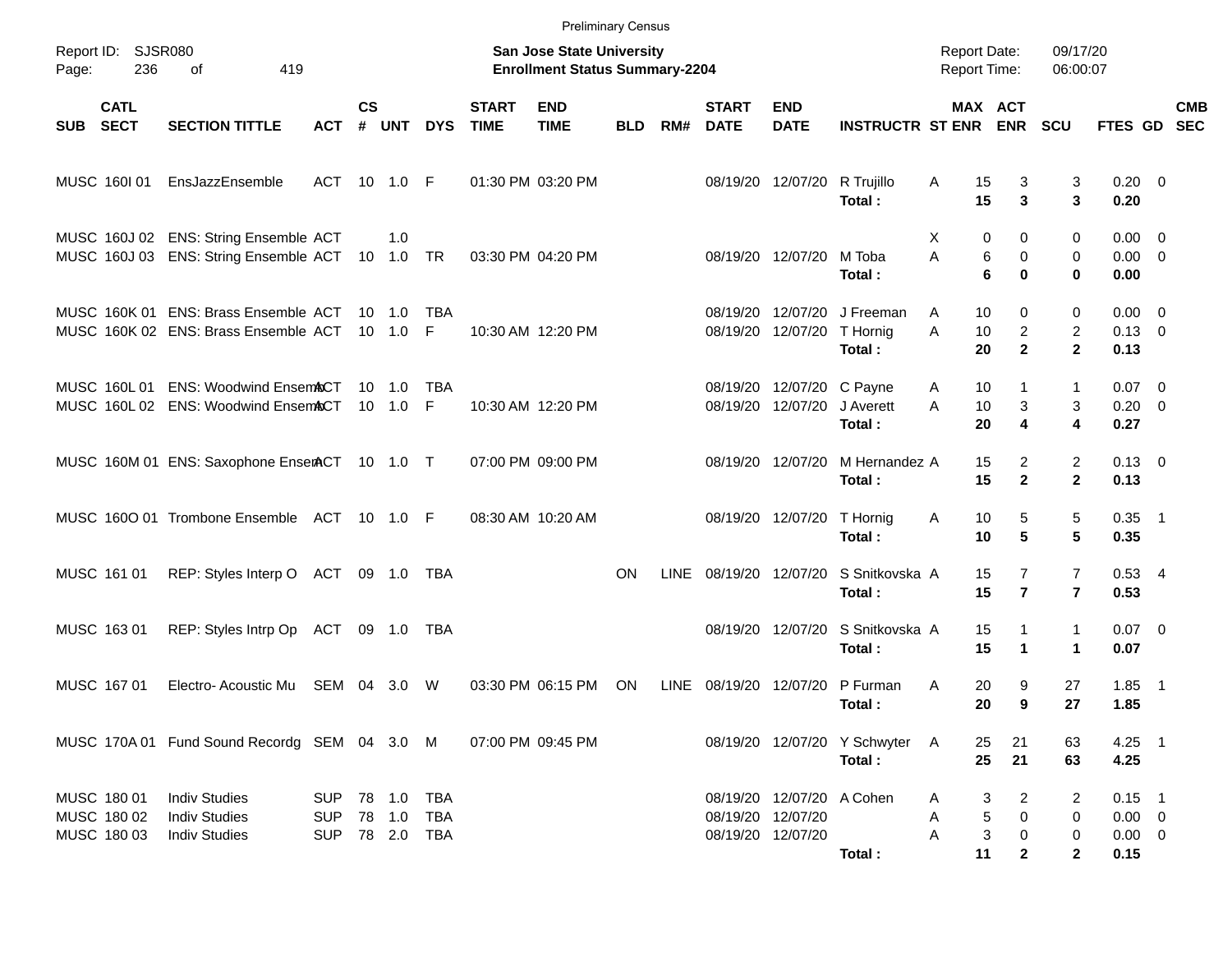|            |                                           |                                                                                          |                                        |                    |                            |                                        |                             | <b>Preliminary Census</b>                                                 |            |             |                             |                                                |                                          |                                                          |                                                  |                                                    |                                                |                          |  |
|------------|-------------------------------------------|------------------------------------------------------------------------------------------|----------------------------------------|--------------------|----------------------------|----------------------------------------|-----------------------------|---------------------------------------------------------------------------|------------|-------------|-----------------------------|------------------------------------------------|------------------------------------------|----------------------------------------------------------|--------------------------------------------------|----------------------------------------------------|------------------------------------------------|--------------------------|--|
| Page:      | Report ID: SJSR080<br>236                 | 419<br>of                                                                                |                                        |                    |                            |                                        |                             | <b>San Jose State University</b><br><b>Enrollment Status Summary-2204</b> |            |             |                             |                                                |                                          | <b>Report Date:</b><br>Report Time:                      |                                                  | 09/17/20<br>06:00:07                               |                                                |                          |  |
| <b>SUB</b> | <b>CATL</b><br><b>SECT</b>                | <b>SECTION TITTLE</b>                                                                    | <b>ACT</b>                             | $\mathsf{cs}$<br># | <b>UNT</b>                 | <b>DYS</b>                             | <b>START</b><br><b>TIME</b> | <b>END</b><br><b>TIME</b>                                                 | <b>BLD</b> | RM#         | <b>START</b><br><b>DATE</b> | <b>END</b><br><b>DATE</b>                      | <b>INSTRUCTR ST ENR</b>                  |                                                          | MAX ACT<br><b>ENR</b>                            | SCU                                                | FTES GD SEC                                    | <b>CMB</b>               |  |
|            | MUSC 160101                               | EnsJazzEnsemble                                                                          | ACT 10                                 |                    | 1.0 F                      |                                        |                             | 01:30 PM 03:20 PM                                                         |            |             |                             | 08/19/20 12/07/20                              | R Trujillo<br>Total:                     | 15<br>Α<br>15                                            | 3<br>3                                           | 3<br>3                                             | $0.20 \ 0$<br>0.20                             |                          |  |
|            |                                           | MUSC 160J 02 ENS: String Ensemble ACT<br>MUSC 160J 03 ENS: String Ensemble ACT 10 1.0 TR |                                        |                    | 1.0                        |                                        |                             | 03:30 PM 04:20 PM                                                         |            |             |                             | 08/19/20 12/07/20                              | M Toba<br>Total:                         | X<br>0<br>A<br>6<br>6                                    | 0<br>0<br>0                                      | 0<br>0<br>0                                        | $0.00 \t 0$<br>$0.00 \t 0$<br>0.00             |                          |  |
|            |                                           | MUSC 160K 01 ENS: Brass Ensemble ACT<br>MUSC 160K 02 ENS: Brass Ensemble ACT             |                                        | 10                 | 1.0<br>10 1.0              | TBA<br>-F                              |                             | 10:30 AM 12:20 PM                                                         |            |             | 08/19/20<br>08/19/20        | 12/07/20<br>12/07/20                           | J Freeman<br>T Hornig<br>Total:          | A<br>10<br>A<br>10<br>20                                 | 0<br>$\overline{c}$<br>$\mathbf{2}$              | 0<br>$\overline{c}$<br>$\mathbf{2}$                | $0.00 \t 0$<br>$0.13 \ 0$<br>0.13              |                          |  |
|            | MUSC 160L 01                              | <b>ENS: Woodwind EnsemACT</b><br>MUSC 160L02 ENS: Woodwind EnsemACT                      |                                        | 10<br>10           | 1.0<br>1.0                 | TBA<br>E                               |                             | 10:30 AM 12:20 PM                                                         |            |             | 08/19/20                    | 08/19/20 12/07/20 C Payne<br>12/07/20          | J Averett<br>Total:                      | 10<br>A<br>10<br>A<br>20                                 | 1<br>3<br>4                                      | 1<br>3<br>4                                        | 0.07<br>$0.20 \ 0$<br>0.27                     | $\overline{\phantom{0}}$ |  |
|            |                                           | MUSC 160M 01 ENS: Saxophone EnserACT 10 1.0 T                                            |                                        |                    |                            |                                        |                             | 07:00 PM 09:00 PM                                                         |            |             |                             | 08/19/20 12/07/20                              | M Hernandez A<br>Total:                  | 15<br>15                                                 | $\overline{2}$<br>$\mathbf{2}$                   | $\overline{c}$<br>$\mathbf{2}$                     | $0.13 \quad 0$<br>0.13                         |                          |  |
|            |                                           | MUSC 1600 01 Trombone Ensemble ACT 10 1.0 F                                              |                                        |                    |                            |                                        |                             | 08:30 AM 10:20 AM                                                         |            |             |                             | 08/19/20 12/07/20                              | T Hornig<br>Total:                       | 10<br>Α<br>10                                            | 5<br>$5\phantom{.0}$                             | 5<br>5                                             | $0.35$ 1<br>0.35                               |                          |  |
|            | MUSC 161 01                               | REP: Styles Interp O ACT 09 1.0                                                          |                                        |                    |                            | TBA                                    |                             |                                                                           | <b>ON</b>  | LINE        | 08/19/20 12/07/20           |                                                | S Snitkovska A<br>Total:                 | 15<br>15                                                 | $\overline{7}$<br>$\overline{7}$                 | $\overline{7}$<br>$\overline{7}$                   | $0.53$ 4<br>0.53                               |                          |  |
|            | MUSC 163 01                               | REP: Styles Intrp Op                                                                     | ACT                                    |                    | 09 1.0                     | TBA                                    |                             |                                                                           |            |             | 08/19/20                    | 12/07/20                                       | S Snitkovska A<br>Total:                 | 15<br>15                                                 | 1<br>1                                           | $\mathbf{1}$<br>$\blacktriangleleft$               | $0.07$ 0<br>0.07                               |                          |  |
|            | MUSC 167 01                               | Electro-Acoustic Mu                                                                      | SEM                                    | 04                 | 3.0                        | W                                      |                             | 03:30 PM 06:15 PM                                                         | <b>ON</b>  | <b>LINE</b> | 08/19/20                    | 12/07/20                                       | P Furman<br>Total:                       | 20<br>A<br>20                                            | 9<br>9                                           | 27<br>27                                           | 1.85<br>1.85                                   | $\overline{\phantom{1}}$ |  |
|            |                                           | MUSC 170A 01 Fund Sound Recordg SEM 04 3.0 M                                             |                                        |                    |                            |                                        |                             | 07:00 PM 09:45 PM                                                         |            |             |                             |                                                | 08/19/20 12/07/20 Y Schwyter A<br>Total: | 25<br>25                                                 | 21<br>21                                         | 63<br>63                                           | $4.25$ 1<br>4.25                               |                          |  |
|            | MUSC 180 01<br>MUSC 180 02<br>MUSC 180 03 | <b>Indiv Studies</b><br><b>Indiv Studies</b><br><b>Indiv Studies</b>                     | <b>SUP</b><br><b>SUP</b><br><b>SUP</b> |                    | 78 1.0<br>78 1.0<br>78 2.0 | <b>TBA</b><br><b>TBA</b><br><b>TBA</b> |                             |                                                                           |            |             | 08/19/20 12/07/20           | 08/19/20 12/07/20 A Cohen<br>08/19/20 12/07/20 | Total:                                   | 3<br>Α<br>5<br>Α<br>$\ensuremath{\mathsf{3}}$<br>Α<br>11 | $\overline{c}$<br>$\pmb{0}$<br>0<br>$\mathbf{2}$ | $\overline{2}$<br>0<br>$\mathbf 0$<br>$\mathbf{2}$ | $0.15$ 1<br>$0.00 \t 0$<br>$0.00 \t 0$<br>0.15 |                          |  |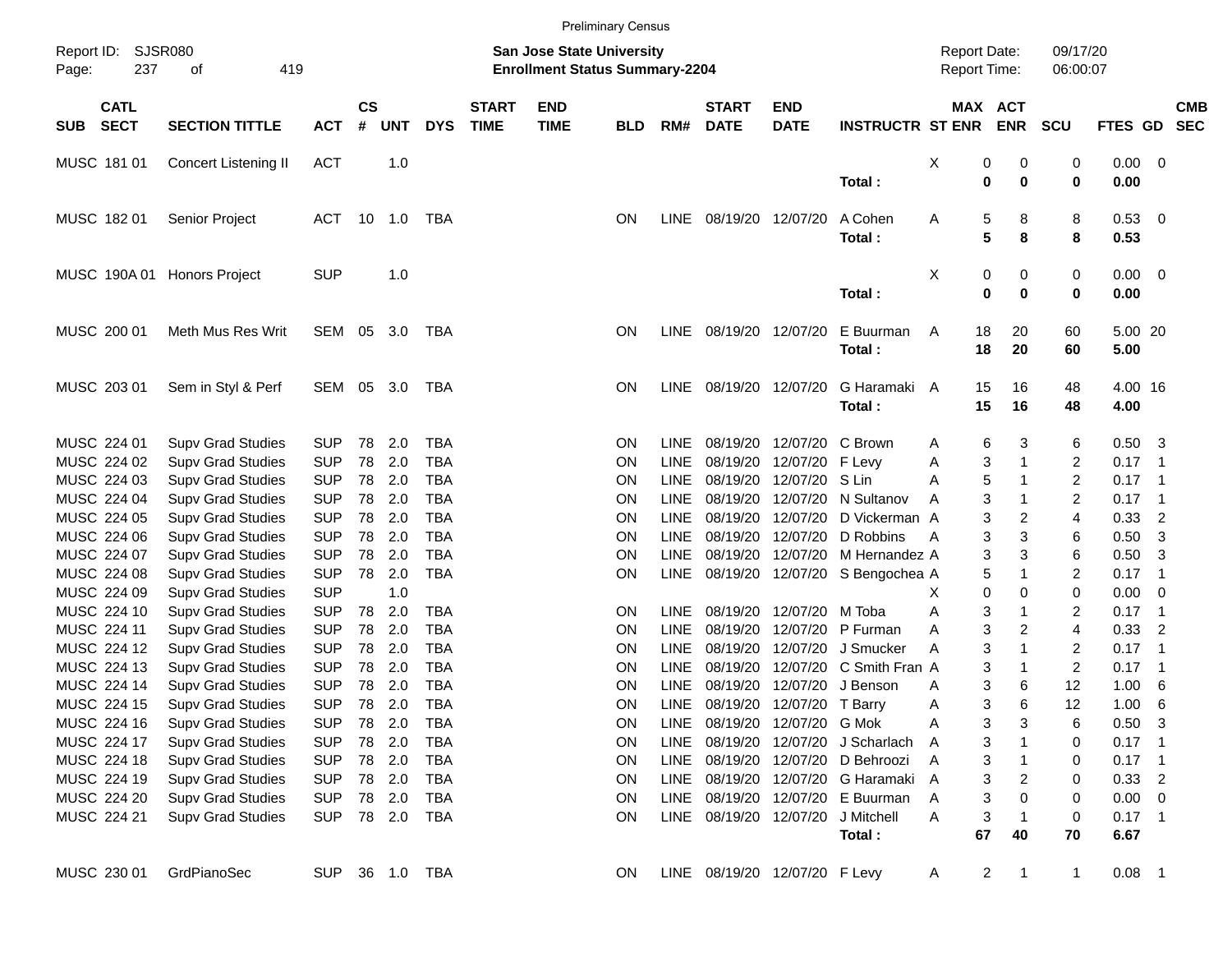| Report ID:   | SJSR080<br>237             |                          |            |                    |            |            |                             |                                                                           |            |             |                             |                               |                                   |                                     |    |                       |                      |             |                            |            |
|--------------|----------------------------|--------------------------|------------|--------------------|------------|------------|-----------------------------|---------------------------------------------------------------------------|------------|-------------|-----------------------------|-------------------------------|-----------------------------------|-------------------------------------|----|-----------------------|----------------------|-------------|----------------------------|------------|
| Page:        |                            | 419<br>οf                |            |                    |            |            |                             | <b>San Jose State University</b><br><b>Enrollment Status Summary-2204</b> |            |             |                             |                               |                                   | <b>Report Date:</b><br>Report Time: |    |                       | 09/17/20<br>06:00:07 |             |                            |            |
| <b>SUB</b>   | <b>CATL</b><br><b>SECT</b> | <b>SECTION TITTLE</b>    | <b>ACT</b> | $\mathsf{cs}$<br># | <b>UNT</b> | <b>DYS</b> | <b>START</b><br><b>TIME</b> | <b>END</b><br><b>TIME</b>                                                 | <b>BLD</b> | RM#         | <b>START</b><br><b>DATE</b> | <b>END</b><br><b>DATE</b>     | <b>INSTRUCTR ST ENR</b>           |                                     |    | MAX ACT<br><b>ENR</b> | <b>SCU</b>           | FTES GD SEC |                            | <b>CMB</b> |
| MUSC 181 01  |                            | Concert Listening II     | <b>ACT</b> |                    | 1.0        |            |                             |                                                                           |            |             |                             |                               |                                   | X                                   | 0  | 0                     | 0                    | 0.00 0      |                            |            |
|              |                            |                          |            |                    |            |            |                             |                                                                           |            |             |                             |                               | Total:                            |                                     | 0  | $\mathbf 0$           | $\mathbf 0$          | 0.00        |                            |            |
| MUSC 182 01  |                            | Senior Project           | <b>ACT</b> | 10                 | 1.0        | TBA        |                             |                                                                           | <b>ON</b>  | <b>LINE</b> | 08/19/20 12/07/20           |                               | A Cohen                           | Α                                   | 5  | 8                     | 8                    | 0.53 0      |                            |            |
|              |                            |                          |            |                    |            |            |                             |                                                                           |            |             |                             |                               | Total:                            |                                     | 5  | 8                     | 8                    | 0.53        |                            |            |
| MUSC 190A 01 |                            | <b>Honors Project</b>    | <b>SUP</b> |                    | 1.0        |            |                             |                                                                           |            |             |                             |                               |                                   | X                                   | 0  | 0                     | 0                    | $0.00 \t 0$ |                            |            |
|              |                            |                          |            |                    |            |            |                             |                                                                           |            |             |                             |                               | Total:                            |                                     | 0  | $\mathbf 0$           | $\bf{0}$             | 0.00        |                            |            |
| MUSC 200 01  |                            | Meth Mus Res Writ        | SEM        | 05                 | 3.0        | TBA        |                             |                                                                           | <b>ON</b>  | <b>LINE</b> | 08/19/20 12/07/20           |                               | E Buurman                         | A                                   | 18 | 20                    | 60                   | 5.00 20     |                            |            |
|              |                            |                          |            |                    |            |            |                             |                                                                           |            |             |                             |                               | Total:                            |                                     | 18 | 20                    | 60                   | 5.00        |                            |            |
| MUSC 203 01  |                            | Sem in Styl & Perf       | SEM 05     |                    | 3.0        | <b>TBA</b> |                             |                                                                           | <b>ON</b>  | <b>LINE</b> | 08/19/20                    | 12/07/20                      | G Haramaki A                      |                                     | 15 | 16                    | 48                   | 4.00 16     |                            |            |
|              |                            |                          |            |                    |            |            |                             |                                                                           |            |             |                             |                               | Total:                            |                                     | 15 | 16                    | 48                   | 4.00        |                            |            |
| MUSC 224 01  |                            | <b>Supv Grad Studies</b> | <b>SUP</b> | 78                 | 2.0        | <b>TBA</b> |                             |                                                                           | <b>ON</b>  | <b>LINE</b> | 08/19/20                    | 12/07/20 C Brown              |                                   | Α                                   | 6  | 3                     | 6                    | 0.50        | $_{3}$                     |            |
| MUSC 224 02  |                            | <b>Supv Grad Studies</b> | <b>SUP</b> | 78                 | 2.0        | <b>TBA</b> |                             |                                                                           | <b>ON</b>  | <b>LINE</b> | 08/19/20                    | 12/07/20 F Levy               |                                   | Α                                   | 3  | 1                     | $\overline{c}$       | 0.17        | $\overline{\phantom{0}}$ 1 |            |
| MUSC 224 03  |                            | <b>Supv Grad Studies</b> | <b>SUP</b> | 78                 | 2.0        | <b>TBA</b> |                             |                                                                           | <b>ON</b>  | <b>LINE</b> | 08/19/20                    | 12/07/20 S Lin                |                                   | A                                   | 5  | 1                     | $\overline{c}$       | 0.17        | $\overline{\phantom{0}}$ 1 |            |
| MUSC 224 04  |                            | <b>Supv Grad Studies</b> | <b>SUP</b> | 78                 | 2.0        | <b>TBA</b> |                             |                                                                           | <b>ON</b>  | <b>LINE</b> | 08/19/20                    |                               | 12/07/20 N Sultanov               | A                                   | 3  | -1                    | $\overline{c}$       | 0.17        | $\overline{\phantom{0}}$ 1 |            |
| MUSC 224 05  |                            | <b>Supv Grad Studies</b> | <b>SUP</b> | 78                 | 2.0        | <b>TBA</b> |                             |                                                                           | <b>ON</b>  | <b>LINE</b> | 08/19/20                    | 12/07/20                      | D Vickerman A                     |                                     | 3  | 2                     | $\overline{4}$       | 0.33        | $\overline{2}$             |            |
| MUSC 224 06  |                            | <b>Supv Grad Studies</b> | <b>SUP</b> | 78                 | 2.0        | <b>TBA</b> |                             |                                                                           | ON         | <b>LINE</b> | 08/19/20                    |                               | 12/07/20 D Robbins                | A                                   | 3  | 3                     | 6                    | 0.50        | 3                          |            |
| MUSC 224 07  |                            | <b>Supv Grad Studies</b> | <b>SUP</b> | 78                 | 2.0        | <b>TBA</b> |                             |                                                                           | ON         | <b>LINE</b> | 08/19/20                    |                               | 12/07/20 M Hernandez A            |                                     | 3  | 3                     | 6                    | 0.50        | 3                          |            |
| MUSC 224 08  |                            | <b>Supv Grad Studies</b> | <b>SUP</b> | 78                 | 2.0        | <b>TBA</b> |                             |                                                                           | ON         | LINE        | 08/19/20                    |                               | 12/07/20 S Bengochea A            |                                     | 5  | 1                     | 2                    | 0.17        | $\overline{\phantom{0}}$ 1 |            |
| MUSC 224 09  |                            | <b>Supv Grad Studies</b> | <b>SUP</b> |                    | 1.0        |            |                             |                                                                           |            |             |                             |                               |                                   | х                                   | 0  | 0                     | $\mathbf 0$          | 0.00        | - 0                        |            |
| MUSC 224 10  |                            | <b>Supv Grad Studies</b> | <b>SUP</b> | 78                 | 2.0        | <b>TBA</b> |                             |                                                                           | ON         | <b>LINE</b> | 08/19/20                    | 12/07/20 M Toba               |                                   | Α                                   | 3  | 1                     | 2                    | 0.17        | $\overline{\phantom{0}}$ 1 |            |
| MUSC 224 11  |                            | <b>Supv Grad Studies</b> | <b>SUP</b> | 78                 | 2.0        | <b>TBA</b> |                             |                                                                           | ON         | <b>LINE</b> | 08/19/20                    |                               | 12/07/20 P Furman                 | A                                   | 3  | 2                     | $\overline{4}$       | 0.33        | $\overline{2}$             |            |
| MUSC 224 12  |                            | <b>Supv Grad Studies</b> | <b>SUP</b> | 78                 | 2.0        | <b>TBA</b> |                             |                                                                           | ON         | <b>LINE</b> | 08/19/20                    | 12/07/20                      | J Smucker                         | Α                                   | 3  | 1                     | $\overline{c}$       | 0.17        | $\overline{\phantom{0}}$ 1 |            |
| MUSC 224 13  |                            | <b>Supv Grad Studies</b> | <b>SUP</b> | 78                 | 2.0        | <b>TBA</b> |                             |                                                                           | ON         | <b>LINE</b> | 08/19/20                    |                               | 12/07/20 C Smith Fran A           |                                     | 3  | -1                    | $\overline{c}$       | 0.17        | $\overline{\phantom{0}}$ 1 |            |
| MUSC 224 14  |                            | <b>Supv Grad Studies</b> | <b>SUP</b> | 78                 | 2.0        | <b>TBA</b> |                             |                                                                           | ON         | <b>LINE</b> | 08/19/20                    | 12/07/20                      | J Benson                          | A                                   | 3  | 6                     | 12                   | 1.00        | 6                          |            |
| MUSC 224 15  |                            | <b>Supv Grad Studies</b> | <b>SUP</b> | 78                 | 2.0        | <b>TBA</b> |                             |                                                                           | ON         | <b>LINE</b> | 08/19/20                    | 12/07/20 T Barry              |                                   | Α                                   | 3  | 6                     | 12                   | 1.00        | 6                          |            |
| MUSC 224 16  |                            | <b>Supv Grad Studies</b> | <b>SUP</b> | 78                 | 2.0        | <b>TBA</b> |                             |                                                                           | ON         |             |                             | LINE 08/19/20 12/07/20 G Mok  |                                   | A                                   | 3  | 3                     | 6                    | 0.50        | $\overline{\mathbf{3}}$    |            |
| MUSC 224 17  |                            | <b>Supv Grad Studies</b> | <b>SUP</b> | 78                 | 2.0        | <b>TBA</b> |                             |                                                                           | ON         | <b>LINE</b> |                             |                               | 08/19/20 12/07/20 J Scharlach     | A                                   | 3  |                       | 0                    | $0.17$ 1    |                            |            |
| MUSC 224 18  |                            | <b>Supv Grad Studies</b> | <b>SUP</b> |                    | 78 2.0     | TBA        |                             |                                                                           | ON         | <b>LINE</b> |                             |                               | 08/19/20 12/07/20 D Behroozi      | A                                   | 3  | -1                    | 0                    | $0.17$ 1    |                            |            |
| MUSC 224 19  |                            | <b>Supv Grad Studies</b> | <b>SUP</b> | 78 2.0             |            | TBA        |                             |                                                                           | ON         | LINE        |                             |                               | 08/19/20 12/07/20 G Haramaki A    |                                     | 3  | 2                     | 0                    | 0.33        | $\overline{\phantom{0}}$ 2 |            |
| MUSC 224 20  |                            | <b>Supv Grad Studies</b> | <b>SUP</b> | 78                 | 2.0        | TBA        |                             |                                                                           | ON         | LINE        |                             |                               | 08/19/20 12/07/20 E Buurman       | A                                   | 3  | 0                     | 0                    | $0.00 \t 0$ |                            |            |
| MUSC 224 21  |                            | <b>Supv Grad Studies</b> | <b>SUP</b> |                    | 78 2.0     | TBA        |                             |                                                                           | ON         |             |                             |                               | LINE 08/19/20 12/07/20 J Mitchell | A                                   | 3  | -1                    | 0                    | $0.17$ 1    |                            |            |
|              |                            |                          |            |                    |            |            |                             |                                                                           |            |             |                             |                               | Total:                            |                                     | 67 | 40                    | 70                   | 6.67        |                            |            |
| MUSC 230 01  |                            | GrdPianoSec              | <b>SUP</b> |                    | 36 1.0 TBA |            |                             |                                                                           | <b>ON</b>  |             |                             | LINE 08/19/20 12/07/20 F Levy |                                   | A                                   | 2  | $\mathbf{1}$          | $\mathbf{1}$         | $0.08$ 1    |                            |            |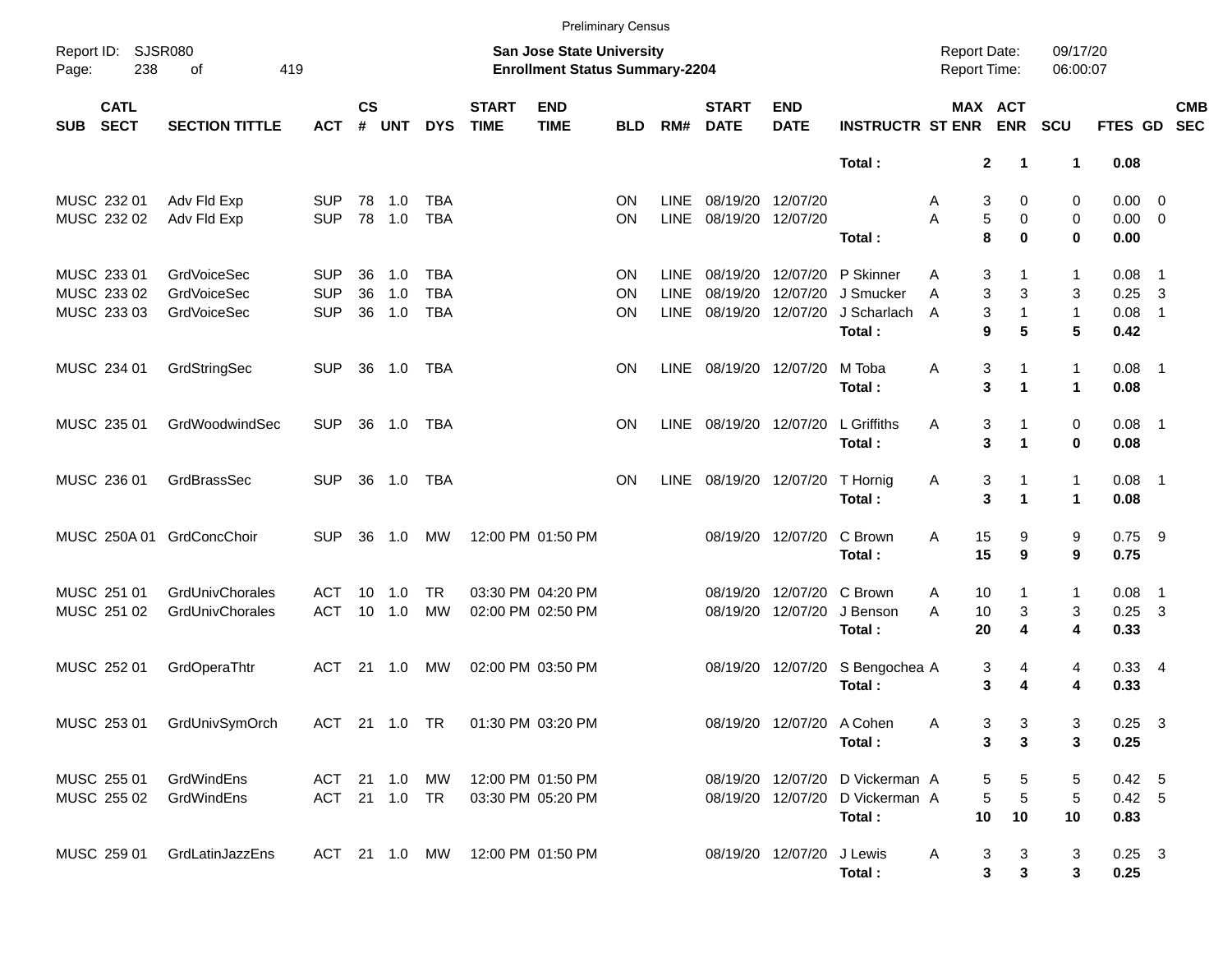|            |                                           |                                                         |                                        |                |                   |                                        |                             | <b>Preliminary Census</b>                                                 |                |                                    |                                  |                                  |                                                            |                                            |                                                 |                              |                                    |                                                                                 |
|------------|-------------------------------------------|---------------------------------------------------------|----------------------------------------|----------------|-------------------|----------------------------------------|-----------------------------|---------------------------------------------------------------------------|----------------|------------------------------------|----------------------------------|----------------------------------|------------------------------------------------------------|--------------------------------------------|-------------------------------------------------|------------------------------|------------------------------------|---------------------------------------------------------------------------------|
| Page:      | Report ID: SJSR080<br>238                 | 419<br>of                                               |                                        |                |                   |                                        |                             | <b>San Jose State University</b><br><b>Enrollment Status Summary-2204</b> |                |                                    |                                  |                                  |                                                            | <b>Report Date:</b><br><b>Report Time:</b> |                                                 | 09/17/20<br>06:00:07         |                                    |                                                                                 |
| <b>SUB</b> | <b>CATL</b><br><b>SECT</b>                | <b>SECTION TITTLE</b>                                   | <b>ACT</b>                             | <b>CS</b><br># | <b>UNT</b>        | <b>DYS</b>                             | <b>START</b><br><b>TIME</b> | <b>END</b><br><b>TIME</b>                                                 | <b>BLD</b>     | RM#                                | <b>START</b><br><b>DATE</b>      | <b>END</b><br><b>DATE</b>        | <b>INSTRUCTR ST ENR</b>                                    |                                            | MAX ACT<br><b>ENR</b>                           | <b>SCU</b>                   | <b>FTES GD</b>                     | <b>CMB</b><br><b>SEC</b>                                                        |
|            |                                           |                                                         |                                        |                |                   |                                        |                             |                                                                           |                |                                    |                                  |                                  | Total:                                                     |                                            | $\mathbf{2}$<br>-1                              | 1                            | 0.08                               |                                                                                 |
|            | MUSC 232 01<br>MUSC 232 02                | Adv Fld Exp<br>Adv Fld Exp                              | <b>SUP</b><br><b>SUP</b>               | 78<br>78       | 1.0<br>1.0        | <b>TBA</b><br><b>TBA</b>               |                             |                                                                           | ON<br>ON       | <b>LINE</b><br><b>LINE</b>         | 08/19/20 12/07/20<br>08/19/20    | 12/07/20                         | Total:                                                     | A<br>A                                     | 3<br>0<br>5<br>0<br>8<br>0                      | 0<br>0<br>$\bf{0}$           | $0.00 \t 0$<br>$0.00 \t 0$<br>0.00 |                                                                                 |
|            | MUSC 233 01<br>MUSC 233 02<br>MUSC 233 03 | <b>GrdVoiceSec</b><br><b>GrdVoiceSec</b><br>GrdVoiceSec | <b>SUP</b><br><b>SUP</b><br><b>SUP</b> | 36<br>36<br>36 | 1.0<br>1.0<br>1.0 | <b>TBA</b><br><b>TBA</b><br><b>TBA</b> |                             |                                                                           | ON<br>ON<br>ON | LINE<br><b>LINE</b><br><b>LINE</b> | 08/19/20<br>08/19/20<br>08/19/20 | 12/07/20<br>12/07/20<br>12/07/20 | P Skinner<br>J Smucker<br>J Scharlach<br>Total:            | Α<br>A<br>A                                | 3<br>1<br>3<br>3<br>3<br>$\mathbf{1}$<br>9<br>5 | 1<br>3<br>$\mathbf{1}$<br>5  | 0.08<br>0.25<br>0.08<br>0.42       | $\overline{\phantom{1}}$<br>$\overline{\mathbf{3}}$<br>$\overline{\phantom{0}}$ |
|            | MUSC 234 01                               | GrdStringSec                                            | <b>SUP</b>                             | 36             | 1.0               | <b>TBA</b>                             |                             |                                                                           | ON             | <b>LINE</b>                        | 08/19/20 12/07/20                |                                  | M Toba<br>Total:                                           | A                                          | 3<br>$\mathbf{1}$<br>3<br>$\mathbf{1}$          | $\mathbf{1}$<br>$\mathbf{1}$ | $0.08$ 1<br>0.08                   |                                                                                 |
|            | MUSC 235 01                               | GrdWoodwindSec                                          | <b>SUP</b>                             | 36             | 1.0               | <b>TBA</b>                             |                             |                                                                           | <b>ON</b>      | <b>LINE</b>                        | 08/19/20 12/07/20                |                                  | L Griffiths<br>Total:                                      | A                                          | 3<br>$\mathbf{1}$<br>3<br>$\mathbf{1}$          | 0<br>$\mathbf 0$             | $0.08$ 1<br>0.08                   |                                                                                 |
|            | MUSC 236 01                               | GrdBrassSec                                             | <b>SUP</b>                             | 36             | 1.0               | <b>TBA</b>                             |                             |                                                                           | <b>ON</b>      | LINE                               |                                  | 08/19/20 12/07/20                | T Hornig<br>Total:                                         | Α                                          | 3<br>$\mathbf{1}$<br>3<br>$\mathbf{1}$          | $\mathbf{1}$<br>$\mathbf{1}$ | $0.08$ 1<br>0.08                   |                                                                                 |
|            | MUSC 250A 01                              | GrdConcChoir                                            | <b>SUP</b>                             | 36             | 1.0               | <b>MW</b>                              |                             | 12:00 PM 01:50 PM                                                         |                |                                    |                                  | 08/19/20 12/07/20                | C Brown<br>Total:                                          | A<br>15<br>15                              | 9<br>9                                          | 9<br>9                       | $0.75$ 9<br>0.75                   |                                                                                 |
|            | MUSC 251 01<br>MUSC 251 02                | GrdUnivChorales<br>GrdUnivChorales                      | <b>ACT</b><br><b>ACT</b>               | 10<br>10       | 1.0<br>1.0        | <b>TR</b><br><b>MW</b>                 |                             | 03:30 PM 04:20 PM<br>02:00 PM 02:50 PM                                    |                |                                    | 08/19/20<br>08/19/20             | 12/07/20<br>12/07/20             | C Brown<br>J Benson<br>Total:                              | A<br>10<br>10<br>A<br>20                   | 1<br>3<br>4                                     | $\mathbf{1}$<br>3<br>4       | 0.08<br>0.25<br>0.33               | $\overline{\phantom{1}}$<br>$\overline{\mathbf{3}}$                             |
|            | MUSC 252 01                               | GrdOperaThtr                                            | ACT                                    | 21             | 1.0               | MW                                     |                             | 02:00 PM 03:50 PM                                                         |                |                                    | 08/19/20                         | 12/07/20                         | S Bengochea A<br>Total:                                    |                                            | 3<br>4<br>3<br>4                                | 4<br>4                       | 0.334<br>0.33                      |                                                                                 |
|            |                                           | MUSC 253 01 GrdUnivSymOrch                              | ACT 21 1.0 TR                          |                |                   |                                        |                             | 01:30 PM 03:20 PM                                                         |                |                                    |                                  | 08/19/20 12/07/20 A Cohen        | Total:                                                     | Α                                          | 3<br>3<br>3<br>$\mathbf{3}$                     | 3<br>3                       | $0.25$ 3<br>0.25                   |                                                                                 |
|            | MUSC 255 01<br>MUSC 255 02                | GrdWindEns<br>GrdWindEns                                | ACT 21 1.0 MW<br>ACT 21 1.0 TR         |                |                   |                                        |                             | 12:00 PM 01:50 PM<br>03:30 PM 05:20 PM                                    |                |                                    |                                  | 08/19/20 12/07/20                | D Vickerman A<br>08/19/20 12/07/20 D Vickerman A<br>Total: | 10                                         | 5<br>5<br>$\sqrt{5}$<br>5<br>10                 | 5<br>$\mathbf 5$<br>10       | 0.42 5<br>0.42 5<br>0.83           |                                                                                 |
|            | MUSC 259 01                               | GrdLatinJazzEns                                         | ACT 21 1.0 MW                          |                |                   |                                        |                             | 12:00 PM 01:50 PM                                                         |                |                                    |                                  | 08/19/20 12/07/20 J Lewis        | Total:                                                     | A                                          | 3<br>3<br>3<br>$\mathbf{3}$                     | 3<br>3                       | $0.25$ 3<br>0.25                   |                                                                                 |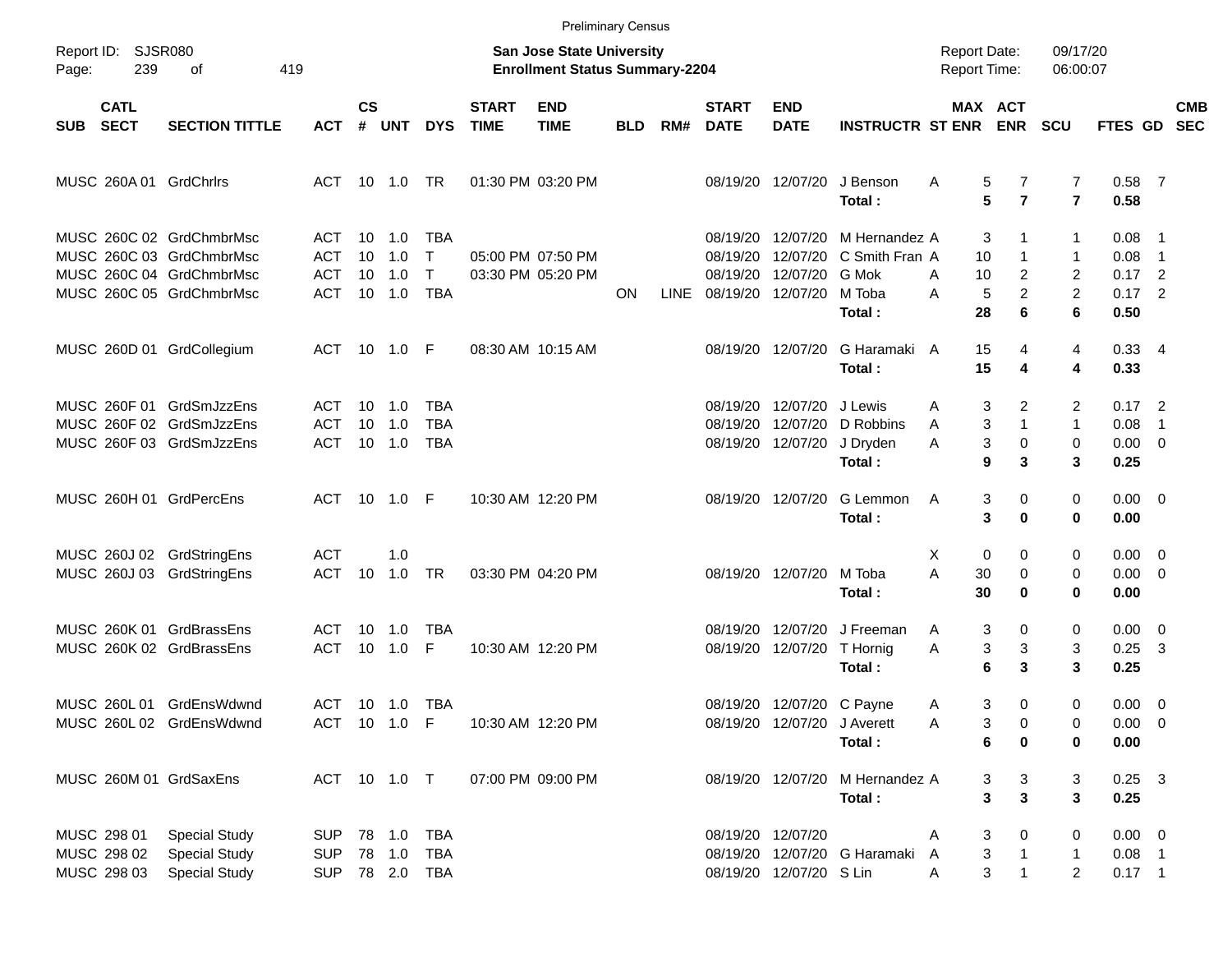|            |                                           |                                                                                                              |                                 |                       |                                 |                                                          |                             | <b>Preliminary Census</b>                                                 |            |      |                                  |                                                          |                                                                       |                                            |                                                            |                                    |                                                  |                          |
|------------|-------------------------------------------|--------------------------------------------------------------------------------------------------------------|---------------------------------|-----------------------|---------------------------------|----------------------------------------------------------|-----------------------------|---------------------------------------------------------------------------|------------|------|----------------------------------|----------------------------------------------------------|-----------------------------------------------------------------------|--------------------------------------------|------------------------------------------------------------|------------------------------------|--------------------------------------------------|--------------------------|
| Page:      | Report ID: SJSR080<br>239                 | 419<br>οf                                                                                                    |                                 |                       |                                 |                                                          |                             | <b>San Jose State University</b><br><b>Enrollment Status Summary-2204</b> |            |      |                                  |                                                          |                                                                       | <b>Report Date:</b><br><b>Report Time:</b> |                                                            | 09/17/20<br>06:00:07               |                                                  |                          |
| <b>SUB</b> | <b>CATL</b><br><b>SECT</b>                | <b>SECTION TITTLE</b>                                                                                        | <b>ACT</b>                      | $\mathsf{cs}$<br>#    | UNT                             | <b>DYS</b>                                               | <b>START</b><br><b>TIME</b> | <b>END</b><br><b>TIME</b>                                                 | <b>BLD</b> | RM#  | <b>START</b><br><b>DATE</b>      | <b>END</b><br><b>DATE</b>                                | <b>INSTRUCTR ST ENR</b>                                               | MAX ACT                                    | <b>ENR</b>                                                 | <b>SCU</b>                         | FTES GD SEC                                      | <b>CMB</b>               |
|            |                                           | MUSC 260A 01 GrdChrlrs                                                                                       | ACT                             |                       |                                 |                                                          |                             | 01:30 PM 03:20 PM                                                         |            |      |                                  | 08/19/20 12/07/20                                        | J Benson<br>Total:                                                    | Α<br>5<br>5                                | 7<br>$\overline{7}$                                        | 7<br>$\overline{7}$                | $0.58$ 7<br>0.58                                 |                          |
|            |                                           | MUSC 260C 02 GrdChmbrMsc<br>MUSC 260C 03 GrdChmbrMsc<br>MUSC 260C 04 GrdChmbrMsc<br>MUSC 260C 05 GrdChmbrMsc | ACT<br><b>ACT</b><br>ACT<br>ACT | 10<br>10 <sup>°</sup> | 10 1.0<br>1.0<br>1.0<br>10  1.0 | <b>TBA</b><br>$\mathsf{T}$<br>$\mathsf{T}$<br><b>TBA</b> |                             | 05:00 PM 07:50 PM<br>03:30 PM 05:20 PM                                    | ON         | LINE | 08/19/20<br>08/19/20<br>08/19/20 | 12/07/20 G Mok<br>08/19/20 12/07/20                      | 12/07/20 M Hernandez A<br>12/07/20 C Smith Fran A<br>M Toba<br>Total: | 3<br>10<br>10<br>A<br>5<br>A<br>28         | 1<br>$\mathbf{1}$<br>$\overline{c}$<br>$\overline{2}$<br>6 | 1<br>1<br>2<br>$\overline{c}$<br>6 | $0.08$ 1<br>0.08<br>$0.17$ 2<br>$0.17$ 2<br>0.50 | $\overline{\phantom{1}}$ |
|            |                                           | MUSC 260D 01 GrdCollegium                                                                                    | ACT 10 1.0 F                    |                       |                                 |                                                          |                             | 08:30 AM 10:15 AM                                                         |            |      |                                  | 08/19/20 12/07/20                                        | G Haramaki A<br>Total:                                                | 15<br>15                                   | 4<br>4                                                     | 4<br>4                             | 0.334<br>0.33                                    |                          |
|            |                                           | MUSC 260F 01 GrdSmJzzEns<br>MUSC 260F 02 GrdSmJzzEns<br>MUSC 260F 03 GrdSmJzzEns                             | ACT<br><b>ACT</b><br>ACT        | 10 <sup>°</sup>       | $10 \quad 1.0$<br>1.0<br>10 1.0 | TBA<br><b>TBA</b><br>TBA                                 |                             |                                                                           |            |      | 08/19/20<br>08/19/20             | 12/07/20 J Lewis<br>12/07/20<br>08/19/20 12/07/20        | D Robbins<br>J Dryden<br>Total:                                       | 3<br>Α<br>3<br>Α<br>3<br>Α<br>9            | 2<br>$\mathbf{1}$<br>$\pmb{0}$<br>3                        | 2<br>$\mathbf{1}$<br>0<br>3        | $0.17$ 2<br>0.08<br>$0.00 \t 0$<br>0.25          | - 1                      |
|            |                                           | MUSC 260H 01 GrdPercEns                                                                                      | ACT 10 1.0 F                    |                       |                                 |                                                          |                             | 10:30 AM 12:20 PM                                                         |            |      |                                  | 08/19/20 12/07/20                                        | G Lemmon<br>Total:                                                    | 3<br>A<br>3                                | 0<br>0                                                     | 0<br>0                             | $0.00 \t 0$<br>0.00                              |                          |
|            |                                           | MUSC 260J 02 GrdStringEns<br>MUSC 260J 03 GrdStringEns                                                       | <b>ACT</b><br>ACT               | 10                    | 1.0<br>1.0 TR                   |                                                          |                             | 03:30 PM 04:20 PM                                                         |            |      |                                  | 08/19/20 12/07/20                                        | M Toba<br>Total:                                                      | X<br>0<br>A<br>30<br>30                    | 0<br>0<br>0                                                | 0<br>0<br>0                        | $0.00 \t 0$<br>$0.00 \t 0$<br>0.00               |                          |
|            |                                           | MUSC 260K 01 GrdBrassEns<br>MUSC 260K 02 GrdBrassEns                                                         | ACT<br>ACT                      |                       | 10 1.0<br>10  1.0               | <b>TBA</b><br>F                                          |                             | 10:30 AM 12:20 PM                                                         |            |      | 08/19/20                         | 12/07/20<br>08/19/20 12/07/20                            | J Freeman<br>T Hornig<br>Total:                                       | 3<br>Α<br>3<br>Α<br>6                      | 0<br>$\ensuremath{\mathsf{3}}$<br>3                        | 0<br>3<br>3                        | $0.00 \t 0$<br>$0.25$ 3<br>0.25                  |                          |
|            |                                           | MUSC 260L 01 GrdEnsWdwnd<br>MUSC 260L 02 GrdEnsWdwnd                                                         | ACT 10 1.0 TBA<br>ACT 10 1.0 F  |                       |                                 |                                                          |                             | 10:30 AM 12:20 PM                                                         |            |      |                                  | 08/19/20 12/07/20 C Payne<br>08/19/20 12/07/20 J Averett | Total:                                                                | 3<br>Α<br>3<br>Α<br>6                      | 0<br>0<br>0                                                | 0<br>0<br>0                        | $0.00 \t 0$<br>$0.00 \t 0$<br>0.00               |                          |
|            |                                           | MUSC 260M 01 GrdSaxEns                                                                                       | ACT 10 1.0 T                    |                       |                                 |                                                          |                             | 07:00 PM 09:00 PM                                                         |            |      |                                  |                                                          | 08/19/20 12/07/20 M Hernandez A<br>Total:                             | 3<br>3                                     | 3<br>$\mathbf{3}$                                          | 3<br>3                             | $0.25$ 3<br>0.25                                 |                          |
|            | MUSC 298 01<br>MUSC 298 02<br>MUSC 298 03 | <b>Special Study</b><br><b>Special Study</b><br><b>Special Study</b>                                         | <b>SUP</b><br>SUP               |                       |                                 | SUP 78 2.0 TBA                                           |                             |                                                                           |            |      |                                  | 08/19/20 12/07/20<br>08/19/20 12/07/20 S Lin             | 08/19/20 12/07/20 G Haramaki                                          | 3<br>Α<br>3<br>A<br>3<br>A                 | 0<br>$\mathbf{1}$                                          | 0<br>1<br>$\overline{2}$           | $0.00 \t 0$<br>$0.08$ 1<br>$0.17$ 1              |                          |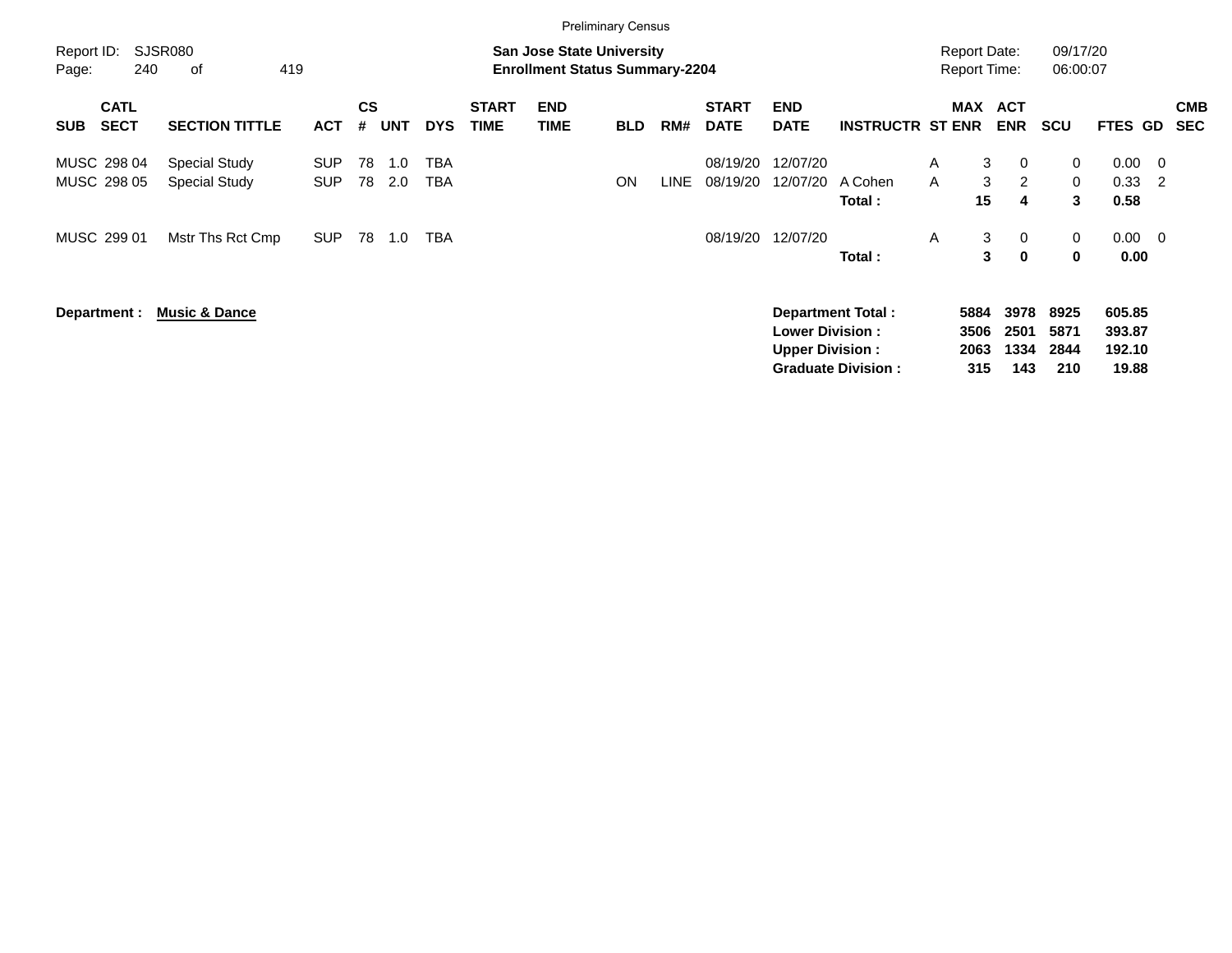|                     |                            |                                |                          |                |            |            |                             | <b>Preliminary Census</b>                                                 |            |       |                             |                                                  |                                                |                                     |                             |                             |                             |                                     |                                 |                          |
|---------------------|----------------------------|--------------------------------|--------------------------|----------------|------------|------------|-----------------------------|---------------------------------------------------------------------------|------------|-------|-----------------------------|--------------------------------------------------|------------------------------------------------|-------------------------------------|-----------------------------|-----------------------------|-----------------------------|-------------------------------------|---------------------------------|--------------------------|
| Report ID:<br>Page: | 240                        | SJSR080<br>419<br>οf           |                          |                |            |            |                             | <b>San Jose State University</b><br><b>Enrollment Status Summary-2204</b> |            |       |                             |                                                  |                                                | Report Date:<br><b>Report Time:</b> |                             |                             | 09/17/20<br>06:00:07        |                                     |                                 |                          |
| <b>SUB</b>          | <b>CATL</b><br><b>SECT</b> | <b>SECTION TITTLE</b>          | <b>ACT</b>               | <b>CS</b><br># | <b>UNT</b> | <b>DYS</b> | <b>START</b><br><b>TIME</b> | <b>END</b><br>TIME                                                        | <b>BLD</b> | RM#   | <b>START</b><br><b>DATE</b> | <b>END</b><br><b>DATE</b>                        | <b>INSTRUCTR ST ENR</b>                        |                                     | MAX                         | <b>ACT</b><br><b>ENR</b>    | <b>SCU</b>                  | FTES GD                             |                                 | <b>CMB</b><br><b>SEC</b> |
|                     | MUSC 298 04<br>MUSC 298 05 | Special Study<br>Special Study | <b>SUP</b><br><b>SUP</b> | 78<br>78       | 1.0<br>2.0 | TBA<br>TBA |                             |                                                                           | ON         | LINE. | 08/19/20<br>08/19/20        | 12/07/20<br>12/07/20                             | A Cohen<br>Total:                              | A<br>A                              | 3<br>3<br>15                | 0<br>$\overline{2}$<br>4    | 0<br>0<br>3                 | 0.00<br>0.33<br>0.58                | $\overline{\phantom{0}}$<br>- 2 |                          |
|                     | MUSC 299 01                | Mstr Ths Rct Cmp               | <b>SUP</b>               | 78             | 1.0        | TBA        |                             |                                                                           |            |       | 08/19/20                    | 12/07/20                                         | Total:                                         | A                                   | 3<br>$\mathbf{3}$           | 0<br>$\mathbf 0$            | 0<br>0                      | $0.00 \quad 0$<br>0.00              |                                 |                          |
|                     | Department :               | <b>Music &amp; Dance</b>       |                          |                |            |            |                             |                                                                           |            |       |                             | <b>Lower Division:</b><br><b>Upper Division:</b> | Department Total:<br><b>Graduate Division:</b> |                                     | 5884<br>3506<br>2063<br>315 | 3978<br>2501<br>1334<br>143 | 8925<br>5871<br>2844<br>210 | 605.85<br>393.87<br>192.10<br>19.88 |                                 |                          |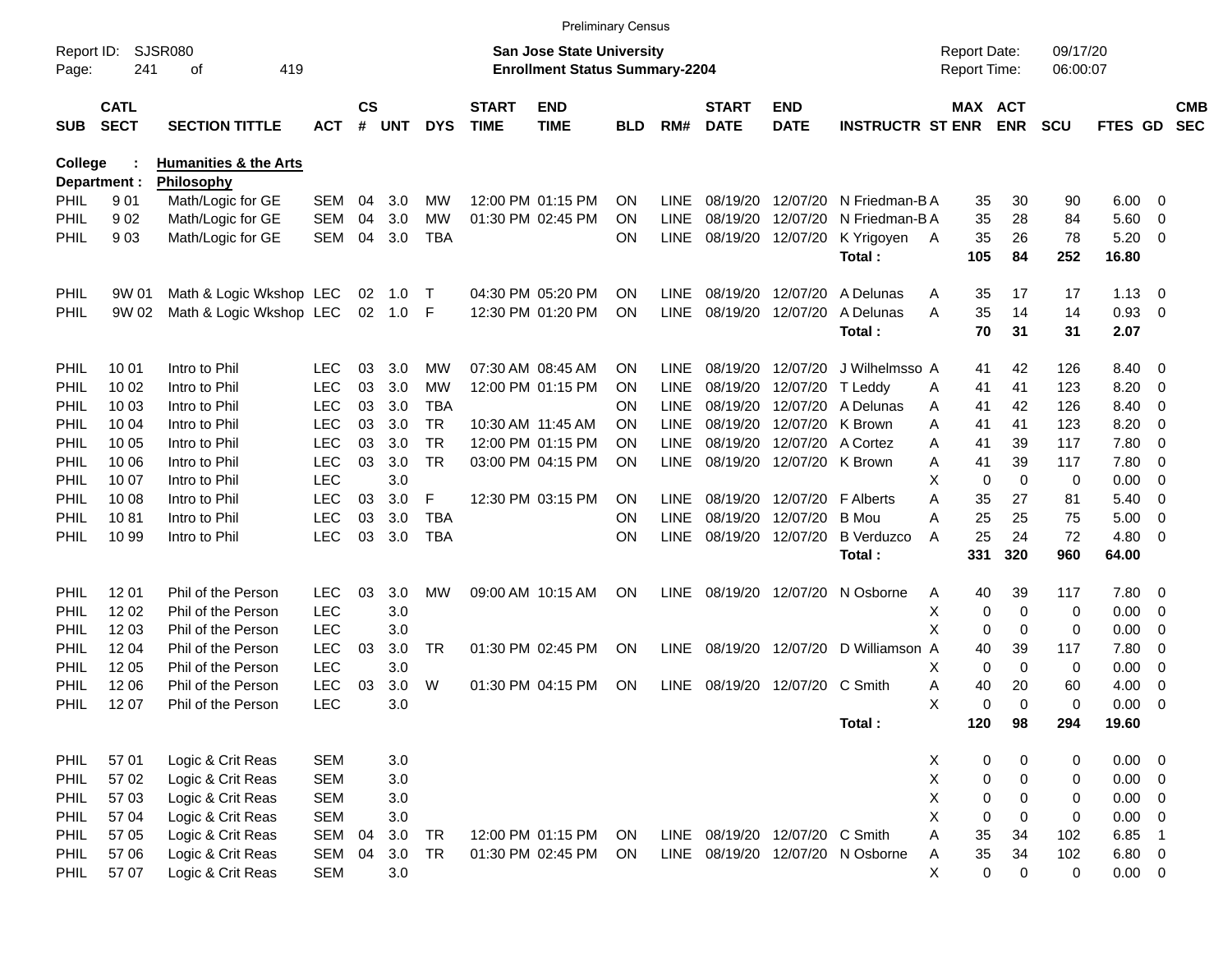|                     |                            |                                  |            |                |         |            |                             | <b>Preliminary Census</b>                                                 |            |             |                             |                                |                                  |     |                                            |             |                      |               |                            |                          |
|---------------------|----------------------------|----------------------------------|------------|----------------|---------|------------|-----------------------------|---------------------------------------------------------------------------|------------|-------------|-----------------------------|--------------------------------|----------------------------------|-----|--------------------------------------------|-------------|----------------------|---------------|----------------------------|--------------------------|
| Report ID:<br>Page: | 241                        | SJSR080<br>419<br>οf             |            |                |         |            |                             | <b>San Jose State University</b><br><b>Enrollment Status Summary-2204</b> |            |             |                             |                                |                                  |     | <b>Report Date:</b><br><b>Report Time:</b> |             | 09/17/20<br>06:00:07 |               |                            |                          |
| <b>SUB</b>          | <b>CATL</b><br><b>SECT</b> | <b>SECTION TITTLE</b>            | <b>ACT</b> | <b>CS</b><br># | UNT     | <b>DYS</b> | <b>START</b><br><b>TIME</b> | <b>END</b><br><b>TIME</b>                                                 | <b>BLD</b> | RM#         | <b>START</b><br><b>DATE</b> | <b>END</b><br><b>DATE</b>      | <b>INSTRUCTR ST ENR</b>          |     | MAX ACT                                    | <b>ENR</b>  | <b>SCU</b>           | FTES GD       |                            | <b>CMB</b><br><b>SEC</b> |
| <b>College</b>      |                            | <b>Humanities &amp; the Arts</b> |            |                |         |            |                             |                                                                           |            |             |                             |                                |                                  |     |                                            |             |                      |               |                            |                          |
|                     | Department :               | Philosophy                       |            |                |         |            |                             |                                                                           |            |             |                             |                                |                                  |     |                                            |             |                      |               |                            |                          |
| PHIL                | 901                        | Math/Logic for GE                | SEM        | 04             | 3.0     | МW         |                             | 12:00 PM 01:15 PM                                                         | <b>ON</b>  | <b>LINE</b> | 08/19/20                    | 12/07/20                       | N Friedman-B A                   |     | 35                                         | 30          | 90                   | 6.00          | - 0                        |                          |
| PHIL                | 902                        | Math/Logic for GE                | <b>SEM</b> | 04             | 3.0     | МW         |                             | 01:30 PM 02:45 PM                                                         | <b>ON</b>  | LINE        | 08/19/20                    | 12/07/20                       | N Friedman-BA                    |     | 35                                         | 28          | 84                   | 5.60          | 0                          |                          |
| PHIL                | 903                        | Math/Logic for GE                | SEM        | 04             | 3.0     | TBA        |                             |                                                                           | <b>ON</b>  | <b>LINE</b> | 08/19/20                    | 12/07/20                       | K Yrigoyen<br>Total:             | - A | 35<br>105                                  | 26<br>84    | 78<br>252            | 5.20<br>16.80 | 0                          |                          |
| <b>PHIL</b>         | 9W 01                      | Math & Logic Wkshop LEC          |            | 02             | 1.0     | $\top$     |                             | 04:30 PM 05:20 PM                                                         | <b>ON</b>  | LINE.       | 08/19/20                    | 12/07/20                       | A Delunas                        | A   | 35                                         | 17          | 17                   | 1.13          | - 0                        |                          |
| PHIL                | 9W 02                      | Math & Logic Wkshop LEC          |            | 02             | 1.0     | F          |                             | 12:30 PM 01:20 PM                                                         | ΟN         | <b>LINE</b> | 08/19/20                    | 12/07/20                       | A Delunas                        | A   | 35                                         | 14          | 14                   | 0.93          | 0                          |                          |
|                     |                            |                                  |            |                |         |            |                             |                                                                           |            |             |                             |                                | Total:                           |     | 70                                         | 31          | 31                   | 2.07          |                            |                          |
| PHIL                | 10 01                      | Intro to Phil                    | <b>LEC</b> | 03             | 3.0     | <b>MW</b>  |                             | 07:30 AM 08:45 AM                                                         | <b>ON</b>  | LINE.       | 08/19/20                    | 12/07/20                       | J Wilhelmsso A                   |     | 41                                         | 42          | 126                  | 8.40          | - 0                        |                          |
| PHIL                | 10 02                      | Intro to Phil                    | <b>LEC</b> | 03             | 3.0     | <b>MW</b>  |                             | 12:00 PM 01:15 PM                                                         | ON         | LINE        | 08/19/20                    | 12/07/20                       | T Leddy                          | A   | 41                                         | 41          | 123                  | 8.20          | $\mathbf 0$                |                          |
| PHIL                | 10 03                      | Intro to Phil                    | <b>LEC</b> | 03             | 3.0     | <b>TBA</b> |                             |                                                                           | ΟN         | <b>LINE</b> | 08/19/20                    | 12/07/20                       | A Delunas                        | A   | 41                                         | 42          | 126                  | 8.40          | $\overline{0}$             |                          |
| PHIL                | 10 04                      | Intro to Phil                    | <b>LEC</b> | 03             | 3.0     | <b>TR</b>  | 10:30 AM 11:45 AM           |                                                                           | ΟN         | <b>LINE</b> | 08/19/20                    | 12/07/20                       | K Brown                          | A   | 41                                         | 41          | 123                  | 8.20          | 0                          |                          |
| PHIL                | 10 05                      | Intro to Phil                    | <b>LEC</b> | 03             | 3.0     | <b>TR</b>  |                             | 12:00 PM 01:15 PM                                                         | ON         | <b>LINE</b> | 08/19/20                    | 12/07/20                       | A Cortez                         | A   | 41                                         | 39          | 117                  | 7.80          | $\overline{0}$             |                          |
| PHIL                | 10 06                      | Intro to Phil                    | <b>LEC</b> | 03             | 3.0     | <b>TR</b>  |                             | 03:00 PM 04:15 PM                                                         | ON         | <b>LINE</b> | 08/19/20                    | 12/07/20                       | K Brown                          | A   | 41                                         | 39          | 117                  | 7.80          | $\overline{0}$             |                          |
| PHIL                | 10 07                      | Intro to Phil                    | <b>LEC</b> |                | 3.0     |            |                             |                                                                           |            |             |                             |                                |                                  | X   | 0                                          | $\mathbf 0$ | 0                    | 0.00          | $\overline{0}$             |                          |
| PHIL                | 10 08                      | Intro to Phil                    | <b>LEC</b> | 03             | 3.0     | F          |                             | 12:30 PM 03:15 PM                                                         | <b>ON</b>  | <b>LINE</b> | 08/19/20                    | 12/07/20                       | <b>F</b> Alberts                 | A   | 35                                         | 27          | 81                   | 5.40          | $\overline{0}$             |                          |
| PHIL                | 1081                       | Intro to Phil                    | <b>LEC</b> | 03             | 3.0     | <b>TBA</b> |                             |                                                                           | ΟN         | <b>LINE</b> | 08/19/20                    | 12/07/20                       | <b>B</b> Mou                     | A   | 25                                         | 25          | 75                   | 5.00          | $\overline{0}$             |                          |
| PHIL                | 10 99                      | Intro to Phil                    | <b>LEC</b> | 03             | 3.0     | <b>TBA</b> |                             |                                                                           | ΟN         | <b>LINE</b> | 08/19/20                    | 12/07/20                       | <b>B</b> Verduzco                | A   | 25                                         | 24          | 72                   | 4.80          | 0                          |                          |
|                     |                            |                                  |            |                |         |            |                             |                                                                           |            |             |                             |                                | Total:                           |     | 331                                        | 320         | 960                  | 64.00         |                            |                          |
| PHIL                | 12 01                      | Phil of the Person               | <b>LEC</b> | 03             | 3.0     | МW         |                             | 09:00 AM 10:15 AM                                                         | <b>ON</b>  | LINE        | 08/19/20                    | 12/07/20                       | N Osborne                        | A   | 40                                         | 39          | 117                  | 7.80          | - 0                        |                          |
| PHIL                | 12 02                      | Phil of the Person               | <b>LEC</b> |                | 3.0     |            |                             |                                                                           |            |             |                             |                                |                                  | Χ   | 0                                          | 0           | 0                    | 0.00          | 0                          |                          |
| PHIL                | 12 03                      | Phil of the Person               | <b>LEC</b> |                | 3.0     |            |                             |                                                                           |            |             |                             |                                |                                  | X   | 0                                          | 0           | 0                    | 0.00          | $\overline{0}$             |                          |
| PHIL                | 1204                       | Phil of the Person               | <b>LEC</b> | 03             | 3.0     | <b>TR</b>  |                             | 01:30 PM 02:45 PM                                                         | ON         | <b>LINE</b> | 08/19/20                    | 12/07/20                       | D Williamson A                   |     | 40                                         | 39          | 117                  | 7.80          | 0                          |                          |
| PHIL                | 12 05                      | Phil of the Person               | <b>LEC</b> |                | 3.0     |            |                             |                                                                           |            |             |                             |                                |                                  | X   | 0                                          | $\mathbf 0$ | 0                    | 0.00          | 0                          |                          |
| PHIL                | 12 06                      | Phil of the Person               | <b>LEC</b> | 03             | 3.0     | W          |                             | 01:30 PM 04:15 PM                                                         | ΟN         | <b>LINE</b> | 08/19/20                    | 12/07/20                       | C Smith                          | A   | 40                                         | 20          | 60                   | 4.00          | 0                          |                          |
| <b>PHIL</b>         | 12 07                      | Phil of the Person               | <b>LEC</b> |                | 3.0     |            |                             |                                                                           |            |             |                             |                                |                                  | X   | 0                                          | $\Omega$    | $\Omega$             | 0.00          | $\mathbf 0$                |                          |
|                     |                            |                                  |            |                |         |            |                             |                                                                           |            |             |                             |                                | Total:                           |     | 120                                        | 98          | 294                  | 19.60         |                            |                          |
| PHIL                | 57 01                      | Logic & Crit Reas                | <b>SEM</b> |                | 3.0     |            |                             |                                                                           |            |             |                             |                                |                                  | X   | 0                                          | 0           | 0                    | $0.00 \t 0$   |                            |                          |
| <b>PHIL</b>         | 57 02                      | Logic & Crit Reas                | <b>SEM</b> |                | 3.0     |            |                             |                                                                           |            |             |                             |                                |                                  | X   | 0                                          | 0           | 0                    | $0.00 \t 0$   |                            |                          |
| <b>PHIL</b>         | 57 03                      | Logic & Crit Reas                | <b>SEM</b> |                | $3.0\,$ |            |                             |                                                                           |            |             |                             |                                |                                  | X   | 0                                          | 0           | 0                    | $0.00 \t 0$   |                            |                          |
| <b>PHIL</b>         | 57 04                      | Logic & Crit Reas                | <b>SEM</b> |                | 3.0     |            |                             |                                                                           |            |             |                             |                                |                                  | X   | $\mathbf 0$                                | 0           | 0                    | 0.00          | $\overline{\mathbf{0}}$    |                          |
| <b>PHIL</b>         | 57 05                      | Logic & Crit Reas                | <b>SEM</b> | 04             | 3.0     | <b>TR</b>  |                             | 12:00 PM 01:15 PM                                                         | ON         |             |                             | LINE 08/19/20 12/07/20 C Smith |                                  | A   | 35                                         | 34          | 102                  | 6.85          | $\overline{\phantom{0}}$ 1 |                          |
| <b>PHIL</b>         | 57 06                      | Logic & Crit Reas                | SEM        | 04             | 3.0     | <b>TR</b>  |                             | 01:30 PM 02:45 PM                                                         | ON.        |             |                             |                                | LINE 08/19/20 12/07/20 N Osborne | A   | 35                                         | 34          | 102                  | $6.80$ 0      |                            |                          |
| <b>PHIL</b>         | 57 07                      | Logic & Crit Reas                | <b>SEM</b> |                | 3.0     |            |                             |                                                                           |            |             |                             |                                |                                  | X   | 0                                          | $\mathbf 0$ | 0                    | $0.00 \t 0$   |                            |                          |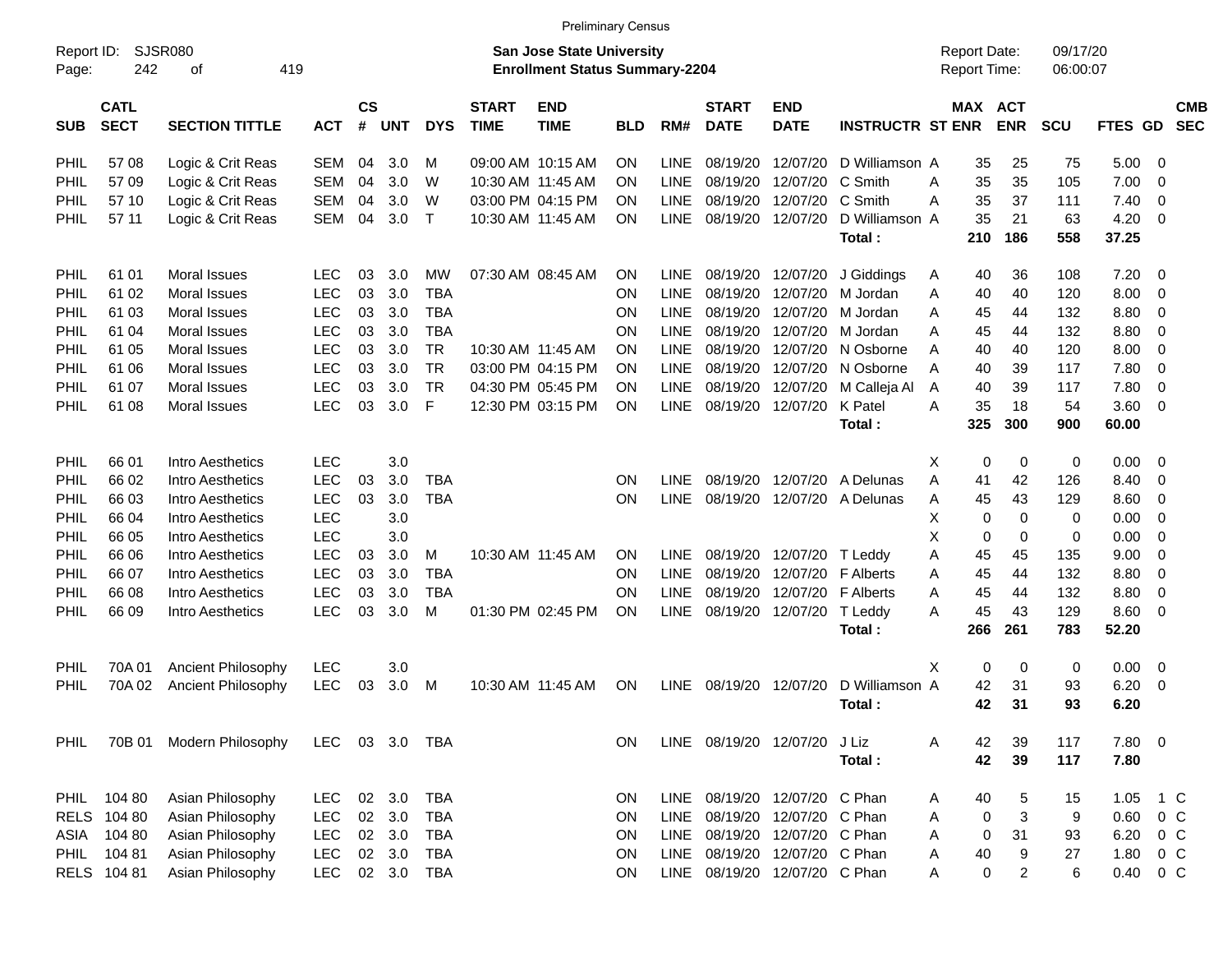|                     |                            |                             |            |                |            |              |                             |                                                                           | <b>Preliminary Census</b> |             |                             |                               |                          |                                     |                       |                      |               |                |                          |
|---------------------|----------------------------|-----------------------------|------------|----------------|------------|--------------|-----------------------------|---------------------------------------------------------------------------|---------------------------|-------------|-----------------------------|-------------------------------|--------------------------|-------------------------------------|-----------------------|----------------------|---------------|----------------|--------------------------|
| Report ID:<br>Page: | 242                        | <b>SJSR080</b><br>419<br>оf |            |                |            |              |                             | <b>San Jose State University</b><br><b>Enrollment Status Summary-2204</b> |                           |             |                             |                               |                          | <b>Report Date:</b><br>Report Time: |                       | 09/17/20<br>06:00:07 |               |                |                          |
| <b>SUB</b>          | <b>CATL</b><br><b>SECT</b> | <b>SECTION TITTLE</b>       | <b>ACT</b> | <b>CS</b><br># | <b>UNT</b> | <b>DYS</b>   | <b>START</b><br><b>TIME</b> | <b>END</b><br><b>TIME</b>                                                 | BLD                       | RM#         | <b>START</b><br><b>DATE</b> | <b>END</b><br><b>DATE</b>     | <b>INSTRUCTR ST ENR</b>  |                                     | MAX ACT<br><b>ENR</b> | <b>SCU</b>           | FTES GD       |                | <b>CMB</b><br><b>SEC</b> |
| PHIL                | 57 08                      | Logic & Crit Reas           | <b>SEM</b> | 04             | 3.0        | M            |                             | 09:00 AM 10:15 AM                                                         | <b>ON</b>                 | <b>LINE</b> | 08/19/20                    | 12/07/20                      | D Williamson A           | 35                                  | 25                    | 75                   | 5.00          | $\overline{0}$ |                          |
| PHIL                | 5709                       | Logic & Crit Reas           | <b>SEM</b> | 04             | 3.0        | W            |                             | 10:30 AM 11:45 AM                                                         | <b>ON</b>                 | LINE        | 08/19/20                    | 12/07/20                      | C Smith                  | 35<br>Α                             | 35                    | 105                  | 7.00          | $\mathbf 0$    |                          |
| PHIL                | 57 10                      | Logic & Crit Reas           | <b>SEM</b> | 04             | 3.0        | W            |                             | 03:00 PM 04:15 PM                                                         | <b>ON</b>                 | <b>LINE</b> | 08/19/20                    | 12/07/20                      | C Smith                  | 35<br>Α                             | 37                    | 111                  | 7.40          | 0              |                          |
| <b>PHIL</b>         | 57 11                      | Logic & Crit Reas           | <b>SEM</b> | 04             | 3.0        | $\mathsf{T}$ |                             | 10:30 AM 11:45 AM                                                         | <b>ON</b>                 | <b>LINE</b> | 08/19/20                    | 12/07/20                      | D Williamson A<br>Total: | 35<br>210                           | 21<br>186             | 63<br>558            | 4.20<br>37.25 | 0              |                          |
|                     |                            |                             |            |                |            |              |                             |                                                                           |                           |             |                             |                               |                          |                                     |                       |                      |               |                |                          |
| <b>PHIL</b>         | 61 01                      | <b>Moral Issues</b>         | <b>LEC</b> | 03             | 3.0        | MW           |                             | 07:30 AM 08:45 AM                                                         | <b>ON</b>                 | <b>LINE</b> | 08/19/20                    | 12/07/20                      | J Giddings               | A<br>40                             | 36                    | 108                  | 7.20          | 0              |                          |
| PHIL                | 61 02                      | <b>Moral Issues</b>         | LEC        | 03             | 3.0        | <b>TBA</b>   |                             |                                                                           | ON                        | LINE        | 08/19/20                    | 12/07/20                      | M Jordan                 | Α<br>40                             | 40                    | 120                  | 8.00          | 0              |                          |
| PHIL                | 61 03                      | <b>Moral Issues</b>         | <b>LEC</b> | 03             | 3.0        | <b>TBA</b>   |                             |                                                                           | ON                        | <b>LINE</b> | 08/19/20                    | 12/07/20                      | M Jordan                 | 45<br>Α                             | 44                    | 132                  | 8.80          | 0              |                          |
| PHIL                | 61 04                      | <b>Moral Issues</b>         | <b>LEC</b> | 03             | 3.0        | <b>TBA</b>   |                             |                                                                           | ON                        | LINE        | 08/19/20                    | 12/07/20                      | M Jordan                 | 45<br>Α                             | 44                    | 132                  | 8.80          | 0              |                          |
| PHIL                | 61 05                      | <b>Moral Issues</b>         | <b>LEC</b> | 03             | 3.0        | <b>TR</b>    |                             | 10:30 AM 11:45 AM                                                         | <b>ON</b>                 | <b>LINE</b> | 08/19/20                    | 12/07/20                      | N Osborne                | 40<br>A                             | 40                    | 120                  | 8.00          | 0              |                          |
| PHIL                | 61 06                      | <b>Moral Issues</b>         | <b>LEC</b> | 03             | 3.0        | <b>TR</b>    |                             | 03:00 PM 04:15 PM                                                         | <b>ON</b>                 | <b>LINE</b> | 08/19/20                    | 12/07/20                      | N Osborne                | 40<br>A                             | 39                    | 117                  | 7.80          | $\mathbf 0$    |                          |
| PHIL                | 61 07                      | <b>Moral Issues</b>         | <b>LEC</b> | 03             | 3.0        | <b>TR</b>    |                             | 04:30 PM 05:45 PM                                                         | <b>ON</b>                 | <b>LINE</b> | 08/19/20                    | 12/07/20                      | M Calleja Al             | 40<br>A                             | 39                    | 117                  | 7.80          | $\mathbf 0$    |                          |
| PHIL                | 61 08                      | <b>Moral Issues</b>         | <b>LEC</b> | 03             | 3.0        | F            |                             | 12:30 PM 03:15 PM                                                         | <b>ON</b>                 | <b>LINE</b> | 08/19/20                    | 12/07/20                      | K Patel                  | 35<br>A                             | 18                    | 54                   | 3.60          | $\overline{0}$ |                          |
|                     |                            |                             |            |                |            |              |                             |                                                                           |                           |             |                             |                               | Total:                   | 325                                 | 300                   | 900                  | 60.00         |                |                          |
| <b>PHIL</b>         | 66 01                      | Intro Aesthetics            | <b>LEC</b> |                | 3.0        |              |                             |                                                                           |                           |             |                             |                               |                          | X<br>0                              | 0                     | 0                    | 0.00          | 0              |                          |
| PHIL                | 66 02                      | Intro Aesthetics            | LEC        | 03             | 3.0        | <b>TBA</b>   |                             |                                                                           | ON                        | <b>LINE</b> | 08/19/20                    | 12/07/20                      | A Delunas                | A<br>41                             | 42                    | 126                  | 8.40          | 0              |                          |
| PHIL                | 66 03                      | Intro Aesthetics            | <b>LEC</b> | 03             | 3.0        | <b>TBA</b>   |                             |                                                                           | ON                        | LINE        | 08/19/20                    | 12/07/20                      | A Delunas                | 45<br>Α                             | 43                    | 129                  | 8.60          | 0              |                          |
| PHIL                | 66 04                      | Intro Aesthetics            | LEC        |                | 3.0        |              |                             |                                                                           |                           |             |                             |                               |                          | X<br>0                              | 0                     | 0                    | 0.00          | 0              |                          |
| PHIL                | 66 05                      | Intro Aesthetics            | LEC        |                | 3.0        |              |                             |                                                                           |                           |             |                             |                               |                          | X<br>0                              | 0                     | 0                    | 0.00          | $\mathbf 0$    |                          |
| PHIL                | 66 06                      | Intro Aesthetics            | <b>LEC</b> | 03             | 3.0        | M            |                             | 10:30 AM 11:45 AM                                                         | <b>ON</b>                 | <b>LINE</b> | 08/19/20                    | 12/07/20                      | T Leddy                  | 45<br>Α                             | 45                    | 135                  | 9.00          | $\mathbf 0$    |                          |
| PHIL                | 66 07                      | Intro Aesthetics            | <b>LEC</b> | 03             | 3.0        | <b>TBA</b>   |                             |                                                                           | ON                        | <b>LINE</b> | 08/19/20                    | 12/07/20                      | F Alberts                | 45<br>Α                             | 44                    | 132                  | 8.80          | $\mathbf 0$    |                          |
| PHIL                | 66 08                      | Intro Aesthetics            | <b>LEC</b> | 03             | 3.0        | <b>TBA</b>   |                             |                                                                           | ON                        | <b>LINE</b> | 08/19/20                    | 12/07/20                      | <b>F</b> Alberts         | 45<br>Α                             | 44                    | 132                  | 8.80          | $\mathbf 0$    |                          |
| PHIL                | 66 09                      | Intro Aesthetics            | LEC        | 03             | 3.0        | M            |                             | 01:30 PM 02:45 PM                                                         | ON                        | <b>LINE</b> | 08/19/20                    | 12/07/20                      | T Leddy                  | 45<br>A                             | 43                    | 129                  | 8.60          | 0              |                          |
|                     |                            |                             |            |                |            |              |                             |                                                                           |                           |             |                             |                               | Total:                   | 266                                 | 261                   | 783                  | 52.20         |                |                          |
| <b>PHIL</b>         | 70A 01                     | Ancient Philosophy          | <b>LEC</b> |                | 3.0        |              |                             |                                                                           |                           |             |                             |                               |                          | X<br>0                              | 0                     | 0                    | 0.00          | $\mathbf 0$    |                          |
| PHIL                | 70A02                      | Ancient Philosophy          | LEC        | 03             | 3.0        | M            |                             | 10:30 AM 11:45 AM                                                         | <b>ON</b>                 | <b>LINE</b> | 08/19/20                    | 12/07/20                      | D Williamson A           | 42                                  | 31                    | 93                   | 6.20          | 0              |                          |
|                     |                            |                             |            |                |            |              |                             |                                                                           |                           |             |                             |                               | Total:                   | 42                                  | 31                    | 93                   | 6.20          |                |                          |
| <b>PHIL</b>         |                            | 70B 01 Modern Philosophy    | LEC.       |                | 03 3.0     | TBA          |                             |                                                                           | ON                        |             | LINE 08/19/20 12/07/20      |                               | J Liz                    | 42<br>A                             | 39                    | 117                  | 7.80 0        |                |                          |
|                     |                            |                             |            |                |            |              |                             |                                                                           |                           |             |                             |                               | Total:                   | 42                                  | 39                    | 117                  | 7.80          |                |                          |
| <b>PHIL</b>         | 104 80                     | Asian Philosophy            | <b>LEC</b> | 02             | 3.0        | <b>TBA</b>   |                             |                                                                           | ON                        | LINE        |                             | 08/19/20 12/07/20 C Phan      |                          | 40<br>A                             | 5                     | 15                   | 1.05          | 1 C            |                          |
|                     | RELS 104 80                | Asian Philosophy            | <b>LEC</b> | 02             | 3.0        | <b>TBA</b>   |                             |                                                                           | ON                        | <b>LINE</b> |                             | 08/19/20 12/07/20             | C Phan                   | 0<br>Α                              | 3                     | 9                    | 0.60          | 0 <sup>o</sup> |                          |
|                     | ASIA 104 80                | Asian Philosophy            | <b>LEC</b> | $02\,$         | 3.0        | <b>TBA</b>   |                             |                                                                           | ON                        | LINE        |                             | 08/19/20 12/07/20             | C Phan                   | 0<br>Α                              | 31                    | 93                   | 6.20          | $0\,C$         |                          |
| <b>PHIL</b>         | 10481                      | Asian Philosophy            | <b>LEC</b> | 02             | 3.0        | <b>TBA</b>   |                             |                                                                           | ON                        | LINE        |                             | 08/19/20 12/07/20             | C Phan                   | Α<br>40                             | 9                     | 27                   | 1.80          | 0 <sup>o</sup> |                          |
|                     | RELS 104 81                | Asian Philosophy            | <b>LEC</b> |                | 02 3.0     | <b>TBA</b>   |                             |                                                                           | ON                        |             |                             | LINE 08/19/20 12/07/20 C Phan |                          | 0<br>Α                              | $\overline{2}$        | 6                    | 0.40          | $0\,C$         |                          |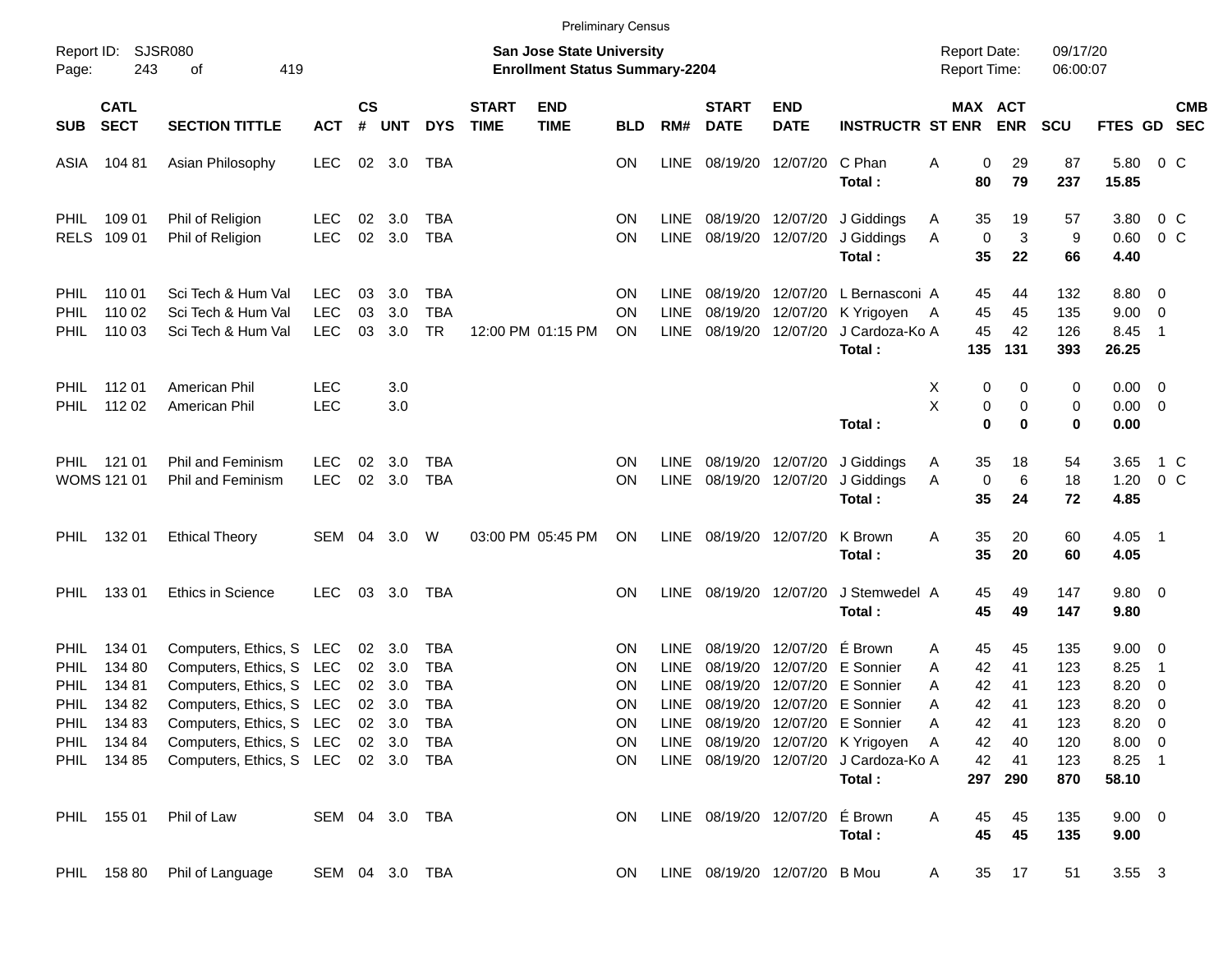|                                           |                                                     |                                                                                                                                |                                        |                       |                   |                                 |                             |                                                                           | <b>Preliminary Census</b>    |                                           |                                  |                                  |                                                                                                                                      |                                            |                         |                                 |                          |                                               |                                                      |                           |
|-------------------------------------------|-----------------------------------------------------|--------------------------------------------------------------------------------------------------------------------------------|----------------------------------------|-----------------------|-------------------|---------------------------------|-----------------------------|---------------------------------------------------------------------------|------------------------------|-------------------------------------------|----------------------------------|----------------------------------|--------------------------------------------------------------------------------------------------------------------------------------|--------------------------------------------|-------------------------|---------------------------------|--------------------------|-----------------------------------------------|------------------------------------------------------|---------------------------|
| Page:                                     | Report ID: SJSR080<br>243                           | 419<br>of                                                                                                                      |                                        |                       |                   |                                 |                             | <b>San Jose State University</b><br><b>Enrollment Status Summary-2204</b> |                              |                                           |                                  |                                  |                                                                                                                                      | <b>Report Date:</b><br><b>Report Time:</b> |                         |                                 | 09/17/20<br>06:00:07     |                                               |                                                      |                           |
| <b>SUB</b>                                | <b>CATL</b><br><b>SECT</b>                          | <b>SECTION TITTLE</b>                                                                                                          | <b>ACT</b>                             | $\mathsf{cs}$<br>$\#$ | <b>UNT</b>        | <b>DYS</b>                      | <b>START</b><br><b>TIME</b> | <b>END</b><br><b>TIME</b>                                                 | <b>BLD</b>                   | RM#                                       | <b>START</b><br><b>DATE</b>      | <b>END</b><br><b>DATE</b>        | <b>INSTRUCTR ST ENR</b>                                                                                                              |                                            |                         | MAX ACT<br><b>ENR</b>           | <b>SCU</b>               | FTES GD                                       |                                                      | <b>CMB</b><br><b>SEC</b>  |
| ASIA                                      | 104 81                                              | Asian Philosophy                                                                                                               | <b>LEC</b>                             | 02                    | 3.0               | TBA                             |                             |                                                                           | ΟN                           | <b>LINE</b>                               | 08/19/20                         | 12/07/20                         | C Phan<br>Total:                                                                                                                     | Α                                          | 0<br>80                 | 29<br>79                        | 87<br>237                | 5.80<br>15.85                                 |                                                      | 0 C                       |
| <b>PHIL</b><br><b>RELS</b>                | 109 01<br>109 01                                    | Phil of Religion<br>Phil of Religion                                                                                           | <b>LEC</b><br><b>LEC</b>               | 02<br>02              | 3.0<br>3.0        | TBA<br><b>TBA</b>               |                             |                                                                           | ON<br>ON                     | <b>LINE</b><br><b>LINE</b>                | 08/19/20                         | 08/19/20 12/07/20<br>12/07/20    | J Giddings<br>J Giddings<br>Total:                                                                                                   | A<br>Α                                     | 35<br>$\mathbf 0$<br>35 | 19<br>3<br>22                   | 57<br>9<br>66            | 3.80<br>0.60<br>4.40                          |                                                      | $0\,$ C<br>0 <sup>o</sup> |
| <b>PHIL</b><br><b>PHIL</b><br><b>PHIL</b> | 110 01<br>110 02<br>110 03                          | Sci Tech & Hum Val<br>Sci Tech & Hum Val<br>Sci Tech & Hum Val                                                                 | <b>LEC</b><br><b>LEC</b><br><b>LEC</b> | 03<br>03<br>03        | 3.0<br>3.0<br>3.0 | TBA<br><b>TBA</b><br><b>TR</b>  |                             | 12:00 PM 01:15 PM                                                         | <b>ON</b><br>ΟN<br><b>ON</b> | LINE<br><b>LINE</b><br><b>LINE</b>        | 08/19/20<br>08/19/20<br>08/19/20 | 12/07/20<br>12/07/20<br>12/07/20 | L Bernasconi A<br>K Yrigoyen<br>J Cardoza-Ko A<br>Total:                                                                             | A                                          | 45<br>45<br>45<br>135   | 44<br>45<br>42<br>131           | 132<br>135<br>126<br>393 | 8.80 0<br>9.00<br>8.45<br>26.25               | $\overline{\phantom{0}}$<br>$\overline{\phantom{1}}$ |                           |
| <b>PHIL</b><br><b>PHIL</b>                | 112 01<br>112 02                                    | American Phil<br>American Phil                                                                                                 | <b>LEC</b><br>LEC                      |                       | 3.0<br>3.0        |                                 |                             |                                                                           |                              |                                           |                                  |                                  | Total:                                                                                                                               | х<br>Χ                                     | 0<br>0<br>0             | 0<br>0<br>0                     | 0<br>0<br>0              | $0.00 \t 0$<br>$0.00 \t 0$<br>0.00            |                                                      |                           |
| PHIL                                      | 121 01<br>WOMS 121 01                               | <b>Phil and Feminism</b><br><b>Phil and Feminism</b>                                                                           | <b>LEC</b><br><b>LEC</b>               | 02<br>02              | 3.0<br>3.0        | TBA<br><b>TBA</b>               |                             |                                                                           | <b>ON</b><br><b>ON</b>       | <b>LINE</b><br><b>LINE</b>                | 08/19/20                         | 08/19/20 12/07/20<br>12/07/20    | J Giddings<br>J Giddings<br>Total:                                                                                                   | Α<br>Α                                     | 35<br>$\mathbf 0$<br>35 | 18<br>6<br>24                   | 54<br>18<br>72           | 3.65<br>1.20<br>4.85                          |                                                      | 1 C<br>0 <sup>o</sup>     |
| <b>PHIL</b>                               | 132 01                                              | <b>Ethical Theory</b>                                                                                                          | SEM                                    | 04                    | 3.0               | W                               |                             | 03:00 PM 05:45 PM                                                         | ON                           | LINE                                      | 08/19/20 12/07/20                |                                  | K Brown<br>Total:                                                                                                                    | A                                          | 35<br>35                | 20<br>20                        | 60<br>60                 | 4.05<br>4.05                                  | $\overline{\phantom{1}}$                             |                           |
| PHIL.                                     | 13301                                               | <b>Ethics in Science</b>                                                                                                       | <b>LEC</b>                             | 03                    | 3.0               | TBA                             |                             |                                                                           | OΝ                           | <b>LINE</b>                               |                                  | 08/19/20 12/07/20                | J Stemwedel A<br>Total:                                                                                                              |                                            | 45<br>45                | 49<br>49                        | 147<br>147               | 9.80 0<br>9.80                                |                                                      |                           |
| <b>PHIL</b><br>PHIL<br><b>PHIL</b>        | 134 01<br>134 80<br>134 81                          | Computers, Ethics, S LEC<br>Computers, Ethics, S LEC<br>Computers, Ethics, S LEC                                               |                                        | 02<br>02<br>02        | 3.0<br>3.0<br>3.0 | TBA<br><b>TBA</b><br><b>TBA</b> |                             |                                                                           | <b>ON</b><br>ON<br>ON        | <b>LINE</b><br><b>LINE</b><br><b>LINE</b> | 08/19/20<br>08/19/20<br>08/19/20 | 12/07/20<br>12/07/20<br>12/07/20 | É Brown<br>E Sonnier<br>E Sonnier                                                                                                    | A<br>A<br>Α                                | 45<br>42<br>42          | 45<br>41<br>41                  | 135<br>123<br>123        | $9.00 \t 0$<br>8.25<br>8.20                   | $\overline{1}$<br>$\overline{\mathbf{0}}$            |                           |
| <b>PHIL</b>                               | 134 82<br>PHIL 134 83<br>PHIL 134 84<br>PHIL 134 85 | Computers, Ethics, S LEC<br>Computers, Ethics, S LEC 02 3.0<br>Computers, Ethics, S LEC<br>Computers, Ethics, S LEC 02 3.0 TBA |                                        | 02                    | 3.0<br>02 3.0     | <b>TBA</b><br>TBA<br>TBA        |                             |                                                                           | ΟN<br>0N<br>ON<br>ON.        | <b>LINE</b>                               | 08/19/20                         |                                  | 12/07/20 E Sonnier<br>LINE 08/19/20 12/07/20 E Sonnier<br>LINE 08/19/20 12/07/20 K Yrigoyen<br>LINE 08/19/20 12/07/20 J Cardoza-Ko A | A<br>А<br>A                                | 42<br>42<br>42<br>42    | 41<br>41<br>40<br>41<br>297 290 | 123<br>123<br>120<br>123 | 8.20<br>$8.20 \ 0$<br>$8.00 \t 0$<br>$8.25$ 1 | - 0                                                  |                           |
|                                           | PHIL 155 01                                         | Phil of Law                                                                                                                    | SEM 04 3.0 TBA                         |                       |                   |                                 |                             |                                                                           | ON                           |                                           |                                  | LINE 08/19/20 12/07/20 É Brown   | Total:<br>Total:                                                                                                                     | Α                                          | 45<br>45                | 45<br>45                        | 870<br>135<br>135        | 58.10<br>$9.00 \t 0$<br>9.00                  |                                                      |                           |
|                                           | PHIL 158 80                                         | Phil of Language                                                                                                               | SEM 04 3.0 TBA                         |                       |                   |                                 |                             |                                                                           | ON.                          |                                           |                                  | LINE 08/19/20 12/07/20 B Mou     |                                                                                                                                      | A                                          | 35                      | 17                              | 51                       | 3.55 3                                        |                                                      |                           |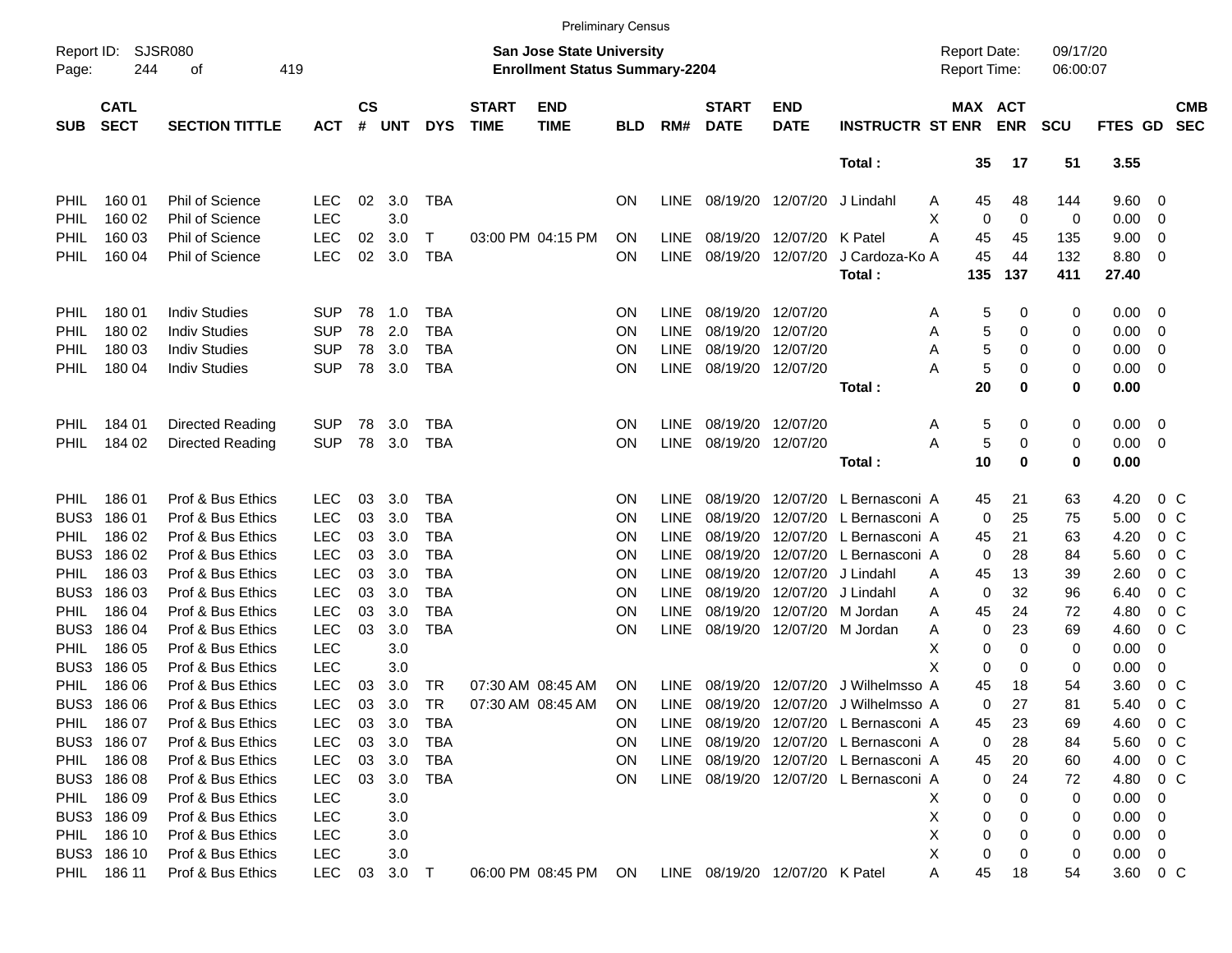|                     |                            |                        |            |                    |            |            |                             |                                                                    | <b>Preliminary Census</b> |             |                             |                                |                                  |                                     |             |                      |                |                         |                          |
|---------------------|----------------------------|------------------------|------------|--------------------|------------|------------|-----------------------------|--------------------------------------------------------------------|---------------------------|-------------|-----------------------------|--------------------------------|----------------------------------|-------------------------------------|-------------|----------------------|----------------|-------------------------|--------------------------|
| Report ID:<br>Page: | 244                        | SJSR080<br>419<br>оf   |            |                    |            |            |                             | San Jose State University<br><b>Enrollment Status Summary-2204</b> |                           |             |                             |                                |                                  | <b>Report Date:</b><br>Report Time: |             | 09/17/20<br>06:00:07 |                |                         |                          |
| <b>SUB</b>          | <b>CATL</b><br><b>SECT</b> | <b>SECTION TITTLE</b>  | <b>ACT</b> | $\mathsf{cs}$<br># | <b>UNT</b> | <b>DYS</b> | <b>START</b><br><b>TIME</b> | <b>END</b><br><b>TIME</b>                                          | <b>BLD</b>                | RM#         | <b>START</b><br><b>DATE</b> | <b>END</b><br><b>DATE</b>      | <b>INSTRUCTR ST ENR</b>          | MAX ACT                             | <b>ENR</b>  | <b>SCU</b>           | <b>FTES GD</b> |                         | <b>CMB</b><br><b>SEC</b> |
|                     |                            |                        |            |                    |            |            |                             |                                                                    |                           |             |                             |                                | Total:                           | 35                                  | 17          | 51                   | 3.55           |                         |                          |
| PHIL                | 160 01                     | Phil of Science        | <b>LEC</b> | 02                 | 3.0        | <b>TBA</b> |                             |                                                                    | ON                        | <b>LINE</b> |                             | 08/19/20 12/07/20              | J Lindahl                        | 45<br>Α                             | 48          | 144                  | 9.60           | $\overline{\mathbf{0}}$ |                          |
| PHIL                | 160 02                     | Phil of Science        | <b>LEC</b> |                    | 3.0        |            |                             |                                                                    |                           |             |                             |                                |                                  | х<br>0                              | $\mathbf 0$ | 0                    | 0.00           | 0                       |                          |
| PHIL                | 160 03                     | <b>Phil of Science</b> | <b>LEC</b> | 02                 | 3.0        | Τ          |                             | 03:00 PM 04:15 PM                                                  | ON                        | <b>LINE</b> | 08/19/20                    | 12/07/20                       | K Patel                          | А<br>45                             | 45          | 135                  | 9.00           | 0                       |                          |
| PHIL                | 160 04                     | Phil of Science        | LEC        | 02                 | 3.0        | <b>TBA</b> |                             |                                                                    | <b>ON</b>                 | <b>LINE</b> | 08/19/20                    | 12/07/20                       | J Cardoza-Ko A                   | 45                                  | 44          | 132                  | 8.80           | $\overline{\mathbf{0}}$ |                          |
|                     |                            |                        |            |                    |            |            |                             |                                                                    |                           |             |                             |                                | Total:                           | 135                                 | 137         | 411                  | 27.40          |                         |                          |
| PHIL                | 180 01                     | <b>Indiv Studies</b>   | <b>SUP</b> | 78                 | 1.0        | <b>TBA</b> |                             |                                                                    | <b>ON</b>                 | LINE        | 08/19/20                    | 12/07/20                       |                                  | 5<br>Α                              | 0           | 0                    | 0.00           | $\overline{\mathbf{0}}$ |                          |
| PHIL                | 180 02                     | <b>Indiv Studies</b>   | <b>SUP</b> | 78                 | 2.0        | <b>TBA</b> |                             |                                                                    | <b>ON</b>                 | <b>LINE</b> | 08/19/20                    | 12/07/20                       |                                  | 5<br>Α                              | 0           | 0                    | 0.00           | 0                       |                          |
| PHIL                | 180 03                     | <b>Indiv Studies</b>   | <b>SUP</b> | 78                 | 3.0        | <b>TBA</b> |                             |                                                                    | <b>ON</b>                 | <b>LINE</b> | 08/19/20                    | 12/07/20                       |                                  | 5<br>Α                              | 0           | 0                    | 0.00           | 0                       |                          |
| PHIL                | 180 04                     | <b>Indiv Studies</b>   | <b>SUP</b> | 78                 | 3.0        | <b>TBA</b> |                             |                                                                    | <b>ON</b>                 | <b>LINE</b> | 08/19/20                    | 12/07/20                       |                                  | 5<br>Α                              | 0           | 0                    | 0.00           | $\overline{\mathbf{0}}$ |                          |
|                     |                            |                        |            |                    |            |            |                             |                                                                    |                           |             |                             |                                | Total:                           | 20                                  | 0           | 0                    | 0.00           |                         |                          |
| <b>PHIL</b>         | 184 01                     | Directed Reading       | <b>SUP</b> | 78                 | 3.0        | TBA        |                             |                                                                    | <b>ON</b>                 | <b>LINE</b> |                             | 08/19/20 12/07/20              |                                  | 5<br>Α                              | 0           | 0                    | 0.00           | $\overline{\mathbf{0}}$ |                          |
| <b>PHIL</b>         | 184 02                     | Directed Reading       | <b>SUP</b> | 78                 | 3.0        | <b>TBA</b> |                             |                                                                    | <b>ON</b>                 | LINE        | 08/19/20                    | 12/07/20                       |                                  | 5<br>Α                              | 0           | 0                    | 0.00           | $\overline{\mathbf{0}}$ |                          |
|                     |                            |                        |            |                    |            |            |                             |                                                                    |                           |             |                             |                                | Total:                           | 10                                  | 0           | 0                    | 0.00           |                         |                          |
| PHIL.               | 18601                      | Prof & Bus Ethics      | <b>LEC</b> | 03                 | 3.0        | <b>TBA</b> |                             |                                                                    | <b>ON</b>                 | LINE        | 08/19/20                    | 12/07/20                       | L Bernasconi A                   | 45                                  | 21          | 63                   | 4.20           | $0\,$ C                 |                          |
| BUS3                | 18601                      | Prof & Bus Ethics      | <b>LEC</b> | 03                 | 3.0        | <b>TBA</b> |                             |                                                                    | <b>ON</b>                 | <b>LINE</b> | 08/19/20                    | 12/07/20                       | L Bernasconi A                   | 0                                   | 25          | 75                   | 5.00           | 0 <sup>o</sup>          |                          |
| PHIL                | 186 02                     | Prof & Bus Ethics      | <b>LEC</b> | 03                 | 3.0        | TBA        |                             |                                                                    | <b>ON</b>                 | <b>LINE</b> | 08/19/20                    | 12/07/20                       | L Bernasconi A                   | 45                                  | 21          | 63                   | 4.20           | 0 <sup>o</sup>          |                          |
| BUS3                | 186 02                     | Prof & Bus Ethics      | <b>LEC</b> | 03                 | 3.0        | <b>TBA</b> |                             |                                                                    | <b>ON</b>                 | <b>LINE</b> | 08/19/20                    | 12/07/20                       | L Bernasconi A                   | 0                                   | 28          | 84                   | 5.60           | 0 <sup>o</sup>          |                          |
| PHIL                | 186 03                     | Prof & Bus Ethics      | <b>LEC</b> | 03                 | 3.0        | <b>TBA</b> |                             |                                                                    | <b>ON</b>                 | <b>LINE</b> | 08/19/20                    | 12/07/20                       | J Lindahl                        | 45<br>A                             | 13          | 39                   | 2.60           | 0 <sup>o</sup>          |                          |
| BUS3                | 186 03                     | Prof & Bus Ethics      | <b>LEC</b> | 03                 | 3.0        | <b>TBA</b> |                             |                                                                    | <b>ON</b>                 | <b>LINE</b> | 08/19/20                    | 12/07/20                       | J Lindahl                        | 0<br>Α                              | 32          | 96                   | 6.40           | 0 <sup>o</sup>          |                          |
| PHIL                | 186 04                     | Prof & Bus Ethics      | <b>LEC</b> | 03                 | 3.0        | <b>TBA</b> |                             |                                                                    | ON                        | <b>LINE</b> | 08/19/20                    | 12/07/20                       | M Jordan                         | 45<br>A                             | 24          | 72                   | 4.80           | 0 <sup>o</sup>          |                          |
| BUS3                | 186 04                     | Prof & Bus Ethics      | <b>LEC</b> | 03                 | 3.0        | <b>TBA</b> |                             |                                                                    | <b>ON</b>                 | LINE        | 08/19/20                    | 12/07/20                       | M Jordan                         | 0<br>Α                              | 23          | 69                   | 4.60           | 0 <sup>o</sup>          |                          |
| PHIL                | 186 05                     | Prof & Bus Ethics      | <b>LEC</b> |                    | 3.0        |            |                             |                                                                    |                           |             |                             |                                |                                  | х<br>0                              | 0           | 0                    | 0.00           | 0                       |                          |
| BUS3                | 186 05                     | Prof & Bus Ethics      | <b>LEC</b> |                    | 3.0        |            |                             |                                                                    |                           |             |                             |                                |                                  | X<br>0                              | 0           | 0                    | 0.00           | 0                       |                          |
| PHIL                | 186 06                     | Prof & Bus Ethics      | <b>LEC</b> | 03                 | 3.0        | TR         |                             | 07:30 AM 08:45 AM                                                  | <b>ON</b>                 | LINE        | 08/19/20                    | 12/07/20                       | J Wilhelmsso A                   | 45                                  | 18          | 54                   | 3.60           | $0\,$ C                 |                          |
| BUS3                | 186 06                     | Prof & Bus Ethics      | <b>LEC</b> | 03                 | 3.0        | TR         |                             | 07:30 AM 08:45 AM                                                  | ON                        | LINE        | 08/19/20                    | 12/07/20                       | J Wilhelmsso A                   | 0                                   | 27          | 81                   | 5.40           | 0 <sup>o</sup>          |                          |
| PHIL                | 186 07                     | Prof & Bus Ethics      | <b>LEC</b> | 03                 | 3.0        | <b>TBA</b> |                             |                                                                    | <b>ON</b>                 | <b>LINE</b> |                             |                                | 08/19/20 12/07/20 L Bernasconi A | 45                                  | 23          | 69                   | 4.60           | 0 <sup>o</sup>          |                          |
|                     | BUS3 186 07                | Prof & Bus Ethics      | <b>LEC</b> | 03                 | 3.0        | <b>TBA</b> |                             |                                                                    | ON.                       | LINE        |                             |                                | 08/19/20 12/07/20 L Bernasconi A | 0                                   | 28          | 84                   | 5.60           | $0\,$ C                 |                          |
| PHIL                | 186 08                     | Prof & Bus Ethics      | <b>LEC</b> | 03                 | 3.0        | TBA        |                             |                                                                    | ON                        | LINE        | 08/19/20                    |                                | 12/07/20 L Bernasconi A          | 45                                  | 20          | 60                   | 4.00           | 0 <sup>o</sup>          |                          |
|                     | BUS3 186 08                | Prof & Bus Ethics      | <b>LEC</b> | 03                 | 3.0        | TBA        |                             |                                                                    | ON                        | LINE        |                             |                                | 08/19/20 12/07/20 L Bernasconi A | 0                                   | 24          | 72                   | 4.80           | $0\,$ C                 |                          |
| PHIL                | 186 09                     | Prof & Bus Ethics      | <b>LEC</b> |                    | 3.0        |            |                             |                                                                    |                           |             |                             |                                |                                  | X<br>0                              | 0           | 0                    | 0.00           | 0                       |                          |
|                     | BUS3 186 09                | Prof & Bus Ethics      | <b>LEC</b> |                    | 3.0        |            |                             |                                                                    |                           |             |                             |                                |                                  | Х<br>0                              | 0           | 0                    | 0.00           | 0                       |                          |
| PHIL                | 186 10                     | Prof & Bus Ethics      | <b>LEC</b> |                    | 3.0        |            |                             |                                                                    |                           |             |                             |                                |                                  | Χ<br>0                              | 0           | 0                    | 0.00           | $\overline{\mathbf{0}}$ |                          |
|                     | BUS3 186 10                | Prof & Bus Ethics      | <b>LEC</b> |                    | 3.0        |            |                             |                                                                    |                           |             |                             |                                |                                  | X<br>0                              | 0           | 0                    | 0.00           | $\mathbf 0$             |                          |
| PHIL                | 186 11                     | Prof & Bus Ethics      | <b>LEC</b> | 03                 | $3.0$ T    |            |                             | 06:00 PM 08:45 PM                                                  | ON                        |             |                             | LINE 08/19/20 12/07/20 K Patel |                                  | 45<br>Α                             | 18          | 54                   | 3.60 0 C       |                         |                          |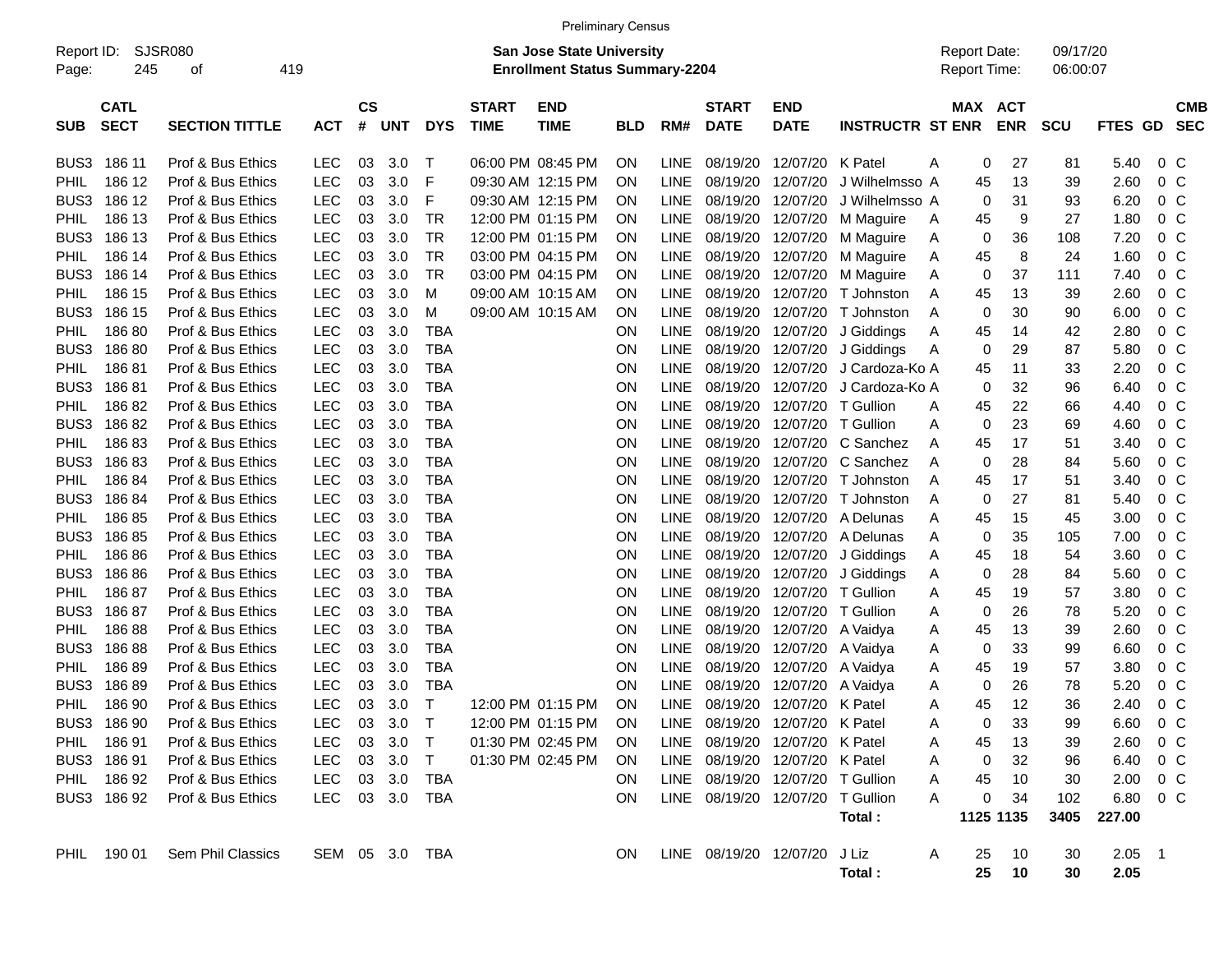|             |                                           |                       |            |                |            |                |                             |                                                                    | <b>Preliminary Census</b> |             |                                  |                           |                         |                                     |                       |                      |                  |                |                   |
|-------------|-------------------------------------------|-----------------------|------------|----------------|------------|----------------|-----------------------------|--------------------------------------------------------------------|---------------------------|-------------|----------------------------------|---------------------------|-------------------------|-------------------------------------|-----------------------|----------------------|------------------|----------------|-------------------|
| Page:       | SJSR080<br>Report ID:<br>245<br>419<br>οf |                       |            |                |            |                |                             | San Jose State University<br><b>Enrollment Status Summary-2204</b> |                           |             |                                  |                           |                         | <b>Report Date:</b><br>Report Time: |                       | 09/17/20<br>06:00:07 |                  |                |                   |
| <b>SUB</b>  | <b>CATL</b><br><b>SECT</b>                | <b>SECTION TITTLE</b> | <b>ACT</b> | <b>CS</b><br># | <b>UNT</b> | <b>DYS</b>     | <b>START</b><br><b>TIME</b> | <b>END</b><br><b>TIME</b>                                          | <b>BLD</b>                | RM#         | <b>START</b><br><b>DATE</b>      | <b>END</b><br><b>DATE</b> | <b>INSTRUCTR ST ENR</b> |                                     | MAX ACT<br><b>ENR</b> | <b>SCU</b>           | <b>FTES GD</b>   |                | CMB<br><b>SEC</b> |
| BUS3        | 186 11                                    | Prof & Bus Ethics     | LEC        | 03             | 3.0        | $\top$         |                             | 06:00 PM 08:45 PM                                                  | ΟN                        | <b>LINE</b> | 08/19/20                         | 12/07/20 K Patel          |                         | 0<br>Α                              | 27                    | 81                   | 5.40             | $0\,$ C        |                   |
| PHIL.       | 186 12                                    | Prof & Bus Ethics     | <b>LEC</b> | 03             | 3.0        | F              |                             | 09:30 AM 12:15 PM                                                  | ΟN                        | LINE        | 08/19/20                         | 12/07/20                  | J Wilhelmsso A          | 45                                  | 13                    | 39                   | 2.60             | 0 <sup>o</sup> |                   |
| BUS3        | 186 12                                    | Prof & Bus Ethics     | <b>LEC</b> | 03             | 3.0        | F              |                             | 09:30 AM 12:15 PM                                                  | ΟN                        | LINE        | 08/19/20                         | 12/07/20                  | J Wilhelmsso A          | 0                                   | 31                    | 93                   | 6.20             | 0 <sup>o</sup> |                   |
| PHIL        | 186 13                                    | Prof & Bus Ethics     | <b>LEC</b> | 03             | 3.0        | <b>TR</b>      |                             | 12:00 PM 01:15 PM                                                  | ΟN                        | LINE        | 08/19/20                         | 12/07/20                  | M Maguire               | 45<br>Α                             | 9                     | 27                   | 1.80             | 0 <sup>o</sup> |                   |
| BUS3        | 186 13                                    | Prof & Bus Ethics     | <b>LEC</b> | 03             | 3.0        | <b>TR</b>      |                             | 12:00 PM 01:15 PM                                                  | ΟN                        | LINE        | 08/19/20                         | 12/07/20                  | M Maguire               | 0<br>Α                              | 36                    | 108                  | 7.20             | 0 <sup>o</sup> |                   |
| PHIL        | 186 14                                    | Prof & Bus Ethics     | <b>LEC</b> | 03             | 3.0        | <b>TR</b>      |                             | 03:00 PM 04:15 PM                                                  | ΟN                        | LINE        | 08/19/20                         | 12/07/20                  | M Maguire               | 45<br>Α                             | 8                     | 24                   | 1.60             | 0 <sup>o</sup> |                   |
| BUS3        | 186 14                                    | Prof & Bus Ethics     | <b>LEC</b> | 03             | 3.0        | TR             |                             | 03:00 PM 04:15 PM                                                  | ΟN                        | LINE        | 08/19/20                         | 12/07/20                  | M Maguire               | 0<br>Α                              | 37                    | 111                  | 7.40             | 0 <sup>o</sup> |                   |
| PHIL        | 186 15                                    | Prof & Bus Ethics     | <b>LEC</b> | 03             | 3.0        | M              |                             | 09:00 AM 10:15 AM                                                  | ΟN                        | LINE        | 08/19/20                         | 12/07/20                  | T Johnston              | Α<br>45                             | 13                    | 39                   | 2.60             | 0 <sup>o</sup> |                   |
| BUS3        | 186 15                                    | Prof & Bus Ethics     | <b>LEC</b> | 03             | 3.0        | м              |                             | 09:00 AM 10:15 AM                                                  | ON                        | LINE        | 08/19/20                         | 12/07/20                  | T Johnston              | 0<br>Α                              | 30                    | 90                   | 6.00             | 0 <sup>o</sup> |                   |
| PHIL        | 18680                                     | Prof & Bus Ethics     | <b>LEC</b> | 03             | 3.0        | TBA            |                             |                                                                    | ON                        | LINE        | 08/19/20                         |                           | 12/07/20 J Giddings     | 45<br>Α                             | 14                    | 42                   | 2.80             | 0 <sup>o</sup> |                   |
| BUS3        | 18680                                     | Prof & Bus Ethics     | <b>LEC</b> | 03             | 3.0        | <b>TBA</b>     |                             |                                                                    | ON                        | LINE        | 08/19/20                         |                           | 12/07/20 J Giddings     | 0<br>Α                              | 29                    | 87                   | 5.80             | 0 <sup>o</sup> |                   |
| PHIL        | 18681                                     | Prof & Bus Ethics     | <b>LEC</b> | 03             | 3.0        | <b>TBA</b>     |                             |                                                                    | ON                        | LINE        | 08/19/20                         | 12/07/20                  | J Cardoza-Ko A          | 45                                  | 11                    | 33                   | 2.20             | 0 <sup>o</sup> |                   |
| BUS3        | 18681                                     | Prof & Bus Ethics     | <b>LEC</b> | 03             | 3.0        | <b>TBA</b>     |                             |                                                                    | ON                        | LINE        | 08/19/20                         | 12/07/20                  | J Cardoza-Ko A          | 0                                   | 32                    | 96                   | 6.40             | 0 <sup>o</sup> |                   |
| PHIL        | 18682                                     | Prof & Bus Ethics     | <b>LEC</b> | 03             | 3.0        | <b>TBA</b>     |                             |                                                                    | ON                        | LINE        | 08/19/20                         | 12/07/20                  | T Gullion               | 45<br>Α                             | 22                    | 66                   | 4.40             | 0 <sup>o</sup> |                   |
| BUS3        | 18682                                     | Prof & Bus Ethics     | <b>LEC</b> | 03             | 3.0        | <b>TBA</b>     |                             |                                                                    | ON                        | LINE        | 08/19/20                         | 12/07/20                  | T Gullion               | $\mathbf 0$<br>Α                    | 23                    | 69                   | 4.60             | 0 <sup>o</sup> |                   |
| PHIL        | 18683                                     | Prof & Bus Ethics     | <b>LEC</b> | 03             | 3.0        | <b>TBA</b>     |                             |                                                                    | ON                        | LINE        | 08/19/20                         |                           | 12/07/20 C Sanchez      | 45<br>Α                             | 17                    | 51                   | 3.40             | 0 <sup>o</sup> |                   |
| BUS3        | 18683                                     | Prof & Bus Ethics     | <b>LEC</b> | 03             | 3.0        | <b>TBA</b>     |                             |                                                                    | ON                        | LINE        | 08/19/20                         |                           | 12/07/20 C Sanchez      | 0<br>Α                              | 28                    | 84                   | 5.60             | 0 <sup>o</sup> |                   |
| PHIL        | 18684                                     | Prof & Bus Ethics     | <b>LEC</b> | 03             | 3.0        | <b>TBA</b>     |                             |                                                                    | ON                        | LINE        | 08/19/20                         | 12/07/20                  | T Johnston              | 45<br>Α                             | 17                    | 51                   | 3.40             | 0 <sup>o</sup> |                   |
| BUS3        | 18684                                     | Prof & Bus Ethics     | <b>LEC</b> | 03             | 3.0        | <b>TBA</b>     |                             |                                                                    | ON                        | LINE        | 08/19/20                         | 12/07/20                  | T Johnston              | 0<br>Α                              | 27                    | 81                   | 5.40             | 0 <sup>o</sup> |                   |
| PHIL        | 18685                                     | Prof & Bus Ethics     | <b>LEC</b> | 03             | 3.0        | <b>TBA</b>     |                             |                                                                    | ON                        | LINE        | 08/19/20                         |                           | 12/07/20 A Delunas      | Α<br>45                             | 15                    | 45                   | 3.00             | 0 <sup>o</sup> |                   |
| BUS3        | 18685                                     | Prof & Bus Ethics     | <b>LEC</b> | 03             | 3.0        | <b>TBA</b>     |                             |                                                                    | ON                        | LINE        | 08/19/20                         |                           | 12/07/20 A Delunas      | 0<br>Α                              | 35                    | 105                  | 7.00             | 0 <sup>o</sup> |                   |
| PHIL        | 18686                                     | Prof & Bus Ethics     | <b>LEC</b> | 03             | 3.0        | <b>TBA</b>     |                             |                                                                    | ON                        | LINE        | 08/19/20                         | 12/07/20                  | J Giddings              | 45<br>Α                             | 18                    | 54                   | 3.60             | 0 <sup>o</sup> |                   |
| BUS3        | 18686                                     | Prof & Bus Ethics     | <b>LEC</b> | 03             | 3.0        | <b>TBA</b>     |                             |                                                                    | ON                        | LINE        | 08/19/20                         | 12/07/20                  | J Giddings              | 0<br>Α                              | 28                    | 84                   | 5.60             | 0 <sup>o</sup> |                   |
| PHIL        | 18687                                     | Prof & Bus Ethics     | <b>LEC</b> | 03             | 3.0        | <b>TBA</b>     |                             |                                                                    | ON                        | LINE        | 08/19/20                         | 12/07/20                  | T Gullion               | 45<br>Α                             | 19                    | 57                   | 3.80             | 0 <sup>o</sup> |                   |
| BUS3        | 18687                                     | Prof & Bus Ethics     | <b>LEC</b> | 03             | 3.0        | <b>TBA</b>     |                             |                                                                    | ON                        | LINE        | 08/19/20                         | 12/07/20                  | T Gullion               | 0<br>Α                              | 26                    | 78                   | 5.20             | 0 <sup>o</sup> |                   |
| PHIL        | 18688                                     | Prof & Bus Ethics     | <b>LEC</b> | 03             | 3.0        | <b>TBA</b>     |                             |                                                                    | ON                        | LINE        | 08/19/20                         | 12/07/20 A Vaidya         |                         | 45<br>Α                             | 13                    | 39                   | 2.60             | 0 <sup>o</sup> |                   |
| BUS3        | 18688                                     | Prof & Bus Ethics     | <b>LEC</b> | 03             | 3.0        | <b>TBA</b>     |                             |                                                                    | ON                        | LINE        | 08/19/20                         | 12/07/20                  | A Vaidya                | 0<br>Α                              | 33                    | 99                   | 6.60             | 0 <sup>o</sup> |                   |
| PHIL        | 18689                                     | Prof & Bus Ethics     | <b>LEC</b> | 03             | 3.0        | <b>TBA</b>     |                             |                                                                    | ON                        | LINE        | 08/19/20                         | 12/07/20                  | A Vaidya                | 45<br>Α                             | 19                    | 57                   | 3.80             | 0 <sup>o</sup> |                   |
| BUS3        | 18689                                     | Prof & Bus Ethics     | <b>LEC</b> | 03             | 3.0        | TBA            |                             |                                                                    | ΟN                        | LINE        | 08/19/20                         | 12/07/20                  | A Vaidya                | 0<br>Α                              | 26                    | 78                   | 5.20             | 0 <sup>o</sup> |                   |
| <b>PHIL</b> | 186 90                                    | Prof & Bus Ethics     | <b>LEC</b> | 03             | 3.0        | $\top$         |                             | 12:00 PM 01:15 PM                                                  | ΟN                        | LINE        |                                  | 08/19/20 12/07/20 K Patel |                         | 45<br>Α                             | 12                    | 36                   | 2.40             | $0\,C$         |                   |
|             | BUS3 186 90                               | Prof & Bus Ethics     | <b>LEC</b> |                | 03 3.0     | $\top$         |                             | 12:00 PM 01:15 PM                                                  | ON                        |             | LINE 08/19/20 12/07/20 K Patel   |                           |                         | 0<br>A                              | 33                    | 99                   | 6.60 0 C         |                |                   |
|             | PHIL 186 91                               | Prof & Bus Ethics     | <b>LEC</b> |                | 03 3.0     | $\top$         |                             | 01:30 PM 02:45 PM                                                  | <b>ON</b>                 |             | LINE 08/19/20 12/07/20 K Patel   |                           |                         | 45<br>A                             | 13                    | 39                   | $2.60 \t 0 \t C$ |                |                   |
|             | BUS3 186 91                               | Prof & Bus Ethics     | <b>LEC</b> |                | 03 3.0 T   |                |                             | 01:30 PM 02:45 PM                                                  | ON.                       |             | LINE 08/19/20 12/07/20 K Patel   |                           |                         | 0<br>Α                              | 32                    | 96                   | 6.40 0 C         |                |                   |
|             | PHIL 186 92                               | Prof & Bus Ethics     | <b>LEC</b> |                | 03 3.0 TBA |                |                             |                                                                    | ON.                       |             | LINE 08/19/20 12/07/20 T Gullion |                           |                         | 45<br>Α                             | 10                    | 30                   | $2.00 \t 0 \t C$ |                |                   |
|             | BUS3 186 92                               | Prof & Bus Ethics     | <b>LEC</b> |                | 03 3.0 TBA |                |                             |                                                                    | ON                        |             | LINE 08/19/20 12/07/20 T Gullion |                           |                         | 0<br>Α                              | 34                    | 102                  | 6.80 0 C         |                |                   |
|             |                                           |                       |            |                |            |                |                             |                                                                    |                           |             |                                  |                           | Total:                  |                                     | 1125 1135             | 3405                 | 227.00           |                |                   |
|             |                                           |                       |            |                |            |                |                             |                                                                    |                           |             |                                  |                           |                         |                                     |                       |                      |                  |                |                   |
|             | PHIL 190 01                               | Sem Phil Classics     |            |                |            | SEM 05 3.0 TBA |                             |                                                                    | ON.                       |             | LINE 08/19/20 12/07/20 J Liz     |                           |                         | Α<br>25                             | 10                    | 30                   | $2.05$ 1         |                |                   |
|             |                                           |                       |            |                |            |                |                             |                                                                    |                           |             |                                  |                           | Total :                 | 25                                  | 10                    | 30                   | 2.05             |                |                   |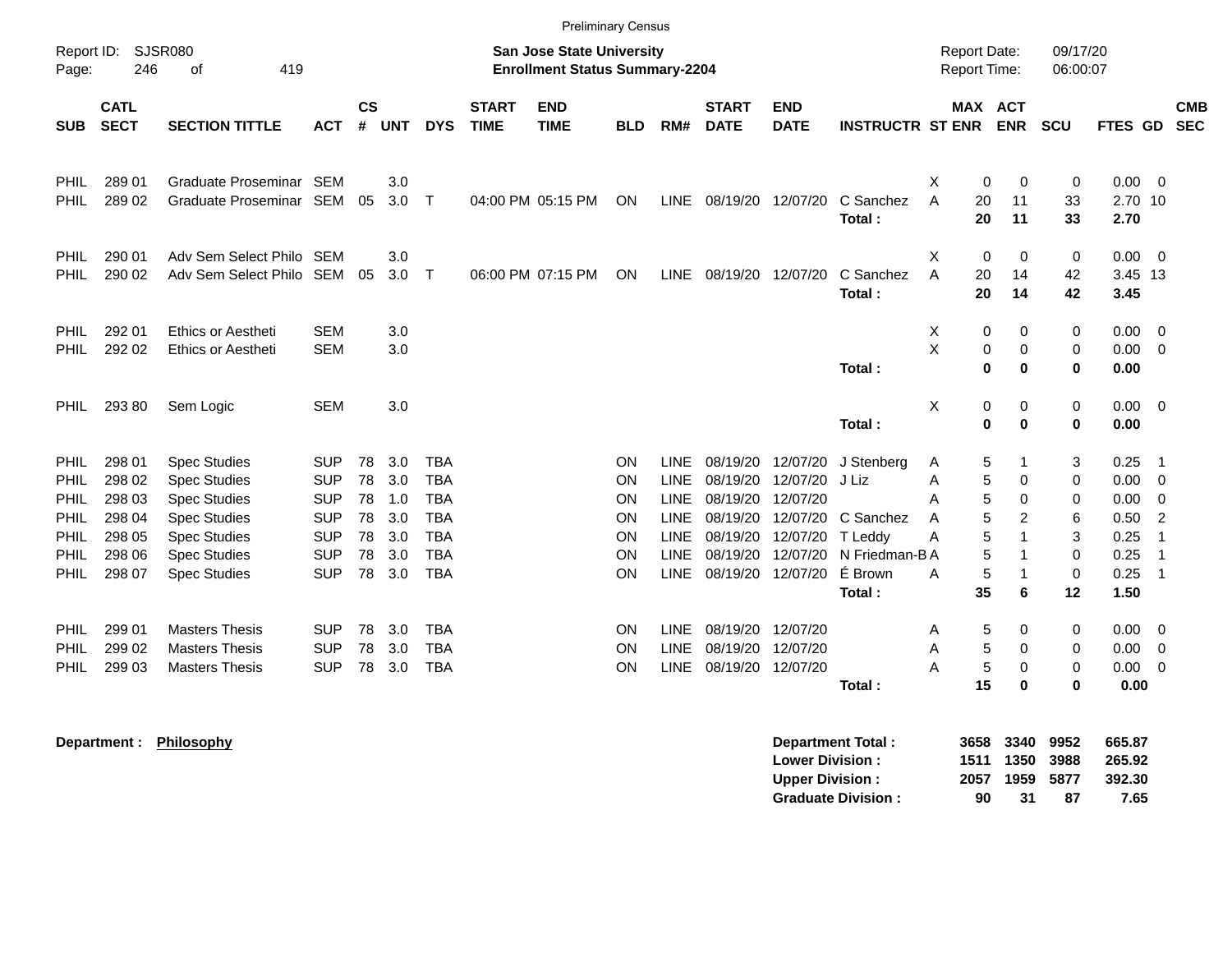|                              |                                      |                                                                                          |                                                      |                |                          |                                        |                             |                                                                           | <b>Preliminary Census</b> |                                                   |                                              |                                  |                                        |                                            |                                  |                         |                         |                                                    |                          |
|------------------------------|--------------------------------------|------------------------------------------------------------------------------------------|------------------------------------------------------|----------------|--------------------------|----------------------------------------|-----------------------------|---------------------------------------------------------------------------|---------------------------|---------------------------------------------------|----------------------------------------------|----------------------------------|----------------------------------------|--------------------------------------------|----------------------------------|-------------------------|-------------------------|----------------------------------------------------|--------------------------|
| Page:                        | Report ID: SJSR080<br>246            | 419<br>οf                                                                                |                                                      |                |                          |                                        |                             | <b>San Jose State University</b><br><b>Enrollment Status Summary-2204</b> |                           |                                                   |                                              |                                  |                                        | <b>Report Date:</b><br><b>Report Time:</b> |                                  | 09/17/20<br>06:00:07    |                         |                                                    |                          |
| <b>SUB</b>                   | <b>CATL</b><br><b>SECT</b>           | <b>SECTION TITTLE</b>                                                                    | <b>ACT</b>                                           | $\mathsf{cs}$  | # UNT                    | <b>DYS</b>                             | <b>START</b><br><b>TIME</b> | <b>END</b><br><b>TIME</b>                                                 | <b>BLD</b>                | RM#                                               | <b>START</b><br><b>DATE</b>                  | <b>END</b><br><b>DATE</b>        | <b>INSTRUCTR ST ENR</b>                | MAX ACT                                    | <b>ENR</b>                       | <b>SCU</b>              | FTES GD                 |                                                    | <b>CMB</b><br><b>SEC</b> |
| <b>PHIL</b><br>PHIL          | 289 01<br>289 02                     | Graduate Proseminar SEM<br>Graduate Proseminar SEM                                       |                                                      | 05             | 3.0<br>3.0               | T                                      |                             | 04:00 PM 05:15 PM                                                         | ON                        |                                                   | LINE 08/19/20 12/07/20                       |                                  | C Sanchez<br>Total:                    | X<br>0<br>20<br>A<br>20                    | 0<br>11<br>11                    | 0<br>33<br>33           | 0.00<br>2.70 10<br>2.70 | $\overline{0}$                                     |                          |
| <b>PHIL</b><br>PHIL          | 290 01<br>290 02                     | Adv Sem Select Philo SEM<br>Adv Sem Select Philo SEM                                     |                                                      | 05             | 3.0<br>3.0               | $\mathsf{T}$                           |                             | 06:00 PM 07:15 PM                                                         | ON                        |                                                   | LINE 08/19/20 12/07/20                       |                                  | C Sanchez<br>Total:                    | X<br>0<br>A<br>20<br>20                    | $\mathbf 0$<br>14<br>14          | $\mathbf 0$<br>42<br>42 | 0.00<br>3.45 13<br>3.45 | - 0                                                |                          |
| PHIL.<br>PHIL                | 292 01<br>292 02                     | <b>Ethics or Aestheti</b><br><b>Ethics or Aestheti</b>                                   | <b>SEM</b><br><b>SEM</b>                             |                | 3.0<br>3.0               |                                        |                             |                                                                           |                           |                                                   |                                              |                                  | Total:                                 | X<br>0<br>X<br>0<br>$\bf{0}$               | 0<br>$\mathbf 0$<br>$\mathbf 0$  | 0<br>0<br>$\bf{0}$      | 0.00<br>0.00<br>0.00    | - 0<br>- 0                                         |                          |
| <b>PHIL</b>                  | 293 80                               | Sem Logic                                                                                | <b>SEM</b>                                           |                | 3.0                      |                                        |                             |                                                                           |                           |                                                   |                                              |                                  | Total:                                 | X<br>0<br>0                                | 0<br>$\bf{0}$                    | 0<br>$\bf{0}$           | $0.00 \t 0$<br>0.00     |                                                    |                          |
| <b>PHIL</b><br>PHIL.         | 298 01<br>298 02                     | <b>Spec Studies</b><br><b>Spec Studies</b>                                               | <b>SUP</b><br><b>SUP</b>                             | 78<br>78<br>78 | 3.0<br>3.0               | <b>TBA</b><br><b>TBA</b><br><b>TBA</b> |                             |                                                                           | ON<br>ON                  | <b>LINE</b><br><b>LINE</b>                        | 08/19/20<br>08/19/20                         | 12/07/20<br>12/07/20<br>12/07/20 | J Stenberg<br>J Liz                    | Α<br>5<br>5<br>A                           | -1<br>$\mathbf 0$<br>$\mathbf 0$ | 3<br>$\mathbf 0$<br>0   | 0.25<br>0.00<br>0.00    | $\overline{1}$<br>$\overline{0}$<br>$\overline{0}$ |                          |
| PHIL<br>PHIL<br>PHIL<br>PHIL | 298 03<br>298 04<br>298 05<br>298 06 | <b>Spec Studies</b><br><b>Spec Studies</b><br><b>Spec Studies</b><br><b>Spec Studies</b> | <b>SUP</b><br><b>SUP</b><br><b>SUP</b><br><b>SUP</b> | 78<br>78<br>78 | 1.0<br>3.0<br>3.0<br>3.0 | <b>TBA</b><br><b>TBA</b><br><b>TBA</b> |                             |                                                                           | ON<br>ON<br>ON<br>ON      | LINE<br><b>LINE</b><br><b>LINE</b><br><b>LINE</b> | 08/19/20<br>08/19/20<br>08/19/20<br>08/19/20 | 12/07/20<br>12/07/20<br>12/07/20 | C Sanchez<br>T Leddy<br>N Friedman-B A | 5<br>Α<br>5<br>A<br>5<br>A<br>5            | 2<br>$\mathbf{1}$<br>$\mathbf 1$ | 6<br>3<br>$\mathbf 0$   | 0.50<br>0.25<br>0.25    | $\overline{2}$<br>$\overline{1}$<br>$\overline{1}$ |                          |
| PHIL                         | 298 07                               | <b>Spec Studies</b>                                                                      | <b>SUP</b>                                           | 78             | 3.0                      | <b>TBA</b>                             |                             |                                                                           | ON                        | <b>LINE</b>                                       | 08/19/20                                     | 12/07/20                         | É Brown<br>Total:                      | 5<br>A<br>35                               | $\mathbf{1}$<br>6                | $\mathbf 0$<br>12       | 0.25<br>1.50            | $\overline{1}$                                     |                          |
| PHIL.<br>PHIL<br>PHIL        | 299 01<br>299 02<br>299 03           | <b>Masters Thesis</b><br><b>Masters Thesis</b><br><b>Masters Thesis</b>                  | <b>SUP</b><br><b>SUP</b><br><b>SUP</b>               | 78<br>78<br>78 | 3.0<br>3.0<br>3.0        | <b>TBA</b><br><b>TBA</b><br><b>TBA</b> |                             |                                                                           | ON.<br>ON<br>ON           | <b>LINE</b><br><b>LINE</b>                        | 08/19/20<br>08/19/20<br>LINE 08/19/20        | 12/07/20<br>12/07/20<br>12/07/20 |                                        | 5<br>A<br>5<br>A<br>A<br>5                 | 0<br>$\mathbf 0$<br>$\mathbf 0$  | 0<br>0<br>$\mathbf 0$   | 0.00<br>0.00<br>0.00    | - 0<br>$\overline{0}$<br>$\overline{0}$            |                          |
|                              |                                      |                                                                                          |                                                      |                |                          |                                        |                             |                                                                           |                           |                                                   |                                              |                                  | Total:                                 | 15                                         | $\bf{0}$                         | $\bf{0}$                | 0.00                    |                                                    |                          |

**Department : Philosophy Department Total : 3658 3340 9952 665.87 Lower Division : 1511 1350 3988<br>
Upper Division : 2057 1959 5877 Upper Division : 2057 1959 5877 392.30** Graduate Division : 90 31 87